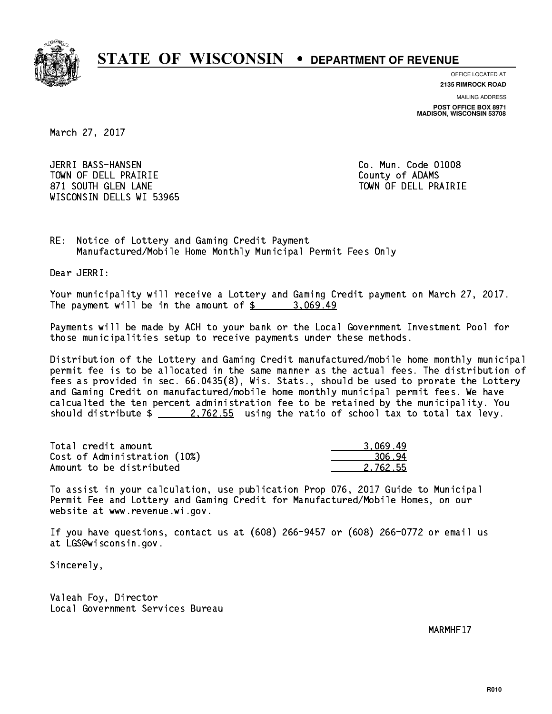

**OFFICE LOCATED AT**

**2135 RIMROCK ROAD**

**MAILING ADDRESS POST OFFICE BOX 8971 MADISON, WISCONSIN 53708**

March 27, 2017

 JERRI BASS-HANSEN Co. Mun. Code 01008 TOWN OF DELL PRAIRIE County of ADAMS 871 SOUTH GLEN LANE TOWN OF DELL PRAIRIE WISCONSIN DELLS WI 53965

RE: Notice of Lottery and Gaming Credit Payment Manufactured/Mobile Home Monthly Municipal Permit Fees Only

Dear JERRI:

 Your municipality will receive a Lottery and Gaming Credit payment on March 27, 2017. The payment will be in the amount of  $\frac{2}{3}$  3,069.49

 Payments will be made by ACH to your bank or the Local Government Investment Pool for those municipalities setup to receive payments under these methods.

 Distribution of the Lottery and Gaming Credit manufactured/mobile home monthly municipal permit fee is to be allocated in the same manner as the actual fees. The distribution of fees as provided in sec. 66.0435(8), Wis. Stats., should be used to prorate the Lottery and Gaming Credit on manufactured/mobile home monthly municipal permit fees. We have calcualted the ten percent administration fee to be retained by the municipality. You should distribute  $\frac{2.762.55}{2.762.55}$  using the ratio of school tax to total tax levy.

| Total credit amount          | 3,069.49 |
|------------------------------|----------|
| Cost of Administration (10%) | 306.94   |
| Amount to be distributed     | 2.762.55 |

 To assist in your calculation, use publication Prop 076, 2017 Guide to Municipal Permit Fee and Lottery and Gaming Credit for Manufactured/Mobile Homes, on our website at www.revenue.wi.gov.

 If you have questions, contact us at (608) 266-9457 or (608) 266-0772 or email us at LGS@wisconsin.gov.

Sincerely,

 Valeah Foy, Director Local Government Services Bureau

MARMHF17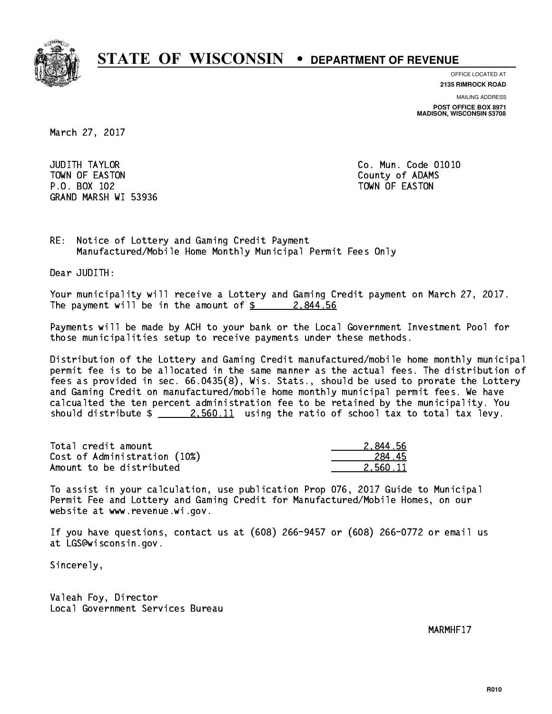

**OFFICE LOCATED AT**

**2135 RIMROCK ROAD**

**MAILING ADDRESS POST OFFICE BOX 8971 MADISON, WISCONSIN 53708**

March 27, 2017

**JUDITH TAYLOR** TOWN OF EASTON COUNTY OF ALCOHOL COUNTY OF ADAMS P.O. BOX 102 TOWN OF EASTON GRAND MARSH WI 53936

Co. Mun. Code 01010

RE: Notice of Lottery and Gaming Credit Payment Manufactured/Mobile Home Monthly Municipal Permit Fees Only

Dear JUDITH:

 Your municipality will receive a Lottery and Gaming Credit payment on March 27, 2017. The payment will be in the amount of \$ 2,844.56 \_\_\_\_\_\_\_\_\_\_\_\_\_\_\_\_

 Payments will be made by ACH to your bank or the Local Government Investment Pool for those municipalities setup to receive payments under these methods.

 Distribution of the Lottery and Gaming Credit manufactured/mobile home monthly municipal permit fee is to be allocated in the same manner as the actual fees. The distribution of fees as provided in sec. 66.0435(8), Wis. Stats., should be used to prorate the Lottery and Gaming Credit on manufactured/mobile home monthly municipal permit fees. We have calcualted the ten percent administration fee to be retained by the municipality. You should distribute  $\frac{2.560.11}{2.560.11}$  using the ratio of school tax to total tax levy.

| Total credit amount          | 2.844.56 |
|------------------------------|----------|
| Cost of Administration (10%) | 284.45   |
| Amount to be distributed     | 2.560.11 |

 To assist in your calculation, use publication Prop 076, 2017 Guide to Municipal Permit Fee and Lottery and Gaming Credit for Manufactured/Mobile Homes, on our website at www.revenue.wi.gov.

 If you have questions, contact us at (608) 266-9457 or (608) 266-0772 or email us at LGS@wisconsin.gov.

Sincerely,

 Valeah Foy, Director Local Government Services Bureau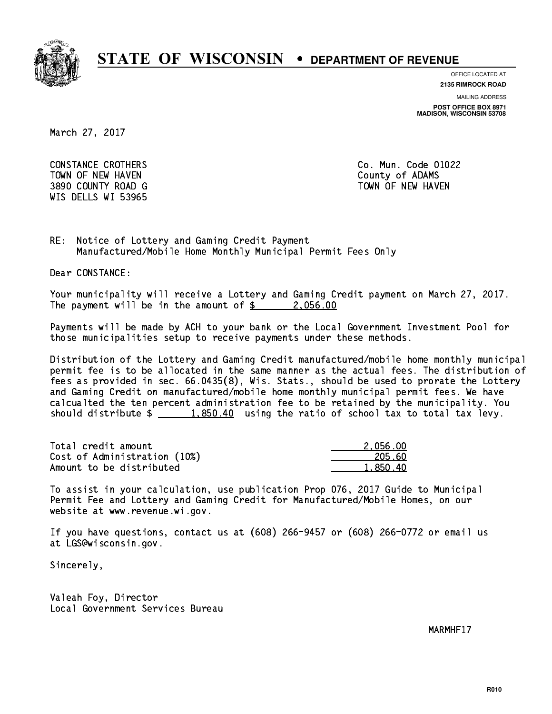

**OFFICE LOCATED AT**

**2135 RIMROCK ROAD**

**MAILING ADDRESS**

**POST OFFICE BOX 8971 MADISON, WISCONSIN 53708**

March 27, 2017

 CONSTANCE CROTHERS Co. Mun. Code 01022 TOWN OF NEW HAVEN **COUNTY OF A SERVICE COULD A** COUNTY OF ADAMS 3890 COUNTY ROAD G TOWN OF NEW HAVEN WIS DELLS WI 53965

RE: Notice of Lottery and Gaming Credit Payment Manufactured/Mobile Home Monthly Municipal Permit Fees Only

Dear CONSTANCE:

 Your municipality will receive a Lottery and Gaming Credit payment on March 27, 2017. The payment will be in the amount of  $\frac{2.056.00}{2.056.00}$ 

 Payments will be made by ACH to your bank or the Local Government Investment Pool for those municipalities setup to receive payments under these methods.

 Distribution of the Lottery and Gaming Credit manufactured/mobile home monthly municipal permit fee is to be allocated in the same manner as the actual fees. The distribution of fees as provided in sec. 66.0435(8), Wis. Stats., should be used to prorate the Lottery and Gaming Credit on manufactured/mobile home monthly municipal permit fees. We have calcualted the ten percent administration fee to be retained by the municipality. You should distribute  $\frac{1,850.40}{1,850.40}$  using the ratio of school tax to total tax levy.

| Total credit amount          | 2.056.00 |
|------------------------------|----------|
| Cost of Administration (10%) | 205.60   |
| Amount to be distributed     | 1.850.40 |

 To assist in your calculation, use publication Prop 076, 2017 Guide to Municipal Permit Fee and Lottery and Gaming Credit for Manufactured/Mobile Homes, on our website at www.revenue.wi.gov.

 If you have questions, contact us at (608) 266-9457 or (608) 266-0772 or email us at LGS@wisconsin.gov.

Sincerely,

 Valeah Foy, Director Local Government Services Bureau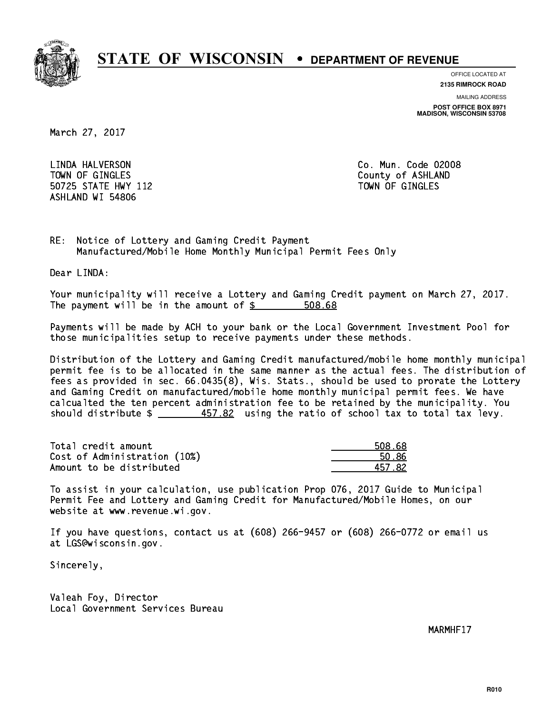

**OFFICE LOCATED AT**

**2135 RIMROCK ROAD**

**MAILING ADDRESS POST OFFICE BOX 8971 MADISON, WISCONSIN 53708**

March 27, 2017

 LINDA HALVERSON Co. Mun. Code 02008 TOWN OF GINGLES County of ASHLAND 50725 STATE HWY 112 TOWN OF GINGLES ASHLAND WI 54806

RE: Notice of Lottery and Gaming Credit Payment Manufactured/Mobile Home Monthly Municipal Permit Fees Only

Dear LINDA:

 Your municipality will receive a Lottery and Gaming Credit payment on March 27, 2017. The payment will be in the amount of \$ 508.68 \_\_\_\_\_\_\_\_\_\_\_\_\_\_\_\_

 Payments will be made by ACH to your bank or the Local Government Investment Pool for those municipalities setup to receive payments under these methods.

 Distribution of the Lottery and Gaming Credit manufactured/mobile home monthly municipal permit fee is to be allocated in the same manner as the actual fees. The distribution of fees as provided in sec. 66.0435(8), Wis. Stats., should be used to prorate the Lottery and Gaming Credit on manufactured/mobile home monthly municipal permit fees. We have calcualted the ten percent administration fee to be retained by the municipality. You should distribute  $\frac{457.82}{100}$  using the ratio of school tax to total tax levy.

| Total credit amount          | 508.68 |
|------------------------------|--------|
| Cost of Administration (10%) | 50.86  |
| Amount to be distributed     | 457.82 |

| 8.68   |
|--------|
| 50.86  |
| 57.82. |

 To assist in your calculation, use publication Prop 076, 2017 Guide to Municipal Permit Fee and Lottery and Gaming Credit for Manufactured/Mobile Homes, on our website at www.revenue.wi.gov.

 If you have questions, contact us at (608) 266-9457 or (608) 266-0772 or email us at LGS@wisconsin.gov.

Sincerely,

 Valeah Foy, Director Local Government Services Bureau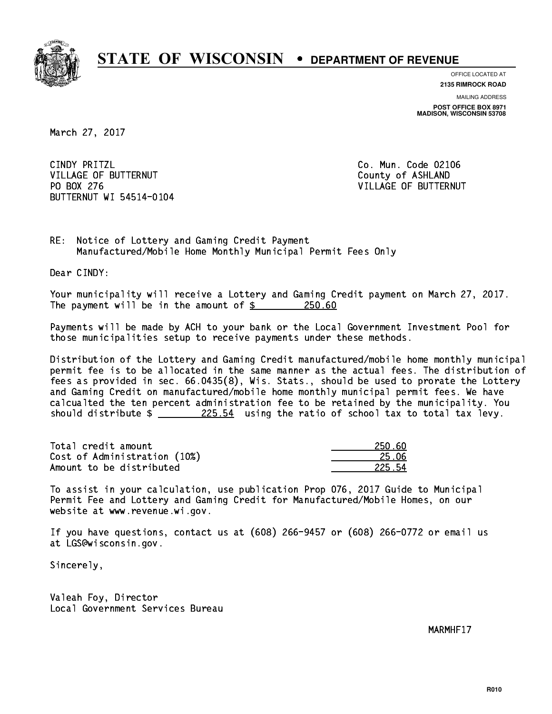

**OFFICE LOCATED AT**

**2135 RIMROCK ROAD**

**MAILING ADDRESS POST OFFICE BOX 8971 MADISON, WISCONSIN 53708**

March 27, 2017

CINDY PRITZL VILLAGE OF BUTTERNUT COUNTY OF ASHLAND PO BOX 276 BUTTERNUT WI 54514-0104

Co. Mun. Code 02106 VILLAGE OF BUTTERNUT

RE: Notice of Lottery and Gaming Credit Payment Manufactured/Mobile Home Monthly Municipal Permit Fees Only

Dear CINDY:

 Your municipality will receive a Lottery and Gaming Credit payment on March 27, 2017. The payment will be in the amount of  $\frac{250.60}{250}$ 

 Payments will be made by ACH to your bank or the Local Government Investment Pool for those municipalities setup to receive payments under these methods.

 Distribution of the Lottery and Gaming Credit manufactured/mobile home monthly municipal permit fee is to be allocated in the same manner as the actual fees. The distribution of fees as provided in sec. 66.0435(8), Wis. Stats., should be used to prorate the Lottery and Gaming Credit on manufactured/mobile home monthly municipal permit fees. We have calcualted the ten percent administration fee to be retained by the municipality. You should distribute  $\frac{225.54}{225.54}$  using the ratio of school tax to total tax levy.

Total credit amount Cost of Administration (10%) Amount to be distributed

| 250 60             |
|--------------------|
| 25 T               |
| <u>сл</u><br>225 I |

 To assist in your calculation, use publication Prop 076, 2017 Guide to Municipal Permit Fee and Lottery and Gaming Credit for Manufactured/Mobile Homes, on our website at www.revenue.wi.gov.

 If you have questions, contact us at (608) 266-9457 or (608) 266-0772 or email us at LGS@wisconsin.gov.

Sincerely,

 Valeah Foy, Director Local Government Services Bureau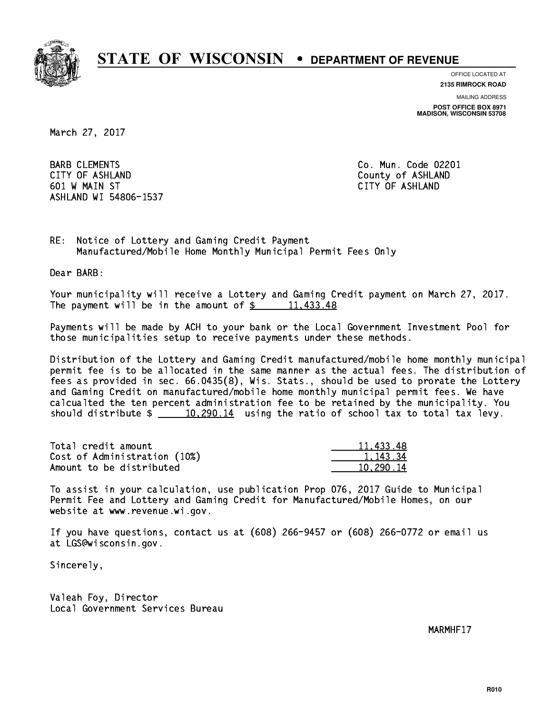

**OFFICE LOCATED AT**

**2135 RIMROCK ROAD**

**MAILING ADDRESS POST OFFICE BOX 8971 MADISON, WISCONSIN 53708**

March 27, 2017

 BARB CLEMENTS Co. Mun. Code 02201 CITY OF ASHLAND County of ASHLAND 601 W MAIN ST CITY OF ASHLAND ASHLAND WI 54806-1537

RE: Notice of Lottery and Gaming Credit Payment Manufactured/Mobile Home Monthly Municipal Permit Fees Only

Dear BARB:

 Your municipality will receive a Lottery and Gaming Credit payment on March 27, 2017. The payment will be in the amount of  $\frac{2}{3}$  11,433.48

 Payments will be made by ACH to your bank or the Local Government Investment Pool for those municipalities setup to receive payments under these methods.

 Distribution of the Lottery and Gaming Credit manufactured/mobile home monthly municipal permit fee is to be allocated in the same manner as the actual fees. The distribution of fees as provided in sec. 66.0435(8), Wis. Stats., should be used to prorate the Lottery and Gaming Credit on manufactured/mobile home monthly municipal permit fees. We have calcualted the ten percent administration fee to be retained by the municipality. You should distribute  $\frac{10,290.14}{2}$  using the ratio of school tax to total tax levy.

| Total credit amount          | 11,433,48 |
|------------------------------|-----------|
| Cost of Administration (10%) | 1.143.34  |
| Amount to be distributed     | 10.290.14 |

 To assist in your calculation, use publication Prop 076, 2017 Guide to Municipal Permit Fee and Lottery and Gaming Credit for Manufactured/Mobile Homes, on our website at www.revenue.wi.gov.

 If you have questions, contact us at (608) 266-9457 or (608) 266-0772 or email us at LGS@wisconsin.gov.

Sincerely,

 Valeah Foy, Director Local Government Services Bureau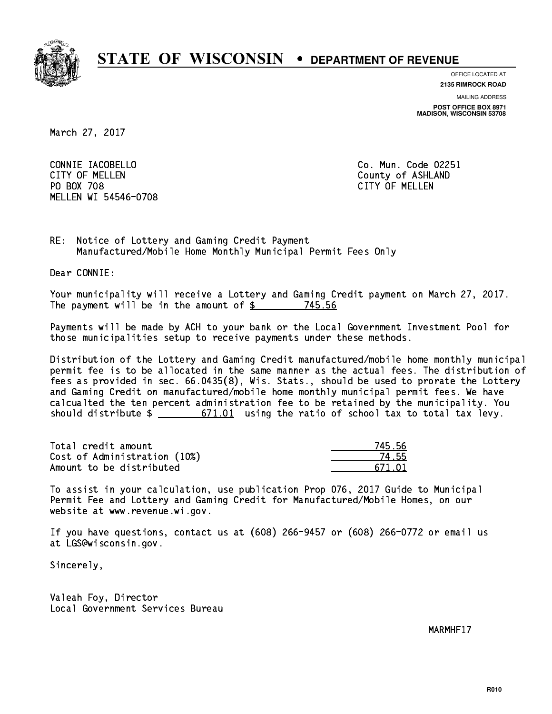

**OFFICE LOCATED AT**

**2135 RIMROCK ROAD**

**MAILING ADDRESS**

**POST OFFICE BOX 8971 MADISON, WISCONSIN 53708**

March 27, 2017

 CONNIE IACOBELLO Co. Mun. Code 02251 CITY OF MELLEN COUNTY OF ASHLAND PO BOX 708 CITY OF MELLEN MELLEN WI 54546-0708

RE: Notice of Lottery and Gaming Credit Payment Manufactured/Mobile Home Monthly Municipal Permit Fees Only

Dear CONNIE:

 Your municipality will receive a Lottery and Gaming Credit payment on March 27, 2017. The payment will be in the amount of \$ 745.56 \_\_\_\_\_\_\_\_\_\_\_\_\_\_\_\_

 Payments will be made by ACH to your bank or the Local Government Investment Pool for those municipalities setup to receive payments under these methods.

 Distribution of the Lottery and Gaming Credit manufactured/mobile home monthly municipal permit fee is to be allocated in the same manner as the actual fees. The distribution of fees as provided in sec. 66.0435(8), Wis. Stats., should be used to prorate the Lottery and Gaming Credit on manufactured/mobile home monthly municipal permit fees. We have calcualted the ten percent administration fee to be retained by the municipality. You should distribute  $\frac{2}{1}$   $\frac{671.01}{101}$  using the ratio of school tax to total tax levy.

Total credit amount Cost of Administration (10%) Amount to be distributed

| 5.56   |
|--------|
| 4.55   |
| 571 OI |

 To assist in your calculation, use publication Prop 076, 2017 Guide to Municipal Permit Fee and Lottery and Gaming Credit for Manufactured/Mobile Homes, on our website at www.revenue.wi.gov.

 If you have questions, contact us at (608) 266-9457 or (608) 266-0772 or email us at LGS@wisconsin.gov.

Sincerely,

 Valeah Foy, Director Local Government Services Bureau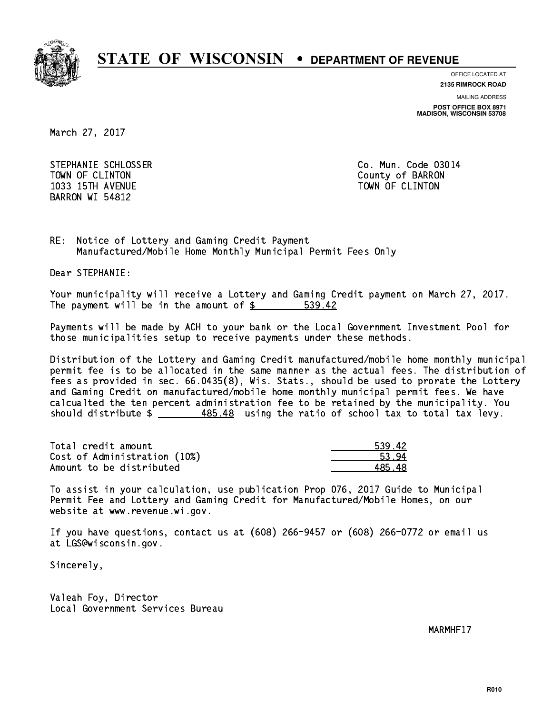

**OFFICE LOCATED AT**

**MAILING ADDRESS 2135 RIMROCK ROAD**

**POST OFFICE BOX 8971 MADISON, WISCONSIN 53708**

March 27, 2017

STEPHANIE SCHLOSSER CO. Mun. Code 03014 TOWN OF CLINTON County of BARRON 1033 15TH AVENUE TOWN OF CLINTON BARRON WI 54812

RE: Notice of Lottery and Gaming Credit Payment Manufactured/Mobile Home Monthly Municipal Permit Fees Only

Dear STEPHANIE:

 Your municipality will receive a Lottery and Gaming Credit payment on March 27, 2017. The payment will be in the amount of \$ 539.42 \_\_\_\_\_\_\_\_\_\_\_\_\_\_\_\_

 Payments will be made by ACH to your bank or the Local Government Investment Pool for those municipalities setup to receive payments under these methods.

 Distribution of the Lottery and Gaming Credit manufactured/mobile home monthly municipal permit fee is to be allocated in the same manner as the actual fees. The distribution of fees as provided in sec. 66.0435(8), Wis. Stats., should be used to prorate the Lottery and Gaming Credit on manufactured/mobile home monthly municipal permit fees. We have calcualted the ten percent administration fee to be retained by the municipality. You should distribute  $\frac{485.48}{2}$  using the ratio of school tax to total tax levy.

| Total credit amount          | 539.42 |
|------------------------------|--------|
| Cost of Administration (10%) | 53.94  |
| Amount to be distributed     | 485.48 |

 To assist in your calculation, use publication Prop 076, 2017 Guide to Municipal Permit Fee and Lottery and Gaming Credit for Manufactured/Mobile Homes, on our website at www.revenue.wi.gov.

 If you have questions, contact us at (608) 266-9457 or (608) 266-0772 or email us at LGS@wisconsin.gov.

Sincerely,

 Valeah Foy, Director Local Government Services Bureau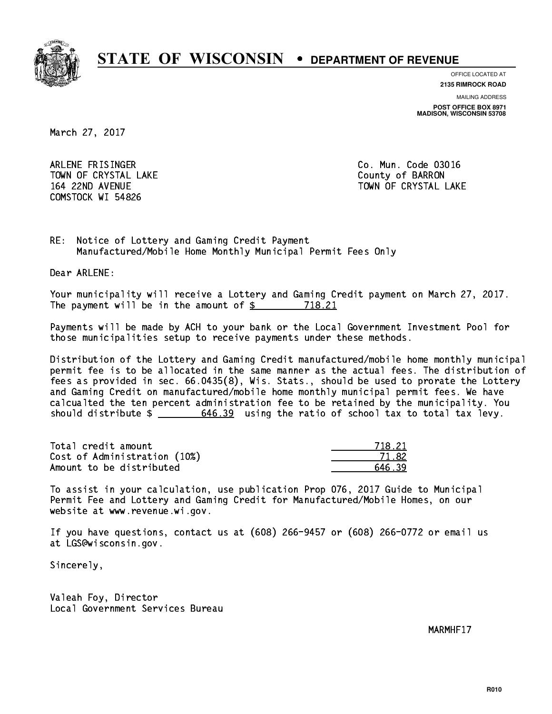

**OFFICE LOCATED AT**

**2135 RIMROCK ROAD**

**MAILING ADDRESS POST OFFICE BOX 8971 MADISON, WISCONSIN 53708**

March 27, 2017

 ARLENE FRISINGER Co. Mun. Code 03016 TOWN OF CRYSTAL LAKE THE COUNTY OF BARRON COMSTOCK WI 54826

164 22ND AVENUE TOWN OF CRYSTAL LAKE

RE: Notice of Lottery and Gaming Credit Payment Manufactured/Mobile Home Monthly Municipal Permit Fees Only

Dear ARLENE:

 Your municipality will receive a Lottery and Gaming Credit payment on March 27, 2017. The payment will be in the amount of \$ 718.21 \_\_\_\_\_\_\_\_\_\_\_\_\_\_\_\_

 Payments will be made by ACH to your bank or the Local Government Investment Pool for those municipalities setup to receive payments under these methods.

 Distribution of the Lottery and Gaming Credit manufactured/mobile home monthly municipal permit fee is to be allocated in the same manner as the actual fees. The distribution of fees as provided in sec. 66.0435(8), Wis. Stats., should be used to prorate the Lottery and Gaming Credit on manufactured/mobile home monthly municipal permit fees. We have calcualted the ten percent administration fee to be retained by the municipality. You should distribute  $\frac{2}{1}$   $\frac{646.39}{2}$  using the ratio of school tax to total tax levy.

Total credit amount Cost of Administration (10%) Amount to be distributed

| 718.21 |
|--------|
| 71.82  |
| 5.39   |

 To assist in your calculation, use publication Prop 076, 2017 Guide to Municipal Permit Fee and Lottery and Gaming Credit for Manufactured/Mobile Homes, on our website at www.revenue.wi.gov.

 If you have questions, contact us at (608) 266-9457 or (608) 266-0772 or email us at LGS@wisconsin.gov.

Sincerely,

 Valeah Foy, Director Local Government Services Bureau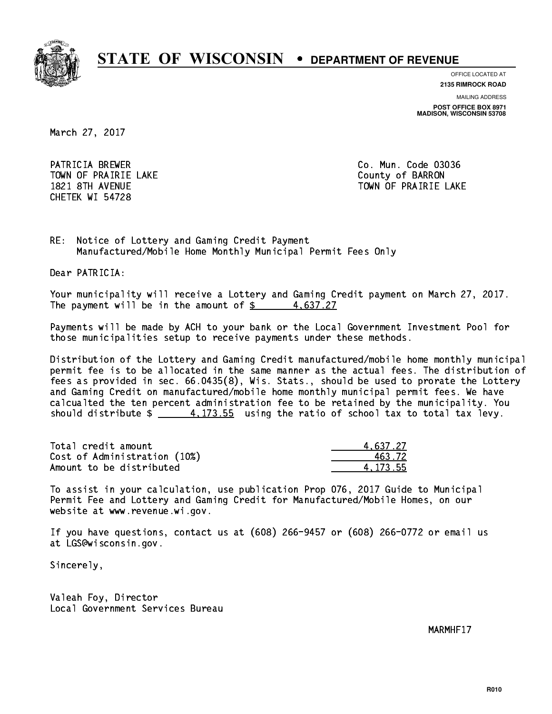

**OFFICE LOCATED AT**

**2135 RIMROCK ROAD**

**MAILING ADDRESS**

**POST OFFICE BOX 8971 MADISON, WISCONSIN 53708**

March 27, 2017

PATRICIA BREWER **Co. Mun. Code 03036** TOWN OF PRAIRIE LAKE **COUNTY OF SALES IN TOWAL COUNTY OF BARRON** CHETEK WI 54728

1821 8TH AVENUE TOWN OF PRAIRIE LAKE

RE: Notice of Lottery and Gaming Credit Payment Manufactured/Mobile Home Monthly Municipal Permit Fees Only

Dear PATRICIA:

 Your municipality will receive a Lottery and Gaming Credit payment on March 27, 2017. The payment will be in the amount of  $\frac{2}{3}$  4,637.27

 Payments will be made by ACH to your bank or the Local Government Investment Pool for those municipalities setup to receive payments under these methods.

 Distribution of the Lottery and Gaming Credit manufactured/mobile home monthly municipal permit fee is to be allocated in the same manner as the actual fees. The distribution of fees as provided in sec. 66.0435(8), Wis. Stats., should be used to prorate the Lottery and Gaming Credit on manufactured/mobile home monthly municipal permit fees. We have calcualted the ten percent administration fee to be retained by the municipality. You should distribute  $\frac{4.173.55}{2}$  using the ratio of school tax to total tax levy.

| Total credit amount          | 4.637.27 |
|------------------------------|----------|
| Cost of Administration (10%) | 463.72   |
| Amount to be distributed     | 4.173.55 |

 To assist in your calculation, use publication Prop 076, 2017 Guide to Municipal Permit Fee and Lottery and Gaming Credit for Manufactured/Mobile Homes, on our website at www.revenue.wi.gov.

 If you have questions, contact us at (608) 266-9457 or (608) 266-0772 or email us at LGS@wisconsin.gov.

Sincerely,

 Valeah Foy, Director Local Government Services Bureau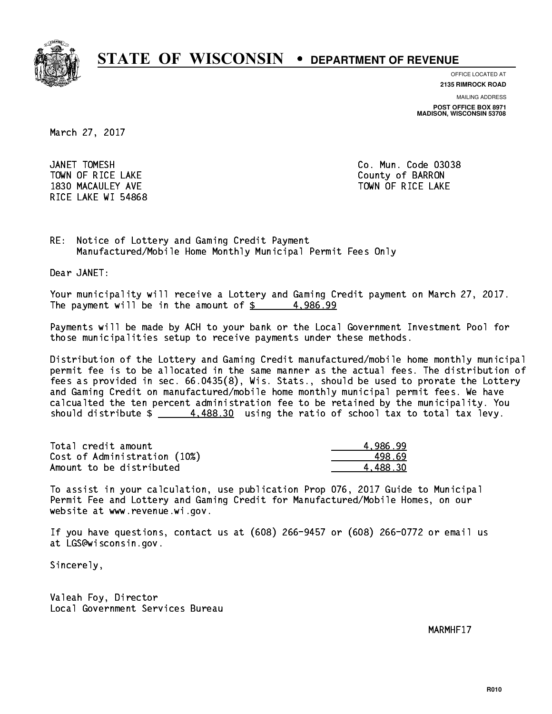

**OFFICE LOCATED AT**

**2135 RIMROCK ROAD**

**MAILING ADDRESS POST OFFICE BOX 8971 MADISON, WISCONSIN 53708**

March 27, 2017

JANET TOMESH TOWN OF RICE LAKE **THE COUNTY OF BARRON** 1830 MACAULEY AVE **TOWN OF RICE LAKE** RICE LAKE WI 54868

Co. Mun. Code 03038

RE: Notice of Lottery and Gaming Credit Payment Manufactured/Mobile Home Monthly Municipal Permit Fees Only

Dear JANET:

 Your municipality will receive a Lottery and Gaming Credit payment on March 27, 2017. The payment will be in the amount of  $\frac{2}{3}$  4,986.99

 Payments will be made by ACH to your bank or the Local Government Investment Pool for those municipalities setup to receive payments under these methods.

 Distribution of the Lottery and Gaming Credit manufactured/mobile home monthly municipal permit fee is to be allocated in the same manner as the actual fees. The distribution of fees as provided in sec. 66.0435(8), Wis. Stats., should be used to prorate the Lottery and Gaming Credit on manufactured/mobile home monthly municipal permit fees. We have calcualted the ten percent administration fee to be retained by the municipality. You should distribute  $\frac{2}{1}$   $\frac{4,488.30}{2}$  using the ratio of school tax to total tax levy.

| Total credit amount          | 4.986.99 |
|------------------------------|----------|
| Cost of Administration (10%) | 498.69   |
| Amount to be distributed     | 4.488.30 |

 To assist in your calculation, use publication Prop 076, 2017 Guide to Municipal Permit Fee and Lottery and Gaming Credit for Manufactured/Mobile Homes, on our website at www.revenue.wi.gov.

 If you have questions, contact us at (608) 266-9457 or (608) 266-0772 or email us at LGS@wisconsin.gov.

Sincerely,

 Valeah Foy, Director Local Government Services Bureau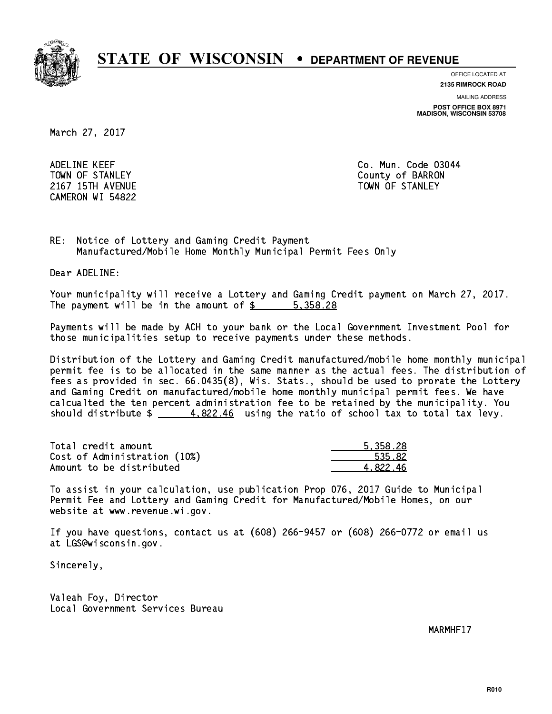

**OFFICE LOCATED AT**

**2135 RIMROCK ROAD**

**MAILING ADDRESS**

**POST OFFICE BOX 8971 MADISON, WISCONSIN 53708**

March 27, 2017

 ADELINE KEEF Co. Mun. Code 03044 CAMERON WI 54822

TOWN OF STANLEY COUNTY COUNTY OF BARRON 2167 15TH AVENUE TOWN OF STANLEY

RE: Notice of Lottery and Gaming Credit Payment Manufactured/Mobile Home Monthly Municipal Permit Fees Only

Dear ADELINE:

 Your municipality will receive a Lottery and Gaming Credit payment on March 27, 2017. The payment will be in the amount of \$ 5,358.28 \_\_\_\_\_\_\_\_\_\_\_\_\_\_\_\_

 Payments will be made by ACH to your bank or the Local Government Investment Pool for those municipalities setup to receive payments under these methods.

 Distribution of the Lottery and Gaming Credit manufactured/mobile home monthly municipal permit fee is to be allocated in the same manner as the actual fees. The distribution of fees as provided in sec. 66.0435(8), Wis. Stats., should be used to prorate the Lottery and Gaming Credit on manufactured/mobile home monthly municipal permit fees. We have calcualted the ten percent administration fee to be retained by the municipality. You should distribute  $\frac{4.822.46}{1.62}$  using the ratio of school tax to total tax levy.

| Total credit amount          | 5.358.28 |
|------------------------------|----------|
| Cost of Administration (10%) | 535.82   |
| Amount to be distributed     | 4.822.46 |

 To assist in your calculation, use publication Prop 076, 2017 Guide to Municipal Permit Fee and Lottery and Gaming Credit for Manufactured/Mobile Homes, on our website at www.revenue.wi.gov.

 If you have questions, contact us at (608) 266-9457 or (608) 266-0772 or email us at LGS@wisconsin.gov.

Sincerely,

 Valeah Foy, Director Local Government Services Bureau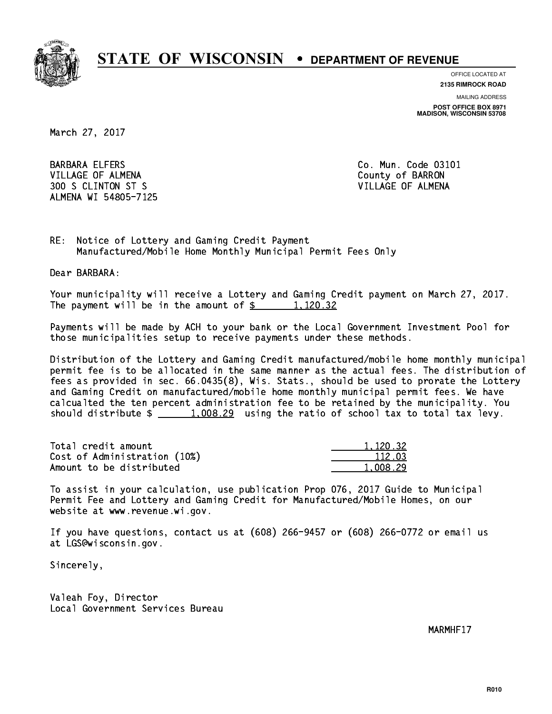

**OFFICE LOCATED AT**

**2135 RIMROCK ROAD**

**MAILING ADDRESS**

**POST OFFICE BOX 8971 MADISON, WISCONSIN 53708**

March 27, 2017

 BARBARA ELFERS Co. Mun. Code 03101 VILLAGE OF ALMENA County of BARRON 300 S CLINTON ST S VILLAGE OF ALMENA ALMENA WI 54805-7125

RE: Notice of Lottery and Gaming Credit Payment Manufactured/Mobile Home Monthly Municipal Permit Fees Only

Dear BARBARA:

 Your municipality will receive a Lottery and Gaming Credit payment on March 27, 2017. The payment will be in the amount of  $\frac{2}{3}$  1,120.32

 Payments will be made by ACH to your bank or the Local Government Investment Pool for those municipalities setup to receive payments under these methods.

 Distribution of the Lottery and Gaming Credit manufactured/mobile home monthly municipal permit fee is to be allocated in the same manner as the actual fees. The distribution of fees as provided in sec. 66.0435(8), Wis. Stats., should be used to prorate the Lottery and Gaming Credit on manufactured/mobile home monthly municipal permit fees. We have calcualted the ten percent administration fee to be retained by the municipality. You should distribute  $\frac{1,008.29}{1,008.29}$  using the ratio of school tax to total tax levy.

| Total credit amount          | 1,120.32 |
|------------------------------|----------|
| Cost of Administration (10%) | 112.03   |
| Amount to be distributed     | 1.008.29 |

| 1.120.32       |
|----------------|
| 112.03         |
| 8.29<br>יונד ב |

 To assist in your calculation, use publication Prop 076, 2017 Guide to Municipal Permit Fee and Lottery and Gaming Credit for Manufactured/Mobile Homes, on our website at www.revenue.wi.gov.

 If you have questions, contact us at (608) 266-9457 or (608) 266-0772 or email us at LGS@wisconsin.gov.

Sincerely,

 Valeah Foy, Director Local Government Services Bureau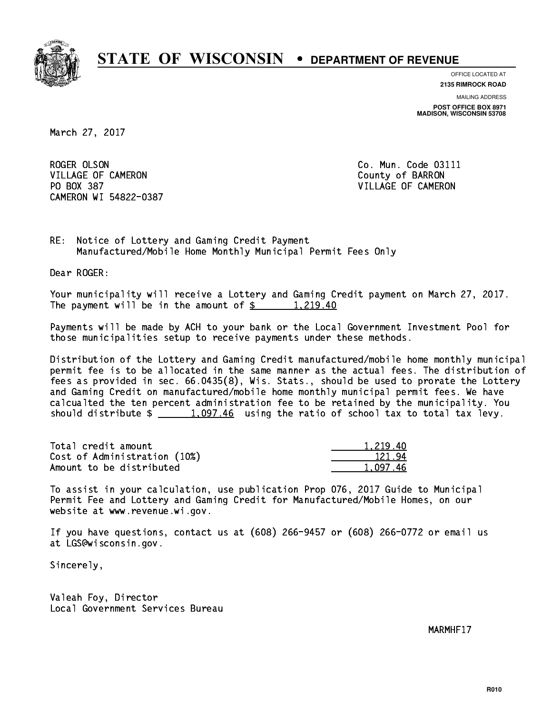

**OFFICE LOCATED AT**

**2135 RIMROCK ROAD**

**MAILING ADDRESS POST OFFICE BOX 8971 MADISON, WISCONSIN 53708**

March 27, 2017

ROGER OLSON VILLAGE OF CAMERON COUNTY OF BARRON PO BOX 387 VILLAGE OF CAMERON CAMERON WI 54822-0387

Co. Mun. Code 03111

RE: Notice of Lottery and Gaming Credit Payment Manufactured/Mobile Home Monthly Municipal Permit Fees Only

Dear ROGER:

 Your municipality will receive a Lottery and Gaming Credit payment on March 27, 2017. The payment will be in the amount of  $\frac{2}{3}$  1,219.40

 Payments will be made by ACH to your bank or the Local Government Investment Pool for those municipalities setup to receive payments under these methods.

 Distribution of the Lottery and Gaming Credit manufactured/mobile home monthly municipal permit fee is to be allocated in the same manner as the actual fees. The distribution of fees as provided in sec. 66.0435(8), Wis. Stats., should be used to prorate the Lottery and Gaming Credit on manufactured/mobile home monthly municipal permit fees. We have calcualted the ten percent administration fee to be retained by the municipality. You should distribute  $\frac{1,097.46}{1,097.46}$  using the ratio of school tax to total tax levy.

| Total credit amount          | 1.219.40 |
|------------------------------|----------|
| Cost of Administration (10%) | 121.94   |
| Amount to be distributed     | 1.097.46 |

 To assist in your calculation, use publication Prop 076, 2017 Guide to Municipal Permit Fee and Lottery and Gaming Credit for Manufactured/Mobile Homes, on our website at www.revenue.wi.gov.

 If you have questions, contact us at (608) 266-9457 or (608) 266-0772 or email us at LGS@wisconsin.gov.

Sincerely,

 Valeah Foy, Director Local Government Services Bureau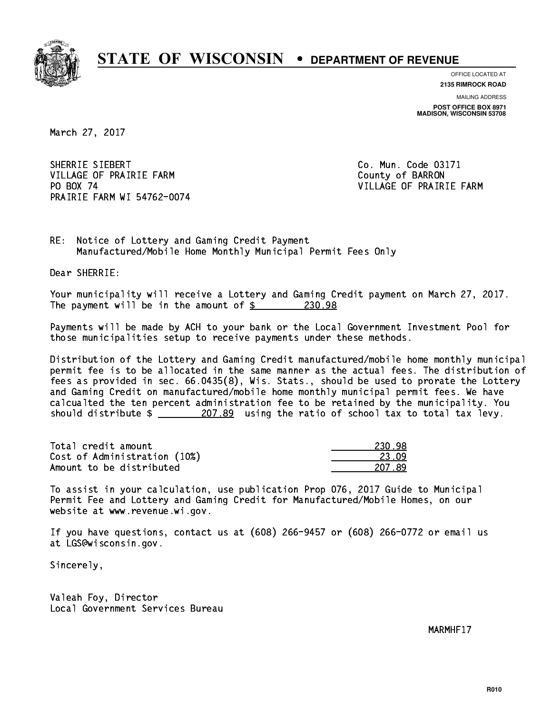

**OFFICE LOCATED AT**

**2135 RIMROCK ROAD**

**MAILING ADDRESS POST OFFICE BOX 8971 MADISON, WISCONSIN 53708**

March 27, 2017

SHERRIE SIEBERT Co. Mun. Code 03171 VILLAGE OF PRAIRIE FARM COUNTY OF BARRON PO BOX 74 PRAIRIE FARM WI 54762-0074

VILLAGE OF PRAIRIE FARM

RE: Notice of Lottery and Gaming Credit Payment Manufactured/Mobile Home Monthly Municipal Permit Fees Only

Dear SHERRIE:

 Your municipality will receive a Lottery and Gaming Credit payment on March 27, 2017. The payment will be in the amount of  $$ 230.98$ 

 Payments will be made by ACH to your bank or the Local Government Investment Pool for those municipalities setup to receive payments under these methods.

 Distribution of the Lottery and Gaming Credit manufactured/mobile home monthly municipal permit fee is to be allocated in the same manner as the actual fees. The distribution of fees as provided in sec. 66.0435(8), Wis. Stats., should be used to prorate the Lottery and Gaming Credit on manufactured/mobile home monthly municipal permit fees. We have calcualted the ten percent administration fee to be retained by the municipality. You should distribute  $\frac{207.89}{207.89}$  using the ratio of school tax to total tax levy.

Total credit amount Cost of Administration (10%) Amount to be distributed

| 21<br>л I .            |
|------------------------|
| クマー                    |
| RQ<br>$11-$<br>.,<br>٢ |

 To assist in your calculation, use publication Prop 076, 2017 Guide to Municipal Permit Fee and Lottery and Gaming Credit for Manufactured/Mobile Homes, on our website at www.revenue.wi.gov.

 If you have questions, contact us at (608) 266-9457 or (608) 266-0772 or email us at LGS@wisconsin.gov.

Sincerely,

 Valeah Foy, Director Local Government Services Bureau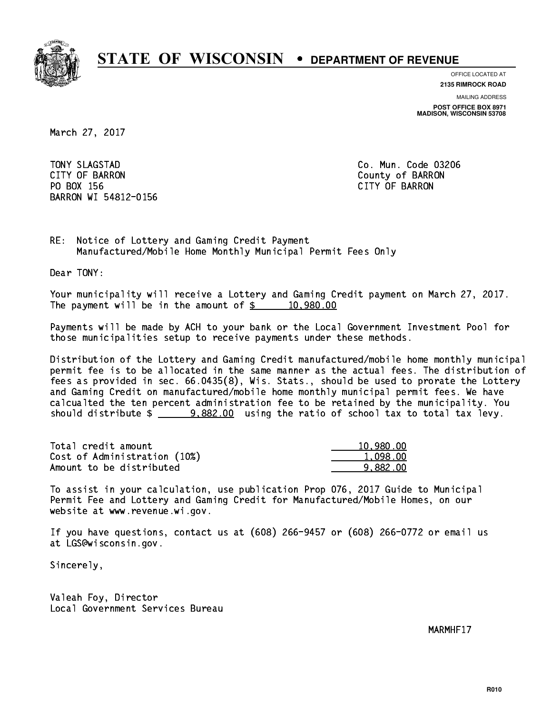

**OFFICE LOCATED AT**

**2135 RIMROCK ROAD**

**MAILING ADDRESS**

**POST OFFICE BOX 8971 MADISON, WISCONSIN 53708**

March 27, 2017

TONY SLAGSTAD CITY OF BARRON County of BARRON PO BOX 156 CITY OF BARRON BARRON WI 54812-0156

Co. Mun. Code 03206

RE: Notice of Lottery and Gaming Credit Payment Manufactured/Mobile Home Monthly Municipal Permit Fees Only

Dear TONY:

 Your municipality will receive a Lottery and Gaming Credit payment on March 27, 2017. The payment will be in the amount of  $\frac{2}{3}$  10,980.00

 Payments will be made by ACH to your bank or the Local Government Investment Pool for those municipalities setup to receive payments under these methods.

 Distribution of the Lottery and Gaming Credit manufactured/mobile home monthly municipal permit fee is to be allocated in the same manner as the actual fees. The distribution of fees as provided in sec. 66.0435(8), Wis. Stats., should be used to prorate the Lottery and Gaming Credit on manufactured/mobile home monthly municipal permit fees. We have calcualted the ten percent administration fee to be retained by the municipality. You should distribute  $\frac{2}{2}$   $\frac{9,882.00}{2}$  using the ratio of school tax to total tax levy.

| Total credit amount          | 10,980.00 |
|------------------------------|-----------|
| Cost of Administration (10%) | 1,098.00  |
| Amount to be distributed     | 9.882.00  |

 To assist in your calculation, use publication Prop 076, 2017 Guide to Municipal Permit Fee and Lottery and Gaming Credit for Manufactured/Mobile Homes, on our website at www.revenue.wi.gov.

 If you have questions, contact us at (608) 266-9457 or (608) 266-0772 or email us at LGS@wisconsin.gov.

Sincerely,

 Valeah Foy, Director Local Government Services Bureau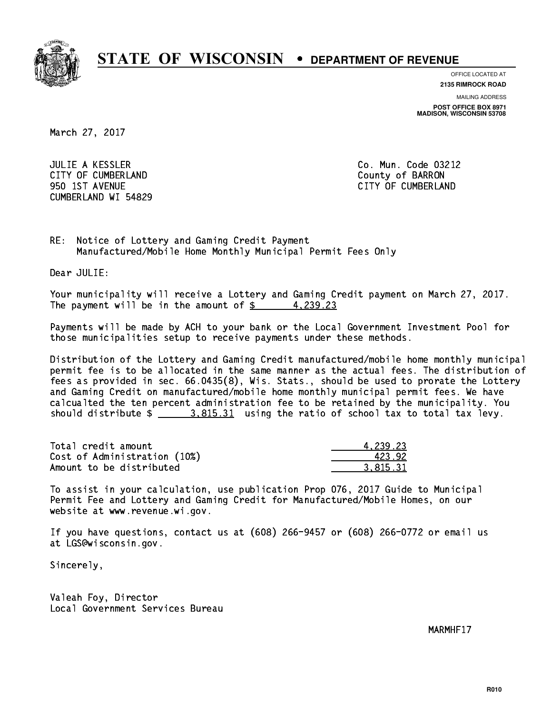

**OFFICE LOCATED AT**

**2135 RIMROCK ROAD**

**MAILING ADDRESS**

**POST OFFICE BOX 8971 MADISON, WISCONSIN 53708**

March 27, 2017

 JULIE A KESSLER Co. Mun. Code 03212 CITY OF CUMBERLAND COUNTY COUNTY OF BARRON 950 1ST AVENUE CITY OF CUMBERLAND CUMBERLAND WI 54829

RE: Notice of Lottery and Gaming Credit Payment Manufactured/Mobile Home Monthly Municipal Permit Fees Only

Dear JULIE:

 Your municipality will receive a Lottery and Gaming Credit payment on March 27, 2017. The payment will be in the amount of  $\frac{2}{3}$   $\frac{4,239.23}{2}$ 

 Payments will be made by ACH to your bank or the Local Government Investment Pool for those municipalities setup to receive payments under these methods.

 Distribution of the Lottery and Gaming Credit manufactured/mobile home monthly municipal permit fee is to be allocated in the same manner as the actual fees. The distribution of fees as provided in sec. 66.0435(8), Wis. Stats., should be used to prorate the Lottery and Gaming Credit on manufactured/mobile home monthly municipal permit fees. We have calcualted the ten percent administration fee to be retained by the municipality. You should distribute  $\frac{2.815.31}{2}$  using the ratio of school tax to total tax levy.

| Total credit amount          | 4.239.23 |
|------------------------------|----------|
| Cost of Administration (10%) | 423.92   |
| Amount to be distributed     | 3.815.31 |

 To assist in your calculation, use publication Prop 076, 2017 Guide to Municipal Permit Fee and Lottery and Gaming Credit for Manufactured/Mobile Homes, on our website at www.revenue.wi.gov.

 If you have questions, contact us at (608) 266-9457 or (608) 266-0772 or email us at LGS@wisconsin.gov.

Sincerely,

 Valeah Foy, Director Local Government Services Bureau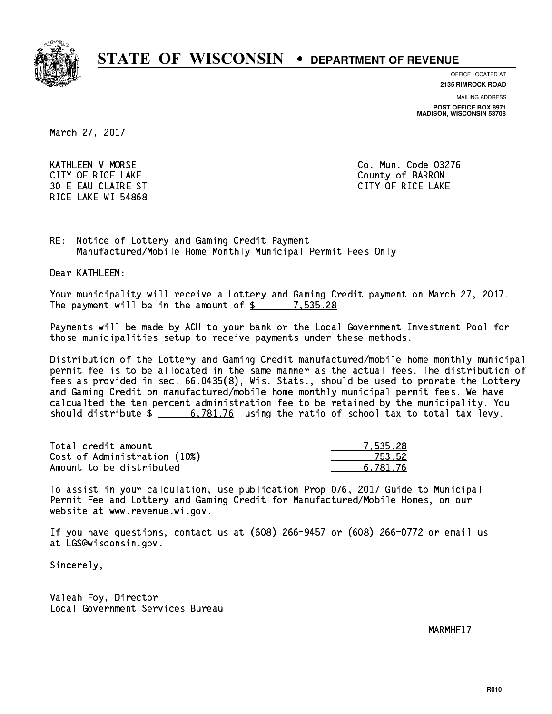

**OFFICE LOCATED AT**

**2135 RIMROCK ROAD**

**MAILING ADDRESS**

**POST OFFICE BOX 8971 MADISON, WISCONSIN 53708**

March 27, 2017

 KATHLEEN V MORSE Co. Mun. Code 03276 CITY OF RICE LAKE COUNTY OF RICE LAKE 30 E EAU CLAIRE ST CITY OF RICE LAKE RICE LAKE WI 54868

RE: Notice of Lottery and Gaming Credit Payment Manufactured/Mobile Home Monthly Municipal Permit Fees Only

Dear KATHLEEN:

 Your municipality will receive a Lottery and Gaming Credit payment on March 27, 2017. The payment will be in the amount of  $\frac{2}{3}$  7,535.28

 Payments will be made by ACH to your bank or the Local Government Investment Pool for those municipalities setup to receive payments under these methods.

 Distribution of the Lottery and Gaming Credit manufactured/mobile home monthly municipal permit fee is to be allocated in the same manner as the actual fees. The distribution of fees as provided in sec. 66.0435(8), Wis. Stats., should be used to prorate the Lottery and Gaming Credit on manufactured/mobile home monthly municipal permit fees. We have calcualted the ten percent administration fee to be retained by the municipality. You should distribute  $\frac{2}{1}$   $\frac{6,781.76}{2}$  using the ratio of school tax to total tax levy.

| Total credit amount          | 7.535.28 |
|------------------------------|----------|
| Cost of Administration (10%) | 753.52   |
| Amount to be distributed     | 6.781.76 |

 To assist in your calculation, use publication Prop 076, 2017 Guide to Municipal Permit Fee and Lottery and Gaming Credit for Manufactured/Mobile Homes, on our website at www.revenue.wi.gov.

 If you have questions, contact us at (608) 266-9457 or (608) 266-0772 or email us at LGS@wisconsin.gov.

Sincerely,

 Valeah Foy, Director Local Government Services Bureau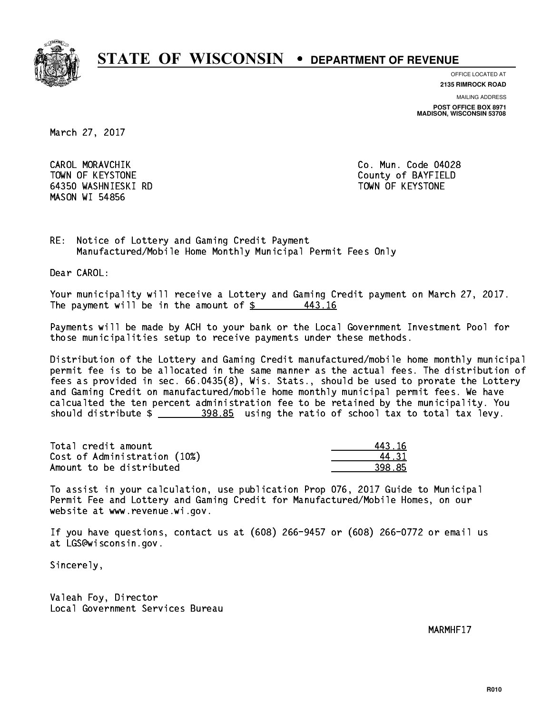

**OFFICE LOCATED AT**

**2135 RIMROCK ROAD**

**MAILING ADDRESS**

**POST OFFICE BOX 8971 MADISON, WISCONSIN 53708**

March 27, 2017

CAROL MORAVCHIK TOWN OF KEYSTONE COUNTY OF BAYFIELD 64350 WASHNIESKI RD TOWN OF KEYSTONE MASON WI 54856

Co. Mun. Code 04028

RE: Notice of Lottery and Gaming Credit Payment Manufactured/Mobile Home Monthly Municipal Permit Fees Only

Dear CAROL:

 Your municipality will receive a Lottery and Gaming Credit payment on March 27, 2017. The payment will be in the amount of  $\frac{2}{3}$ 443.16

 Payments will be made by ACH to your bank or the Local Government Investment Pool for those municipalities setup to receive payments under these methods.

 Distribution of the Lottery and Gaming Credit manufactured/mobile home monthly municipal permit fee is to be allocated in the same manner as the actual fees. The distribution of fees as provided in sec. 66.0435(8), Wis. Stats., should be used to prorate the Lottery and Gaming Credit on manufactured/mobile home monthly municipal permit fees. We have calcualted the ten percent administration fee to be retained by the municipality. You should distribute \$ 398.85 using the ratio of school tax to total tax levy. \_\_\_\_\_\_\_\_\_\_\_\_\_\_

| Total credit amount          | 443 16 |
|------------------------------|--------|
| Cost of Administration (10%) | 44.31  |
| Amount to be distributed     | 398.85 |

| 3.16  |
|-------|
| $-31$ |
| 85    |

 To assist in your calculation, use publication Prop 076, 2017 Guide to Municipal Permit Fee and Lottery and Gaming Credit for Manufactured/Mobile Homes, on our website at www.revenue.wi.gov.

 If you have questions, contact us at (608) 266-9457 or (608) 266-0772 or email us at LGS@wisconsin.gov.

Sincerely,

 Valeah Foy, Director Local Government Services Bureau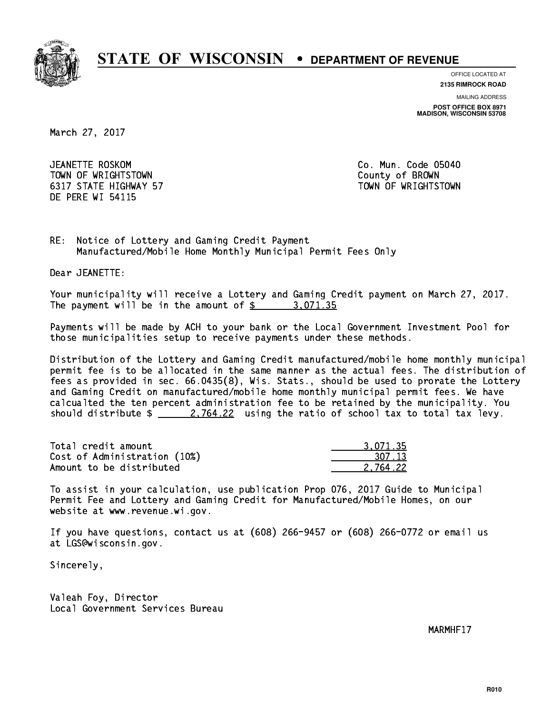

**OFFICE LOCATED AT**

**2135 RIMROCK ROAD**

**MAILING ADDRESS POST OFFICE BOX 8971 MADISON, WISCONSIN 53708**

March 27, 2017

JEANETTE ROSKOM TOWN OF WRIGHTSTOWN County of BROWN 6317 STATE HIGHWAY 57 TOWN OF WRIGHTSTOWN DE PERE WI 54115

Co. Mun. Code 05040

RE: Notice of Lottery and Gaming Credit Payment Manufactured/Mobile Home Monthly Municipal Permit Fees Only

Dear JEANETTE:

 Your municipality will receive a Lottery and Gaming Credit payment on March 27, 2017. The payment will be in the amount of  $\frac{2}{3}$  3,071.35

 Payments will be made by ACH to your bank or the Local Government Investment Pool for those municipalities setup to receive payments under these methods.

 Distribution of the Lottery and Gaming Credit manufactured/mobile home monthly municipal permit fee is to be allocated in the same manner as the actual fees. The distribution of fees as provided in sec. 66.0435(8), Wis. Stats., should be used to prorate the Lottery and Gaming Credit on manufactured/mobile home monthly municipal permit fees. We have calcualted the ten percent administration fee to be retained by the municipality. You should distribute  $\frac{2}{2}$   $\frac{2}{164.22}$  using the ratio of school tax to total tax levy.

| Total credit amount          | 3.071.35 |
|------------------------------|----------|
| Cost of Administration (10%) | 307.13   |
| Amount to be distributed     | 2.764.22 |

 To assist in your calculation, use publication Prop 076, 2017 Guide to Municipal Permit Fee and Lottery and Gaming Credit for Manufactured/Mobile Homes, on our website at www.revenue.wi.gov.

 If you have questions, contact us at (608) 266-9457 or (608) 266-0772 or email us at LGS@wisconsin.gov.

Sincerely,

 Valeah Foy, Director Local Government Services Bureau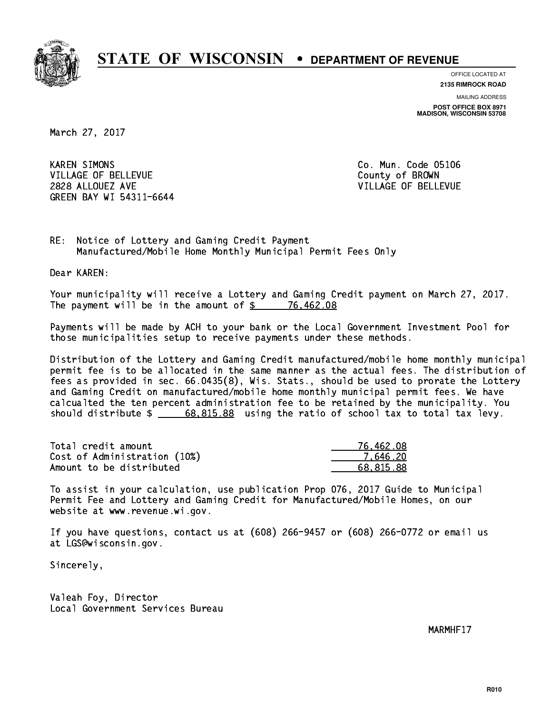

**OFFICE LOCATED AT**

**2135 RIMROCK ROAD**

**MAILING ADDRESS POST OFFICE BOX 8971 MADISON, WISCONSIN 53708**

March 27, 2017

**KAREN SIMONS** VILLAGE OF BELLEVUE COUNTY OF BROWN 2828 ALLOUEZ AVE VILLAGE OF BELLEVUE GREEN BAY WI 54311-6644

Co. Mun. Code 05106

RE: Notice of Lottery and Gaming Credit Payment Manufactured/Mobile Home Monthly Municipal Permit Fees Only

Dear KAREN:

 Your municipality will receive a Lottery and Gaming Credit payment on March 27, 2017. The payment will be in the amount of  $\frac{2}{3}$  76,462.08

 Payments will be made by ACH to your bank or the Local Government Investment Pool for those municipalities setup to receive payments under these methods.

 Distribution of the Lottery and Gaming Credit manufactured/mobile home monthly municipal permit fee is to be allocated in the same manner as the actual fees. The distribution of fees as provided in sec. 66.0435(8), Wis. Stats., should be used to prorate the Lottery and Gaming Credit on manufactured/mobile home monthly municipal permit fees. We have calcualted the ten percent administration fee to be retained by the municipality. You should distribute  $\frac{2}{10}$   $\frac{68,815.88}{20}$  using the ratio of school tax to total tax levy.

| Total credit amount          | 76,462.08 |
|------------------------------|-----------|
| Cost of Administration (10%) | 7.646.20  |
| Amount to be distributed     | 68.815.88 |

 To assist in your calculation, use publication Prop 076, 2017 Guide to Municipal Permit Fee and Lottery and Gaming Credit for Manufactured/Mobile Homes, on our website at www.revenue.wi.gov.

 If you have questions, contact us at (608) 266-9457 or (608) 266-0772 or email us at LGS@wisconsin.gov.

Sincerely,

 Valeah Foy, Director Local Government Services Bureau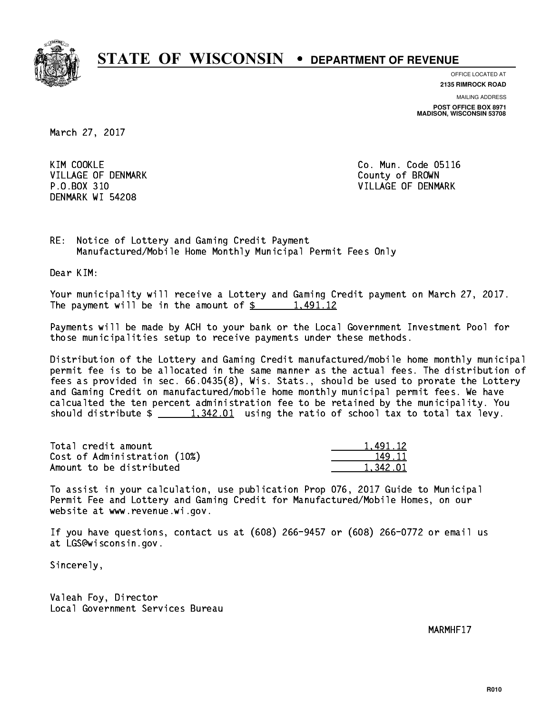

**OFFICE LOCATED AT**

**2135 RIMROCK ROAD**

**MAILING ADDRESS POST OFFICE BOX 8971 MADISON, WISCONSIN 53708**

March 27, 2017

KIM COOKLE VILLAGE OF DENMARK COUNTY OF BROWN DENMARK WI 54208

Co. Mun. Code 05116 P.O.BOX 310 VILLAGE OF DENMARK

RE: Notice of Lottery and Gaming Credit Payment Manufactured/Mobile Home Monthly Municipal Permit Fees Only

Dear KIM:

 Your municipality will receive a Lottery and Gaming Credit payment on March 27, 2017. The payment will be in the amount of  $\frac{2}{3}$  1,491.12

 Payments will be made by ACH to your bank or the Local Government Investment Pool for those municipalities setup to receive payments under these methods.

 Distribution of the Lottery and Gaming Credit manufactured/mobile home monthly municipal permit fee is to be allocated in the same manner as the actual fees. The distribution of fees as provided in sec. 66.0435(8), Wis. Stats., should be used to prorate the Lottery and Gaming Credit on manufactured/mobile home monthly municipal permit fees. We have calcualted the ten percent administration fee to be retained by the municipality. You should distribute  $\frac{1,342.01}{1,342.01}$  using the ratio of school tax to total tax levy.

| Total credit amount          | 1,491.12 |
|------------------------------|----------|
| Cost of Administration (10%) | 149.11   |
| Amount to be distributed     | 1.342.01 |

 To assist in your calculation, use publication Prop 076, 2017 Guide to Municipal Permit Fee and Lottery and Gaming Credit for Manufactured/Mobile Homes, on our website at www.revenue.wi.gov.

 If you have questions, contact us at (608) 266-9457 or (608) 266-0772 or email us at LGS@wisconsin.gov.

Sincerely,

 Valeah Foy, Director Local Government Services Bureau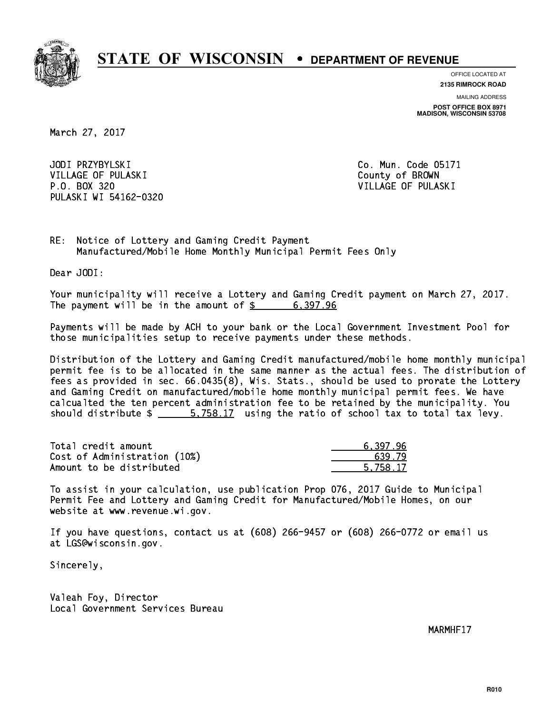

**OFFICE LOCATED AT**

**2135 RIMROCK ROAD**

**MAILING ADDRESS POST OFFICE BOX 8971 MADISON, WISCONSIN 53708**

March 27, 2017

JODI PRZYBYLSKI VILLAGE OF PULASKI COUNTY OF BROWN P.O. BOX 320 VILLAGE OF PULASKI PULASKI WI 54162-0320

Co. Mun. Code 05171

RE: Notice of Lottery and Gaming Credit Payment Manufactured/Mobile Home Monthly Municipal Permit Fees Only

Dear JODI:

 Your municipality will receive a Lottery and Gaming Credit payment on March 27, 2017. The payment will be in the amount of  $\frac{2}{3}$  6,397.96

 Payments will be made by ACH to your bank or the Local Government Investment Pool for those municipalities setup to receive payments under these methods.

 Distribution of the Lottery and Gaming Credit manufactured/mobile home monthly municipal permit fee is to be allocated in the same manner as the actual fees. The distribution of fees as provided in sec. 66.0435(8), Wis. Stats., should be used to prorate the Lottery and Gaming Credit on manufactured/mobile home monthly municipal permit fees. We have calcualted the ten percent administration fee to be retained by the municipality. You should distribute  $\frac{2}{1}$   $\frac{5,758.17}{2}$  using the ratio of school tax to total tax levy.

| Total credit amount          | 6.397.96 |
|------------------------------|----------|
| Cost of Administration (10%) | 639.79   |
| Amount to be distributed     | 5.758.17 |

 To assist in your calculation, use publication Prop 076, 2017 Guide to Municipal Permit Fee and Lottery and Gaming Credit for Manufactured/Mobile Homes, on our website at www.revenue.wi.gov.

 If you have questions, contact us at (608) 266-9457 or (608) 266-0772 or email us at LGS@wisconsin.gov.

Sincerely,

 Valeah Foy, Director Local Government Services Bureau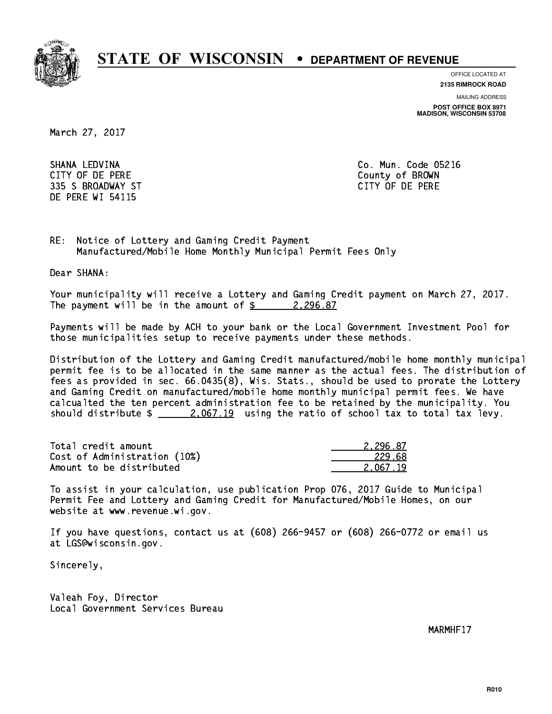

**OFFICE LOCATED AT**

**MAILING ADDRESS 2135 RIMROCK ROAD**

**POST OFFICE BOX 8971 MADISON, WISCONSIN 53708**

March 27, 2017

 SHANA LEDVINA Co. Mun. Code 05216 CITY OF DE PERE County of BROWN 335 S BROADWAY ST CITY OF DE PERE DE PERE WI 54115

RE: Notice of Lottery and Gaming Credit Payment Manufactured/Mobile Home Monthly Municipal Permit Fees Only

Dear SHANA:

 Your municipality will receive a Lottery and Gaming Credit payment on March 27, 2017. The payment will be in the amount of  $\frac{2}{3}$  2,296.87

 Payments will be made by ACH to your bank or the Local Government Investment Pool for those municipalities setup to receive payments under these methods.

 Distribution of the Lottery and Gaming Credit manufactured/mobile home monthly municipal permit fee is to be allocated in the same manner as the actual fees. The distribution of fees as provided in sec. 66.0435(8), Wis. Stats., should be used to prorate the Lottery and Gaming Credit on manufactured/mobile home monthly municipal permit fees. We have calcualted the ten percent administration fee to be retained by the municipality. You should distribute  $\frac{2.067.19}{2.067.19}$  using the ratio of school tax to total tax levy.

| Total credit amount          | 2.296.87 |
|------------------------------|----------|
| Cost of Administration (10%) | 229.68   |
| Amount to be distributed     | 2.067.19 |

 To assist in your calculation, use publication Prop 076, 2017 Guide to Municipal Permit Fee and Lottery and Gaming Credit for Manufactured/Mobile Homes, on our website at www.revenue.wi.gov.

 If you have questions, contact us at (608) 266-9457 or (608) 266-0772 or email us at LGS@wisconsin.gov.

Sincerely,

 Valeah Foy, Director Local Government Services Bureau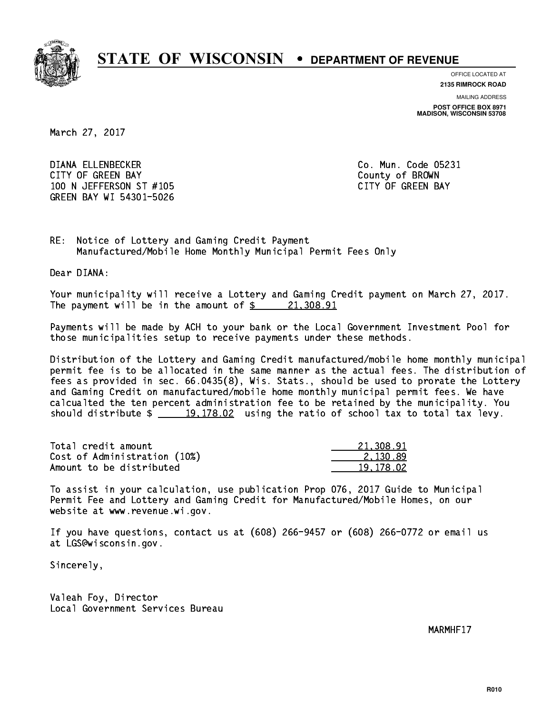

**OFFICE LOCATED AT**

**2135 RIMROCK ROAD**

**MAILING ADDRESS**

**POST OFFICE BOX 8971 MADISON, WISCONSIN 53708**

March 27, 2017

 DIANA ELLENBECKER Co. Mun. Code 05231 CITY OF GREEN BAY County of BROWN 100 N JEFFERSON ST #105 CONTROL CONTROLLER TO A CITY OF GREEN BAY GREEN BAY WI 54301-5026

RE: Notice of Lottery and Gaming Credit Payment Manufactured/Mobile Home Monthly Municipal Permit Fees Only

Dear DIANA:

 Your municipality will receive a Lottery and Gaming Credit payment on March 27, 2017. The payment will be in the amount of  $\frac{21,308.91}{2}$ 

 Payments will be made by ACH to your bank or the Local Government Investment Pool for those municipalities setup to receive payments under these methods.

 Distribution of the Lottery and Gaming Credit manufactured/mobile home monthly municipal permit fee is to be allocated in the same manner as the actual fees. The distribution of fees as provided in sec. 66.0435(8), Wis. Stats., should be used to prorate the Lottery and Gaming Credit on manufactured/mobile home monthly municipal permit fees. We have calcualted the ten percent administration fee to be retained by the municipality. You should distribute  $\frac{19,178.02}{2}$  using the ratio of school tax to total tax levy.

| Total credit amount          | 21,308.91 |
|------------------------------|-----------|
| Cost of Administration (10%) | 2.130.89  |
| Amount to be distributed     | 19.178.02 |

 To assist in your calculation, use publication Prop 076, 2017 Guide to Municipal Permit Fee and Lottery and Gaming Credit for Manufactured/Mobile Homes, on our website at www.revenue.wi.gov.

 If you have questions, contact us at (608) 266-9457 or (608) 266-0772 or email us at LGS@wisconsin.gov.

Sincerely,

 Valeah Foy, Director Local Government Services Bureau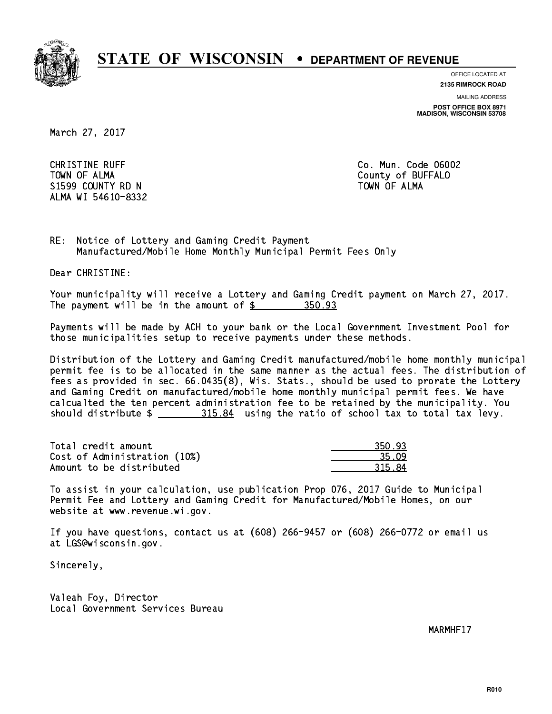

**OFFICE LOCATED AT**

**2135 RIMROCK ROAD**

**MAILING ADDRESS**

**POST OFFICE BOX 8971 MADISON, WISCONSIN 53708**

March 27, 2017

**CHRISTINE RUFF**  TOWN OF ALMA County of BUFFALO S1599 COUNTY RD N ALMA WI 54610-8332

Co. Mun. Code 06002 TOWN OF ALMA

RE: Notice of Lottery and Gaming Credit Payment Manufactured/Mobile Home Monthly Municipal Permit Fees Only

Dear CHRISTINE:

 Your municipality will receive a Lottery and Gaming Credit payment on March 27, 2017. The payment will be in the amount of \$ 350.93 \_\_\_\_\_\_\_\_\_\_\_\_\_\_\_\_

 Payments will be made by ACH to your bank or the Local Government Investment Pool for those municipalities setup to receive payments under these methods.

 Distribution of the Lottery and Gaming Credit manufactured/mobile home monthly municipal permit fee is to be allocated in the same manner as the actual fees. The distribution of fees as provided in sec. 66.0435(8), Wis. Stats., should be used to prorate the Lottery and Gaming Credit on manufactured/mobile home monthly municipal permit fees. We have calcualted the ten percent administration fee to be retained by the municipality. You should distribute  $\frac{215.84}{215.84}$  using the ratio of school tax to total tax levy.

Total credit amount Cost of Administration (10%) Amount to be distributed

| 93                 |
|--------------------|
| F. 1               |
| <b>215</b> S<br>34 |

 To assist in your calculation, use publication Prop 076, 2017 Guide to Municipal Permit Fee and Lottery and Gaming Credit for Manufactured/Mobile Homes, on our website at www.revenue.wi.gov.

 If you have questions, contact us at (608) 266-9457 or (608) 266-0772 or email us at LGS@wisconsin.gov.

Sincerely,

 Valeah Foy, Director Local Government Services Bureau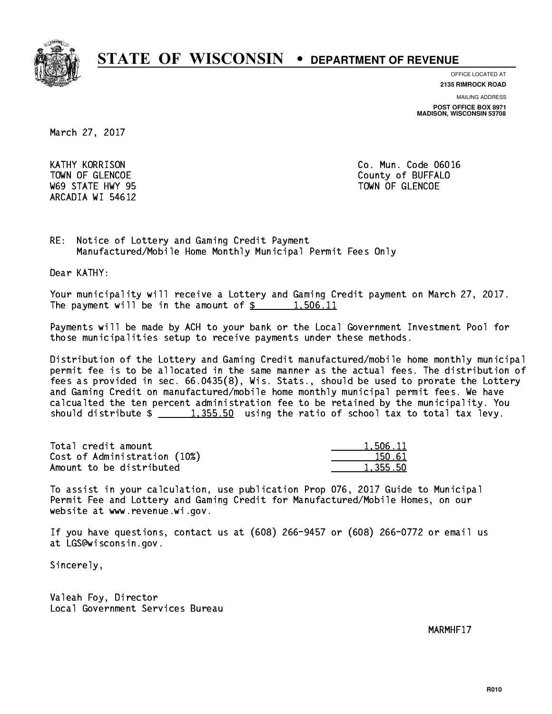

**OFFICE LOCATED AT**

**2135 RIMROCK ROAD**

**MAILING ADDRESS POST OFFICE BOX 8971 MADISON, WISCONSIN 53708**

March 27, 2017

**KATHY KORRISON** ARCADIA WI 54612

Co. Mun. Code 06016 TOWN OF GLENCOE COUNTY OF BUFFALO where the state  $\sim$  state  $\sim$  state  $\sim$  state  $\sim$  state  $\sim$  state  $\sim$ 

RE: Notice of Lottery and Gaming Credit Payment Manufactured/Mobile Home Monthly Municipal Permit Fees Only

Dear KATHY:

 Your municipality will receive a Lottery and Gaming Credit payment on March 27, 2017. The payment will be in the amount of  $\frac{2}{3}$  1,506.11

 Payments will be made by ACH to your bank or the Local Government Investment Pool for those municipalities setup to receive payments under these methods.

 Distribution of the Lottery and Gaming Credit manufactured/mobile home monthly municipal permit fee is to be allocated in the same manner as the actual fees. The distribution of fees as provided in sec. 66.0435(8), Wis. Stats., should be used to prorate the Lottery and Gaming Credit on manufactured/mobile home monthly municipal permit fees. We have calcualted the ten percent administration fee to be retained by the municipality. You should distribute  $\frac{1,355.50}{1,355.50}$  using the ratio of school tax to total tax levy.

| Total credit amount          | 1,506.11 |
|------------------------------|----------|
| Cost of Administration (10%) | 150.61   |
| Amount to be distributed     | 1.355.50 |

 To assist in your calculation, use publication Prop 076, 2017 Guide to Municipal Permit Fee and Lottery and Gaming Credit for Manufactured/Mobile Homes, on our website at www.revenue.wi.gov.

 If you have questions, contact us at (608) 266-9457 or (608) 266-0772 or email us at LGS@wisconsin.gov.

Sincerely,

 Valeah Foy, Director Local Government Services Bureau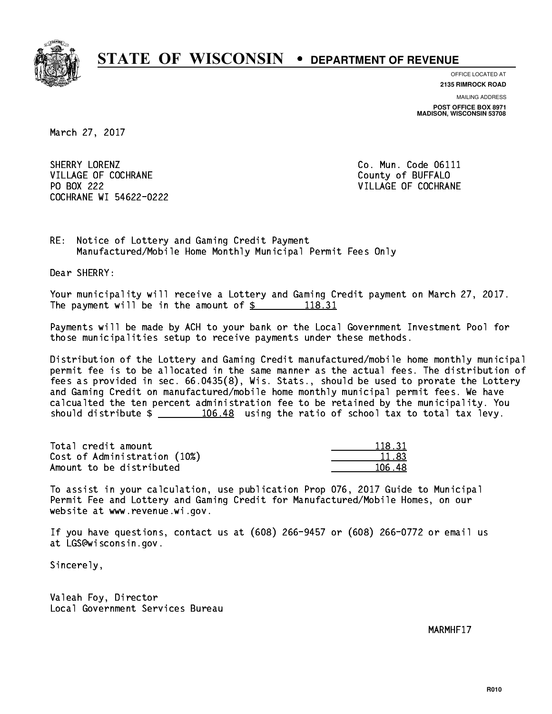

**OFFICE LOCATED AT**

**2135 RIMROCK ROAD**

**MAILING ADDRESS POST OFFICE BOX 8971 MADISON, WISCONSIN 53708**

March 27, 2017

SHERRY LORENZ VILLAGE OF COCHRANE COUNTY OF BUFFALO PO BOX 222 COCHRANE WI 54622-0222

Co. Mun. Code 06111 VILLAGE OF COCHRANE

RE: Notice of Lottery and Gaming Credit Payment Manufactured/Mobile Home Monthly Municipal Permit Fees Only

Dear SHERRY:

 Your municipality will receive a Lottery and Gaming Credit payment on March 27, 2017. The payment will be in the amount of \$ 118.31 \_\_\_\_\_\_\_\_\_\_\_\_\_\_\_\_

 Payments will be made by ACH to your bank or the Local Government Investment Pool for those municipalities setup to receive payments under these methods.

 Distribution of the Lottery and Gaming Credit manufactured/mobile home monthly municipal permit fee is to be allocated in the same manner as the actual fees. The distribution of fees as provided in sec. 66.0435(8), Wis. Stats., should be used to prorate the Lottery and Gaming Credit on manufactured/mobile home monthly municipal permit fees. We have calcualted the ten percent administration fee to be retained by the municipality. You should distribute  $\frac{106.48}{106.48}$  using the ratio of school tax to total tax levy.

Total credit amount Cost of Administration (10%) Amount to be distributed

| 118.31 |
|--------|
| 11.83  |
| 18     |

 To assist in your calculation, use publication Prop 076, 2017 Guide to Municipal Permit Fee and Lottery and Gaming Credit for Manufactured/Mobile Homes, on our website at www.revenue.wi.gov.

 If you have questions, contact us at (608) 266-9457 or (608) 266-0772 or email us at LGS@wisconsin.gov.

Sincerely,

 Valeah Foy, Director Local Government Services Bureau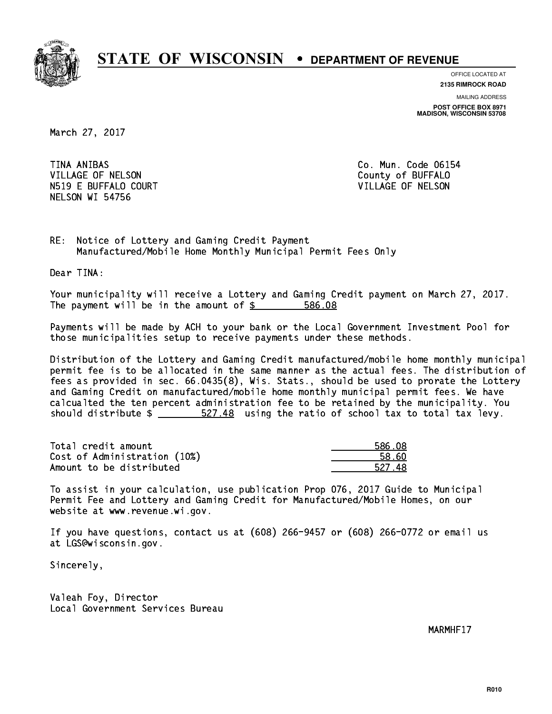

**OFFICE LOCATED AT 2135 RIMROCK ROAD**

**MAILING ADDRESS**

**POST OFFICE BOX 8971 MADISON, WISCONSIN 53708**

March 27, 2017

TINA ANIBAS VILLAGE OF NELSON COUNTY OF BUFFALO N519 E BUFFALO COURT VILLAGE OF NELSON NELSON WI 54756

Co. Mun. Code 06154

RE: Notice of Lottery and Gaming Credit Payment Manufactured/Mobile Home Monthly Municipal Permit Fees Only

Dear TINA:

 Your municipality will receive a Lottery and Gaming Credit payment on March 27, 2017. The payment will be in the amount of \$ 586.08 \_\_\_\_\_\_\_\_\_\_\_\_\_\_\_\_

 Payments will be made by ACH to your bank or the Local Government Investment Pool for those municipalities setup to receive payments under these methods.

 Distribution of the Lottery and Gaming Credit manufactured/mobile home monthly municipal permit fee is to be allocated in the same manner as the actual fees. The distribution of fees as provided in sec. 66.0435(8), Wis. Stats., should be used to prorate the Lottery and Gaming Credit on manufactured/mobile home monthly municipal permit fees. We have calcualted the ten percent administration fee to be retained by the municipality. You should distribute  $\frac{27.48}{27.48}$  using the ratio of school tax to total tax levy.

Total credit amount the set of the set of the set of the set of the set of the set of the set of the set of the set of the set of the set of the set of the set of the set of the set of the set of the set of the set of the Cost of Administration (10%) 58.60 \_\_\_\_\_\_\_\_\_\_\_\_\_\_ Amount to be distributed 527.48

 To assist in your calculation, use publication Prop 076, 2017 Guide to Municipal Permit Fee and Lottery and Gaming Credit for Manufactured/Mobile Homes, on our website at www.revenue.wi.gov.

 If you have questions, contact us at (608) 266-9457 or (608) 266-0772 or email us at LGS@wisconsin.gov.

Sincerely,

 Valeah Foy, Director Local Government Services Bureau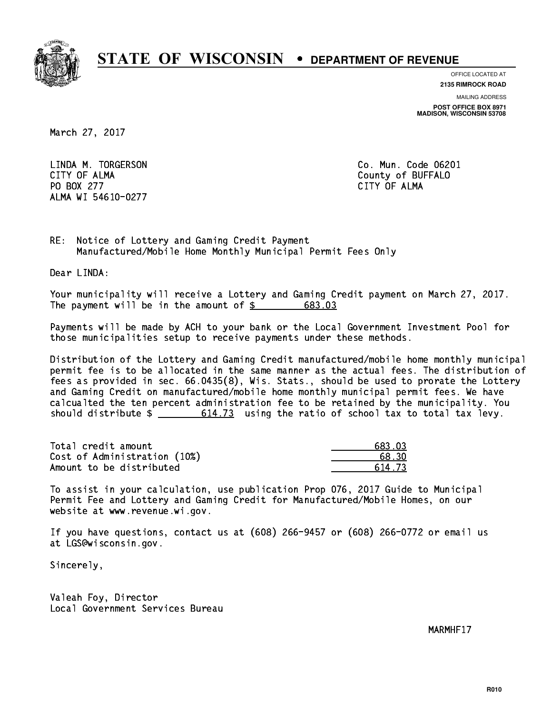

**OFFICE LOCATED AT**

**2135 RIMROCK ROAD**

**MAILING ADDRESS**

**POST OFFICE BOX 8971 MADISON, WISCONSIN 53708**

March 27, 2017

 LINDA M. TORGERSON Co. Mun. Code 06201 CITY OF ALMA County of BUFFALO PO BOX 277 CITY OF ALMA ALMA WI 54610-0277

RE: Notice of Lottery and Gaming Credit Payment Manufactured/Mobile Home Monthly Municipal Permit Fees Only

Dear LINDA:

 Your municipality will receive a Lottery and Gaming Credit payment on March 27, 2017. The payment will be in the amount of \$ 683.03 \_\_\_\_\_\_\_\_\_\_\_\_\_\_\_\_

 Payments will be made by ACH to your bank or the Local Government Investment Pool for those municipalities setup to receive payments under these methods.

 Distribution of the Lottery and Gaming Credit manufactured/mobile home monthly municipal permit fee is to be allocated in the same manner as the actual fees. The distribution of fees as provided in sec. 66.0435(8), Wis. Stats., should be used to prorate the Lottery and Gaming Credit on manufactured/mobile home monthly municipal permit fees. We have calcualted the ten percent administration fee to be retained by the municipality. You should distribute  $\frac{2}{1}$   $\frac{614.73}{2}$  using the ratio of school tax to total tax levy.

| Total credit amount          | 683.03 |
|------------------------------|--------|
| Cost of Administration (10%) | 68.30  |
| Amount to be distributed     | 614.73 |

 To assist in your calculation, use publication Prop 076, 2017 Guide to Municipal Permit Fee and Lottery and Gaming Credit for Manufactured/Mobile Homes, on our website at www.revenue.wi.gov.

 If you have questions, contact us at (608) 266-9457 or (608) 266-0772 or email us at LGS@wisconsin.gov.

Sincerely,

 Valeah Foy, Director Local Government Services Bureau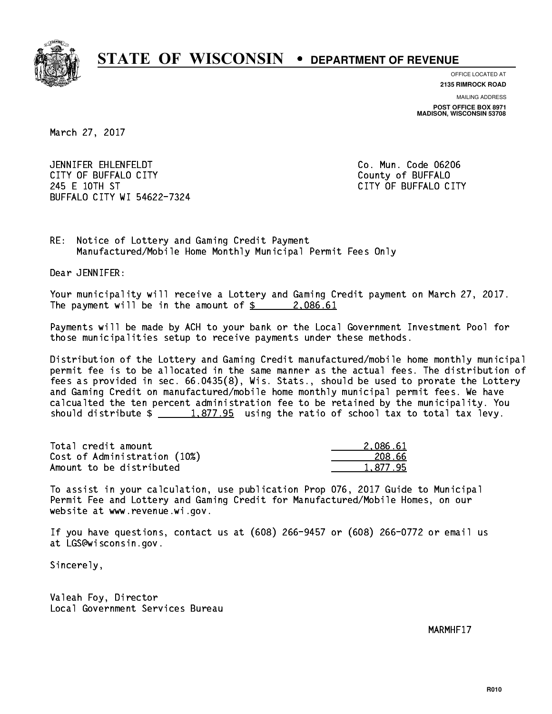

**OFFICE LOCATED AT**

**2135 RIMROCK ROAD**

**MAILING ADDRESS POST OFFICE BOX 8971 MADISON, WISCONSIN 53708**

March 27, 2017

 JENNIFER EHLENFELDT Co. Mun. Code 06206 CITY OF BUFFALO CITY **COULD ACCOUNT COULD COULD COULD** COUNTY COUNTY 245 E 10TH ST CITY OF BUFFALO CITY BUFFALO CITY WI 54622-7324

RE: Notice of Lottery and Gaming Credit Payment Manufactured/Mobile Home Monthly Municipal Permit Fees Only

Dear JENNIFER:

 Your municipality will receive a Lottery and Gaming Credit payment on March 27, 2017. The payment will be in the amount of  $\frac{2}{3}$  2,086.61

 Payments will be made by ACH to your bank or the Local Government Investment Pool for those municipalities setup to receive payments under these methods.

 Distribution of the Lottery and Gaming Credit manufactured/mobile home monthly municipal permit fee is to be allocated in the same manner as the actual fees. The distribution of fees as provided in sec. 66.0435(8), Wis. Stats., should be used to prorate the Lottery and Gaming Credit on manufactured/mobile home monthly municipal permit fees. We have calcualted the ten percent administration fee to be retained by the municipality. You should distribute  $\frac{1.877.95}{1.877.95}$  using the ratio of school tax to total tax levy.

| Total credit amount          | 2.086.61 |
|------------------------------|----------|
| Cost of Administration (10%) | 208.66   |
| Amount to be distributed     | 1.877.95 |

 To assist in your calculation, use publication Prop 076, 2017 Guide to Municipal Permit Fee and Lottery and Gaming Credit for Manufactured/Mobile Homes, on our website at www.revenue.wi.gov.

 If you have questions, contact us at (608) 266-9457 or (608) 266-0772 or email us at LGS@wisconsin.gov.

Sincerely,

 Valeah Foy, Director Local Government Services Bureau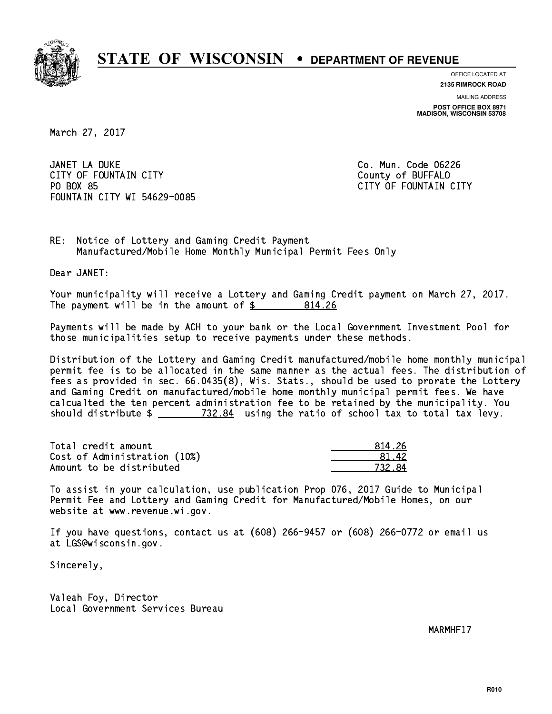

**OFFICE LOCATED AT**

**2135 RIMROCK ROAD**

**MAILING ADDRESS POST OFFICE BOX 8971 MADISON, WISCONSIN 53708**

March 27, 2017

 JANET LA DUKE Co. Mun. Code 06226 CITY OF FOUNTAIN CITY COUNTAIN COUNTY COUNTY COUNTY COUNTY PO BOX 85 FOUNTAIN CITY WI 54629-0085

CITY OF FOUNTAIN CITY

RE: Notice of Lottery and Gaming Credit Payment Manufactured/Mobile Home Monthly Municipal Permit Fees Only

Dear JANET:

 Your municipality will receive a Lottery and Gaming Credit payment on March 27, 2017. The payment will be in the amount of \$ 814.26 \_\_\_\_\_\_\_\_\_\_\_\_\_\_\_\_

 Payments will be made by ACH to your bank or the Local Government Investment Pool for those municipalities setup to receive payments under these methods.

 Distribution of the Lottery and Gaming Credit manufactured/mobile home monthly municipal permit fee is to be allocated in the same manner as the actual fees. The distribution of fees as provided in sec. 66.0435(8), Wis. Stats., should be used to prorate the Lottery and Gaming Credit on manufactured/mobile home monthly municipal permit fees. We have calcualted the ten percent administration fee to be retained by the municipality. You should distribute  $\frac{2}{2}$   $\frac{732.84}{2}$  using the ratio of school tax to total tax levy.

Total credit amount Cost of Administration (10%) Amount to be distributed

| l 26 |
|------|
| 42.  |
| マツー  |

 To assist in your calculation, use publication Prop 076, 2017 Guide to Municipal Permit Fee and Lottery and Gaming Credit for Manufactured/Mobile Homes, on our website at www.revenue.wi.gov.

 If you have questions, contact us at (608) 266-9457 or (608) 266-0772 or email us at LGS@wisconsin.gov.

Sincerely,

 Valeah Foy, Director Local Government Services Bureau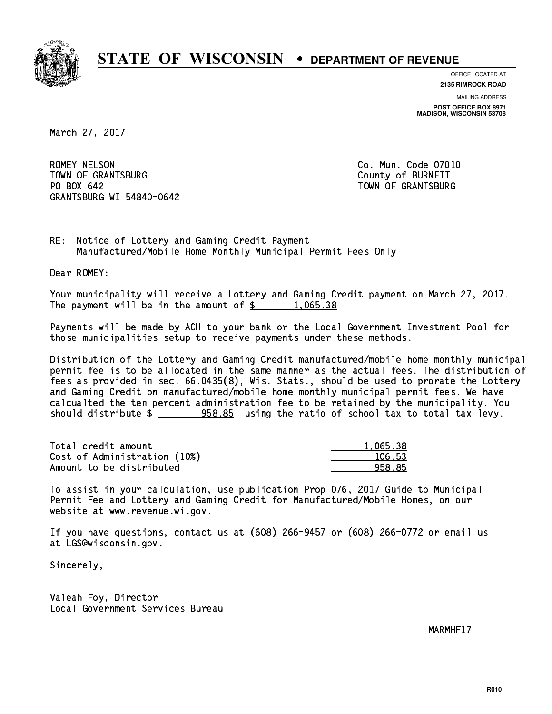

**OFFICE LOCATED AT**

**2135 RIMROCK ROAD**

**MAILING ADDRESS POST OFFICE BOX 8971 MADISON, WISCONSIN 53708**

March 27, 2017

ROMEY NELSON TOWN OF GRANTSBURG COUNTY OF BURNETT PO BOX 642 GRANTSBURG WI 54840-0642

Co. Mun. Code 07010 TOWN OF GRANTSBURG

RE: Notice of Lottery and Gaming Credit Payment Manufactured/Mobile Home Monthly Municipal Permit Fees Only

Dear ROMEY:

 Your municipality will receive a Lottery and Gaming Credit payment on March 27, 2017. The payment will be in the amount of  $\frac{2}{3}$  1,065.38

 Payments will be made by ACH to your bank or the Local Government Investment Pool for those municipalities setup to receive payments under these methods.

 Distribution of the Lottery and Gaming Credit manufactured/mobile home monthly municipal permit fee is to be allocated in the same manner as the actual fees. The distribution of fees as provided in sec. 66.0435(8), Wis. Stats., should be used to prorate the Lottery and Gaming Credit on manufactured/mobile home monthly municipal permit fees. We have calcualted the ten percent administration fee to be retained by the municipality. You should distribute  $\frac{258.85}{1000}$  using the ratio of school tax to total tax levy.

| Total credit amount          | 1.065.38 |
|------------------------------|----------|
| Cost of Administration (10%) | 106.53   |
| Amount to be distributed     | 958.85   |

 To assist in your calculation, use publication Prop 076, 2017 Guide to Municipal Permit Fee and Lottery and Gaming Credit for Manufactured/Mobile Homes, on our website at www.revenue.wi.gov.

 If you have questions, contact us at (608) 266-9457 or (608) 266-0772 or email us at LGS@wisconsin.gov.

Sincerely,

 Valeah Foy, Director Local Government Services Bureau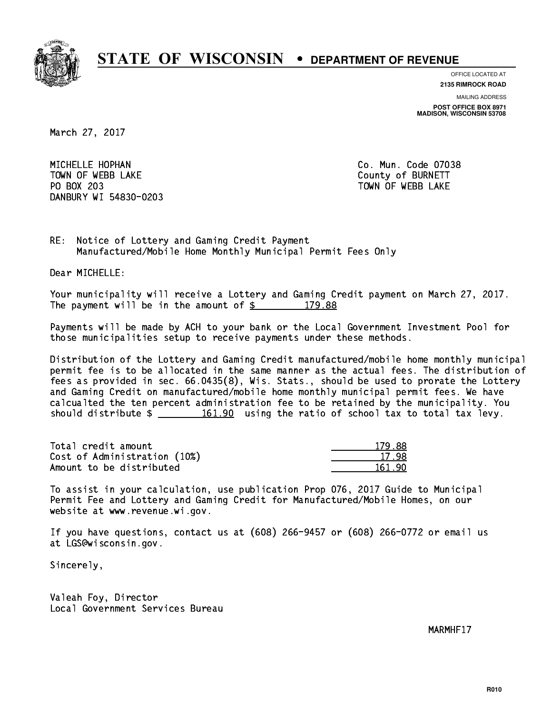

**OFFICE LOCATED AT**

**2135 RIMROCK ROAD**

**MAILING ADDRESS**

**POST OFFICE BOX 8971 MADISON, WISCONSIN 53708**

March 27, 2017

MICHELLE HOPHAN TOWN OF WEBB LAKE County of BURNETT PO BOX 203 DANBURY WI 54830-0203

Co. Mun. Code 07038 TOWN OF WEBB LAKE

RE: Notice of Lottery and Gaming Credit Payment Manufactured/Mobile Home Monthly Municipal Permit Fees Only

Dear MICHELLE:

 Your municipality will receive a Lottery and Gaming Credit payment on March 27, 2017. The payment will be in the amount of  $\frac{2}{3}$  179.88

 Payments will be made by ACH to your bank or the Local Government Investment Pool for those municipalities setup to receive payments under these methods.

 Distribution of the Lottery and Gaming Credit manufactured/mobile home monthly municipal permit fee is to be allocated in the same manner as the actual fees. The distribution of fees as provided in sec. 66.0435(8), Wis. Stats., should be used to prorate the Lottery and Gaming Credit on manufactured/mobile home monthly municipal permit fees. We have calcualted the ten percent administration fee to be retained by the municipality. You should distribute  $\frac{161.90}{2}$  using the ratio of school tax to total tax levy.

Total credit amount Cost of Administration (10%) Amount to be distributed

| '.88<br>17 <sub>1</sub> |
|-------------------------|
| $17 -$<br>ч×            |
| 1.<br>61.<br>91 L       |

 To assist in your calculation, use publication Prop 076, 2017 Guide to Municipal Permit Fee and Lottery and Gaming Credit for Manufactured/Mobile Homes, on our website at www.revenue.wi.gov.

 If you have questions, contact us at (608) 266-9457 or (608) 266-0772 or email us at LGS@wisconsin.gov.

Sincerely,

 Valeah Foy, Director Local Government Services Bureau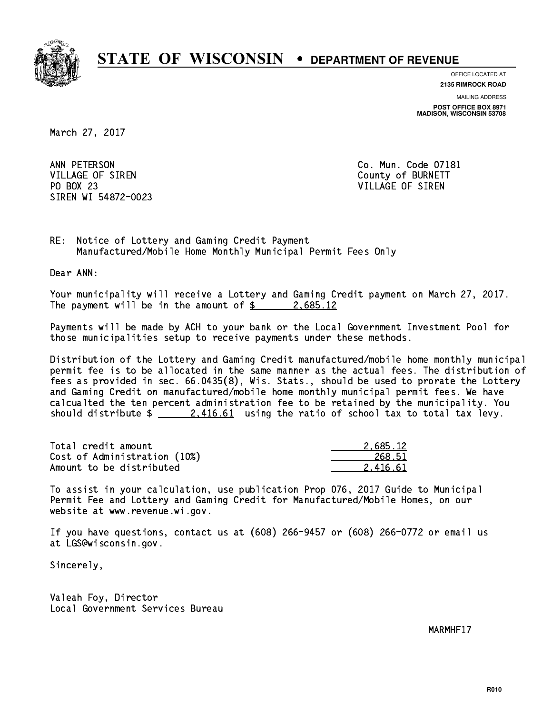

**OFFICE LOCATED AT**

**2135 RIMROCK ROAD**

**MAILING ADDRESS POST OFFICE BOX 8971 MADISON, WISCONSIN 53708**

March 27, 2017

ANN PETERSON VILLAGE OF SIREN COUNTY OF BURNETT PO BOX 23 PO BOX 23 VILLAGE OF SIREN SIREN WI 54872-0023

Co. Mun. Code 07181

RE: Notice of Lottery and Gaming Credit Payment Manufactured/Mobile Home Monthly Municipal Permit Fees Only

Dear ANN:

 Your municipality will receive a Lottery and Gaming Credit payment on March 27, 2017. The payment will be in the amount of  $\frac{2.685.12}{2.685.12}$ 

 Payments will be made by ACH to your bank or the Local Government Investment Pool for those municipalities setup to receive payments under these methods.

 Distribution of the Lottery and Gaming Credit manufactured/mobile home monthly municipal permit fee is to be allocated in the same manner as the actual fees. The distribution of fees as provided in sec. 66.0435(8), Wis. Stats., should be used to prorate the Lottery and Gaming Credit on manufactured/mobile home monthly municipal permit fees. We have calcualted the ten percent administration fee to be retained by the municipality. You should distribute  $\frac{2.416.61}{2.416.61}$  using the ratio of school tax to total tax levy.

| Total credit amount          | 2.685.12 |
|------------------------------|----------|
| Cost of Administration (10%) | 268.51   |
| Amount to be distributed     | 2.416.61 |

 To assist in your calculation, use publication Prop 076, 2017 Guide to Municipal Permit Fee and Lottery and Gaming Credit for Manufactured/Mobile Homes, on our website at www.revenue.wi.gov.

 If you have questions, contact us at (608) 266-9457 or (608) 266-0772 or email us at LGS@wisconsin.gov.

Sincerely,

 Valeah Foy, Director Local Government Services Bureau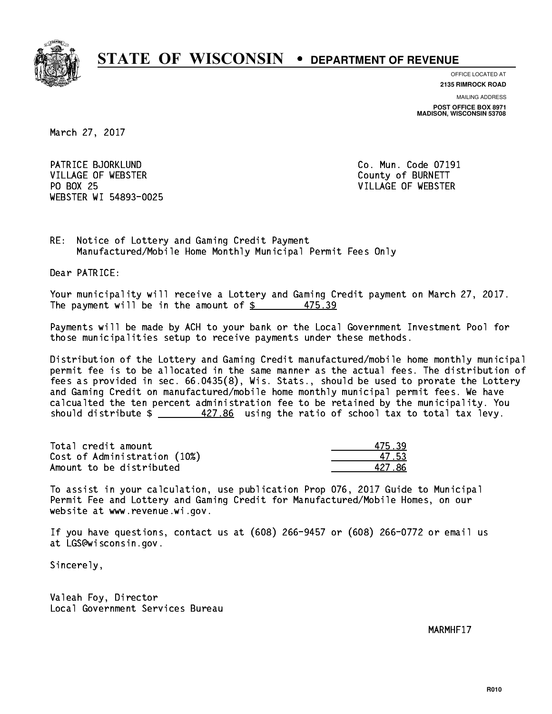

**OFFICE LOCATED AT**

**2135 RIMROCK ROAD**

**MAILING ADDRESS POST OFFICE BOX 8971 MADISON, WISCONSIN 53708**

March 27, 2017

PATRICE BJORKLUND **Co. Mun. Code 07191** VILLAGE OF WEBSTER COUNTY OF BURNETT PO BOX 25 WEBSTER WI 54893-0025

VILLAGE OF WEBSTER

RE: Notice of Lottery and Gaming Credit Payment Manufactured/Mobile Home Monthly Municipal Permit Fees Only

Dear PATRICE:

 Your municipality will receive a Lottery and Gaming Credit payment on March 27, 2017. The payment will be in the amount of  $\frac{25}{3}$ 475.39

 Payments will be made by ACH to your bank or the Local Government Investment Pool for those municipalities setup to receive payments under these methods.

 Distribution of the Lottery and Gaming Credit manufactured/mobile home monthly municipal permit fee is to be allocated in the same manner as the actual fees. The distribution of fees as provided in sec. 66.0435(8), Wis. Stats., should be used to prorate the Lottery and Gaming Credit on manufactured/mobile home monthly municipal permit fees. We have calcualted the ten percent administration fee to be retained by the municipality. You should distribute  $\frac{427.86}{2}$  using the ratio of school tax to total tax levy.

Total credit amount Cost of Administration (10%) Amount to be distributed

| 539<br>י |
|----------|
| .7 53    |
| .27 86   |

 To assist in your calculation, use publication Prop 076, 2017 Guide to Municipal Permit Fee and Lottery and Gaming Credit for Manufactured/Mobile Homes, on our website at www.revenue.wi.gov.

 If you have questions, contact us at (608) 266-9457 or (608) 266-0772 or email us at LGS@wisconsin.gov.

Sincerely,

 Valeah Foy, Director Local Government Services Bureau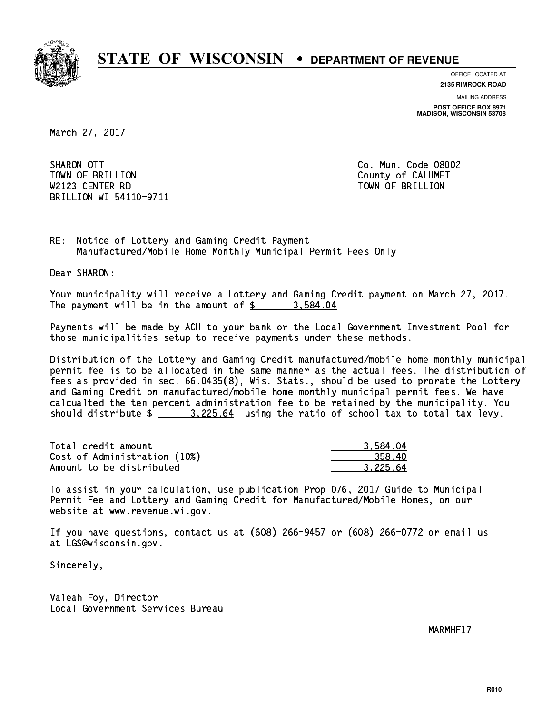

**OFFICE LOCATED AT**

**2135 RIMROCK ROAD**

**MAILING ADDRESS POST OFFICE BOX 8971 MADISON, WISCONSIN 53708**

March 27, 2017

SHARON OTT TOWN OF BRILLION County of CALUMET W2123 CENTER RD TOWN OF BRIDGE RD TOWN OF BRILLION COMMUNIST COMMUNIST COMMUNIST COMMUNIST COMMUNIST COMMUNIST COMMUNIST COMMUNIST COMMUNIST COMMUNIST COMMUNIST COMMUNIST COMMUNIST COMMUNIST COMMUNIST COMMUNIST COMMUNIST C BRILLION WI 54110-9711

Co. Mun. Code 08002

RE: Notice of Lottery and Gaming Credit Payment Manufactured/Mobile Home Monthly Municipal Permit Fees Only

Dear SHARON:

 Your municipality will receive a Lottery and Gaming Credit payment on March 27, 2017. The payment will be in the amount of \$ 3,584.04 \_\_\_\_\_\_\_\_\_\_\_\_\_\_\_\_

 Payments will be made by ACH to your bank or the Local Government Investment Pool for those municipalities setup to receive payments under these methods.

 Distribution of the Lottery and Gaming Credit manufactured/mobile home monthly municipal permit fee is to be allocated in the same manner as the actual fees. The distribution of fees as provided in sec. 66.0435(8), Wis. Stats., should be used to prorate the Lottery and Gaming Credit on manufactured/mobile home monthly municipal permit fees. We have calcualted the ten percent administration fee to be retained by the municipality. You should distribute  $\frac{2.25.64}{2.25.64}$  using the ratio of school tax to total tax levy.

| Total credit amount          | 3.584.04 |
|------------------------------|----------|
| Cost of Administration (10%) | 358.40   |
| Amount to be distributed     | 3.225.64 |

 To assist in your calculation, use publication Prop 076, 2017 Guide to Municipal Permit Fee and Lottery and Gaming Credit for Manufactured/Mobile Homes, on our website at www.revenue.wi.gov.

 If you have questions, contact us at (608) 266-9457 or (608) 266-0772 or email us at LGS@wisconsin.gov.

Sincerely,

 Valeah Foy, Director Local Government Services Bureau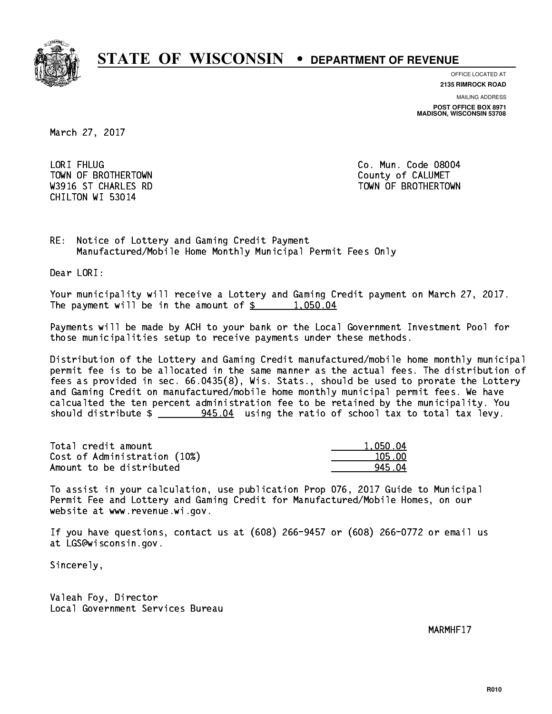

**OFFICE LOCATED AT**

**2135 RIMROCK ROAD**

**MAILING ADDRESS**

**POST OFFICE BOX 8971 MADISON, WISCONSIN 53708**

March 27, 2017

LORI FHLUG TOWN OF BROTHERTOWN COUNTY COUNTY OF CALUMET CHILTON WI 53014

Co. Mun. Code 08004 W3916 ST CHARLES RD TOWN OF BROTHERTOWN

RE: Notice of Lottery and Gaming Credit Payment Manufactured/Mobile Home Monthly Municipal Permit Fees Only

Dear LORI:

 Your municipality will receive a Lottery and Gaming Credit payment on March 27, 2017. The payment will be in the amount of  $\frac{2}{3}$  1,050.04

 Payments will be made by ACH to your bank or the Local Government Investment Pool for those municipalities setup to receive payments under these methods.

 Distribution of the Lottery and Gaming Credit manufactured/mobile home monthly municipal permit fee is to be allocated in the same manner as the actual fees. The distribution of fees as provided in sec. 66.0435(8), Wis. Stats., should be used to prorate the Lottery and Gaming Credit on manufactured/mobile home monthly municipal permit fees. We have calcualted the ten percent administration fee to be retained by the municipality. You should distribute  $\frac{245.04}{1000}$  using the ratio of school tax to total tax levy.

| Total credit amount          | 1.050.04 |
|------------------------------|----------|
| Cost of Administration (10%) | 105.00   |
| Amount to be distributed     | 945 N4   |

 To assist in your calculation, use publication Prop 076, 2017 Guide to Municipal Permit Fee and Lottery and Gaming Credit for Manufactured/Mobile Homes, on our website at www.revenue.wi.gov.

 If you have questions, contact us at (608) 266-9457 or (608) 266-0772 or email us at LGS@wisconsin.gov.

Sincerely,

 Valeah Foy, Director Local Government Services Bureau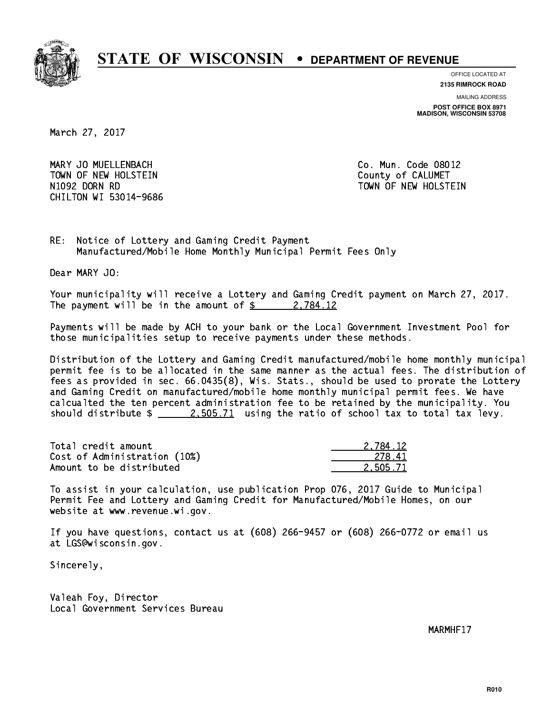

**OFFICE LOCATED AT**

**2135 RIMROCK ROAD**

**MAILING ADDRESS POST OFFICE BOX 8971 MADISON, WISCONSIN 53708**

March 27, 2017

 MARY JO MUELLENBACH Co. Mun. Code 08012 TOWN OF NEW HOLSTEIN County of CALUMET N1092 DORN RD TOWN OF NEW HOLSTEIN CHILTON WI 53014-9686

RE: Notice of Lottery and Gaming Credit Payment Manufactured/Mobile Home Monthly Municipal Permit Fees Only

Dear MARY JO:

 Your municipality will receive a Lottery and Gaming Credit payment on March 27, 2017. The payment will be in the amount of  $\frac{2}{3}$  2,784.12

 Payments will be made by ACH to your bank or the Local Government Investment Pool for those municipalities setup to receive payments under these methods.

 Distribution of the Lottery and Gaming Credit manufactured/mobile home monthly municipal permit fee is to be allocated in the same manner as the actual fees. The distribution of fees as provided in sec. 66.0435(8), Wis. Stats., should be used to prorate the Lottery and Gaming Credit on manufactured/mobile home monthly municipal permit fees. We have calcualted the ten percent administration fee to be retained by the municipality. You should distribute  $\frac{2.505.71}{2.505.71}$  using the ratio of school tax to total tax levy.

| Total credit amount          | 2.784.12 |
|------------------------------|----------|
| Cost of Administration (10%) | -278.41  |
| Amount to be distributed     | 2.505.71 |

 To assist in your calculation, use publication Prop 076, 2017 Guide to Municipal Permit Fee and Lottery and Gaming Credit for Manufactured/Mobile Homes, on our website at www.revenue.wi.gov.

 If you have questions, contact us at (608) 266-9457 or (608) 266-0772 or email us at LGS@wisconsin.gov.

Sincerely,

 Valeah Foy, Director Local Government Services Bureau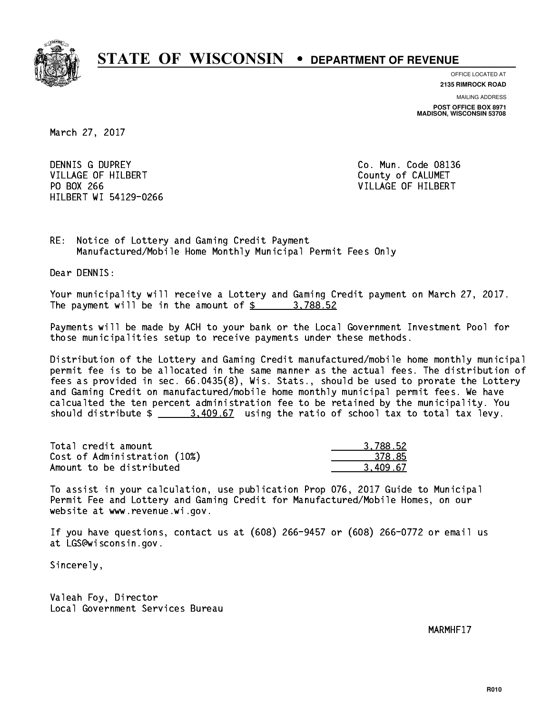

**OFFICE LOCATED AT**

**2135 RIMROCK ROAD**

**MAILING ADDRESS POST OFFICE BOX 8971 MADISON, WISCONSIN 53708**

March 27, 2017

 DENNIS G DUPREY Co. Mun. Code 08136 VILLAGE OF HILBERT COUNTY OF CALUMET PO BOX 266 VILLAGE OF HILBERT HILBERT WI 54129-0266

RE: Notice of Lottery and Gaming Credit Payment Manufactured/Mobile Home Monthly Municipal Permit Fees Only

Dear DENNIS:

 Your municipality will receive a Lottery and Gaming Credit payment on March 27, 2017. The payment will be in the amount of \$ 3,788.52 \_\_\_\_\_\_\_\_\_\_\_\_\_\_\_\_

 Payments will be made by ACH to your bank or the Local Government Investment Pool for those municipalities setup to receive payments under these methods.

 Distribution of the Lottery and Gaming Credit manufactured/mobile home monthly municipal permit fee is to be allocated in the same manner as the actual fees. The distribution of fees as provided in sec. 66.0435(8), Wis. Stats., should be used to prorate the Lottery and Gaming Credit on manufactured/mobile home monthly municipal permit fees. We have calcualted the ten percent administration fee to be retained by the municipality. You should distribute \$ 3,409.67 using the ratio of school tax to total tax levy. \_\_\_\_\_\_\_\_\_\_\_\_\_\_

| Total credit amount          | 3.788.52 |
|------------------------------|----------|
| Cost of Administration (10%) | 378.85   |
| Amount to be distributed     | 3.409.67 |

 To assist in your calculation, use publication Prop 076, 2017 Guide to Municipal Permit Fee and Lottery and Gaming Credit for Manufactured/Mobile Homes, on our website at www.revenue.wi.gov.

 If you have questions, contact us at (608) 266-9457 or (608) 266-0772 or email us at LGS@wisconsin.gov.

Sincerely,

 Valeah Foy, Director Local Government Services Bureau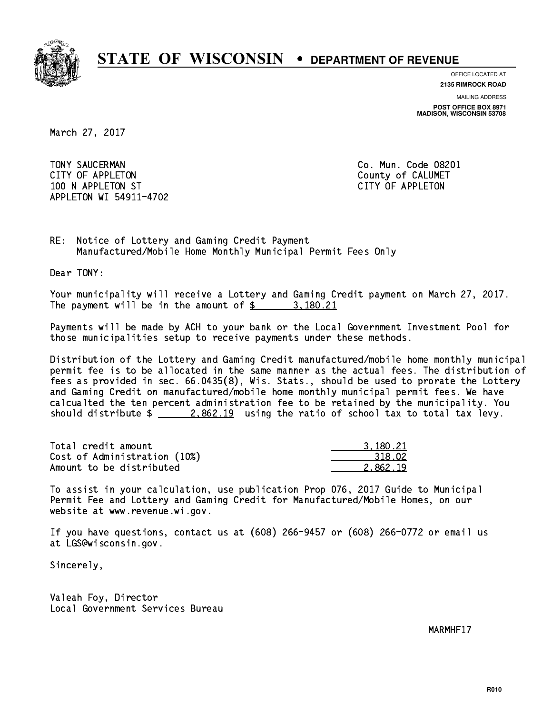

**OFFICE LOCATED AT**

**2135 RIMROCK ROAD**

**MAILING ADDRESS**

**POST OFFICE BOX 8971 MADISON, WISCONSIN 53708**

March 27, 2017

 TONY SAUCERMAN Co. Mun. Code 08201 CITY OF APPLETON COUNTY COUNTY OF APPLETON 100 N APPLETON ST CITY OF APPLETON APPLETON WI 54911-4702

RE: Notice of Lottery and Gaming Credit Payment Manufactured/Mobile Home Monthly Municipal Permit Fees Only

Dear TONY:

 Your municipality will receive a Lottery and Gaming Credit payment on March 27, 2017. The payment will be in the amount of \$ 3,180.21 \_\_\_\_\_\_\_\_\_\_\_\_\_\_\_\_

 Payments will be made by ACH to your bank or the Local Government Investment Pool for those municipalities setup to receive payments under these methods.

 Distribution of the Lottery and Gaming Credit manufactured/mobile home monthly municipal permit fee is to be allocated in the same manner as the actual fees. The distribution of fees as provided in sec. 66.0435(8), Wis. Stats., should be used to prorate the Lottery and Gaming Credit on manufactured/mobile home monthly municipal permit fees. We have calcualted the ten percent administration fee to be retained by the municipality. You should distribute  $\frac{2.862.19}{ }$  using the ratio of school tax to total tax levy.

| Total credit amount          | 3.180.21 |
|------------------------------|----------|
| Cost of Administration (10%) | 318.02   |
| Amount to be distributed     | 2.862.19 |

 To assist in your calculation, use publication Prop 076, 2017 Guide to Municipal Permit Fee and Lottery and Gaming Credit for Manufactured/Mobile Homes, on our website at www.revenue.wi.gov.

 If you have questions, contact us at (608) 266-9457 or (608) 266-0772 or email us at LGS@wisconsin.gov.

Sincerely,

 Valeah Foy, Director Local Government Services Bureau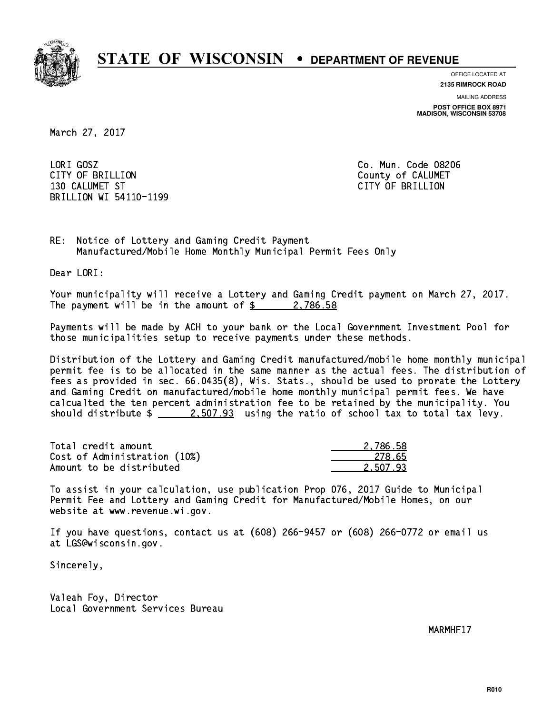

**OFFICE LOCATED AT**

**2135 RIMROCK ROAD**

**MAILING ADDRESS POST OFFICE BOX 8971 MADISON, WISCONSIN 53708**

March 27, 2017

LORI GOSZ CITY OF BRILLION County of CALUMET 130 CALUMET ST CITY OF BRIDGE ST CITY OF BRIDGE ST CITY OF BRIDGE ST CITY OF BRIDGE ST CITY OF BRIDGE ST CITY O BRILLION WI 54110-1199

Co. Mun. Code 08206

RE: Notice of Lottery and Gaming Credit Payment Manufactured/Mobile Home Monthly Municipal Permit Fees Only

Dear LORI:

 Your municipality will receive a Lottery and Gaming Credit payment on March 27, 2017. The payment will be in the amount of  $\frac{2}{3}$  2,786.58

 Payments will be made by ACH to your bank or the Local Government Investment Pool for those municipalities setup to receive payments under these methods.

 Distribution of the Lottery and Gaming Credit manufactured/mobile home monthly municipal permit fee is to be allocated in the same manner as the actual fees. The distribution of fees as provided in sec. 66.0435(8), Wis. Stats., should be used to prorate the Lottery and Gaming Credit on manufactured/mobile home monthly municipal permit fees. We have calcualted the ten percent administration fee to be retained by the municipality. You should distribute  $\frac{2.507.93}{2.507.93}$  using the ratio of school tax to total tax levy.

| Total credit amount          | 2.786.58 |
|------------------------------|----------|
| Cost of Administration (10%) | 278.65   |
| Amount to be distributed     | 2.507.93 |

 To assist in your calculation, use publication Prop 076, 2017 Guide to Municipal Permit Fee and Lottery and Gaming Credit for Manufactured/Mobile Homes, on our website at www.revenue.wi.gov.

 If you have questions, contact us at (608) 266-9457 or (608) 266-0772 or email us at LGS@wisconsin.gov.

Sincerely,

 Valeah Foy, Director Local Government Services Bureau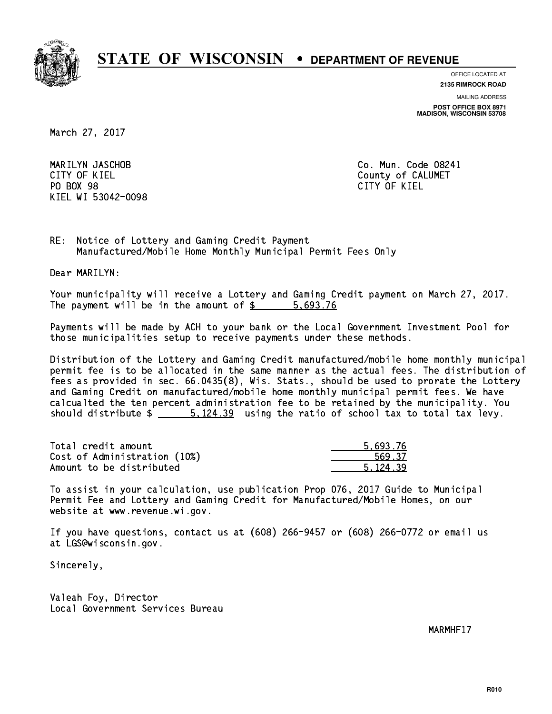

**OFFICE LOCATED AT**

**2135 RIMROCK ROAD**

**MAILING ADDRESS**

**POST OFFICE BOX 8971 MADISON, WISCONSIN 53708**

March 27, 2017

 MARILYN JASCHOB Co. Mun. Code 08241 CITY OF KIEL **COUNTY COUNTY OF CALUMET** PO BOX 98 PO BOX 98 CITY OF KIEL KIEL WI 53042-0098

CITY OF KIEL

RE: Notice of Lottery and Gaming Credit Payment Manufactured/Mobile Home Monthly Municipal Permit Fees Only

Dear MARILYN:

 Your municipality will receive a Lottery and Gaming Credit payment on March 27, 2017. The payment will be in the amount of \$ 5,693.76 \_\_\_\_\_\_\_\_\_\_\_\_\_\_\_\_

 Payments will be made by ACH to your bank or the Local Government Investment Pool for those municipalities setup to receive payments under these methods.

 Distribution of the Lottery and Gaming Credit manufactured/mobile home monthly municipal permit fee is to be allocated in the same manner as the actual fees. The distribution of fees as provided in sec. 66.0435(8), Wis. Stats., should be used to prorate the Lottery and Gaming Credit on manufactured/mobile home monthly municipal permit fees. We have calcualted the ten percent administration fee to be retained by the municipality. You should distribute  $\frac{2}{1}$   $\frac{5.124.39}{2}$  using the ratio of school tax to total tax levy.

| Total credit amount          | 5.693.76 |
|------------------------------|----------|
| Cost of Administration (10%) | 569.37   |
| Amount to be distributed     | 5.124.39 |

 To assist in your calculation, use publication Prop 076, 2017 Guide to Municipal Permit Fee and Lottery and Gaming Credit for Manufactured/Mobile Homes, on our website at www.revenue.wi.gov.

 If you have questions, contact us at (608) 266-9457 or (608) 266-0772 or email us at LGS@wisconsin.gov.

Sincerely,

 Valeah Foy, Director Local Government Services Bureau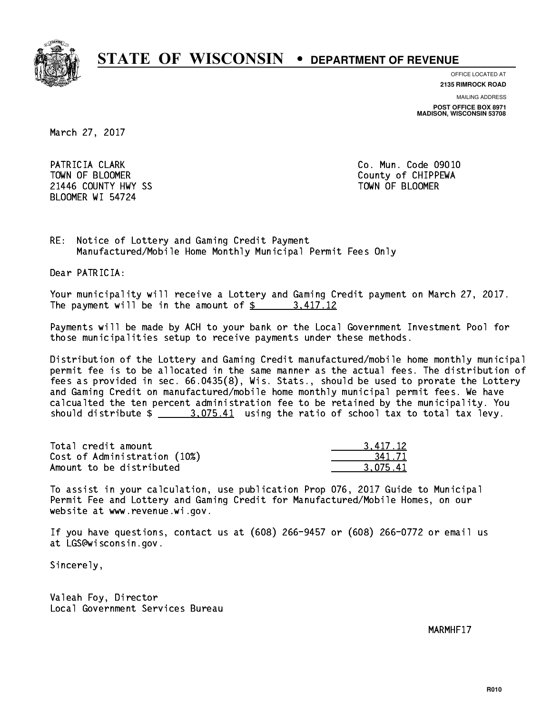

**OFFICE LOCATED AT**

**2135 RIMROCK ROAD**

**MAILING ADDRESS POST OFFICE BOX 8971 MADISON, WISCONSIN 53708**

March 27, 2017

PATRICIA CLARK **CO. Mun. Code 09010**  TOWN OF BLOOMER County of CHIPPEWA 21446 COUNTY HWY SS TOWN OF BLOOMER BLOOMER WI 54724

RE: Notice of Lottery and Gaming Credit Payment Manufactured/Mobile Home Monthly Municipal Permit Fees Only

Dear PATRICIA:

 Your municipality will receive a Lottery and Gaming Credit payment on March 27, 2017. The payment will be in the amount of  $\frac{2}{3}$  3,417.12

 Payments will be made by ACH to your bank or the Local Government Investment Pool for those municipalities setup to receive payments under these methods.

 Distribution of the Lottery and Gaming Credit manufactured/mobile home monthly municipal permit fee is to be allocated in the same manner as the actual fees. The distribution of fees as provided in sec. 66.0435(8), Wis. Stats., should be used to prorate the Lottery and Gaming Credit on manufactured/mobile home monthly municipal permit fees. We have calcualted the ten percent administration fee to be retained by the municipality. You should distribute  $\frac{2.075.41}{2.075.41}$  using the ratio of school tax to total tax levy.

| Total credit amount          | 3.417.12 |
|------------------------------|----------|
| Cost of Administration (10%) | 341.71   |
| Amount to be distributed     | 3.075.41 |

 To assist in your calculation, use publication Prop 076, 2017 Guide to Municipal Permit Fee and Lottery and Gaming Credit for Manufactured/Mobile Homes, on our website at www.revenue.wi.gov.

 If you have questions, contact us at (608) 266-9457 or (608) 266-0772 or email us at LGS@wisconsin.gov.

Sincerely,

 Valeah Foy, Director Local Government Services Bureau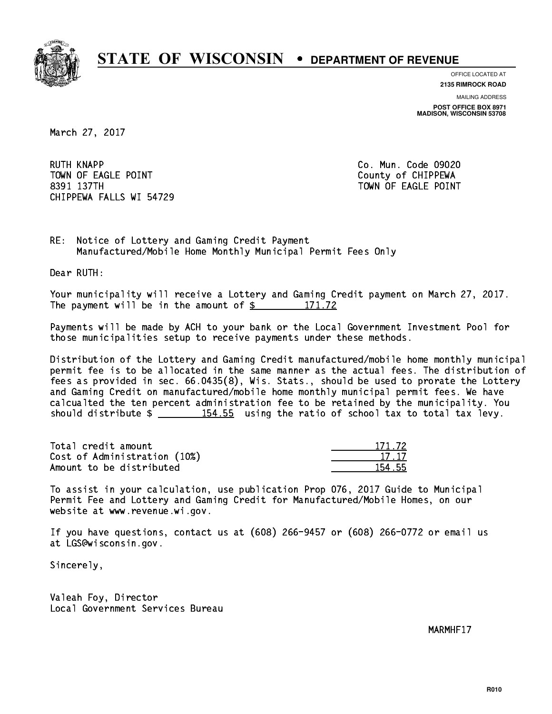

**OFFICE LOCATED AT**

**2135 RIMROCK ROAD**

**MAILING ADDRESS POST OFFICE BOX 8971 MADISON, WISCONSIN 53708**

March 27, 2017

**RUTH KNAPP** TOWN OF EAGLE POINT COUNTS AND TOWN OF CHIPPEWA 8391 137TH TOWN OF EAGLE POINT CHIPPEWA FALLS WI 54729

Co. Mun. Code 09020

RE: Notice of Lottery and Gaming Credit Payment Manufactured/Mobile Home Monthly Municipal Permit Fees Only

Dear RUTH:

 Your municipality will receive a Lottery and Gaming Credit payment on March 27, 2017. The payment will be in the amount of  $\frac{2}{3}$  171.72

 Payments will be made by ACH to your bank or the Local Government Investment Pool for those municipalities setup to receive payments under these methods.

 Distribution of the Lottery and Gaming Credit manufactured/mobile home monthly municipal permit fee is to be allocated in the same manner as the actual fees. The distribution of fees as provided in sec. 66.0435(8), Wis. Stats., should be used to prorate the Lottery and Gaming Credit on manufactured/mobile home monthly municipal permit fees. We have calcualted the ten percent administration fee to be retained by the municipality. You should distribute  $\frac{154.55}{154.55}$  using the ratio of school tax to total tax levy.

Total credit amount Cost of Administration (10%) Amount to be distributed

| 171.72 |
|--------|
| 717    |
| 55     |

 To assist in your calculation, use publication Prop 076, 2017 Guide to Municipal Permit Fee and Lottery and Gaming Credit for Manufactured/Mobile Homes, on our website at www.revenue.wi.gov.

 If you have questions, contact us at (608) 266-9457 or (608) 266-0772 or email us at LGS@wisconsin.gov.

Sincerely,

 Valeah Foy, Director Local Government Services Bureau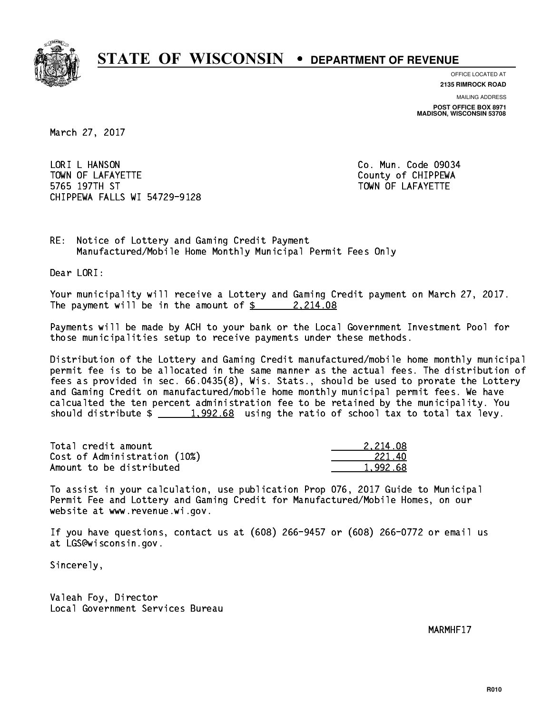

**OFFICE LOCATED AT 2135 RIMROCK ROAD**

**MAILING ADDRESS POST OFFICE BOX 8971 MADISON, WISCONSIN 53708**

March 27, 2017

LORI L HANSON TOWN OF LAFAYETTE TOWN OF LAFAYETTE 5765 197TH ST TOWN OF LAFAYETTE CHIPPEWA FALLS WI 54729-9128

Co. Mun. Code 09034

RE: Notice of Lottery and Gaming Credit Payment Manufactured/Mobile Home Monthly Municipal Permit Fees Only

Dear LORI:

 Your municipality will receive a Lottery and Gaming Credit payment on March 27, 2017. The payment will be in the amount of  $\frac{2}{2}$  2,214.08

 Payments will be made by ACH to your bank or the Local Government Investment Pool for those municipalities setup to receive payments under these methods.

 Distribution of the Lottery and Gaming Credit manufactured/mobile home monthly municipal permit fee is to be allocated in the same manner as the actual fees. The distribution of fees as provided in sec. 66.0435(8), Wis. Stats., should be used to prorate the Lottery and Gaming Credit on manufactured/mobile home monthly municipal permit fees. We have calcualted the ten percent administration fee to be retained by the municipality. You should distribute  $\frac{1,992.68}{1,992.68}$  using the ratio of school tax to total tax levy.

| Total credit amount          | 2.214.08 |
|------------------------------|----------|
| Cost of Administration (10%) | -221.40  |
| Amount to be distributed     | 1,992.68 |

 To assist in your calculation, use publication Prop 076, 2017 Guide to Municipal Permit Fee and Lottery and Gaming Credit for Manufactured/Mobile Homes, on our website at www.revenue.wi.gov.

 If you have questions, contact us at (608) 266-9457 or (608) 266-0772 or email us at LGS@wisconsin.gov.

Sincerely,

 Valeah Foy, Director Local Government Services Bureau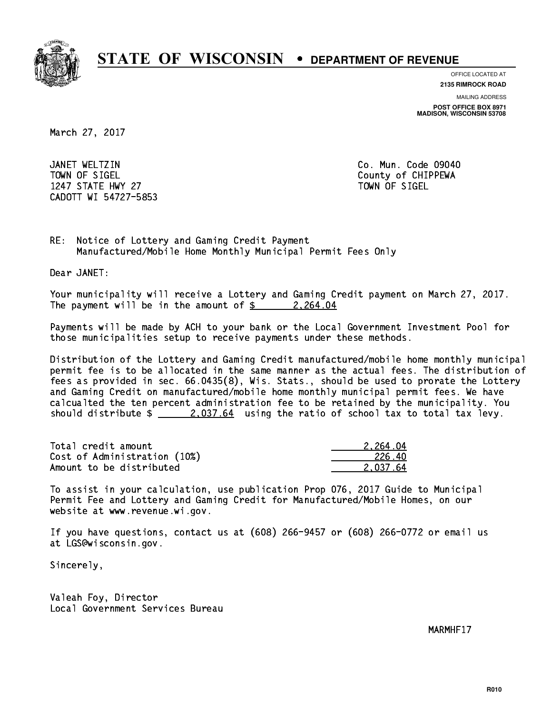

**OFFICE LOCATED AT**

**2135 RIMROCK ROAD**

**MAILING ADDRESS**

**POST OFFICE BOX 8971 MADISON, WISCONSIN 53708**

March 27, 2017

JANET WELTZIN TOWN OF SIGEL **TOWN OF SIGEL**  1247 STATE HWY 27 TOWN OF SIGEL CADOTT WI 54727-5853

Co. Mun. Code 09040

RE: Notice of Lottery and Gaming Credit Payment Manufactured/Mobile Home Monthly Municipal Permit Fees Only

Dear JANET:

 Your municipality will receive a Lottery and Gaming Credit payment on March 27, 2017. The payment will be in the amount of  $\frac{2}{3}$  2,264.04

 Payments will be made by ACH to your bank or the Local Government Investment Pool for those municipalities setup to receive payments under these methods.

 Distribution of the Lottery and Gaming Credit manufactured/mobile home monthly municipal permit fee is to be allocated in the same manner as the actual fees. The distribution of fees as provided in sec. 66.0435(8), Wis. Stats., should be used to prorate the Lottery and Gaming Credit on manufactured/mobile home monthly municipal permit fees. We have calcualted the ten percent administration fee to be retained by the municipality. You should distribute  $\frac{2.037.64}{2.037.64}$  using the ratio of school tax to total tax levy.

| Total credit amount          | 2.264.04 |
|------------------------------|----------|
| Cost of Administration (10%) | -226.40  |
| Amount to be distributed     | 2.037.64 |

 To assist in your calculation, use publication Prop 076, 2017 Guide to Municipal Permit Fee and Lottery and Gaming Credit for Manufactured/Mobile Homes, on our website at www.revenue.wi.gov.

 If you have questions, contact us at (608) 266-9457 or (608) 266-0772 or email us at LGS@wisconsin.gov.

Sincerely,

 Valeah Foy, Director Local Government Services Bureau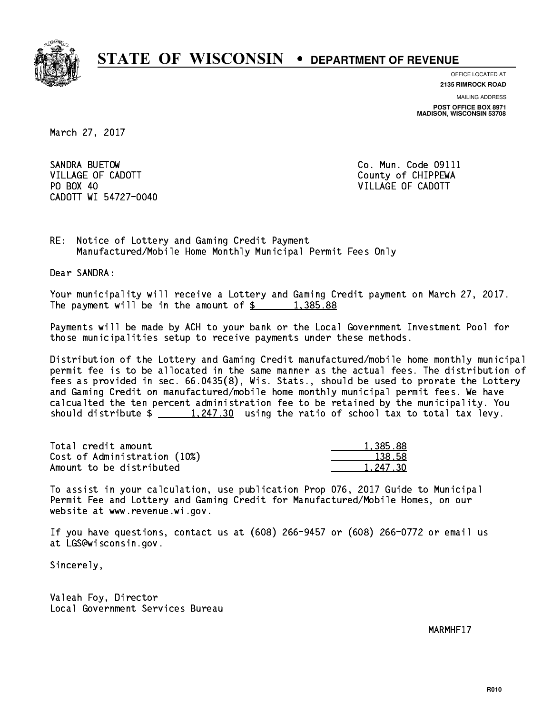

**OFFICE LOCATED AT**

**2135 RIMROCK ROAD**

**MAILING ADDRESS POST OFFICE BOX 8971 MADISON, WISCONSIN 53708**

March 27, 2017

SANDRA BUETOW VILLAGE OF CADOTT COUNTY COUNTY COUNTY OF CHIPPEWA PO BOX 40 CADOTT WI 54727-0040

Co. Mun. Code 09111 VILLAGE OF CADOTT

RE: Notice of Lottery and Gaming Credit Payment Manufactured/Mobile Home Monthly Municipal Permit Fees Only

Dear SANDRA:

 Your municipality will receive a Lottery and Gaming Credit payment on March 27, 2017. The payment will be in the amount of  $\frac{2}{3}$  1,385.88

 Payments will be made by ACH to your bank or the Local Government Investment Pool for those municipalities setup to receive payments under these methods.

 Distribution of the Lottery and Gaming Credit manufactured/mobile home monthly municipal permit fee is to be allocated in the same manner as the actual fees. The distribution of fees as provided in sec. 66.0435(8), Wis. Stats., should be used to prorate the Lottery and Gaming Credit on manufactured/mobile home monthly municipal permit fees. We have calcualted the ten percent administration fee to be retained by the municipality. You should distribute  $\frac{1,247.30}{1,247.30}$  using the ratio of school tax to total tax levy.

| Total credit amount          | 1.385.88 |
|------------------------------|----------|
| Cost of Administration (10%) | 138.58   |
| Amount to be distributed     | 1.247.30 |

 To assist in your calculation, use publication Prop 076, 2017 Guide to Municipal Permit Fee and Lottery and Gaming Credit for Manufactured/Mobile Homes, on our website at www.revenue.wi.gov.

 If you have questions, contact us at (608) 266-9457 or (608) 266-0772 or email us at LGS@wisconsin.gov.

Sincerely,

 Valeah Foy, Director Local Government Services Bureau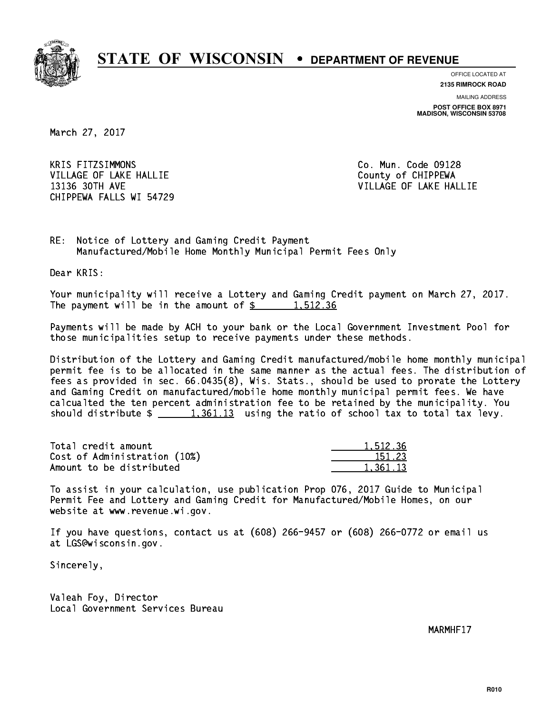

**OFFICE LOCATED AT**

**2135 RIMROCK ROAD**

**MAILING ADDRESS POST OFFICE BOX 8971 MADISON, WISCONSIN 53708**

March 27, 2017

**KRIS FITZSIMMONS** VILLAGE OF LAKE HALLIE COUNTY OF CHIPPEWA 13136 30TH AVE VILLAGE OF LAKE HALLIE CHIPPEWA FALLS WI 54729

Co. Mun. Code 09128

RE: Notice of Lottery and Gaming Credit Payment Manufactured/Mobile Home Monthly Municipal Permit Fees Only

Dear KRIS:

 Your municipality will receive a Lottery and Gaming Credit payment on March 27, 2017. The payment will be in the amount of  $\frac{2}{3}$  1,512.36

 Payments will be made by ACH to your bank or the Local Government Investment Pool for those municipalities setup to receive payments under these methods.

 Distribution of the Lottery and Gaming Credit manufactured/mobile home monthly municipal permit fee is to be allocated in the same manner as the actual fees. The distribution of fees as provided in sec. 66.0435(8), Wis. Stats., should be used to prorate the Lottery and Gaming Credit on manufactured/mobile home monthly municipal permit fees. We have calcualted the ten percent administration fee to be retained by the municipality. You should distribute  $\frac{1,361.13}{1,361.13}$  using the ratio of school tax to total tax levy.

| Total credit amount          | 1.512.36 |
|------------------------------|----------|
| Cost of Administration (10%) | 151.23   |
| Amount to be distributed     | 1.361.13 |

 To assist in your calculation, use publication Prop 076, 2017 Guide to Municipal Permit Fee and Lottery and Gaming Credit for Manufactured/Mobile Homes, on our website at www.revenue.wi.gov.

 If you have questions, contact us at (608) 266-9457 or (608) 266-0772 or email us at LGS@wisconsin.gov.

Sincerely,

 Valeah Foy, Director Local Government Services Bureau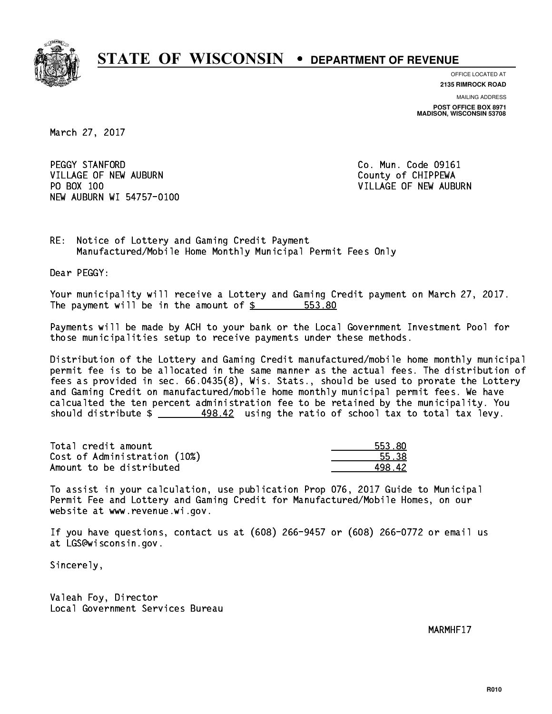

**OFFICE LOCATED AT**

**2135 RIMROCK ROAD**

**MAILING ADDRESS POST OFFICE BOX 8971 MADISON, WISCONSIN 53708**

March 27, 2017

PEGGY STANFORD VILLAGE OF NEW AUBURN COUNTY OF CHIPPEWA PO BOX 100 NEW AUBURN WI 54757-0100

Co. Mun. Code 09161 VILLAGE OF NEW AUBURN

RE: Notice of Lottery and Gaming Credit Payment Manufactured/Mobile Home Monthly Municipal Permit Fees Only

Dear PEGGY:

 Your municipality will receive a Lottery and Gaming Credit payment on March 27, 2017. The payment will be in the amount of \$ 553.80 \_\_\_\_\_\_\_\_\_\_\_\_\_\_\_\_

 Payments will be made by ACH to your bank or the Local Government Investment Pool for those municipalities setup to receive payments under these methods.

 Distribution of the Lottery and Gaming Credit manufactured/mobile home monthly municipal permit fee is to be allocated in the same manner as the actual fees. The distribution of fees as provided in sec. 66.0435(8), Wis. Stats., should be used to prorate the Lottery and Gaming Credit on manufactured/mobile home monthly municipal permit fees. We have calcualted the ten percent administration fee to be retained by the municipality. You should distribute  $\frac{498.42}{1000}$  using the ratio of school tax to total tax levy.

| Total credit amount          | 553.80 |
|------------------------------|--------|
| Cost of Administration (10%) | 55.38  |
| Amount to be distributed     | 498.42 |

 To assist in your calculation, use publication Prop 076, 2017 Guide to Municipal Permit Fee and Lottery and Gaming Credit for Manufactured/Mobile Homes, on our website at www.revenue.wi.gov.

 If you have questions, contact us at (608) 266-9457 or (608) 266-0772 or email us at LGS@wisconsin.gov.

Sincerely,

 Valeah Foy, Director Local Government Services Bureau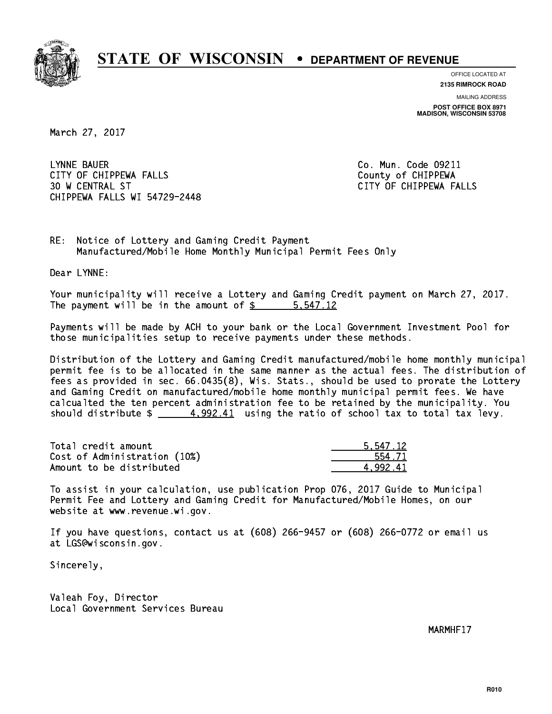

**OFFICE LOCATED AT**

**2135 RIMROCK ROAD**

**MAILING ADDRESS POST OFFICE BOX 8971 MADISON, WISCONSIN 53708**

March 27, 2017

 LYNNE BAUER Co. Mun. Code 09211 CITY OF CHIPPEWA FALLS COUNTY OF CHIPPEWA 30 W CENTRAL ST CITY OF CHIPPEWA FALLS CHIPPEWA FALLS WI 54729-2448

RE: Notice of Lottery and Gaming Credit Payment Manufactured/Mobile Home Monthly Municipal Permit Fees Only

Dear LYNNE:

 Your municipality will receive a Lottery and Gaming Credit payment on March 27, 2017. The payment will be in the amount of \$ 5,547.12 \_\_\_\_\_\_\_\_\_\_\_\_\_\_\_\_

 Payments will be made by ACH to your bank or the Local Government Investment Pool for those municipalities setup to receive payments under these methods.

 Distribution of the Lottery and Gaming Credit manufactured/mobile home monthly municipal permit fee is to be allocated in the same manner as the actual fees. The distribution of fees as provided in sec. 66.0435(8), Wis. Stats., should be used to prorate the Lottery and Gaming Credit on manufactured/mobile home monthly municipal permit fees. We have calcualted the ten percent administration fee to be retained by the municipality. You should distribute  $\frac{4.992.41}{2}$  using the ratio of school tax to total tax levy.

| Total credit amount          | 5.547.12 |
|------------------------------|----------|
| Cost of Administration (10%) | 554.71   |
| Amount to be distributed     | 4.992.41 |

 To assist in your calculation, use publication Prop 076, 2017 Guide to Municipal Permit Fee and Lottery and Gaming Credit for Manufactured/Mobile Homes, on our website at www.revenue.wi.gov.

 If you have questions, contact us at (608) 266-9457 or (608) 266-0772 or email us at LGS@wisconsin.gov.

Sincerely,

 Valeah Foy, Director Local Government Services Bureau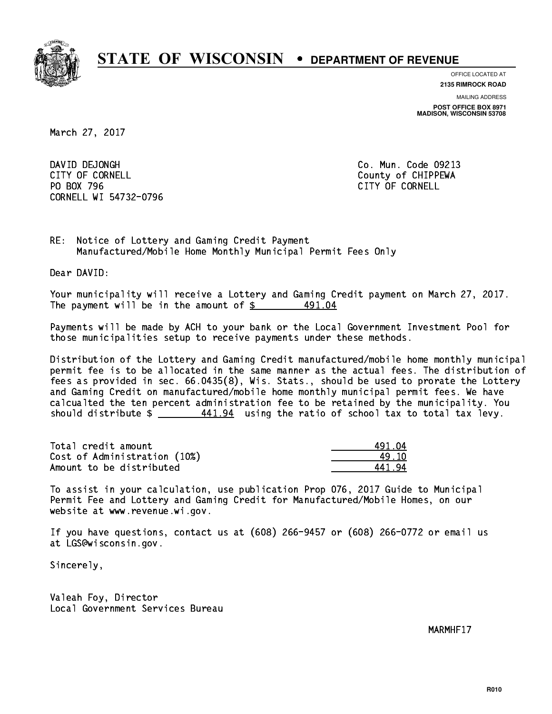

**OFFICE LOCATED AT**

**2135 RIMROCK ROAD**

**MAILING ADDRESS**

**POST OFFICE BOX 8971 MADISON, WISCONSIN 53708**

March 27, 2017

DAVID DEJONGH CITY OF CORNELL CITY OF COUNTLE COUNTRY OF CHIPPEWA PO BOX 796 CITY OF CORNELL CORNELL WI 54732-0796

Co. Mun. Code 09213

RE: Notice of Lottery and Gaming Credit Payment Manufactured/Mobile Home Monthly Municipal Permit Fees Only

Dear DAVID:

 Your municipality will receive a Lottery and Gaming Credit payment on March 27, 2017. The payment will be in the amount of \$ 491.04 \_\_\_\_\_\_\_\_\_\_\_\_\_\_\_\_

 Payments will be made by ACH to your bank or the Local Government Investment Pool for those municipalities setup to receive payments under these methods.

 Distribution of the Lottery and Gaming Credit manufactured/mobile home monthly municipal permit fee is to be allocated in the same manner as the actual fees. The distribution of fees as provided in sec. 66.0435(8), Wis. Stats., should be used to prorate the Lottery and Gaming Credit on manufactured/mobile home monthly municipal permit fees. We have calcualted the ten percent administration fee to be retained by the municipality. You should distribute  $\frac{441.94}{2}$  using the ratio of school tax to total tax levy.

| Total credit amount          | 491 N4 |
|------------------------------|--------|
| Cost of Administration (10%) | 49. ID |
| Amount to be distributed     | 441 94 |

 To assist in your calculation, use publication Prop 076, 2017 Guide to Municipal Permit Fee and Lottery and Gaming Credit for Manufactured/Mobile Homes, on our website at www.revenue.wi.gov.

 If you have questions, contact us at (608) 266-9457 or (608) 266-0772 or email us at LGS@wisconsin.gov.

Sincerely,

 Valeah Foy, Director Local Government Services Bureau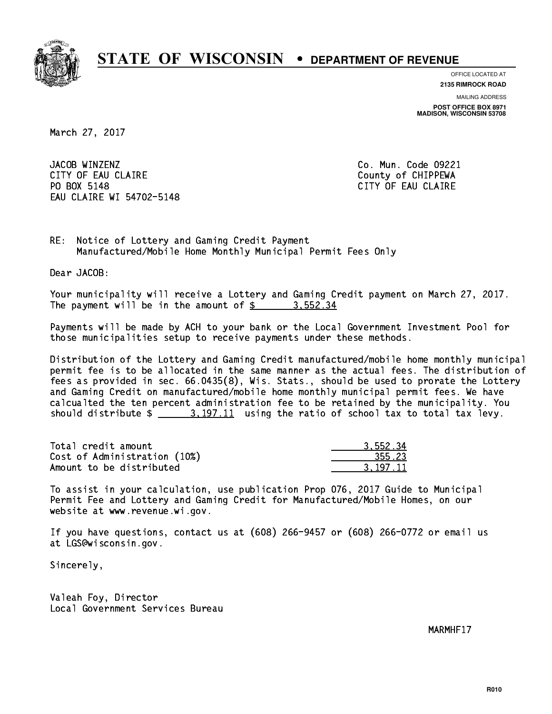

**OFFICE LOCATED AT 2135 RIMROCK ROAD**

**MAILING ADDRESS**

**POST OFFICE BOX 8971 MADISON, WISCONSIN 53708**

March 27, 2017

JACOB WINZENZ CITY OF EAU CLAIRE **COUNTY COUNTY OF CHIPPEWA** PO BOX 5148 EAU CLAIRE WI 54702-5148

Co. Mun. Code 09221 CITY OF EAU CLAIRE

RE: Notice of Lottery and Gaming Credit Payment Manufactured/Mobile Home Monthly Municipal Permit Fees Only

Dear JACOB:

 Your municipality will receive a Lottery and Gaming Credit payment on March 27, 2017. The payment will be in the amount of  $\frac{2}{3}$  3,552.34

 Payments will be made by ACH to your bank or the Local Government Investment Pool for those municipalities setup to receive payments under these methods.

 Distribution of the Lottery and Gaming Credit manufactured/mobile home monthly municipal permit fee is to be allocated in the same manner as the actual fees. The distribution of fees as provided in sec. 66.0435(8), Wis. Stats., should be used to prorate the Lottery and Gaming Credit on manufactured/mobile home monthly municipal permit fees. We have calcualted the ten percent administration fee to be retained by the municipality. You should distribute  $\frac{2}{1}$   $\frac{3.197.11}{2}$  using the ratio of school tax to total tax levy.

| Total credit amount          | 3.552.34 |
|------------------------------|----------|
| Cost of Administration (10%) | 355.23   |
| Amount to be distributed     | 3.197.11 |

 To assist in your calculation, use publication Prop 076, 2017 Guide to Municipal Permit Fee and Lottery and Gaming Credit for Manufactured/Mobile Homes, on our website at www.revenue.wi.gov.

 If you have questions, contact us at (608) 266-9457 or (608) 266-0772 or email us at LGS@wisconsin.gov.

Sincerely,

 Valeah Foy, Director Local Government Services Bureau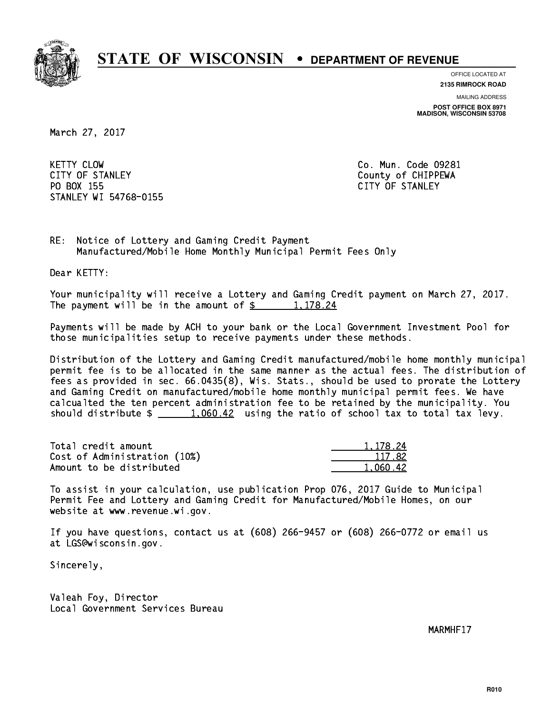

**OFFICE LOCATED AT 2135 RIMROCK ROAD**

**MAILING ADDRESS POST OFFICE BOX 8971 MADISON, WISCONSIN 53708**

March 27, 2017

**KETTY CLOW** CITY OF STANLEY COUNTY COUNTY OF STANLEY PO BOX 155 CITY OF STANLEY STANLEY WI 54768-0155

Co. Mun. Code 09281

RE: Notice of Lottery and Gaming Credit Payment Manufactured/Mobile Home Monthly Municipal Permit Fees Only

Dear KETTY:

 Your municipality will receive a Lottery and Gaming Credit payment on March 27, 2017. The payment will be in the amount of  $\frac{2}{3}$  1,178.24

 Payments will be made by ACH to your bank or the Local Government Investment Pool for those municipalities setup to receive payments under these methods.

 Distribution of the Lottery and Gaming Credit manufactured/mobile home monthly municipal permit fee is to be allocated in the same manner as the actual fees. The distribution of fees as provided in sec. 66.0435(8), Wis. Stats., should be used to prorate the Lottery and Gaming Credit on manufactured/mobile home monthly municipal permit fees. We have calcualted the ten percent administration fee to be retained by the municipality. You should distribute  $\frac{1,060.42}{1,060.42}$  using the ratio of school tax to total tax levy.

| Total credit amount          | 1.178.24 |
|------------------------------|----------|
| Cost of Administration (10%) | 117.82   |
| Amount to be distributed     | 1.060.42 |

 To assist in your calculation, use publication Prop 076, 2017 Guide to Municipal Permit Fee and Lottery and Gaming Credit for Manufactured/Mobile Homes, on our website at www.revenue.wi.gov.

 If you have questions, contact us at (608) 266-9457 or (608) 266-0772 or email us at LGS@wisconsin.gov.

Sincerely,

 Valeah Foy, Director Local Government Services Bureau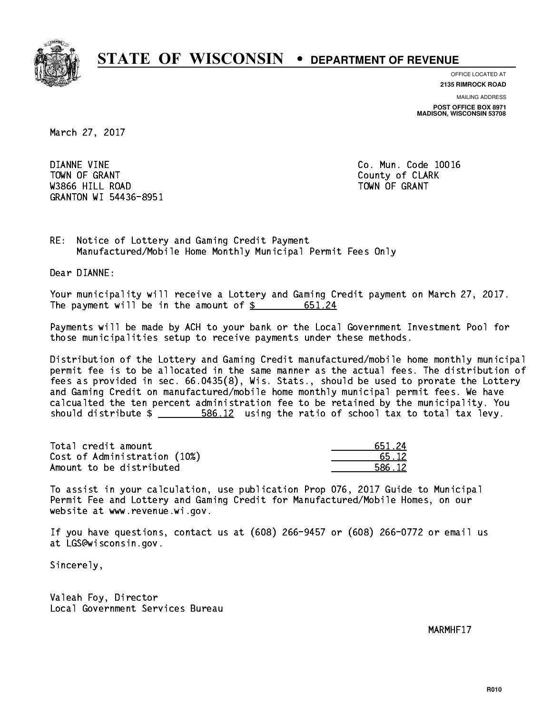

**OFFICE LOCATED AT**

**2135 RIMROCK ROAD**

**MAILING ADDRESS POST OFFICE BOX 8971 MADISON, WISCONSIN 53708**

March 27, 2017

 DIANNE VINE Co. Mun. Code 10016 Town of Grant County of Grant County of Clark County of Clark County of Clark County of Clark County of Clark was a contract of the contract of the contract of the contract of the contract of the contract of the contract of the contract of the contract of the contract of the contract of the contract of the contract of the contract GRANTON WI 54436-8951

RE: Notice of Lottery and Gaming Credit Payment Manufactured/Mobile Home Monthly Municipal Permit Fees Only

Dear DIANNE:

 Your municipality will receive a Lottery and Gaming Credit payment on March 27, 2017. The payment will be in the amount of  $\frac{2}{10}$  651.24

 Payments will be made by ACH to your bank or the Local Government Investment Pool for those municipalities setup to receive payments under these methods.

 Distribution of the Lottery and Gaming Credit manufactured/mobile home monthly municipal permit fee is to be allocated in the same manner as the actual fees. The distribution of fees as provided in sec. 66.0435(8), Wis. Stats., should be used to prorate the Lottery and Gaming Credit on manufactured/mobile home monthly municipal permit fees. We have calcualted the ten percent administration fee to be retained by the municipality. You should distribute  $\frac{2}{2}$   $\frac{586.12}{2}$  using the ratio of school tax to total tax levy.

Total credit amount Cost of Administration (10%) Amount to be distributed

| 51 24 |
|-------|
| 512   |
| i 12  |

 To assist in your calculation, use publication Prop 076, 2017 Guide to Municipal Permit Fee and Lottery and Gaming Credit for Manufactured/Mobile Homes, on our website at www.revenue.wi.gov.

 If you have questions, contact us at (608) 266-9457 or (608) 266-0772 or email us at LGS@wisconsin.gov.

Sincerely,

 Valeah Foy, Director Local Government Services Bureau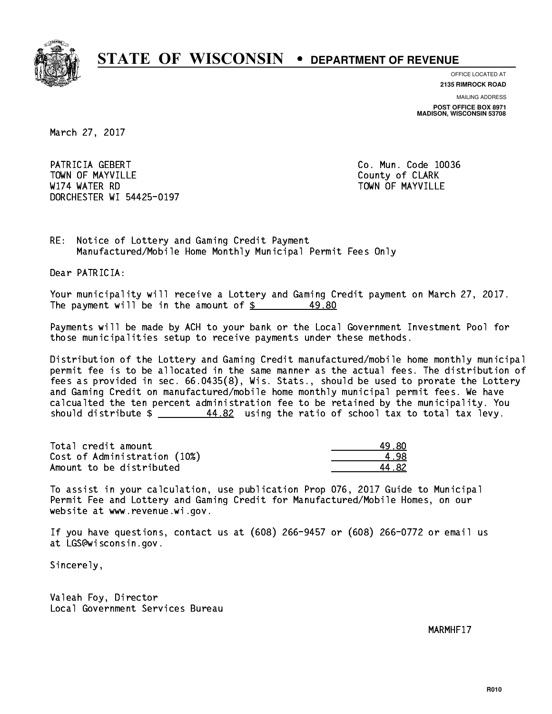

**OFFICE LOCATED AT**

**2135 RIMROCK ROAD**

**MAILING ADDRESS POST OFFICE BOX 8971 MADISON, WISCONSIN 53708**

March 27, 2017

PATRICIA GEBERT CO. Mun. Code 10036 Town of May 1988, and the County of Clark of Clark of Clark of Clark of Clark of Clark of Clark of Clark of Cl W174 WATER RD TOWN OF MAYVILLE DORCHESTER WI 54425-0197

RE: Notice of Lottery and Gaming Credit Payment Manufactured/Mobile Home Monthly Municipal Permit Fees Only

Dear PATRICIA:

 Your municipality will receive a Lottery and Gaming Credit payment on March 27, 2017. The payment will be in the amount of  $$$ 49.80

 Payments will be made by ACH to your bank or the Local Government Investment Pool for those municipalities setup to receive payments under these methods.

 Distribution of the Lottery and Gaming Credit manufactured/mobile home monthly municipal permit fee is to be allocated in the same manner as the actual fees. The distribution of fees as provided in sec. 66.0435(8), Wis. Stats., should be used to prorate the Lottery and Gaming Credit on manufactured/mobile home monthly municipal permit fees. We have calcualted the ten percent administration fee to be retained by the municipality. You should distribute  $\frac{44.82}{12}$  using the ratio of school tax to total tax levy.

Total credit amount Cost of Administration (10%) Amount to be distributed

| - 80 |
|------|
|      |
| .82  |

 To assist in your calculation, use publication Prop 076, 2017 Guide to Municipal Permit Fee and Lottery and Gaming Credit for Manufactured/Mobile Homes, on our website at www.revenue.wi.gov.

 If you have questions, contact us at (608) 266-9457 or (608) 266-0772 or email us at LGS@wisconsin.gov.

Sincerely,

 Valeah Foy, Director Local Government Services Bureau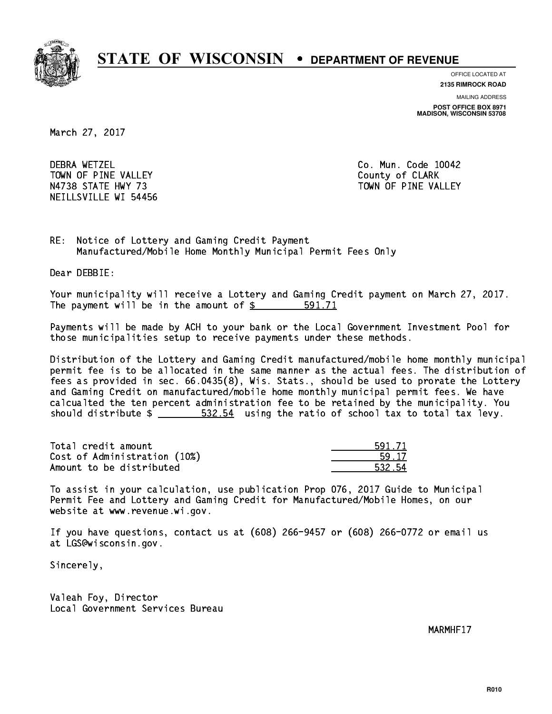

**OFFICE LOCATED AT**

**2135 RIMROCK ROAD**

**MAILING ADDRESS POST OFFICE BOX 8971 MADISON, WISCONSIN 53708**

March 27, 2017

**DEBRA WETZEL** TOWN OF PINE VALLEY **COUNTY COULD A TOWAL COULD A COULD A** County of CLARK N4738 STATE HWY 73 TOWN OF PINE VALLEY NEILLSVILLE WI 54456

Co. Mun. Code 10042

RE: Notice of Lottery and Gaming Credit Payment Manufactured/Mobile Home Monthly Municipal Permit Fees Only

Dear DEBBIE:

 Your municipality will receive a Lottery and Gaming Credit payment on March 27, 2017. The payment will be in the amount of \$ 591.71 \_\_\_\_\_\_\_\_\_\_\_\_\_\_\_\_

 Payments will be made by ACH to your bank or the Local Government Investment Pool for those municipalities setup to receive payments under these methods.

 Distribution of the Lottery and Gaming Credit manufactured/mobile home monthly municipal permit fee is to be allocated in the same manner as the actual fees. The distribution of fees as provided in sec. 66.0435(8), Wis. Stats., should be used to prorate the Lottery and Gaming Credit on manufactured/mobile home monthly municipal permit fees. We have calcualted the ten percent administration fee to be retained by the municipality. You should distribute  $\frac{2}{1}$   $\frac{532.54}{1000}$  using the ratio of school tax to total tax levy.

Total credit amount Cost of Administration (10%) Amount to be distributed

| 1.71  |
|-------|
| -17   |
| -12 - |

 To assist in your calculation, use publication Prop 076, 2017 Guide to Municipal Permit Fee and Lottery and Gaming Credit for Manufactured/Mobile Homes, on our website at www.revenue.wi.gov.

 If you have questions, contact us at (608) 266-9457 or (608) 266-0772 or email us at LGS@wisconsin.gov.

Sincerely,

 Valeah Foy, Director Local Government Services Bureau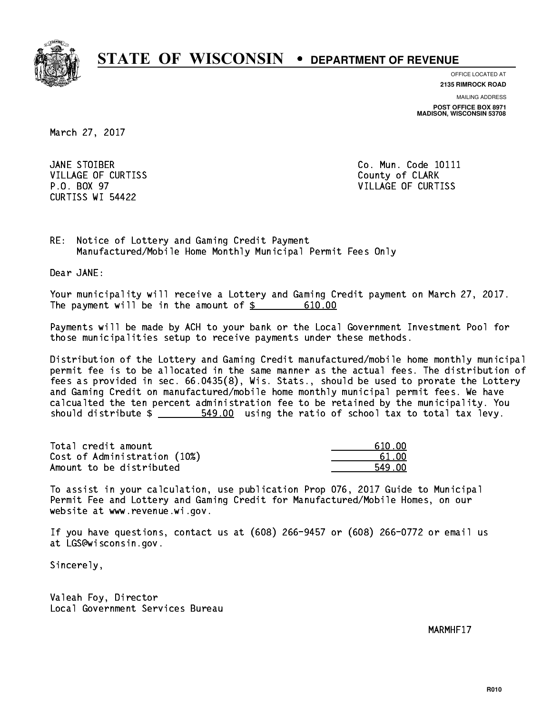

**OFFICE LOCATED AT**

**2135 RIMROCK ROAD**

**MAILING ADDRESS POST OFFICE BOX 8971 MADISON, WISCONSIN 53708**

March 27, 2017

JANE STOIBER VILLAGE OF CURTISS **County of CLARK** CURTISS WI 54422

Co. Mun. Code 10111 P.O. BOX 97 VILLAGE OF CURTISS

RE: Notice of Lottery and Gaming Credit Payment Manufactured/Mobile Home Monthly Municipal Permit Fees Only

Dear JANE:

 Your municipality will receive a Lottery and Gaming Credit payment on March 27, 2017. The payment will be in the amount of \$ 610.00 \_\_\_\_\_\_\_\_\_\_\_\_\_\_\_\_

 Payments will be made by ACH to your bank or the Local Government Investment Pool for those municipalities setup to receive payments under these methods.

 Distribution of the Lottery and Gaming Credit manufactured/mobile home monthly municipal permit fee is to be allocated in the same manner as the actual fees. The distribution of fees as provided in sec. 66.0435(8), Wis. Stats., should be used to prorate the Lottery and Gaming Credit on manufactured/mobile home monthly municipal permit fees. We have calcualted the ten percent administration fee to be retained by the municipality. You should distribute  $\frac{2}{1}$   $\frac{549.00}{2}$  using the ratio of school tax to total tax levy.

| Total credit amount          | 610.00 |
|------------------------------|--------|
| Cost of Administration (10%) | 61 NO  |
| Amount to be distributed     | 549 NO |

| ነበ<br>610 C |
|-------------|
| 61 NN       |
| a nn        |

 To assist in your calculation, use publication Prop 076, 2017 Guide to Municipal Permit Fee and Lottery and Gaming Credit for Manufactured/Mobile Homes, on our website at www.revenue.wi.gov.

 If you have questions, contact us at (608) 266-9457 or (608) 266-0772 or email us at LGS@wisconsin.gov.

Sincerely,

 Valeah Foy, Director Local Government Services Bureau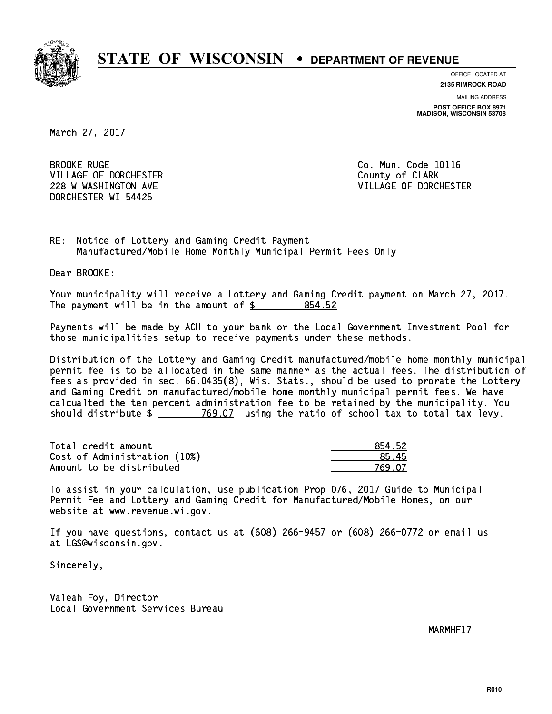

**OFFICE LOCATED AT**

**2135 RIMROCK ROAD**

**MAILING ADDRESS POST OFFICE BOX 8971 MADISON, WISCONSIN 53708**

March 27, 2017

**BROOKE RUGE** VILLAGE OF DORCHESTER **COULD ACCEPT OF CLARK** DORCHESTER WI 54425

Co. Mun. Code 10116 228 W WASHINGTON AVE **VILLAGE OF DORCHESTER** 

RE: Notice of Lottery and Gaming Credit Payment Manufactured/Mobile Home Monthly Municipal Permit Fees Only

Dear BROOKE:

 Your municipality will receive a Lottery and Gaming Credit payment on March 27, 2017. The payment will be in the amount of \$ 854.52 \_\_\_\_\_\_\_\_\_\_\_\_\_\_\_\_

 Payments will be made by ACH to your bank or the Local Government Investment Pool for those municipalities setup to receive payments under these methods.

 Distribution of the Lottery and Gaming Credit manufactured/mobile home monthly municipal permit fee is to be allocated in the same manner as the actual fees. The distribution of fees as provided in sec. 66.0435(8), Wis. Stats., should be used to prorate the Lottery and Gaming Credit on manufactured/mobile home monthly municipal permit fees. We have calcualted the ten percent administration fee to be retained by the municipality. You should distribute  $\frac{2}{2}$   $\frac{769.07}{2}$  using the ratio of school tax to total tax levy.

| Total credit amount          | 854.52 |
|------------------------------|--------|
| Cost of Administration (10%) | 85.45  |
| Amount to be distributed     | 769 N7 |

| L 52.<br>'' |
|-------------|
| . հ         |
| 7<br>- 07   |

 To assist in your calculation, use publication Prop 076, 2017 Guide to Municipal Permit Fee and Lottery and Gaming Credit for Manufactured/Mobile Homes, on our website at www.revenue.wi.gov.

 If you have questions, contact us at (608) 266-9457 or (608) 266-0772 or email us at LGS@wisconsin.gov.

Sincerely,

 Valeah Foy, Director Local Government Services Bureau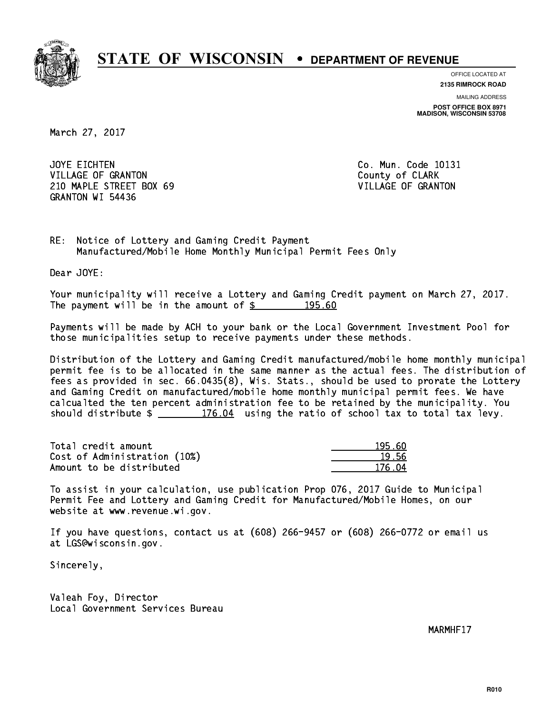

**OFFICE LOCATED AT**

**2135 RIMROCK ROAD**

**MAILING ADDRESS POST OFFICE BOX 8971 MADISON, WISCONSIN 53708**

March 27, 2017

**JOYE EICHTEN** VILLAGE OF GRANTON **COULD AT A COULD A COULD A** COUNTY OF CLARK 210 MAPLE STREET BOX 69 VILLAGE OF GRANTON GRANTON WI 54436

Co. Mun. Code 10131

RE: Notice of Lottery and Gaming Credit Payment Manufactured/Mobile Home Monthly Municipal Permit Fees Only

Dear JOYE:

 Your municipality will receive a Lottery and Gaming Credit payment on March 27, 2017. The payment will be in the amount of  $\frac{2}{3}$  195.60

 Payments will be made by ACH to your bank or the Local Government Investment Pool for those municipalities setup to receive payments under these methods.

 Distribution of the Lottery and Gaming Credit manufactured/mobile home monthly municipal permit fee is to be allocated in the same manner as the actual fees. The distribution of fees as provided in sec. 66.0435(8), Wis. Stats., should be used to prorate the Lottery and Gaming Credit on manufactured/mobile home monthly municipal permit fees. We have calcualted the ten percent administration fee to be retained by the municipality. You should distribute  $\frac{2}{2}$   $\frac{176.04}{2}$  using the ratio of school tax to total tax levy.

Total credit amount Cost of Administration (10%) Amount to be distributed

| 5.60   |
|--------|
| 9.56   |
| 176 04 |

 To assist in your calculation, use publication Prop 076, 2017 Guide to Municipal Permit Fee and Lottery and Gaming Credit for Manufactured/Mobile Homes, on our website at www.revenue.wi.gov.

 If you have questions, contact us at (608) 266-9457 or (608) 266-0772 or email us at LGS@wisconsin.gov.

Sincerely,

 Valeah Foy, Director Local Government Services Bureau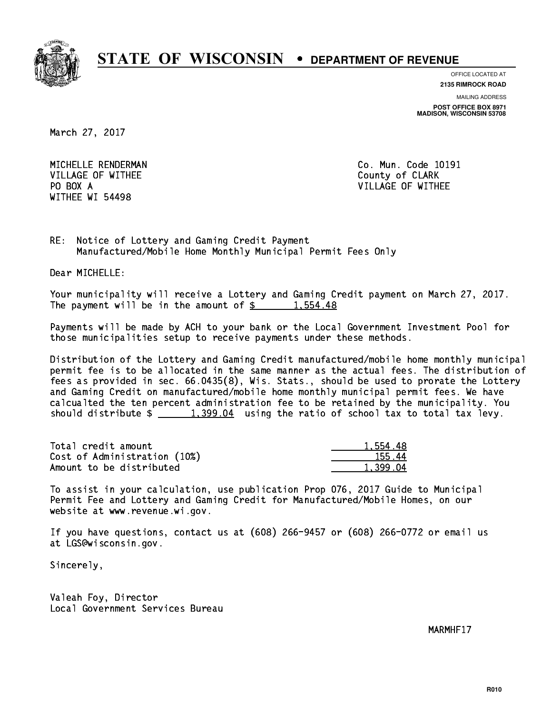

**OFFICE LOCATED AT**

**2135 RIMROCK ROAD**

**MAILING ADDRESS POST OFFICE BOX 8971 MADISON, WISCONSIN 53708**

March 27, 2017

 MICHELLE RENDERMAN Co. Mun. Code 10191 VILLAGE OF WITHEE **County of CLARK**  PO BOX A VILLAGE OF WITHEE WITHEE WI 54498

RE: Notice of Lottery and Gaming Credit Payment Manufactured/Mobile Home Monthly Municipal Permit Fees Only

Dear MICHELLE:

 Your municipality will receive a Lottery and Gaming Credit payment on March 27, 2017. The payment will be in the amount of  $\frac{2}{3}$  1,554.48

 Payments will be made by ACH to your bank or the Local Government Investment Pool for those municipalities setup to receive payments under these methods.

 Distribution of the Lottery and Gaming Credit manufactured/mobile home monthly municipal permit fee is to be allocated in the same manner as the actual fees. The distribution of fees as provided in sec. 66.0435(8), Wis. Stats., should be used to prorate the Lottery and Gaming Credit on manufactured/mobile home monthly municipal permit fees. We have calcualted the ten percent administration fee to be retained by the municipality. You should distribute  $\frac{1,399.04}{1,399.04}$  using the ratio of school tax to total tax levy.

| Total credit amount          | 1,554.48 |
|------------------------------|----------|
| Cost of Administration (10%) | 155.44   |
| Amount to be distributed     | 1.399.04 |

 To assist in your calculation, use publication Prop 076, 2017 Guide to Municipal Permit Fee and Lottery and Gaming Credit for Manufactured/Mobile Homes, on our website at www.revenue.wi.gov.

 If you have questions, contact us at (608) 266-9457 or (608) 266-0772 or email us at LGS@wisconsin.gov.

Sincerely,

 Valeah Foy, Director Local Government Services Bureau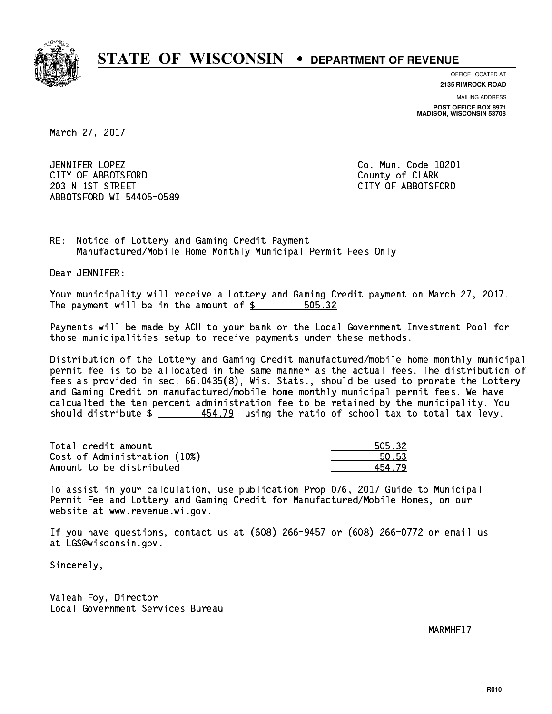

**OFFICE LOCATED AT**

**2135 RIMROCK ROAD**

**MAILING ADDRESS POST OFFICE BOX 8971 MADISON, WISCONSIN 53708**

March 27, 2017

 JENNIFER LOPEZ Co. Mun. Code 10201 CITY OF ABBOTSFORD County of CLARK 203 N 1ST STREET CITY OF ABBOTSFORD ABBOTSFORD WI 54405-0589

RE: Notice of Lottery and Gaming Credit Payment Manufactured/Mobile Home Monthly Municipal Permit Fees Only

Dear JENNIFER:

 Your municipality will receive a Lottery and Gaming Credit payment on March 27, 2017. The payment will be in the amount of  $\frac{2}{3}$ 505.32

 Payments will be made by ACH to your bank or the Local Government Investment Pool for those municipalities setup to receive payments under these methods.

 Distribution of the Lottery and Gaming Credit manufactured/mobile home monthly municipal permit fee is to be allocated in the same manner as the actual fees. The distribution of fees as provided in sec. 66.0435(8), Wis. Stats., should be used to prorate the Lottery and Gaming Credit on manufactured/mobile home monthly municipal permit fees. We have calcualted the ten percent administration fee to be retained by the municipality. You should distribute  $\frac{454.79}{1000}$  using the ratio of school tax to total tax levy.

Total credit amount Cost of Administration (10%) Amount to be distributed

| 15.32 |
|-------|
| - 53  |
| - 79  |

 To assist in your calculation, use publication Prop 076, 2017 Guide to Municipal Permit Fee and Lottery and Gaming Credit for Manufactured/Mobile Homes, on our website at www.revenue.wi.gov.

 If you have questions, contact us at (608) 266-9457 or (608) 266-0772 or email us at LGS@wisconsin.gov.

Sincerely,

 Valeah Foy, Director Local Government Services Bureau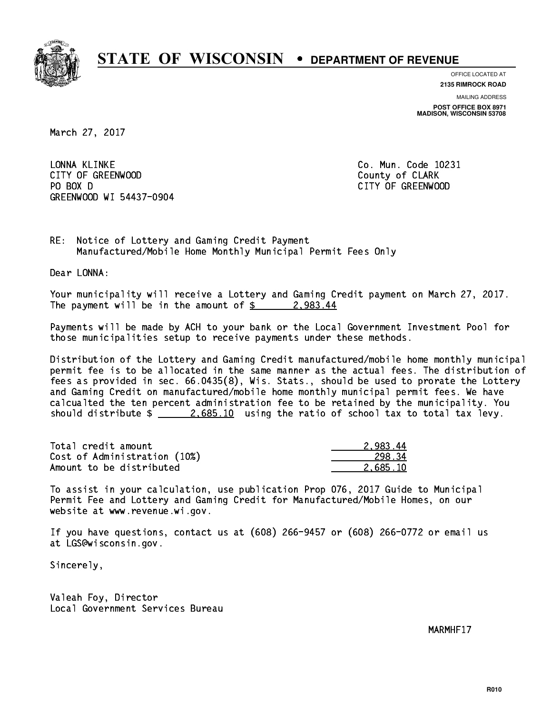

**OFFICE LOCATED AT**

**2135 RIMROCK ROAD**

**MAILING ADDRESS POST OFFICE BOX 8971 MADISON, WISCONSIN 53708**

March 27, 2017

 LONNA KLINKE Co. Mun. Code 10231 CITY OF GREENWOOD COUNTY COUNTY OF CLARK PO BOX D GREENWOOD WI 54437-0904

CITY OF GREENWOOD

RE: Notice of Lottery and Gaming Credit Payment Manufactured/Mobile Home Monthly Municipal Permit Fees Only

Dear LONNA:

 Your municipality will receive a Lottery and Gaming Credit payment on March 27, 2017. The payment will be in the amount of  $\frac{2}{9}$  2,983.44

 Payments will be made by ACH to your bank or the Local Government Investment Pool for those municipalities setup to receive payments under these methods.

 Distribution of the Lottery and Gaming Credit manufactured/mobile home monthly municipal permit fee is to be allocated in the same manner as the actual fees. The distribution of fees as provided in sec. 66.0435(8), Wis. Stats., should be used to prorate the Lottery and Gaming Credit on manufactured/mobile home monthly municipal permit fees. We have calcualted the ten percent administration fee to be retained by the municipality. You should distribute  $\frac{2.685.10}{ }$  using the ratio of school tax to total tax levy.

| Total credit amount          | 2.983.44 |
|------------------------------|----------|
| Cost of Administration (10%) | 298.34   |
| Amount to be distributed     | 2.685.10 |

 To assist in your calculation, use publication Prop 076, 2017 Guide to Municipal Permit Fee and Lottery and Gaming Credit for Manufactured/Mobile Homes, on our website at www.revenue.wi.gov.

 If you have questions, contact us at (608) 266-9457 or (608) 266-0772 or email us at LGS@wisconsin.gov.

Sincerely,

 Valeah Foy, Director Local Government Services Bureau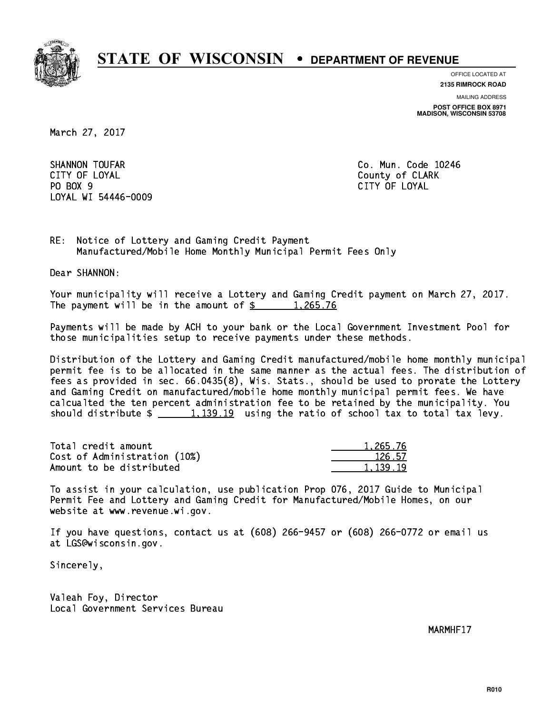

**OFFICE LOCATED AT**

**MAILING ADDRESS 2135 RIMROCK ROAD**

**POST OFFICE BOX 8971 MADISON, WISCONSIN 53708**

March 27, 2017

SHANNON TOUFAR COMMUNICATION CO. Mun. Code 10246 CITY OF LOYAL County of CLARK PO BOX 9 PO BOX 9 CITY OF LOYAL LOYAL WI 54446-0009

CITY OF LOYAL

RE: Notice of Lottery and Gaming Credit Payment Manufactured/Mobile Home Monthly Municipal Permit Fees Only

Dear SHANNON:

 Your municipality will receive a Lottery and Gaming Credit payment on March 27, 2017. The payment will be in the amount of  $\frac{2}{3}$  1,265.76

 Payments will be made by ACH to your bank or the Local Government Investment Pool for those municipalities setup to receive payments under these methods.

 Distribution of the Lottery and Gaming Credit manufactured/mobile home monthly municipal permit fee is to be allocated in the same manner as the actual fees. The distribution of fees as provided in sec. 66.0435(8), Wis. Stats., should be used to prorate the Lottery and Gaming Credit on manufactured/mobile home monthly municipal permit fees. We have calcualted the ten percent administration fee to be retained by the municipality. You should distribute  $\frac{1}{2}$   $\frac{1}{1}$   $\frac{139.19}{13}$  using the ratio of school tax to total tax levy.

| Total credit amount          | 1,265.76 |
|------------------------------|----------|
| Cost of Administration (10%) | 126.57   |
| Amount to be distributed     | 1.139.19 |

 To assist in your calculation, use publication Prop 076, 2017 Guide to Municipal Permit Fee and Lottery and Gaming Credit for Manufactured/Mobile Homes, on our website at www.revenue.wi.gov.

 If you have questions, contact us at (608) 266-9457 or (608) 266-0772 or email us at LGS@wisconsin.gov.

Sincerely,

 Valeah Foy, Director Local Government Services Bureau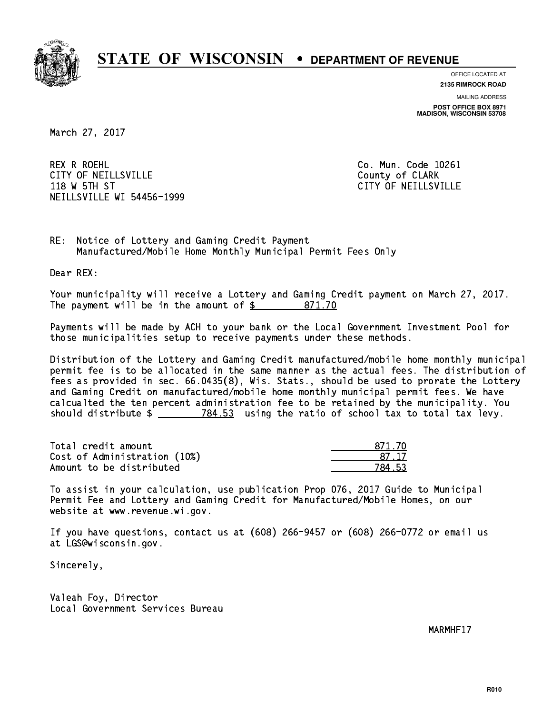

**OFFICE LOCATED AT**

**2135 RIMROCK ROAD**

**MAILING ADDRESS POST OFFICE BOX 8971 MADISON, WISCONSIN 53708**

March 27, 2017

 REX R ROEHL Co. Mun. Code 10261 CITY OF NEILLSVILLE **COUNTY COULD AND COULD COULD COULD** COUNTY OF CLARK 118 W 5TH ST CITY OF NEILLSVILLE NEILLSVILLE WI 54456-1999

RE: Notice of Lottery and Gaming Credit Payment Manufactured/Mobile Home Monthly Municipal Permit Fees Only

Dear REX:

 Your municipality will receive a Lottery and Gaming Credit payment on March 27, 2017. The payment will be in the amount of \$ 871.70 \_\_\_\_\_\_\_\_\_\_\_\_\_\_\_\_

 Payments will be made by ACH to your bank or the Local Government Investment Pool for those municipalities setup to receive payments under these methods.

 Distribution of the Lottery and Gaming Credit manufactured/mobile home monthly municipal permit fee is to be allocated in the same manner as the actual fees. The distribution of fees as provided in sec. 66.0435(8), Wis. Stats., should be used to prorate the Lottery and Gaming Credit on manufactured/mobile home monthly municipal permit fees. We have calcualted the ten percent administration fee to be retained by the municipality. You should distribute  $\frac{2}{2}$   $\frac{784.53}{2}$  using the ratio of school tax to total tax levy.

Total credit amount Cost of Administration (10%) Amount to be distributed

| 871.70  |
|---------|
| {7 . 17 |
| l 53    |

 To assist in your calculation, use publication Prop 076, 2017 Guide to Municipal Permit Fee and Lottery and Gaming Credit for Manufactured/Mobile Homes, on our website at www.revenue.wi.gov.

 If you have questions, contact us at (608) 266-9457 or (608) 266-0772 or email us at LGS@wisconsin.gov.

Sincerely,

 Valeah Foy, Director Local Government Services Bureau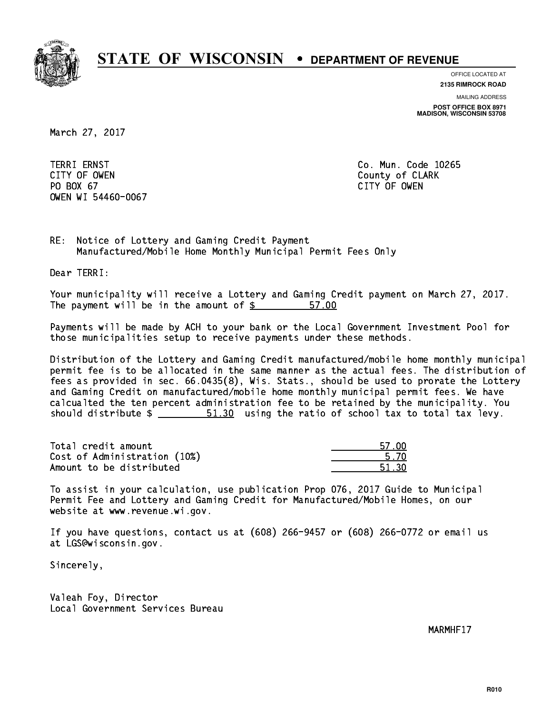

**OFFICE LOCATED AT**

**MAILING ADDRESS 2135 RIMROCK ROAD**

**POST OFFICE BOX 8971 MADISON, WISCONSIN 53708**

March 27, 2017

**TERRI ERNST**  CITY OF OWEN County of CLARK PO BOX 67 PO BOX 67 CITY OF OWEN OWEN WI 54460-0067

Co. Mun. Code 10265 CITY OF OWEN

RE: Notice of Lottery and Gaming Credit Payment Manufactured/Mobile Home Monthly Municipal Permit Fees Only

Dear TERRI:

 Your municipality will receive a Lottery and Gaming Credit payment on March 27, 2017. The payment will be in the amount of  $\frac{25}{3}$ 57.00

 Payments will be made by ACH to your bank or the Local Government Investment Pool for those municipalities setup to receive payments under these methods.

 Distribution of the Lottery and Gaming Credit manufactured/mobile home monthly municipal permit fee is to be allocated in the same manner as the actual fees. The distribution of fees as provided in sec. 66.0435(8), Wis. Stats., should be used to prorate the Lottery and Gaming Credit on manufactured/mobile home monthly municipal permit fees. We have calcualted the ten percent administration fee to be retained by the municipality. You should distribute  $\frac{2}{1}$   $\frac{51.30}{2}$  using the ratio of school tax to total tax levy.

Total credit amount Cost of Administration (10%) Amount to be distributed

| , /N |
|------|
| रा   |
|      |

 To assist in your calculation, use publication Prop 076, 2017 Guide to Municipal Permit Fee and Lottery and Gaming Credit for Manufactured/Mobile Homes, on our website at www.revenue.wi.gov.

 If you have questions, contact us at (608) 266-9457 or (608) 266-0772 or email us at LGS@wisconsin.gov.

Sincerely,

 Valeah Foy, Director Local Government Services Bureau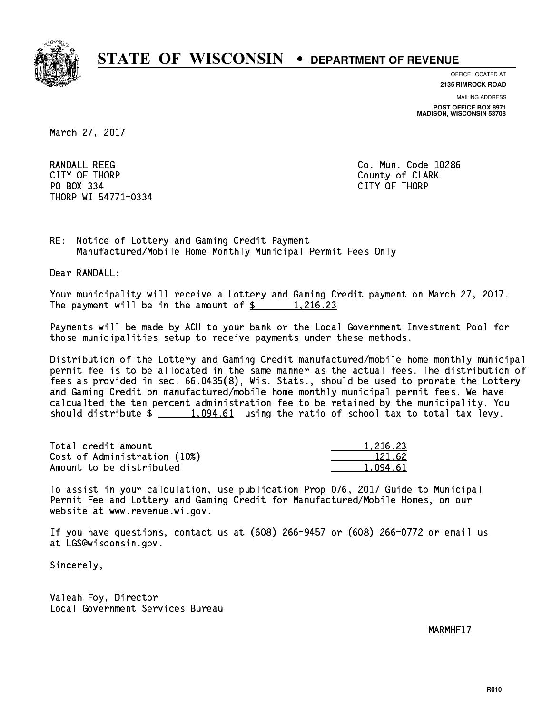

**OFFICE LOCATED AT**

**2135 RIMROCK ROAD**

**MAILING ADDRESS POST OFFICE BOX 8971 MADISON, WISCONSIN 53708**

March 27, 2017

 RANDALL REEG Co. Mun. Code 10286 CITY OF THE CITY OF THE COUNTY OF THE COUNTY OF COUNTY OF COUNTY OF COUNTY OF COUNTY OF COUNTY OF COUNTY OF COUNTY OF COUNTY OF COUNTY OF COUNTY OF COUNTY OF COUNTY OF COUNTY OF COUNTY OF COUNTY OF COUNTY OF COUNTY OF COUN PO BOX 334 PO BOX 334 CITY OF THORP THORP WI 54771-0334

RE: Notice of Lottery and Gaming Credit Payment Manufactured/Mobile Home Monthly Municipal Permit Fees Only

Dear RANDALL:

 Your municipality will receive a Lottery and Gaming Credit payment on March 27, 2017. The payment will be in the amount of  $\frac{2}{3}$  1,216.23

 Payments will be made by ACH to your bank or the Local Government Investment Pool for those municipalities setup to receive payments under these methods.

 Distribution of the Lottery and Gaming Credit manufactured/mobile home monthly municipal permit fee is to be allocated in the same manner as the actual fees. The distribution of fees as provided in sec. 66.0435(8), Wis. Stats., should be used to prorate the Lottery and Gaming Credit on manufactured/mobile home monthly municipal permit fees. We have calcualted the ten percent administration fee to be retained by the municipality. You should distribute  $\frac{1,094.61}{1,094.61}$  using the ratio of school tax to total tax levy.

| Total credit amount          | 1.216.23 |
|------------------------------|----------|
| Cost of Administration (10%) | 121.62   |
| Amount to be distributed     | 1.094.61 |

 To assist in your calculation, use publication Prop 076, 2017 Guide to Municipal Permit Fee and Lottery and Gaming Credit for Manufactured/Mobile Homes, on our website at www.revenue.wi.gov.

 If you have questions, contact us at (608) 266-9457 or (608) 266-0772 or email us at LGS@wisconsin.gov.

Sincerely,

 Valeah Foy, Director Local Government Services Bureau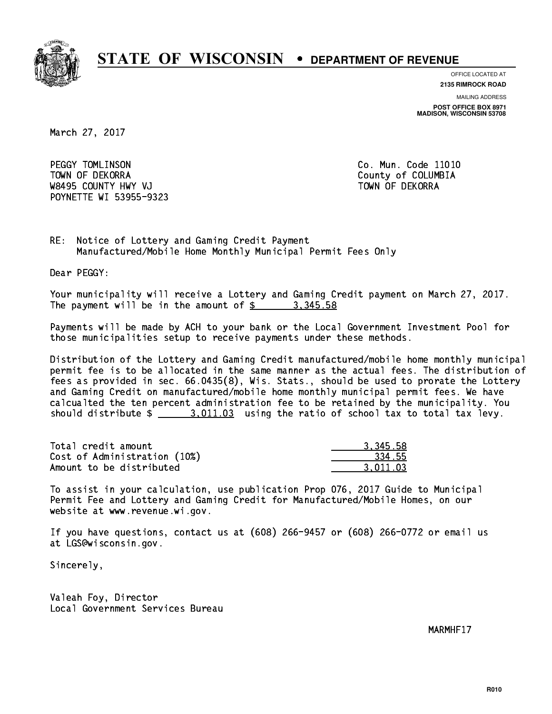

**OFFICE LOCATED AT**

**2135 RIMROCK ROAD**

**MAILING ADDRESS POST OFFICE BOX 8971 MADISON, WISCONSIN 53708**

March 27, 2017

PEGGY TOMLINSON **Co. Mun. Code 11010**  TOWN OF DEKORRA County of COLUMBIA W8495 COUNTY HWY VJ TOWN OF DEKORRA POYNETTE WI 53955-9323

RE: Notice of Lottery and Gaming Credit Payment Manufactured/Mobile Home Monthly Municipal Permit Fees Only

Dear PEGGY:

 Your municipality will receive a Lottery and Gaming Credit payment on March 27, 2017. The payment will be in the amount of  $\frac{2}{3}$  3,345.58

 Payments will be made by ACH to your bank or the Local Government Investment Pool for those municipalities setup to receive payments under these methods.

 Distribution of the Lottery and Gaming Credit manufactured/mobile home monthly municipal permit fee is to be allocated in the same manner as the actual fees. The distribution of fees as provided in sec. 66.0435(8), Wis. Stats., should be used to prorate the Lottery and Gaming Credit on manufactured/mobile home monthly municipal permit fees. We have calcualted the ten percent administration fee to be retained by the municipality. You should distribute  $\frac{2.011.03}{2}$  using the ratio of school tax to total tax levy.

| Total credit amount          | 3.345.58 |
|------------------------------|----------|
| Cost of Administration (10%) | 334.55   |
| Amount to be distributed     | 3.011.03 |

 To assist in your calculation, use publication Prop 076, 2017 Guide to Municipal Permit Fee and Lottery and Gaming Credit for Manufactured/Mobile Homes, on our website at www.revenue.wi.gov.

 If you have questions, contact us at (608) 266-9457 or (608) 266-0772 or email us at LGS@wisconsin.gov.

Sincerely,

 Valeah Foy, Director Local Government Services Bureau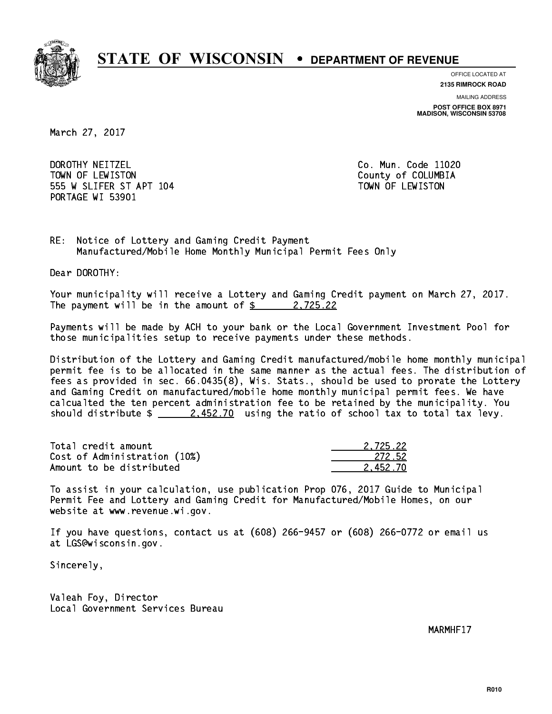

**OFFICE LOCATED AT**

**2135 RIMROCK ROAD**

**MAILING ADDRESS POST OFFICE BOX 8971 MADISON, WISCONSIN 53708**

March 27, 2017

DOROTHY NEITZEL TOWN OF LEWISTON County of COLUMBIA 555 W SLIFER ST APT 104 TOWN OF LEWISTON PORTAGE WI 53901

Co. Mun. Code 11020

RE: Notice of Lottery and Gaming Credit Payment Manufactured/Mobile Home Monthly Municipal Permit Fees Only

Dear DOROTHY:

 Your municipality will receive a Lottery and Gaming Credit payment on March 27, 2017. The payment will be in the amount of  $\frac{2}{3}$  2,725.22

 Payments will be made by ACH to your bank or the Local Government Investment Pool for those municipalities setup to receive payments under these methods.

 Distribution of the Lottery and Gaming Credit manufactured/mobile home monthly municipal permit fee is to be allocated in the same manner as the actual fees. The distribution of fees as provided in sec. 66.0435(8), Wis. Stats., should be used to prorate the Lottery and Gaming Credit on manufactured/mobile home monthly municipal permit fees. We have calcualted the ten percent administration fee to be retained by the municipality. You should distribute  $\frac{2.452.70}{ }$  using the ratio of school tax to total tax levy.

| Total credit amount          | 2.725.22 |
|------------------------------|----------|
| Cost of Administration (10%) | 272.52   |
| Amount to be distributed     | 2.452.70 |

 To assist in your calculation, use publication Prop 076, 2017 Guide to Municipal Permit Fee and Lottery and Gaming Credit for Manufactured/Mobile Homes, on our website at www.revenue.wi.gov.

 If you have questions, contact us at (608) 266-9457 or (608) 266-0772 or email us at LGS@wisconsin.gov.

Sincerely,

 Valeah Foy, Director Local Government Services Bureau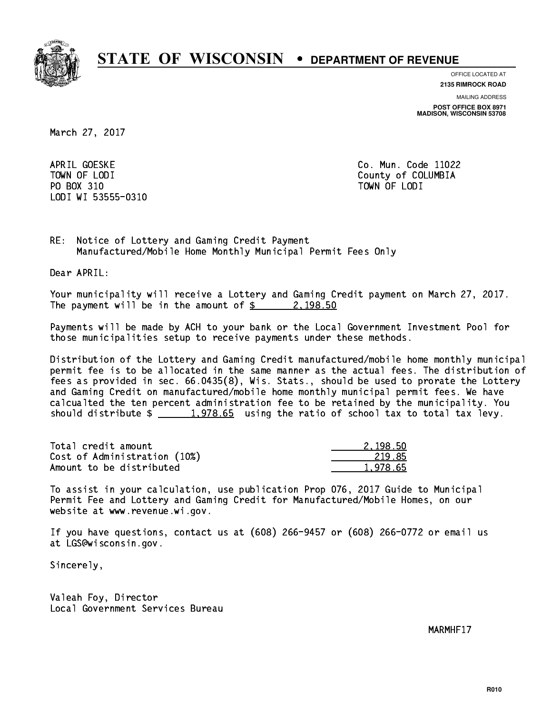

**OFFICE LOCATED AT**

**2135 RIMROCK ROAD**

**MAILING ADDRESS POST OFFICE BOX 8971 MADISON, WISCONSIN 53708**

March 27, 2017

APRIL GOESKE PO BOX 310 TOWN OF LODI LODI WI 53555-0310

Co. Mun. Code 11022 TOWN OF LODI County of COLUMBIA

RE: Notice of Lottery and Gaming Credit Payment Manufactured/Mobile Home Monthly Municipal Permit Fees Only

Dear APRIL:

 Your municipality will receive a Lottery and Gaming Credit payment on March 27, 2017. The payment will be in the amount of  $\frac{2}{3}$  2,198.50

 Payments will be made by ACH to your bank or the Local Government Investment Pool for those municipalities setup to receive payments under these methods.

 Distribution of the Lottery and Gaming Credit manufactured/mobile home monthly municipal permit fee is to be allocated in the same manner as the actual fees. The distribution of fees as provided in sec. 66.0435(8), Wis. Stats., should be used to prorate the Lottery and Gaming Credit on manufactured/mobile home monthly municipal permit fees. We have calcualted the ten percent administration fee to be retained by the municipality. You should distribute  $\frac{1,978.65}{1,978.65}$  using the ratio of school tax to total tax levy.

| Total credit amount          | 2.198.50 |
|------------------------------|----------|
| Cost of Administration (10%) | 219.85   |
| Amount to be distributed     | 1,978.65 |

 To assist in your calculation, use publication Prop 076, 2017 Guide to Municipal Permit Fee and Lottery and Gaming Credit for Manufactured/Mobile Homes, on our website at www.revenue.wi.gov.

 If you have questions, contact us at (608) 266-9457 or (608) 266-0772 or email us at LGS@wisconsin.gov.

Sincerely,

 Valeah Foy, Director Local Government Services Bureau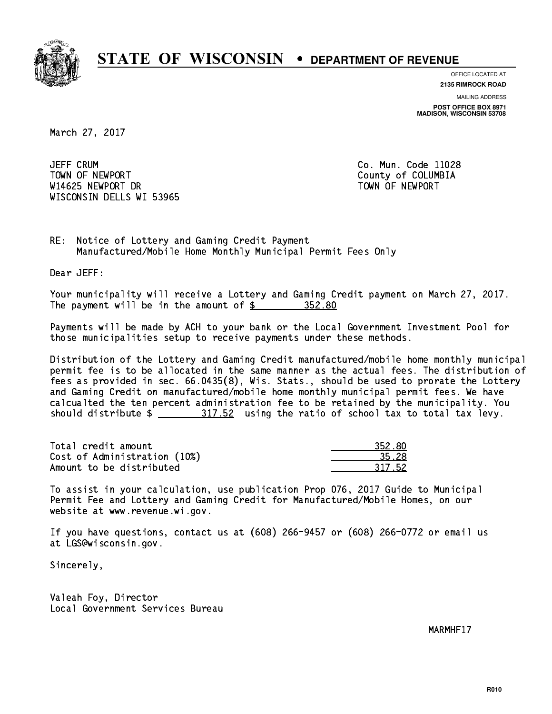

**OFFICE LOCATED AT**

**2135 RIMROCK ROAD**

**MAILING ADDRESS POST OFFICE BOX 8971 MADISON, WISCONSIN 53708**

March 27, 2017

**JEFF CRUM**  TOWN OF NEWPORT County of COLUMBIA W14625 NEWPORT DR TOWN OF NEWPORT WISCONSIN DELLS WI 53965

Co. Mun. Code 11028

RE: Notice of Lottery and Gaming Credit Payment Manufactured/Mobile Home Monthly Municipal Permit Fees Only

Dear JEFF:

 Your municipality will receive a Lottery and Gaming Credit payment on March 27, 2017. The payment will be in the amount of \$ 352.80 \_\_\_\_\_\_\_\_\_\_\_\_\_\_\_\_

 Payments will be made by ACH to your bank or the Local Government Investment Pool for those municipalities setup to receive payments under these methods.

 Distribution of the Lottery and Gaming Credit manufactured/mobile home monthly municipal permit fee is to be allocated in the same manner as the actual fees. The distribution of fees as provided in sec. 66.0435(8), Wis. Stats., should be used to prorate the Lottery and Gaming Credit on manufactured/mobile home monthly municipal permit fees. We have calcualted the ten percent administration fee to be retained by the municipality. You should distribute  $\frac{2 \cdot 317.52}{2}$  using the ratio of school tax to total tax levy.

Total credit amount Cost of Administration (10%) Amount to be distributed

| וז<br>.2 J |
|------------|
|            |
| 17<br>-52  |

 To assist in your calculation, use publication Prop 076, 2017 Guide to Municipal Permit Fee and Lottery and Gaming Credit for Manufactured/Mobile Homes, on our website at www.revenue.wi.gov.

 If you have questions, contact us at (608) 266-9457 or (608) 266-0772 or email us at LGS@wisconsin.gov.

Sincerely,

 Valeah Foy, Director Local Government Services Bureau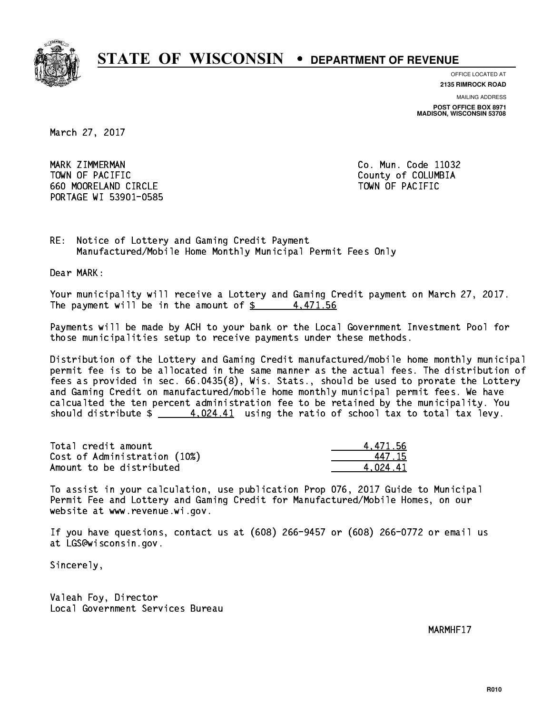

**OFFICE LOCATED AT**

**2135 RIMROCK ROAD**

**MAILING ADDRESS POST OFFICE BOX 8971 MADISON, WISCONSIN 53708**

March 27, 2017

MARK ZIMMERMAN TOWN OF PACIFIC **COUNTY COUNTY OF COLUMBIA** 660 MOORELAND CIRCLE TOWN OF PACIFIC PORTAGE WI 53901-0585

Co. Mun. Code 11032

RE: Notice of Lottery and Gaming Credit Payment Manufactured/Mobile Home Monthly Municipal Permit Fees Only

Dear MARK:

 Your municipality will receive a Lottery and Gaming Credit payment on March 27, 2017. The payment will be in the amount of  $\frac{2}{3}$  4,471.56

 Payments will be made by ACH to your bank or the Local Government Investment Pool for those municipalities setup to receive payments under these methods.

 Distribution of the Lottery and Gaming Credit manufactured/mobile home monthly municipal permit fee is to be allocated in the same manner as the actual fees. The distribution of fees as provided in sec. 66.0435(8), Wis. Stats., should be used to prorate the Lottery and Gaming Credit on manufactured/mobile home monthly municipal permit fees. We have calcualted the ten percent administration fee to be retained by the municipality. You should distribute  $\frac{4.024.41}{2}$  using the ratio of school tax to total tax levy.

| Total credit amount          | 4.471.56 |
|------------------------------|----------|
| Cost of Administration (10%) | 447 15   |
| Amount to be distributed     | 4.024.41 |

 To assist in your calculation, use publication Prop 076, 2017 Guide to Municipal Permit Fee and Lottery and Gaming Credit for Manufactured/Mobile Homes, on our website at www.revenue.wi.gov.

 If you have questions, contact us at (608) 266-9457 or (608) 266-0772 or email us at LGS@wisconsin.gov.

Sincerely,

 Valeah Foy, Director Local Government Services Bureau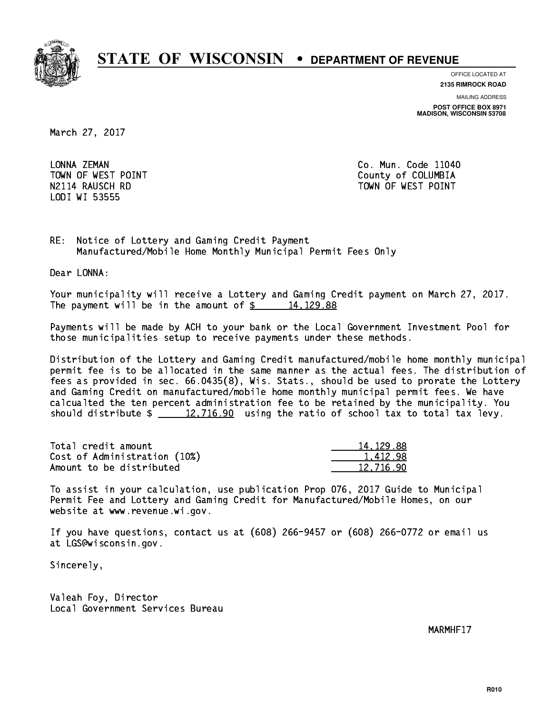

**OFFICE LOCATED AT**

**2135 RIMROCK ROAD**

**MAILING ADDRESS POST OFFICE BOX 8971 MADISON, WISCONSIN 53708**

March 27, 2017

 LONNA ZEMAN Co. Mun. Code 11040 LODI WI 53555

 TOWN OF WEST POINT County of COLUMBIA N2114 RAUSCH RD TOWN OF WEST POINT

RE: Notice of Lottery and Gaming Credit Payment Manufactured/Mobile Home Monthly Municipal Permit Fees Only

Dear LONNA:

 Your municipality will receive a Lottery and Gaming Credit payment on March 27, 2017. The payment will be in the amount of  $\frac{2}{3}$  14,129.88

 Payments will be made by ACH to your bank or the Local Government Investment Pool for those municipalities setup to receive payments under these methods.

 Distribution of the Lottery and Gaming Credit manufactured/mobile home monthly municipal permit fee is to be allocated in the same manner as the actual fees. The distribution of fees as provided in sec. 66.0435(8), Wis. Stats., should be used to prorate the Lottery and Gaming Credit on manufactured/mobile home monthly municipal permit fees. We have calcualted the ten percent administration fee to be retained by the municipality. You should distribute  $\frac{2}{2}$   $\frac{12,716.90}{2}$  using the ratio of school tax to total tax levy.

| Total credit amount          | 14, 129, 88 |
|------------------------------|-------------|
| Cost of Administration (10%) | 1.412.98    |
| Amount to be distributed     | 12.716.90   |

 To assist in your calculation, use publication Prop 076, 2017 Guide to Municipal Permit Fee and Lottery and Gaming Credit for Manufactured/Mobile Homes, on our website at www.revenue.wi.gov.

 If you have questions, contact us at (608) 266-9457 or (608) 266-0772 or email us at LGS@wisconsin.gov.

Sincerely,

 Valeah Foy, Director Local Government Services Bureau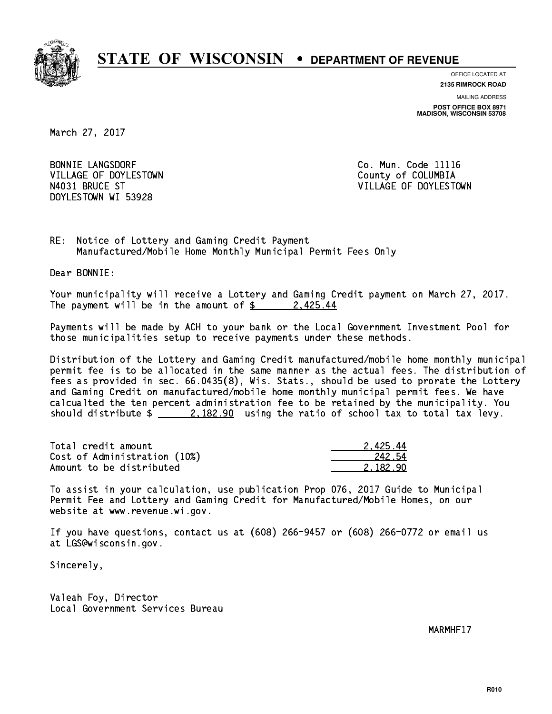

**OFFICE LOCATED AT**

**2135 RIMROCK ROAD**

**MAILING ADDRESS POST OFFICE BOX 8971 MADISON, WISCONSIN 53708**

March 27, 2017

**BONNIE LANGSDORF** VILLAGE OF DOYLESTOWN **COUNTY OF COLUMBIA** DOYLESTOWN WI 53928

Co. Mun. Code 11116 N4031 BRUCE ST VILLAGE OF DOYLESTOWN

RE: Notice of Lottery and Gaming Credit Payment Manufactured/Mobile Home Monthly Municipal Permit Fees Only

Dear BONNIE:

 Your municipality will receive a Lottery and Gaming Credit payment on March 27, 2017. The payment will be in the amount of  $\frac{2.425.44}{5.25}$ 

 Payments will be made by ACH to your bank or the Local Government Investment Pool for those municipalities setup to receive payments under these methods.

 Distribution of the Lottery and Gaming Credit manufactured/mobile home monthly municipal permit fee is to be allocated in the same manner as the actual fees. The distribution of fees as provided in sec. 66.0435(8), Wis. Stats., should be used to prorate the Lottery and Gaming Credit on manufactured/mobile home monthly municipal permit fees. We have calcualted the ten percent administration fee to be retained by the municipality. You should distribute  $\frac{2.182.90}{\sqrt{2}}$  using the ratio of school tax to total tax levy.

| Total credit amount          | 2.425.44 |
|------------------------------|----------|
| Cost of Administration (10%) | 242.54   |
| Amount to be distributed     | 2.182.90 |

 To assist in your calculation, use publication Prop 076, 2017 Guide to Municipal Permit Fee and Lottery and Gaming Credit for Manufactured/Mobile Homes, on our website at www.revenue.wi.gov.

 If you have questions, contact us at (608) 266-9457 or (608) 266-0772 or email us at LGS@wisconsin.gov.

Sincerely,

 Valeah Foy, Director Local Government Services Bureau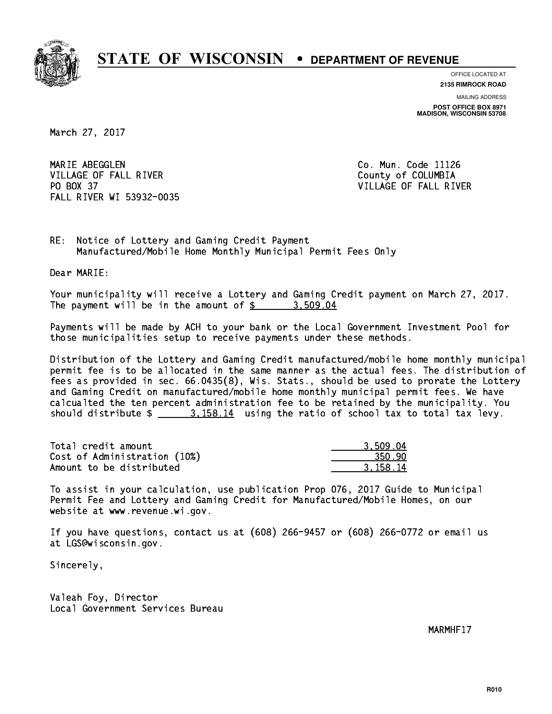

**OFFICE LOCATED AT**

**2135 RIMROCK ROAD**

**MAILING ADDRESS POST OFFICE BOX 8971 MADISON, WISCONSIN 53708**

March 27, 2017

MARIE ABEGGLEN VILLAGE OF FALL RIVER **COLLECT IN THE COLLECT OF SALE ASSESS** PO BOX 37 FALL RIVER WI 53932-0035

Co. Mun. Code 11126 VILLAGE OF FALL RIVER

RE: Notice of Lottery and Gaming Credit Payment Manufactured/Mobile Home Monthly Municipal Permit Fees Only

Dear MARIE:

 Your municipality will receive a Lottery and Gaming Credit payment on March 27, 2017. The payment will be in the amount of \$ 3,509.04 \_\_\_\_\_\_\_\_\_\_\_\_\_\_\_\_

 Payments will be made by ACH to your bank or the Local Government Investment Pool for those municipalities setup to receive payments under these methods.

 Distribution of the Lottery and Gaming Credit manufactured/mobile home monthly municipal permit fee is to be allocated in the same manner as the actual fees. The distribution of fees as provided in sec. 66.0435(8), Wis. Stats., should be used to prorate the Lottery and Gaming Credit on manufactured/mobile home monthly municipal permit fees. We have calcualted the ten percent administration fee to be retained by the municipality. You should distribute  $\frac{2}{1}$   $\frac{3.158.14}{2}$  using the ratio of school tax to total tax levy.

| Total credit amount          | 3.509.04 |
|------------------------------|----------|
| Cost of Administration (10%) | 350.90   |
| Amount to be distributed     | 3.158.14 |

 To assist in your calculation, use publication Prop 076, 2017 Guide to Municipal Permit Fee and Lottery and Gaming Credit for Manufactured/Mobile Homes, on our website at www.revenue.wi.gov.

 If you have questions, contact us at (608) 266-9457 or (608) 266-0772 or email us at LGS@wisconsin.gov.

Sincerely,

 Valeah Foy, Director Local Government Services Bureau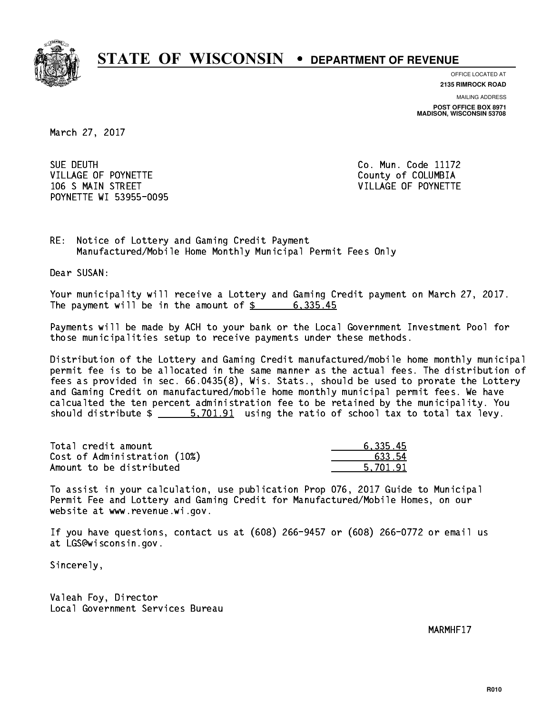

**OFFICE LOCATED AT**

**2135 RIMROCK ROAD**

**MAILING ADDRESS POST OFFICE BOX 8971 MADISON, WISCONSIN 53708**

March 27, 2017

SUE DEUTH Contract of the Contract of the Contract of Co. Mun. Code 11172 VILLAGE OF POYNETTE THE COUNTY OF COLUMBIA 106 S MAIN STREET VILLAGE OF POYNETTE POYNETTE WI 53955-0095

RE: Notice of Lottery and Gaming Credit Payment Manufactured/Mobile Home Monthly Municipal Permit Fees Only

Dear SUSAN:

 Your municipality will receive a Lottery and Gaming Credit payment on March 27, 2017. The payment will be in the amount of \$ 6,335.45 \_\_\_\_\_\_\_\_\_\_\_\_\_\_\_\_

 Payments will be made by ACH to your bank or the Local Government Investment Pool for those municipalities setup to receive payments under these methods.

 Distribution of the Lottery and Gaming Credit manufactured/mobile home monthly municipal permit fee is to be allocated in the same manner as the actual fees. The distribution of fees as provided in sec. 66.0435(8), Wis. Stats., should be used to prorate the Lottery and Gaming Credit on manufactured/mobile home monthly municipal permit fees. We have calcualted the ten percent administration fee to be retained by the municipality. You should distribute  $\frac{2}{1}$   $\frac{5,701.91}{2}$  using the ratio of school tax to total tax levy.

| Total credit amount          | 6.335.45 |
|------------------------------|----------|
| Cost of Administration (10%) | 633.54   |
| Amount to be distributed     | 5.701.91 |

 To assist in your calculation, use publication Prop 076, 2017 Guide to Municipal Permit Fee and Lottery and Gaming Credit for Manufactured/Mobile Homes, on our website at www.revenue.wi.gov.

 If you have questions, contact us at (608) 266-9457 or (608) 266-0772 or email us at LGS@wisconsin.gov.

Sincerely,

 Valeah Foy, Director Local Government Services Bureau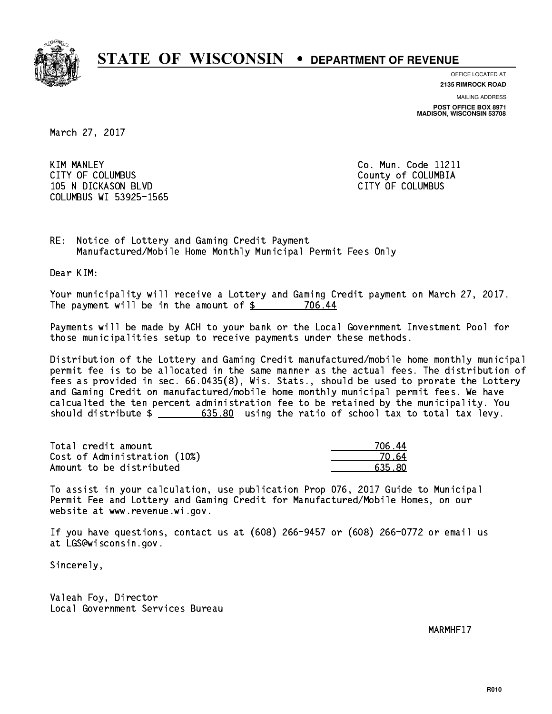

**OFFICE LOCATED AT**

**2135 RIMROCK ROAD**

**MAILING ADDRESS POST OFFICE BOX 8971 MADISON, WISCONSIN 53708**

March 27, 2017

**KIM MANLEY** CITY OF COLUMBUS COME CONSULTED A COUNTY OF COLUMBIA 105 N DICKASON BLVD CITY OF COLUMBUS COLUMBUS WI 53925-1565

Co. Mun. Code 11211

RE: Notice of Lottery and Gaming Credit Payment Manufactured/Mobile Home Monthly Municipal Permit Fees Only

Dear KIM:

 Your municipality will receive a Lottery and Gaming Credit payment on March 27, 2017. The payment will be in the amount of \$ 706.44 \_\_\_\_\_\_\_\_\_\_\_\_\_\_\_\_

 Payments will be made by ACH to your bank or the Local Government Investment Pool for those municipalities setup to receive payments under these methods.

 Distribution of the Lottery and Gaming Credit manufactured/mobile home monthly municipal permit fee is to be allocated in the same manner as the actual fees. The distribution of fees as provided in sec. 66.0435(8), Wis. Stats., should be used to prorate the Lottery and Gaming Credit on manufactured/mobile home monthly municipal permit fees. We have calcualted the ten percent administration fee to be retained by the municipality. You should distribute  $\frac{2}{1}$   $\frac{635.80}{635.80}$  using the ratio of school tax to total tax levy.

| Total credit amount          | 706 44 |
|------------------------------|--------|
| Cost of Administration (10%) | 70 64  |
| Amount to be distributed     | 635.80 |

 To assist in your calculation, use publication Prop 076, 2017 Guide to Municipal Permit Fee and Lottery and Gaming Credit for Manufactured/Mobile Homes, on our website at www.revenue.wi.gov.

 If you have questions, contact us at (608) 266-9457 or (608) 266-0772 or email us at LGS@wisconsin.gov.

Sincerely,

 Valeah Foy, Director Local Government Services Bureau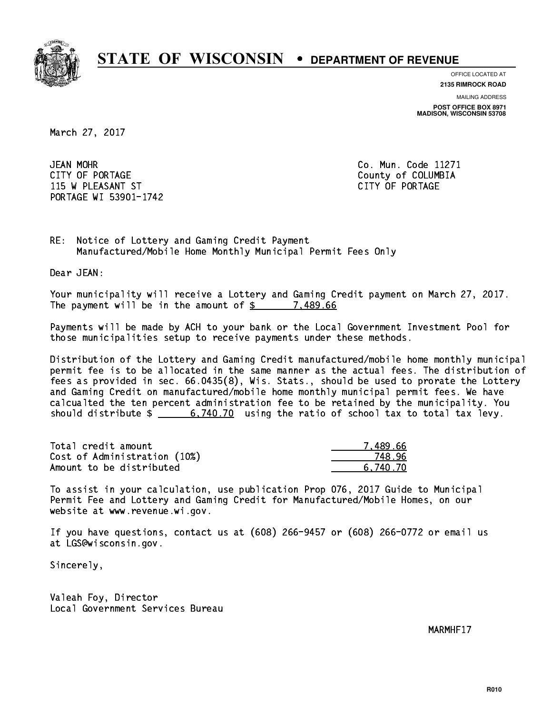

**OFFICE LOCATED AT**

**2135 RIMROCK ROAD**

**MAILING ADDRESS POST OFFICE BOX 8971 MADISON, WISCONSIN 53708**

March 27, 2017

JEAN MOHR CITY OF PORTAGE COLOMBIA 115 W PLEASANT ST CITY OF PORTAGE PORTAGE WI 53901-1742

Co. Mun. Code 11271

RE: Notice of Lottery and Gaming Credit Payment Manufactured/Mobile Home Monthly Municipal Permit Fees Only

Dear JEAN:

 Your municipality will receive a Lottery and Gaming Credit payment on March 27, 2017. The payment will be in the amount of  $\frac{2}{3}$  7,489.66

 Payments will be made by ACH to your bank or the Local Government Investment Pool for those municipalities setup to receive payments under these methods.

 Distribution of the Lottery and Gaming Credit manufactured/mobile home monthly municipal permit fee is to be allocated in the same manner as the actual fees. The distribution of fees as provided in sec. 66.0435(8), Wis. Stats., should be used to prorate the Lottery and Gaming Credit on manufactured/mobile home monthly municipal permit fees. We have calcualted the ten percent administration fee to be retained by the municipality. You should distribute  $\frac{2}{\pi}$  6,740.70 using the ratio of school tax to total tax levy.

| Total credit amount          | 7.489.66 |
|------------------------------|----------|
| Cost of Administration (10%) | 748.96   |
| Amount to be distributed     | 6.740.70 |

 To assist in your calculation, use publication Prop 076, 2017 Guide to Municipal Permit Fee and Lottery and Gaming Credit for Manufactured/Mobile Homes, on our website at www.revenue.wi.gov.

 If you have questions, contact us at (608) 266-9457 or (608) 266-0772 or email us at LGS@wisconsin.gov.

Sincerely,

 Valeah Foy, Director Local Government Services Bureau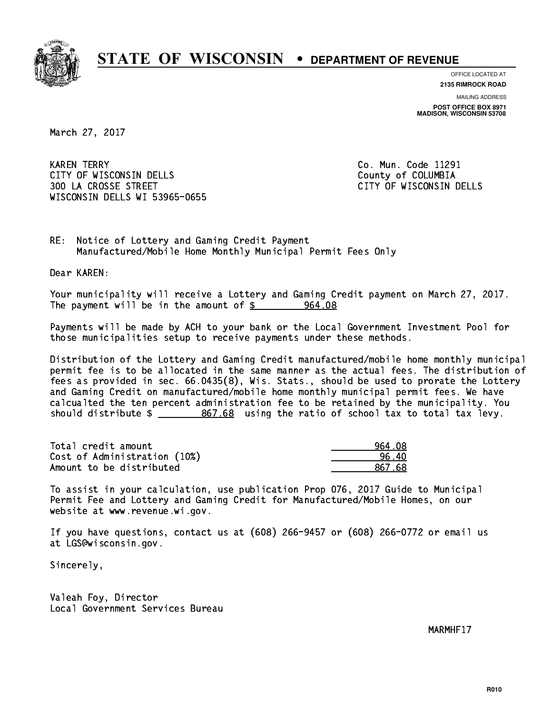

**OFFICE LOCATED AT**

**2135 RIMROCK ROAD**

**MAILING ADDRESS POST OFFICE BOX 8971 MADISON, WISCONSIN 53708**

March 27, 2017

**KAREN TERRY** CITY OF WISCONSIN DELLS COUNTY OF COLUMBIA 300 LA CROSSE STREET CITY OF WISCONSIN DELLS WISCONSIN DELLS WI 53965-0655

Co. Mun. Code 11291

RE: Notice of Lottery and Gaming Credit Payment Manufactured/Mobile Home Monthly Municipal Permit Fees Only

Dear KAREN:

 Your municipality will receive a Lottery and Gaming Credit payment on March 27, 2017. The payment will be in the amount of  $\frac{2}{3}$  964.08

 Payments will be made by ACH to your bank or the Local Government Investment Pool for those municipalities setup to receive payments under these methods.

 Distribution of the Lottery and Gaming Credit manufactured/mobile home monthly municipal permit fee is to be allocated in the same manner as the actual fees. The distribution of fees as provided in sec. 66.0435(8), Wis. Stats., should be used to prorate the Lottery and Gaming Credit on manufactured/mobile home monthly municipal permit fees. We have calcualted the ten percent administration fee to be retained by the municipality. You should distribute  $\frac{2}{2}$   $\frac{867.68}{2}$  using the ratio of school tax to total tax levy.

| Total credit amount          | 964.08 |
|------------------------------|--------|
| Cost of Administration (10%) | 96.40  |
| Amount to be distributed     | 867.68 |

 To assist in your calculation, use publication Prop 076, 2017 Guide to Municipal Permit Fee and Lottery and Gaming Credit for Manufactured/Mobile Homes, on our website at www.revenue.wi.gov.

 If you have questions, contact us at (608) 266-9457 or (608) 266-0772 or email us at LGS@wisconsin.gov.

Sincerely,

 Valeah Foy, Director Local Government Services Bureau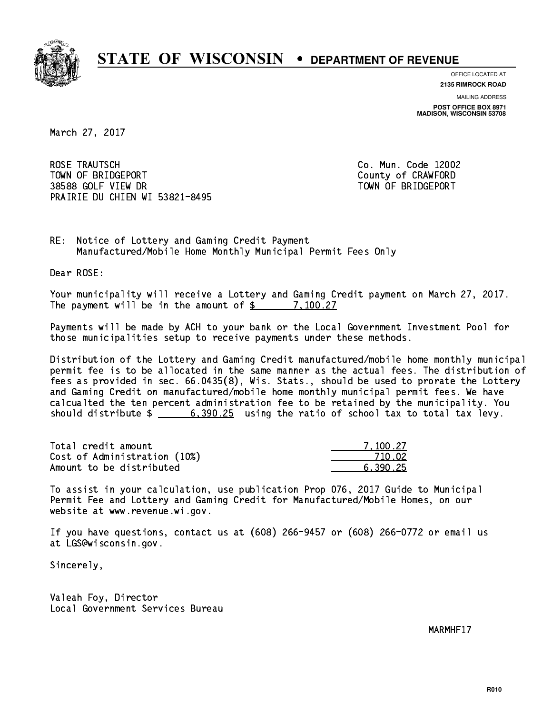

**OFFICE LOCATED AT**

**2135 RIMROCK ROAD**

**MAILING ADDRESS POST OFFICE BOX 8971 MADISON, WISCONSIN 53708**

March 27, 2017

 ROSE TRAUTSCH Co. Mun. Code 12002 TOWN OF BRIDGEPORT County of CRAWFORD 38588 GOLF VIEW DR TOWN OF BRIDGEPORT PRAIRIE DU CHIEN WI 53821-8495

RE: Notice of Lottery and Gaming Credit Payment Manufactured/Mobile Home Monthly Municipal Permit Fees Only

Dear ROSE:

 Your municipality will receive a Lottery and Gaming Credit payment on March 27, 2017. The payment will be in the amount of \$ 7,100.27 \_\_\_\_\_\_\_\_\_\_\_\_\_\_\_\_

 Payments will be made by ACH to your bank or the Local Government Investment Pool for those municipalities setup to receive payments under these methods.

 Distribution of the Lottery and Gaming Credit manufactured/mobile home monthly municipal permit fee is to be allocated in the same manner as the actual fees. The distribution of fees as provided in sec. 66.0435(8), Wis. Stats., should be used to prorate the Lottery and Gaming Credit on manufactured/mobile home monthly municipal permit fees. We have calcualted the ten percent administration fee to be retained by the municipality. You should distribute \$ 6,390.25 using the ratio of school tax to total tax levy. \_\_\_\_\_\_\_\_\_\_\_\_\_\_

| Total credit amount          | 7.100.27 |
|------------------------------|----------|
| Cost of Administration (10%) | 710.02   |
| Amount to be distributed     | 6.390.25 |

 To assist in your calculation, use publication Prop 076, 2017 Guide to Municipal Permit Fee and Lottery and Gaming Credit for Manufactured/Mobile Homes, on our website at www.revenue.wi.gov.

 If you have questions, contact us at (608) 266-9457 or (608) 266-0772 or email us at LGS@wisconsin.gov.

Sincerely,

 Valeah Foy, Director Local Government Services Bureau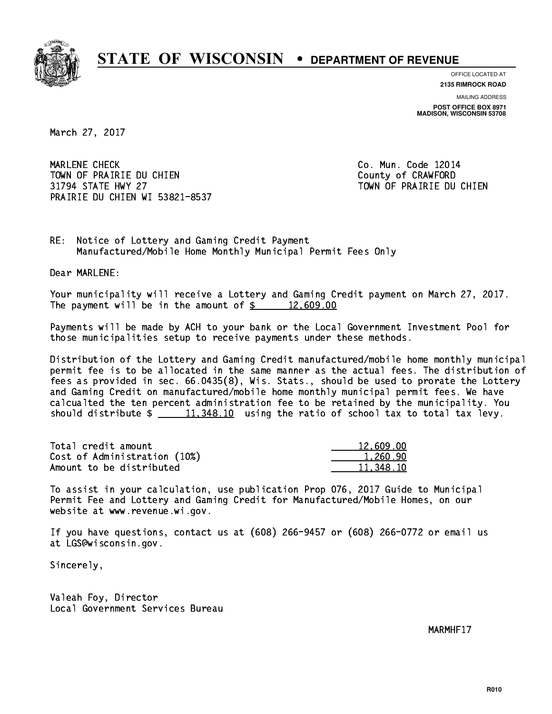

**OFFICE LOCATED AT**

**2135 RIMROCK ROAD**

**MAILING ADDRESS POST OFFICE BOX 8971 MADISON, WISCONSIN 53708**

March 27, 2017

 MARLENE CHECK Co. Mun. Code 12014 TOWN OF PRAIRIE DU CHIEN COUNTY COUNTY OF CRAWFORD 31794 STATE HWY 27 TOWN OF PRAIRIE DU CHIEN PRAIRIE DU CHIEN WI 53821-8537

RE: Notice of Lottery and Gaming Credit Payment Manufactured/Mobile Home Monthly Municipal Permit Fees Only

Dear MARLENE:

 Your municipality will receive a Lottery and Gaming Credit payment on March 27, 2017. The payment will be in the amount of  $\frac{2}{3}$  12,609.00

 Payments will be made by ACH to your bank or the Local Government Investment Pool for those municipalities setup to receive payments under these methods.

 Distribution of the Lottery and Gaming Credit manufactured/mobile home monthly municipal permit fee is to be allocated in the same manner as the actual fees. The distribution of fees as provided in sec. 66.0435(8), Wis. Stats., should be used to prorate the Lottery and Gaming Credit on manufactured/mobile home monthly municipal permit fees. We have calcualted the ten percent administration fee to be retained by the municipality. You should distribute  $\frac{11,348.10}{11,348.10}$  using the ratio of school tax to total tax levy.

| Total credit amount          | 12,609.00 |
|------------------------------|-----------|
| Cost of Administration (10%) | 1,260.90  |
| Amount to be distributed     | 11.348.10 |

 To assist in your calculation, use publication Prop 076, 2017 Guide to Municipal Permit Fee and Lottery and Gaming Credit for Manufactured/Mobile Homes, on our website at www.revenue.wi.gov.

 If you have questions, contact us at (608) 266-9457 or (608) 266-0772 or email us at LGS@wisconsin.gov.

Sincerely,

 Valeah Foy, Director Local Government Services Bureau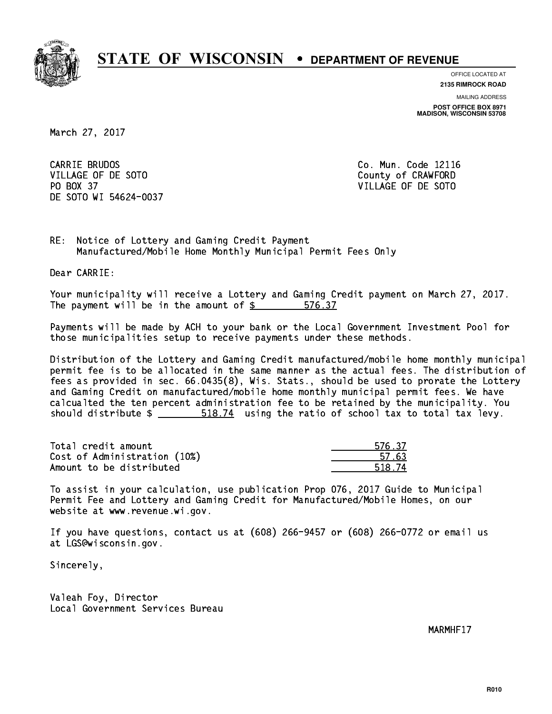

**OFFICE LOCATED AT**

**2135 RIMROCK ROAD**

**MAILING ADDRESS POST OFFICE BOX 8971 MADISON, WISCONSIN 53708**

March 27, 2017

CARRIE BRUDOS VILLAGE OF DE SOTO COUNTY OF CRAWFORD PO BOX 37 VILLAGE OF DE SOTO DE SOTO WI 54624-0037

Co. Mun. Code 12116

RE: Notice of Lottery and Gaming Credit Payment Manufactured/Mobile Home Monthly Municipal Permit Fees Only

Dear CARRIE:

 Your municipality will receive a Lottery and Gaming Credit payment on March 27, 2017. The payment will be in the amount of \$ 576.37 \_\_\_\_\_\_\_\_\_\_\_\_\_\_\_\_

 Payments will be made by ACH to your bank or the Local Government Investment Pool for those municipalities setup to receive payments under these methods.

 Distribution of the Lottery and Gaming Credit manufactured/mobile home monthly municipal permit fee is to be allocated in the same manner as the actual fees. The distribution of fees as provided in sec. 66.0435(8), Wis. Stats., should be used to prorate the Lottery and Gaming Credit on manufactured/mobile home monthly municipal permit fees. We have calcualted the ten percent administration fee to be retained by the municipality. You should distribute  $\frac{2}{10}$   $\frac{518.74}{2}$  using the ratio of school tax to total tax levy.

| Total credit amount          | 576.37 |
|------------------------------|--------|
| Cost of Administration (10%) | 57.63  |
| Amount to be distributed     | 518.74 |

 To assist in your calculation, use publication Prop 076, 2017 Guide to Municipal Permit Fee and Lottery and Gaming Credit for Manufactured/Mobile Homes, on our website at www.revenue.wi.gov.

 If you have questions, contact us at (608) 266-9457 or (608) 266-0772 or email us at LGS@wisconsin.gov.

Sincerely,

 Valeah Foy, Director Local Government Services Bureau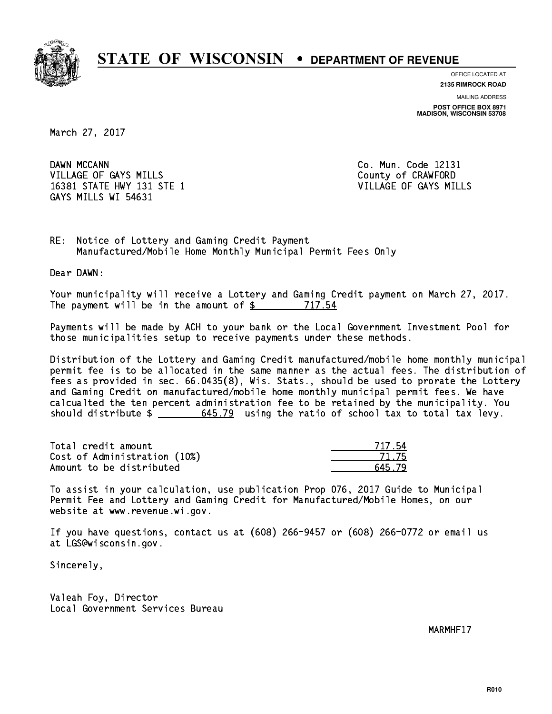

**OFFICE LOCATED AT**

**2135 RIMROCK ROAD**

**MAILING ADDRESS POST OFFICE BOX 8971 MADISON, WISCONSIN 53708**

March 27, 2017

DAWN MCCANN VILLAGE OF GAYS MILLS County of CRAWFORD 16381 STATE HWY 131 STE 1 VILLAGE OF GAYS MILLS GAYS MILLS WI 54631

Co. Mun. Code 12131

RE: Notice of Lottery and Gaming Credit Payment Manufactured/Mobile Home Monthly Municipal Permit Fees Only

Dear DAWN:

 Your municipality will receive a Lottery and Gaming Credit payment on March 27, 2017. The payment will be in the amount of \$ 717.54 \_\_\_\_\_\_\_\_\_\_\_\_\_\_\_\_

 Payments will be made by ACH to your bank or the Local Government Investment Pool for those municipalities setup to receive payments under these methods.

 Distribution of the Lottery and Gaming Credit manufactured/mobile home monthly municipal permit fee is to be allocated in the same manner as the actual fees. The distribution of fees as provided in sec. 66.0435(8), Wis. Stats., should be used to prorate the Lottery and Gaming Credit on manufactured/mobile home monthly municipal permit fees. We have calcualted the ten percent administration fee to be retained by the municipality. You should distribute  $\frac{2}{1}$   $\frac{645.79}{2}$  using the ratio of school tax to total tax levy.

Total credit amount Cost of Administration (10%) Amount to be distributed

| $117 +$ |
|---------|
| 175     |
| . 79    |

 To assist in your calculation, use publication Prop 076, 2017 Guide to Municipal Permit Fee and Lottery and Gaming Credit for Manufactured/Mobile Homes, on our website at www.revenue.wi.gov.

 If you have questions, contact us at (608) 266-9457 or (608) 266-0772 or email us at LGS@wisconsin.gov.

Sincerely,

 Valeah Foy, Director Local Government Services Bureau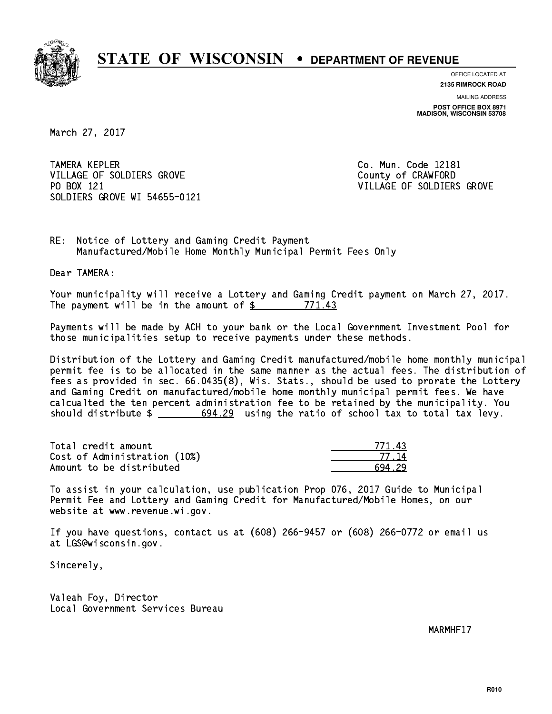

**OFFICE LOCATED AT**

**2135 RIMROCK ROAD**

**MAILING ADDRESS POST OFFICE BOX 8971 MADISON, WISCONSIN 53708**

March 27, 2017

**TAMERA KEPLER** VILLAGE OF SOLDIERS GROVE COUNTY OF CRAWFORD PO BOX 121 SOLDIERS GROVE WI 54655-0121

Co. Mun. Code 12181 VILLAGE OF SOLDIERS GROVE

RE: Notice of Lottery and Gaming Credit Payment Manufactured/Mobile Home Monthly Municipal Permit Fees Only

Dear TAMERA:

 Your municipality will receive a Lottery and Gaming Credit payment on March 27, 2017. The payment will be in the amount of \$ 771.43 \_\_\_\_\_\_\_\_\_\_\_\_\_\_\_\_

 Payments will be made by ACH to your bank or the Local Government Investment Pool for those municipalities setup to receive payments under these methods.

 Distribution of the Lottery and Gaming Credit manufactured/mobile home monthly municipal permit fee is to be allocated in the same manner as the actual fees. The distribution of fees as provided in sec. 66.0435(8), Wis. Stats., should be used to prorate the Lottery and Gaming Credit on manufactured/mobile home monthly municipal permit fees. We have calcualted the ten percent administration fee to be retained by the municipality. You should distribute  $\frac{29}{100}$  694.29 using the ratio of school tax to total tax levy.

Total credit amount Cost of Administration (10%) Amount to be distributed

| - 29. |
|-------|

 To assist in your calculation, use publication Prop 076, 2017 Guide to Municipal Permit Fee and Lottery and Gaming Credit for Manufactured/Mobile Homes, on our website at www.revenue.wi.gov.

 If you have questions, contact us at (608) 266-9457 or (608) 266-0772 or email us at LGS@wisconsin.gov.

Sincerely,

 Valeah Foy, Director Local Government Services Bureau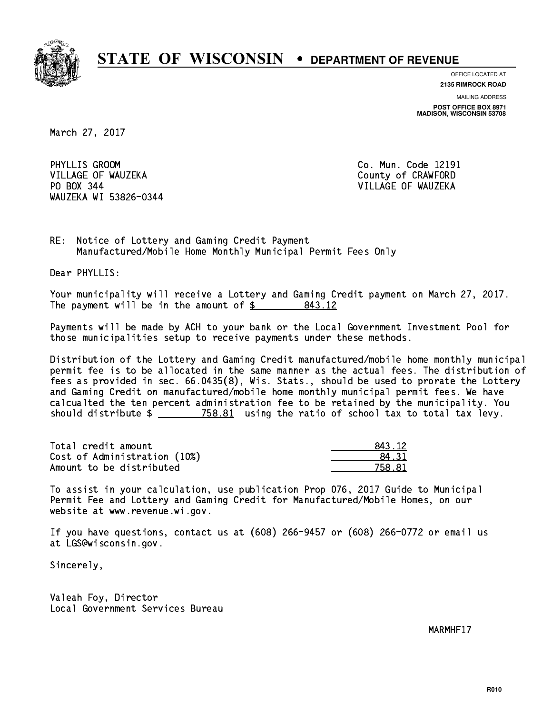

**OFFICE LOCATED AT 2135 RIMROCK ROAD**

**MAILING ADDRESS**

**POST OFFICE BOX 8971 MADISON, WISCONSIN 53708**

March 27, 2017

PHYLLIS GROOM VILLAGE OF WAUZEKA COUNTY OF CRAWFORD PO BOX 344 VILLAGE OF WAUZEKA WAUZEKA WI 53826-0344

Co. Mun. Code 12191

RE: Notice of Lottery and Gaming Credit Payment Manufactured/Mobile Home Monthly Municipal Permit Fees Only

Dear PHYLLIS:

 Your municipality will receive a Lottery and Gaming Credit payment on March 27, 2017. The payment will be in the amount of \$ 843.12 \_\_\_\_\_\_\_\_\_\_\_\_\_\_\_\_

 Payments will be made by ACH to your bank or the Local Government Investment Pool for those municipalities setup to receive payments under these methods.

 Distribution of the Lottery and Gaming Credit manufactured/mobile home monthly municipal permit fee is to be allocated in the same manner as the actual fees. The distribution of fees as provided in sec. 66.0435(8), Wis. Stats., should be used to prorate the Lottery and Gaming Credit on manufactured/mobile home monthly municipal permit fees. We have calcualted the ten percent administration fee to be retained by the municipality. You should distribute  $\frac{2}{2}$   $\frac{758.81}{2}$  using the ratio of school tax to total tax levy.

Total credit amount Cost of Administration (10%) Amount to be distributed

| 13. 12.   |
|-----------|
| $-31$     |
| ⇁<br>92 T |

 To assist in your calculation, use publication Prop 076, 2017 Guide to Municipal Permit Fee and Lottery and Gaming Credit for Manufactured/Mobile Homes, on our website at www.revenue.wi.gov.

 If you have questions, contact us at (608) 266-9457 or (608) 266-0772 or email us at LGS@wisconsin.gov.

Sincerely,

 Valeah Foy, Director Local Government Services Bureau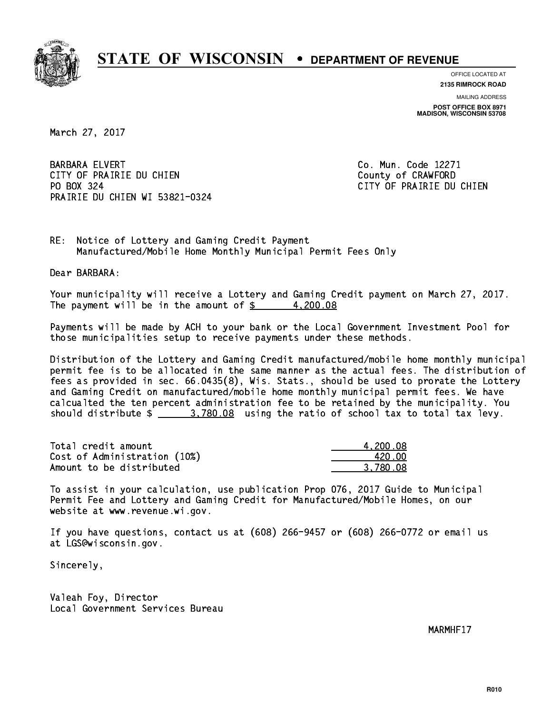

**OFFICE LOCATED AT**

**2135 RIMROCK ROAD**

**MAILING ADDRESS POST OFFICE BOX 8971 MADISON, WISCONSIN 53708**

March 27, 2017

 BARBARA ELVERT Co. Mun. Code 12271 CITY OF PRAIRIE DU CHIEN COUNTY OF CRAWFORD PO BOX 324 PRAIRIE DU CHIEN WI 53821-0324

CITY OF PRAIRIE DU CHIEN

RE: Notice of Lottery and Gaming Credit Payment Manufactured/Mobile Home Monthly Municipal Permit Fees Only

Dear BARBARA:

 Your municipality will receive a Lottery and Gaming Credit payment on March 27, 2017. The payment will be in the amount of  $\frac{2}{3}$  4,200.08

 Payments will be made by ACH to your bank or the Local Government Investment Pool for those municipalities setup to receive payments under these methods.

 Distribution of the Lottery and Gaming Credit manufactured/mobile home monthly municipal permit fee is to be allocated in the same manner as the actual fees. The distribution of fees as provided in sec. 66.0435(8), Wis. Stats., should be used to prorate the Lottery and Gaming Credit on manufactured/mobile home monthly municipal permit fees. We have calcualted the ten percent administration fee to be retained by the municipality. You should distribute  $\frac{2}{2}$   $\frac{3,780.08}{2}$  using the ratio of school tax to total tax levy.

| Total credit amount          | 4,200.08 |
|------------------------------|----------|
| Cost of Administration (10%) | -420 00  |
| Amount to be distributed     | 3.780.08 |

 To assist in your calculation, use publication Prop 076, 2017 Guide to Municipal Permit Fee and Lottery and Gaming Credit for Manufactured/Mobile Homes, on our website at www.revenue.wi.gov.

 If you have questions, contact us at (608) 266-9457 or (608) 266-0772 or email us at LGS@wisconsin.gov.

Sincerely,

 Valeah Foy, Director Local Government Services Bureau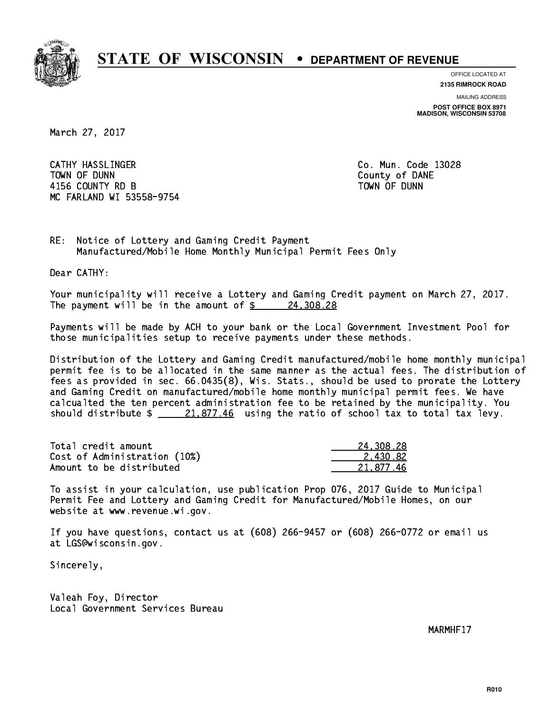

**OFFICE LOCATED AT**

**2135 RIMROCK ROAD**

**MAILING ADDRESS POST OFFICE BOX 8971 MADISON, WISCONSIN 53708**

March 27, 2017

 CATHY HASSLINGER Co. Mun. Code 13028 TOWN OF DUNN County of DANE 4156 COUNTY RD B TOWN OF DUNN MC FARLAND WI 53558-9754

RE: Notice of Lottery and Gaming Credit Payment Manufactured/Mobile Home Monthly Municipal Permit Fees Only

Dear CATHY:

 Your municipality will receive a Lottery and Gaming Credit payment on March 27, 2017. The payment will be in the amount of  $\frac{24,308.28}{24}$ 

 Payments will be made by ACH to your bank or the Local Government Investment Pool for those municipalities setup to receive payments under these methods.

 Distribution of the Lottery and Gaming Credit manufactured/mobile home monthly municipal permit fee is to be allocated in the same manner as the actual fees. The distribution of fees as provided in sec. 66.0435(8), Wis. Stats., should be used to prorate the Lottery and Gaming Credit on manufactured/mobile home monthly municipal permit fees. We have calcualted the ten percent administration fee to be retained by the municipality. You should distribute  $\frac{21,877.46}{21,877.46}$  using the ratio of school tax to total tax levy.

| Total credit amount          | 24.308.28 |
|------------------------------|-----------|
| Cost of Administration (10%) | 2.430.82  |
| Amount to be distributed     | 21.877.46 |

 To assist in your calculation, use publication Prop 076, 2017 Guide to Municipal Permit Fee and Lottery and Gaming Credit for Manufactured/Mobile Homes, on our website at www.revenue.wi.gov.

 If you have questions, contact us at (608) 266-9457 or (608) 266-0772 or email us at LGS@wisconsin.gov.

Sincerely,

 Valeah Foy, Director Local Government Services Bureau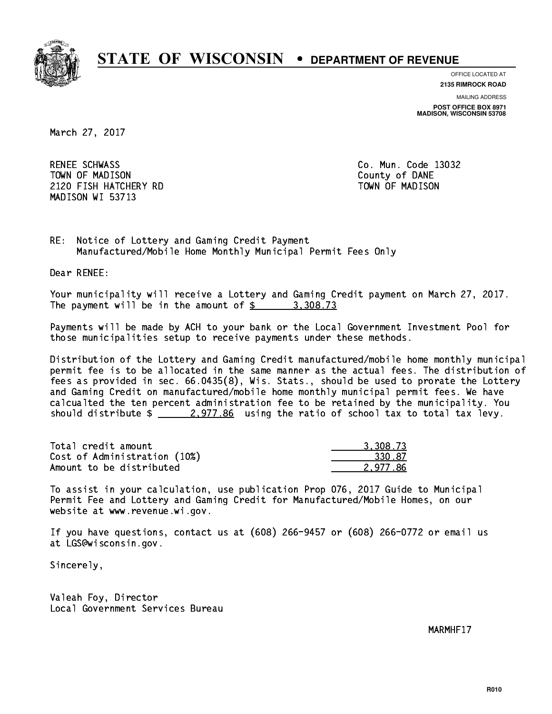

**OFFICE LOCATED AT**

**2135 RIMROCK ROAD**

**MAILING ADDRESS POST OFFICE BOX 8971 MADISON, WISCONSIN 53708**

March 27, 2017

RENEE SCHWASS TOWN OF MADISON County of DANE 2120 FISH HATCHERY RD TOWN OF MADISON MADISON WI 53713

Co. Mun. Code 13032

RE: Notice of Lottery and Gaming Credit Payment Manufactured/Mobile Home Monthly Municipal Permit Fees Only

Dear RENEE:

 Your municipality will receive a Lottery and Gaming Credit payment on March 27, 2017. The payment will be in the amount of  $\frac{2}{3}$  3,308.73

 Payments will be made by ACH to your bank or the Local Government Investment Pool for those municipalities setup to receive payments under these methods.

 Distribution of the Lottery and Gaming Credit manufactured/mobile home monthly municipal permit fee is to be allocated in the same manner as the actual fees. The distribution of fees as provided in sec. 66.0435(8), Wis. Stats., should be used to prorate the Lottery and Gaming Credit on manufactured/mobile home monthly municipal permit fees. We have calcualted the ten percent administration fee to be retained by the municipality. You should distribute  $\frac{2.977.86}{2.977.86}$  using the ratio of school tax to total tax levy.

| Total credit amount          | 3,308.73 |
|------------------------------|----------|
| Cost of Administration (10%) | 330.87   |
| Amount to be distributed     | 2.977.86 |

 To assist in your calculation, use publication Prop 076, 2017 Guide to Municipal Permit Fee and Lottery and Gaming Credit for Manufactured/Mobile Homes, on our website at www.revenue.wi.gov.

 If you have questions, contact us at (608) 266-9457 or (608) 266-0772 or email us at LGS@wisconsin.gov.

Sincerely,

 Valeah Foy, Director Local Government Services Bureau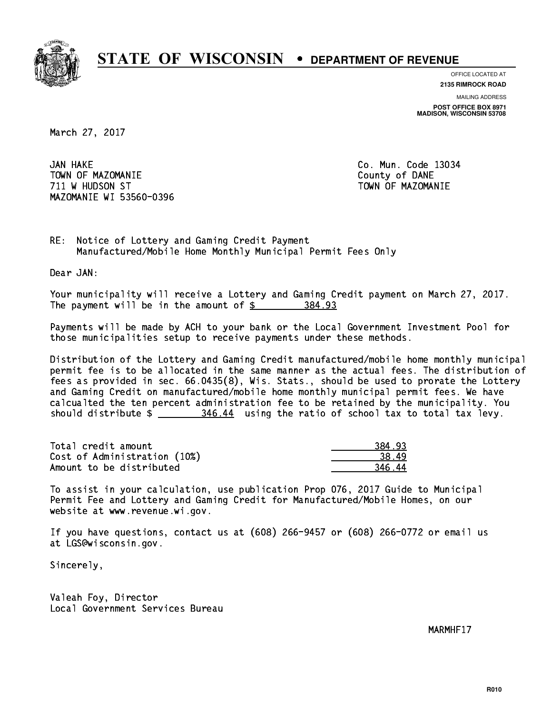

**OFFICE LOCATED AT**

**2135 RIMROCK ROAD**

**MAILING ADDRESS POST OFFICE BOX 8971 MADISON, WISCONSIN 53708**

March 27, 2017

JAN HAKE TOWN OF MAZOMANIE COUNTY OF DANE 711 W HUDSON ST TOWN OF MAZOMANIE MAZOMANIE WI 53560-0396

Co. Mun. Code 13034

RE: Notice of Lottery and Gaming Credit Payment Manufactured/Mobile Home Monthly Municipal Permit Fees Only

Dear JAN:

 Your municipality will receive a Lottery and Gaming Credit payment on March 27, 2017. The payment will be in the amount of \$ 384.93 \_\_\_\_\_\_\_\_\_\_\_\_\_\_\_\_

 Payments will be made by ACH to your bank or the Local Government Investment Pool for those municipalities setup to receive payments under these methods.

 Distribution of the Lottery and Gaming Credit manufactured/mobile home monthly municipal permit fee is to be allocated in the same manner as the actual fees. The distribution of fees as provided in sec. 66.0435(8), Wis. Stats., should be used to prorate the Lottery and Gaming Credit on manufactured/mobile home monthly municipal permit fees. We have calcualted the ten percent administration fee to be retained by the municipality. You should distribute  $\frac{245.44}{2}$  using the ratio of school tax to total tax levy.

| Total credit amount          | 384.93 |
|------------------------------|--------|
| Cost of Administration (10%) | 38.49  |
| Amount to be distributed     | 346 44 |

 To assist in your calculation, use publication Prop 076, 2017 Guide to Municipal Permit Fee and Lottery and Gaming Credit for Manufactured/Mobile Homes, on our website at www.revenue.wi.gov.

 If you have questions, contact us at (608) 266-9457 or (608) 266-0772 or email us at LGS@wisconsin.gov.

Sincerely,

 Valeah Foy, Director Local Government Services Bureau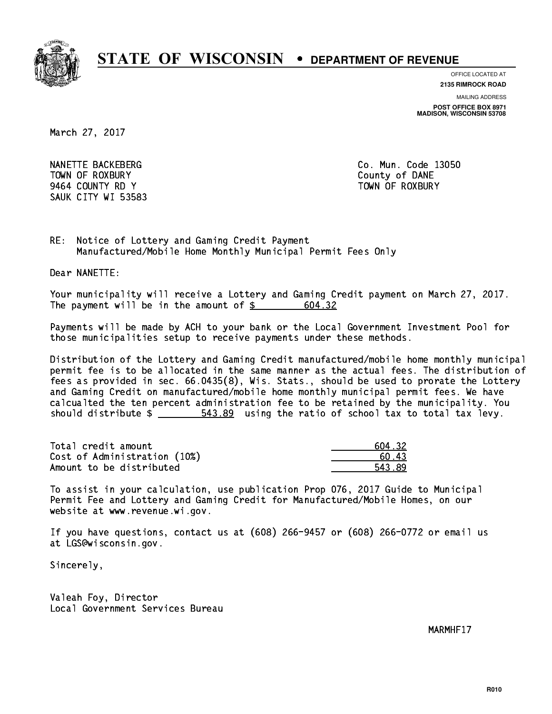

**OFFICE LOCATED AT**

**2135 RIMROCK ROAD**

**MAILING ADDRESS POST OFFICE BOX 8971 MADISON, WISCONSIN 53708**

March 27, 2017

NANETTE BACKEBERG CO. Mun. Code 13050 TOWN OF ROXBURY County of DANE 9464 COUNTY RD Y TOWN OF ROXBURY SAUK CITY WI 53583

RE: Notice of Lottery and Gaming Credit Payment Manufactured/Mobile Home Monthly Municipal Permit Fees Only

Dear NANETTE:

 Your municipality will receive a Lottery and Gaming Credit payment on March 27, 2017. The payment will be in the amount of  $\frac{2}{3}$ 604.32

 Payments will be made by ACH to your bank or the Local Government Investment Pool for those municipalities setup to receive payments under these methods.

 Distribution of the Lottery and Gaming Credit manufactured/mobile home monthly municipal permit fee is to be allocated in the same manner as the actual fees. The distribution of fees as provided in sec. 66.0435(8), Wis. Stats., should be used to prorate the Lottery and Gaming Credit on manufactured/mobile home monthly municipal permit fees. We have calcualted the ten percent administration fee to be retained by the municipality. You should distribute  $\frac{2}{1}$   $\frac{543.89}{2}$  using the ratio of school tax to total tax levy.

| Total credit amount          | 604.32 |
|------------------------------|--------|
| Cost of Administration (10%) | 60.43  |
| Amount to be distributed     | 543.89 |

| 14. 32. |
|---------|
| N 43    |
| 543.89  |

 To assist in your calculation, use publication Prop 076, 2017 Guide to Municipal Permit Fee and Lottery and Gaming Credit for Manufactured/Mobile Homes, on our website at www.revenue.wi.gov.

 If you have questions, contact us at (608) 266-9457 or (608) 266-0772 or email us at LGS@wisconsin.gov.

Sincerely,

 Valeah Foy, Director Local Government Services Bureau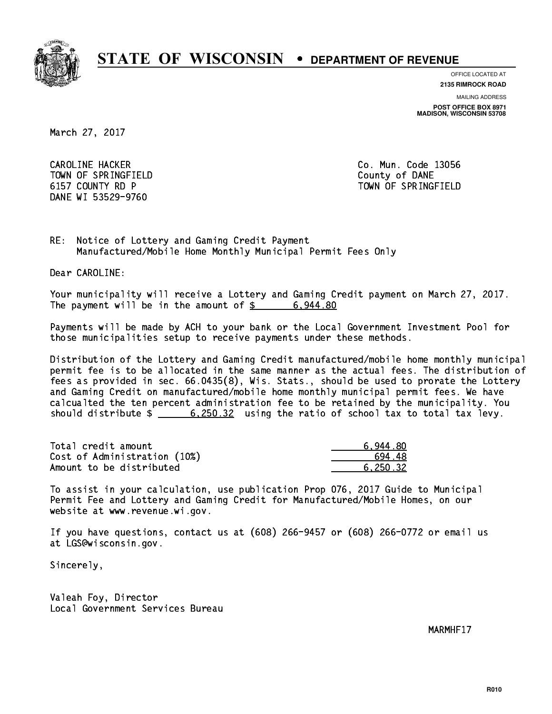

**OFFICE LOCATED AT**

**2135 RIMROCK ROAD**

**MAILING ADDRESS POST OFFICE BOX 8971 MADISON, WISCONSIN 53708**

March 27, 2017

CAROLINE HACKER **CAROLINE HACKER** CO. Mun. Code 13056 TOWN OF SPRINGFIELD **COUNTY OF SAME IN TIME OF SPRINGFIELD** DANE WI 53529-9760

6157 COUNTY RD P TOWN OF SPRINGFIELD

RE: Notice of Lottery and Gaming Credit Payment Manufactured/Mobile Home Monthly Municipal Permit Fees Only

Dear CAROLINE:

 Your municipality will receive a Lottery and Gaming Credit payment on March 27, 2017. The payment will be in the amount of  $\frac{2}{3}$  6,944.80

 Payments will be made by ACH to your bank or the Local Government Investment Pool for those municipalities setup to receive payments under these methods.

 Distribution of the Lottery and Gaming Credit manufactured/mobile home monthly municipal permit fee is to be allocated in the same manner as the actual fees. The distribution of fees as provided in sec. 66.0435(8), Wis. Stats., should be used to prorate the Lottery and Gaming Credit on manufactured/mobile home monthly municipal permit fees. We have calcualted the ten percent administration fee to be retained by the municipality. You should distribute  $\frac{250.32}{10.32}$  using the ratio of school tax to total tax levy.

| Total credit amount          | 6.944.80 |
|------------------------------|----------|
| Cost of Administration (10%) | 694.48   |
| Amount to be distributed     | 6.250.32 |

 To assist in your calculation, use publication Prop 076, 2017 Guide to Municipal Permit Fee and Lottery and Gaming Credit for Manufactured/Mobile Homes, on our website at www.revenue.wi.gov.

 If you have questions, contact us at (608) 266-9457 or (608) 266-0772 or email us at LGS@wisconsin.gov.

Sincerely,

 Valeah Foy, Director Local Government Services Bureau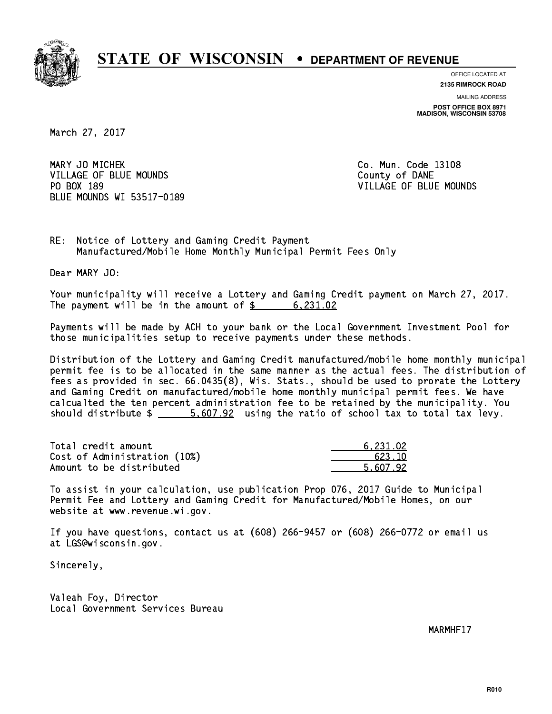

**OFFICE LOCATED AT**

**2135 RIMROCK ROAD**

**MAILING ADDRESS POST OFFICE BOX 8971 MADISON, WISCONSIN 53708**

March 27, 2017

MARY JO MICHEK **Co. Mun. Code 13108** VILLAGE OF BLUE MOUNDS County of DANE PO BOX 189 BLUE MOUNDS WI 53517-0189

VILLAGE OF BLUE MOUNDS

RE: Notice of Lottery and Gaming Credit Payment Manufactured/Mobile Home Monthly Municipal Permit Fees Only

Dear MARY JO:

 Your municipality will receive a Lottery and Gaming Credit payment on March 27, 2017. The payment will be in the amount of  $\frac{2}{3}$  6,231.02

 Payments will be made by ACH to your bank or the Local Government Investment Pool for those municipalities setup to receive payments under these methods.

 Distribution of the Lottery and Gaming Credit manufactured/mobile home monthly municipal permit fee is to be allocated in the same manner as the actual fees. The distribution of fees as provided in sec. 66.0435(8), Wis. Stats., should be used to prorate the Lottery and Gaming Credit on manufactured/mobile home monthly municipal permit fees. We have calcualted the ten percent administration fee to be retained by the municipality. You should distribute  $\frac{2}{1}$   $\frac{5.607.92}{1}$  using the ratio of school tax to total tax levy.

| Total credit amount          | 6.231.02 |
|------------------------------|----------|
| Cost of Administration (10%) | 623.10   |
| Amount to be distributed     | 5.607.92 |

 To assist in your calculation, use publication Prop 076, 2017 Guide to Municipal Permit Fee and Lottery and Gaming Credit for Manufactured/Mobile Homes, on our website at www.revenue.wi.gov.

 If you have questions, contact us at (608) 266-9457 or (608) 266-0772 or email us at LGS@wisconsin.gov.

Sincerely,

 Valeah Foy, Director Local Government Services Bureau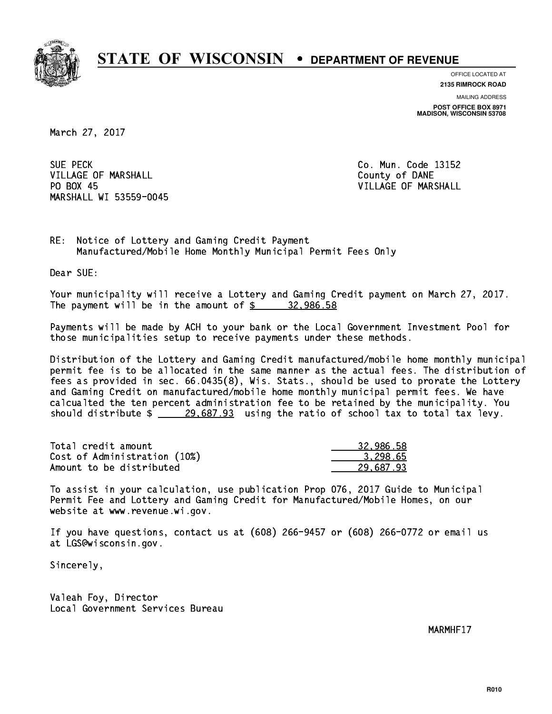

**OFFICE LOCATED AT**

**2135 RIMROCK ROAD**

**MAILING ADDRESS POST OFFICE BOX 8971 MADISON, WISCONSIN 53708**

March 27, 2017

SUE PECK Co. Mun. Code 13152 VILLAGE OF MARSHALL **COUNTY OF MARSHALL** PO BOX 45 MARSHALL WI 53559-0045

VILLAGE OF MARSHALL

RE: Notice of Lottery and Gaming Credit Payment Manufactured/Mobile Home Monthly Municipal Permit Fees Only

Dear SUE:

 Your municipality will receive a Lottery and Gaming Credit payment on March 27, 2017. The payment will be in the amount of  $\frac{2}{3}$  32,986.58

 Payments will be made by ACH to your bank or the Local Government Investment Pool for those municipalities setup to receive payments under these methods.

 Distribution of the Lottery and Gaming Credit manufactured/mobile home monthly municipal permit fee is to be allocated in the same manner as the actual fees. The distribution of fees as provided in sec. 66.0435(8), Wis. Stats., should be used to prorate the Lottery and Gaming Credit on manufactured/mobile home monthly municipal permit fees. We have calcualted the ten percent administration fee to be retained by the municipality. You should distribute  $\frac{29.687.93}{29.687.93}$  using the ratio of school tax to total tax levy.

| Total credit amount          | 32,986.58 |
|------------------------------|-----------|
| Cost of Administration (10%) | 3.298.65  |
| Amount to be distributed     | 29,687.93 |

 To assist in your calculation, use publication Prop 076, 2017 Guide to Municipal Permit Fee and Lottery and Gaming Credit for Manufactured/Mobile Homes, on our website at www.revenue.wi.gov.

 If you have questions, contact us at (608) 266-9457 or (608) 266-0772 or email us at LGS@wisconsin.gov.

Sincerely,

 Valeah Foy, Director Local Government Services Bureau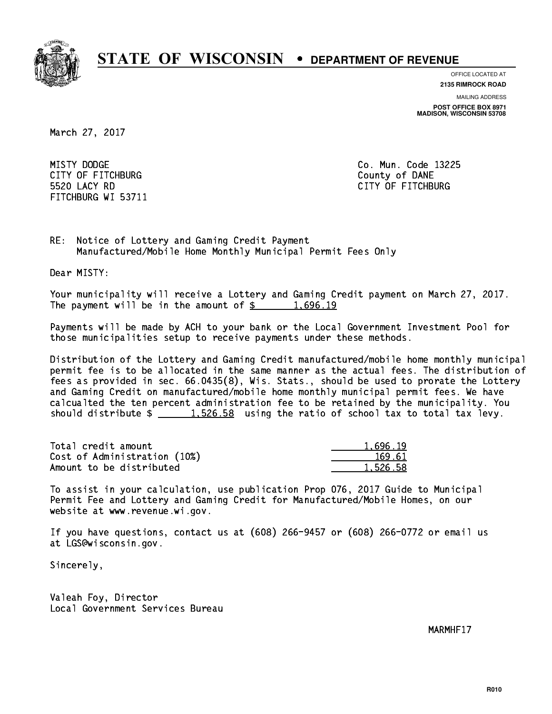

**OFFICE LOCATED AT**

**2135 RIMROCK ROAD**

**MAILING ADDRESS POST OFFICE BOX 8971 MADISON, WISCONSIN 53708**

March 27, 2017

MISTY DODGE CITY OF FITCHBURG COUNTY COUNTY OF DANE 5520 LACY RD FITCHBURG WI 53711

Co. Mun. Code 13225 CITY OF FITCHBURG

RE: Notice of Lottery and Gaming Credit Payment Manufactured/Mobile Home Monthly Municipal Permit Fees Only

Dear MISTY:

 Your municipality will receive a Lottery and Gaming Credit payment on March 27, 2017. The payment will be in the amount of  $\frac{2}{3}$  1,696.19

 Payments will be made by ACH to your bank or the Local Government Investment Pool for those municipalities setup to receive payments under these methods.

 Distribution of the Lottery and Gaming Credit manufactured/mobile home monthly municipal permit fee is to be allocated in the same manner as the actual fees. The distribution of fees as provided in sec. 66.0435(8), Wis. Stats., should be used to prorate the Lottery and Gaming Credit on manufactured/mobile home monthly municipal permit fees. We have calcualted the ten percent administration fee to be retained by the municipality. You should distribute  $\frac{1.526.58}{1.526.58}$  using the ratio of school tax to total tax levy.

| Total credit amount          | 1,696.19 |
|------------------------------|----------|
| Cost of Administration (10%) | 169.61   |
| Amount to be distributed     | 1.526.58 |

 To assist in your calculation, use publication Prop 076, 2017 Guide to Municipal Permit Fee and Lottery and Gaming Credit for Manufactured/Mobile Homes, on our website at www.revenue.wi.gov.

 If you have questions, contact us at (608) 266-9457 or (608) 266-0772 or email us at LGS@wisconsin.gov.

Sincerely,

 Valeah Foy, Director Local Government Services Bureau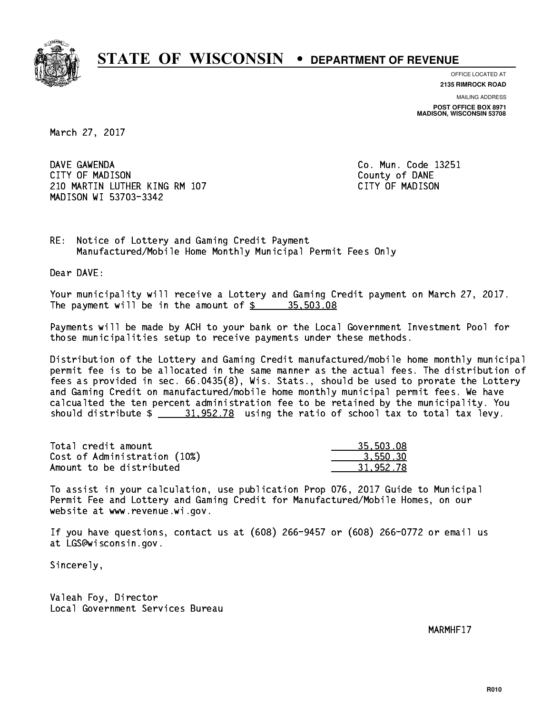

**OFFICE LOCATED AT**

**2135 RIMROCK ROAD**

**MAILING ADDRESS POST OFFICE BOX 8971 MADISON, WISCONSIN 53708**

March 27, 2017

DAVE GAWENDA CITY OF MADISON County of DANE 210 MARTIN LUTHER KING RM 107 CONTROLLER STATES TO MADISON MADISON WI 53703-3342

Co. Mun. Code 13251

RE: Notice of Lottery and Gaming Credit Payment Manufactured/Mobile Home Monthly Municipal Permit Fees Only

Dear DAVE:

 Your municipality will receive a Lottery and Gaming Credit payment on March 27, 2017. The payment will be in the amount of  $\frac{2}{3}$  35,503.08

 Payments will be made by ACH to your bank or the Local Government Investment Pool for those municipalities setup to receive payments under these methods.

 Distribution of the Lottery and Gaming Credit manufactured/mobile home monthly municipal permit fee is to be allocated in the same manner as the actual fees. The distribution of fees as provided in sec. 66.0435(8), Wis. Stats., should be used to prorate the Lottery and Gaming Credit on manufactured/mobile home monthly municipal permit fees. We have calcualted the ten percent administration fee to be retained by the municipality. You should distribute  $\frac{2}{1.952.78}$  using the ratio of school tax to total tax levy.

| Total credit amount          | 35,503.08 |
|------------------------------|-----------|
| Cost of Administration (10%) | 3.550.30  |
| Amount to be distributed     | 31.952.78 |

 To assist in your calculation, use publication Prop 076, 2017 Guide to Municipal Permit Fee and Lottery and Gaming Credit for Manufactured/Mobile Homes, on our website at www.revenue.wi.gov.

 If you have questions, contact us at (608) 266-9457 or (608) 266-0772 or email us at LGS@wisconsin.gov.

Sincerely,

 Valeah Foy, Director Local Government Services Bureau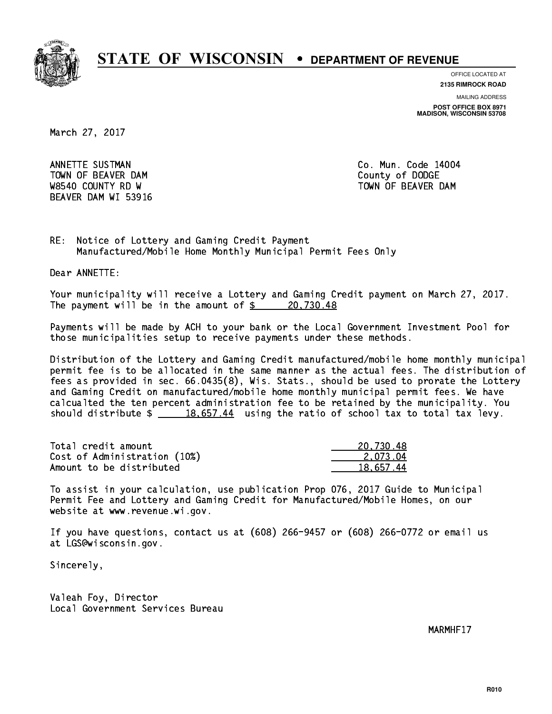

**OFFICE LOCATED AT**

**2135 RIMROCK ROAD**

**MAILING ADDRESS POST OFFICE BOX 8971 MADISON, WISCONSIN 53708**

March 27, 2017

ANNETTE SUSTMAN COMPOUND CO. Mun. Code 14004 TOWN OF BEAVER DAM **COUNTY OF SEARCH COUNTY OF DODGE** W8540 COUNTY RD W TOWN OF BEAVER DAM BEAVER DAM WI 53916

RE: Notice of Lottery and Gaming Credit Payment Manufactured/Mobile Home Monthly Municipal Permit Fees Only

Dear ANNETTE:

 Your municipality will receive a Lottery and Gaming Credit payment on March 27, 2017. The payment will be in the amount of  $\frac{20,730.48}{20,730.48}$ 

 Payments will be made by ACH to your bank or the Local Government Investment Pool for those municipalities setup to receive payments under these methods.

 Distribution of the Lottery and Gaming Credit manufactured/mobile home monthly municipal permit fee is to be allocated in the same manner as the actual fees. The distribution of fees as provided in sec. 66.0435(8), Wis. Stats., should be used to prorate the Lottery and Gaming Credit on manufactured/mobile home monthly municipal permit fees. We have calcualted the ten percent administration fee to be retained by the municipality. You should distribute  $\frac{18,657.44}{2}$  using the ratio of school tax to total tax levy.

| Total credit amount          | 20.730.48 |
|------------------------------|-----------|
| Cost of Administration (10%) | 2.073.04  |
| Amount to be distributed     | 18.657.44 |

 To assist in your calculation, use publication Prop 076, 2017 Guide to Municipal Permit Fee and Lottery and Gaming Credit for Manufactured/Mobile Homes, on our website at www.revenue.wi.gov.

 If you have questions, contact us at (608) 266-9457 or (608) 266-0772 or email us at LGS@wisconsin.gov.

Sincerely,

 Valeah Foy, Director Local Government Services Bureau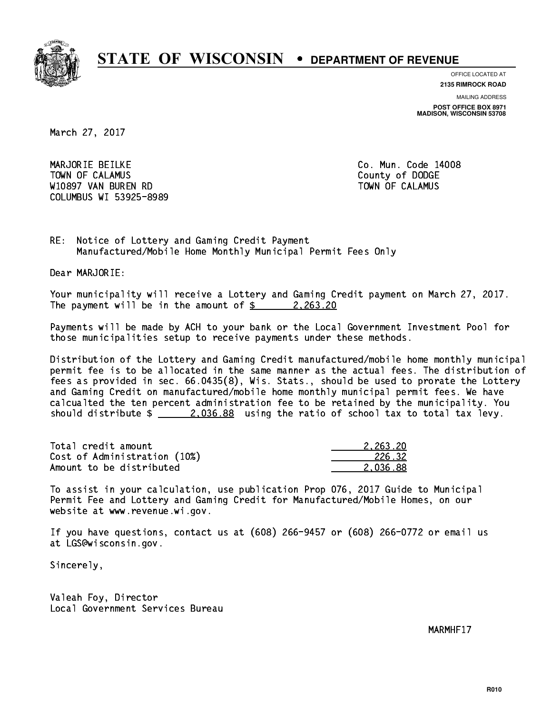

**OFFICE LOCATED AT 2135 RIMROCK ROAD**

**MAILING ADDRESS POST OFFICE BOX 8971 MADISON, WISCONSIN 53708**

March 27, 2017

 MARJORIE BEILKE Co. Mun. Code 14008 Town of Calamus County of Dodge County of Dodge County of Dodge County of Dodge County of Dodge County of Dodge W10897 VAN BUREN RD TOWN OF CALAMUS COLUMBUS WI 53925-8989

RE: Notice of Lottery and Gaming Credit Payment Manufactured/Mobile Home Monthly Municipal Permit Fees Only

Dear MARJORIE:

 Your municipality will receive a Lottery and Gaming Credit payment on March 27, 2017. The payment will be in the amount of  $\frac{2}{2}$  2,263.20

 Payments will be made by ACH to your bank or the Local Government Investment Pool for those municipalities setup to receive payments under these methods.

 Distribution of the Lottery and Gaming Credit manufactured/mobile home monthly municipal permit fee is to be allocated in the same manner as the actual fees. The distribution of fees as provided in sec. 66.0435(8), Wis. Stats., should be used to prorate the Lottery and Gaming Credit on manufactured/mobile home monthly municipal permit fees. We have calcualted the ten percent administration fee to be retained by the municipality. You should distribute  $\frac{2.036.88}{2.236.88}$  using the ratio of school tax to total tax levy.

| Total credit amount          | 2.263.20 |
|------------------------------|----------|
| Cost of Administration (10%) | 226.32   |
| Amount to be distributed     | 2.036.88 |

 To assist in your calculation, use publication Prop 076, 2017 Guide to Municipal Permit Fee and Lottery and Gaming Credit for Manufactured/Mobile Homes, on our website at www.revenue.wi.gov.

 If you have questions, contact us at (608) 266-9457 or (608) 266-0772 or email us at LGS@wisconsin.gov.

Sincerely,

 Valeah Foy, Director Local Government Services Bureau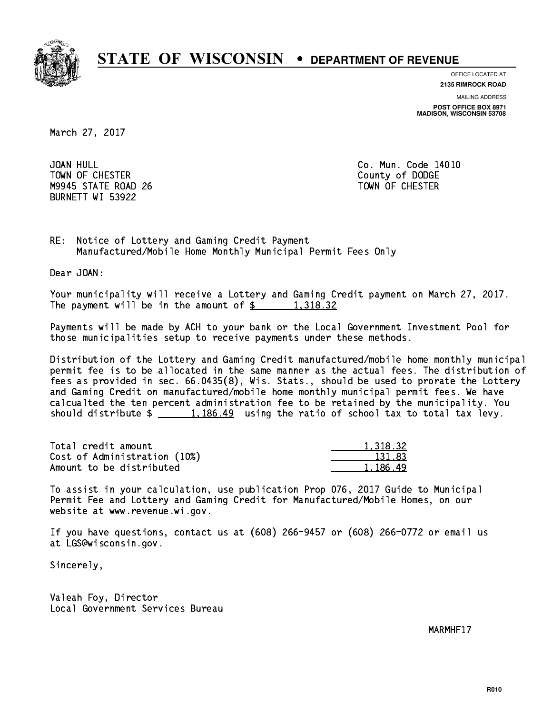

**OFFICE LOCATED AT**

**2135 RIMROCK ROAD**

**MAILING ADDRESS POST OFFICE BOX 8971 MADISON, WISCONSIN 53708**

March 27, 2017

JOAN HULL TOWN OF CHESTER COUNTY OF DODGE COUNTY OF DODGE M9945 STATE ROAD 26 TOWN OF CHESTER BURNETT WI 53922

Co. Mun. Code 14010

RE: Notice of Lottery and Gaming Credit Payment Manufactured/Mobile Home Monthly Municipal Permit Fees Only

Dear JOAN:

 Your municipality will receive a Lottery and Gaming Credit payment on March 27, 2017. The payment will be in the amount of  $\frac{2}{3}$  1,318.32

 Payments will be made by ACH to your bank or the Local Government Investment Pool for those municipalities setup to receive payments under these methods.

 Distribution of the Lottery and Gaming Credit manufactured/mobile home monthly municipal permit fee is to be allocated in the same manner as the actual fees. The distribution of fees as provided in sec. 66.0435(8), Wis. Stats., should be used to prorate the Lottery and Gaming Credit on manufactured/mobile home monthly municipal permit fees. We have calcualted the ten percent administration fee to be retained by the municipality. You should distribute  $\frac{1,186.49}{1,186.49}$  using the ratio of school tax to total tax levy.

| Total credit amount          | 1,318.32 |
|------------------------------|----------|
| Cost of Administration (10%) | 131.83   |
| Amount to be distributed     | 1,186.49 |

 To assist in your calculation, use publication Prop 076, 2017 Guide to Municipal Permit Fee and Lottery and Gaming Credit for Manufactured/Mobile Homes, on our website at www.revenue.wi.gov.

 If you have questions, contact us at (608) 266-9457 or (608) 266-0772 or email us at LGS@wisconsin.gov.

Sincerely,

 Valeah Foy, Director Local Government Services Bureau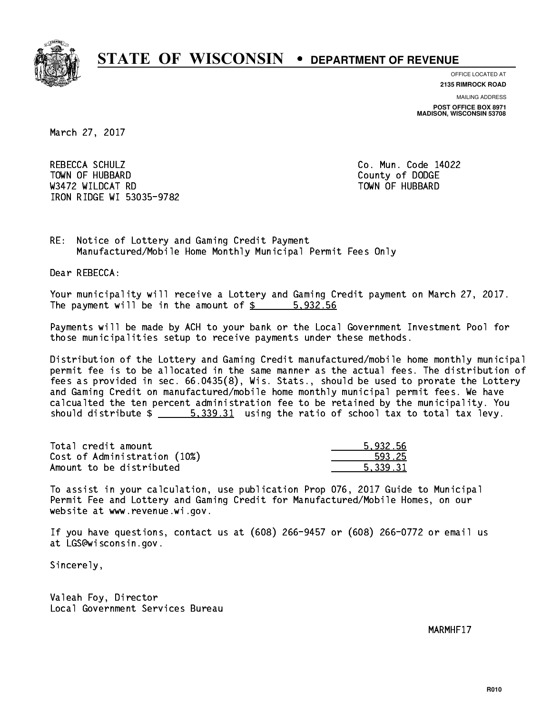

**OFFICE LOCATED AT 2135 RIMROCK ROAD**

**MAILING ADDRESS**

**POST OFFICE BOX 8971 MADISON, WISCONSIN 53708**

March 27, 2017

 REBECCA SCHULZ Co. Mun. Code 14022 Town of Hubbard County of Dodge County of Dodge County of Dodge County of Dodge County of Dodge County of Dodge County of Dodge County of Dodge County of Dodge County of Dodge County of Dodge County of Dodge County of Dodg was a constructed by the construction of the construction of the construction of the construction of the construction of the construction of the construction of the construction of the construction of the construction of t IRON RIDGE WI 53035-9782

RE: Notice of Lottery and Gaming Credit Payment Manufactured/Mobile Home Monthly Municipal Permit Fees Only

Dear REBECCA:

 Your municipality will receive a Lottery and Gaming Credit payment on March 27, 2017. The payment will be in the amount of \$ 5,932.56 \_\_\_\_\_\_\_\_\_\_\_\_\_\_\_\_

 Payments will be made by ACH to your bank or the Local Government Investment Pool for those municipalities setup to receive payments under these methods.

 Distribution of the Lottery and Gaming Credit manufactured/mobile home monthly municipal permit fee is to be allocated in the same manner as the actual fees. The distribution of fees as provided in sec. 66.0435(8), Wis. Stats., should be used to prorate the Lottery and Gaming Credit on manufactured/mobile home monthly municipal permit fees. We have calcualted the ten percent administration fee to be retained by the municipality. You should distribute  $\frac{2}{1}$   $\frac{5,339.31}{2}$  using the ratio of school tax to total tax levy.

| Total credit amount          | 5.932.56 |
|------------------------------|----------|
| Cost of Administration (10%) | 593.25   |
| Amount to be distributed     | 5.339.31 |

 To assist in your calculation, use publication Prop 076, 2017 Guide to Municipal Permit Fee and Lottery and Gaming Credit for Manufactured/Mobile Homes, on our website at www.revenue.wi.gov.

 If you have questions, contact us at (608) 266-9457 or (608) 266-0772 or email us at LGS@wisconsin.gov.

Sincerely,

 Valeah Foy, Director Local Government Services Bureau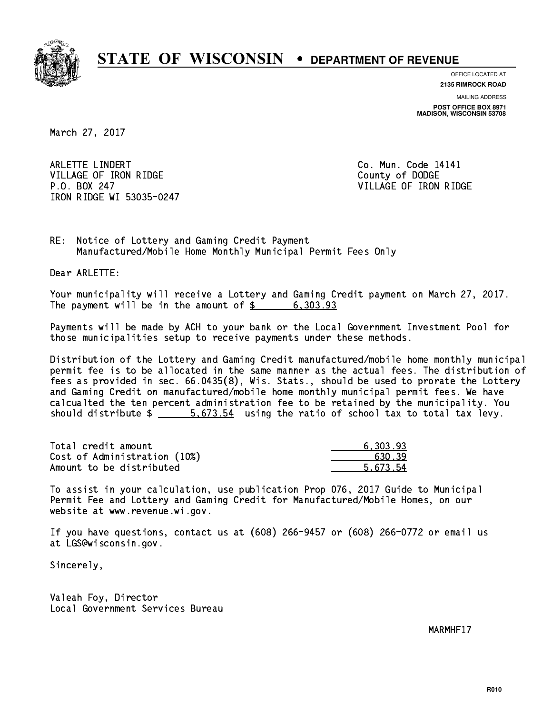

**OFFICE LOCATED AT**

**2135 RIMROCK ROAD**

**MAILING ADDRESS POST OFFICE BOX 8971 MADISON, WISCONSIN 53708**

March 27, 2017

ARLETTE LINDERT **Co. Mun. Code 14141** VILLAGE OF IRON RIDGE COUNTY OF DODGE P.O. BOX 247 VILLAGE OF IRON RIDGE IRON RIDGE WI 53035-0247

RE: Notice of Lottery and Gaming Credit Payment Manufactured/Mobile Home Monthly Municipal Permit Fees Only

Dear ARLETTE:

 Your municipality will receive a Lottery and Gaming Credit payment on March 27, 2017. The payment will be in the amount of \$ 6,303.93 \_\_\_\_\_\_\_\_\_\_\_\_\_\_\_\_

 Payments will be made by ACH to your bank or the Local Government Investment Pool for those municipalities setup to receive payments under these methods.

 Distribution of the Lottery and Gaming Credit manufactured/mobile home monthly municipal permit fee is to be allocated in the same manner as the actual fees. The distribution of fees as provided in sec. 66.0435(8), Wis. Stats., should be used to prorate the Lottery and Gaming Credit on manufactured/mobile home monthly municipal permit fees. We have calcualted the ten percent administration fee to be retained by the municipality. You should distribute  $\frac{2}{1}$   $\frac{5.673.54}{2}$  using the ratio of school tax to total tax levy.

| Total credit amount          | 6.303.93 |
|------------------------------|----------|
| Cost of Administration (10%) | 630.39   |
| Amount to be distributed     | 5.673.54 |

 To assist in your calculation, use publication Prop 076, 2017 Guide to Municipal Permit Fee and Lottery and Gaming Credit for Manufactured/Mobile Homes, on our website at www.revenue.wi.gov.

 If you have questions, contact us at (608) 266-9457 or (608) 266-0772 or email us at LGS@wisconsin.gov.

Sincerely,

 Valeah Foy, Director Local Government Services Bureau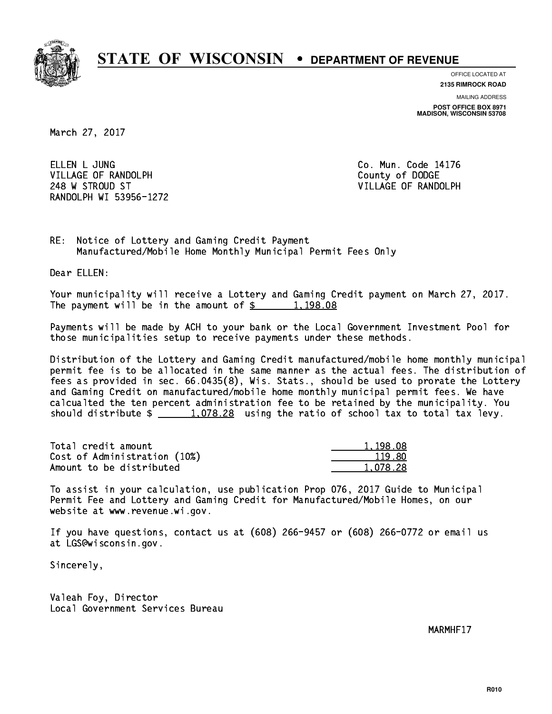

**OFFICE LOCATED AT**

**2135 RIMROCK ROAD**

**MAILING ADDRESS POST OFFICE BOX 8971 MADISON, WISCONSIN 53708**

March 27, 2017

ELLEN L JUNG VILLAGE OF RANDOLPH COUNTY COUNTY OF DODGE 248 W STROUD ST VILLAGE OF RANDOLPH RANDOLPH WI 53956-1272

Co. Mun. Code 14176

RE: Notice of Lottery and Gaming Credit Payment Manufactured/Mobile Home Monthly Municipal Permit Fees Only

Dear ELLEN:

 Your municipality will receive a Lottery and Gaming Credit payment on March 27, 2017. The payment will be in the amount of  $\frac{2}{3}$  1,198.08

 Payments will be made by ACH to your bank or the Local Government Investment Pool for those municipalities setup to receive payments under these methods.

 Distribution of the Lottery and Gaming Credit manufactured/mobile home monthly municipal permit fee is to be allocated in the same manner as the actual fees. The distribution of fees as provided in sec. 66.0435(8), Wis. Stats., should be used to prorate the Lottery and Gaming Credit on manufactured/mobile home monthly municipal permit fees. We have calcualted the ten percent administration fee to be retained by the municipality. You should distribute  $\frac{1.078.28}{1.078.28}$  using the ratio of school tax to total tax levy.

| Total credit amount          | 1,198.08 |
|------------------------------|----------|
| Cost of Administration (10%) | 119.80   |
| Amount to be distributed     | 1,078.28 |

 To assist in your calculation, use publication Prop 076, 2017 Guide to Municipal Permit Fee and Lottery and Gaming Credit for Manufactured/Mobile Homes, on our website at www.revenue.wi.gov.

 If you have questions, contact us at (608) 266-9457 or (608) 266-0772 or email us at LGS@wisconsin.gov.

Sincerely,

 Valeah Foy, Director Local Government Services Bureau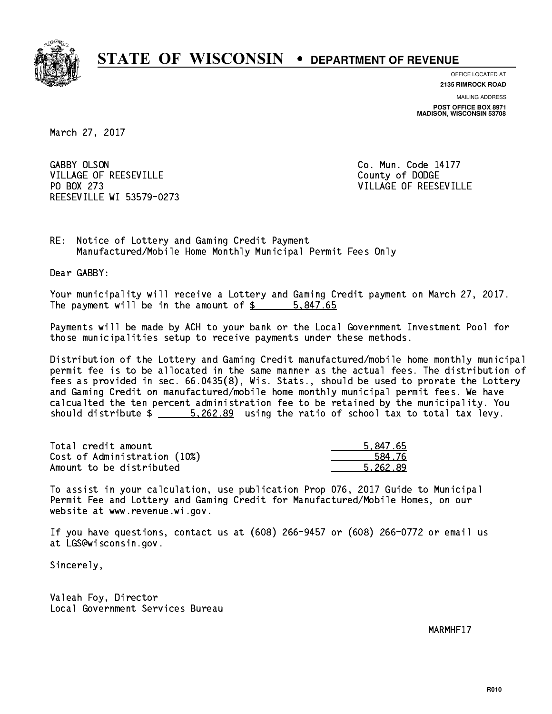

**OFFICE LOCATED AT**

**2135 RIMROCK ROAD**

**MAILING ADDRESS POST OFFICE BOX 8971 MADISON, WISCONSIN 53708**

March 27, 2017

GABBY OLSON VILLAGE OF REESEVILLE COUNTY OF DODGE PO BOX 273 REESEVILLE WI 53579-0273

Co. Mun. Code 14177 VILLAGE OF REESEVILLE

RE: Notice of Lottery and Gaming Credit Payment Manufactured/Mobile Home Monthly Municipal Permit Fees Only

Dear GABBY:

 Your municipality will receive a Lottery and Gaming Credit payment on March 27, 2017. The payment will be in the amount of \$ 5,847.65 \_\_\_\_\_\_\_\_\_\_\_\_\_\_\_\_

 Payments will be made by ACH to your bank or the Local Government Investment Pool for those municipalities setup to receive payments under these methods.

 Distribution of the Lottery and Gaming Credit manufactured/mobile home monthly municipal permit fee is to be allocated in the same manner as the actual fees. The distribution of fees as provided in sec. 66.0435(8), Wis. Stats., should be used to prorate the Lottery and Gaming Credit on manufactured/mobile home monthly municipal permit fees. We have calcualted the ten percent administration fee to be retained by the municipality. You should distribute  $\frac{2.5.262.89}{2}$  using the ratio of school tax to total tax levy.

| Total credit amount          | 5.847.65 |
|------------------------------|----------|
| Cost of Administration (10%) | 584.76   |
| Amount to be distributed     | 5.262.89 |

 To assist in your calculation, use publication Prop 076, 2017 Guide to Municipal Permit Fee and Lottery and Gaming Credit for Manufactured/Mobile Homes, on our website at www.revenue.wi.gov.

 If you have questions, contact us at (608) 266-9457 or (608) 266-0772 or email us at LGS@wisconsin.gov.

Sincerely,

 Valeah Foy, Director Local Government Services Bureau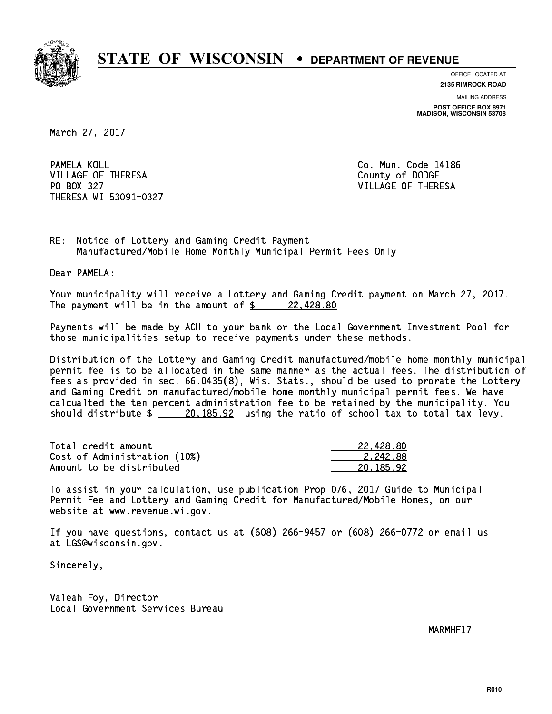

**OFFICE LOCATED AT**

**2135 RIMROCK ROAD**

**MAILING ADDRESS POST OFFICE BOX 8971 MADISON, WISCONSIN 53708**

March 27, 2017

PAMELA KOLL VILLAGE OF THERESA COUNTY OF DODGE PO BOX 327 VILLAGE OF THERESA THERESA WI 53091-0327

Co. Mun. Code 14186

RE: Notice of Lottery and Gaming Credit Payment Manufactured/Mobile Home Monthly Municipal Permit Fees Only

Dear PAMELA:

 Your municipality will receive a Lottery and Gaming Credit payment on March 27, 2017. The payment will be in the amount of \$ 22,428.80 \_\_\_\_\_\_\_\_\_\_\_\_\_\_\_\_

 Payments will be made by ACH to your bank or the Local Government Investment Pool for those municipalities setup to receive payments under these methods.

 Distribution of the Lottery and Gaming Credit manufactured/mobile home monthly municipal permit fee is to be allocated in the same manner as the actual fees. The distribution of fees as provided in sec. 66.0435(8), Wis. Stats., should be used to prorate the Lottery and Gaming Credit on manufactured/mobile home monthly municipal permit fees. We have calcualted the ten percent administration fee to be retained by the municipality. You should distribute  $\frac{20,185.92}{20,185.92}$  using the ratio of school tax to total tax levy.

| Total credit amount          | 22,428.80 |
|------------------------------|-----------|
| Cost of Administration (10%) | 2.242.88  |
| Amount to be distributed     | 20.185.92 |

 To assist in your calculation, use publication Prop 076, 2017 Guide to Municipal Permit Fee and Lottery and Gaming Credit for Manufactured/Mobile Homes, on our website at www.revenue.wi.gov.

 If you have questions, contact us at (608) 266-9457 or (608) 266-0772 or email us at LGS@wisconsin.gov.

Sincerely,

 Valeah Foy, Director Local Government Services Bureau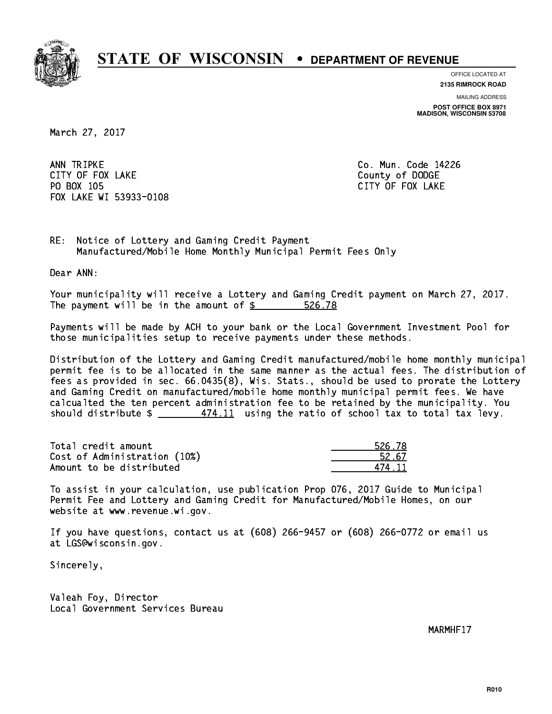

**OFFICE LOCATED AT 2135 RIMROCK ROAD**

**MAILING ADDRESS POST OFFICE BOX 8971 MADISON, WISCONSIN 53708**

March 27, 2017

ANN TRIPKE CITY OF FOUR COUNTY OF FOUR COUNTY OF DODGE COUNTY OF DODGE COUNTY OF DODGE COUNTY OF DODGE COUNTY OF DODGE CO PO BOX 105 PO BOX 105 CITY OF FOX 105 CITY OF FOX 200 CITY OF FOX 200 CITY OF FOX 200 CITY OF FOX 200 CITY OF FOX 200 CITY FOX LAKE WI 53933-0108

Co. Mun. Code 14226

RE: Notice of Lottery and Gaming Credit Payment Manufactured/Mobile Home Monthly Municipal Permit Fees Only

Dear ANN:

 Your municipality will receive a Lottery and Gaming Credit payment on March 27, 2017. The payment will be in the amount of  $\frac{26.78}{20.500}$ 

 Payments will be made by ACH to your bank or the Local Government Investment Pool for those municipalities setup to receive payments under these methods.

 Distribution of the Lottery and Gaming Credit manufactured/mobile home monthly municipal permit fee is to be allocated in the same manner as the actual fees. The distribution of fees as provided in sec. 66.0435(8), Wis. Stats., should be used to prorate the Lottery and Gaming Credit on manufactured/mobile home monthly municipal permit fees. We have calcualted the ten percent administration fee to be retained by the municipality. You should distribute  $\frac{2}{1}$   $\frac{474.11}{11}$  using the ratio of school tax to total tax levy.

Total credit amount Cost of Administration (10%) Amount to be distributed

| 526.78 |
|--------|
| 52 67  |
| - 11   |

 To assist in your calculation, use publication Prop 076, 2017 Guide to Municipal Permit Fee and Lottery and Gaming Credit for Manufactured/Mobile Homes, on our website at www.revenue.wi.gov.

 If you have questions, contact us at (608) 266-9457 or (608) 266-0772 or email us at LGS@wisconsin.gov.

Sincerely,

 Valeah Foy, Director Local Government Services Bureau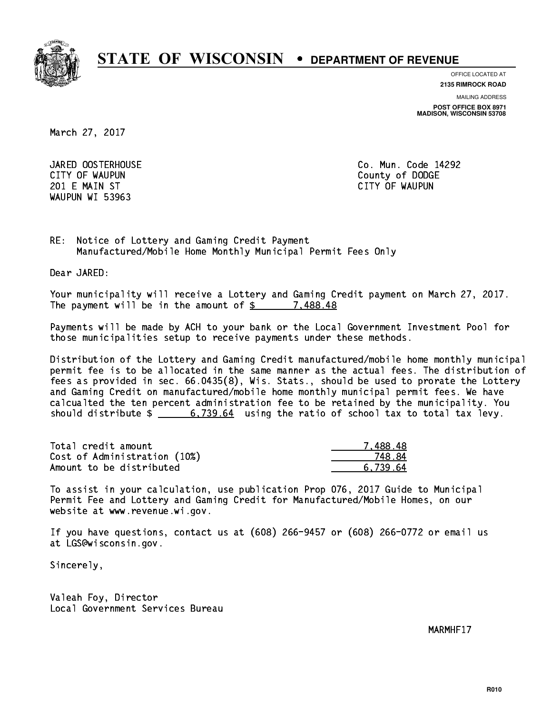

**OFFICE LOCATED AT 2135 RIMROCK ROAD**

**MAILING ADDRESS**

**POST OFFICE BOX 8971 MADISON, WISCONSIN 53708**

March 27, 2017

 JARED OOSTERHOUSE Co. Mun. Code 14292 CITY OF WAUPUN County of DODGE 201 E MAIN ST CITY OF WAUPUN WAUPUN WI 53963

RE: Notice of Lottery and Gaming Credit Payment Manufactured/Mobile Home Monthly Municipal Permit Fees Only

Dear JARED:

 Your municipality will receive a Lottery and Gaming Credit payment on March 27, 2017. The payment will be in the amount of  $\frac{2}{3}$  7,488.48

 Payments will be made by ACH to your bank or the Local Government Investment Pool for those municipalities setup to receive payments under these methods.

 Distribution of the Lottery and Gaming Credit manufactured/mobile home monthly municipal permit fee is to be allocated in the same manner as the actual fees. The distribution of fees as provided in sec. 66.0435(8), Wis. Stats., should be used to prorate the Lottery and Gaming Credit on manufactured/mobile home monthly municipal permit fees. We have calcualted the ten percent administration fee to be retained by the municipality. You should distribute  $\frac{2}{3}$   $\frac{6,739.64}{2}$  using the ratio of school tax to total tax levy.

| Total credit amount          | 7.488.48 |
|------------------------------|----------|
| Cost of Administration (10%) | 748.84   |
| Amount to be distributed     | 6.739.64 |

 To assist in your calculation, use publication Prop 076, 2017 Guide to Municipal Permit Fee and Lottery and Gaming Credit for Manufactured/Mobile Homes, on our website at www.revenue.wi.gov.

 If you have questions, contact us at (608) 266-9457 or (608) 266-0772 or email us at LGS@wisconsin.gov.

Sincerely,

 Valeah Foy, Director Local Government Services Bureau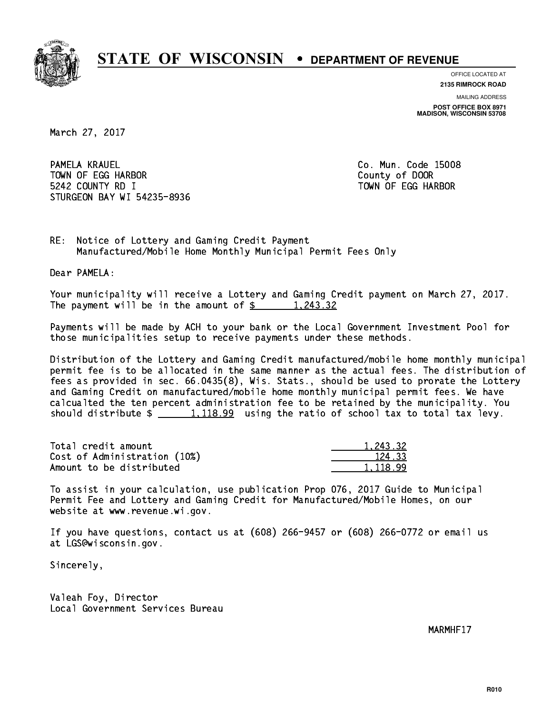

**OFFICE LOCATED AT**

**2135 RIMROCK ROAD**

**MAILING ADDRESS POST OFFICE BOX 8971 MADISON, WISCONSIN 53708**

March 27, 2017

PAMELA KRAUEL TOWN OF EGG HARBOR County of DOOR 5242 COUNTY RD I TOWN OF EGG HARBOR STURGEON BAY WI 54235-8936

Co. Mun. Code 15008

RE: Notice of Lottery and Gaming Credit Payment Manufactured/Mobile Home Monthly Municipal Permit Fees Only

Dear PAMELA:

 Your municipality will receive a Lottery and Gaming Credit payment on March 27, 2017. The payment will be in the amount of  $\frac{2}{3}$  1,243.32

 Payments will be made by ACH to your bank or the Local Government Investment Pool for those municipalities setup to receive payments under these methods.

 Distribution of the Lottery and Gaming Credit manufactured/mobile home monthly municipal permit fee is to be allocated in the same manner as the actual fees. The distribution of fees as provided in sec. 66.0435(8), Wis. Stats., should be used to prorate the Lottery and Gaming Credit on manufactured/mobile home monthly municipal permit fees. We have calcualted the ten percent administration fee to be retained by the municipality. You should distribute  $\frac{1,118.99}{1,118.99}$  using the ratio of school tax to total tax levy.

| Total credit amount          | 1,243.32   |
|------------------------------|------------|
| Cost of Administration (10%) | 124.33     |
| Amount to be distributed     | 1, 118, 99 |

 To assist in your calculation, use publication Prop 076, 2017 Guide to Municipal Permit Fee and Lottery and Gaming Credit for Manufactured/Mobile Homes, on our website at www.revenue.wi.gov.

 If you have questions, contact us at (608) 266-9457 or (608) 266-0772 or email us at LGS@wisconsin.gov.

Sincerely,

 Valeah Foy, Director Local Government Services Bureau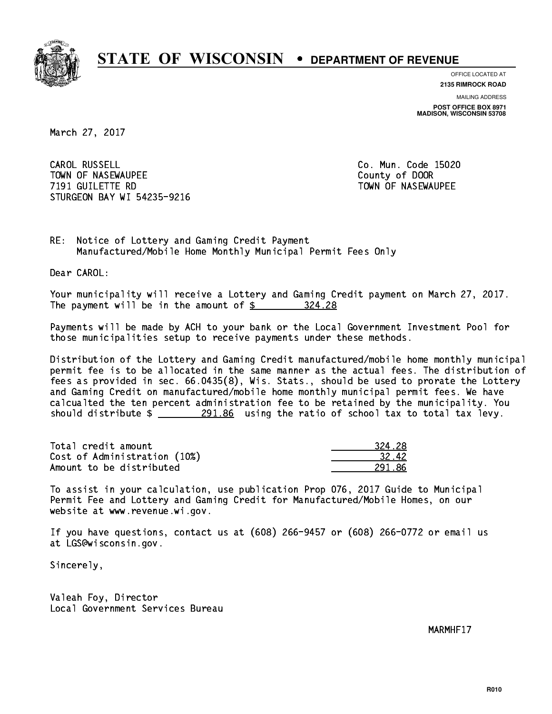

**OFFICE LOCATED AT**

**2135 RIMROCK ROAD**

**MAILING ADDRESS POST OFFICE BOX 8971 MADISON, WISCONSIN 53708**

March 27, 2017

CAROL RUSSELL TOWN OF NASEWAUPEE **TOWA COUNTY OF SEXUAL COUNTY OF DOOR**  7191 GUILETTE RD TOWN OF NASEWAUPEE STURGEON BAY WI 54235-9216

Co. Mun. Code 15020

RE: Notice of Lottery and Gaming Credit Payment Manufactured/Mobile Home Monthly Municipal Permit Fees Only

Dear CAROL:

 Your municipality will receive a Lottery and Gaming Credit payment on March 27, 2017. The payment will be in the amount of  $\frac{24.28}{10.25}$ 

 Payments will be made by ACH to your bank or the Local Government Investment Pool for those municipalities setup to receive payments under these methods.

 Distribution of the Lottery and Gaming Credit manufactured/mobile home monthly municipal permit fee is to be allocated in the same manner as the actual fees. The distribution of fees as provided in sec. 66.0435(8), Wis. Stats., should be used to prorate the Lottery and Gaming Credit on manufactured/mobile home monthly municipal permit fees. We have calcualted the ten percent administration fee to be retained by the municipality. You should distribute  $\frac{291.86}{2}$  using the ratio of school tax to total tax levy.

| Total credit amount          | 324.28 |
|------------------------------|--------|
| Cost of Administration (10%) | 32.42  |
| Amount to be distributed     | 291.86 |

 To assist in your calculation, use publication Prop 076, 2017 Guide to Municipal Permit Fee and Lottery and Gaming Credit for Manufactured/Mobile Homes, on our website at www.revenue.wi.gov.

 If you have questions, contact us at (608) 266-9457 or (608) 266-0772 or email us at LGS@wisconsin.gov.

Sincerely,

 Valeah Foy, Director Local Government Services Bureau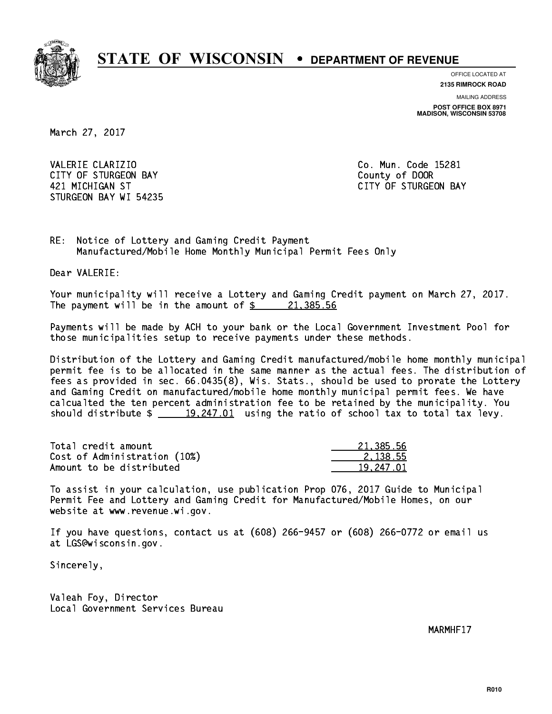

**OFFICE LOCATED AT**

**2135 RIMROCK ROAD**

**MAILING ADDRESS POST OFFICE BOX 8971 MADISON, WISCONSIN 53708**

March 27, 2017

VALERIE CLARIZIO CONTROLLERIE COMMUNISTICO. Mun. Code 15281 CITY OF STURGEON BAY **COUNTY COUNTY OF STURGEON BAY**  421 MICHIGAN ST CITY OF STURGEON BAY STURGEON BAY WI 54235

RE: Notice of Lottery and Gaming Credit Payment Manufactured/Mobile Home Monthly Municipal Permit Fees Only

Dear VALERIE:

 Your municipality will receive a Lottery and Gaming Credit payment on March 27, 2017. The payment will be in the amount of  $\frac{21,385.56}{21,385.56}$ 

 Payments will be made by ACH to your bank or the Local Government Investment Pool for those municipalities setup to receive payments under these methods.

 Distribution of the Lottery and Gaming Credit manufactured/mobile home monthly municipal permit fee is to be allocated in the same manner as the actual fees. The distribution of fees as provided in sec. 66.0435(8), Wis. Stats., should be used to prorate the Lottery and Gaming Credit on manufactured/mobile home monthly municipal permit fees. We have calcualted the ten percent administration fee to be retained by the municipality. You should distribute  $\frac{19,247.01}{2}$  using the ratio of school tax to total tax levy.

| Total credit amount          | 21,385.56 |
|------------------------------|-----------|
| Cost of Administration (10%) | 2.138.55  |
| Amount to be distributed     | 19.247.01 |

 To assist in your calculation, use publication Prop 076, 2017 Guide to Municipal Permit Fee and Lottery and Gaming Credit for Manufactured/Mobile Homes, on our website at www.revenue.wi.gov.

 If you have questions, contact us at (608) 266-9457 or (608) 266-0772 or email us at LGS@wisconsin.gov.

Sincerely,

 Valeah Foy, Director Local Government Services Bureau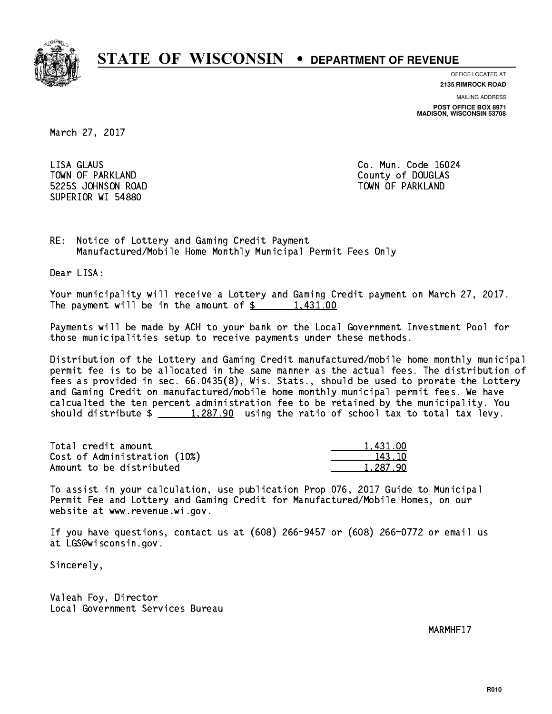

**OFFICE LOCATED AT**

**2135 RIMROCK ROAD**

**MAILING ADDRESS POST OFFICE BOX 8971 MADISON, WISCONSIN 53708**

March 27, 2017

 LISA GLAUS Co. Mun. Code 16024 TOWN OF PARKLAND COUNTY OF DOUGLAS 5225S JOHNSON ROAD TOWN OF PARKLAND SUPERIOR WI 54880

RE: Notice of Lottery and Gaming Credit Payment Manufactured/Mobile Home Monthly Municipal Permit Fees Only

Dear LISA:

 Your municipality will receive a Lottery and Gaming Credit payment on March 27, 2017. The payment will be in the amount of  $\frac{2}{3}$  1,431.00

 Payments will be made by ACH to your bank or the Local Government Investment Pool for those municipalities setup to receive payments under these methods.

 Distribution of the Lottery and Gaming Credit manufactured/mobile home monthly municipal permit fee is to be allocated in the same manner as the actual fees. The distribution of fees as provided in sec. 66.0435(8), Wis. Stats., should be used to prorate the Lottery and Gaming Credit on manufactured/mobile home monthly municipal permit fees. We have calcualted the ten percent administration fee to be retained by the municipality. You should distribute  $\frac{1,287.90}{1,287.90}$  using the ratio of school tax to total tax levy.

| Total credit amount          | 1.431.00 |
|------------------------------|----------|
| Cost of Administration (10%) | 143.10   |
| Amount to be distributed     | 1,287.90 |

 To assist in your calculation, use publication Prop 076, 2017 Guide to Municipal Permit Fee and Lottery and Gaming Credit for Manufactured/Mobile Homes, on our website at www.revenue.wi.gov.

 If you have questions, contact us at (608) 266-9457 or (608) 266-0772 or email us at LGS@wisconsin.gov.

Sincerely,

 Valeah Foy, Director Local Government Services Bureau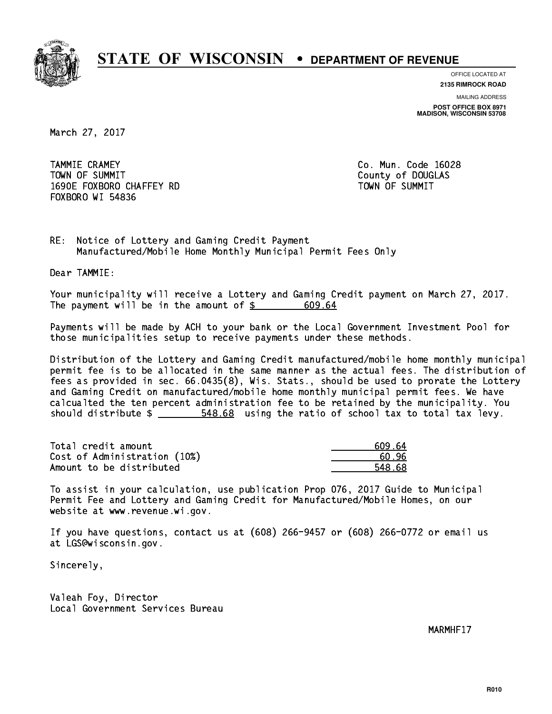

**OFFICE LOCATED AT**

**2135 RIMROCK ROAD**

**MAILING ADDRESS POST OFFICE BOX 8971 MADISON, WISCONSIN 53708**

March 27, 2017

 TAMMIE CRAMEY Co. Mun. Code 16028 TOWN OF SUMMIT County of DOUGLAS 1690E FOXBORO CHAFFEY RD TOWN OF SUMMIT FOXBORO WI 54836

RE: Notice of Lottery and Gaming Credit Payment Manufactured/Mobile Home Monthly Municipal Permit Fees Only

Dear TAMMIE:

 Your municipality will receive a Lottery and Gaming Credit payment on March 27, 2017. The payment will be in the amount of \$ 609.64 \_\_\_\_\_\_\_\_\_\_\_\_\_\_\_\_

 Payments will be made by ACH to your bank or the Local Government Investment Pool for those municipalities setup to receive payments under these methods.

 Distribution of the Lottery and Gaming Credit manufactured/mobile home monthly municipal permit fee is to be allocated in the same manner as the actual fees. The distribution of fees as provided in sec. 66.0435(8), Wis. Stats., should be used to prorate the Lottery and Gaming Credit on manufactured/mobile home monthly municipal permit fees. We have calcualted the ten percent administration fee to be retained by the municipality. You should distribute  $\frac{2}{1}$   $\frac{548.68}{68}$  using the ratio of school tax to total tax levy.

| Total credit amount          | 609.64 |
|------------------------------|--------|
| Cost of Administration (10%) | 60.96  |
| Amount to be distributed     | 548.68 |

 To assist in your calculation, use publication Prop 076, 2017 Guide to Municipal Permit Fee and Lottery and Gaming Credit for Manufactured/Mobile Homes, on our website at www.revenue.wi.gov.

 If you have questions, contact us at (608) 266-9457 or (608) 266-0772 or email us at LGS@wisconsin.gov.

Sincerely,

 Valeah Foy, Director Local Government Services Bureau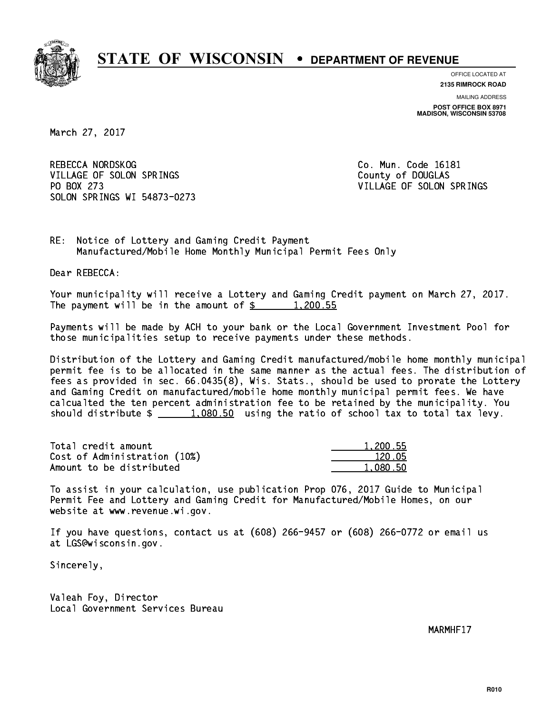

**OFFICE LOCATED AT**

**2135 RIMROCK ROAD**

**MAILING ADDRESS POST OFFICE BOX 8971 MADISON, WISCONSIN 53708**

March 27, 2017

REBECCA NORDSKOG COME CO. Mun. Code 16181 VILLAGE OF SOLON SPRINGS COUNTY OF DOUGLAS PO BOX 273 VILLAGE OF SOLON SPRINGS SOLON SPRINGS WI 54873-0273

RE: Notice of Lottery and Gaming Credit Payment Manufactured/Mobile Home Monthly Municipal Permit Fees Only

Dear REBECCA:

 Your municipality will receive a Lottery and Gaming Credit payment on March 27, 2017. The payment will be in the amount of  $\frac{2}{3}$  1,200.55

 Payments will be made by ACH to your bank or the Local Government Investment Pool for those municipalities setup to receive payments under these methods.

 Distribution of the Lottery and Gaming Credit manufactured/mobile home monthly municipal permit fee is to be allocated in the same manner as the actual fees. The distribution of fees as provided in sec. 66.0435(8), Wis. Stats., should be used to prorate the Lottery and Gaming Credit on manufactured/mobile home monthly municipal permit fees. We have calcualted the ten percent administration fee to be retained by the municipality. You should distribute  $\frac{1,080.50}{1,080.50}$  using the ratio of school tax to total tax levy.

| Total credit amount          | 1,200.55 |
|------------------------------|----------|
| Cost of Administration (10%) | 120.05   |
| Amount to be distributed     | 1.080.50 |

 To assist in your calculation, use publication Prop 076, 2017 Guide to Municipal Permit Fee and Lottery and Gaming Credit for Manufactured/Mobile Homes, on our website at www.revenue.wi.gov.

 If you have questions, contact us at (608) 266-9457 or (608) 266-0772 or email us at LGS@wisconsin.gov.

Sincerely,

 Valeah Foy, Director Local Government Services Bureau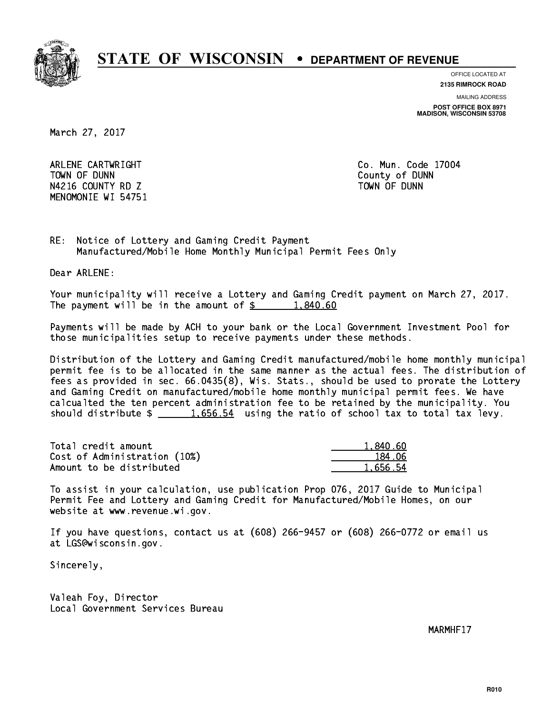

**OFFICE LOCATED AT**

**2135 RIMROCK ROAD**

**MAILING ADDRESS POST OFFICE BOX 8971 MADISON, WISCONSIN 53708**

March 27, 2017

 ARLENE CARTWRIGHT Co. Mun. Code 17004 TOWN OF DUNN County of DUNN N4216 COUNTY RD Z TOWN OF DUNN MENOMONIE WI 54751

RE: Notice of Lottery and Gaming Credit Payment Manufactured/Mobile Home Monthly Municipal Permit Fees Only

Dear ARLENE:

 Your municipality will receive a Lottery and Gaming Credit payment on March 27, 2017. The payment will be in the amount of  $\frac{2}{3}$  1,840.60

 Payments will be made by ACH to your bank or the Local Government Investment Pool for those municipalities setup to receive payments under these methods.

 Distribution of the Lottery and Gaming Credit manufactured/mobile home monthly municipal permit fee is to be allocated in the same manner as the actual fees. The distribution of fees as provided in sec. 66.0435(8), Wis. Stats., should be used to prorate the Lottery and Gaming Credit on manufactured/mobile home monthly municipal permit fees. We have calcualted the ten percent administration fee to be retained by the municipality. You should distribute  $\frac{1.656.54}{1.656.54}$  using the ratio of school tax to total tax levy.

| Total credit amount          | 1,840.60 |
|------------------------------|----------|
| Cost of Administration (10%) | 184.06   |
| Amount to be distributed     | 1.656.54 |

 To assist in your calculation, use publication Prop 076, 2017 Guide to Municipal Permit Fee and Lottery and Gaming Credit for Manufactured/Mobile Homes, on our website at www.revenue.wi.gov.

 If you have questions, contact us at (608) 266-9457 or (608) 266-0772 or email us at LGS@wisconsin.gov.

Sincerely,

 Valeah Foy, Director Local Government Services Bureau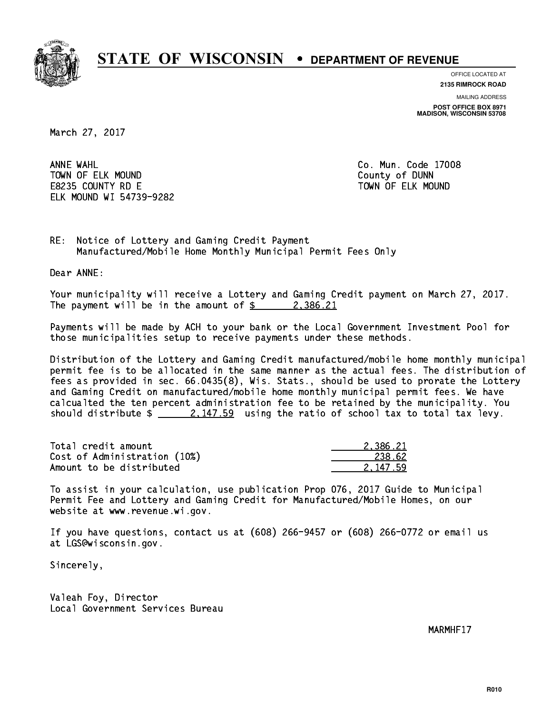

**OFFICE LOCATED AT**

**2135 RIMROCK ROAD**

**MAILING ADDRESS POST OFFICE BOX 8971 MADISON, WISCONSIN 53708**

March 27, 2017

ANNE WAHL TOWN OF ELK MOUND COUNTY OF DUNN E8235 COUNTY RD E TOWN OF ELK MOUND ELK MOUND WI 54739-9282

Co. Mun. Code 17008

RE: Notice of Lottery and Gaming Credit Payment Manufactured/Mobile Home Monthly Municipal Permit Fees Only

Dear ANNE:

 Your municipality will receive a Lottery and Gaming Credit payment on March 27, 2017. The payment will be in the amount of  $\frac{2}{3}$  2,386.21

 Payments will be made by ACH to your bank or the Local Government Investment Pool for those municipalities setup to receive payments under these methods.

 Distribution of the Lottery and Gaming Credit manufactured/mobile home monthly municipal permit fee is to be allocated in the same manner as the actual fees. The distribution of fees as provided in sec. 66.0435(8), Wis. Stats., should be used to prorate the Lottery and Gaming Credit on manufactured/mobile home monthly municipal permit fees. We have calcualted the ten percent administration fee to be retained by the municipality. You should distribute  $\frac{2.147.59}{2.147.59}$  using the ratio of school tax to total tax levy.

| Total credit amount          | 2.386.21 |
|------------------------------|----------|
| Cost of Administration (10%) | 238.62   |
| Amount to be distributed     | 2.147.59 |

 To assist in your calculation, use publication Prop 076, 2017 Guide to Municipal Permit Fee and Lottery and Gaming Credit for Manufactured/Mobile Homes, on our website at www.revenue.wi.gov.

 If you have questions, contact us at (608) 266-9457 or (608) 266-0772 or email us at LGS@wisconsin.gov.

Sincerely,

 Valeah Foy, Director Local Government Services Bureau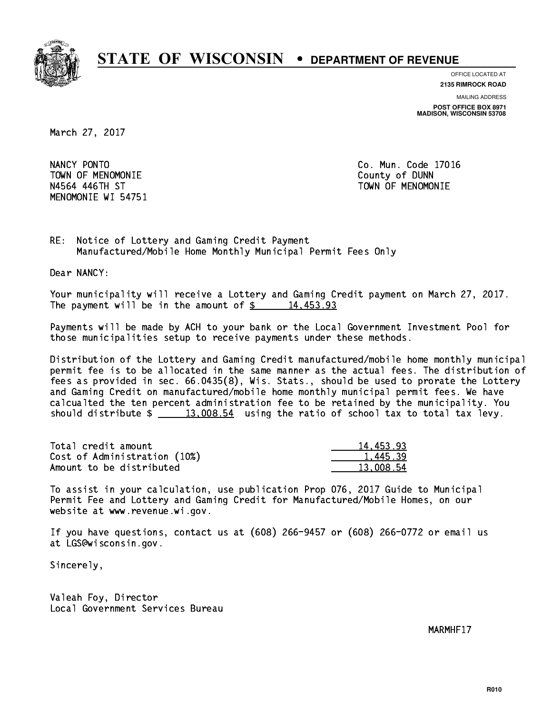

**OFFICE LOCATED AT**

**2135 RIMROCK ROAD**

**MAILING ADDRESS POST OFFICE BOX 8971 MADISON, WISCONSIN 53708**

March 27, 2017

NANCY PONTO TOWN OF MENOMONIE County of DUNN N4564 446TH ST TOWN OF MENOMONIE MENOMONIE WI 54751

Co. Mun. Code 17016

RE: Notice of Lottery and Gaming Credit Payment Manufactured/Mobile Home Monthly Municipal Permit Fees Only

Dear NANCY:

 Your municipality will receive a Lottery and Gaming Credit payment on March 27, 2017. The payment will be in the amount of  $\frac{2}{3}$  14,453.93

 Payments will be made by ACH to your bank or the Local Government Investment Pool for those municipalities setup to receive payments under these methods.

 Distribution of the Lottery and Gaming Credit manufactured/mobile home monthly municipal permit fee is to be allocated in the same manner as the actual fees. The distribution of fees as provided in sec. 66.0435(8), Wis. Stats., should be used to prorate the Lottery and Gaming Credit on manufactured/mobile home monthly municipal permit fees. We have calcualted the ten percent administration fee to be retained by the municipality. You should distribute  $\frac{2}{13,008.54}$  using the ratio of school tax to total tax levy.

| Total credit amount          | 14, 453, 93 |
|------------------------------|-------------|
| Cost of Administration (10%) | 1.445.39    |
| Amount to be distributed     | 13.008.54   |

 To assist in your calculation, use publication Prop 076, 2017 Guide to Municipal Permit Fee and Lottery and Gaming Credit for Manufactured/Mobile Homes, on our website at www.revenue.wi.gov.

 If you have questions, contact us at (608) 266-9457 or (608) 266-0772 or email us at LGS@wisconsin.gov.

Sincerely,

 Valeah Foy, Director Local Government Services Bureau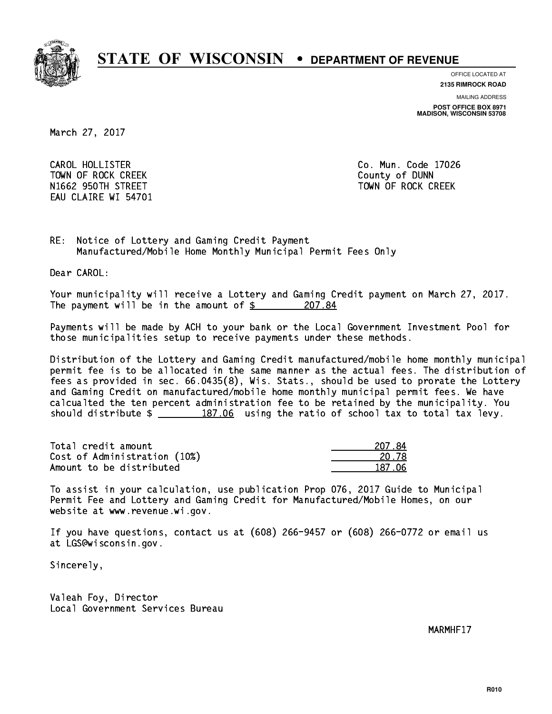

**OFFICE LOCATED AT**

**2135 RIMROCK ROAD**

**MAILING ADDRESS POST OFFICE BOX 8971 MADISON, WISCONSIN 53708**

March 27, 2017

 CAROL HOLLISTER Co. Mun. Code 17026 TOWN OF ROCK CREEK COUNTY OF DUNN N1662 950TH STREET TOWN OF ROCK CREEK EAU CLAIRE WI 54701

RE: Notice of Lottery and Gaming Credit Payment Manufactured/Mobile Home Monthly Municipal Permit Fees Only

Dear CAROL:

 Your municipality will receive a Lottery and Gaming Credit payment on March 27, 2017. The payment will be in the amount of  $\frac{207.84}{200}$ 

 Payments will be made by ACH to your bank or the Local Government Investment Pool for those municipalities setup to receive payments under these methods.

 Distribution of the Lottery and Gaming Credit manufactured/mobile home monthly municipal permit fee is to be allocated in the same manner as the actual fees. The distribution of fees as provided in sec. 66.0435(8), Wis. Stats., should be used to prorate the Lottery and Gaming Credit on manufactured/mobile home monthly municipal permit fees. We have calcualted the ten percent administration fee to be retained by the municipality. You should distribute  $\frac{2}{187.06}$  using the ratio of school tax to total tax levy.

Total credit amount Cost of Administration (10%) Amount to be distributed

| 207.84 |
|--------|
| 20.78  |
| 87 NA  |

 To assist in your calculation, use publication Prop 076, 2017 Guide to Municipal Permit Fee and Lottery and Gaming Credit for Manufactured/Mobile Homes, on our website at www.revenue.wi.gov.

 If you have questions, contact us at (608) 266-9457 or (608) 266-0772 or email us at LGS@wisconsin.gov.

Sincerely,

 Valeah Foy, Director Local Government Services Bureau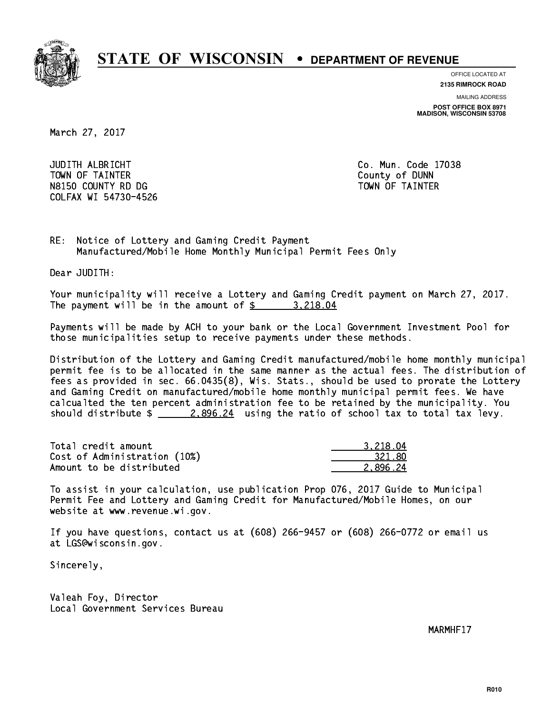

**OFFICE LOCATED AT**

**2135 RIMROCK ROAD**

**MAILING ADDRESS POST OFFICE BOX 8971 MADISON, WISCONSIN 53708**

March 27, 2017

 JUDITH ALBRICHT Co. Mun. Code 17038 TOWN OF TAINTER County of DUNN N8150 COUNTY RD DG TAINTER TOWN OF TAINTER COLFAX WI 54730-4526

RE: Notice of Lottery and Gaming Credit Payment Manufactured/Mobile Home Monthly Municipal Permit Fees Only

Dear JUDITH:

 Your municipality will receive a Lottery and Gaming Credit payment on March 27, 2017. The payment will be in the amount of  $\frac{2}{3}$  3,218.04

 Payments will be made by ACH to your bank or the Local Government Investment Pool for those municipalities setup to receive payments under these methods.

 Distribution of the Lottery and Gaming Credit manufactured/mobile home monthly municipal permit fee is to be allocated in the same manner as the actual fees. The distribution of fees as provided in sec. 66.0435(8), Wis. Stats., should be used to prorate the Lottery and Gaming Credit on manufactured/mobile home monthly municipal permit fees. We have calcualted the ten percent administration fee to be retained by the municipality. You should distribute  $\frac{2.896.24}{2.896.24}$  using the ratio of school tax to total tax levy.

| Total credit amount          | 3.218.04 |
|------------------------------|----------|
| Cost of Administration (10%) | 321.80   |
| Amount to be distributed     | 2.896.24 |

 To assist in your calculation, use publication Prop 076, 2017 Guide to Municipal Permit Fee and Lottery and Gaming Credit for Manufactured/Mobile Homes, on our website at www.revenue.wi.gov.

 If you have questions, contact us at (608) 266-9457 or (608) 266-0772 or email us at LGS@wisconsin.gov.

Sincerely,

 Valeah Foy, Director Local Government Services Bureau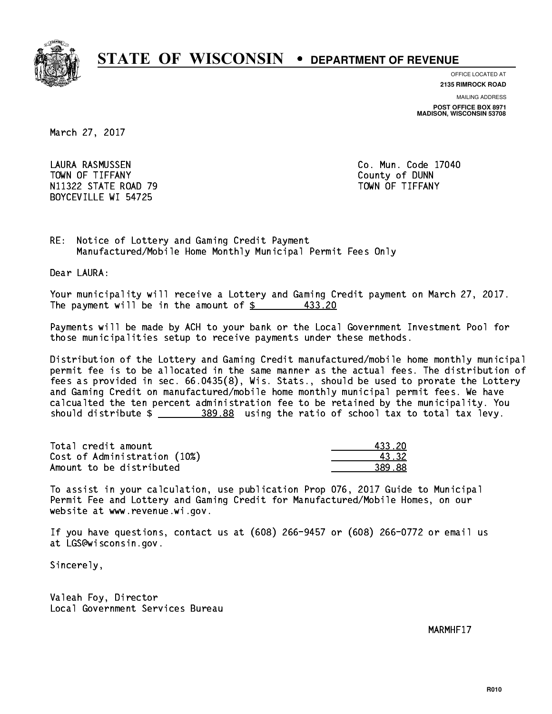

**OFFICE LOCATED AT**

**2135 RIMROCK ROAD**

**MAILING ADDRESS POST OFFICE BOX 8971 MADISON, WISCONSIN 53708**

March 27, 2017

 LAURA RASMUSSEN Co. Mun. Code 17040 TOWN OF TIFFANY County of DUNN N11322 STATE ROAD 79 TOWN OF TIFFANY BOYCEVILLE WI 54725

RE: Notice of Lottery and Gaming Credit Payment Manufactured/Mobile Home Monthly Municipal Permit Fees Only

Dear LAURA:

 Your municipality will receive a Lottery and Gaming Credit payment on March 27, 2017. The payment will be in the amount of  $\frac{2}{3}$  433.20

 Payments will be made by ACH to your bank or the Local Government Investment Pool for those municipalities setup to receive payments under these methods.

 Distribution of the Lottery and Gaming Credit manufactured/mobile home monthly municipal permit fee is to be allocated in the same manner as the actual fees. The distribution of fees as provided in sec. 66.0435(8), Wis. Stats., should be used to prorate the Lottery and Gaming Credit on manufactured/mobile home monthly municipal permit fees. We have calcualted the ten percent administration fee to be retained by the municipality. You should distribute \$ 389.88 using the ratio of school tax to total tax levy. \_\_\_\_\_\_\_\_\_\_\_\_\_\_

| Total credit amount          | 433.20 |
|------------------------------|--------|
| Cost of Administration (10%) | 43.32  |
| Amount to be distributed     | 389.88 |

 To assist in your calculation, use publication Prop 076, 2017 Guide to Municipal Permit Fee and Lottery and Gaming Credit for Manufactured/Mobile Homes, on our website at www.revenue.wi.gov.

 If you have questions, contact us at (608) 266-9457 or (608) 266-0772 or email us at LGS@wisconsin.gov.

Sincerely,

 Valeah Foy, Director Local Government Services Bureau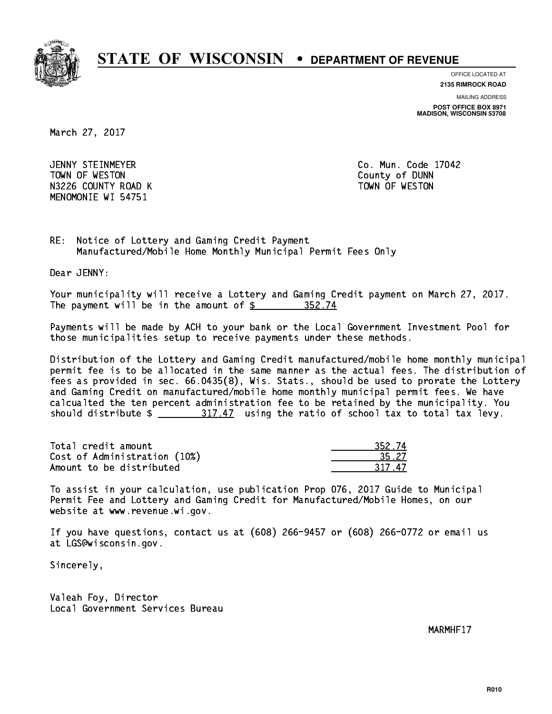

**OFFICE LOCATED AT 2135 RIMROCK ROAD**

**MAILING ADDRESS**

**POST OFFICE BOX 8971 MADISON, WISCONSIN 53708**

March 27, 2017

JENNY STEINMEYER TOWN OF WESTON COUNTY OF DUNN N3226 COUNTY ROAD K TOWN OF WESTON MENOMONIE WI 54751

Co. Mun. Code 17042

RE: Notice of Lottery and Gaming Credit Payment Manufactured/Mobile Home Monthly Municipal Permit Fees Only

Dear JENNY:

 Your municipality will receive a Lottery and Gaming Credit payment on March 27, 2017. The payment will be in the amount of \$ 352.74 \_\_\_\_\_\_\_\_\_\_\_\_\_\_\_\_

 Payments will be made by ACH to your bank or the Local Government Investment Pool for those municipalities setup to receive payments under these methods.

 Distribution of the Lottery and Gaming Credit manufactured/mobile home monthly municipal permit fee is to be allocated in the same manner as the actual fees. The distribution of fees as provided in sec. 66.0435(8), Wis. Stats., should be used to prorate the Lottery and Gaming Credit on manufactured/mobile home monthly municipal permit fees. We have calcualted the ten percent administration fee to be retained by the municipality. You should distribute  $\frac{217.47}{2}$  using the ratio of school tax to total tax levy.

Total credit amount Cost of Administration (10%) Amount to be distributed

| 74. ?د |
|--------|
| ı 27   |
| . .    |

 To assist in your calculation, use publication Prop 076, 2017 Guide to Municipal Permit Fee and Lottery and Gaming Credit for Manufactured/Mobile Homes, on our website at www.revenue.wi.gov.

 If you have questions, contact us at (608) 266-9457 or (608) 266-0772 or email us at LGS@wisconsin.gov.

Sincerely,

 Valeah Foy, Director Local Government Services Bureau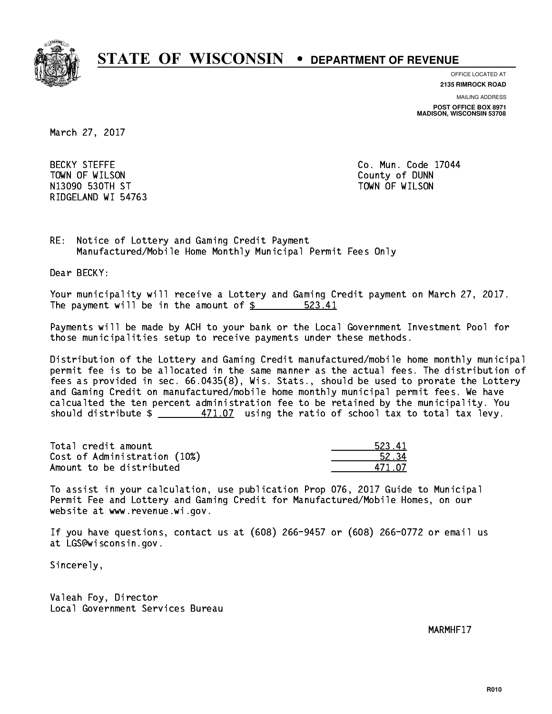

**OFFICE LOCATED AT 2135 RIMROCK ROAD**

**MAILING ADDRESS**

**POST OFFICE BOX 8971 MADISON, WISCONSIN 53708**

March 27, 2017

**BECKY STEFFE**  TOWN OF WILSON County of DUNN N13090 ST TOWN OF WILSON OF WILSON OF WILSON OF WILSON OF WILSON OF WILSON OF WILSON OF WILSON OF WILSON OF WI RIDGELAND WI 54763

Co. Mun. Code 17044

RE: Notice of Lottery and Gaming Credit Payment Manufactured/Mobile Home Monthly Municipal Permit Fees Only

Dear BECKY:

 Your municipality will receive a Lottery and Gaming Credit payment on March 27, 2017. The payment will be in the amount of \$ 523.41 \_\_\_\_\_\_\_\_\_\_\_\_\_\_\_\_

 Payments will be made by ACH to your bank or the Local Government Investment Pool for those municipalities setup to receive payments under these methods.

 Distribution of the Lottery and Gaming Credit manufactured/mobile home monthly municipal permit fee is to be allocated in the same manner as the actual fees. The distribution of fees as provided in sec. 66.0435(8), Wis. Stats., should be used to prorate the Lottery and Gaming Credit on manufactured/mobile home monthly municipal permit fees. We have calcualted the ten percent administration fee to be retained by the municipality. You should distribute  $\frac{2}{2}$   $\frac{471.07}{2}$  using the ratio of school tax to total tax levy.

Total credit amount Cost of Administration (10%) Amount to be distributed

| 11<br>ヘンマー |
|------------|
| 72 RA      |
| 71 N Z     |

 To assist in your calculation, use publication Prop 076, 2017 Guide to Municipal Permit Fee and Lottery and Gaming Credit for Manufactured/Mobile Homes, on our website at www.revenue.wi.gov.

 If you have questions, contact us at (608) 266-9457 or (608) 266-0772 or email us at LGS@wisconsin.gov.

Sincerely,

 Valeah Foy, Director Local Government Services Bureau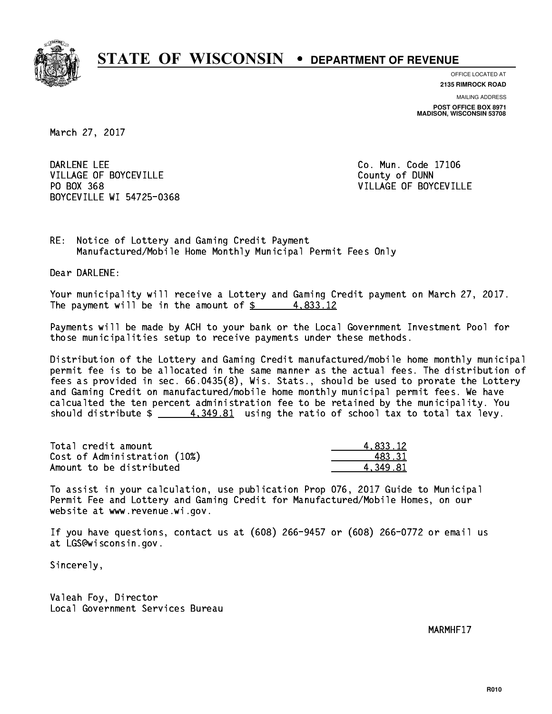

**OFFICE LOCATED AT**

**2135 RIMROCK ROAD**

**MAILING ADDRESS POST OFFICE BOX 8971 MADISON, WISCONSIN 53708**

March 27, 2017

DARLENE LEE VILLAGE OF BOYCEVILLE **COUNTY OF SEXUAL COUNTY OF BOYCEVILLE** PO BOX 368 BOYCEVILLE WI 54725-0368

Co. Mun. Code 17106 VILLAGE OF BOYCEVILLE

RE: Notice of Lottery and Gaming Credit Payment Manufactured/Mobile Home Monthly Municipal Permit Fees Only

Dear DARLENE:

 Your municipality will receive a Lottery and Gaming Credit payment on March 27, 2017. The payment will be in the amount of  $\frac{2}{3}$  4,833.12

 Payments will be made by ACH to your bank or the Local Government Investment Pool for those municipalities setup to receive payments under these methods.

 Distribution of the Lottery and Gaming Credit manufactured/mobile home monthly municipal permit fee is to be allocated in the same manner as the actual fees. The distribution of fees as provided in sec. 66.0435(8), Wis. Stats., should be used to prorate the Lottery and Gaming Credit on manufactured/mobile home monthly municipal permit fees. We have calcualted the ten percent administration fee to be retained by the municipality. You should distribute  $\frac{4,349.81}{2}$  using the ratio of school tax to total tax levy.

| Total credit amount          | 4.833.12 |
|------------------------------|----------|
| Cost of Administration (10%) | 483.31   |
| Amount to be distributed     | 4.349.81 |

 To assist in your calculation, use publication Prop 076, 2017 Guide to Municipal Permit Fee and Lottery and Gaming Credit for Manufactured/Mobile Homes, on our website at www.revenue.wi.gov.

 If you have questions, contact us at (608) 266-9457 or (608) 266-0772 or email us at LGS@wisconsin.gov.

Sincerely,

 Valeah Foy, Director Local Government Services Bureau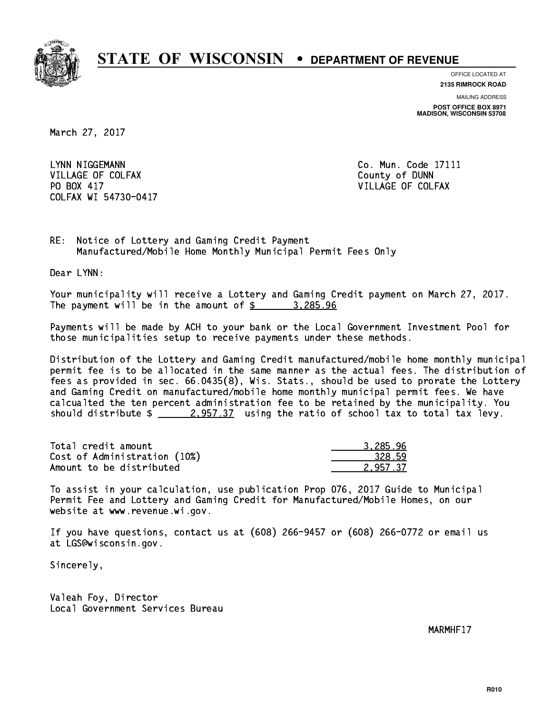

**OFFICE LOCATED AT**

**2135 RIMROCK ROAD**

**MAILING ADDRESS POST OFFICE BOX 8971 MADISON, WISCONSIN 53708**

March 27, 2017

 LYNN NIGGEMANN Co. Mun. Code 17111 VILLAGE OF COLFAX COUNTY OF DUNN PO BOX 417 VILLAGE OF COLFAX COLFAX WI 54730-0417

RE: Notice of Lottery and Gaming Credit Payment Manufactured/Mobile Home Monthly Municipal Permit Fees Only

Dear LYNN:

 Your municipality will receive a Lottery and Gaming Credit payment on March 27, 2017. The payment will be in the amount of  $\frac{2}{3}$  3,285.96

 Payments will be made by ACH to your bank or the Local Government Investment Pool for those municipalities setup to receive payments under these methods.

 Distribution of the Lottery and Gaming Credit manufactured/mobile home monthly municipal permit fee is to be allocated in the same manner as the actual fees. The distribution of fees as provided in sec. 66.0435(8), Wis. Stats., should be used to prorate the Lottery and Gaming Credit on manufactured/mobile home monthly municipal permit fees. We have calcualted the ten percent administration fee to be retained by the municipality. You should distribute  $\frac{2.957.37}{2.957.37}$  using the ratio of school tax to total tax levy.

| Total credit amount          | 3.285.96 |
|------------------------------|----------|
| Cost of Administration (10%) | 328.59   |
| Amount to be distributed     | 2.957.37 |

 To assist in your calculation, use publication Prop 076, 2017 Guide to Municipal Permit Fee and Lottery and Gaming Credit for Manufactured/Mobile Homes, on our website at www.revenue.wi.gov.

 If you have questions, contact us at (608) 266-9457 or (608) 266-0772 or email us at LGS@wisconsin.gov.

Sincerely,

 Valeah Foy, Director Local Government Services Bureau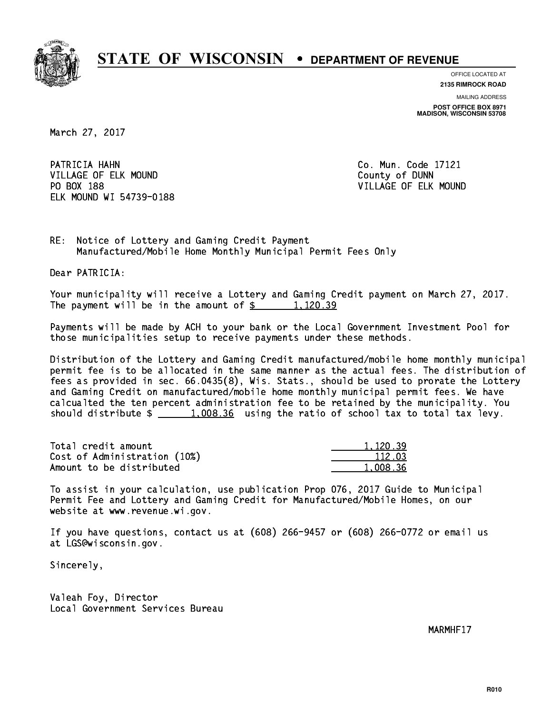

**OFFICE LOCATED AT**

**2135 RIMROCK ROAD**

**MAILING ADDRESS POST OFFICE BOX 8971 MADISON, WISCONSIN 53708**

March 27, 2017

PATRICIA HAHN VILLAGE OF ELK MOUND COUNTY OF DUNN PO BOX 188 ELK MOUND WI 54739-0188

Co. Mun. Code 17121 VILLAGE OF ELK MOUND

RE: Notice of Lottery and Gaming Credit Payment Manufactured/Mobile Home Monthly Municipal Permit Fees Only

Dear PATRICIA:

 Your municipality will receive a Lottery and Gaming Credit payment on March 27, 2017. The payment will be in the amount of  $\frac{2}{3}$  1,120.39

 Payments will be made by ACH to your bank or the Local Government Investment Pool for those municipalities setup to receive payments under these methods.

 Distribution of the Lottery and Gaming Credit manufactured/mobile home monthly municipal permit fee is to be allocated in the same manner as the actual fees. The distribution of fees as provided in sec. 66.0435(8), Wis. Stats., should be used to prorate the Lottery and Gaming Credit on manufactured/mobile home monthly municipal permit fees. We have calcualted the ten percent administration fee to be retained by the municipality. You should distribute  $\frac{1,008.36}{1,008.36}$  using the ratio of school tax to total tax levy.

| Total credit amount          | 1,120.39 |
|------------------------------|----------|
| Cost of Administration (10%) | 112.03   |
| Amount to be distributed     | 1.008.36 |

 To assist in your calculation, use publication Prop 076, 2017 Guide to Municipal Permit Fee and Lottery and Gaming Credit for Manufactured/Mobile Homes, on our website at www.revenue.wi.gov.

 If you have questions, contact us at (608) 266-9457 or (608) 266-0772 or email us at LGS@wisconsin.gov.

Sincerely,

 Valeah Foy, Director Local Government Services Bureau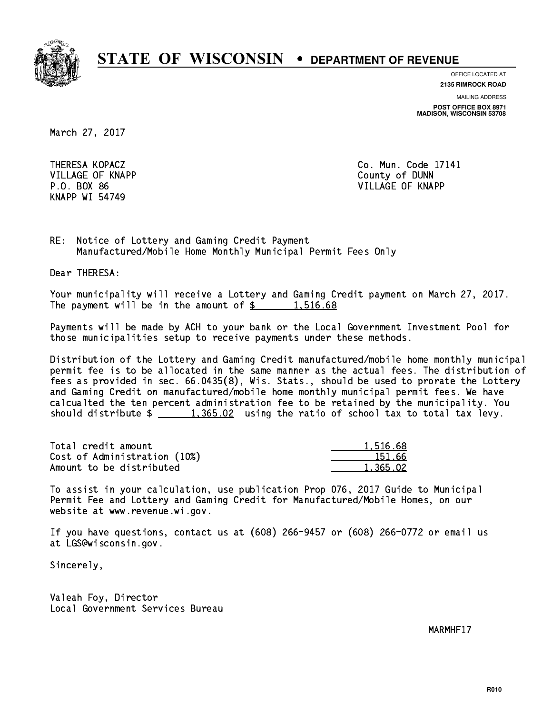

**OFFICE LOCATED AT**

**2135 RIMROCK ROAD**

**MAILING ADDRESS POST OFFICE BOX 8971 MADISON, WISCONSIN 53708**

March 27, 2017

VILLAGE OF KNAPP County of DUNN KNAPP WI 54749

 THERESA KOPACZ Co. Mun. Code 17141 P.O. BOX 86 VILLAGE OF KNAPP

RE: Notice of Lottery and Gaming Credit Payment Manufactured/Mobile Home Monthly Municipal Permit Fees Only

Dear THERESA:

 Your municipality will receive a Lottery and Gaming Credit payment on March 27, 2017. The payment will be in the amount of  $\frac{2}{3}$  1,516.68

 Payments will be made by ACH to your bank or the Local Government Investment Pool for those municipalities setup to receive payments under these methods.

 Distribution of the Lottery and Gaming Credit manufactured/mobile home monthly municipal permit fee is to be allocated in the same manner as the actual fees. The distribution of fees as provided in sec. 66.0435(8), Wis. Stats., should be used to prorate the Lottery and Gaming Credit on manufactured/mobile home monthly municipal permit fees. We have calcualted the ten percent administration fee to be retained by the municipality. You should distribute  $\frac{1,365.02}{1,365.02}$  using the ratio of school tax to total tax levy.

| Total credit amount          | 1,516.68 |
|------------------------------|----------|
| Cost of Administration (10%) | 151.66   |
| Amount to be distributed     | 1.365.02 |

 To assist in your calculation, use publication Prop 076, 2017 Guide to Municipal Permit Fee and Lottery and Gaming Credit for Manufactured/Mobile Homes, on our website at www.revenue.wi.gov.

 If you have questions, contact us at (608) 266-9457 or (608) 266-0772 or email us at LGS@wisconsin.gov.

Sincerely,

 Valeah Foy, Director Local Government Services Bureau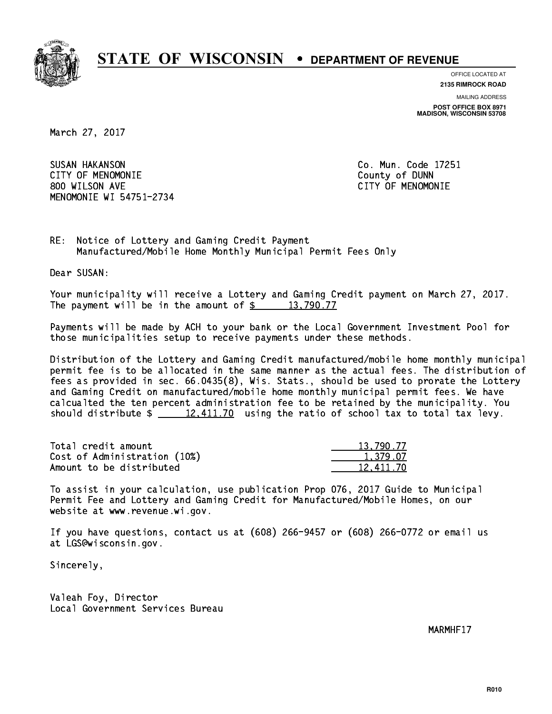

**OFFICE LOCATED AT**

**2135 RIMROCK ROAD**

**MAILING ADDRESS POST OFFICE BOX 8971 MADISON, WISCONSIN 53708**

March 27, 2017

 SUSAN HAKANSON Co. Mun. Code 17251 CITY OF MENOMONIE County of DUNN 800 WILSON AVE CITY OF MENOMONIE MENOMONIE WI 54751-2734

RE: Notice of Lottery and Gaming Credit Payment Manufactured/Mobile Home Monthly Municipal Permit Fees Only

Dear SUSAN:

 Your municipality will receive a Lottery and Gaming Credit payment on March 27, 2017. The payment will be in the amount of  $\frac{2}{3}$  13,790.77

 Payments will be made by ACH to your bank or the Local Government Investment Pool for those municipalities setup to receive payments under these methods.

 Distribution of the Lottery and Gaming Credit manufactured/mobile home monthly municipal permit fee is to be allocated in the same manner as the actual fees. The distribution of fees as provided in sec. 66.0435(8), Wis. Stats., should be used to prorate the Lottery and Gaming Credit on manufactured/mobile home monthly municipal permit fees. We have calcualted the ten percent administration fee to be retained by the municipality. You should distribute  $\frac{2}{12,411.70}$  using the ratio of school tax to total tax levy.

| Total credit amount          | 13,790.77 |
|------------------------------|-----------|
| Cost of Administration (10%) | 1.379.07  |
| Amount to be distributed     | 12.411.70 |

 To assist in your calculation, use publication Prop 076, 2017 Guide to Municipal Permit Fee and Lottery and Gaming Credit for Manufactured/Mobile Homes, on our website at www.revenue.wi.gov.

 If you have questions, contact us at (608) 266-9457 or (608) 266-0772 or email us at LGS@wisconsin.gov.

Sincerely,

 Valeah Foy, Director Local Government Services Bureau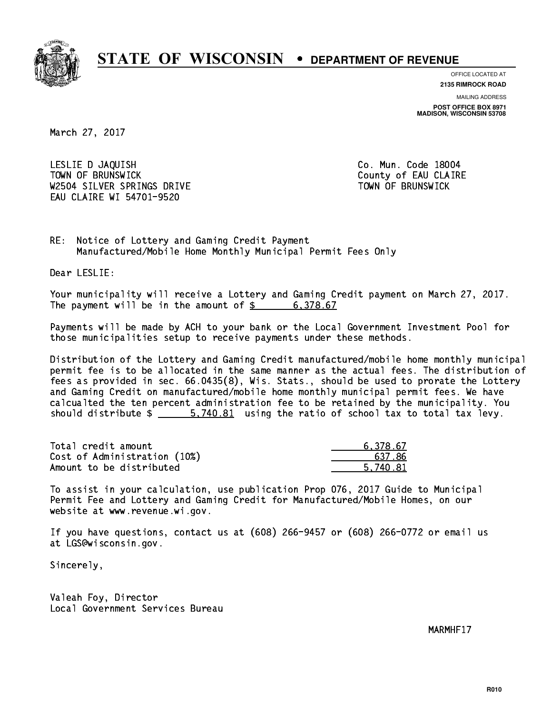

**OFFICE LOCATED AT**

**2135 RIMROCK ROAD**

**MAILING ADDRESS POST OFFICE BOX 8971 MADISON, WISCONSIN 53708**

March 27, 2017

 LESLIE D JAQUISH Co. Mun. Code 18004 TOWN OF BRUNSWICK County of EAU CLAIRE W2504 SILVER SPRINGS DRIVE TOWN OF BRUNSWICK EAU CLAIRE WI 54701-9520

RE: Notice of Lottery and Gaming Credit Payment Manufactured/Mobile Home Monthly Municipal Permit Fees Only

Dear LESLIE:

 Your municipality will receive a Lottery and Gaming Credit payment on March 27, 2017. The payment will be in the amount of  $\frac{2}{3}$  6,378.67

 Payments will be made by ACH to your bank or the Local Government Investment Pool for those municipalities setup to receive payments under these methods.

 Distribution of the Lottery and Gaming Credit manufactured/mobile home monthly municipal permit fee is to be allocated in the same manner as the actual fees. The distribution of fees as provided in sec. 66.0435(8), Wis. Stats., should be used to prorate the Lottery and Gaming Credit on manufactured/mobile home monthly municipal permit fees. We have calcualted the ten percent administration fee to be retained by the municipality. You should distribute  $\frac{2}{1}$   $\frac{5,740.81}{2}$  using the ratio of school tax to total tax levy.

| Total credit amount          | 6.378.67 |
|------------------------------|----------|
| Cost of Administration (10%) | 637.86   |
| Amount to be distributed     | 5.740.81 |

 To assist in your calculation, use publication Prop 076, 2017 Guide to Municipal Permit Fee and Lottery and Gaming Credit for Manufactured/Mobile Homes, on our website at www.revenue.wi.gov.

 If you have questions, contact us at (608) 266-9457 or (608) 266-0772 or email us at LGS@wisconsin.gov.

Sincerely,

 Valeah Foy, Director Local Government Services Bureau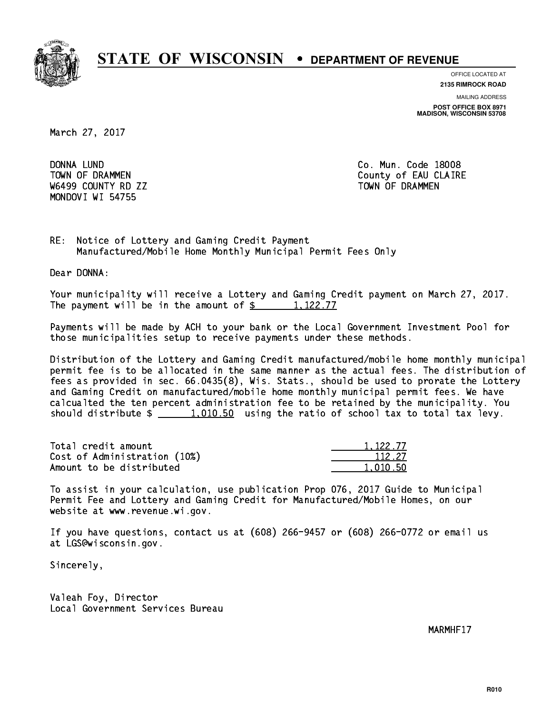

**OFFICE LOCATED AT 2135 RIMROCK ROAD**

**MAILING ADDRESS POST OFFICE BOX 8971 MADISON, WISCONSIN 53708**

March 27, 2017

DONNA LUND W6499 COUNTY RD ZZ TOWN OF DRAMMEN MONDOVI WI 54755

Co. Mun. Code 18008 TOWN OF DRAMMEN COUNTY OF EAU CLAIRE

RE: Notice of Lottery and Gaming Credit Payment Manufactured/Mobile Home Monthly Municipal Permit Fees Only

Dear DONNA:

 Your municipality will receive a Lottery and Gaming Credit payment on March 27, 2017. The payment will be in the amount of  $\frac{2}{3}$  1,122.77

 Payments will be made by ACH to your bank or the Local Government Investment Pool for those municipalities setup to receive payments under these methods.

 Distribution of the Lottery and Gaming Credit manufactured/mobile home monthly municipal permit fee is to be allocated in the same manner as the actual fees. The distribution of fees as provided in sec. 66.0435(8), Wis. Stats., should be used to prorate the Lottery and Gaming Credit on manufactured/mobile home monthly municipal permit fees. We have calcualted the ten percent administration fee to be retained by the municipality. You should distribute  $\frac{1,010.50}{1,010.50}$  using the ratio of school tax to total tax levy.

| Total credit amount          | 1,122,77 |
|------------------------------|----------|
| Cost of Administration (10%) | 112.27   |
| Amount to be distributed     | 1.010.50 |

112.27  $.010.50$ 

 To assist in your calculation, use publication Prop 076, 2017 Guide to Municipal Permit Fee and Lottery and Gaming Credit for Manufactured/Mobile Homes, on our website at www.revenue.wi.gov.

 If you have questions, contact us at (608) 266-9457 or (608) 266-0772 or email us at LGS@wisconsin.gov.

Sincerely,

 Valeah Foy, Director Local Government Services Bureau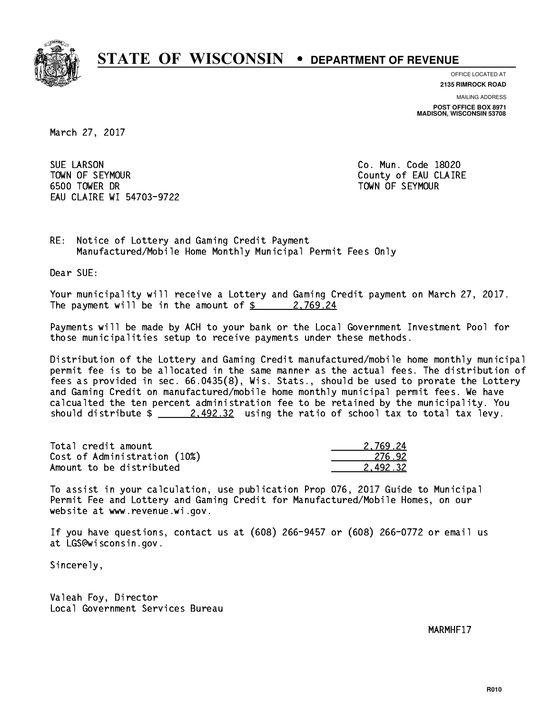

**OFFICE LOCATED AT 2135 RIMROCK ROAD**

**MAILING ADDRESS**

**POST OFFICE BOX 8971 MADISON, WISCONSIN 53708**

March 27, 2017

**SUE LARSON**  TOWN OF SEYMOUR County of EAU CLAIRE 6500 TOWER DR TOWN OF SEYMOUR EAU CLAIRE WI 54703-9722

Co. Mun. Code 18020

RE: Notice of Lottery and Gaming Credit Payment Manufactured/Mobile Home Monthly Municipal Permit Fees Only

Dear SUE:

 Your municipality will receive a Lottery and Gaming Credit payment on March 27, 2017. The payment will be in the amount of  $\frac{2}{3}$  2,769.24

 Payments will be made by ACH to your bank or the Local Government Investment Pool for those municipalities setup to receive payments under these methods.

 Distribution of the Lottery and Gaming Credit manufactured/mobile home monthly municipal permit fee is to be allocated in the same manner as the actual fees. The distribution of fees as provided in sec. 66.0435(8), Wis. Stats., should be used to prorate the Lottery and Gaming Credit on manufactured/mobile home monthly municipal permit fees. We have calcualted the ten percent administration fee to be retained by the municipality. You should distribute  $\frac{2.492.32}{2.492.32}$  using the ratio of school tax to total tax levy.

| Total credit amount          | 2.769.24 |
|------------------------------|----------|
| Cost of Administration (10%) | 276.92   |
| Amount to be distributed     | 2.492.32 |

 To assist in your calculation, use publication Prop 076, 2017 Guide to Municipal Permit Fee and Lottery and Gaming Credit for Manufactured/Mobile Homes, on our website at www.revenue.wi.gov.

 If you have questions, contact us at (608) 266-9457 or (608) 266-0772 or email us at LGS@wisconsin.gov.

Sincerely,

 Valeah Foy, Director Local Government Services Bureau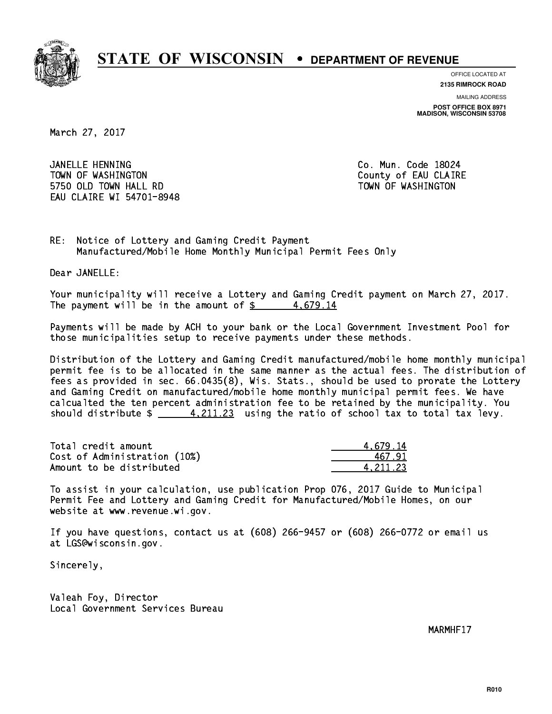

**OFFICE LOCATED AT**

**2135 RIMROCK ROAD**

**MAILING ADDRESS POST OFFICE BOX 8971 MADISON, WISCONSIN 53708**

March 27, 2017

 JANELLE HENNING Co. Mun. Code 18024 TOWN OF WASHINGTON COUNTY OF EAU CLAIRE 5750 OLD TOWN HALL RD TOWN OF WASHINGTON EAU CLAIRE WI 54701-8948

RE: Notice of Lottery and Gaming Credit Payment Manufactured/Mobile Home Monthly Municipal Permit Fees Only

Dear JANELLE:

 Your municipality will receive a Lottery and Gaming Credit payment on March 27, 2017. The payment will be in the amount of  $\frac{2}{3}$  4,679.14

 Payments will be made by ACH to your bank or the Local Government Investment Pool for those municipalities setup to receive payments under these methods.

 Distribution of the Lottery and Gaming Credit manufactured/mobile home monthly municipal permit fee is to be allocated in the same manner as the actual fees. The distribution of fees as provided in sec. 66.0435(8), Wis. Stats., should be used to prorate the Lottery and Gaming Credit on manufactured/mobile home monthly municipal permit fees. We have calcualted the ten percent administration fee to be retained by the municipality. You should distribute  $\frac{4.211.23}{2}$  using the ratio of school tax to total tax levy.

| Total credit amount          | 4.679.14 |
|------------------------------|----------|
| Cost of Administration (10%) | 467.91   |
| Amount to be distributed     | 4.211.23 |

 To assist in your calculation, use publication Prop 076, 2017 Guide to Municipal Permit Fee and Lottery and Gaming Credit for Manufactured/Mobile Homes, on our website at www.revenue.wi.gov.

 If you have questions, contact us at (608) 266-9457 or (608) 266-0772 or email us at LGS@wisconsin.gov.

Sincerely,

 Valeah Foy, Director Local Government Services Bureau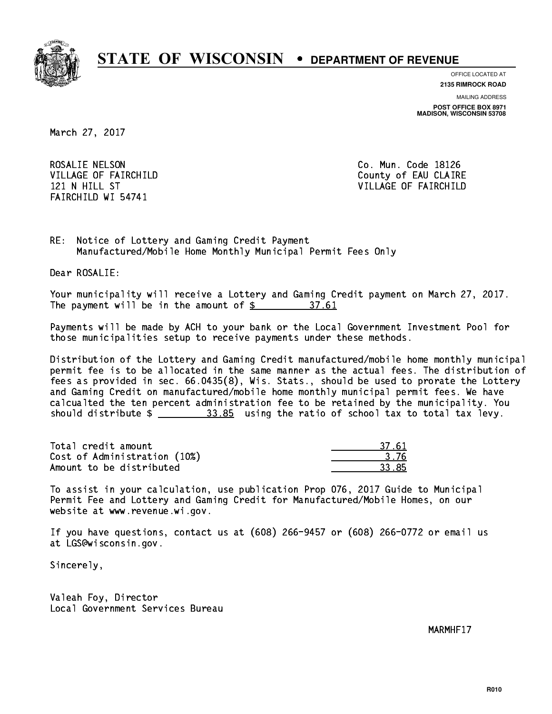

**OFFICE LOCATED AT 2135 RIMROCK ROAD**

**MAILING ADDRESS**

**POST OFFICE BOX 8971 MADISON, WISCONSIN 53708**

March 27, 2017

ROSALIE NELSON **Co. Mun. Code 18126** FAIRCHILD WI 54741

VILLAGE OF FAIRCHILD County of EAU CLAIRE 121 N HILL ST VILLAGE OF FAIRCHILD

RE: Notice of Lottery and Gaming Credit Payment Manufactured/Mobile Home Monthly Municipal Permit Fees Only

Dear ROSALIE:

 Your municipality will receive a Lottery and Gaming Credit payment on March 27, 2017. The payment will be in the amount of  $\frac{25}{37}$ 37.61

 Payments will be made by ACH to your bank or the Local Government Investment Pool for those municipalities setup to receive payments under these methods.

 Distribution of the Lottery and Gaming Credit manufactured/mobile home monthly municipal permit fee is to be allocated in the same manner as the actual fees. The distribution of fees as provided in sec. 66.0435(8), Wis. Stats., should be used to prorate the Lottery and Gaming Credit on manufactured/mobile home monthly municipal permit fees. We have calcualted the ten percent administration fee to be retained by the municipality. You should distribute  $\frac{23.85}{2}$  using the ratio of school tax to total tax levy.

Total credit amount Cost of Administration (10%) Amount to be distributed

| 51 |
|----|
|    |
|    |

 To assist in your calculation, use publication Prop 076, 2017 Guide to Municipal Permit Fee and Lottery and Gaming Credit for Manufactured/Mobile Homes, on our website at www.revenue.wi.gov.

 If you have questions, contact us at (608) 266-9457 or (608) 266-0772 or email us at LGS@wisconsin.gov.

Sincerely,

 Valeah Foy, Director Local Government Services Bureau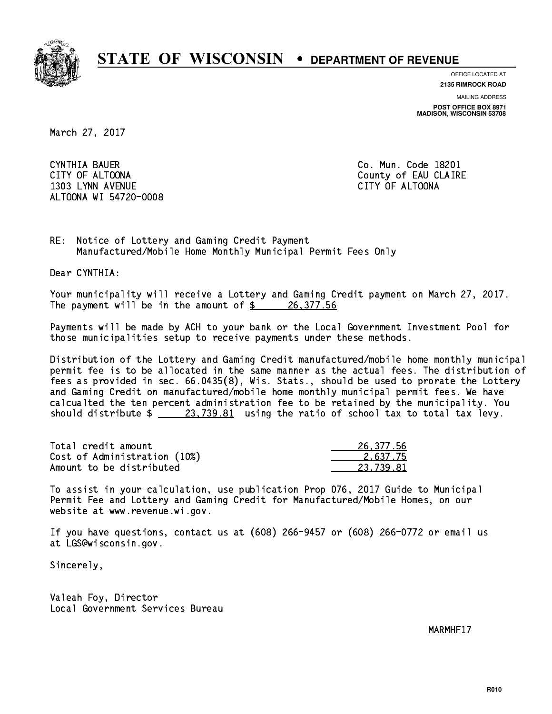

**OFFICE LOCATED AT**

**2135 RIMROCK ROAD**

**MAILING ADDRESS**

**POST OFFICE BOX 8971 MADISON, WISCONSIN 53708**

March 27, 2017

CYNTHIA BAUER CITY OF ALTOONA COUNTY OF ALTOONA 1303 LYNN AVENUE CITY OF ALTOONA ALTOONA WI 54720-0008

Co. Mun. Code 18201

RE: Notice of Lottery and Gaming Credit Payment Manufactured/Mobile Home Monthly Municipal Permit Fees Only

Dear CYNTHIA:

 Your municipality will receive a Lottery and Gaming Credit payment on March 27, 2017. The payment will be in the amount of  $\frac{26}{377.56}$ 

 Payments will be made by ACH to your bank or the Local Government Investment Pool for those municipalities setup to receive payments under these methods.

 Distribution of the Lottery and Gaming Credit manufactured/mobile home monthly municipal permit fee is to be allocated in the same manner as the actual fees. The distribution of fees as provided in sec. 66.0435(8), Wis. Stats., should be used to prorate the Lottery and Gaming Credit on manufactured/mobile home monthly municipal permit fees. We have calcualted the ten percent administration fee to be retained by the municipality. You should distribute  $\frac{23,739.81}{23,739.81}$  using the ratio of school tax to total tax levy.

| Total credit amount          | 26,377.56 |
|------------------------------|-----------|
| Cost of Administration (10%) | 2.637.75  |
| Amount to be distributed     | 23.739.81 |

 To assist in your calculation, use publication Prop 076, 2017 Guide to Municipal Permit Fee and Lottery and Gaming Credit for Manufactured/Mobile Homes, on our website at www.revenue.wi.gov.

 If you have questions, contact us at (608) 266-9457 or (608) 266-0772 or email us at LGS@wisconsin.gov.

Sincerely,

 Valeah Foy, Director Local Government Services Bureau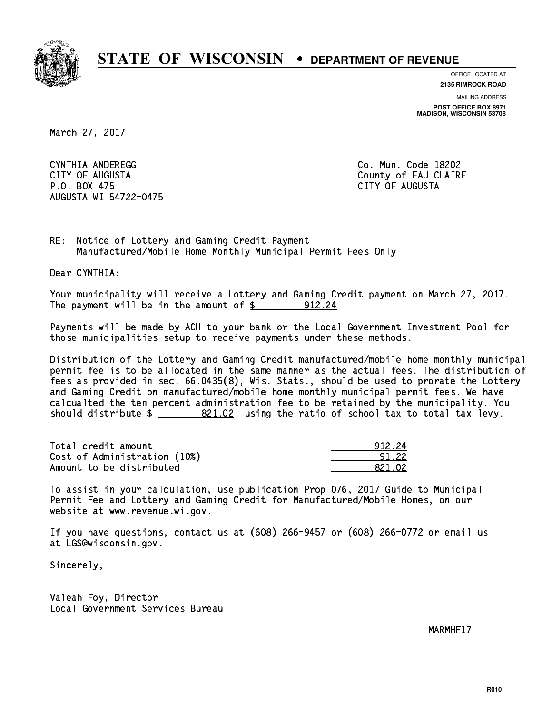

**OFFICE LOCATED AT 2135 RIMROCK ROAD**

**MAILING ADDRESS**

**POST OFFICE BOX 8971 MADISON, WISCONSIN 53708**

March 27, 2017

 CYNTHIA ANDEREGG Co. Mun. Code 18202 CITY OF AUGUSTA County of EAU CLAIRE P.O. BOX 475 CITY OF AUGUSTA AUGUSTA WI 54722-0475

RE: Notice of Lottery and Gaming Credit Payment Manufactured/Mobile Home Monthly Municipal Permit Fees Only

Dear CYNTHIA:

 Your municipality will receive a Lottery and Gaming Credit payment on March 27, 2017. The payment will be in the amount of  $\frac{2}{3}$  912.24

 Payments will be made by ACH to your bank or the Local Government Investment Pool for those municipalities setup to receive payments under these methods.

 Distribution of the Lottery and Gaming Credit manufactured/mobile home monthly municipal permit fee is to be allocated in the same manner as the actual fees. The distribution of fees as provided in sec. 66.0435(8), Wis. Stats., should be used to prorate the Lottery and Gaming Credit on manufactured/mobile home monthly municipal permit fees. We have calcualted the ten percent administration fee to be retained by the municipality. You should distribute  $\frac{2 \cdot 821.02}{2}$  using the ratio of school tax to total tax levy.

Total credit amount Cost of Administration (10%) Amount to be distributed

| 912.24 |
|--------|
| 11.22  |
| 821.O2 |

 To assist in your calculation, use publication Prop 076, 2017 Guide to Municipal Permit Fee and Lottery and Gaming Credit for Manufactured/Mobile Homes, on our website at www.revenue.wi.gov.

 If you have questions, contact us at (608) 266-9457 or (608) 266-0772 or email us at LGS@wisconsin.gov.

Sincerely,

 Valeah Foy, Director Local Government Services Bureau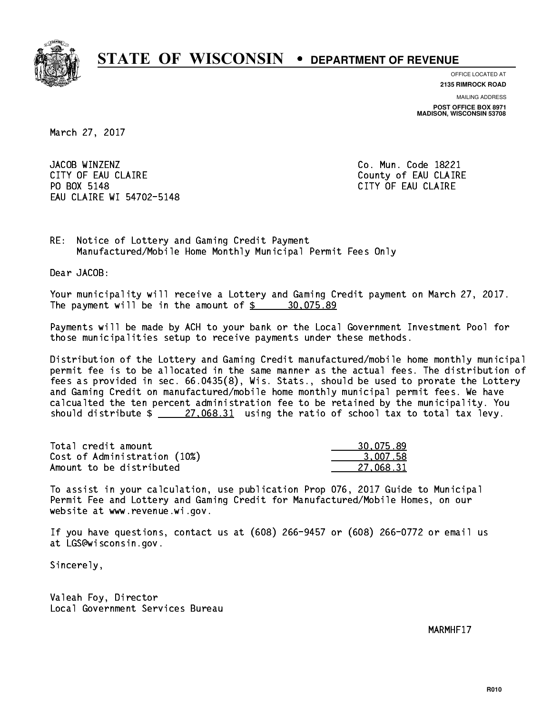

**OFFICE LOCATED AT 2135 RIMROCK ROAD**

**MAILING ADDRESS**

**POST OFFICE BOX 8971 MADISON, WISCONSIN 53708**

March 27, 2017

JACOB WINZENZ CITY OF EAU CLAIRE CITY OF EAU CLAIRE PO BOX 5148 EAU CLAIRE WI 54702-5148

Co. Mun. Code 18221 CITY OF EAU CLAIRE

RE: Notice of Lottery and Gaming Credit Payment Manufactured/Mobile Home Monthly Municipal Permit Fees Only

Dear JACOB:

 Your municipality will receive a Lottery and Gaming Credit payment on March 27, 2017. The payment will be in the amount of  $\frac{2}{3}$  30,075.89

 Payments will be made by ACH to your bank or the Local Government Investment Pool for those municipalities setup to receive payments under these methods.

 Distribution of the Lottery and Gaming Credit manufactured/mobile home monthly municipal permit fee is to be allocated in the same manner as the actual fees. The distribution of fees as provided in sec. 66.0435(8), Wis. Stats., should be used to prorate the Lottery and Gaming Credit on manufactured/mobile home monthly municipal permit fees. We have calcualted the ten percent administration fee to be retained by the municipality. You should distribute  $\frac{27,068.31}{27,068.31}$  using the ratio of school tax to total tax levy.

| Total credit amount          | 30,075.89 |
|------------------------------|-----------|
| Cost of Administration (10%) | 3.007.58  |
| Amount to be distributed     | 27.068.31 |

 To assist in your calculation, use publication Prop 076, 2017 Guide to Municipal Permit Fee and Lottery and Gaming Credit for Manufactured/Mobile Homes, on our website at www.revenue.wi.gov.

 If you have questions, contact us at (608) 266-9457 or (608) 266-0772 or email us at LGS@wisconsin.gov.

Sincerely,

 Valeah Foy, Director Local Government Services Bureau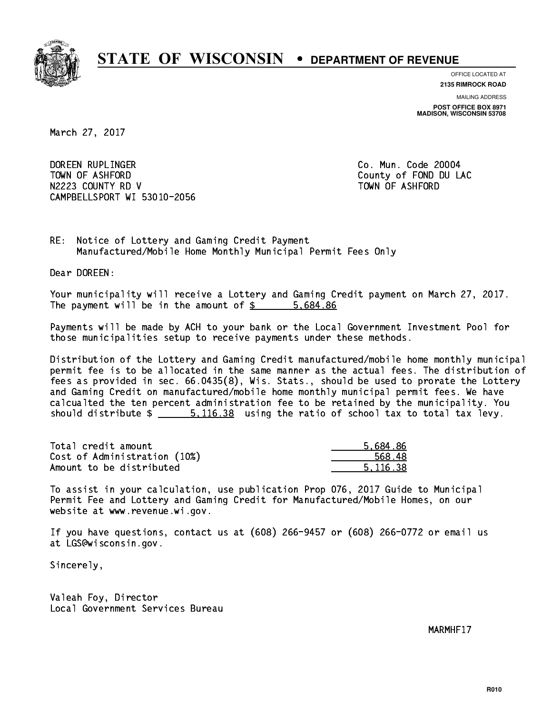

**OFFICE LOCATED AT**

**2135 RIMROCK ROAD**

**MAILING ADDRESS POST OFFICE BOX 8971 MADISON, WISCONSIN 53708**

March 27, 2017

 DOREEN RUPLINGER Co. Mun. Code 20004 TOWN OF ASHFORD County of FOND DU LAC N2223 COUNTY RD V TOWN OF ASHFORD CAMPBELLSPORT WI 53010-2056

RE: Notice of Lottery and Gaming Credit Payment Manufactured/Mobile Home Monthly Municipal Permit Fees Only

Dear DOREEN:

 Your municipality will receive a Lottery and Gaming Credit payment on March 27, 2017. The payment will be in the amount of \$ 5,684.86 \_\_\_\_\_\_\_\_\_\_\_\_\_\_\_\_

 Payments will be made by ACH to your bank or the Local Government Investment Pool for those municipalities setup to receive payments under these methods.

 Distribution of the Lottery and Gaming Credit manufactured/mobile home monthly municipal permit fee is to be allocated in the same manner as the actual fees. The distribution of fees as provided in sec. 66.0435(8), Wis. Stats., should be used to prorate the Lottery and Gaming Credit on manufactured/mobile home monthly municipal permit fees. We have calcualted the ten percent administration fee to be retained by the municipality. You should distribute  $\frac{2}{100}$   $\frac{5,116.38}{200}$  using the ratio of school tax to total tax levy.

| Total credit amount          | 5.684.86 |
|------------------------------|----------|
| Cost of Administration (10%) | 568.48   |
| Amount to be distributed     | 5.116.38 |

 To assist in your calculation, use publication Prop 076, 2017 Guide to Municipal Permit Fee and Lottery and Gaming Credit for Manufactured/Mobile Homes, on our website at www.revenue.wi.gov.

 If you have questions, contact us at (608) 266-9457 or (608) 266-0772 or email us at LGS@wisconsin.gov.

Sincerely,

 Valeah Foy, Director Local Government Services Bureau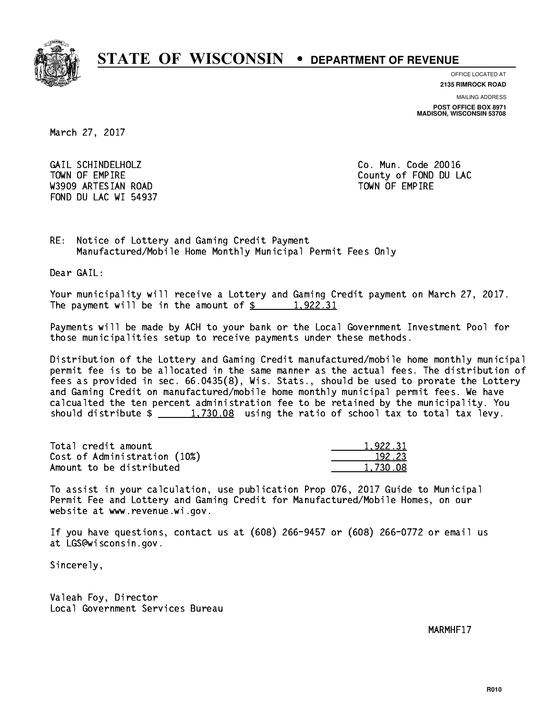

**OFFICE LOCATED AT**

**2135 RIMROCK ROAD**

**MAILING ADDRESS POST OFFICE BOX 8971 MADISON, WISCONSIN 53708**

March 27, 2017

 GAIL SCHINDELHOLZ Co. Mun. Code 20016 W3909 ARTESIAN ROAD TOWN OF EMPIRE FOND DU LAC WI 54937

TOWN OF EMPIRE County of FOND DU LAC

RE: Notice of Lottery and Gaming Credit Payment Manufactured/Mobile Home Monthly Municipal Permit Fees Only

Dear GAIL:

 Your municipality will receive a Lottery and Gaming Credit payment on March 27, 2017. The payment will be in the amount of  $\frac{2}{3}$  1,922.31

 Payments will be made by ACH to your bank or the Local Government Investment Pool for those municipalities setup to receive payments under these methods.

 Distribution of the Lottery and Gaming Credit manufactured/mobile home monthly municipal permit fee is to be allocated in the same manner as the actual fees. The distribution of fees as provided in sec. 66.0435(8), Wis. Stats., should be used to prorate the Lottery and Gaming Credit on manufactured/mobile home monthly municipal permit fees. We have calcualted the ten percent administration fee to be retained by the municipality. You should distribute  $\frac{2}{1,730.08}$  using the ratio of school tax to total tax levy.

| Total credit amount          | 1.922.31 |
|------------------------------|----------|
| Cost of Administration (10%) | 192.23   |
| Amount to be distributed     | 1,730.08 |

 To assist in your calculation, use publication Prop 076, 2017 Guide to Municipal Permit Fee and Lottery and Gaming Credit for Manufactured/Mobile Homes, on our website at www.revenue.wi.gov.

 If you have questions, contact us at (608) 266-9457 or (608) 266-0772 or email us at LGS@wisconsin.gov.

Sincerely,

 Valeah Foy, Director Local Government Services Bureau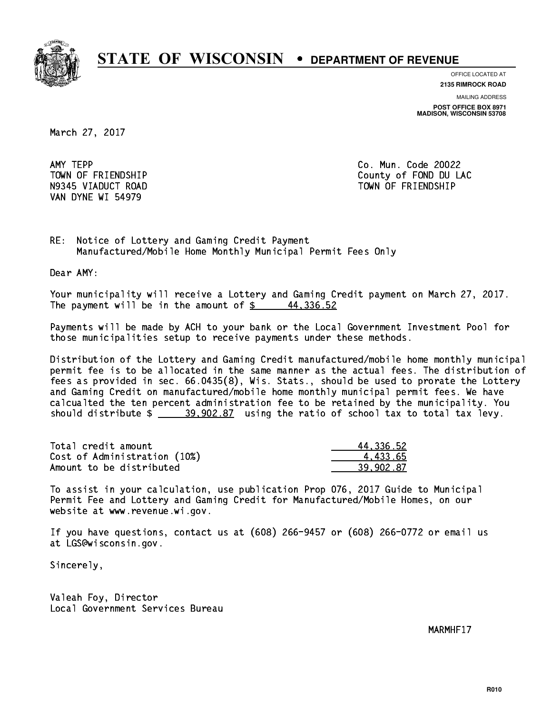

**OFFICE LOCATED AT 2135 RIMROCK ROAD**

**MAILING ADDRESS POST OFFICE BOX 8971 MADISON, WISCONSIN 53708**

March 27, 2017

AMY TEPP VAN DYNE WI 54979

Co. Mun. Code 20022 TOWN OF FRIENDSHIP County of FOND DU LAC N9345 VIADUCT ROAD TOWN OF FRIENDSHIP

RE: Notice of Lottery and Gaming Credit Payment Manufactured/Mobile Home Monthly Municipal Permit Fees Only

Dear AMY:

 Your municipality will receive a Lottery and Gaming Credit payment on March 27, 2017. The payment will be in the amount of  $\frac{2}{3}$  44,336.52

 Payments will be made by ACH to your bank or the Local Government Investment Pool for those municipalities setup to receive payments under these methods.

 Distribution of the Lottery and Gaming Credit manufactured/mobile home monthly municipal permit fee is to be allocated in the same manner as the actual fees. The distribution of fees as provided in sec. 66.0435(8), Wis. Stats., should be used to prorate the Lottery and Gaming Credit on manufactured/mobile home monthly municipal permit fees. We have calcualted the ten percent administration fee to be retained by the municipality. You should distribute  $\frac{20.902.87}{20.902.87}$  using the ratio of school tax to total tax levy.

| Total credit amount          | 44.336.52 |
|------------------------------|-----------|
| Cost of Administration (10%) | 4.433.65  |
| Amount to be distributed     | 39.902.87 |

 To assist in your calculation, use publication Prop 076, 2017 Guide to Municipal Permit Fee and Lottery and Gaming Credit for Manufactured/Mobile Homes, on our website at www.revenue.wi.gov.

 If you have questions, contact us at (608) 266-9457 or (608) 266-0772 or email us at LGS@wisconsin.gov.

Sincerely,

 Valeah Foy, Director Local Government Services Bureau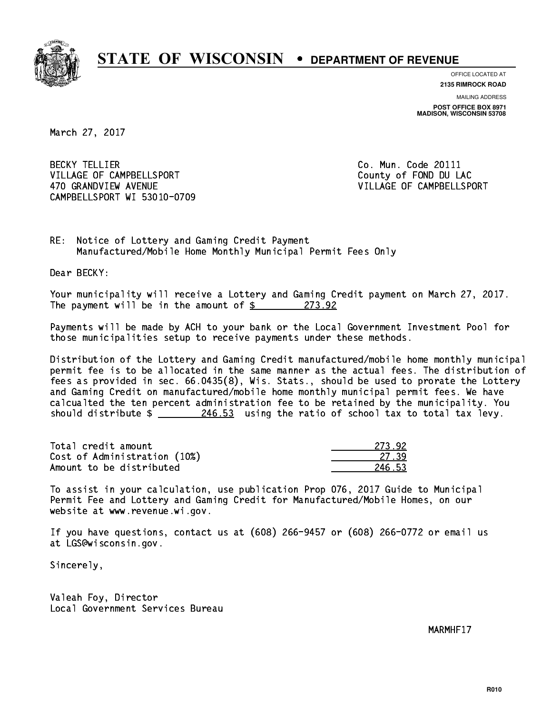

**OFFICE LOCATED AT 2135 RIMROCK ROAD**

**MAILING ADDRESS POST OFFICE BOX 8971 MADISON, WISCONSIN 53708**

March 27, 2017

**BECKY TELLIER** VILLAGE OF CAMPBELLSPORT COUNTY County of FOND DU LAC 470 GRANDVIEW AVENUE **VILLAGE OF CAMPBELLSPORT** CAMPBELLSPORT WI 53010-0709

Co. Mun. Code 20111

RE: Notice of Lottery and Gaming Credit Payment Manufactured/Mobile Home Monthly Municipal Permit Fees Only

Dear BECKY:

 Your municipality will receive a Lottery and Gaming Credit payment on March 27, 2017. The payment will be in the amount of  $\frac{273.92}{273.92}$ 

 Payments will be made by ACH to your bank or the Local Government Investment Pool for those municipalities setup to receive payments under these methods.

 Distribution of the Lottery and Gaming Credit manufactured/mobile home monthly municipal permit fee is to be allocated in the same manner as the actual fees. The distribution of fees as provided in sec. 66.0435(8), Wis. Stats., should be used to prorate the Lottery and Gaming Credit on manufactured/mobile home monthly municipal permit fees. We have calcualted the ten percent administration fee to be retained by the municipality. You should distribute  $\frac{246.53}{246.53}$  using the ratio of school tax to total tax levy.

Total credit amount Cost of Administration (10%) Amount to be distributed

| - 92<br>27R |
|-------------|
| 7 I S       |
| - 53<br>.,  |

 To assist in your calculation, use publication Prop 076, 2017 Guide to Municipal Permit Fee and Lottery and Gaming Credit for Manufactured/Mobile Homes, on our website at www.revenue.wi.gov.

 If you have questions, contact us at (608) 266-9457 or (608) 266-0772 or email us at LGS@wisconsin.gov.

Sincerely,

 Valeah Foy, Director Local Government Services Bureau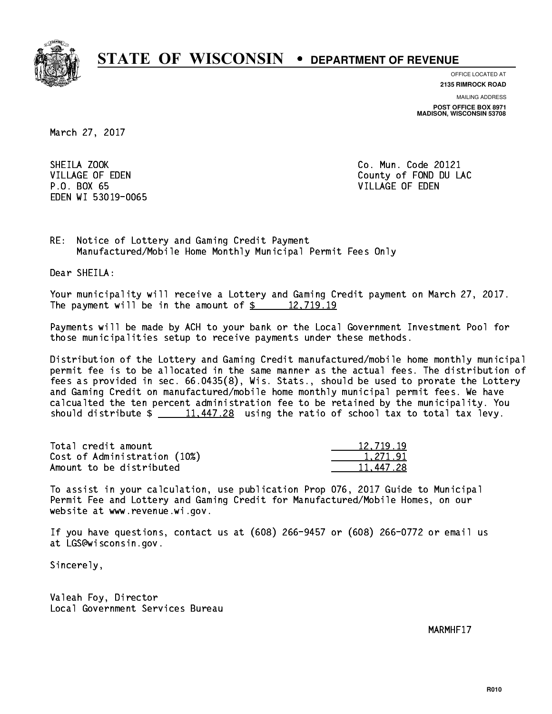

**OFFICE LOCATED AT**

**2135 RIMROCK ROAD**

**MAILING ADDRESS POST OFFICE BOX 8971 MADISON, WISCONSIN 53708**

March 27, 2017

SHEILA ZOOK P.O. BOX 65 VILLAGE OF EDEN EDEN WI 53019-0065

Co. Mun. Code 20121 VILLAGE OF EDEN County of FOND DU LAC

RE: Notice of Lottery and Gaming Credit Payment Manufactured/Mobile Home Monthly Municipal Permit Fees Only

Dear SHEILA:

 Your municipality will receive a Lottery and Gaming Credit payment on March 27, 2017. The payment will be in the amount of  $\frac{2}{3}$  12,719.19

 Payments will be made by ACH to your bank or the Local Government Investment Pool for those municipalities setup to receive payments under these methods.

 Distribution of the Lottery and Gaming Credit manufactured/mobile home monthly municipal permit fee is to be allocated in the same manner as the actual fees. The distribution of fees as provided in sec. 66.0435(8), Wis. Stats., should be used to prorate the Lottery and Gaming Credit on manufactured/mobile home monthly municipal permit fees. We have calcualted the ten percent administration fee to be retained by the municipality. You should distribute  $\frac{11,447.28}{2}$  using the ratio of school tax to total tax levy.

| Total credit amount          | 12,719.19 |
|------------------------------|-----------|
| Cost of Administration (10%) | 1,271.91  |
| Amount to be distributed     | 11.447.28 |

 To assist in your calculation, use publication Prop 076, 2017 Guide to Municipal Permit Fee and Lottery and Gaming Credit for Manufactured/Mobile Homes, on our website at www.revenue.wi.gov.

 If you have questions, contact us at (608) 266-9457 or (608) 266-0772 or email us at LGS@wisconsin.gov.

Sincerely,

 Valeah Foy, Director Local Government Services Bureau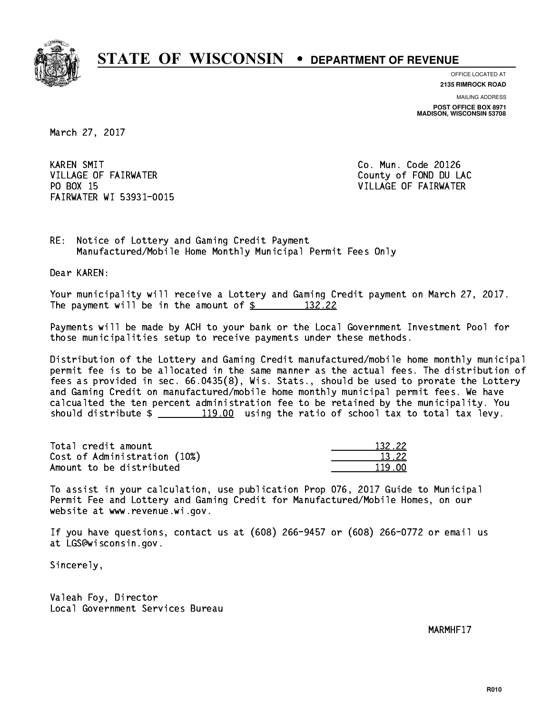

**OFFICE LOCATED AT**

**2135 RIMROCK ROAD**

**MAILING ADDRESS POST OFFICE BOX 8971 MADISON, WISCONSIN 53708**

March 27, 2017

**KAREN SMIT** VILLAGE OF FAIRWATER COUNTY OF FOND DU LAC PO BOX 15 FAIRWATER WI 53931-0015

Co. Mun. Code 20126 VILLAGE OF FAIRWATER

RE: Notice of Lottery and Gaming Credit Payment Manufactured/Mobile Home Monthly Municipal Permit Fees Only

Dear KAREN:

 Your municipality will receive a Lottery and Gaming Credit payment on March 27, 2017. The payment will be in the amount of \$ 132.22 \_\_\_\_\_\_\_\_\_\_\_\_\_\_\_\_

 Payments will be made by ACH to your bank or the Local Government Investment Pool for those municipalities setup to receive payments under these methods.

 Distribution of the Lottery and Gaming Credit manufactured/mobile home monthly municipal permit fee is to be allocated in the same manner as the actual fees. The distribution of fees as provided in sec. 66.0435(8), Wis. Stats., should be used to prorate the Lottery and Gaming Credit on manufactured/mobile home monthly municipal permit fees. We have calcualted the ten percent administration fee to be retained by the municipality. You should distribute  $\frac{119.00}{19.00}$  using the ratio of school tax to total tax levy.

Total credit amount Cost of Administration (10%) Amount to be distributed

| 32.ZZ |
|-------|
| 3.22  |
| 11    |

 To assist in your calculation, use publication Prop 076, 2017 Guide to Municipal Permit Fee and Lottery and Gaming Credit for Manufactured/Mobile Homes, on our website at www.revenue.wi.gov.

 If you have questions, contact us at (608) 266-9457 or (608) 266-0772 or email us at LGS@wisconsin.gov.

Sincerely,

 Valeah Foy, Director Local Government Services Bureau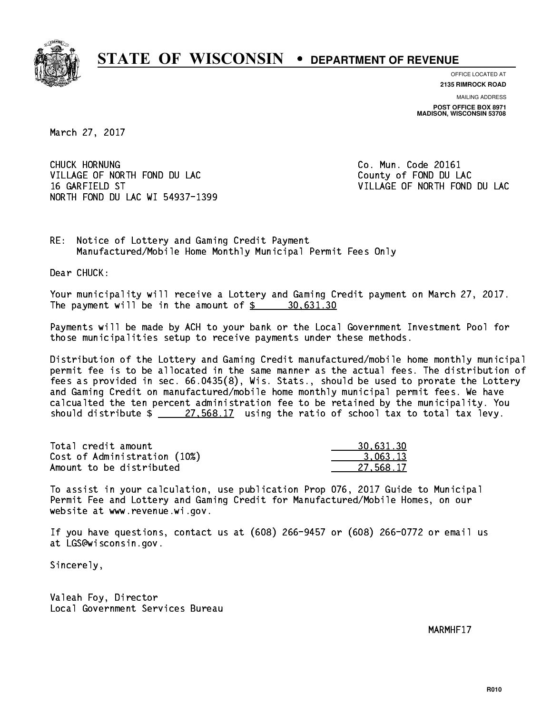

**OFFICE LOCATED AT**

**2135 RIMROCK ROAD**

**MAILING ADDRESS POST OFFICE BOX 8971 MADISON, WISCONSIN 53708**

March 27, 2017

CHUCK HORNUNG VILLAGE OF NORTH FOND DU LAC COUNTY OF FOND DU LAC 16 GARFIELD ST VILLAGE OF NORTH FOND DU LAC NORTH FOND DU LAC WI 54937-1399

Co. Mun. Code 20161

RE: Notice of Lottery and Gaming Credit Payment Manufactured/Mobile Home Monthly Municipal Permit Fees Only

Dear CHUCK:

 Your municipality will receive a Lottery and Gaming Credit payment on March 27, 2017. The payment will be in the amount of  $\frac{2}{3}$  30,631.30

 Payments will be made by ACH to your bank or the Local Government Investment Pool for those municipalities setup to receive payments under these methods.

 Distribution of the Lottery and Gaming Credit manufactured/mobile home monthly municipal permit fee is to be allocated in the same manner as the actual fees. The distribution of fees as provided in sec. 66.0435(8), Wis. Stats., should be used to prorate the Lottery and Gaming Credit on manufactured/mobile home monthly municipal permit fees. We have calcualted the ten percent administration fee to be retained by the municipality. You should distribute  $\frac{27.568.17}{27.568.17}$  using the ratio of school tax to total tax levy.

| Total credit amount          | 30.631.30 |
|------------------------------|-----------|
| Cost of Administration (10%) | 3.063.13  |
| Amount to be distributed     | 27.568.17 |

 To assist in your calculation, use publication Prop 076, 2017 Guide to Municipal Permit Fee and Lottery and Gaming Credit for Manufactured/Mobile Homes, on our website at www.revenue.wi.gov.

 If you have questions, contact us at (608) 266-9457 or (608) 266-0772 or email us at LGS@wisconsin.gov.

Sincerely,

 Valeah Foy, Director Local Government Services Bureau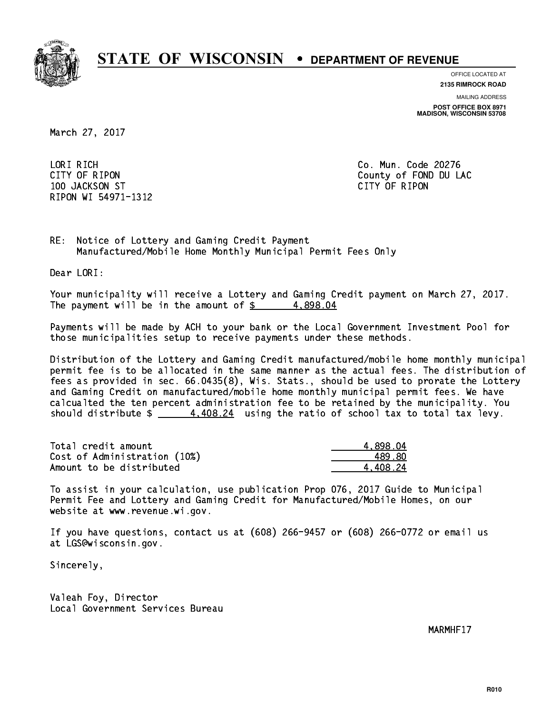

**OFFICE LOCATED AT 2135 RIMROCK ROAD**

**MAILING ADDRESS**

**POST OFFICE BOX 8971 MADISON, WISCONSIN 53708**

March 27, 2017

 LORI RICH Co. Mun. Code 20276 100 JACKSON ST CITY OF RIPON RIPON WI 54971-1312

CITY OF RIPON COUNTY COUNTY OF RIPON

RE: Notice of Lottery and Gaming Credit Payment Manufactured/Mobile Home Monthly Municipal Permit Fees Only

Dear LORI:

 Your municipality will receive a Lottery and Gaming Credit payment on March 27, 2017. The payment will be in the amount of  $\frac{2}{3}$  4,898.04

 Payments will be made by ACH to your bank or the Local Government Investment Pool for those municipalities setup to receive payments under these methods.

 Distribution of the Lottery and Gaming Credit manufactured/mobile home monthly municipal permit fee is to be allocated in the same manner as the actual fees. The distribution of fees as provided in sec. 66.0435(8), Wis. Stats., should be used to prorate the Lottery and Gaming Credit on manufactured/mobile home monthly municipal permit fees. We have calcualted the ten percent administration fee to be retained by the municipality. You should distribute  $\frac{4}{108.24}$  using the ratio of school tax to total tax levy.

| Total credit amount          | 4.898.04 |
|------------------------------|----------|
| Cost of Administration (10%) | 489.80   |
| Amount to be distributed     | 4.408.24 |

 To assist in your calculation, use publication Prop 076, 2017 Guide to Municipal Permit Fee and Lottery and Gaming Credit for Manufactured/Mobile Homes, on our website at www.revenue.wi.gov.

 If you have questions, contact us at (608) 266-9457 or (608) 266-0772 or email us at LGS@wisconsin.gov.

Sincerely,

 Valeah Foy, Director Local Government Services Bureau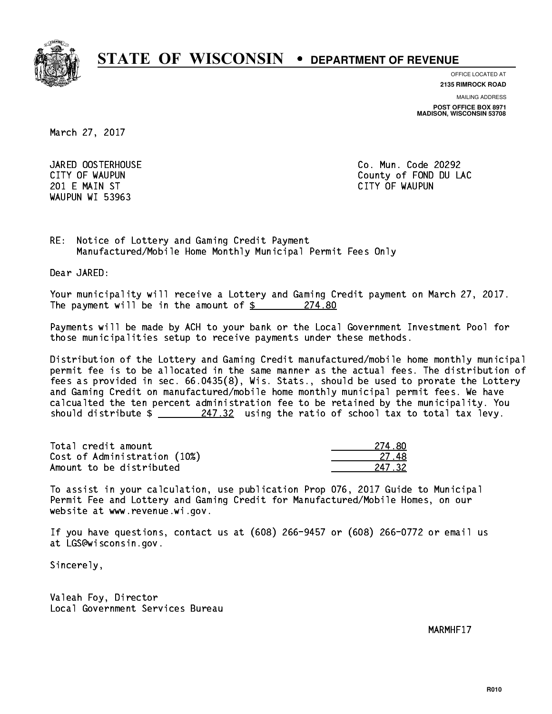

**OFFICE LOCATED AT**

**2135 RIMROCK ROAD**

**MAILING ADDRESS POST OFFICE BOX 8971 MADISON, WISCONSIN 53708**

March 27, 2017

 JARED OOSTERHOUSE Co. Mun. Code 20292 201 E MAIN ST CITY OF WAUPUN WAUPUN WI 53963

CITY OF WAUPUN COUNTY COUNTY OF MAUPUN

RE: Notice of Lottery and Gaming Credit Payment Manufactured/Mobile Home Monthly Municipal Permit Fees Only

Dear JARED:

 Your municipality will receive a Lottery and Gaming Credit payment on March 27, 2017. The payment will be in the amount of  $\frac{274.80}{274.80}$ 

 Payments will be made by ACH to your bank or the Local Government Investment Pool for those municipalities setup to receive payments under these methods.

 Distribution of the Lottery and Gaming Credit manufactured/mobile home monthly municipal permit fee is to be allocated in the same manner as the actual fees. The distribution of fees as provided in sec. 66.0435(8), Wis. Stats., should be used to prorate the Lottery and Gaming Credit on manufactured/mobile home monthly municipal permit fees. We have calcualted the ten percent administration fee to be retained by the municipality. You should distribute  $\frac{247.32}{241.32}$  using the ratio of school tax to total tax levy.

Total credit amount Cost of Administration (10%) Amount to be distributed

| 4. RN<br>27 |
|-------------|
| 21 I<br>ıΧ  |
| 1.32        |

 To assist in your calculation, use publication Prop 076, 2017 Guide to Municipal Permit Fee and Lottery and Gaming Credit for Manufactured/Mobile Homes, on our website at www.revenue.wi.gov.

 If you have questions, contact us at (608) 266-9457 or (608) 266-0772 or email us at LGS@wisconsin.gov.

Sincerely,

 Valeah Foy, Director Local Government Services Bureau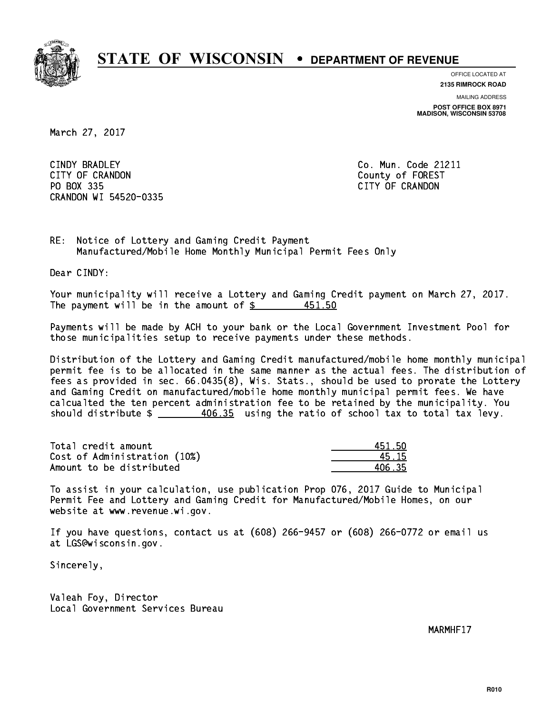

**OFFICE LOCATED AT**

**2135 RIMROCK ROAD**

**MAILING ADDRESS POST OFFICE BOX 8971 MADISON, WISCONSIN 53708**

March 27, 2017

CINDY BRADLEY CITY OF CRANDON County of FOREST PO BOX 335 PO BOX 335 CITY OF CRANDON CRANDON WI 54520-0335

Co. Mun. Code 21211

RE: Notice of Lottery and Gaming Credit Payment Manufactured/Mobile Home Monthly Municipal Permit Fees Only

Dear CINDY:

 Your municipality will receive a Lottery and Gaming Credit payment on March 27, 2017. The payment will be in the amount of  $\frac{25}{5}$ 451.50

 Payments will be made by ACH to your bank or the Local Government Investment Pool for those municipalities setup to receive payments under these methods.

 Distribution of the Lottery and Gaming Credit manufactured/mobile home monthly municipal permit fee is to be allocated in the same manner as the actual fees. The distribution of fees as provided in sec. 66.0435(8), Wis. Stats., should be used to prorate the Lottery and Gaming Credit on manufactured/mobile home monthly municipal permit fees. We have calcualted the ten percent administration fee to be retained by the municipality. You should distribute  $\frac{406.35}{2}$  using the ratio of school tax to total tax levy.

Total credit amount Cost of Administration (10%) Amount to be distributed

| 51 5N |
|-------|
| 5.15  |
| ճ 35  |

 To assist in your calculation, use publication Prop 076, 2017 Guide to Municipal Permit Fee and Lottery and Gaming Credit for Manufactured/Mobile Homes, on our website at www.revenue.wi.gov.

 If you have questions, contact us at (608) 266-9457 or (608) 266-0772 or email us at LGS@wisconsin.gov.

Sincerely,

 Valeah Foy, Director Local Government Services Bureau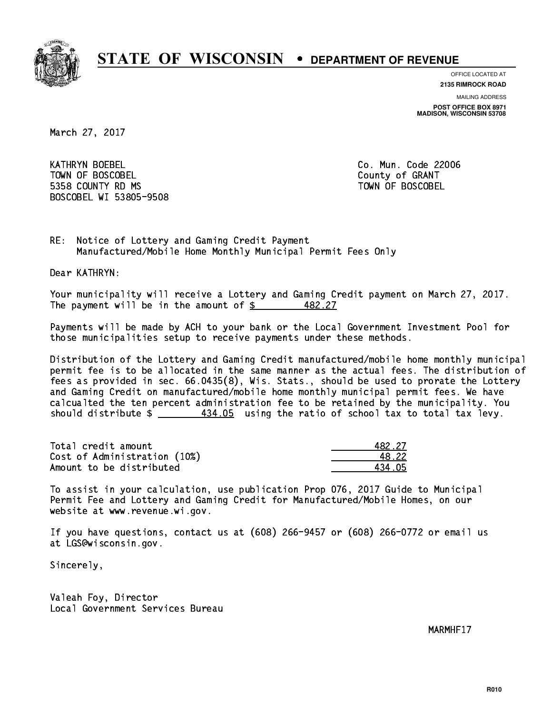

**OFFICE LOCATED AT**

**MAILING ADDRESS 2135 RIMROCK ROAD**

**POST OFFICE BOX 8971 MADISON, WISCONSIN 53708**

March 27, 2017

 KATHRYN BOEBEL Co. Mun. Code 22006 Town of Boscobel County of Granty of Granty of Granty of Granty of Granty of Granty of Granty of Granty of Gra 5358 COUNTY RD MS TOWN OF BOSCOBEL BOSCOBEL WI 53805-9508

RE: Notice of Lottery and Gaming Credit Payment Manufactured/Mobile Home Monthly Municipal Permit Fees Only

Dear KATHRYN:

 Your municipality will receive a Lottery and Gaming Credit payment on March 27, 2017. The payment will be in the amount of \$ 482.27 \_\_\_\_\_\_\_\_\_\_\_\_\_\_\_\_

 Payments will be made by ACH to your bank or the Local Government Investment Pool for those municipalities setup to receive payments under these methods.

 Distribution of the Lottery and Gaming Credit manufactured/mobile home monthly municipal permit fee is to be allocated in the same manner as the actual fees. The distribution of fees as provided in sec. 66.0435(8), Wis. Stats., should be used to prorate the Lottery and Gaming Credit on manufactured/mobile home monthly municipal permit fees. We have calcualted the ten percent administration fee to be retained by the municipality. You should distribute  $\frac{434.05}{2}$  using the ratio of school tax to total tax levy.

Total credit amount the set of the set of the 482.27 and 482.27 and 482.27 and 482.27 and 482.27 and 482.27 and 482.27 and 482.27 and 482.27 and 482.27 and 482.27 and 482.27 and 482.27 and 482.27 and 482.27 and 482.27 and Cost of Administration (10%) 48.22 Amount to be distributed **434.05** Amount to be distributed

 To assist in your calculation, use publication Prop 076, 2017 Guide to Municipal Permit Fee and Lottery and Gaming Credit for Manufactured/Mobile Homes, on our website at www.revenue.wi.gov.

 If you have questions, contact us at (608) 266-9457 or (608) 266-0772 or email us at LGS@wisconsin.gov.

Sincerely,

 Valeah Foy, Director Local Government Services Bureau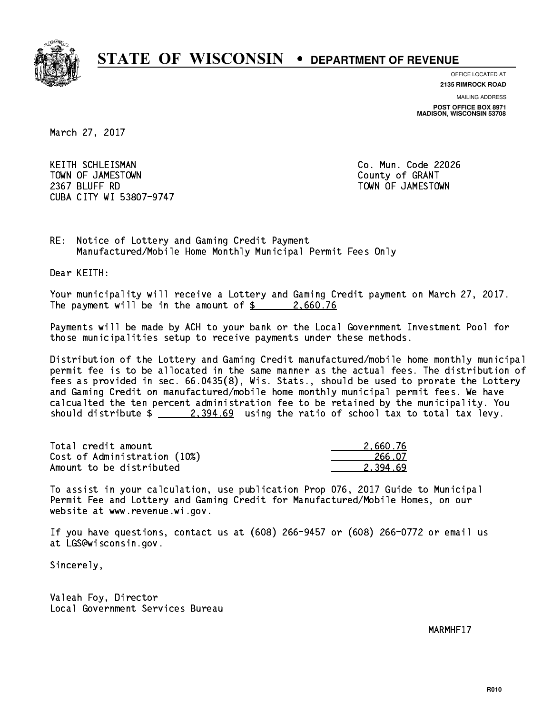

**OFFICE LOCATED AT 2135 RIMROCK ROAD**

**MAILING ADDRESS**

**POST OFFICE BOX 8971 MADISON, WISCONSIN 53708**

March 27, 2017

 KEITH SCHLEISMAN Co. Mun. Code 22026 TOWN OF JAMESTOWN County of GRANT 2367 BLUFF RD TOWN OF JAMESTOWN CUBA CITY WI 53807-9747

RE: Notice of Lottery and Gaming Credit Payment Manufactured/Mobile Home Monthly Municipal Permit Fees Only

Dear KEITH:

 Your municipality will receive a Lottery and Gaming Credit payment on March 27, 2017. The payment will be in the amount of  $\frac{2.660.76}{2.25}$ 

 Payments will be made by ACH to your bank or the Local Government Investment Pool for those municipalities setup to receive payments under these methods.

 Distribution of the Lottery and Gaming Credit manufactured/mobile home monthly municipal permit fee is to be allocated in the same manner as the actual fees. The distribution of fees as provided in sec. 66.0435(8), Wis. Stats., should be used to prorate the Lottery and Gaming Credit on manufactured/mobile home monthly municipal permit fees. We have calcualted the ten percent administration fee to be retained by the municipality. You should distribute  $\frac{2,394.69}{2}$  using the ratio of school tax to total tax levy.

| Total credit amount          | 2.660.76 |
|------------------------------|----------|
| Cost of Administration (10%) | 266.07   |
| Amount to be distributed     | 2.394.69 |

 To assist in your calculation, use publication Prop 076, 2017 Guide to Municipal Permit Fee and Lottery and Gaming Credit for Manufactured/Mobile Homes, on our website at www.revenue.wi.gov.

 If you have questions, contact us at (608) 266-9457 or (608) 266-0772 or email us at LGS@wisconsin.gov.

Sincerely,

 Valeah Foy, Director Local Government Services Bureau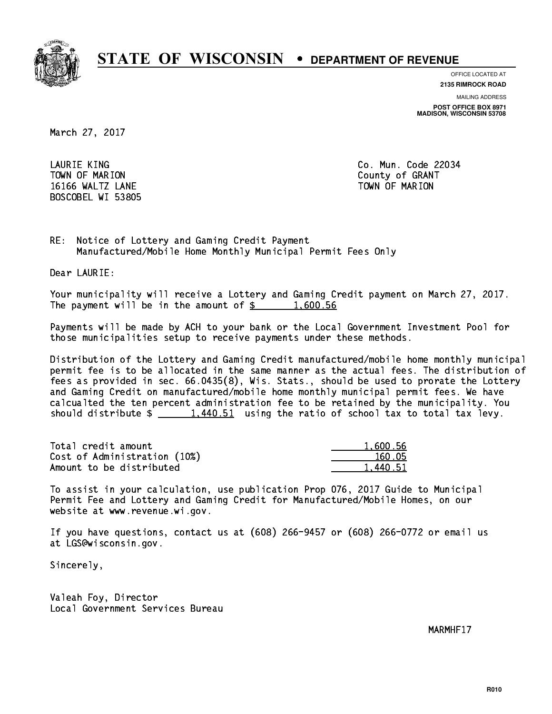

**OFFICE LOCATED AT**

**2135 RIMROCK ROAD**

**MAILING ADDRESS**

**POST OFFICE BOX 8971 MADISON, WISCONSIN 53708**

March 27, 2017

 LAURIE KING Co. Mun. Code 22034 Town of Marion County of Grants of Grants of Grants of Grants of Grants of Grants of Grants of Grants of Grants 16166 WALTZ LANE TOWN OF MARION BOSCOBEL WI 53805

RE: Notice of Lottery and Gaming Credit Payment Manufactured/Mobile Home Monthly Municipal Permit Fees Only

Dear LAURIE:

 Your municipality will receive a Lottery and Gaming Credit payment on March 27, 2017. The payment will be in the amount of  $\frac{2}{3}$  1,600.56

 Payments will be made by ACH to your bank or the Local Government Investment Pool for those municipalities setup to receive payments under these methods.

 Distribution of the Lottery and Gaming Credit manufactured/mobile home monthly municipal permit fee is to be allocated in the same manner as the actual fees. The distribution of fees as provided in sec. 66.0435(8), Wis. Stats., should be used to prorate the Lottery and Gaming Credit on manufactured/mobile home monthly municipal permit fees. We have calcualted the ten percent administration fee to be retained by the municipality. You should distribute  $\frac{1,440.51}{1,440.51}$  using the ratio of school tax to total tax levy.

| Total credit amount          | 1.600.56 |
|------------------------------|----------|
| Cost of Administration (10%) | 160.05   |
| Amount to be distributed     | 1.440.51 |

 To assist in your calculation, use publication Prop 076, 2017 Guide to Municipal Permit Fee and Lottery and Gaming Credit for Manufactured/Mobile Homes, on our website at www.revenue.wi.gov.

 If you have questions, contact us at (608) 266-9457 or (608) 266-0772 or email us at LGS@wisconsin.gov.

Sincerely,

 Valeah Foy, Director Local Government Services Bureau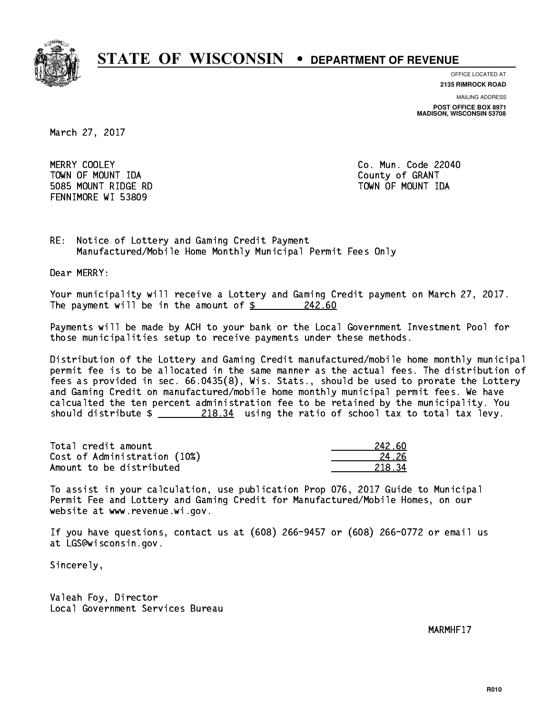

**OFFICE LOCATED AT**

**2135 RIMROCK ROAD**

**MAILING ADDRESS**

**POST OFFICE BOX 8971 MADISON, WISCONSIN 53708**

March 27, 2017

MERRY COOLEY TOWN OF MOUNT IDA County of GRANT 5085 MOUNT RIDGE RD TOWN OF MOUNT IDA FENNIMORE WI 53809

Co. Mun. Code 22040

RE: Notice of Lottery and Gaming Credit Payment Manufactured/Mobile Home Monthly Municipal Permit Fees Only

Dear MERRY:

 Your municipality will receive a Lottery and Gaming Credit payment on March 27, 2017. The payment will be in the amount of \$ 242.60 \_\_\_\_\_\_\_\_\_\_\_\_\_\_\_\_

 Payments will be made by ACH to your bank or the Local Government Investment Pool for those municipalities setup to receive payments under these methods.

 Distribution of the Lottery and Gaming Credit manufactured/mobile home monthly municipal permit fee is to be allocated in the same manner as the actual fees. The distribution of fees as provided in sec. 66.0435(8), Wis. Stats., should be used to prorate the Lottery and Gaming Credit on manufactured/mobile home monthly municipal permit fees. We have calcualted the ten percent administration fee to be retained by the municipality. You should distribute  $\frac{218.34}{2}$  using the ratio of school tax to total tax levy.

Total credit amount Cost of Administration (10%) Amount to be distributed

| 42 AN |
|-------|
| 4.26  |
| 21834 |

 To assist in your calculation, use publication Prop 076, 2017 Guide to Municipal Permit Fee and Lottery and Gaming Credit for Manufactured/Mobile Homes, on our website at www.revenue.wi.gov.

 If you have questions, contact us at (608) 266-9457 or (608) 266-0772 or email us at LGS@wisconsin.gov.

Sincerely,

 Valeah Foy, Director Local Government Services Bureau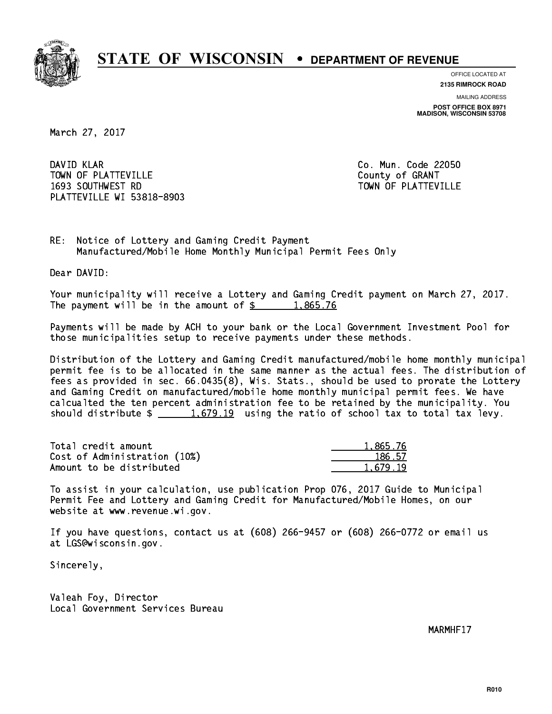

**OFFICE LOCATED AT**

**2135 RIMROCK ROAD**

**MAILING ADDRESS POST OFFICE BOX 8971 MADISON, WISCONSIN 53708**

March 27, 2017

DAVID KLAR TOWN OF PLATTEVILLE COUNTY OF GRANT 1693 SOUTHWEST RD TOWN OF PLATTEVILLE PLATTEVILLE WI 53818-8903

Co. Mun. Code 22050

RE: Notice of Lottery and Gaming Credit Payment Manufactured/Mobile Home Monthly Municipal Permit Fees Only

Dear DAVID:

 Your municipality will receive a Lottery and Gaming Credit payment on March 27, 2017. The payment will be in the amount of  $\frac{2}{3}$  1,865.76

 Payments will be made by ACH to your bank or the Local Government Investment Pool for those municipalities setup to receive payments under these methods.

 Distribution of the Lottery and Gaming Credit manufactured/mobile home monthly municipal permit fee is to be allocated in the same manner as the actual fees. The distribution of fees as provided in sec. 66.0435(8), Wis. Stats., should be used to prorate the Lottery and Gaming Credit on manufactured/mobile home monthly municipal permit fees. We have calcualted the ten percent administration fee to be retained by the municipality. You should distribute  $\frac{1.679.19}{1.679.19}$  using the ratio of school tax to total tax levy.

| Total credit amount          | 1,865.76 |
|------------------------------|----------|
| Cost of Administration (10%) | 186.57   |
| Amount to be distributed     | 1.679.19 |

 To assist in your calculation, use publication Prop 076, 2017 Guide to Municipal Permit Fee and Lottery and Gaming Credit for Manufactured/Mobile Homes, on our website at www.revenue.wi.gov.

 If you have questions, contact us at (608) 266-9457 or (608) 266-0772 or email us at LGS@wisconsin.gov.

Sincerely,

 Valeah Foy, Director Local Government Services Bureau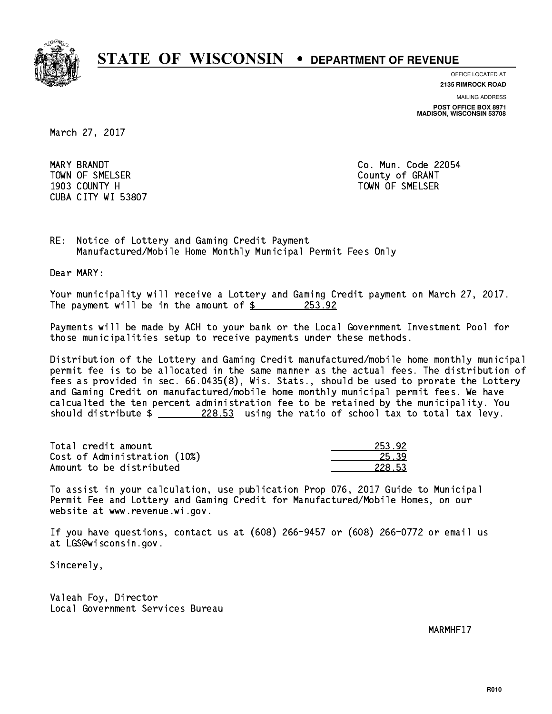

**OFFICE LOCATED AT**

**2135 RIMROCK ROAD**

**MAILING ADDRESS**

**POST OFFICE BOX 8971 MADISON, WISCONSIN 53708**

March 27, 2017

MARY BRANDT Town of Streets. The Small county of Grants of Grants of Grants of Grants of Grants of Grants of Grants of Gra 1903 COUNTY H TOWN OF SMELSER CUBA CITY WI 53807

Co. Mun. Code 22054

RE: Notice of Lottery and Gaming Credit Payment Manufactured/Mobile Home Monthly Municipal Permit Fees Only

Dear MARY:

 Your municipality will receive a Lottery and Gaming Credit payment on March 27, 2017. The payment will be in the amount of  $\frac{253.92}{200}$ 

 Payments will be made by ACH to your bank or the Local Government Investment Pool for those municipalities setup to receive payments under these methods.

 Distribution of the Lottery and Gaming Credit manufactured/mobile home monthly municipal permit fee is to be allocated in the same manner as the actual fees. The distribution of fees as provided in sec. 66.0435(8), Wis. Stats., should be used to prorate the Lottery and Gaming Credit on manufactured/mobile home monthly municipal permit fees. We have calcualted the ten percent administration fee to be retained by the municipality. You should distribute  $\frac{228.53}{228.53}$  using the ratio of school tax to total tax levy.

Total credit amount Cost of Administration (10%) Amount to be distributed

| 92. |
|-----|
|     |
| - 2 |

 To assist in your calculation, use publication Prop 076, 2017 Guide to Municipal Permit Fee and Lottery and Gaming Credit for Manufactured/Mobile Homes, on our website at www.revenue.wi.gov.

 If you have questions, contact us at (608) 266-9457 or (608) 266-0772 or email us at LGS@wisconsin.gov.

Sincerely,

 Valeah Foy, Director Local Government Services Bureau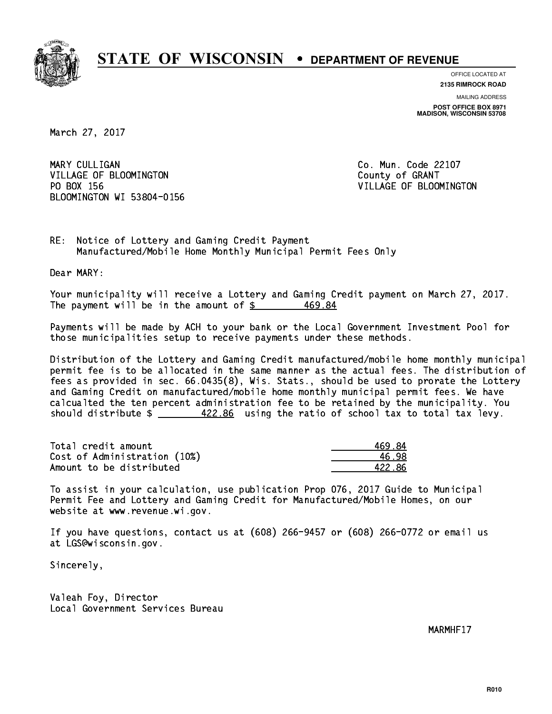

**OFFICE LOCATED AT**

**2135 RIMROCK ROAD**

**MAILING ADDRESS POST OFFICE BOX 8971 MADISON, WISCONSIN 53708**

March 27, 2017

MARY CULLIGAN VILLAGE OF BLOOMINGTON COUNTY OF GRANT PO BOX 156 BLOOMINGTON WI 53804-0156

Co. Mun. Code 22107 VILLAGE OF BLOOMINGTON

RE: Notice of Lottery and Gaming Credit Payment Manufactured/Mobile Home Monthly Municipal Permit Fees Only

Dear MARY:

 Your municipality will receive a Lottery and Gaming Credit payment on March 27, 2017. The payment will be in the amount of  $\frac{26}{5}$ 469.84

 Payments will be made by ACH to your bank or the Local Government Investment Pool for those municipalities setup to receive payments under these methods.

 Distribution of the Lottery and Gaming Credit manufactured/mobile home monthly municipal permit fee is to be allocated in the same manner as the actual fees. The distribution of fees as provided in sec. 66.0435(8), Wis. Stats., should be used to prorate the Lottery and Gaming Credit on manufactured/mobile home monthly municipal permit fees. We have calcualted the ten percent administration fee to be retained by the municipality. You should distribute  $\frac{422.86}{1}$  using the ratio of school tax to total tax levy.

Total credit amount Cost of Administration (10%) Amount to be distributed

| 9.84   |
|--------|
| 5 98   |
| 422 86 |

 To assist in your calculation, use publication Prop 076, 2017 Guide to Municipal Permit Fee and Lottery and Gaming Credit for Manufactured/Mobile Homes, on our website at www.revenue.wi.gov.

 If you have questions, contact us at (608) 266-9457 or (608) 266-0772 or email us at LGS@wisconsin.gov.

Sincerely,

 Valeah Foy, Director Local Government Services Bureau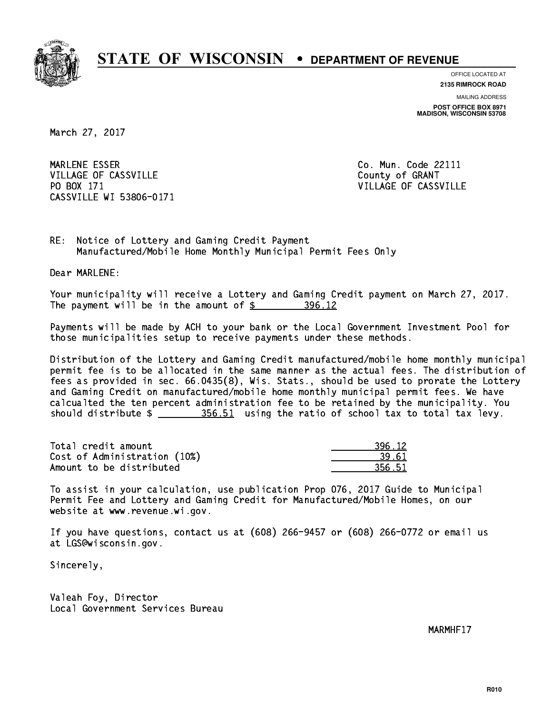

**OFFICE LOCATED AT**

**2135 RIMROCK ROAD**

**MAILING ADDRESS POST OFFICE BOX 8971 MADISON, WISCONSIN 53708**

March 27, 2017

MARLENE ESSER VILLAGE OF CASSVILLE COUNTY OF GRANT PO BOX 171 CASSVILLE WI 53806-0171

Co. Mun. Code 22111 VILLAGE OF CASSVILLE

RE: Notice of Lottery and Gaming Credit Payment Manufactured/Mobile Home Monthly Municipal Permit Fees Only

Dear MARLENE:

 Your municipality will receive a Lottery and Gaming Credit payment on March 27, 2017. The payment will be in the amount of \$ 396.12 \_\_\_\_\_\_\_\_\_\_\_\_\_\_\_\_

 Payments will be made by ACH to your bank or the Local Government Investment Pool for those municipalities setup to receive payments under these methods.

 Distribution of the Lottery and Gaming Credit manufactured/mobile home monthly municipal permit fee is to be allocated in the same manner as the actual fees. The distribution of fees as provided in sec. 66.0435(8), Wis. Stats., should be used to prorate the Lottery and Gaming Credit on manufactured/mobile home monthly municipal permit fees. We have calcualted the ten percent administration fee to be retained by the municipality. You should distribute  $\frac{256.51}{2}$  using the ratio of school tax to total tax levy.

Total credit amount Cost of Administration (10%) Amount to be distributed

| . 12  |
|-------|
| 1 R 1 |
| -51   |

 To assist in your calculation, use publication Prop 076, 2017 Guide to Municipal Permit Fee and Lottery and Gaming Credit for Manufactured/Mobile Homes, on our website at www.revenue.wi.gov.

 If you have questions, contact us at (608) 266-9457 or (608) 266-0772 or email us at LGS@wisconsin.gov.

Sincerely,

 Valeah Foy, Director Local Government Services Bureau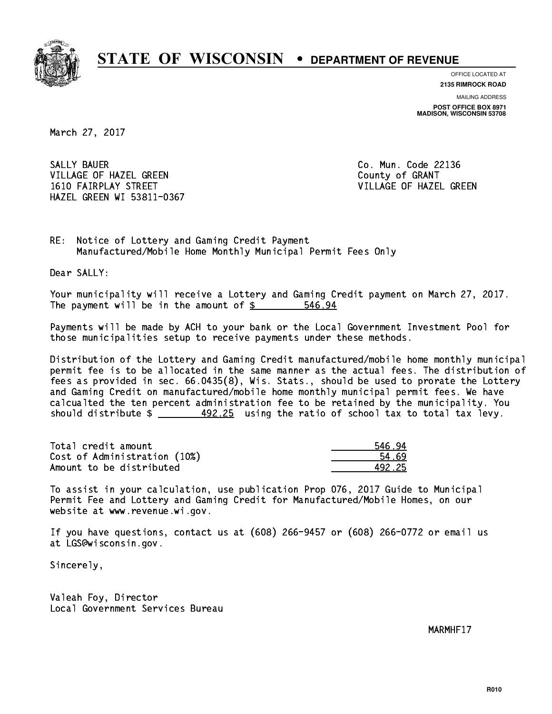

**OFFICE LOCATED AT**

**2135 RIMROCK ROAD**

**MAILING ADDRESS POST OFFICE BOX 8971 MADISON, WISCONSIN 53708**

March 27, 2017

SALLY BAUER VILLAGE OF HAZEL GREEN COUNTY OF GRANT 1610 FAIRPLAY STREET VILLAGE OF HAZEL GREEN HAZEL GREEN WI 53811-0367

Co. Mun. Code 22136

RE: Notice of Lottery and Gaming Credit Payment Manufactured/Mobile Home Monthly Municipal Permit Fees Only

Dear SALLY:

 Your municipality will receive a Lottery and Gaming Credit payment on March 27, 2017. The payment will be in the amount of  $\frac{2}{3}$ 546.94

 Payments will be made by ACH to your bank or the Local Government Investment Pool for those municipalities setup to receive payments under these methods.

 Distribution of the Lottery and Gaming Credit manufactured/mobile home monthly municipal permit fee is to be allocated in the same manner as the actual fees. The distribution of fees as provided in sec. 66.0435(8), Wis. Stats., should be used to prorate the Lottery and Gaming Credit on manufactured/mobile home monthly municipal permit fees. We have calcualted the ten percent administration fee to be retained by the municipality. You should distribute  $\frac{492.25}{1000}$  using the ratio of school tax to total tax levy.

Total credit amount Cost of Administration (10%) Amount to be distributed

| ٦4<br>$E \wedge$ |
|------------------|
| 69               |
| 2.25             |

 To assist in your calculation, use publication Prop 076, 2017 Guide to Municipal Permit Fee and Lottery and Gaming Credit for Manufactured/Mobile Homes, on our website at www.revenue.wi.gov.

 If you have questions, contact us at (608) 266-9457 or (608) 266-0772 or email us at LGS@wisconsin.gov.

Sincerely,

 Valeah Foy, Director Local Government Services Bureau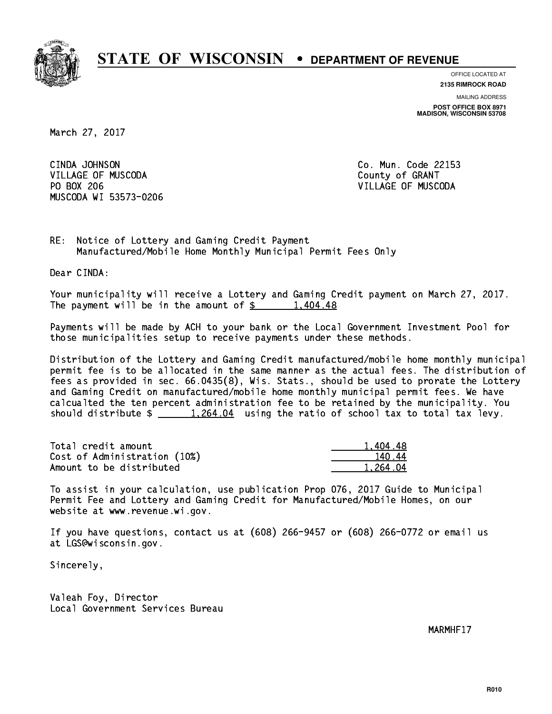

**OFFICE LOCATED AT**

**2135 RIMROCK ROAD**

**MAILING ADDRESS POST OFFICE BOX 8971 MADISON, WISCONSIN 53708**

March 27, 2017

CINDA JOHNSON VILLAGE OF MUSCODA COUNTY OF GRANT PO BOX 206 VILLAGE OF MUSCODA MUSCODA WI 53573-0206

Co. Mun. Code 22153

RE: Notice of Lottery and Gaming Credit Payment Manufactured/Mobile Home Monthly Municipal Permit Fees Only

Dear CINDA:

 Your municipality will receive a Lottery and Gaming Credit payment on March 27, 2017. The payment will be in the amount of  $\frac{2}{3}$  1,404.48

 Payments will be made by ACH to your bank or the Local Government Investment Pool for those municipalities setup to receive payments under these methods.

 Distribution of the Lottery and Gaming Credit manufactured/mobile home monthly municipal permit fee is to be allocated in the same manner as the actual fees. The distribution of fees as provided in sec. 66.0435(8), Wis. Stats., should be used to prorate the Lottery and Gaming Credit on manufactured/mobile home monthly municipal permit fees. We have calcualted the ten percent administration fee to be retained by the municipality. You should distribute  $\frac{1,264.04}{1,264.04}$  using the ratio of school tax to total tax levy.

| Total credit amount          | 1,404.48 |
|------------------------------|----------|
| Cost of Administration (10%) | 140.44   |
| Amount to be distributed     | 1.264.04 |

 To assist in your calculation, use publication Prop 076, 2017 Guide to Municipal Permit Fee and Lottery and Gaming Credit for Manufactured/Mobile Homes, on our website at www.revenue.wi.gov.

 If you have questions, contact us at (608) 266-9457 or (608) 266-0772 or email us at LGS@wisconsin.gov.

Sincerely,

 Valeah Foy, Director Local Government Services Bureau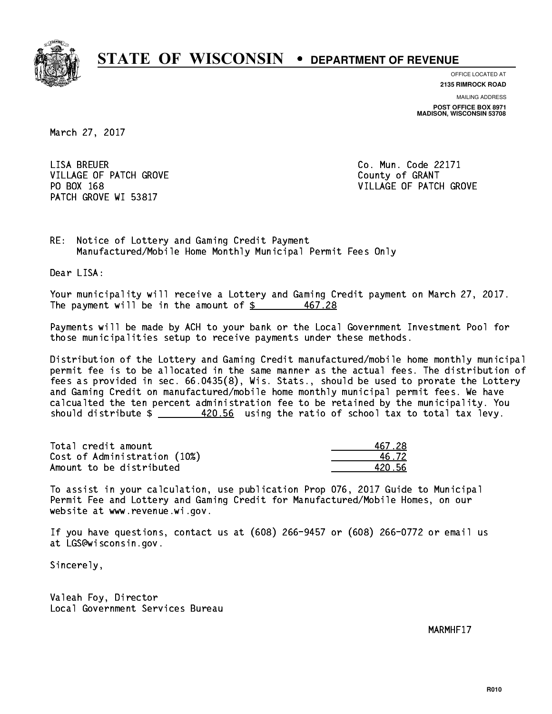

**OFFICE LOCATED AT**

**2135 RIMROCK ROAD**

**MAILING ADDRESS POST OFFICE BOX 8971 MADISON, WISCONSIN 53708**

March 27, 2017

LISA BREUER VILLAGE OF PATCH GROVE COUNTY OF GRANT PATCH GROVE WI 53817

Co. Mun. Code 22171 PO BOX 168 VILLAGE OF PATCH GROVE

RE: Notice of Lottery and Gaming Credit Payment Manufactured/Mobile Home Monthly Municipal Permit Fees Only

Dear LISA:

 Your municipality will receive a Lottery and Gaming Credit payment on March 27, 2017. The payment will be in the amount of  $\frac{28}{100}$  =  $\frac{467.28}{1000}$ 

 Payments will be made by ACH to your bank or the Local Government Investment Pool for those municipalities setup to receive payments under these methods.

 Distribution of the Lottery and Gaming Credit manufactured/mobile home monthly municipal permit fee is to be allocated in the same manner as the actual fees. The distribution of fees as provided in sec. 66.0435(8), Wis. Stats., should be used to prorate the Lottery and Gaming Credit on manufactured/mobile home monthly municipal permit fees. We have calcualted the ten percent administration fee to be retained by the municipality. You should distribute  $\frac{420.56}{2}$  using the ratio of school tax to total tax levy.

Total credit amount Cost of Administration (10%) Amount to be distributed

| 57.28  |
|--------|
| 6.72   |
| 420.56 |

 To assist in your calculation, use publication Prop 076, 2017 Guide to Municipal Permit Fee and Lottery and Gaming Credit for Manufactured/Mobile Homes, on our website at www.revenue.wi.gov.

 If you have questions, contact us at (608) 266-9457 or (608) 266-0772 or email us at LGS@wisconsin.gov.

Sincerely,

 Valeah Foy, Director Local Government Services Bureau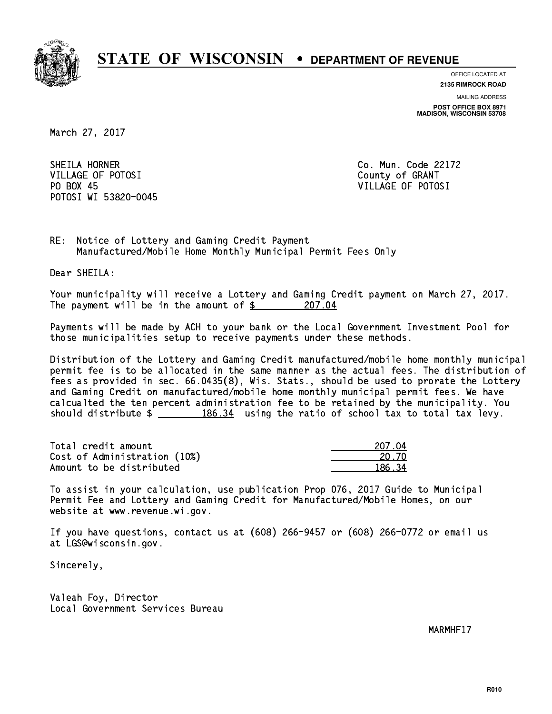

**OFFICE LOCATED AT**

**2135 RIMROCK ROAD**

**MAILING ADDRESS POST OFFICE BOX 8971 MADISON, WISCONSIN 53708**

March 27, 2017

SHEILA HORNER VILLAGE OF POTOSI COUNTY OF GRANT PO BOX 45 POTOSI WI 53820-0045

Co. Mun. Code 22172 VILLAGE OF POTOSI

RE: Notice of Lottery and Gaming Credit Payment Manufactured/Mobile Home Monthly Municipal Permit Fees Only

Dear SHEILA:

 Your municipality will receive a Lottery and Gaming Credit payment on March 27, 2017. The payment will be in the amount of  $\frac{207.04}{200}$ 

 Payments will be made by ACH to your bank or the Local Government Investment Pool for those municipalities setup to receive payments under these methods.

 Distribution of the Lottery and Gaming Credit manufactured/mobile home monthly municipal permit fee is to be allocated in the same manner as the actual fees. The distribution of fees as provided in sec. 66.0435(8), Wis. Stats., should be used to prorate the Lottery and Gaming Credit on manufactured/mobile home monthly municipal permit fees. We have calcualted the ten percent administration fee to be retained by the municipality. You should distribute  $\frac{186.34}{186.34}$  using the ratio of school tax to total tax levy.

Total credit amount Cost of Administration (10%) Amount to be distributed

| 207 N4 |
|--------|
| 20. ZO |
| 18634  |

 To assist in your calculation, use publication Prop 076, 2017 Guide to Municipal Permit Fee and Lottery and Gaming Credit for Manufactured/Mobile Homes, on our website at www.revenue.wi.gov.

 If you have questions, contact us at (608) 266-9457 or (608) 266-0772 or email us at LGS@wisconsin.gov.

Sincerely,

 Valeah Foy, Director Local Government Services Bureau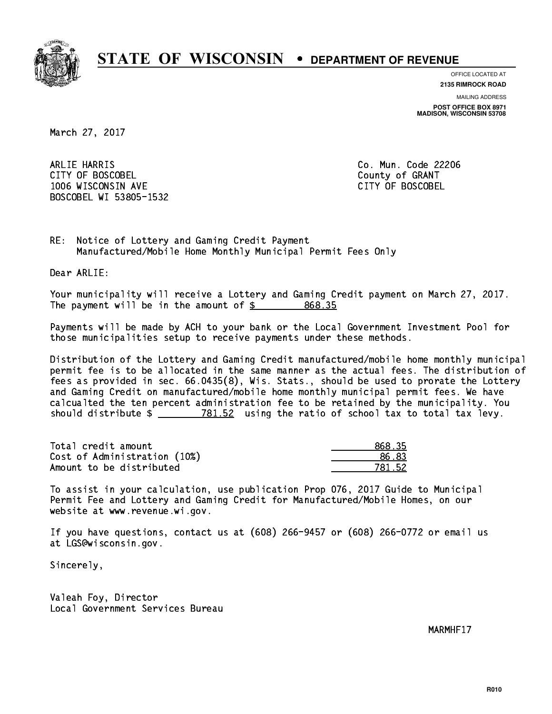

**OFFICE LOCATED AT**

**MAILING ADDRESS 2135 RIMROCK ROAD**

**POST OFFICE BOX 8971 MADISON, WISCONSIN 53708**

March 27, 2017

 ARLIE HARRIS Co. Mun. Code 22206 CITY OF BOSCOBEL County of GRANT 1006 WISCONSIN AVE CITY OF BOSCOBEL BOSCOBEL WI 53805-1532

RE: Notice of Lottery and Gaming Credit Payment Manufactured/Mobile Home Monthly Municipal Permit Fees Only

Dear ARLIE:

 Your municipality will receive a Lottery and Gaming Credit payment on March 27, 2017. The payment will be in the amount of  $\frac{2}{3}$ 868.35

 Payments will be made by ACH to your bank or the Local Government Investment Pool for those municipalities setup to receive payments under these methods.

 Distribution of the Lottery and Gaming Credit manufactured/mobile home monthly municipal permit fee is to be allocated in the same manner as the actual fees. The distribution of fees as provided in sec. 66.0435(8), Wis. Stats., should be used to prorate the Lottery and Gaming Credit on manufactured/mobile home monthly municipal permit fees. We have calcualted the ten percent administration fee to be retained by the municipality. You should distribute  $\frac{2}{2}$   $\frac{781.52}{2}$  using the ratio of school tax to total tax levy.

Total credit amount Cost of Administration (10%) Amount to be distributed

| 368.35 |
|--------|
| 6.83   |
| 81.52  |

 To assist in your calculation, use publication Prop 076, 2017 Guide to Municipal Permit Fee and Lottery and Gaming Credit for Manufactured/Mobile Homes, on our website at www.revenue.wi.gov.

 If you have questions, contact us at (608) 266-9457 or (608) 266-0772 or email us at LGS@wisconsin.gov.

Sincerely,

 Valeah Foy, Director Local Government Services Bureau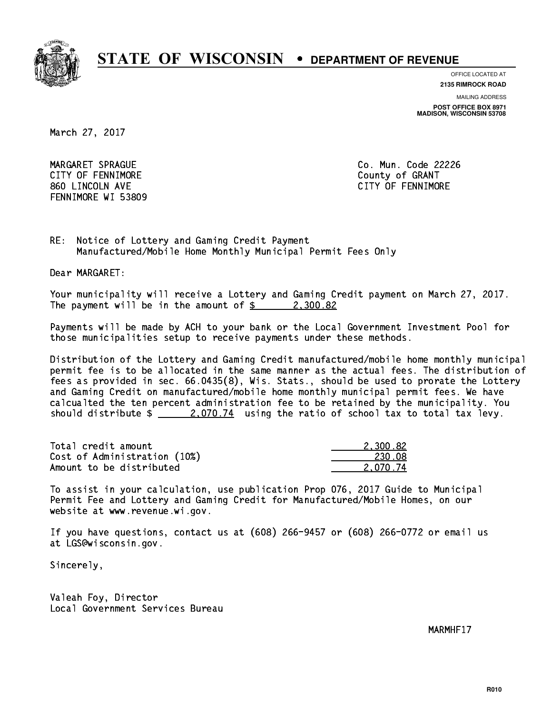

**OFFICE LOCATED AT**

**2135 RIMROCK ROAD**

**MAILING ADDRESS**

**POST OFFICE BOX 8971 MADISON, WISCONSIN 53708**

March 27, 2017

 MARGARET SPRAGUE Co. Mun. Code 22226 CITY OF FENNIMORE **COULD COULD COULD COULD COULD** COULD COULD COULD COULD COULD COULD COULD COULD COULD COULD COULD COULD COULD COULD COULD COULD COULD COULD COULD COULD COULD COULD COULD COULD COULD COULD COULD COULD COUL 860 LINCOLN AVE CONTROLLER SERVICE SERVICE SERVICE SERVICE SERVICE SERVICE SERVICE SERVICE SERVICE SERVICE SERVICE SERVICE SERVICE SERVICE SERVICE SERVICE SERVICE SERVICE SERVICE SERVICE SERVICE SERVICE SERVICE SERVICE SER FENNIMORE WI 53809

RE: Notice of Lottery and Gaming Credit Payment Manufactured/Mobile Home Monthly Municipal Permit Fees Only

Dear MARGARET:

 Your municipality will receive a Lottery and Gaming Credit payment on March 27, 2017. The payment will be in the amount of  $\frac{2}{3}$  2,300.82

 Payments will be made by ACH to your bank or the Local Government Investment Pool for those municipalities setup to receive payments under these methods.

 Distribution of the Lottery and Gaming Credit manufactured/mobile home monthly municipal permit fee is to be allocated in the same manner as the actual fees. The distribution of fees as provided in sec. 66.0435(8), Wis. Stats., should be used to prorate the Lottery and Gaming Credit on manufactured/mobile home monthly municipal permit fees. We have calcualted the ten percent administration fee to be retained by the municipality. You should distribute  $\frac{2.070.74}{2.070.74}$  using the ratio of school tax to total tax levy.

| Total credit amount          | 2.300.82 |
|------------------------------|----------|
| Cost of Administration (10%) | -230.08  |
| Amount to be distributed     | 2.070.74 |

 To assist in your calculation, use publication Prop 076, 2017 Guide to Municipal Permit Fee and Lottery and Gaming Credit for Manufactured/Mobile Homes, on our website at www.revenue.wi.gov.

 If you have questions, contact us at (608) 266-9457 or (608) 266-0772 or email us at LGS@wisconsin.gov.

Sincerely,

 Valeah Foy, Director Local Government Services Bureau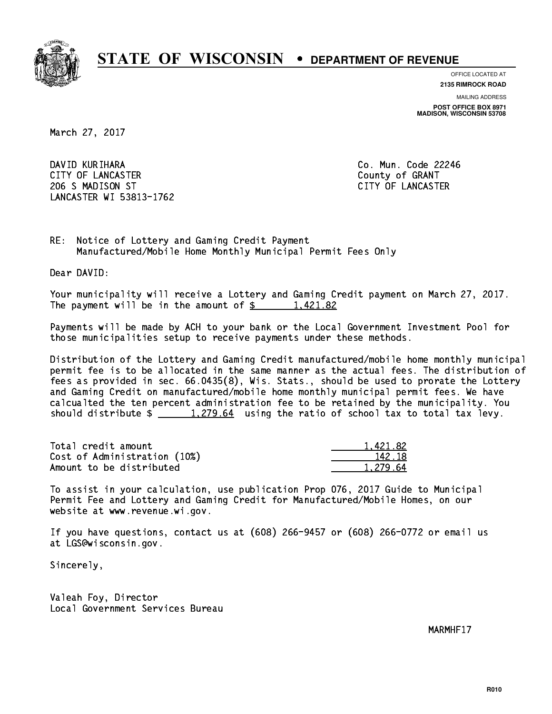

**OFFICE LOCATED AT 2135 RIMROCK ROAD**

**MAILING ADDRESS**

**POST OFFICE BOX 8971 MADISON, WISCONSIN 53708**

March 27, 2017

 DAVID KURIHARA Co. Mun. Code 22246 CITY OF LANCASTER COUNTY OF GRANT 206 S MADISON ST CITY OF LANCASTER LANCASTER WI 53813-1762

RE: Notice of Lottery and Gaming Credit Payment Manufactured/Mobile Home Monthly Municipal Permit Fees Only

Dear DAVID:

 Your municipality will receive a Lottery and Gaming Credit payment on March 27, 2017. The payment will be in the amount of  $\frac{2}{3}$  1,421.82

 Payments will be made by ACH to your bank or the Local Government Investment Pool for those municipalities setup to receive payments under these methods.

 Distribution of the Lottery and Gaming Credit manufactured/mobile home monthly municipal permit fee is to be allocated in the same manner as the actual fees. The distribution of fees as provided in sec. 66.0435(8), Wis. Stats., should be used to prorate the Lottery and Gaming Credit on manufactured/mobile home monthly municipal permit fees. We have calcualted the ten percent administration fee to be retained by the municipality. You should distribute  $\frac{1,279.64}{1,279.64}$  using the ratio of school tax to total tax levy.

| Total credit amount          | 1.421.82 |
|------------------------------|----------|
| Cost of Administration (10%) | 142.18   |
| Amount to be distributed     | 1,279.64 |

 To assist in your calculation, use publication Prop 076, 2017 Guide to Municipal Permit Fee and Lottery and Gaming Credit for Manufactured/Mobile Homes, on our website at www.revenue.wi.gov.

 If you have questions, contact us at (608) 266-9457 or (608) 266-0772 or email us at LGS@wisconsin.gov.

Sincerely,

 Valeah Foy, Director Local Government Services Bureau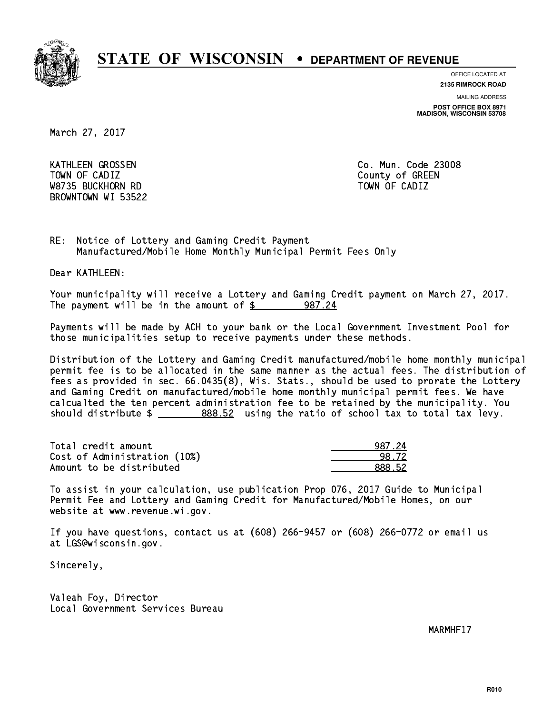

**OFFICE LOCATED AT 2135 RIMROCK ROAD**

**MAILING ADDRESS**

**POST OFFICE BOX 8971 MADISON, WISCONSIN 53708**

March 27, 2017

 KATHLEEN GROSSEN Co. Mun. Code 23008 Town of California  $\mathcal{L}$  county of Green county of Green county of Green county of Green county of Green county of Green county of Green county of Green county of Green county of Green county of Green county of Green co W8735 BUCKHORN RD TOWN OF CADIZ BROWNTOWN WI 53522

RE: Notice of Lottery and Gaming Credit Payment Manufactured/Mobile Home Monthly Municipal Permit Fees Only

Dear KATHLEEN:

 Your municipality will receive a Lottery and Gaming Credit payment on March 27, 2017. The payment will be in the amount of  $\frac{2}{3}$  987.24

 Payments will be made by ACH to your bank or the Local Government Investment Pool for those municipalities setup to receive payments under these methods.

 Distribution of the Lottery and Gaming Credit manufactured/mobile home monthly municipal permit fee is to be allocated in the same manner as the actual fees. The distribution of fees as provided in sec. 66.0435(8), Wis. Stats., should be used to prorate the Lottery and Gaming Credit on manufactured/mobile home monthly municipal permit fees. We have calcualted the ten percent administration fee to be retained by the municipality. You should distribute  $\frac{2}{2}$   $\frac{888.52}{2}$  using the ratio of school tax to total tax levy.

| Total credit amount          | 987.24 |
|------------------------------|--------|
| Cost of Administration (10%) | 98.72  |
| Amount to be distributed     | 888.52 |

 To assist in your calculation, use publication Prop 076, 2017 Guide to Municipal Permit Fee and Lottery and Gaming Credit for Manufactured/Mobile Homes, on our website at www.revenue.wi.gov.

 If you have questions, contact us at (608) 266-9457 or (608) 266-0772 or email us at LGS@wisconsin.gov.

Sincerely,

 Valeah Foy, Director Local Government Services Bureau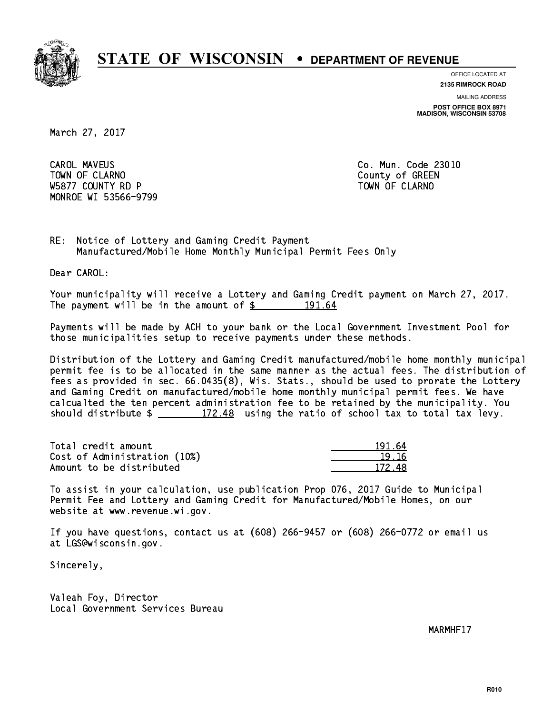

**OFFICE LOCATED AT**

**MAILING ADDRESS 2135 RIMROCK ROAD**

**POST OFFICE BOX 8971 MADISON, WISCONSIN 53708**

March 27, 2017

**CAROL MAVEUS** Town of Claramon County of Green County of Green County of Green County of Green County of Green County of Green County of Green County of Green County of Green County of Green County of Green County of Green County of Gre W5877 COUNTY RD P TO THE TOWN OF CLARNO MONROE WI 53566-9799

Co. Mun. Code 23010

RE: Notice of Lottery and Gaming Credit Payment Manufactured/Mobile Home Monthly Municipal Permit Fees Only

Dear CAROL:

 Your municipality will receive a Lottery and Gaming Credit payment on March 27, 2017. The payment will be in the amount of  $\frac{2}{3}$  191.64

 Payments will be made by ACH to your bank or the Local Government Investment Pool for those municipalities setup to receive payments under these methods.

 Distribution of the Lottery and Gaming Credit manufactured/mobile home monthly municipal permit fee is to be allocated in the same manner as the actual fees. The distribution of fees as provided in sec. 66.0435(8), Wis. Stats., should be used to prorate the Lottery and Gaming Credit on manufactured/mobile home monthly municipal permit fees. We have calcualted the ten percent administration fee to be retained by the municipality. You should distribute  $\frac{172.48}{172.48}$  using the ratio of school tax to total tax levy.

Total credit amount Cost of Administration (10%) Amount to be distributed

| 54<br>$41 -$ |
|--------------|
| 9.16         |
| 172.<br>18   |

 To assist in your calculation, use publication Prop 076, 2017 Guide to Municipal Permit Fee and Lottery and Gaming Credit for Manufactured/Mobile Homes, on our website at www.revenue.wi.gov.

 If you have questions, contact us at (608) 266-9457 or (608) 266-0772 or email us at LGS@wisconsin.gov.

Sincerely,

 Valeah Foy, Director Local Government Services Bureau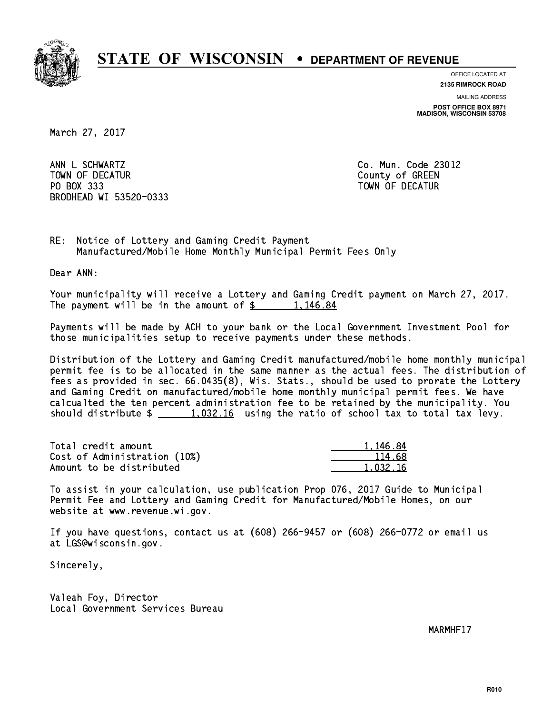

**OFFICE LOCATED AT**

**2135 RIMROCK ROAD**

**MAILING ADDRESS POST OFFICE BOX 8971 MADISON, WISCONSIN 53708**

March 27, 2017

ANN L SCHWARTZ TOWN OF DECATUR COUNTY OF GREEN PO BOX 333 PO BOX 333 TOWN OF DECATUR BRODHEAD WI 53520-0333

Co. Mun. Code 23012

RE: Notice of Lottery and Gaming Credit Payment Manufactured/Mobile Home Monthly Municipal Permit Fees Only

Dear ANN:

 Your municipality will receive a Lottery and Gaming Credit payment on March 27, 2017. The payment will be in the amount of  $\frac{2}{3}$  1,146.84

 Payments will be made by ACH to your bank or the Local Government Investment Pool for those municipalities setup to receive payments under these methods.

 Distribution of the Lottery and Gaming Credit manufactured/mobile home monthly municipal permit fee is to be allocated in the same manner as the actual fees. The distribution of fees as provided in sec. 66.0435(8), Wis. Stats., should be used to prorate the Lottery and Gaming Credit on manufactured/mobile home monthly municipal permit fees. We have calcualted the ten percent administration fee to be retained by the municipality. You should distribute  $\frac{1}{2}$   $\frac{1}{2}$   $\frac{1}{2}$  using the ratio of school tax to total tax levy.

| Total credit amount          | 1.146.84 |
|------------------------------|----------|
| Cost of Administration (10%) | 114.68   |
| Amount to be distributed     | 1,032.16 |

 To assist in your calculation, use publication Prop 076, 2017 Guide to Municipal Permit Fee and Lottery and Gaming Credit for Manufactured/Mobile Homes, on our website at www.revenue.wi.gov.

 If you have questions, contact us at (608) 266-9457 or (608) 266-0772 or email us at LGS@wisconsin.gov.

Sincerely,

 Valeah Foy, Director Local Government Services Bureau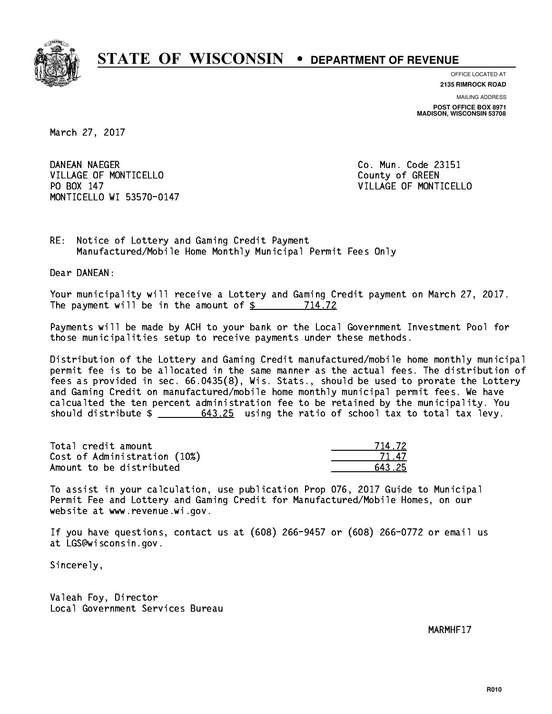

**OFFICE LOCATED AT**

**2135 RIMROCK ROAD**

**MAILING ADDRESS POST OFFICE BOX 8971 MADISON, WISCONSIN 53708**

March 27, 2017

DANEAN NAEGER VILLAGE OF MONTICELLO **COUNTY COULD AND COULD COULD COULD** PO BOX 147 MONTICELLO WI 53570-0147

Co. Mun. Code 23151 VILLAGE OF MONTICELLO

RE: Notice of Lottery and Gaming Credit Payment Manufactured/Mobile Home Monthly Municipal Permit Fees Only

Dear DANEAN:

 Your municipality will receive a Lottery and Gaming Credit payment on March 27, 2017. The payment will be in the amount of \$ 714.72 \_\_\_\_\_\_\_\_\_\_\_\_\_\_\_\_

 Payments will be made by ACH to your bank or the Local Government Investment Pool for those municipalities setup to receive payments under these methods.

 Distribution of the Lottery and Gaming Credit manufactured/mobile home monthly municipal permit fee is to be allocated in the same manner as the actual fees. The distribution of fees as provided in sec. 66.0435(8), Wis. Stats., should be used to prorate the Lottery and Gaming Credit on manufactured/mobile home monthly municipal permit fees. We have calcualted the ten percent administration fee to be retained by the municipality. You should distribute  $\frac{25}{100}$  643.25 using the ratio of school tax to total tax levy.

Total credit amount Cost of Administration (10%) Amount to be distributed

| $\cdot$ 12 |
|------------|
| L Z        |
| 325        |

 To assist in your calculation, use publication Prop 076, 2017 Guide to Municipal Permit Fee and Lottery and Gaming Credit for Manufactured/Mobile Homes, on our website at www.revenue.wi.gov.

 If you have questions, contact us at (608) 266-9457 or (608) 266-0772 or email us at LGS@wisconsin.gov.

Sincerely,

 Valeah Foy, Director Local Government Services Bureau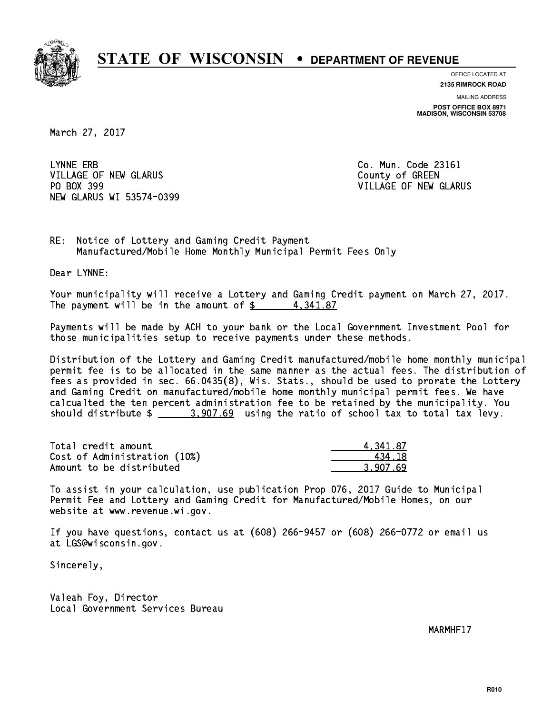

**OFFICE LOCATED AT**

**2135 RIMROCK ROAD**

**MAILING ADDRESS POST OFFICE BOX 8971 MADISON, WISCONSIN 53708**

March 27, 2017

LYNNE ERB VILLAGE OF NEW GLARUS **COUNTY OF GREEN** PO BOX 399 NEW GLARUS WI 53574-0399

Co. Mun. Code 23161 VILLAGE OF NEW GLARUS

RE: Notice of Lottery and Gaming Credit Payment Manufactured/Mobile Home Monthly Municipal Permit Fees Only

Dear LYNNE:

 Your municipality will receive a Lottery and Gaming Credit payment on March 27, 2017. The payment will be in the amount of  $\frac{2}{3}$  4,341.87

 Payments will be made by ACH to your bank or the Local Government Investment Pool for those municipalities setup to receive payments under these methods.

 Distribution of the Lottery and Gaming Credit manufactured/mobile home monthly municipal permit fee is to be allocated in the same manner as the actual fees. The distribution of fees as provided in sec. 66.0435(8), Wis. Stats., should be used to prorate the Lottery and Gaming Credit on manufactured/mobile home monthly municipal permit fees. We have calcualted the ten percent administration fee to be retained by the municipality. You should distribute  $\frac{2}{2}$   $\frac{3,907.69}{2}$  using the ratio of school tax to total tax levy.

| Total credit amount          | 4.341.87 |
|------------------------------|----------|
| Cost of Administration (10%) | 434 18   |
| Amount to be distributed     | 3.907.69 |

 To assist in your calculation, use publication Prop 076, 2017 Guide to Municipal Permit Fee and Lottery and Gaming Credit for Manufactured/Mobile Homes, on our website at www.revenue.wi.gov.

 If you have questions, contact us at (608) 266-9457 or (608) 266-0772 or email us at LGS@wisconsin.gov.

Sincerely,

 Valeah Foy, Director Local Government Services Bureau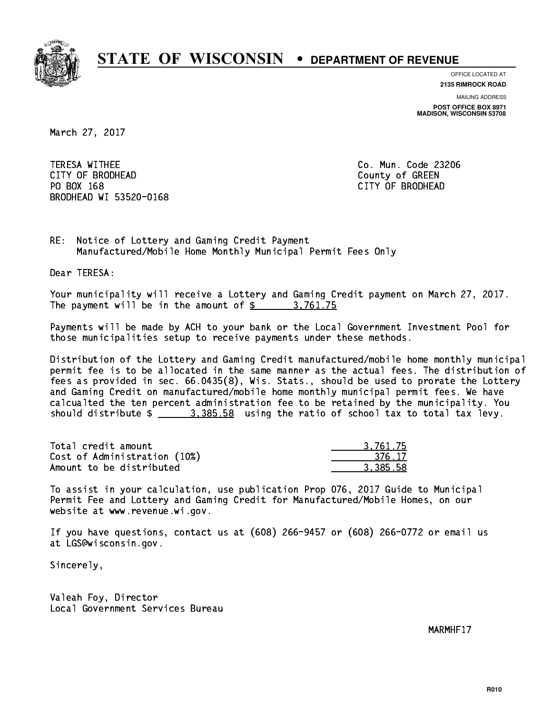

**OFFICE LOCATED AT**

**2135 RIMROCK ROAD**

**MAILING ADDRESS POST OFFICE BOX 8971 MADISON, WISCONSIN 53708**

March 27, 2017

 TERESA WITHEE Co. Mun. Code 23206 CITY OF BRODHEAD County of GREEN PO BOX 168 PO BOX 168 CITY OF BRODHEAD BRODHEAD WI 53520-0168

RE: Notice of Lottery and Gaming Credit Payment Manufactured/Mobile Home Monthly Municipal Permit Fees Only

Dear TERESA:

 Your municipality will receive a Lottery and Gaming Credit payment on March 27, 2017. The payment will be in the amount of  $\frac{2}{3}$  3,761.75

 Payments will be made by ACH to your bank or the Local Government Investment Pool for those municipalities setup to receive payments under these methods.

 Distribution of the Lottery and Gaming Credit manufactured/mobile home monthly municipal permit fee is to be allocated in the same manner as the actual fees. The distribution of fees as provided in sec. 66.0435(8), Wis. Stats., should be used to prorate the Lottery and Gaming Credit on manufactured/mobile home monthly municipal permit fees. We have calcualted the ten percent administration fee to be retained by the municipality. You should distribute  $\frac{2}{2}$   $\frac{3}{2}$ ,  $\frac{385.58}{2}$  using the ratio of school tax to total tax levy.

| Total credit amount          | 3.761.75 |
|------------------------------|----------|
| Cost of Administration (10%) | 376.17   |
| Amount to be distributed     | 3.385.58 |

 To assist in your calculation, use publication Prop 076, 2017 Guide to Municipal Permit Fee and Lottery and Gaming Credit for Manufactured/Mobile Homes, on our website at www.revenue.wi.gov.

 If you have questions, contact us at (608) 266-9457 or (608) 266-0772 or email us at LGS@wisconsin.gov.

Sincerely,

 Valeah Foy, Director Local Government Services Bureau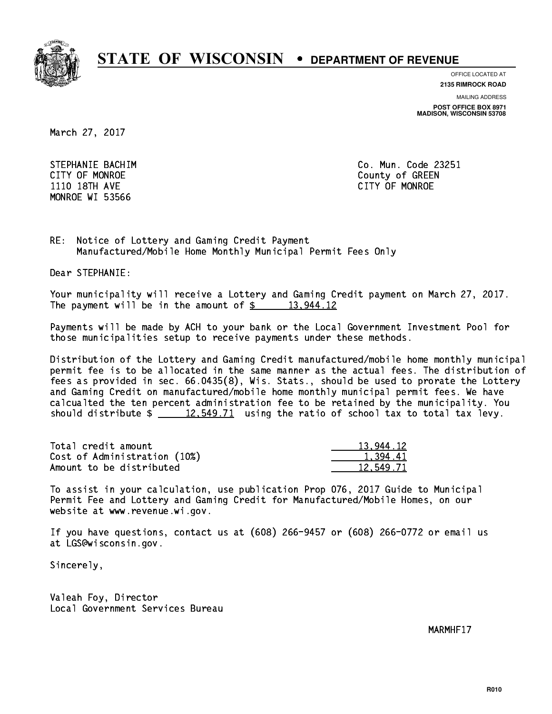

**OFFICE LOCATED AT 2135 RIMROCK ROAD**

**MAILING ADDRESS**

**POST OFFICE BOX 8971 MADISON, WISCONSIN 53708**

March 27, 2017

STEPHANIE BACHIM **Communist Communist Communist Communist Communist Communist Communist Communist Communist Communist Communist Communist Communist Communist Communist Communist Communist Communist Communist Communist Comm**  1110 18TH AVE CITY OF MONROE MONROE WI 53566

CITY OF MONROE County of GREEN

RE: Notice of Lottery and Gaming Credit Payment Manufactured/Mobile Home Monthly Municipal Permit Fees Only

Dear STEPHANIE:

 Your municipality will receive a Lottery and Gaming Credit payment on March 27, 2017. The payment will be in the amount of  $\frac{2}{3}$  13,944.12

 Payments will be made by ACH to your bank or the Local Government Investment Pool for those municipalities setup to receive payments under these methods.

 Distribution of the Lottery and Gaming Credit manufactured/mobile home monthly municipal permit fee is to be allocated in the same manner as the actual fees. The distribution of fees as provided in sec. 66.0435(8), Wis. Stats., should be used to prorate the Lottery and Gaming Credit on manufactured/mobile home monthly municipal permit fees. We have calcualted the ten percent administration fee to be retained by the municipality. You should distribute  $\frac{2}{2}$   $\frac{12,549.71}{2}$  using the ratio of school tax to total tax levy.

| Total credit amount          | 13,944.12 |
|------------------------------|-----------|
| Cost of Administration (10%) | 1.394.41  |
| Amount to be distributed     | 12.549.71 |

 To assist in your calculation, use publication Prop 076, 2017 Guide to Municipal Permit Fee and Lottery and Gaming Credit for Manufactured/Mobile Homes, on our website at www.revenue.wi.gov.

 If you have questions, contact us at (608) 266-9457 or (608) 266-0772 or email us at LGS@wisconsin.gov.

Sincerely,

 Valeah Foy, Director Local Government Services Bureau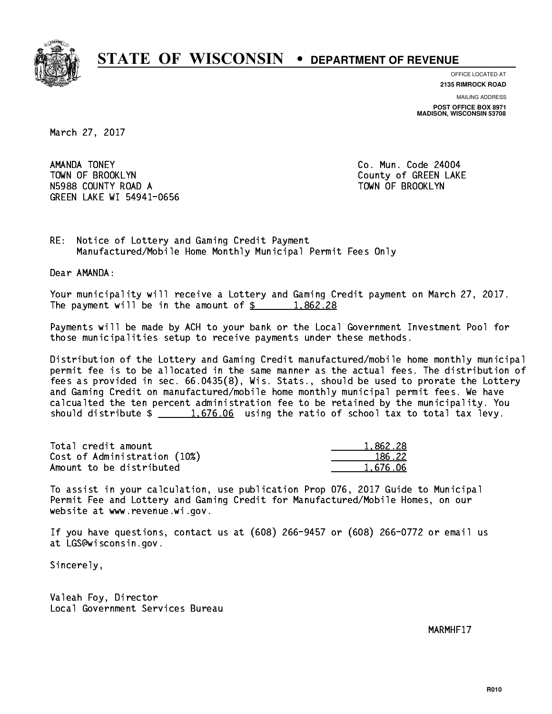

**OFFICE LOCATED AT**

**2135 RIMROCK ROAD**

**MAILING ADDRESS POST OFFICE BOX 8971 MADISON, WISCONSIN 53708**

March 27, 2017

AMANDA TONEY TOWN OF BROOKLYN COUNTY COUNTY OF GREEN LAKE N5988 COUNTY ROAD A TOWN OF BROOKLYN GREEN LAKE WI 54941-0656

Co. Mun. Code 24004

RE: Notice of Lottery and Gaming Credit Payment Manufactured/Mobile Home Monthly Municipal Permit Fees Only

Dear AMANDA:

 Your municipality will receive a Lottery and Gaming Credit payment on March 27, 2017. The payment will be in the amount of  $\frac{2}{3}$  1,862.28

 Payments will be made by ACH to your bank or the Local Government Investment Pool for those municipalities setup to receive payments under these methods.

 Distribution of the Lottery and Gaming Credit manufactured/mobile home monthly municipal permit fee is to be allocated in the same manner as the actual fees. The distribution of fees as provided in sec. 66.0435(8), Wis. Stats., should be used to prorate the Lottery and Gaming Credit on manufactured/mobile home monthly municipal permit fees. We have calcualted the ten percent administration fee to be retained by the municipality. You should distribute  $\frac{1.676.06}{1.676.06}$  using the ratio of school tax to total tax levy.

| Total credit amount          | 1.862.28 |
|------------------------------|----------|
| Cost of Administration (10%) | 186.22   |
| Amount to be distributed     | 1.676.06 |

 To assist in your calculation, use publication Prop 076, 2017 Guide to Municipal Permit Fee and Lottery and Gaming Credit for Manufactured/Mobile Homes, on our website at www.revenue.wi.gov.

 If you have questions, contact us at (608) 266-9457 or (608) 266-0772 or email us at LGS@wisconsin.gov.

Sincerely,

 Valeah Foy, Director Local Government Services Bureau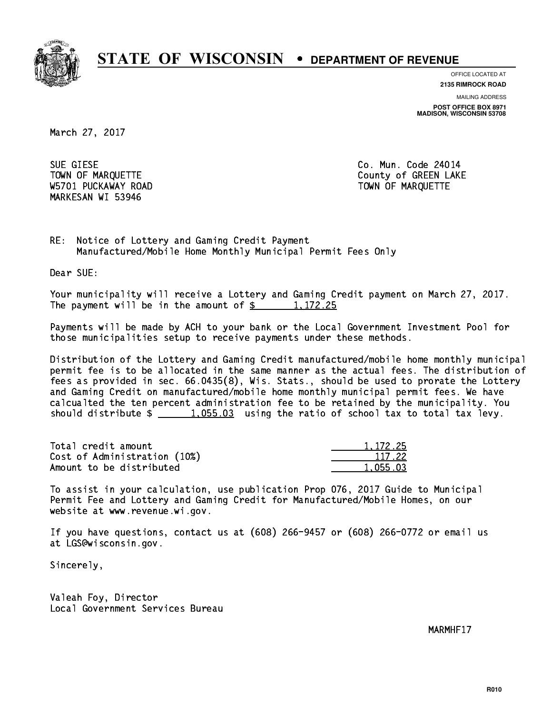

**OFFICE LOCATED AT**

**2135 RIMROCK ROAD**

**MAILING ADDRESS POST OFFICE BOX 8971 MADISON, WISCONSIN 53708**

March 27, 2017

 SUE GIESE Co. Mun. Code 24014 W5701 PUCKAWAY ROAD TOWN OF MARQUETTE MARKESAN WI 53946

TOWN OF MARQUETTE TOWN OF MARQUETTE

RE: Notice of Lottery and Gaming Credit Payment Manufactured/Mobile Home Monthly Municipal Permit Fees Only

Dear SUE:

 Your municipality will receive a Lottery and Gaming Credit payment on March 27, 2017. The payment will be in the amount of  $\frac{2}{3}$  1,172.25

 Payments will be made by ACH to your bank or the Local Government Investment Pool for those municipalities setup to receive payments under these methods.

 Distribution of the Lottery and Gaming Credit manufactured/mobile home monthly municipal permit fee is to be allocated in the same manner as the actual fees. The distribution of fees as provided in sec. 66.0435(8), Wis. Stats., should be used to prorate the Lottery and Gaming Credit on manufactured/mobile home monthly municipal permit fees. We have calcualted the ten percent administration fee to be retained by the municipality. You should distribute  $\frac{1.055.03}{1.055.03}$  using the ratio of school tax to total tax levy.

| Total credit amount          | 1.172.25 |
|------------------------------|----------|
| Cost of Administration (10%) | 117.22   |
| Amount to be distributed     | 1.055.03 |

 To assist in your calculation, use publication Prop 076, 2017 Guide to Municipal Permit Fee and Lottery and Gaming Credit for Manufactured/Mobile Homes, on our website at www.revenue.wi.gov.

 If you have questions, contact us at (608) 266-9457 or (608) 266-0772 or email us at LGS@wisconsin.gov.

Sincerely,

 Valeah Foy, Director Local Government Services Bureau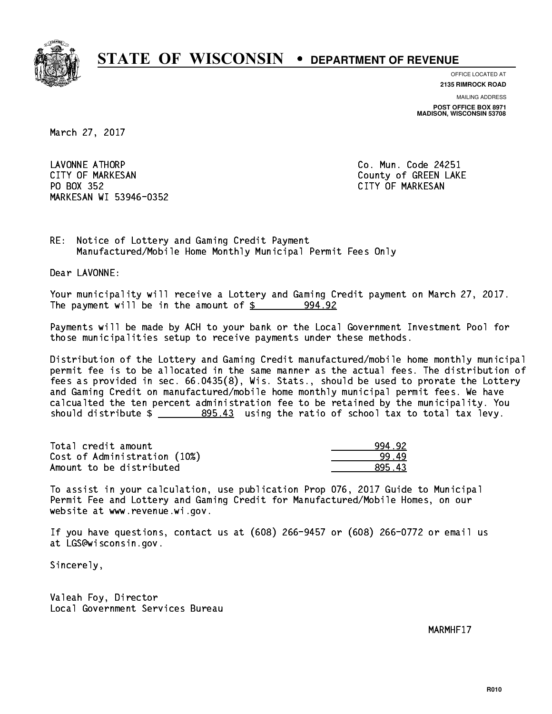

**OFFICE LOCATED AT**

**2135 RIMROCK ROAD**

**MAILING ADDRESS**

**POST OFFICE BOX 8971 MADISON, WISCONSIN 53708**

March 27, 2017

LAVONNE ATHORP CITY OF MARKESAN County of GREEN LAKE PO BOX 352 PO BOX 352 CITY OF MARKESAN MARKESAN WI 53946-0352

Co. Mun. Code 24251

RE: Notice of Lottery and Gaming Credit Payment Manufactured/Mobile Home Monthly Municipal Permit Fees Only

Dear LAVONNE:

 Your municipality will receive a Lottery and Gaming Credit payment on March 27, 2017. The payment will be in the amount of  $\frac{2}{3}$  994.92

 Payments will be made by ACH to your bank or the Local Government Investment Pool for those municipalities setup to receive payments under these methods.

 Distribution of the Lottery and Gaming Credit manufactured/mobile home monthly municipal permit fee is to be allocated in the same manner as the actual fees. The distribution of fees as provided in sec. 66.0435(8), Wis. Stats., should be used to prorate the Lottery and Gaming Credit on manufactured/mobile home monthly municipal permit fees. We have calcualted the ten percent administration fee to be retained by the municipality. You should distribute \$ 895.43 using the ratio of school tax to total tax levy. \_\_\_\_\_\_\_\_\_\_\_\_\_\_

| Total credit amount          | 994.92 |
|------------------------------|--------|
| Cost of Administration (10%) | 99.49  |
| Amount to be distributed     | 895 43 |

 To assist in your calculation, use publication Prop 076, 2017 Guide to Municipal Permit Fee and Lottery and Gaming Credit for Manufactured/Mobile Homes, on our website at www.revenue.wi.gov.

 If you have questions, contact us at (608) 266-9457 or (608) 266-0772 or email us at LGS@wisconsin.gov.

Sincerely,

 Valeah Foy, Director Local Government Services Bureau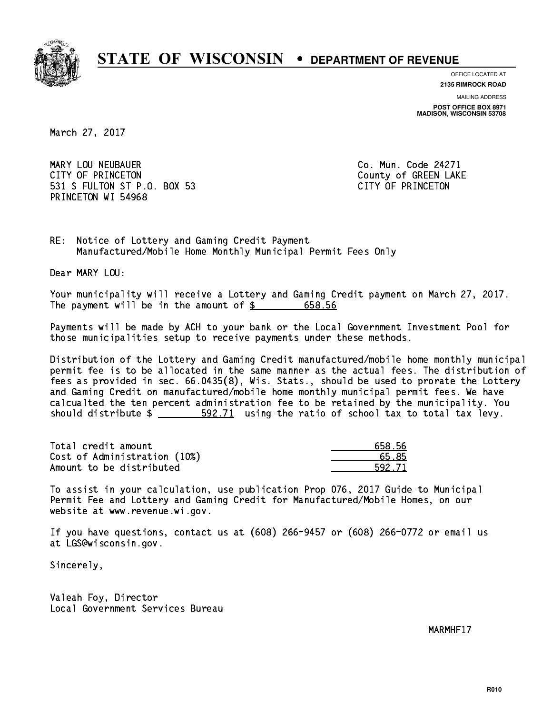

**OFFICE LOCATED AT**

**2135 RIMROCK ROAD**

**MAILING ADDRESS POST OFFICE BOX 8971 MADISON, WISCONSIN 53708**

March 27, 2017

 MARY LOU NEUBAUER Co. Mun. Code 24271 CITY OF PRINCETON COUNTY OF PRINCETON 531 S FULTON ST P.O. BOX 53 CITY OF PRINCETON PRINCETON WI 54968

RE: Notice of Lottery and Gaming Credit Payment Manufactured/Mobile Home Monthly Municipal Permit Fees Only

Dear MARY LOU:

 Your municipality will receive a Lottery and Gaming Credit payment on March 27, 2017. The payment will be in the amount of \$ 658.56 \_\_\_\_\_\_\_\_\_\_\_\_\_\_\_\_

 Payments will be made by ACH to your bank or the Local Government Investment Pool for those municipalities setup to receive payments under these methods.

 Distribution of the Lottery and Gaming Credit manufactured/mobile home monthly municipal permit fee is to be allocated in the same manner as the actual fees. The distribution of fees as provided in sec. 66.0435(8), Wis. Stats., should be used to prorate the Lottery and Gaming Credit on manufactured/mobile home monthly municipal permit fees. We have calcualted the ten percent administration fee to be retained by the municipality. You should distribute  $\frac{2}{2}$   $\frac{592.71}{2}$  using the ratio of school tax to total tax levy.

Total credit amount Cost of Administration (10%) Amount to be distributed

| 8.56  |
|-------|
| 55.85 |
| 12.71 |

 To assist in your calculation, use publication Prop 076, 2017 Guide to Municipal Permit Fee and Lottery and Gaming Credit for Manufactured/Mobile Homes, on our website at www.revenue.wi.gov.

 If you have questions, contact us at (608) 266-9457 or (608) 266-0772 or email us at LGS@wisconsin.gov.

Sincerely,

 Valeah Foy, Director Local Government Services Bureau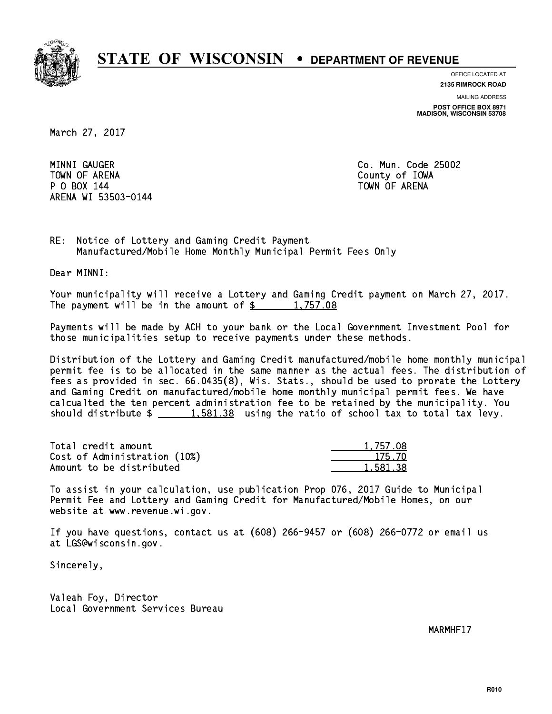

**OFFICE LOCATED AT**

**2135 RIMROCK ROAD**

**MAILING ADDRESS POST OFFICE BOX 8971 MADISON, WISCONSIN 53708**

March 27, 2017

MINNI GAUGER TOWN OF ARENA County of IOWA P O BOX 144 TOWN OF ARENA ARENA WI 53503-0144

Co. Mun. Code 25002

RE: Notice of Lottery and Gaming Credit Payment Manufactured/Mobile Home Monthly Municipal Permit Fees Only

Dear MINNI:

 Your municipality will receive a Lottery and Gaming Credit payment on March 27, 2017. The payment will be in the amount of  $\frac{2}{3}$  1,757.08

 Payments will be made by ACH to your bank or the Local Government Investment Pool for those municipalities setup to receive payments under these methods.

 Distribution of the Lottery and Gaming Credit manufactured/mobile home monthly municipal permit fee is to be allocated in the same manner as the actual fees. The distribution of fees as provided in sec. 66.0435(8), Wis. Stats., should be used to prorate the Lottery and Gaming Credit on manufactured/mobile home monthly municipal permit fees. We have calcualted the ten percent administration fee to be retained by the municipality. You should distribute  $\frac{1.581.38}{1.581.38}$  using the ratio of school tax to total tax levy.

| Total credit amount          | 1,757.08 |
|------------------------------|----------|
| Cost of Administration (10%) | 175.70   |
| Amount to be distributed     | 1,581.38 |

 To assist in your calculation, use publication Prop 076, 2017 Guide to Municipal Permit Fee and Lottery and Gaming Credit for Manufactured/Mobile Homes, on our website at www.revenue.wi.gov.

 If you have questions, contact us at (608) 266-9457 or (608) 266-0772 or email us at LGS@wisconsin.gov.

Sincerely,

 Valeah Foy, Director Local Government Services Bureau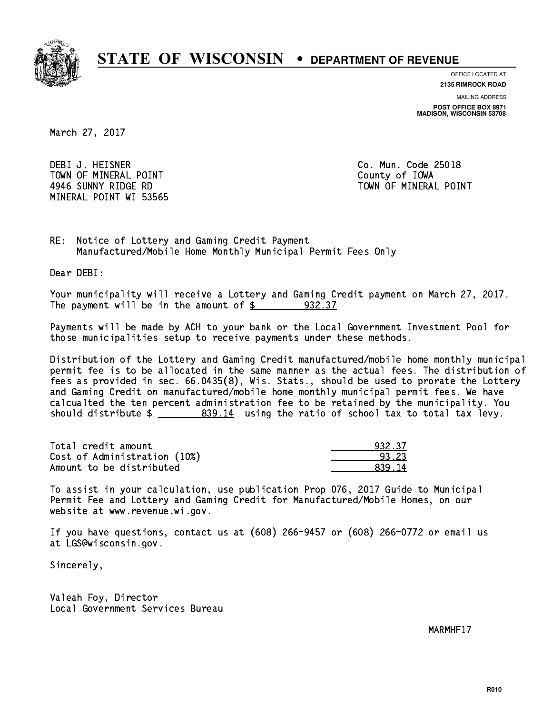

**OFFICE LOCATED AT**

**2135 RIMROCK ROAD**

**MAILING ADDRESS POST OFFICE BOX 8971 MADISON, WISCONSIN 53708**

March 27, 2017

 DEBI J. HEISNER Co. Mun. Code 25018 TOWN OF MINERAL POINT TOWN TOWN County of IOWA 4946 SUNNY RIDGE RD TOWN OF MINERAL POINT MINERAL POINT WI 53565

RE: Notice of Lottery and Gaming Credit Payment Manufactured/Mobile Home Monthly Municipal Permit Fees Only

Dear DEBI:

 Your municipality will receive a Lottery and Gaming Credit payment on March 27, 2017. The payment will be in the amount of  $\frac{2}{3}$  932.37

 Payments will be made by ACH to your bank or the Local Government Investment Pool for those municipalities setup to receive payments under these methods.

 Distribution of the Lottery and Gaming Credit manufactured/mobile home monthly municipal permit fee is to be allocated in the same manner as the actual fees. The distribution of fees as provided in sec. 66.0435(8), Wis. Stats., should be used to prorate the Lottery and Gaming Credit on manufactured/mobile home monthly municipal permit fees. We have calcualted the ten percent administration fee to be retained by the municipality. You should distribute  $\frac{2}{2}$   $\frac{839.14}{2}$  using the ratio of school tax to total tax levy.

| Total credit amount          | 932.37 |
|------------------------------|--------|
| Cost of Administration (10%) | 93.23  |
| Amount to be distributed     | 839 14 |

 To assist in your calculation, use publication Prop 076, 2017 Guide to Municipal Permit Fee and Lottery and Gaming Credit for Manufactured/Mobile Homes, on our website at www.revenue.wi.gov.

 If you have questions, contact us at (608) 266-9457 or (608) 266-0772 or email us at LGS@wisconsin.gov.

Sincerely,

 Valeah Foy, Director Local Government Services Bureau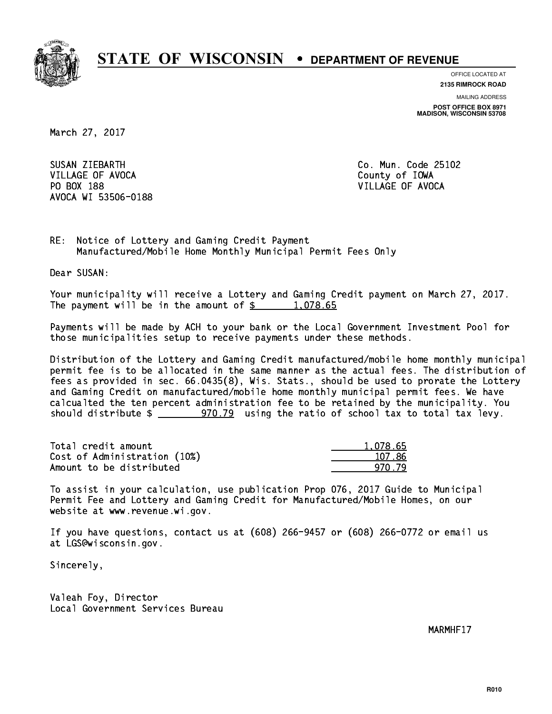

**OFFICE LOCATED AT**

**2135 RIMROCK ROAD**

**MAILING ADDRESS POST OFFICE BOX 8971 MADISON, WISCONSIN 53708**

March 27, 2017

SUSAN ZIEBARTH VILLAGE OF AVOCA County of IOWA PO BOX 188 VILLAGE OF AVOCA AVOCA WI 53506-0188

Co. Mun. Code 25102

RE: Notice of Lottery and Gaming Credit Payment Manufactured/Mobile Home Monthly Municipal Permit Fees Only

Dear SUSAN:

 Your municipality will receive a Lottery and Gaming Credit payment on March 27, 2017. The payment will be in the amount of  $\frac{2}{3}$  1,078.65

 Payments will be made by ACH to your bank or the Local Government Investment Pool for those municipalities setup to receive payments under these methods.

 Distribution of the Lottery and Gaming Credit manufactured/mobile home monthly municipal permit fee is to be allocated in the same manner as the actual fees. The distribution of fees as provided in sec. 66.0435(8), Wis. Stats., should be used to prorate the Lottery and Gaming Credit on manufactured/mobile home monthly municipal permit fees. We have calcualted the ten percent administration fee to be retained by the municipality. You should distribute  $\frac{2}{2}$   $\frac{970.79}{2}$  using the ratio of school tax to total tax levy.

| Total credit amount          | 1.078.65 |
|------------------------------|----------|
| Cost of Administration (10%) | 107.86   |
| Amount to be distributed     | 970 79   |

 To assist in your calculation, use publication Prop 076, 2017 Guide to Municipal Permit Fee and Lottery and Gaming Credit for Manufactured/Mobile Homes, on our website at www.revenue.wi.gov.

 If you have questions, contact us at (608) 266-9457 or (608) 266-0772 or email us at LGS@wisconsin.gov.

Sincerely,

 Valeah Foy, Director Local Government Services Bureau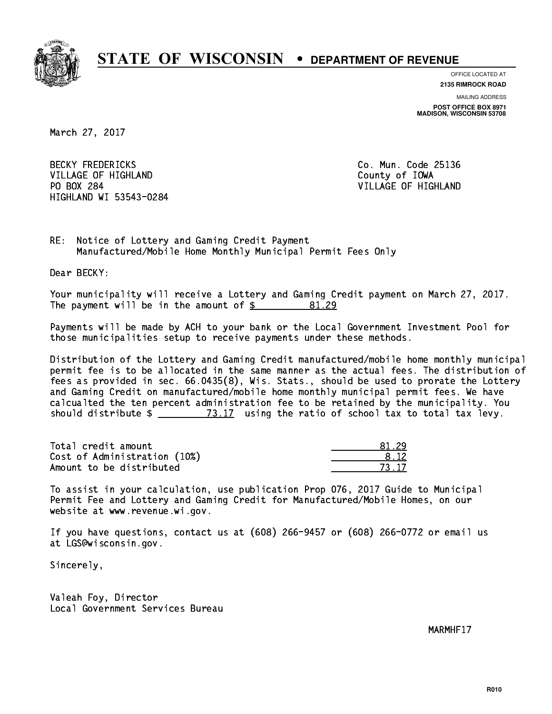

**OFFICE LOCATED AT**

**2135 RIMROCK ROAD**

**MAILING ADDRESS POST OFFICE BOX 8971 MADISON, WISCONSIN 53708**

March 27, 2017

**BECKY FREDERICKS** VILLAGE OF HIGHLAND **County of IOWA** PO BOX 284 HIGHLAND WI 53543-0284

Co. Mun. Code 25136 VILLAGE OF HIGHLAND

RE: Notice of Lottery and Gaming Credit Payment Manufactured/Mobile Home Monthly Municipal Permit Fees Only

Dear BECKY:

 Your municipality will receive a Lottery and Gaming Credit payment on March 27, 2017. The payment will be in the amount of  $$$ 81.29

 Payments will be made by ACH to your bank or the Local Government Investment Pool for those municipalities setup to receive payments under these methods.

 Distribution of the Lottery and Gaming Credit manufactured/mobile home monthly municipal permit fee is to be allocated in the same manner as the actual fees. The distribution of fees as provided in sec. 66.0435(8), Wis. Stats., should be used to prorate the Lottery and Gaming Credit on manufactured/mobile home monthly municipal permit fees. We have calcualted the ten percent administration fee to be retained by the municipality. You should distribute  $\frac{2}{2}$   $\frac{73.17}{2}$  using the ratio of school tax to total tax levy.

Total credit amount Cost of Administration (10%) Amount to be distributed

| -2           |
|--------------|
| $\mathbf{1}$ |

 To assist in your calculation, use publication Prop 076, 2017 Guide to Municipal Permit Fee and Lottery and Gaming Credit for Manufactured/Mobile Homes, on our website at www.revenue.wi.gov.

 If you have questions, contact us at (608) 266-9457 or (608) 266-0772 or email us at LGS@wisconsin.gov.

Sincerely,

 Valeah Foy, Director Local Government Services Bureau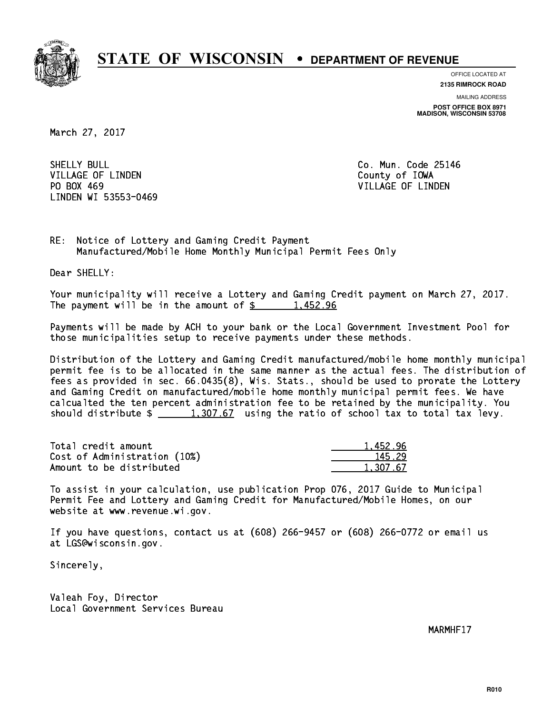

**OFFICE LOCATED AT**

**2135 RIMROCK ROAD**

**MAILING ADDRESS POST OFFICE BOX 8971 MADISON, WISCONSIN 53708**

March 27, 2017

SHELLY BULL VILLAGE OF LINDEN COUNTY OF LOOKS PO BOX 469 LINDEN WI 53553-0469

Co. Mun. Code 25146 VILLAGE OF LINDEN

RE: Notice of Lottery and Gaming Credit Payment Manufactured/Mobile Home Monthly Municipal Permit Fees Only

Dear SHELLY:

 Your municipality will receive a Lottery and Gaming Credit payment on March 27, 2017. The payment will be in the amount of  $\frac{2}{3}$  1,452.96

 Payments will be made by ACH to your bank or the Local Government Investment Pool for those municipalities setup to receive payments under these methods.

 Distribution of the Lottery and Gaming Credit manufactured/mobile home monthly municipal permit fee is to be allocated in the same manner as the actual fees. The distribution of fees as provided in sec. 66.0435(8), Wis. Stats., should be used to prorate the Lottery and Gaming Credit on manufactured/mobile home monthly municipal permit fees. We have calcualted the ten percent administration fee to be retained by the municipality. You should distribute  $\frac{1,307.67}{1,307.67}$  using the ratio of school tax to total tax levy.

| Total credit amount          | 1,452.96 |
|------------------------------|----------|
| Cost of Administration (10%) | 145.29   |
| Amount to be distributed     | 1.307.67 |

 To assist in your calculation, use publication Prop 076, 2017 Guide to Municipal Permit Fee and Lottery and Gaming Credit for Manufactured/Mobile Homes, on our website at www.revenue.wi.gov.

 If you have questions, contact us at (608) 266-9457 or (608) 266-0772 or email us at LGS@wisconsin.gov.

Sincerely,

 Valeah Foy, Director Local Government Services Bureau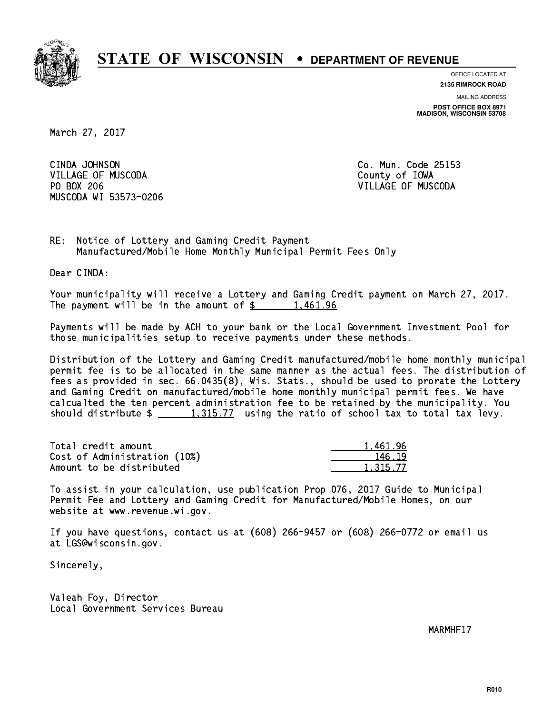

**OFFICE LOCATED AT**

**2135 RIMROCK ROAD**

**MAILING ADDRESS POST OFFICE BOX 8971 MADISON, WISCONSIN 53708**

March 27, 2017

CINDA JOHNSON VILLAGE OF MUSCODA County of IOWA PO BOX 206 VILLAGE OF MUSCODA MUSCODA WI 53573-0206

Co. Mun. Code 25153

RE: Notice of Lottery and Gaming Credit Payment Manufactured/Mobile Home Monthly Municipal Permit Fees Only

Dear CINDA:

 Your municipality will receive a Lottery and Gaming Credit payment on March 27, 2017. The payment will be in the amount of  $\frac{2}{3}$  1,461.96

 Payments will be made by ACH to your bank or the Local Government Investment Pool for those municipalities setup to receive payments under these methods.

 Distribution of the Lottery and Gaming Credit manufactured/mobile home monthly municipal permit fee is to be allocated in the same manner as the actual fees. The distribution of fees as provided in sec. 66.0435(8), Wis. Stats., should be used to prorate the Lottery and Gaming Credit on manufactured/mobile home monthly municipal permit fees. We have calcualted the ten percent administration fee to be retained by the municipality. You should distribute  $\frac{1,315.77}{1,315.77}$  using the ratio of school tax to total tax levy.

| Total credit amount          | 1,461.96 |
|------------------------------|----------|
| Cost of Administration (10%) | 146.19   |
| Amount to be distributed     | 1,315.77 |

 To assist in your calculation, use publication Prop 076, 2017 Guide to Municipal Permit Fee and Lottery and Gaming Credit for Manufactured/Mobile Homes, on our website at www.revenue.wi.gov.

 If you have questions, contact us at (608) 266-9457 or (608) 266-0772 or email us at LGS@wisconsin.gov.

Sincerely,

 Valeah Foy, Director Local Government Services Bureau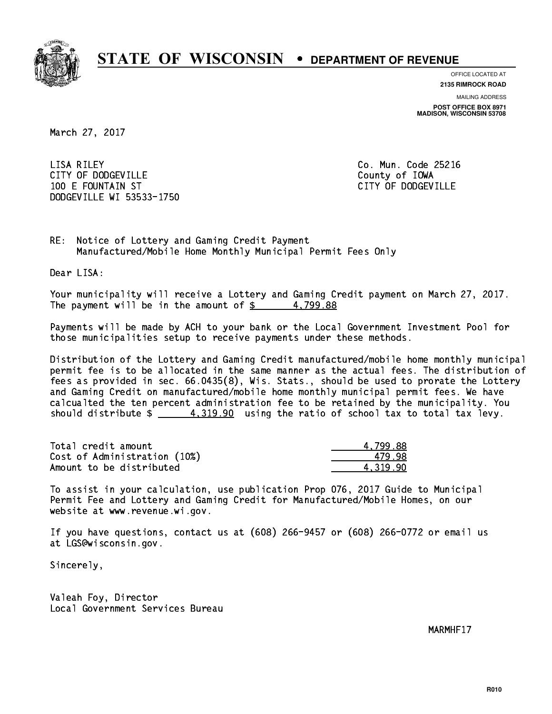

**OFFICE LOCATED AT**

**2135 RIMROCK ROAD**

**MAILING ADDRESS POST OFFICE BOX 8971 MADISON, WISCONSIN 53708**

March 27, 2017

 LISA RILEY Co. Mun. Code 25216 CITY OF DODGEVILLE **COUNTY COUNTY OF IOWA**  100 E FOUNTAIN ST CITY OF DODGEVILLE DODGEVILLE WI 53533-1750

RE: Notice of Lottery and Gaming Credit Payment Manufactured/Mobile Home Monthly Municipal Permit Fees Only

Dear LISA:

 Your municipality will receive a Lottery and Gaming Credit payment on March 27, 2017. The payment will be in the amount of  $\frac{2}{3}$  4,799.88

 Payments will be made by ACH to your bank or the Local Government Investment Pool for those municipalities setup to receive payments under these methods.

 Distribution of the Lottery and Gaming Credit manufactured/mobile home monthly municipal permit fee is to be allocated in the same manner as the actual fees. The distribution of fees as provided in sec. 66.0435(8), Wis. Stats., should be used to prorate the Lottery and Gaming Credit on manufactured/mobile home monthly municipal permit fees. We have calcualted the ten percent administration fee to be retained by the municipality. You should distribute  $\frac{2}{1}$   $\frac{4,319.90}{2}$  using the ratio of school tax to total tax levy.

| Total credit amount          | 4.799.88 |
|------------------------------|----------|
| Cost of Administration (10%) | 479.98   |
| Amount to be distributed     | 4.319.90 |

 To assist in your calculation, use publication Prop 076, 2017 Guide to Municipal Permit Fee and Lottery and Gaming Credit for Manufactured/Mobile Homes, on our website at www.revenue.wi.gov.

 If you have questions, contact us at (608) 266-9457 or (608) 266-0772 or email us at LGS@wisconsin.gov.

Sincerely,

 Valeah Foy, Director Local Government Services Bureau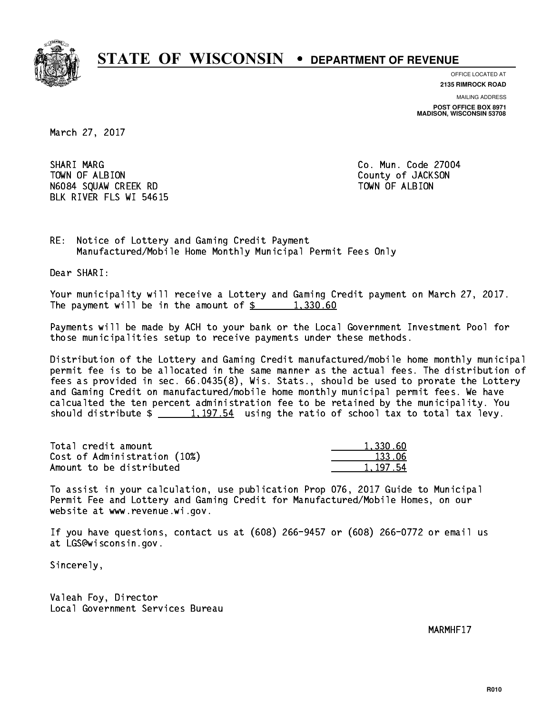

**OFFICE LOCATED AT**

**2135 RIMROCK ROAD**

**MAILING ADDRESS**

**POST OFFICE BOX 8971 MADISON, WISCONSIN 53708**

March 27, 2017

SHARI MARG TOWN OF ALBION COUNTY OF SALISTIC COUNTY OF JACKSON N6084 SQUAW CREEK RD TOWN OF ALBION BLK RIVER FLS WI 54615

Co. Mun. Code 27004

RE: Notice of Lottery and Gaming Credit Payment Manufactured/Mobile Home Monthly Municipal Permit Fees Only

Dear SHARI:

 Your municipality will receive a Lottery and Gaming Credit payment on March 27, 2017. The payment will be in the amount of  $\frac{2}{3}$  1,330.60

 Payments will be made by ACH to your bank or the Local Government Investment Pool for those municipalities setup to receive payments under these methods.

 Distribution of the Lottery and Gaming Credit manufactured/mobile home monthly municipal permit fee is to be allocated in the same manner as the actual fees. The distribution of fees as provided in sec. 66.0435(8), Wis. Stats., should be used to prorate the Lottery and Gaming Credit on manufactured/mobile home monthly municipal permit fees. We have calcualted the ten percent administration fee to be retained by the municipality. You should distribute  $\frac{1,197.54}{1,197.54}$  using the ratio of school tax to total tax levy.

| Total credit amount          | 1,330.60   |
|------------------------------|------------|
| Cost of Administration (10%) | 133.06     |
| Amount to be distributed     | 1, 197, 54 |

 To assist in your calculation, use publication Prop 076, 2017 Guide to Municipal Permit Fee and Lottery and Gaming Credit for Manufactured/Mobile Homes, on our website at www.revenue.wi.gov.

 If you have questions, contact us at (608) 266-9457 or (608) 266-0772 or email us at LGS@wisconsin.gov.

Sincerely,

 Valeah Foy, Director Local Government Services Bureau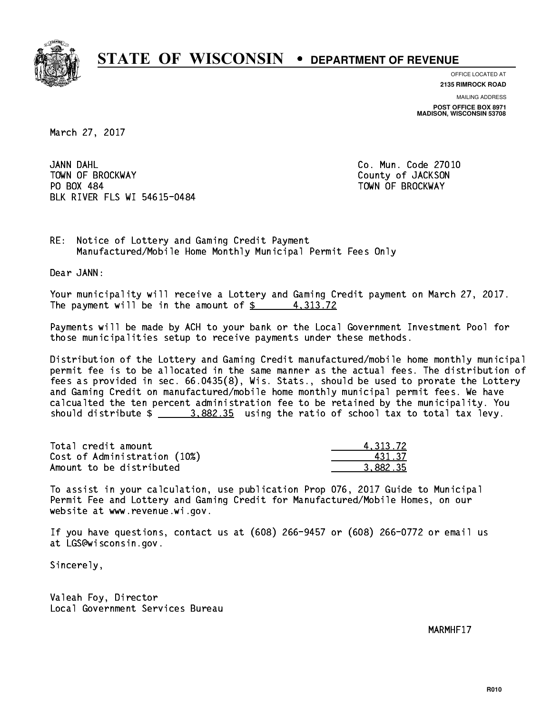

**OFFICE LOCATED AT**

**2135 RIMROCK ROAD**

**MAILING ADDRESS POST OFFICE BOX 8971 MADISON, WISCONSIN 53708**

March 27, 2017

JANN DAHL TOWN OF BROCKWAY **COUNTY OF SECOND-** TOWN OF BROCKWAY PO BOX 484 PO BOX 484 TOWN OF BROCKWAY BLK RIVER FLS WI 54615-0484

Co. Mun. Code 27010

RE: Notice of Lottery and Gaming Credit Payment Manufactured/Mobile Home Monthly Municipal Permit Fees Only

Dear JANN:

 Your municipality will receive a Lottery and Gaming Credit payment on March 27, 2017. The payment will be in the amount of  $\frac{2}{3}$  4,313.72

 Payments will be made by ACH to your bank or the Local Government Investment Pool for those municipalities setup to receive payments under these methods.

 Distribution of the Lottery and Gaming Credit manufactured/mobile home monthly municipal permit fee is to be allocated in the same manner as the actual fees. The distribution of fees as provided in sec. 66.0435(8), Wis. Stats., should be used to prorate the Lottery and Gaming Credit on manufactured/mobile home monthly municipal permit fees. We have calcualted the ten percent administration fee to be retained by the municipality. You should distribute  $\frac{2}{2}$   $\frac{3.882.35}{2}$  using the ratio of school tax to total tax levy.

| Total credit amount          | 4.313.72 |
|------------------------------|----------|
| Cost of Administration (10%) | 431.37   |
| Amount to be distributed     | 3.882.35 |

 To assist in your calculation, use publication Prop 076, 2017 Guide to Municipal Permit Fee and Lottery and Gaming Credit for Manufactured/Mobile Homes, on our website at www.revenue.wi.gov.

 If you have questions, contact us at (608) 266-9457 or (608) 266-0772 or email us at LGS@wisconsin.gov.

Sincerely,

 Valeah Foy, Director Local Government Services Bureau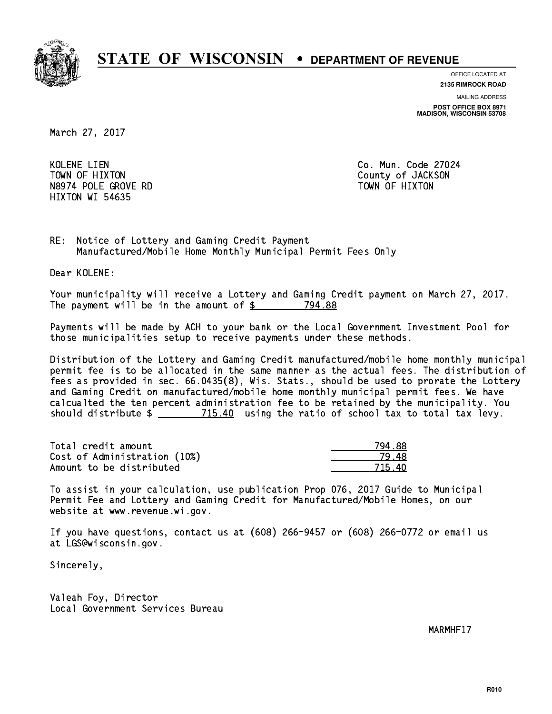

**OFFICE LOCATED AT**

**2135 RIMROCK ROAD**

**MAILING ADDRESS**

**POST OFFICE BOX 8971 MADISON, WISCONSIN 53708**

March 27, 2017

KOLENE LIEN TOWN OF HIXTON COUNTY OF SALES AND TOWN OF HIXTON N8974 POLE GROVE RD TOWN OF HIXTON HIXTON WI 54635

Co. Mun. Code 27024

RE: Notice of Lottery and Gaming Credit Payment Manufactured/Mobile Home Monthly Municipal Permit Fees Only

Dear KOLENE:

 Your municipality will receive a Lottery and Gaming Credit payment on March 27, 2017. The payment will be in the amount of \$ 794.88 \_\_\_\_\_\_\_\_\_\_\_\_\_\_\_\_

 Payments will be made by ACH to your bank or the Local Government Investment Pool for those municipalities setup to receive payments under these methods.

 Distribution of the Lottery and Gaming Credit manufactured/mobile home monthly municipal permit fee is to be allocated in the same manner as the actual fees. The distribution of fees as provided in sec. 66.0435(8), Wis. Stats., should be used to prorate the Lottery and Gaming Credit on manufactured/mobile home monthly municipal permit fees. We have calcualted the ten percent administration fee to be retained by the municipality. You should distribute  $\frac{2}{2}$   $\frac{715.40}{2}$  using the ratio of school tax to total tax levy.

Total credit amount Cost of Administration (10%) Amount to be distributed

| ११<br>⋾ |
|---------|
|         |
| 715     |

 To assist in your calculation, use publication Prop 076, 2017 Guide to Municipal Permit Fee and Lottery and Gaming Credit for Manufactured/Mobile Homes, on our website at www.revenue.wi.gov.

 If you have questions, contact us at (608) 266-9457 or (608) 266-0772 or email us at LGS@wisconsin.gov.

Sincerely,

 Valeah Foy, Director Local Government Services Bureau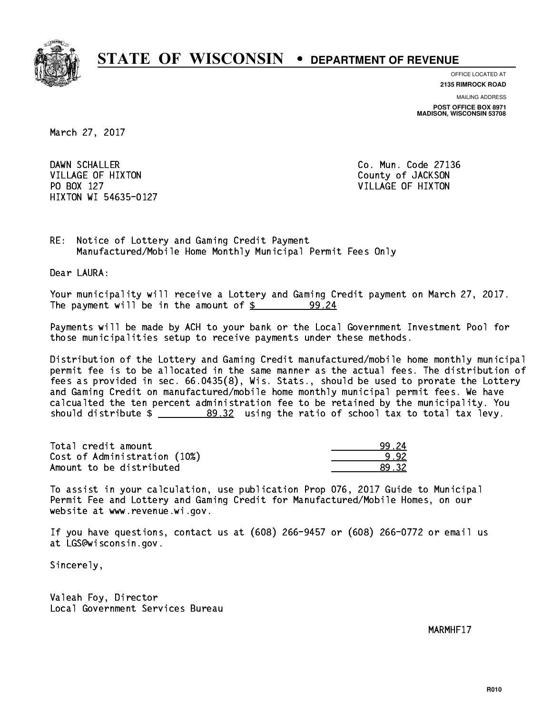

**OFFICE LOCATED AT**

**2135 RIMROCK ROAD**

**MAILING ADDRESS POST OFFICE BOX 8971 MADISON, WISCONSIN 53708**

March 27, 2017

DAWN SCHALLER VILLAGE OF HIXTON COUNTY OF JACKSON PO BOX 127 VILLAGE OF HIXTON HIXTON WI 54635-0127

Co. Mun. Code 27136

RE: Notice of Lottery and Gaming Credit Payment Manufactured/Mobile Home Monthly Municipal Permit Fees Only

Dear LAURA:

 Your municipality will receive a Lottery and Gaming Credit payment on March 27, 2017. The payment will be in the amount of  $\frac{2}{3}$ 99.24

 Payments will be made by ACH to your bank or the Local Government Investment Pool for those municipalities setup to receive payments under these methods.

 Distribution of the Lottery and Gaming Credit manufactured/mobile home monthly municipal permit fee is to be allocated in the same manner as the actual fees. The distribution of fees as provided in sec. 66.0435(8), Wis. Stats., should be used to prorate the Lottery and Gaming Credit on manufactured/mobile home monthly municipal permit fees. We have calcualted the ten percent administration fee to be retained by the municipality. You should distribute  $\frac{20.32}{20.32}$  using the ratio of school tax to total tax levy.

Total credit amount Cost of Administration (10%) Amount to be distributed

| ∕ ∆           |
|---------------|
| $\mathcal{L}$ |
| 32.           |

 To assist in your calculation, use publication Prop 076, 2017 Guide to Municipal Permit Fee and Lottery and Gaming Credit for Manufactured/Mobile Homes, on our website at www.revenue.wi.gov.

 If you have questions, contact us at (608) 266-9457 or (608) 266-0772 or email us at LGS@wisconsin.gov.

Sincerely,

 Valeah Foy, Director Local Government Services Bureau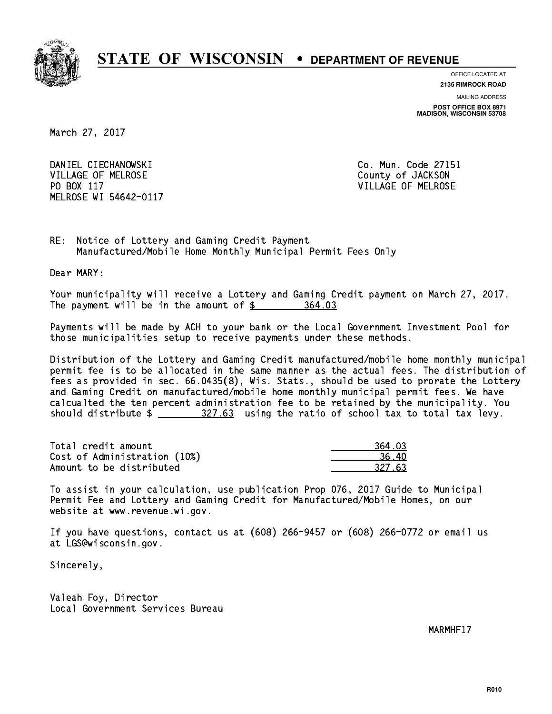

**OFFICE LOCATED AT**

**2135 RIMROCK ROAD**

**MAILING ADDRESS POST OFFICE BOX 8971 MADISON, WISCONSIN 53708**

March 27, 2017

 DANIEL CIECHANOWSKI Co. Mun. Code 27151 VILLAGE OF MELROSE COUNTY OF JACKSON PO BOX 117 VILLAGE OF MELROSE MELROSE WI 54642-0117

RE: Notice of Lottery and Gaming Credit Payment Manufactured/Mobile Home Monthly Municipal Permit Fees Only

Dear MARY:

 Your municipality will receive a Lottery and Gaming Credit payment on March 27, 2017. The payment will be in the amount of \$ 364.03 \_\_\_\_\_\_\_\_\_\_\_\_\_\_\_\_

 Payments will be made by ACH to your bank or the Local Government Investment Pool for those municipalities setup to receive payments under these methods.

 Distribution of the Lottery and Gaming Credit manufactured/mobile home monthly municipal permit fee is to be allocated in the same manner as the actual fees. The distribution of fees as provided in sec. 66.0435(8), Wis. Stats., should be used to prorate the Lottery and Gaming Credit on manufactured/mobile home monthly municipal permit fees. We have calcualted the ten percent administration fee to be retained by the municipality. You should distribute  $\frac{27.63}{27.63}$  using the ratio of school tax to total tax levy.

Total credit amount Cost of Administration (10%) Amount to be distributed

| 4 በ3<br>7 L |
|-------------|
| 1ท          |
| 327 F.3     |

 To assist in your calculation, use publication Prop 076, 2017 Guide to Municipal Permit Fee and Lottery and Gaming Credit for Manufactured/Mobile Homes, on our website at www.revenue.wi.gov.

 If you have questions, contact us at (608) 266-9457 or (608) 266-0772 or email us at LGS@wisconsin.gov.

Sincerely,

 Valeah Foy, Director Local Government Services Bureau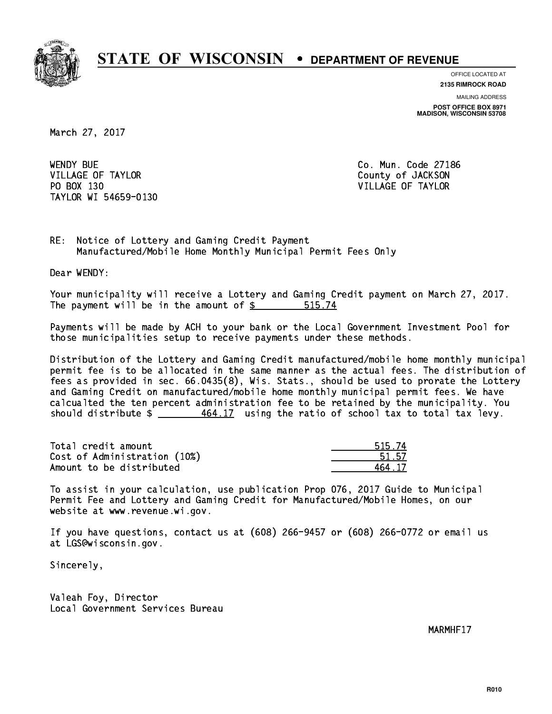

**OFFICE LOCATED AT**

**2135 RIMROCK ROAD**

**MAILING ADDRESS**

**POST OFFICE BOX 8971 MADISON, WISCONSIN 53708**

March 27, 2017

**WENDY BUE** VILLAGE OF TAYLOR COUNTY OF JACKSON PO BOX 130 VILLAGE OF TAYLOR TAYLOR WI 54659-0130

Co. Mun. Code 27186

RE: Notice of Lottery and Gaming Credit Payment Manufactured/Mobile Home Monthly Municipal Permit Fees Only

Dear WENDY:

 Your municipality will receive a Lottery and Gaming Credit payment on March 27, 2017. The payment will be in the amount of \$ 515.74 \_\_\_\_\_\_\_\_\_\_\_\_\_\_\_\_

 Payments will be made by ACH to your bank or the Local Government Investment Pool for those municipalities setup to receive payments under these methods.

 Distribution of the Lottery and Gaming Credit manufactured/mobile home monthly municipal permit fee is to be allocated in the same manner as the actual fees. The distribution of fees as provided in sec. 66.0435(8), Wis. Stats., should be used to prorate the Lottery and Gaming Credit on manufactured/mobile home monthly municipal permit fees. We have calcualted the ten percent administration fee to be retained by the municipality. You should distribute \$ 464.17 using the ratio of school tax to total tax levy. \_\_\_\_\_\_\_\_\_\_\_\_\_\_

Total credit amount Cost of Administration (10%) Amount to be distributed

| 515, 74 |
|---------|
| 57      |
| - 17    |

 To assist in your calculation, use publication Prop 076, 2017 Guide to Municipal Permit Fee and Lottery and Gaming Credit for Manufactured/Mobile Homes, on our website at www.revenue.wi.gov.

 If you have questions, contact us at (608) 266-9457 or (608) 266-0772 or email us at LGS@wisconsin.gov.

Sincerely,

 Valeah Foy, Director Local Government Services Bureau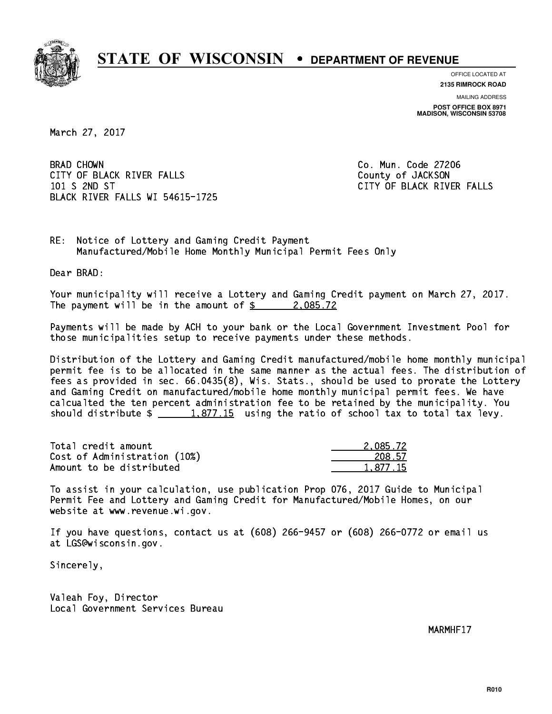

**OFFICE LOCATED AT 2135 RIMROCK ROAD**

**MAILING ADDRESS POST OFFICE BOX 8971 MADISON, WISCONSIN 53708**

March 27, 2017

**BRAD CHOWN** CITY OF BLACK RIVER FALLS COUNTY OF JACKSON 101 S 2ND ST CITY OF BLACK RIVER FALLS BLACK RIVER FALLS WI 54615-1725

Co. Mun. Code 27206

RE: Notice of Lottery and Gaming Credit Payment Manufactured/Mobile Home Monthly Municipal Permit Fees Only

Dear BRAD:

 Your municipality will receive a Lottery and Gaming Credit payment on March 27, 2017. The payment will be in the amount of  $\frac{2}{3}$  2,085.72

 Payments will be made by ACH to your bank or the Local Government Investment Pool for those municipalities setup to receive payments under these methods.

 Distribution of the Lottery and Gaming Credit manufactured/mobile home monthly municipal permit fee is to be allocated in the same manner as the actual fees. The distribution of fees as provided in sec. 66.0435(8), Wis. Stats., should be used to prorate the Lottery and Gaming Credit on manufactured/mobile home monthly municipal permit fees. We have calcualted the ten percent administration fee to be retained by the municipality. You should distribute  $\frac{1.877.15}{1.877.15}$  using the ratio of school tax to total tax levy.

| Total credit amount          | 2.085.72 |
|------------------------------|----------|
| Cost of Administration (10%) | 208.57   |
| Amount to be distributed     | 1.877.15 |

 To assist in your calculation, use publication Prop 076, 2017 Guide to Municipal Permit Fee and Lottery and Gaming Credit for Manufactured/Mobile Homes, on our website at www.revenue.wi.gov.

 If you have questions, contact us at (608) 266-9457 or (608) 266-0772 or email us at LGS@wisconsin.gov.

Sincerely,

 Valeah Foy, Director Local Government Services Bureau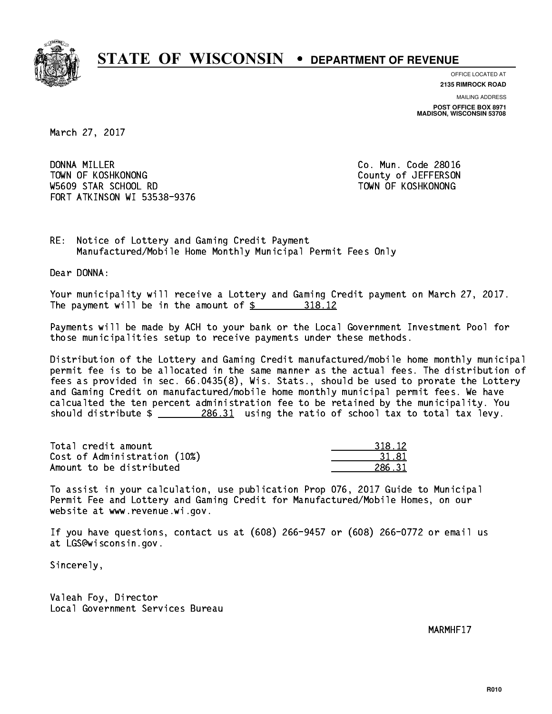

**OFFICE LOCATED AT**

**2135 RIMROCK ROAD**

**MAILING ADDRESS POST OFFICE BOX 8971 MADISON, WISCONSIN 53708**

March 27, 2017

DONNA MILLER TOWN OF KOSHKONONG COUNTY OF A SERIES ON TOWN OF A SERIES ON W5609 STAR SCHOOL RD TOWN OF KOSHKONONG FORT ATKINSON WI 53538-9376

Co. Mun. Code 28016

RE: Notice of Lottery and Gaming Credit Payment Manufactured/Mobile Home Monthly Municipal Permit Fees Only

Dear DONNA:

 Your municipality will receive a Lottery and Gaming Credit payment on March 27, 2017. The payment will be in the amount of \$ 318.12 \_\_\_\_\_\_\_\_\_\_\_\_\_\_\_\_

 Payments will be made by ACH to your bank or the Local Government Investment Pool for those municipalities setup to receive payments under these methods.

 Distribution of the Lottery and Gaming Credit manufactured/mobile home monthly municipal permit fee is to be allocated in the same manner as the actual fees. The distribution of fees as provided in sec. 66.0435(8), Wis. Stats., should be used to prorate the Lottery and Gaming Credit on manufactured/mobile home monthly municipal permit fees. We have calcualted the ten percent administration fee to be retained by the municipality. You should distribute  $\frac{286.31}{100}$  using the ratio of school tax to total tax levy.

| Total credit amount          | 318.12 |
|------------------------------|--------|
| Cost of Administration (10%) | 31.81  |
| Amount to be distributed     | 286.31 |

 To assist in your calculation, use publication Prop 076, 2017 Guide to Municipal Permit Fee and Lottery and Gaming Credit for Manufactured/Mobile Homes, on our website at www.revenue.wi.gov.

 If you have questions, contact us at (608) 266-9457 or (608) 266-0772 or email us at LGS@wisconsin.gov.

Sincerely,

 Valeah Foy, Director Local Government Services Bureau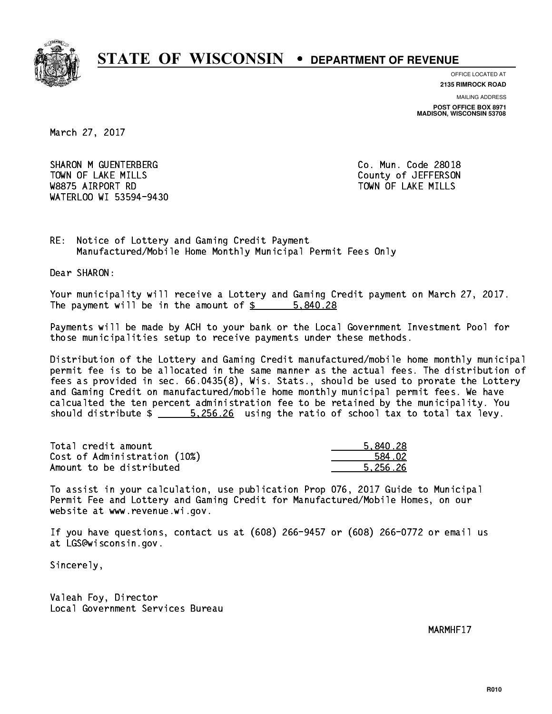

**OFFICE LOCATED AT**

**2135 RIMROCK ROAD**

**MAILING ADDRESS**

**POST OFFICE BOX 8971 MADISON, WISCONSIN 53708**

March 27, 2017

SHARON M GUENTERBERG CO. Mun. Code 28018 TOWN OF LAKE MILLS **TOWN OF LAKE MILLS**  W8875 AIRPORT RD TOWN OF LAKE MILLS WATERLOO WI 53594-9430

RE: Notice of Lottery and Gaming Credit Payment Manufactured/Mobile Home Monthly Municipal Permit Fees Only

Dear SHARON:

 Your municipality will receive a Lottery and Gaming Credit payment on March 27, 2017. The payment will be in the amount of \$ 5,840.28 \_\_\_\_\_\_\_\_\_\_\_\_\_\_\_\_

 Payments will be made by ACH to your bank or the Local Government Investment Pool for those municipalities setup to receive payments under these methods.

 Distribution of the Lottery and Gaming Credit manufactured/mobile home monthly municipal permit fee is to be allocated in the same manner as the actual fees. The distribution of fees as provided in sec. 66.0435(8), Wis. Stats., should be used to prorate the Lottery and Gaming Credit on manufactured/mobile home monthly municipal permit fees. We have calcualted the ten percent administration fee to be retained by the municipality. You should distribute  $\frac{25}{200}$  5,256.26 using the ratio of school tax to total tax levy.

| Total credit amount          | 5.840.28 |
|------------------------------|----------|
| Cost of Administration (10%) | 584.02   |
| Amount to be distributed     | 5.256.26 |

 To assist in your calculation, use publication Prop 076, 2017 Guide to Municipal Permit Fee and Lottery and Gaming Credit for Manufactured/Mobile Homes, on our website at www.revenue.wi.gov.

 If you have questions, contact us at (608) 266-9457 or (608) 266-0772 or email us at LGS@wisconsin.gov.

Sincerely,

 Valeah Foy, Director Local Government Services Bureau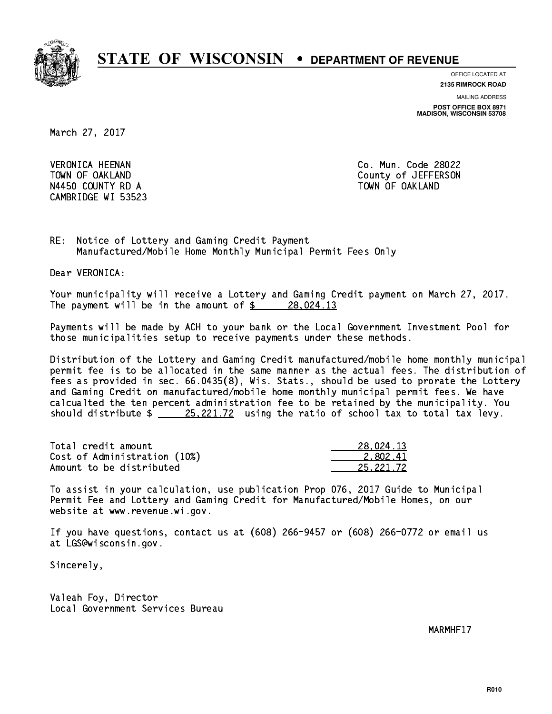

**OFFICE LOCATED AT**

**2135 RIMROCK ROAD**

**MAILING ADDRESS**

**POST OFFICE BOX 8971 MADISON, WISCONSIN 53708**

March 27, 2017

 VERONICA HEENAN Co. Mun. Code 28022 N4450 COUNTY RD A TOWN OF OAKLAND CAMBRIDGE WI 53523

TOWN OF OAKLAND County of JEFFERSON

RE: Notice of Lottery and Gaming Credit Payment Manufactured/Mobile Home Monthly Municipal Permit Fees Only

Dear VERONICA:

 Your municipality will receive a Lottery and Gaming Credit payment on March 27, 2017. The payment will be in the amount of  $\frac{28.024.13}{5}$ 

 Payments will be made by ACH to your bank or the Local Government Investment Pool for those municipalities setup to receive payments under these methods.

 Distribution of the Lottery and Gaming Credit manufactured/mobile home monthly municipal permit fee is to be allocated in the same manner as the actual fees. The distribution of fees as provided in sec. 66.0435(8), Wis. Stats., should be used to prorate the Lottery and Gaming Credit on manufactured/mobile home monthly municipal permit fees. We have calcualted the ten percent administration fee to be retained by the municipality. You should distribute  $\frac{25,221.72}{25,221.72}$  using the ratio of school tax to total tax levy.

| Total credit amount          | 28,024.13 |
|------------------------------|-----------|
| Cost of Administration (10%) | 2.802.41  |
| Amount to be distributed     | 25.221.72 |

 To assist in your calculation, use publication Prop 076, 2017 Guide to Municipal Permit Fee and Lottery and Gaming Credit for Manufactured/Mobile Homes, on our website at www.revenue.wi.gov.

 If you have questions, contact us at (608) 266-9457 or (608) 266-0772 or email us at LGS@wisconsin.gov.

Sincerely,

 Valeah Foy, Director Local Government Services Bureau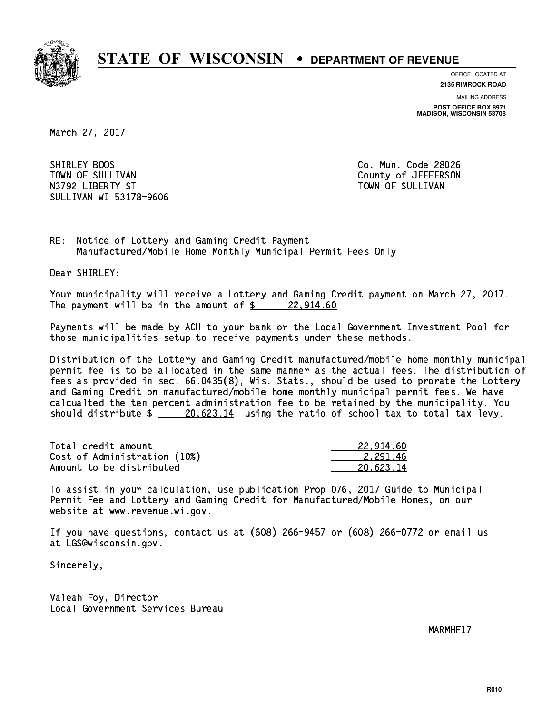

**OFFICE LOCATED AT**

**2135 RIMROCK ROAD**

**MAILING ADDRESS**

**POST OFFICE BOX 8971 MADISON, WISCONSIN 53708**

March 27, 2017

SHIRLEY BOOS TOWN OF SULLIVAN COUNTY OF SULLIVAN N3792 LIBERTY ST TOWN OF SULLIVAN SULLIVAN WI 53178-9606

Co. Mun. Code 28026

RE: Notice of Lottery and Gaming Credit Payment Manufactured/Mobile Home Monthly Municipal Permit Fees Only

Dear SHIRLEY:

 Your municipality will receive a Lottery and Gaming Credit payment on March 27, 2017. The payment will be in the amount of  $\frac{22,914.60}{22,914.60}$ 

 Payments will be made by ACH to your bank or the Local Government Investment Pool for those municipalities setup to receive payments under these methods.

 Distribution of the Lottery and Gaming Credit manufactured/mobile home monthly municipal permit fee is to be allocated in the same manner as the actual fees. The distribution of fees as provided in sec. 66.0435(8), Wis. Stats., should be used to prorate the Lottery and Gaming Credit on manufactured/mobile home monthly municipal permit fees. We have calcualted the ten percent administration fee to be retained by the municipality. You should distribute  $\frac{20.623.14}{20.623.14}$  using the ratio of school tax to total tax levy.

| Total credit amount          | 22.914.60 |
|------------------------------|-----------|
| Cost of Administration (10%) | 2.291.46  |
| Amount to be distributed     | 20.623.14 |

 To assist in your calculation, use publication Prop 076, 2017 Guide to Municipal Permit Fee and Lottery and Gaming Credit for Manufactured/Mobile Homes, on our website at www.revenue.wi.gov.

 If you have questions, contact us at (608) 266-9457 or (608) 266-0772 or email us at LGS@wisconsin.gov.

Sincerely,

 Valeah Foy, Director Local Government Services Bureau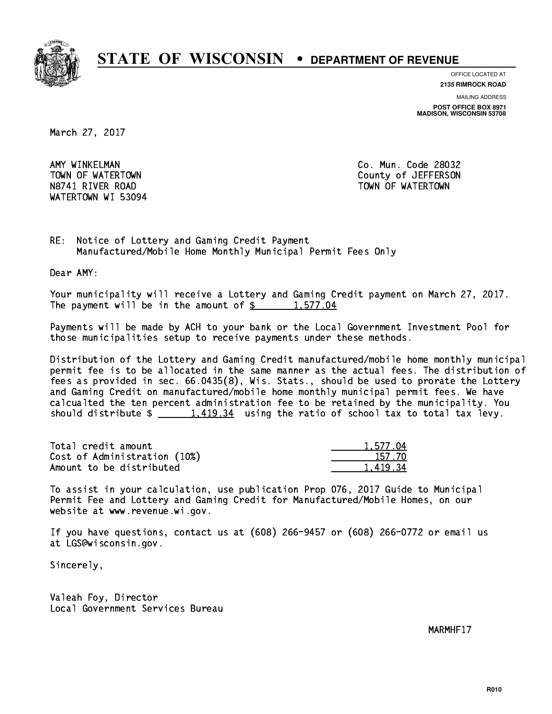

**OFFICE LOCATED AT**

**2135 RIMROCK ROAD**

**MAILING ADDRESS**

**POST OFFICE BOX 8971 MADISON, WISCONSIN 53708**

March 27, 2017

 AMY WINKELMAN Co. Mun. Code 28032 N8741 RIVER ROAD TOWN OF WATERTOWN WATERTOWN WI 53094

TOWN OF WATERTOWN COUNTY OF VALUE OF THE COUNTY OF A LIFT OF THE COUNTY OF A LIFT OF THE COUNTY OF THE COUNTY OF THE COUNTY OF THE COUNTY OF THE COUNTY OF THE COUNTY OF THE COUNTY OF THE COUNTY OF THE COUNTY OF THE COUNTY

RE: Notice of Lottery and Gaming Credit Payment Manufactured/Mobile Home Monthly Municipal Permit Fees Only

Dear AMY:

 Your municipality will receive a Lottery and Gaming Credit payment on March 27, 2017. The payment will be in the amount of  $\frac{2}{3}$  1,577.04

 Payments will be made by ACH to your bank or the Local Government Investment Pool for those municipalities setup to receive payments under these methods.

 Distribution of the Lottery and Gaming Credit manufactured/mobile home monthly municipal permit fee is to be allocated in the same manner as the actual fees. The distribution of fees as provided in sec. 66.0435(8), Wis. Stats., should be used to prorate the Lottery and Gaming Credit on manufactured/mobile home monthly municipal permit fees. We have calcualted the ten percent administration fee to be retained by the municipality. You should distribute  $\frac{1,419.34}{1,419.34}$  using the ratio of school tax to total tax levy.

| Total credit amount          | 1,577.04 |
|------------------------------|----------|
| Cost of Administration (10%) | 157.70   |
| Amount to be distributed     | 1.419.34 |

 To assist in your calculation, use publication Prop 076, 2017 Guide to Municipal Permit Fee and Lottery and Gaming Credit for Manufactured/Mobile Homes, on our website at www.revenue.wi.gov.

 If you have questions, contact us at (608) 266-9457 or (608) 266-0772 or email us at LGS@wisconsin.gov.

Sincerely,

 Valeah Foy, Director Local Government Services Bureau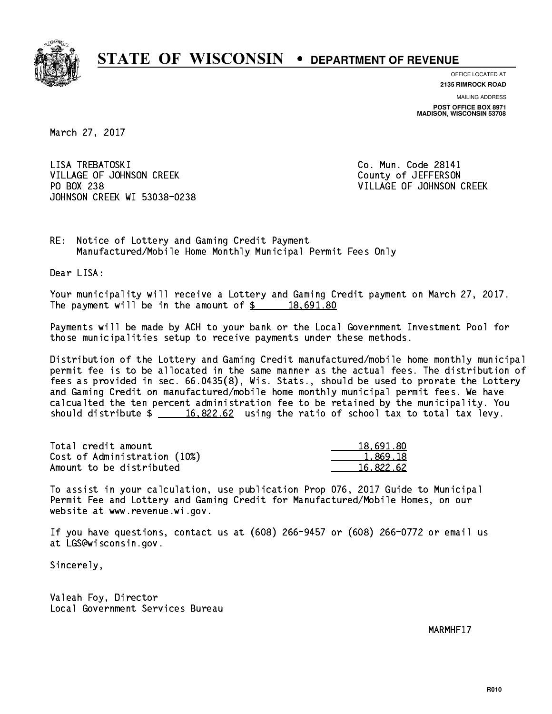

**OFFICE LOCATED AT 2135 RIMROCK ROAD**

**MAILING ADDRESS POST OFFICE BOX 8971 MADISON, WISCONSIN 53708**

March 27, 2017

LISA TREBATOSKI VILLAGE OF JOHNSON CREEK COUNTY OF JEFFERSON PO BOX 238 JOHNSON CREEK WI 53038-0238

Co. Mun. Code 28141 VILLAGE OF JOHNSON CREEK

RE: Notice of Lottery and Gaming Credit Payment Manufactured/Mobile Home Monthly Municipal Permit Fees Only

Dear LISA:

 Your municipality will receive a Lottery and Gaming Credit payment on March 27, 2017. The payment will be in the amount of  $\frac{2}{3}$  18,691.80

 Payments will be made by ACH to your bank or the Local Government Investment Pool for those municipalities setup to receive payments under these methods.

 Distribution of the Lottery and Gaming Credit manufactured/mobile home monthly municipal permit fee is to be allocated in the same manner as the actual fees. The distribution of fees as provided in sec. 66.0435(8), Wis. Stats., should be used to prorate the Lottery and Gaming Credit on manufactured/mobile home monthly municipal permit fees. We have calcualted the ten percent administration fee to be retained by the municipality. You should distribute  $\frac{16,822.62}{ }$  using the ratio of school tax to total tax levy.

| Total credit amount          | 18,691.80 |
|------------------------------|-----------|
| Cost of Administration (10%) | 1,869.18  |
| Amount to be distributed     | 16.822.62 |

 To assist in your calculation, use publication Prop 076, 2017 Guide to Municipal Permit Fee and Lottery and Gaming Credit for Manufactured/Mobile Homes, on our website at www.revenue.wi.gov.

 If you have questions, contact us at (608) 266-9457 or (608) 266-0772 or email us at LGS@wisconsin.gov.

Sincerely,

 Valeah Foy, Director Local Government Services Bureau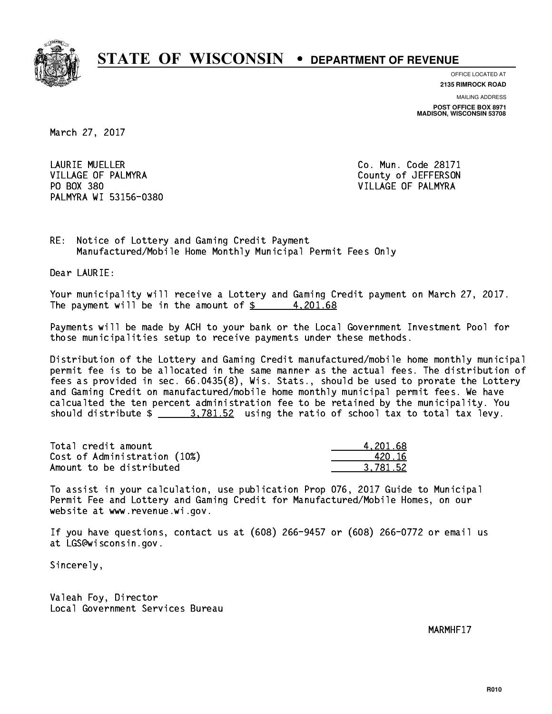

**OFFICE LOCATED AT**

**2135 RIMROCK ROAD**

**MAILING ADDRESS POST OFFICE BOX 8971 MADISON, WISCONSIN 53708**

March 27, 2017

 LAURIE MUELLER Co. Mun. Code 28171 VILLAGE OF PALMYRA COUNTY COUNTY OF JEFFERSON PO BOX 380 VILLAGE OF PALMYRA PALMYRA WI 53156-0380

RE: Notice of Lottery and Gaming Credit Payment Manufactured/Mobile Home Monthly Municipal Permit Fees Only

Dear LAURIE:

 Your municipality will receive a Lottery and Gaming Credit payment on March 27, 2017. The payment will be in the amount of  $\frac{2}{3}$  4,201.68

 Payments will be made by ACH to your bank or the Local Government Investment Pool for those municipalities setup to receive payments under these methods.

 Distribution of the Lottery and Gaming Credit manufactured/mobile home monthly municipal permit fee is to be allocated in the same manner as the actual fees. The distribution of fees as provided in sec. 66.0435(8), Wis. Stats., should be used to prorate the Lottery and Gaming Credit on manufactured/mobile home monthly municipal permit fees. We have calcualted the ten percent administration fee to be retained by the municipality. You should distribute  $\frac{2}{2}$   $\frac{3.781.52}{2}$  using the ratio of school tax to total tax levy.

| Total credit amount          | 4.201.68 |
|------------------------------|----------|
| Cost of Administration (10%) | 420.16   |
| Amount to be distributed     | 3.781.52 |

 To assist in your calculation, use publication Prop 076, 2017 Guide to Municipal Permit Fee and Lottery and Gaming Credit for Manufactured/Mobile Homes, on our website at www.revenue.wi.gov.

 If you have questions, contact us at (608) 266-9457 or (608) 266-0772 or email us at LGS@wisconsin.gov.

Sincerely,

 Valeah Foy, Director Local Government Services Bureau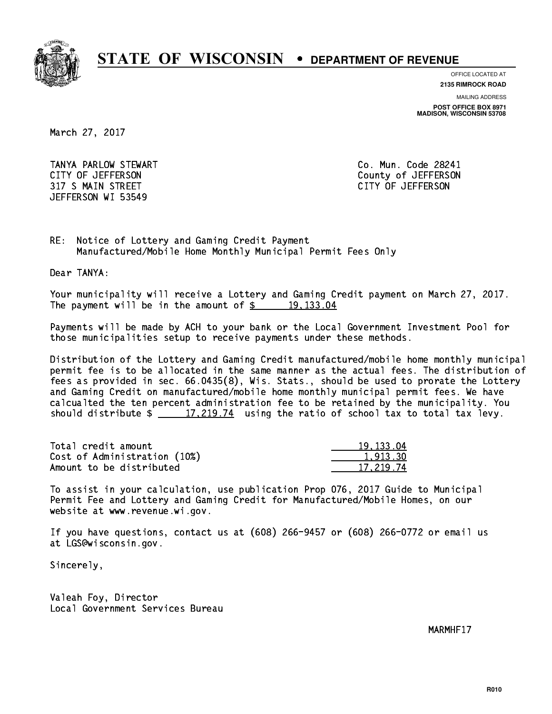

**OFFICE LOCATED AT**

**2135 RIMROCK ROAD**

**MAILING ADDRESS**

**POST OFFICE BOX 8971 MADISON, WISCONSIN 53708**

March 27, 2017

 TANYA PARLOW STEWART Co. Mun. Code 28241 CITY OF JEFFERSON County of JEFFERSON 317 S MAIN STREET CITY OF JEFFERSON JEFFERSON WI 53549

RE: Notice of Lottery and Gaming Credit Payment Manufactured/Mobile Home Monthly Municipal Permit Fees Only

Dear TANYA:

 Your municipality will receive a Lottery and Gaming Credit payment on March 27, 2017. The payment will be in the amount of  $\frac{2}{3}$  19,133.04

 Payments will be made by ACH to your bank or the Local Government Investment Pool for those municipalities setup to receive payments under these methods.

 Distribution of the Lottery and Gaming Credit manufactured/mobile home monthly municipal permit fee is to be allocated in the same manner as the actual fees. The distribution of fees as provided in sec. 66.0435(8), Wis. Stats., should be used to prorate the Lottery and Gaming Credit on manufactured/mobile home monthly municipal permit fees. We have calcualted the ten percent administration fee to be retained by the municipality. You should distribute  $\frac{2.17,219.74}{2}$  using the ratio of school tax to total tax levy.

| Total credit amount          | 19, 133, 04 |
|------------------------------|-------------|
| Cost of Administration (10%) | 1.913.30    |
| Amount to be distributed     | 17.219.74   |

 To assist in your calculation, use publication Prop 076, 2017 Guide to Municipal Permit Fee and Lottery and Gaming Credit for Manufactured/Mobile Homes, on our website at www.revenue.wi.gov.

 If you have questions, contact us at (608) 266-9457 or (608) 266-0772 or email us at LGS@wisconsin.gov.

Sincerely,

 Valeah Foy, Director Local Government Services Bureau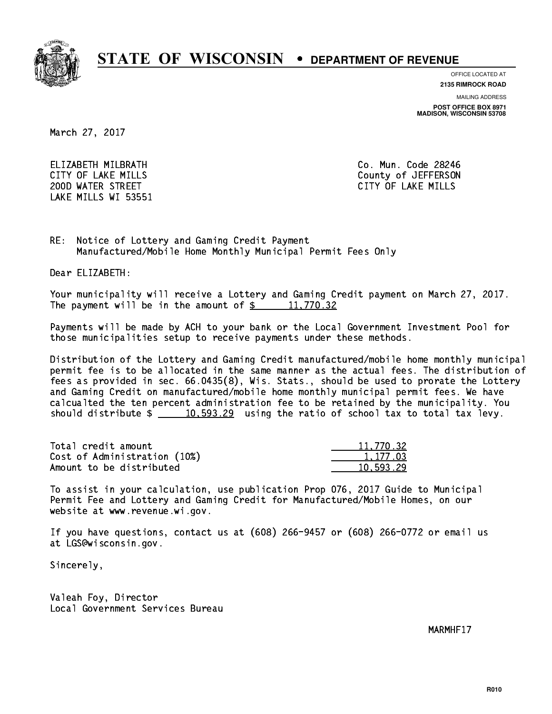

**OFFICE LOCATED AT**

**2135 RIMROCK ROAD**

**MAILING ADDRESS**

**POST OFFICE BOX 8971 MADISON, WISCONSIN 53708**

March 27, 2017

 ELIZABETH MILBRATH Co. Mun. Code 28246 200D WATER STREET CITY OF LAKE MILLS LAKE MILLS WI 53551

CITY OF LAKE MILLS COUNTY OF LAKE MILLS

RE: Notice of Lottery and Gaming Credit Payment Manufactured/Mobile Home Monthly Municipal Permit Fees Only

Dear ELIZABETH:

 Your municipality will receive a Lottery and Gaming Credit payment on March 27, 2017. The payment will be in the amount of  $\frac{2}{3}$  11,770.32

 Payments will be made by ACH to your bank or the Local Government Investment Pool for those municipalities setup to receive payments under these methods.

 Distribution of the Lottery and Gaming Credit manufactured/mobile home monthly municipal permit fee is to be allocated in the same manner as the actual fees. The distribution of fees as provided in sec. 66.0435(8), Wis. Stats., should be used to prorate the Lottery and Gaming Credit on manufactured/mobile home monthly municipal permit fees. We have calcualted the ten percent administration fee to be retained by the municipality. You should distribute  $\frac{10,593.29}{2}$  using the ratio of school tax to total tax levy.

| Total credit amount          | 11,770.32 |
|------------------------------|-----------|
| Cost of Administration (10%) | 1.177.03  |
| Amount to be distributed     | 10.593.29 |

 To assist in your calculation, use publication Prop 076, 2017 Guide to Municipal Permit Fee and Lottery and Gaming Credit for Manufactured/Mobile Homes, on our website at www.revenue.wi.gov.

 If you have questions, contact us at (608) 266-9457 or (608) 266-0772 or email us at LGS@wisconsin.gov.

Sincerely,

 Valeah Foy, Director Local Government Services Bureau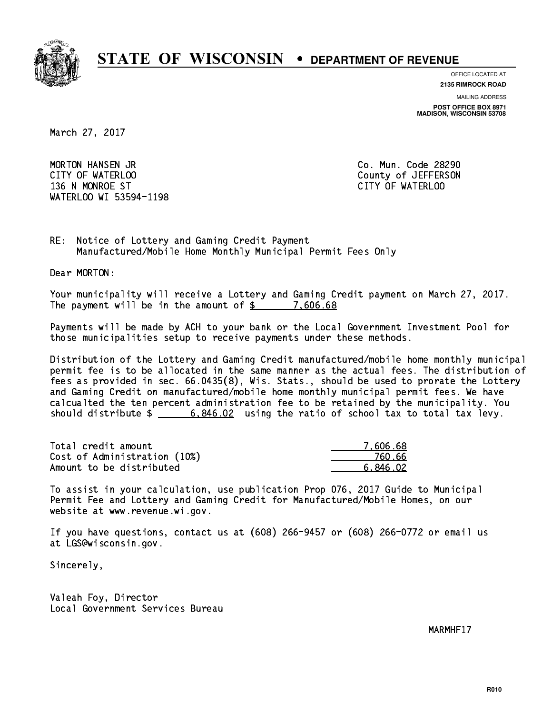

**OFFICE LOCATED AT**

**2135 RIMROCK ROAD**

**MAILING ADDRESS**

**POST OFFICE BOX 8971 MADISON, WISCONSIN 53708**

March 27, 2017

 MORTON HANSEN JR Co. Mun. Code 28290 CITY OF WATERLOO COUNTY OF WATERS ON COUNTY OF SALES AND THE COUNTY OF JEFFERSON 136 N MONROE ST CITY OF WATERLOO WATERLOO WI 53594-1198

RE: Notice of Lottery and Gaming Credit Payment Manufactured/Mobile Home Monthly Municipal Permit Fees Only

Dear MORTON:

 Your municipality will receive a Lottery and Gaming Credit payment on March 27, 2017. The payment will be in the amount of \$ 7,606.68 \_\_\_\_\_\_\_\_\_\_\_\_\_\_\_\_

 Payments will be made by ACH to your bank or the Local Government Investment Pool for those municipalities setup to receive payments under these methods.

 Distribution of the Lottery and Gaming Credit manufactured/mobile home monthly municipal permit fee is to be allocated in the same manner as the actual fees. The distribution of fees as provided in sec. 66.0435(8), Wis. Stats., should be used to prorate the Lottery and Gaming Credit on manufactured/mobile home monthly municipal permit fees. We have calcualted the ten percent administration fee to be retained by the municipality. You should distribute  $\frac{2}{1}$   $\frac{6,846.02}{2}$  using the ratio of school tax to total tax levy.

| Total credit amount          | 7.606.68 |
|------------------------------|----------|
| Cost of Administration (10%) | 760.66   |
| Amount to be distributed     | 6.846.02 |

 To assist in your calculation, use publication Prop 076, 2017 Guide to Municipal Permit Fee and Lottery and Gaming Credit for Manufactured/Mobile Homes, on our website at www.revenue.wi.gov.

 If you have questions, contact us at (608) 266-9457 or (608) 266-0772 or email us at LGS@wisconsin.gov.

Sincerely,

 Valeah Foy, Director Local Government Services Bureau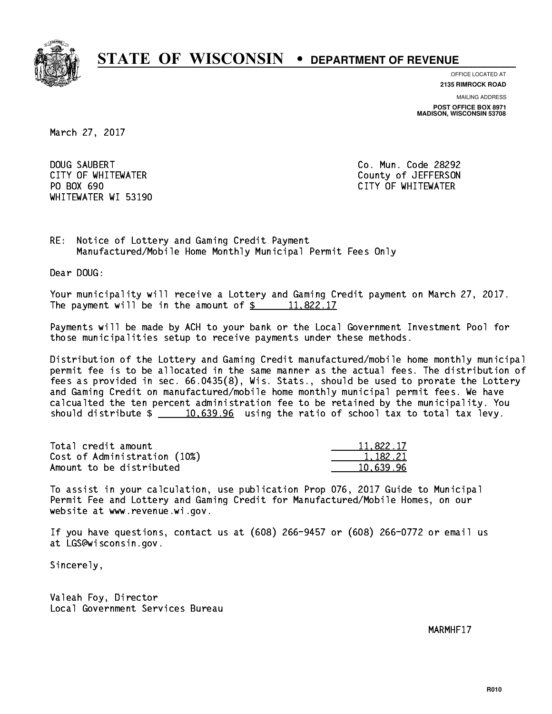

**OFFICE LOCATED AT**

**2135 RIMROCK ROAD**

**MAILING ADDRESS**

**POST OFFICE BOX 8971 MADISON, WISCONSIN 53708**

March 27, 2017

DOUG SAUBERT PO BOX 690 WHITEWATER WI 53190

Co. Mun. Code 28292 CITY OF WHITEWATER County of JEFFERSON CITY OF WHITEWATER

RE: Notice of Lottery and Gaming Credit Payment Manufactured/Mobile Home Monthly Municipal Permit Fees Only

Dear DOUG:

 Your municipality will receive a Lottery and Gaming Credit payment on March 27, 2017. The payment will be in the amount of  $\frac{2}{3}$  11,822.17

 Payments will be made by ACH to your bank or the Local Government Investment Pool for those municipalities setup to receive payments under these methods.

 Distribution of the Lottery and Gaming Credit manufactured/mobile home monthly municipal permit fee is to be allocated in the same manner as the actual fees. The distribution of fees as provided in sec. 66.0435(8), Wis. Stats., should be used to prorate the Lottery and Gaming Credit on manufactured/mobile home monthly municipal permit fees. We have calcualted the ten percent administration fee to be retained by the municipality. You should distribute  $\frac{10,639.96}{2}$  using the ratio of school tax to total tax levy.

| Total credit amount          | 11,822.17 |
|------------------------------|-----------|
| Cost of Administration (10%) | 1.182.21  |
| Amount to be distributed     | 10.639.96 |

 To assist in your calculation, use publication Prop 076, 2017 Guide to Municipal Permit Fee and Lottery and Gaming Credit for Manufactured/Mobile Homes, on our website at www.revenue.wi.gov.

 If you have questions, contact us at (608) 266-9457 or (608) 266-0772 or email us at LGS@wisconsin.gov.

Sincerely,

 Valeah Foy, Director Local Government Services Bureau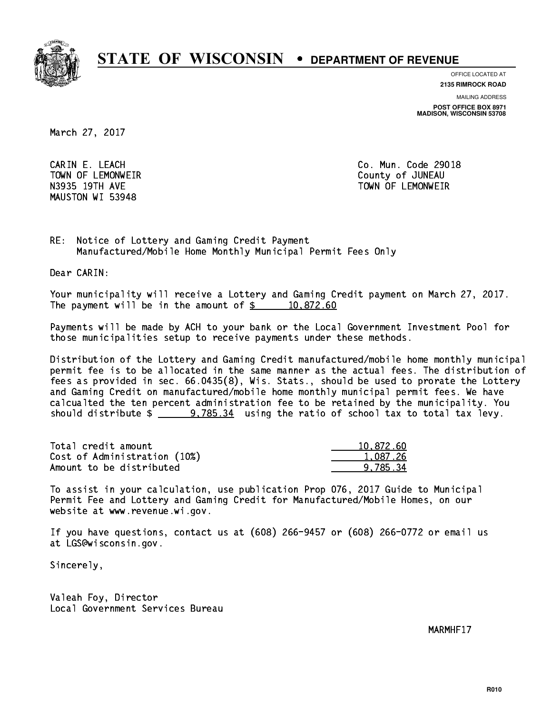

**OFFICE LOCATED AT**

**2135 RIMROCK ROAD**

**MAILING ADDRESS POST OFFICE BOX 8971 MADISON, WISCONSIN 53708**

March 27, 2017

 CARIN E. LEACH Co. Mun. Code 29018 TOWN OF LEMONWEIR County of JUNEAU MAUSTON WI 53948

N3935 19TH AVE TOWN OF LEMONWEIR

RE: Notice of Lottery and Gaming Credit Payment Manufactured/Mobile Home Monthly Municipal Permit Fees Only

Dear CARIN:

 Your municipality will receive a Lottery and Gaming Credit payment on March 27, 2017. The payment will be in the amount of  $\frac{2}{3}$  10,872.60

 Payments will be made by ACH to your bank or the Local Government Investment Pool for those municipalities setup to receive payments under these methods.

 Distribution of the Lottery and Gaming Credit manufactured/mobile home monthly municipal permit fee is to be allocated in the same manner as the actual fees. The distribution of fees as provided in sec. 66.0435(8), Wis. Stats., should be used to prorate the Lottery and Gaming Credit on manufactured/mobile home monthly municipal permit fees. We have calcualted the ten percent administration fee to be retained by the municipality. You should distribute  $\frac{2}{2}$   $\frac{9,785.34}{2}$  using the ratio of school tax to total tax levy.

| Total credit amount          | 10,872.60 |
|------------------------------|-----------|
| Cost of Administration (10%) | 1.087.26  |
| Amount to be distributed     | 9.785.34  |

 To assist in your calculation, use publication Prop 076, 2017 Guide to Municipal Permit Fee and Lottery and Gaming Credit for Manufactured/Mobile Homes, on our website at www.revenue.wi.gov.

 If you have questions, contact us at (608) 266-9457 or (608) 266-0772 or email us at LGS@wisconsin.gov.

Sincerely,

 Valeah Foy, Director Local Government Services Bureau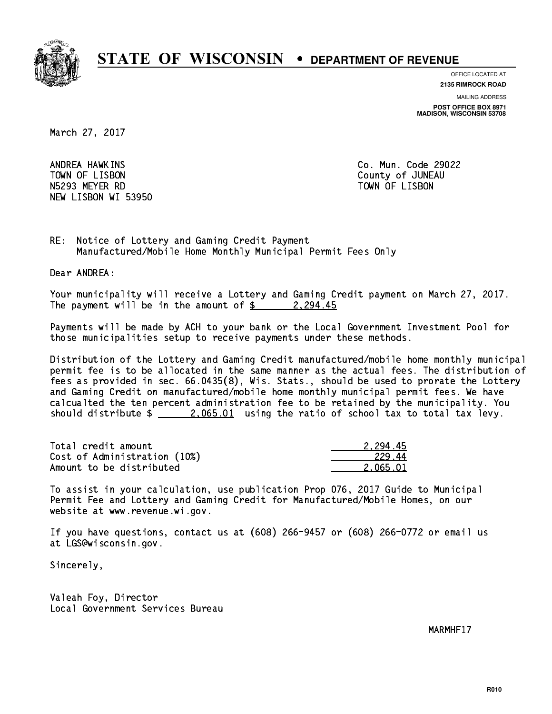

**OFFICE LOCATED AT**

**2135 RIMROCK ROAD**

**MAILING ADDRESS**

**POST OFFICE BOX 8971 MADISON, WISCONSIN 53708**

March 27, 2017

ANDREA HAWKINS TOWN OF LISBON COUNTY OF A LISBON N5293 MEYER RD TOWN OF LISBON NEW LISBON WI 53950

Co. Mun. Code 29022

RE: Notice of Lottery and Gaming Credit Payment Manufactured/Mobile Home Monthly Municipal Permit Fees Only

Dear ANDREA:

 Your municipality will receive a Lottery and Gaming Credit payment on March 27, 2017. The payment will be in the amount of  $\frac{2}{3}$  2,294.45

 Payments will be made by ACH to your bank or the Local Government Investment Pool for those municipalities setup to receive payments under these methods.

 Distribution of the Lottery and Gaming Credit manufactured/mobile home monthly municipal permit fee is to be allocated in the same manner as the actual fees. The distribution of fees as provided in sec. 66.0435(8), Wis. Stats., should be used to prorate the Lottery and Gaming Credit on manufactured/mobile home monthly municipal permit fees. We have calcualted the ten percent administration fee to be retained by the municipality. You should distribute  $\frac{2.065.01}{2.065.01}$  using the ratio of school tax to total tax levy.

| Total credit amount          | 2.294.45 |
|------------------------------|----------|
| Cost of Administration (10%) | 229.44   |
| Amount to be distributed     | 2.065.01 |

 To assist in your calculation, use publication Prop 076, 2017 Guide to Municipal Permit Fee and Lottery and Gaming Credit for Manufactured/Mobile Homes, on our website at www.revenue.wi.gov.

 If you have questions, contact us at (608) 266-9457 or (608) 266-0772 or email us at LGS@wisconsin.gov.

Sincerely,

 Valeah Foy, Director Local Government Services Bureau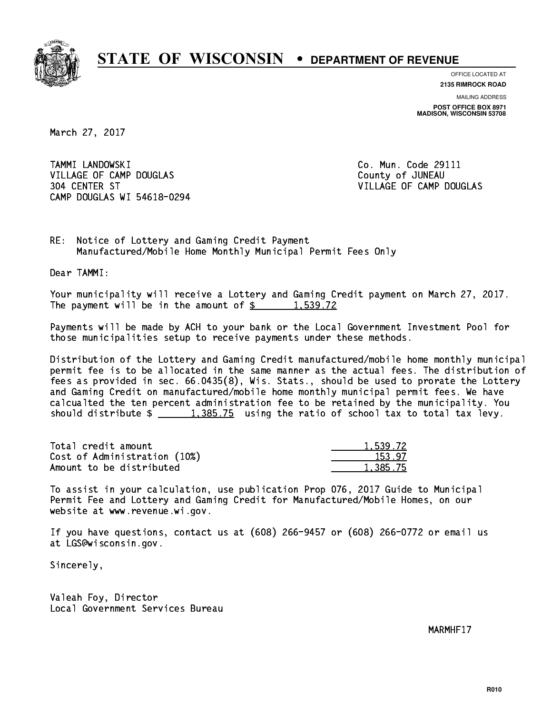

**OFFICE LOCATED AT 2135 RIMROCK ROAD**

**MAILING ADDRESS**

**POST OFFICE BOX 8971 MADISON, WISCONSIN 53708**

March 27, 2017

 TAMMI LANDOWSKI Co. Mun. Code 29111 VILLAGE OF CAMP DOUGLAS County of JUNEAU 304 CENTER ST VILLAGE OF CAMP DOUGLAS CAMP DOUGLAS WI 54618-0294

RE: Notice of Lottery and Gaming Credit Payment Manufactured/Mobile Home Monthly Municipal Permit Fees Only

Dear TAMMI:

 Your municipality will receive a Lottery and Gaming Credit payment on March 27, 2017. The payment will be in the amount of  $\frac{2}{3}$  1,539.72

 Payments will be made by ACH to your bank or the Local Government Investment Pool for those municipalities setup to receive payments under these methods.

 Distribution of the Lottery and Gaming Credit manufactured/mobile home monthly municipal permit fee is to be allocated in the same manner as the actual fees. The distribution of fees as provided in sec. 66.0435(8), Wis. Stats., should be used to prorate the Lottery and Gaming Credit on manufactured/mobile home monthly municipal permit fees. We have calcualted the ten percent administration fee to be retained by the municipality. You should distribute  $\frac{1,385.75}{1,385.75}$  using the ratio of school tax to total tax levy.

| Total credit amount          | 1,539.72 |
|------------------------------|----------|
| Cost of Administration (10%) | 153.97   |
| Amount to be distributed     | 1,385.75 |

 To assist in your calculation, use publication Prop 076, 2017 Guide to Municipal Permit Fee and Lottery and Gaming Credit for Manufactured/Mobile Homes, on our website at www.revenue.wi.gov.

 If you have questions, contact us at (608) 266-9457 or (608) 266-0772 or email us at LGS@wisconsin.gov.

Sincerely,

 Valeah Foy, Director Local Government Services Bureau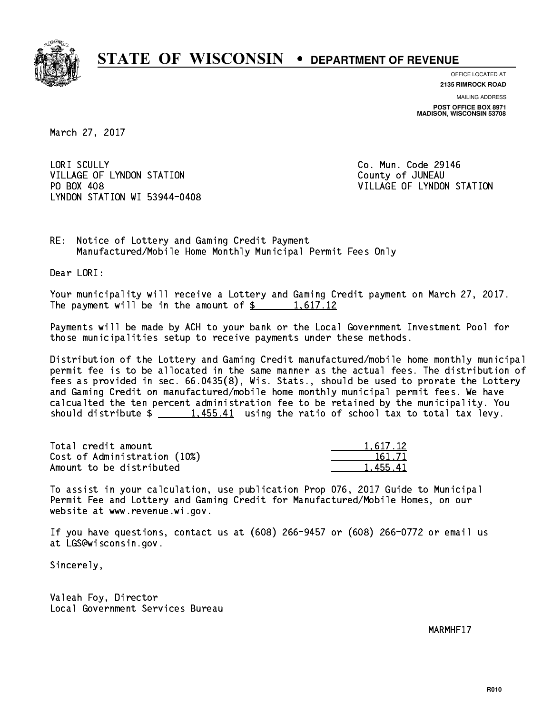

**OFFICE LOCATED AT**

**2135 RIMROCK ROAD**

**MAILING ADDRESS POST OFFICE BOX 8971 MADISON, WISCONSIN 53708**

March 27, 2017

LORI SCULLY VILLAGE OF LYNDON STATION COUNTY OF JUNEAU PO BOX 408 LYNDON STATION WI 53944-0408

Co. Mun. Code 29146 VILLAGE OF LYNDON STATION

RE: Notice of Lottery and Gaming Credit Payment Manufactured/Mobile Home Monthly Municipal Permit Fees Only

Dear LORI:

 Your municipality will receive a Lottery and Gaming Credit payment on March 27, 2017. The payment will be in the amount of  $\frac{2}{3}$  1,617.12

 Payments will be made by ACH to your bank or the Local Government Investment Pool for those municipalities setup to receive payments under these methods.

 Distribution of the Lottery and Gaming Credit manufactured/mobile home monthly municipal permit fee is to be allocated in the same manner as the actual fees. The distribution of fees as provided in sec. 66.0435(8), Wis. Stats., should be used to prorate the Lottery and Gaming Credit on manufactured/mobile home monthly municipal permit fees. We have calcualted the ten percent administration fee to be retained by the municipality. You should distribute  $\frac{1,455.41}{1,455.41}$  using the ratio of school tax to total tax levy.

| Total credit amount          | 1,617.12 |
|------------------------------|----------|
| Cost of Administration (10%) | 161.71   |
| Amount to be distributed     | 1.455.41 |

 To assist in your calculation, use publication Prop 076, 2017 Guide to Municipal Permit Fee and Lottery and Gaming Credit for Manufactured/Mobile Homes, on our website at www.revenue.wi.gov.

 If you have questions, contact us at (608) 266-9457 or (608) 266-0772 or email us at LGS@wisconsin.gov.

Sincerely,

 Valeah Foy, Director Local Government Services Bureau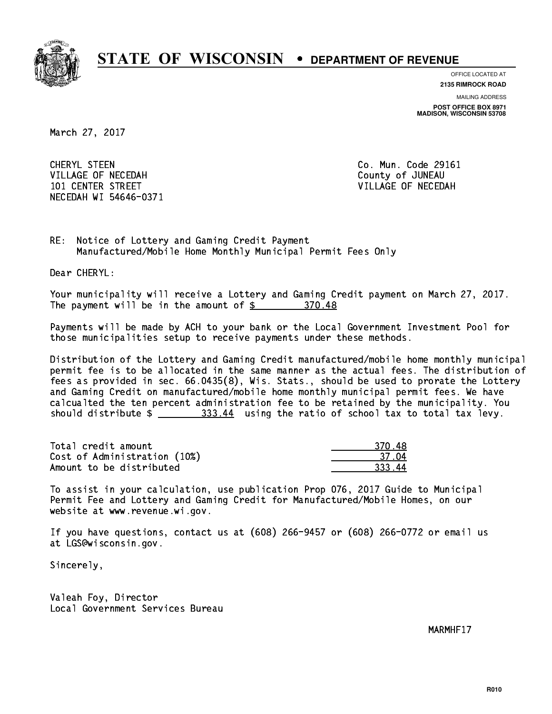

**OFFICE LOCATED AT**

**2135 RIMROCK ROAD**

**MAILING ADDRESS POST OFFICE BOX 8971 MADISON, WISCONSIN 53708**

March 27, 2017

 CHERYL STEEN Co. Mun. Code 29161 VILLAGE OF NECEDAH COUNTY OF SALES AND THE COUNTY OF JUNEAU 101 CENTER STREET VILLAGE OF NECEDAH NECEDAH WI 54646-0371

RE: Notice of Lottery and Gaming Credit Payment Manufactured/Mobile Home Monthly Municipal Permit Fees Only

Dear CHERYL:

 Your municipality will receive a Lottery and Gaming Credit payment on March 27, 2017. The payment will be in the amount of \$ 370.48 \_\_\_\_\_\_\_\_\_\_\_\_\_\_\_\_

 Payments will be made by ACH to your bank or the Local Government Investment Pool for those municipalities setup to receive payments under these methods.

 Distribution of the Lottery and Gaming Credit manufactured/mobile home monthly municipal permit fee is to be allocated in the same manner as the actual fees. The distribution of fees as provided in sec. 66.0435(8), Wis. Stats., should be used to prorate the Lottery and Gaming Credit on manufactured/mobile home monthly municipal permit fees. We have calcualted the ten percent administration fee to be retained by the municipality. You should distribute  $\frac{233.44}{2}$  using the ratio of school tax to total tax levy.

| Total credit amount          | .370.48 |
|------------------------------|---------|
| Cost of Administration (10%) |         |
| Amount to be distributed     | 333.44  |

 To assist in your calculation, use publication Prop 076, 2017 Guide to Municipal Permit Fee and Lottery and Gaming Credit for Manufactured/Mobile Homes, on our website at www.revenue.wi.gov.

 If you have questions, contact us at (608) 266-9457 or (608) 266-0772 or email us at LGS@wisconsin.gov.

Sincerely,

 Valeah Foy, Director Local Government Services Bureau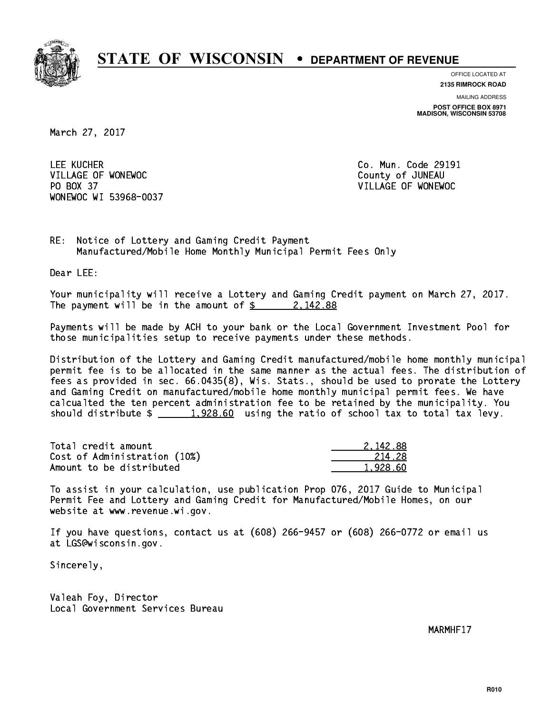

**OFFICE LOCATED AT**

**2135 RIMROCK ROAD**

**MAILING ADDRESS POST OFFICE BOX 8971 MADISON, WISCONSIN 53708**

March 27, 2017

 LEE KUCHER Co. Mun. Code 29191 VILLAGE OF WONEWOC **COUNTY OF SECOND VILLAGE OF WONEWOC**  PO BOX 37 VILLAGE OF WONEWOC WONEWOC WI 53968-0037

RE: Notice of Lottery and Gaming Credit Payment Manufactured/Mobile Home Monthly Municipal Permit Fees Only

Dear LEE:

 Your municipality will receive a Lottery and Gaming Credit payment on March 27, 2017. The payment will be in the amount of  $\frac{2}{3}$  2, 142.88

 Payments will be made by ACH to your bank or the Local Government Investment Pool for those municipalities setup to receive payments under these methods.

 Distribution of the Lottery and Gaming Credit manufactured/mobile home monthly municipal permit fee is to be allocated in the same manner as the actual fees. The distribution of fees as provided in sec. 66.0435(8), Wis. Stats., should be used to prorate the Lottery and Gaming Credit on manufactured/mobile home monthly municipal permit fees. We have calcualted the ten percent administration fee to be retained by the municipality. You should distribute  $\frac{1,928.60}{1,928.60}$  using the ratio of school tax to total tax levy.

| Total credit amount          | 2.142.88 |
|------------------------------|----------|
| Cost of Administration (10%) | 214.28   |
| Amount to be distributed     | 1.928.60 |

 To assist in your calculation, use publication Prop 076, 2017 Guide to Municipal Permit Fee and Lottery and Gaming Credit for Manufactured/Mobile Homes, on our website at www.revenue.wi.gov.

 If you have questions, contact us at (608) 266-9457 or (608) 266-0772 or email us at LGS@wisconsin.gov.

Sincerely,

 Valeah Foy, Director Local Government Services Bureau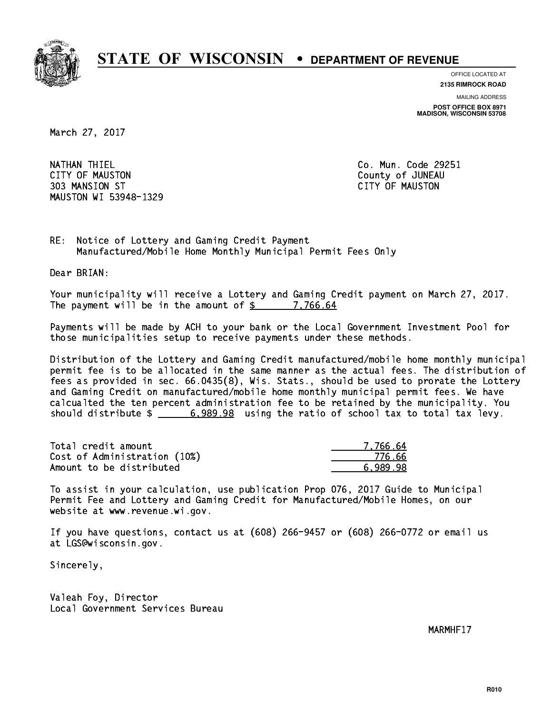

**OFFICE LOCATED AT**

**2135 RIMROCK ROAD**

**MAILING ADDRESS**

**POST OFFICE BOX 8971 MADISON, WISCONSIN 53708**

March 27, 2017

 NATHAN THIEL Co. Mun. Code 29251 CITY OF MAUSTON County of JUNEAU 303 MANSION ST CITY OF MAUSTON MAUSTON WI 53948-1329

RE: Notice of Lottery and Gaming Credit Payment Manufactured/Mobile Home Monthly Municipal Permit Fees Only

Dear BRIAN:

 Your municipality will receive a Lottery and Gaming Credit payment on March 27, 2017. The payment will be in the amount of \$ 7,766.64 \_\_\_\_\_\_\_\_\_\_\_\_\_\_\_\_

 Payments will be made by ACH to your bank or the Local Government Investment Pool for those municipalities setup to receive payments under these methods.

 Distribution of the Lottery and Gaming Credit manufactured/mobile home monthly municipal permit fee is to be allocated in the same manner as the actual fees. The distribution of fees as provided in sec. 66.0435(8), Wis. Stats., should be used to prorate the Lottery and Gaming Credit on manufactured/mobile home monthly municipal permit fees. We have calcualted the ten percent administration fee to be retained by the municipality. You should distribute  $\frac{2}{1}$   $\frac{6,989.98}{2}$  using the ratio of school tax to total tax levy.

| Total credit amount          | 7.766.64 |
|------------------------------|----------|
| Cost of Administration (10%) | 776.66   |
| Amount to be distributed     | 6.989.98 |

 To assist in your calculation, use publication Prop 076, 2017 Guide to Municipal Permit Fee and Lottery and Gaming Credit for Manufactured/Mobile Homes, on our website at www.revenue.wi.gov.

 If you have questions, contact us at (608) 266-9457 or (608) 266-0772 or email us at LGS@wisconsin.gov.

Sincerely,

 Valeah Foy, Director Local Government Services Bureau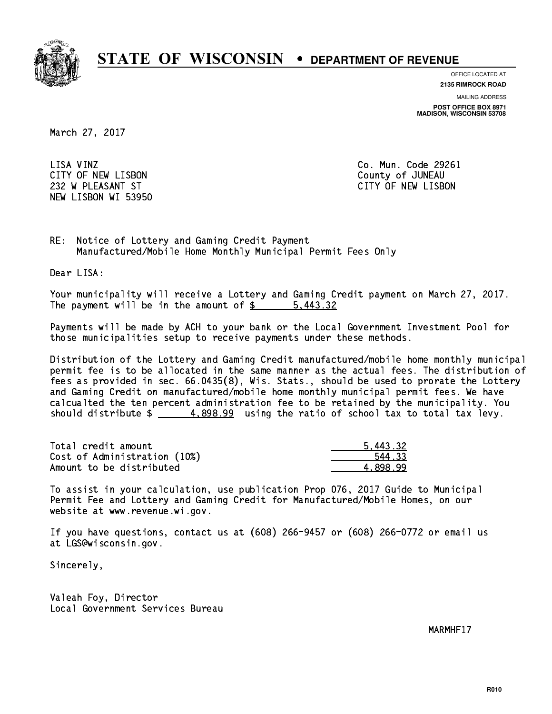

**OFFICE LOCATED AT**

**2135 RIMROCK ROAD**

**MAILING ADDRESS**

**POST OFFICE BOX 8971 MADISON, WISCONSIN 53708**

March 27, 2017

LISA VINZ CITY OF NEW LISBON County of JUNEAU 232 W PLEASANT ST CITY OF NEW LISBON NEW LISBON WI 53950

Co. Mun. Code 29261

RE: Notice of Lottery and Gaming Credit Payment Manufactured/Mobile Home Monthly Municipal Permit Fees Only

Dear LISA:

 Your municipality will receive a Lottery and Gaming Credit payment on March 27, 2017. The payment will be in the amount of \$ 5,443.32 \_\_\_\_\_\_\_\_\_\_\_\_\_\_\_\_

 Payments will be made by ACH to your bank or the Local Government Investment Pool for those municipalities setup to receive payments under these methods.

 Distribution of the Lottery and Gaming Credit manufactured/mobile home monthly municipal permit fee is to be allocated in the same manner as the actual fees. The distribution of fees as provided in sec. 66.0435(8), Wis. Stats., should be used to prorate the Lottery and Gaming Credit on manufactured/mobile home monthly municipal permit fees. We have calcualted the ten percent administration fee to be retained by the municipality. You should distribute  $\frac{2}{1}$   $\frac{4.898.99}{2}$  using the ratio of school tax to total tax levy.

| Total credit amount          | 5.443.32 |
|------------------------------|----------|
| Cost of Administration (10%) | 544.33   |
| Amount to be distributed     | 4.898.99 |

 To assist in your calculation, use publication Prop 076, 2017 Guide to Municipal Permit Fee and Lottery and Gaming Credit for Manufactured/Mobile Homes, on our website at www.revenue.wi.gov.

 If you have questions, contact us at (608) 266-9457 or (608) 266-0772 or email us at LGS@wisconsin.gov.

Sincerely,

 Valeah Foy, Director Local Government Services Bureau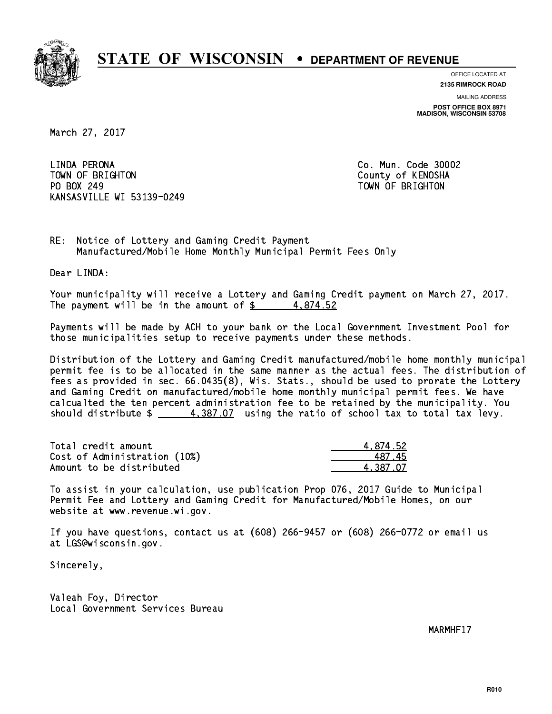

**OFFICE LOCATED AT**

**2135 RIMROCK ROAD**

**MAILING ADDRESS POST OFFICE BOX 8971 MADISON, WISCONSIN 53708**

March 27, 2017

 LINDA PERONA Co. Mun. Code 30002 TOWN OF BRIGHTON County of KENOSHA PO BOX 249 PO BOX 249 TOWN OF BRIGHTON KANSASVILLE WI 53139-0249

RE: Notice of Lottery and Gaming Credit Payment Manufactured/Mobile Home Monthly Municipal Permit Fees Only

Dear LINDA:

 Your municipality will receive a Lottery and Gaming Credit payment on March 27, 2017. The payment will be in the amount of  $\frac{2}{3}$  4,874.52

 Payments will be made by ACH to your bank or the Local Government Investment Pool for those municipalities setup to receive payments under these methods.

 Distribution of the Lottery and Gaming Credit manufactured/mobile home monthly municipal permit fee is to be allocated in the same manner as the actual fees. The distribution of fees as provided in sec. 66.0435(8), Wis. Stats., should be used to prorate the Lottery and Gaming Credit on manufactured/mobile home monthly municipal permit fees. We have calcualted the ten percent administration fee to be retained by the municipality. You should distribute  $\frac{4,387.07}{4}$  using the ratio of school tax to total tax levy.

| Total credit amount          | 4.874.52 |
|------------------------------|----------|
| Cost of Administration (10%) | 487 45   |
| Amount to be distributed     | 4.387.07 |

 To assist in your calculation, use publication Prop 076, 2017 Guide to Municipal Permit Fee and Lottery and Gaming Credit for Manufactured/Mobile Homes, on our website at www.revenue.wi.gov.

 If you have questions, contact us at (608) 266-9457 or (608) 266-0772 or email us at LGS@wisconsin.gov.

Sincerely,

 Valeah Foy, Director Local Government Services Bureau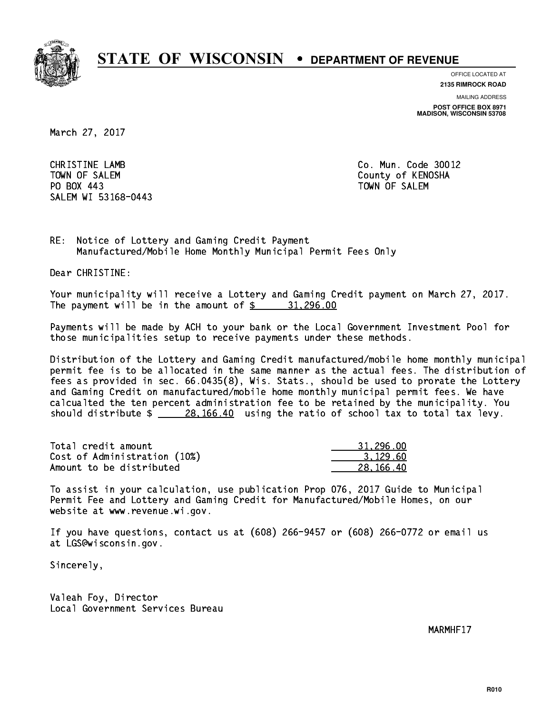

**OFFICE LOCATED AT**

**2135 RIMROCK ROAD**

**MAILING ADDRESS**

**POST OFFICE BOX 8971 MADISON, WISCONSIN 53708**

March 27, 2017

CHRISTINE LAMB TOWN OF SALEM County of KENOSHA PO BOX 443 PO BOX 443 TOWN OF SALEM SALEM WI 53168-0443

Co. Mun. Code 30012

RE: Notice of Lottery and Gaming Credit Payment Manufactured/Mobile Home Monthly Municipal Permit Fees Only

Dear CHRISTINE:

 Your municipality will receive a Lottery and Gaming Credit payment on March 27, 2017. The payment will be in the amount of  $\frac{2}{3}$  31,296.00

 Payments will be made by ACH to your bank or the Local Government Investment Pool for those municipalities setup to receive payments under these methods.

 Distribution of the Lottery and Gaming Credit manufactured/mobile home monthly municipal permit fee is to be allocated in the same manner as the actual fees. The distribution of fees as provided in sec. 66.0435(8), Wis. Stats., should be used to prorate the Lottery and Gaming Credit on manufactured/mobile home monthly municipal permit fees. We have calcualted the ten percent administration fee to be retained by the municipality. You should distribute  $\frac{28,166.40}{28,166.40}$  using the ratio of school tax to total tax levy.

| Total credit amount          | 31,296.00 |
|------------------------------|-----------|
| Cost of Administration (10%) | 3.129.60  |
| Amount to be distributed     | 28.166.40 |

 To assist in your calculation, use publication Prop 076, 2017 Guide to Municipal Permit Fee and Lottery and Gaming Credit for Manufactured/Mobile Homes, on our website at www.revenue.wi.gov.

 If you have questions, contact us at (608) 266-9457 or (608) 266-0772 or email us at LGS@wisconsin.gov.

Sincerely,

 Valeah Foy, Director Local Government Services Bureau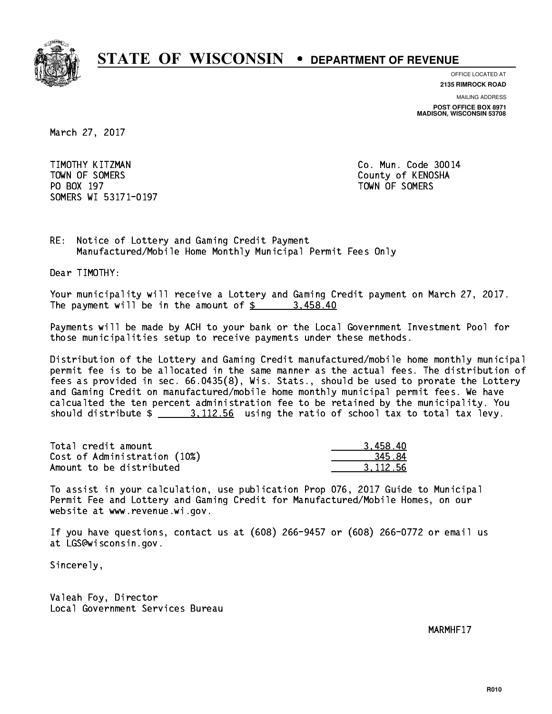

**OFFICE LOCATED AT**

**2135 RIMROCK ROAD**

**MAILING ADDRESS**

**POST OFFICE BOX 8971 MADISON, WISCONSIN 53708**

March 27, 2017

 TIMOTHY KITZMAN Co. Mun. Code 30014 TOWN OF SOMERS County of KENOSHA PO BOX 197 TOWN OF SOMERS SOMERS WI 53171-0197

RE: Notice of Lottery and Gaming Credit Payment Manufactured/Mobile Home Monthly Municipal Permit Fees Only

Dear TIMOTHY:

 Your municipality will receive a Lottery and Gaming Credit payment on March 27, 2017. The payment will be in the amount of \$ 3,458.40 \_\_\_\_\_\_\_\_\_\_\_\_\_\_\_\_

 Payments will be made by ACH to your bank or the Local Government Investment Pool for those municipalities setup to receive payments under these methods.

 Distribution of the Lottery and Gaming Credit manufactured/mobile home monthly municipal permit fee is to be allocated in the same manner as the actual fees. The distribution of fees as provided in sec. 66.0435(8), Wis. Stats., should be used to prorate the Lottery and Gaming Credit on manufactured/mobile home monthly municipal permit fees. We have calcualted the ten percent administration fee to be retained by the municipality. You should distribute  $\frac{2}{1}$   $\frac{3.112.56}{2}$  using the ratio of school tax to total tax levy.

| Total credit amount          | 3,458.40 |
|------------------------------|----------|
| Cost of Administration (10%) | 345.84   |
| Amount to be distributed     | 3.112.56 |

 To assist in your calculation, use publication Prop 076, 2017 Guide to Municipal Permit Fee and Lottery and Gaming Credit for Manufactured/Mobile Homes, on our website at www.revenue.wi.gov.

 If you have questions, contact us at (608) 266-9457 or (608) 266-0772 or email us at LGS@wisconsin.gov.

Sincerely,

 Valeah Foy, Director Local Government Services Bureau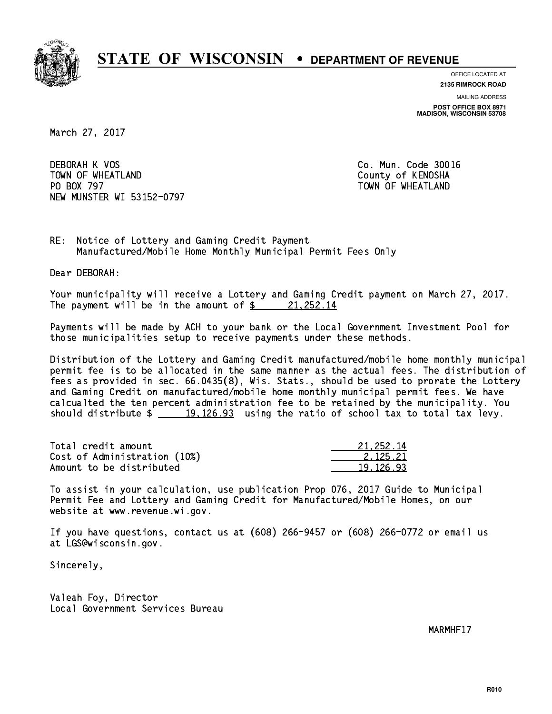

**OFFICE LOCATED AT**

**2135 RIMROCK ROAD**

**MAILING ADDRESS POST OFFICE BOX 8971 MADISON, WISCONSIN 53708**

March 27, 2017

 DEBORAH K VOS Co. Mun. Code 30016 TOWN OF WHEATLAND County of KENOSHA PO BOX 797 NEW MUNSTER WI 53152-0797

TOWN OF WHEATLAND

RE: Notice of Lottery and Gaming Credit Payment Manufactured/Mobile Home Monthly Municipal Permit Fees Only

Dear DEBORAH:

 Your municipality will receive a Lottery and Gaming Credit payment on March 27, 2017. The payment will be in the amount of  $\frac{21,252.14}{2}$ 

 Payments will be made by ACH to your bank or the Local Government Investment Pool for those municipalities setup to receive payments under these methods.

 Distribution of the Lottery and Gaming Credit manufactured/mobile home monthly municipal permit fee is to be allocated in the same manner as the actual fees. The distribution of fees as provided in sec. 66.0435(8), Wis. Stats., should be used to prorate the Lottery and Gaming Credit on manufactured/mobile home monthly municipal permit fees. We have calcualted the ten percent administration fee to be retained by the municipality. You should distribute  $\frac{19,126.93}{20.93}$  using the ratio of school tax to total tax levy.

| Total credit amount          | 21,252.14 |
|------------------------------|-----------|
| Cost of Administration (10%) | 2.125.21  |
| Amount to be distributed     | 19.126.93 |

 To assist in your calculation, use publication Prop 076, 2017 Guide to Municipal Permit Fee and Lottery and Gaming Credit for Manufactured/Mobile Homes, on our website at www.revenue.wi.gov.

 If you have questions, contact us at (608) 266-9457 or (608) 266-0772 or email us at LGS@wisconsin.gov.

Sincerely,

 Valeah Foy, Director Local Government Services Bureau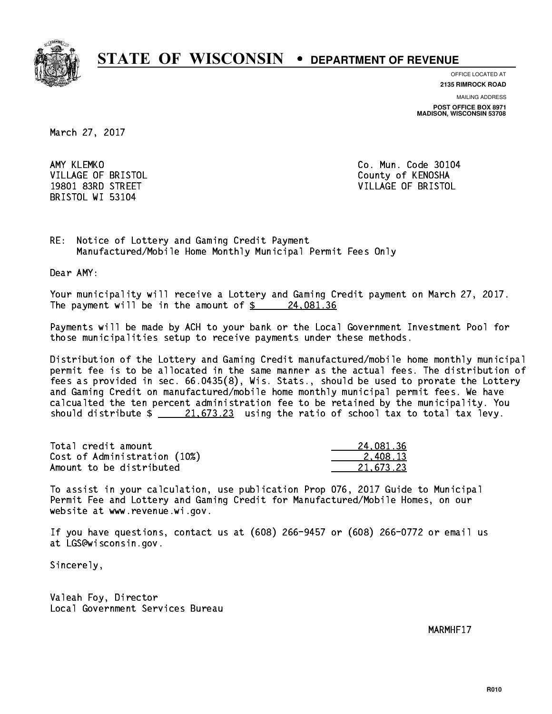

**OFFICE LOCATED AT**

**2135 RIMROCK ROAD**

**MAILING ADDRESS**

**POST OFFICE BOX 8971 MADISON, WISCONSIN 53708**

March 27, 2017

AMY KLEMKO BRISTOL WI 53104

Co. Mun. Code 30104 VILLAGE OF BRISTOL **COUNTY OF SALES AND ACCOUNT OF SALES** 19801 83RD STREET VILLAGE OF BRISTOL

RE: Notice of Lottery and Gaming Credit Payment Manufactured/Mobile Home Monthly Municipal Permit Fees Only

Dear AMY:

 Your municipality will receive a Lottery and Gaming Credit payment on March 27, 2017. The payment will be in the amount of  $\frac{24,081.36}{24}$ 

 Payments will be made by ACH to your bank or the Local Government Investment Pool for those municipalities setup to receive payments under these methods.

 Distribution of the Lottery and Gaming Credit manufactured/mobile home monthly municipal permit fee is to be allocated in the same manner as the actual fees. The distribution of fees as provided in sec. 66.0435(8), Wis. Stats., should be used to prorate the Lottery and Gaming Credit on manufactured/mobile home monthly municipal permit fees. We have calcualted the ten percent administration fee to be retained by the municipality. You should distribute  $\frac{21.673.23}{21.673.23}$  using the ratio of school tax to total tax levy.

| Total credit amount          | 24,081.36 |
|------------------------------|-----------|
| Cost of Administration (10%) | 2.408.13  |
| Amount to be distributed     | 21.673.23 |

 To assist in your calculation, use publication Prop 076, 2017 Guide to Municipal Permit Fee and Lottery and Gaming Credit for Manufactured/Mobile Homes, on our website at www.revenue.wi.gov.

 If you have questions, contact us at (608) 266-9457 or (608) 266-0772 or email us at LGS@wisconsin.gov.

Sincerely,

 Valeah Foy, Director Local Government Services Bureau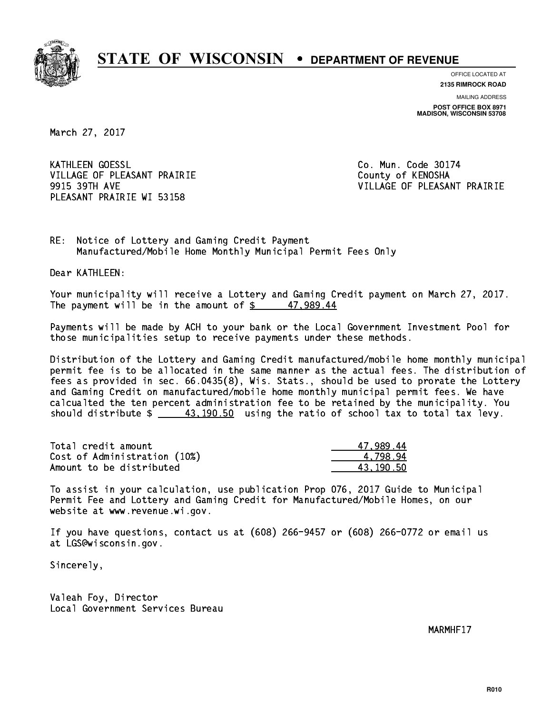

**OFFICE LOCATED AT**

**2135 RIMROCK ROAD**

**MAILING ADDRESS POST OFFICE BOX 8971 MADISON, WISCONSIN 53708**

March 27, 2017

**KATHLEEN GOESSL** VILLAGE OF PLEASANT PRAIRIE **COUNTY OF COUNTY OF ALSO COUNTY** PLEASANT PRAIRIE WI 53158

Co. Mun. Code 30174 9915 39TH AVE VILLAGE OF PLEASANT PRAIRIE

RE: Notice of Lottery and Gaming Credit Payment Manufactured/Mobile Home Monthly Municipal Permit Fees Only

Dear KATHLEEN:

 Your municipality will receive a Lottery and Gaming Credit payment on March 27, 2017. The payment will be in the amount of  $\frac{2}{3}$  47,989.44

 Payments will be made by ACH to your bank or the Local Government Investment Pool for those municipalities setup to receive payments under these methods.

 Distribution of the Lottery and Gaming Credit manufactured/mobile home monthly municipal permit fee is to be allocated in the same manner as the actual fees. The distribution of fees as provided in sec. 66.0435(8), Wis. Stats., should be used to prorate the Lottery and Gaming Credit on manufactured/mobile home monthly municipal permit fees. We have calcualted the ten percent administration fee to be retained by the municipality. You should distribute  $\frac{43,190.50}{2}$  using the ratio of school tax to total tax levy.

| Total credit amount          | 47.989.44 |
|------------------------------|-----------|
| Cost of Administration (10%) | 4.798.94  |
| Amount to be distributed     | 43.190.50 |

 To assist in your calculation, use publication Prop 076, 2017 Guide to Municipal Permit Fee and Lottery and Gaming Credit for Manufactured/Mobile Homes, on our website at www.revenue.wi.gov.

 If you have questions, contact us at (608) 266-9457 or (608) 266-0772 or email us at LGS@wisconsin.gov.

Sincerely,

 Valeah Foy, Director Local Government Services Bureau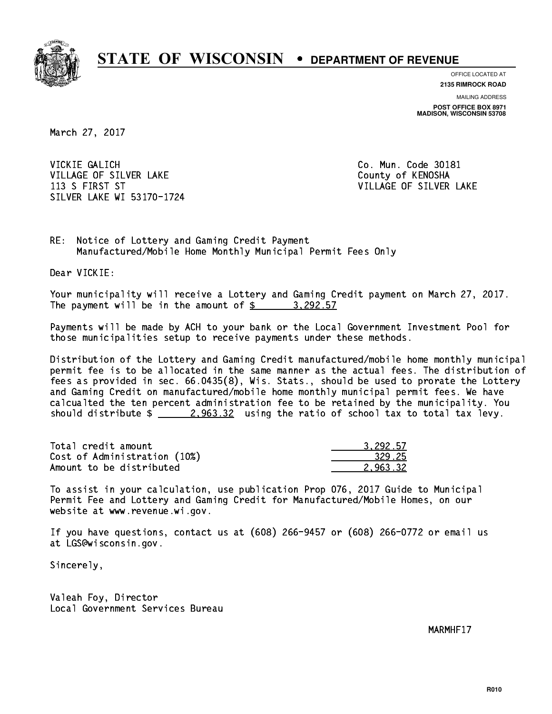

**OFFICE LOCATED AT**

**2135 RIMROCK ROAD**

**MAILING ADDRESS POST OFFICE BOX 8971 MADISON, WISCONSIN 53708**

March 27, 2017

 VICKIE GALICH Co. Mun. Code 30181 VILLAGE OF SILVER LAKE COUNTY OF KENOSHA 113 S FIRST ST VILLAGE OF SILVER LAKE SILVER LAKE WI 53170-1724

RE: Notice of Lottery and Gaming Credit Payment Manufactured/Mobile Home Monthly Municipal Permit Fees Only

Dear VICKIE:

 Your municipality will receive a Lottery and Gaming Credit payment on March 27, 2017. The payment will be in the amount of  $\frac{2}{3}$  3,292.57

 Payments will be made by ACH to your bank or the Local Government Investment Pool for those municipalities setup to receive payments under these methods.

 Distribution of the Lottery and Gaming Credit manufactured/mobile home monthly municipal permit fee is to be allocated in the same manner as the actual fees. The distribution of fees as provided in sec. 66.0435(8), Wis. Stats., should be used to prorate the Lottery and Gaming Credit on manufactured/mobile home monthly municipal permit fees. We have calcualted the ten percent administration fee to be retained by the municipality. You should distribute  $\frac{2.963.32}{2.963.32}$  using the ratio of school tax to total tax levy.

| Total credit amount          | 3.292.57 |
|------------------------------|----------|
| Cost of Administration (10%) | 329.25   |
| Amount to be distributed     | 2.963.32 |

 To assist in your calculation, use publication Prop 076, 2017 Guide to Municipal Permit Fee and Lottery and Gaming Credit for Manufactured/Mobile Homes, on our website at www.revenue.wi.gov.

 If you have questions, contact us at (608) 266-9457 or (608) 266-0772 or email us at LGS@wisconsin.gov.

Sincerely,

 Valeah Foy, Director Local Government Services Bureau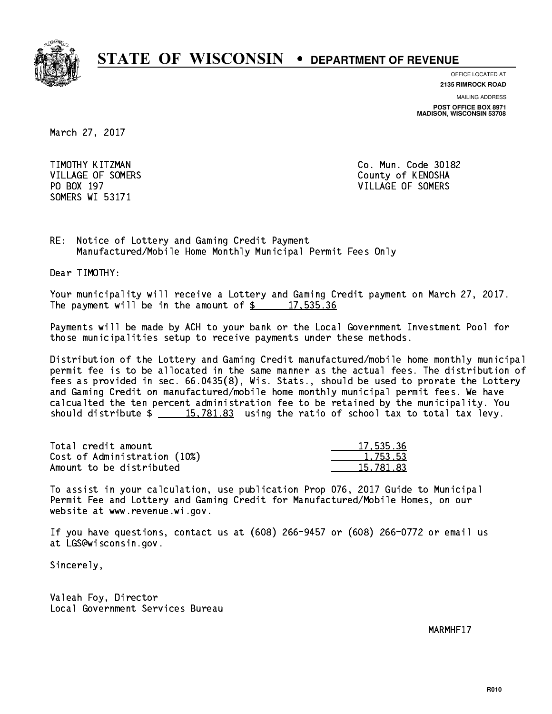

**OFFICE LOCATED AT**

**2135 RIMROCK ROAD**

**MAILING ADDRESS POST OFFICE BOX 8971 MADISON, WISCONSIN 53708**

March 27, 2017

 TIMOTHY KITZMAN Co. Mun. Code 30182 SOMERS WI 53171

VILLAGE OF SOMERS COUNTY OF KENOSHA PO BOX 197 VILLAGE OF SOMERS

RE: Notice of Lottery and Gaming Credit Payment Manufactured/Mobile Home Monthly Municipal Permit Fees Only

Dear TIMOTHY:

 Your municipality will receive a Lottery and Gaming Credit payment on March 27, 2017. The payment will be in the amount of  $\frac{2}{3}$  17,535.36

 Payments will be made by ACH to your bank or the Local Government Investment Pool for those municipalities setup to receive payments under these methods.

 Distribution of the Lottery and Gaming Credit manufactured/mobile home monthly municipal permit fee is to be allocated in the same manner as the actual fees. The distribution of fees as provided in sec. 66.0435(8), Wis. Stats., should be used to prorate the Lottery and Gaming Credit on manufactured/mobile home monthly municipal permit fees. We have calcualted the ten percent administration fee to be retained by the municipality. You should distribute  $\frac{15,781.83}{2}$  using the ratio of school tax to total tax levy.

| Total credit amount          | 17,535.36 |
|------------------------------|-----------|
| Cost of Administration (10%) | 1.753.53  |
| Amount to be distributed     | 15.781.83 |

 To assist in your calculation, use publication Prop 076, 2017 Guide to Municipal Permit Fee and Lottery and Gaming Credit for Manufactured/Mobile Homes, on our website at www.revenue.wi.gov.

 If you have questions, contact us at (608) 266-9457 or (608) 266-0772 or email us at LGS@wisconsin.gov.

Sincerely,

 Valeah Foy, Director Local Government Services Bureau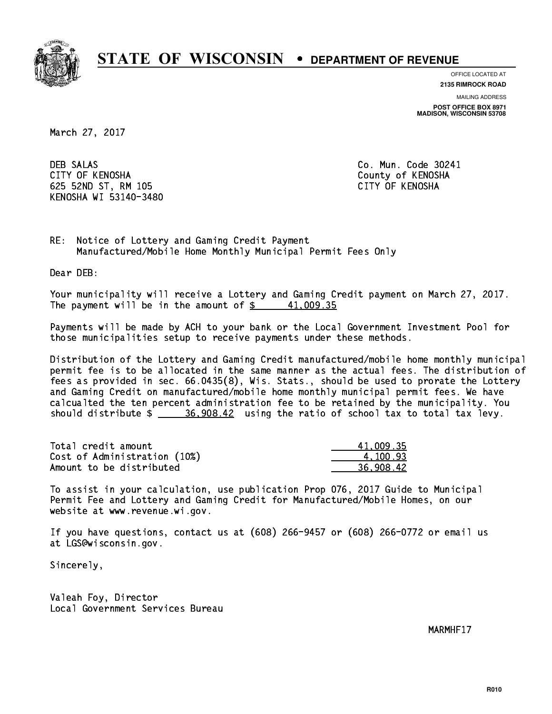

**OFFICE LOCATED AT**

**2135 RIMROCK ROAD**

**MAILING ADDRESS POST OFFICE BOX 8971 MADISON, WISCONSIN 53708**

March 27, 2017

**DEB SALAS**  CITY OF KENOSHA County of KENOSHA 625 52ND ST, RM 105 CITY OF KENOSHA KENOSHA WI 53140-3480

Co. Mun. Code 30241

RE: Notice of Lottery and Gaming Credit Payment Manufactured/Mobile Home Monthly Municipal Permit Fees Only

Dear DEB:

 Your municipality will receive a Lottery and Gaming Credit payment on March 27, 2017. The payment will be in the amount of  $\frac{2}{3}$  41,009.35

 Payments will be made by ACH to your bank or the Local Government Investment Pool for those municipalities setup to receive payments under these methods.

 Distribution of the Lottery and Gaming Credit manufactured/mobile home monthly municipal permit fee is to be allocated in the same manner as the actual fees. The distribution of fees as provided in sec. 66.0435(8), Wis. Stats., should be used to prorate the Lottery and Gaming Credit on manufactured/mobile home monthly municipal permit fees. We have calcualted the ten percent administration fee to be retained by the municipality. You should distribute  $\frac{26,908.42}{2}$  using the ratio of school tax to total tax levy.

| Total credit amount          | 41,009.35 |
|------------------------------|-----------|
| Cost of Administration (10%) | 4.100.93  |
| Amount to be distributed     | 36.908.42 |

 To assist in your calculation, use publication Prop 076, 2017 Guide to Municipal Permit Fee and Lottery and Gaming Credit for Manufactured/Mobile Homes, on our website at www.revenue.wi.gov.

 If you have questions, contact us at (608) 266-9457 or (608) 266-0772 or email us at LGS@wisconsin.gov.

Sincerely,

 Valeah Foy, Director Local Government Services Bureau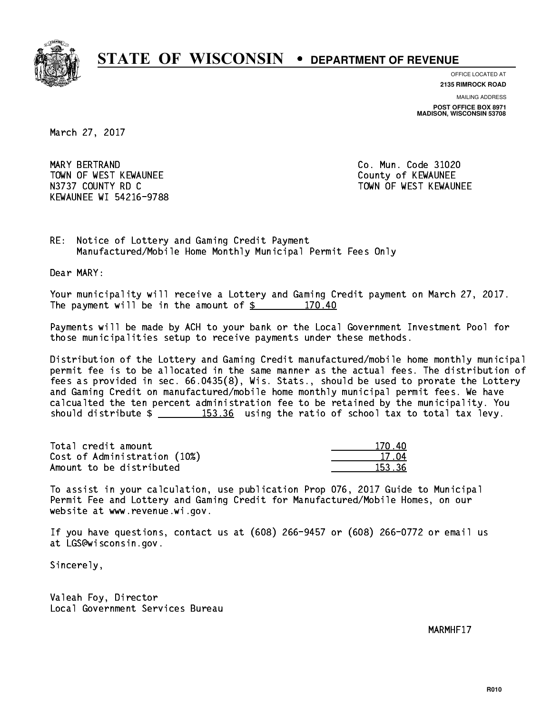

**OFFICE LOCATED AT**

**2135 RIMROCK ROAD**

**MAILING ADDRESS POST OFFICE BOX 8971 MADISON, WISCONSIN 53708**

March 27, 2017

 MARY BERTRAND Co. Mun. Code 31020 TOWN OF WEST KEWAUNEE TOWN OF WEST AND TOWN OF A COUNTY OF A COUNTY OF A COUNTY OF A COUNTY OF A COUNTY OF A COUNTY OF A COUNTY OF A COUNTY OF A COUNTY OF A COUNTY OF A COUNTY OF A COUNTY OF A COUNTY OF A COUNTY OF A COUNT N3737 COUNTY RD C TOWN OF WEST KEWAUNEE KEWAUNEE WI 54216-9788

RE: Notice of Lottery and Gaming Credit Payment Manufactured/Mobile Home Monthly Municipal Permit Fees Only

Dear MARY:

 Your municipality will receive a Lottery and Gaming Credit payment on March 27, 2017. The payment will be in the amount of  $\frac{2}{3}$  170.40

 Payments will be made by ACH to your bank or the Local Government Investment Pool for those municipalities setup to receive payments under these methods.

 Distribution of the Lottery and Gaming Credit manufactured/mobile home monthly municipal permit fee is to be allocated in the same manner as the actual fees. The distribution of fees as provided in sec. 66.0435(8), Wis. Stats., should be used to prorate the Lottery and Gaming Credit on manufactured/mobile home monthly municipal permit fees. We have calcualted the ten percent administration fee to be retained by the municipality. You should distribute  $\frac{153.36}{153.36}$  using the ratio of school tax to total tax levy.

Total credit amount Cost of Administration (10%) Amount to be distributed

| ιn<br>1/n       |
|-----------------|
| 17 <sub>0</sub> |
| 15336           |

 To assist in your calculation, use publication Prop 076, 2017 Guide to Municipal Permit Fee and Lottery and Gaming Credit for Manufactured/Mobile Homes, on our website at www.revenue.wi.gov.

 If you have questions, contact us at (608) 266-9457 or (608) 266-0772 or email us at LGS@wisconsin.gov.

Sincerely,

 Valeah Foy, Director Local Government Services Bureau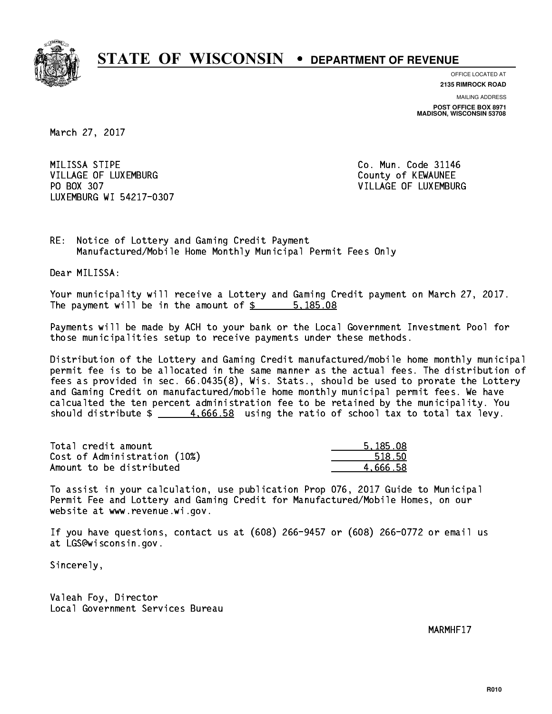

**OFFICE LOCATED AT**

**2135 RIMROCK ROAD**

**MAILING ADDRESS POST OFFICE BOX 8971 MADISON, WISCONSIN 53708**

March 27, 2017

MILISSA STIPE VILLAGE OF LUXEMBURG COUNTY OF KEWAUNEE PO BOX 307 LUXEMBURG WI 54217-0307

Co. Mun. Code 31146 VILLAGE OF LUXEMBURG

RE: Notice of Lottery and Gaming Credit Payment Manufactured/Mobile Home Monthly Municipal Permit Fees Only

Dear MILISSA:

 Your municipality will receive a Lottery and Gaming Credit payment on March 27, 2017. The payment will be in the amount of \$ 5,185.08 \_\_\_\_\_\_\_\_\_\_\_\_\_\_\_\_

 Payments will be made by ACH to your bank or the Local Government Investment Pool for those municipalities setup to receive payments under these methods.

 Distribution of the Lottery and Gaming Credit manufactured/mobile home monthly municipal permit fee is to be allocated in the same manner as the actual fees. The distribution of fees as provided in sec. 66.0435(8), Wis. Stats., should be used to prorate the Lottery and Gaming Credit on manufactured/mobile home monthly municipal permit fees. We have calcualted the ten percent administration fee to be retained by the municipality. You should distribute  $\frac{4.666.58}{4.666.58}$  using the ratio of school tax to total tax levy.

| Total credit amount          | 5.185.08 |
|------------------------------|----------|
| Cost of Administration (10%) | 518.50   |
| Amount to be distributed     | 4.666.58 |

 To assist in your calculation, use publication Prop 076, 2017 Guide to Municipal Permit Fee and Lottery and Gaming Credit for Manufactured/Mobile Homes, on our website at www.revenue.wi.gov.

 If you have questions, contact us at (608) 266-9457 or (608) 266-0772 or email us at LGS@wisconsin.gov.

Sincerely,

 Valeah Foy, Director Local Government Services Bureau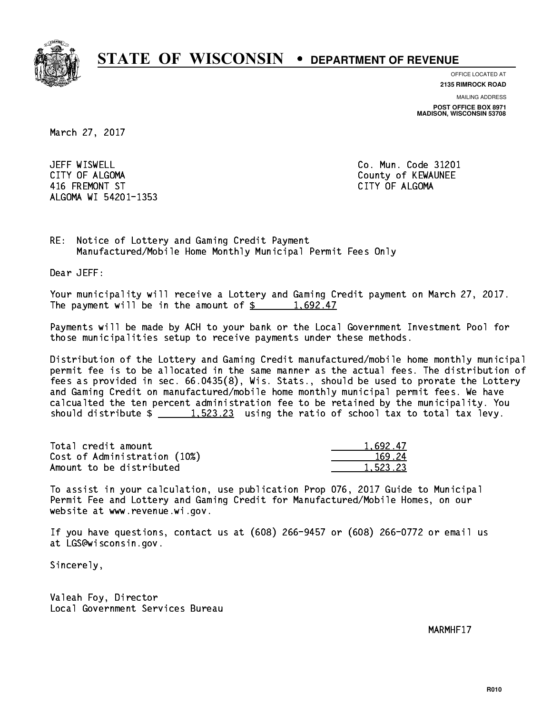

**OFFICE LOCATED AT**

**2135 RIMROCK ROAD**

**MAILING ADDRESS**

**POST OFFICE BOX 8971 MADISON, WISCONSIN 53708**

March 27, 2017

JEFF WISWELL CITY OF ALGOMA COUNTY OF ALGOMA 416 FREMONT ST CITY OF ALGOMA ALGOMA WI 54201-1353

Co. Mun. Code 31201

RE: Notice of Lottery and Gaming Credit Payment Manufactured/Mobile Home Monthly Municipal Permit Fees Only

Dear JEFF:

 Your municipality will receive a Lottery and Gaming Credit payment on March 27, 2017. The payment will be in the amount of  $\frac{2}{3}$  1,692.47

 Payments will be made by ACH to your bank or the Local Government Investment Pool for those municipalities setup to receive payments under these methods.

 Distribution of the Lottery and Gaming Credit manufactured/mobile home monthly municipal permit fee is to be allocated in the same manner as the actual fees. The distribution of fees as provided in sec. 66.0435(8), Wis. Stats., should be used to prorate the Lottery and Gaming Credit on manufactured/mobile home monthly municipal permit fees. We have calcualted the ten percent administration fee to be retained by the municipality. You should distribute  $\frac{1.523.23}{1.523.23}$  using the ratio of school tax to total tax levy.

| Total credit amount          | 1,692.47 |
|------------------------------|----------|
| Cost of Administration (10%) | 169.24   |
| Amount to be distributed     | 1.523.23 |

 To assist in your calculation, use publication Prop 076, 2017 Guide to Municipal Permit Fee and Lottery and Gaming Credit for Manufactured/Mobile Homes, on our website at www.revenue.wi.gov.

 If you have questions, contact us at (608) 266-9457 or (608) 266-0772 or email us at LGS@wisconsin.gov.

Sincerely,

 Valeah Foy, Director Local Government Services Bureau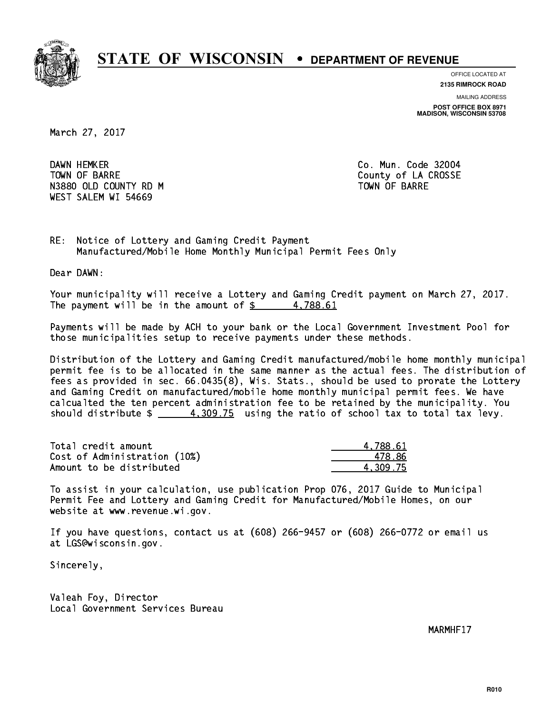

**OFFICE LOCATED AT**

**2135 RIMROCK ROAD**

**MAILING ADDRESS POST OFFICE BOX 8971 MADISON, WISCONSIN 53708**

March 27, 2017

DAWN HEMKER TOWN OF BARRE **COUNTY OF SALES AND SERVICE OF A COUNTY OF LA CROSSE** N3880 OLD COUNTY RD M TOWN OF BARRE WEST SALEM WI 54669

Co. Mun. Code 32004

RE: Notice of Lottery and Gaming Credit Payment Manufactured/Mobile Home Monthly Municipal Permit Fees Only

Dear DAWN:

 Your municipality will receive a Lottery and Gaming Credit payment on March 27, 2017. The payment will be in the amount of  $\frac{2}{3}$  4,788.61

 Payments will be made by ACH to your bank or the Local Government Investment Pool for those municipalities setup to receive payments under these methods.

 Distribution of the Lottery and Gaming Credit manufactured/mobile home monthly municipal permit fee is to be allocated in the same manner as the actual fees. The distribution of fees as provided in sec. 66.0435(8), Wis. Stats., should be used to prorate the Lottery and Gaming Credit on manufactured/mobile home monthly municipal permit fees. We have calcualted the ten percent administration fee to be retained by the municipality. You should distribute  $\frac{4}{1000}$ . 4,309.75 using the ratio of school tax to total tax levy.

| Total credit amount          | 4.788.61 |
|------------------------------|----------|
| Cost of Administration (10%) | 478.86   |
| Amount to be distributed     | 4.309.75 |

 To assist in your calculation, use publication Prop 076, 2017 Guide to Municipal Permit Fee and Lottery and Gaming Credit for Manufactured/Mobile Homes, on our website at www.revenue.wi.gov.

 If you have questions, contact us at (608) 266-9457 or (608) 266-0772 or email us at LGS@wisconsin.gov.

Sincerely,

 Valeah Foy, Director Local Government Services Bureau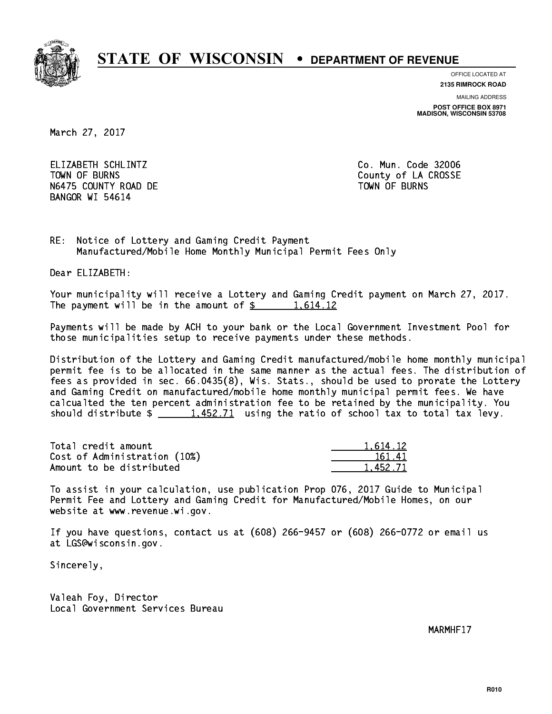

**OFFICE LOCATED AT**

**2135 RIMROCK ROAD**

**MAILING ADDRESS POST OFFICE BOX 8971 MADISON, WISCONSIN 53708**

March 27, 2017

 ELIZABETH SCHLINTZ Co. Mun. Code 32006 TOWN OF BURNS **COUNTY OF A COULD A** COUNTY OF LA CROSSE N6475 COUNTY ROAD DE TOWN OF BURNS BANGOR WI 54614

RE: Notice of Lottery and Gaming Credit Payment Manufactured/Mobile Home Monthly Municipal Permit Fees Only

Dear ELIZABETH:

 Your municipality will receive a Lottery and Gaming Credit payment on March 27, 2017. The payment will be in the amount of  $\frac{2}{3}$  1,614.12

 Payments will be made by ACH to your bank or the Local Government Investment Pool for those municipalities setup to receive payments under these methods.

 Distribution of the Lottery and Gaming Credit manufactured/mobile home monthly municipal permit fee is to be allocated in the same manner as the actual fees. The distribution of fees as provided in sec. 66.0435(8), Wis. Stats., should be used to prorate the Lottery and Gaming Credit on manufactured/mobile home monthly municipal permit fees. We have calcualted the ten percent administration fee to be retained by the municipality. You should distribute  $\frac{1.452.71}{1.452.71}$  using the ratio of school tax to total tax levy.

Total credit amount Cost of Administration (10%) Amount to be distributed

| 1.614.12  |
|-----------|
| 51.<br>41 |
| 52.71     |

 To assist in your calculation, use publication Prop 076, 2017 Guide to Municipal Permit Fee and Lottery and Gaming Credit for Manufactured/Mobile Homes, on our website at www.revenue.wi.gov.

 If you have questions, contact us at (608) 266-9457 or (608) 266-0772 or email us at LGS@wisconsin.gov.

Sincerely,

 Valeah Foy, Director Local Government Services Bureau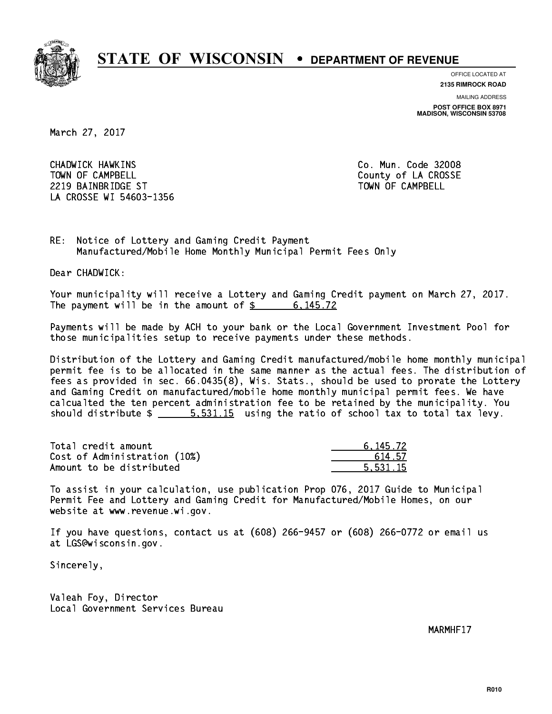

**OFFICE LOCATED AT**

**2135 RIMROCK ROAD**

**MAILING ADDRESS POST OFFICE BOX 8971 MADISON, WISCONSIN 53708**

March 27, 2017

 CHADWICK HAWKINS Co. Mun. Code 32008 TOWN OF CAMPBELL **TOWN OF CAMPBELL**  2219 BAINBRIDGE ST TOWN OF CAMPBELL LA CROSSE WI 54603-1356

RE: Notice of Lottery and Gaming Credit Payment Manufactured/Mobile Home Monthly Municipal Permit Fees Only

Dear CHADWICK:

 Your municipality will receive a Lottery and Gaming Credit payment on March 27, 2017. The payment will be in the amount of  $\frac{2}{3}$  6,145.72

 Payments will be made by ACH to your bank or the Local Government Investment Pool for those municipalities setup to receive payments under these methods.

 Distribution of the Lottery and Gaming Credit manufactured/mobile home monthly municipal permit fee is to be allocated in the same manner as the actual fees. The distribution of fees as provided in sec. 66.0435(8), Wis. Stats., should be used to prorate the Lottery and Gaming Credit on manufactured/mobile home monthly municipal permit fees. We have calcualted the ten percent administration fee to be retained by the municipality. You should distribute  $\frac{2}{1}$   $\frac{5.531.15}{1}$  using the ratio of school tax to total tax levy.

| Total credit amount          | 6.145.72 |
|------------------------------|----------|
| Cost of Administration (10%) | 614.57   |
| Amount to be distributed     | 5.531.15 |

 To assist in your calculation, use publication Prop 076, 2017 Guide to Municipal Permit Fee and Lottery and Gaming Credit for Manufactured/Mobile Homes, on our website at www.revenue.wi.gov.

 If you have questions, contact us at (608) 266-9457 or (608) 266-0772 or email us at LGS@wisconsin.gov.

Sincerely,

 Valeah Foy, Director Local Government Services Bureau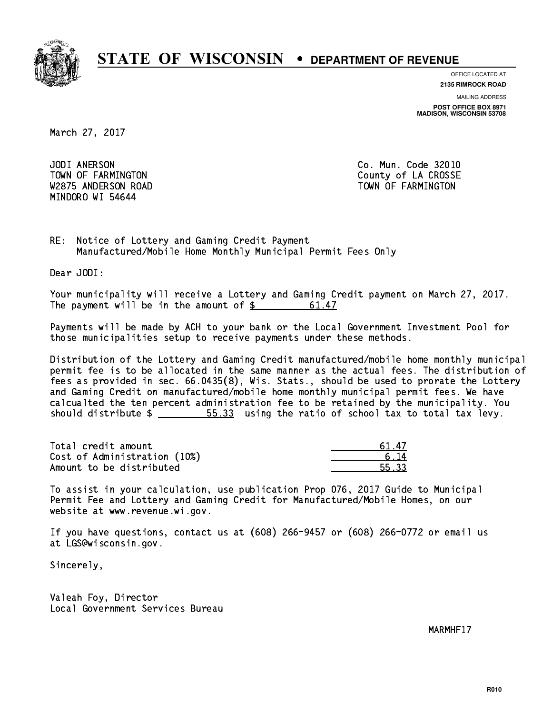

**OFFICE LOCATED AT 2135 RIMROCK ROAD**

**MAILING ADDRESS**

**POST OFFICE BOX 8971 MADISON, WISCONSIN 53708**

March 27, 2017

JODI ANERSON W2875 ANDERSON ROAD TOWN OF FARMINGTON MINDORO WI 54644

Co. Mun. Code 32010 TOWN OF FARMINGTON County of LA CROSSE

RE: Notice of Lottery and Gaming Credit Payment Manufactured/Mobile Home Monthly Municipal Permit Fees Only

Dear JODI:

 Your municipality will receive a Lottery and Gaming Credit payment on March 27, 2017. The payment will be in the amount of  $\frac{2}{3}$ 61.47

 Payments will be made by ACH to your bank or the Local Government Investment Pool for those municipalities setup to receive payments under these methods.

 Distribution of the Lottery and Gaming Credit manufactured/mobile home monthly municipal permit fee is to be allocated in the same manner as the actual fees. The distribution of fees as provided in sec. 66.0435(8), Wis. Stats., should be used to prorate the Lottery and Gaming Credit on manufactured/mobile home monthly municipal permit fees. We have calcualted the ten percent administration fee to be retained by the municipality. You should distribute  $\frac{2}{1}$   $\frac{55.33}{2}$  using the ratio of school tax to total tax levy.

Total credit amount Cost of Administration (10%) Amount to be distributed

| 37 F |
|------|
|      |
| २२   |

 To assist in your calculation, use publication Prop 076, 2017 Guide to Municipal Permit Fee and Lottery and Gaming Credit for Manufactured/Mobile Homes, on our website at www.revenue.wi.gov.

 If you have questions, contact us at (608) 266-9457 or (608) 266-0772 or email us at LGS@wisconsin.gov.

Sincerely,

 Valeah Foy, Director Local Government Services Bureau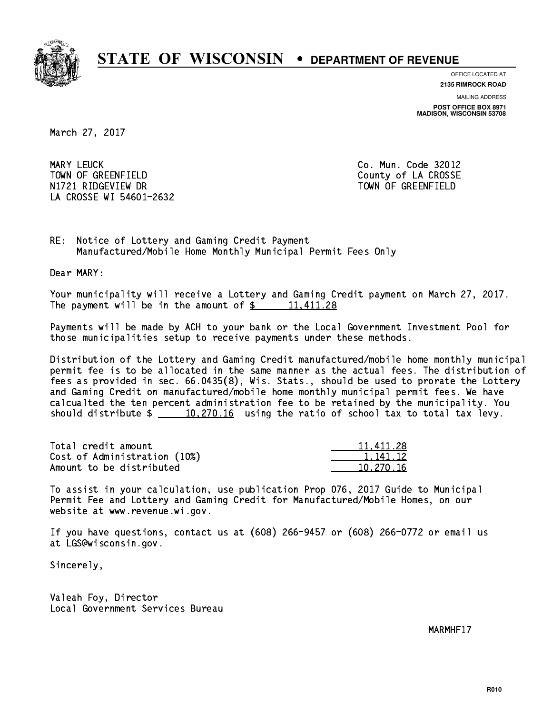

**OFFICE LOCATED AT 2135 RIMROCK ROAD**

**MAILING ADDRESS POST OFFICE BOX 8971 MADISON, WISCONSIN 53708**

March 27, 2017

MARY LEUCK TOWN OF GREENFIELD County of LA CROSSE N1721 RIDGEVIEW DR TOWN OF GREENFIELD LA CROSSE WI 54601-2632

Co. Mun. Code 32012

RE: Notice of Lottery and Gaming Credit Payment Manufactured/Mobile Home Monthly Municipal Permit Fees Only

Dear MARY:

 Your municipality will receive a Lottery and Gaming Credit payment on March 27, 2017. The payment will be in the amount of  $\frac{2}{3}$  11,411.28

 Payments will be made by ACH to your bank or the Local Government Investment Pool for those municipalities setup to receive payments under these methods.

 Distribution of the Lottery and Gaming Credit manufactured/mobile home monthly municipal permit fee is to be allocated in the same manner as the actual fees. The distribution of fees as provided in sec. 66.0435(8), Wis. Stats., should be used to prorate the Lottery and Gaming Credit on manufactured/mobile home monthly municipal permit fees. We have calcualted the ten percent administration fee to be retained by the municipality. You should distribute  $\frac{10,270.16}{270.16}$  using the ratio of school tax to total tax levy.

| Total credit amount          | 11,411.28 |
|------------------------------|-----------|
| Cost of Administration (10%) | 1.141.12  |
| Amount to be distributed     | 10.270.16 |

 To assist in your calculation, use publication Prop 076, 2017 Guide to Municipal Permit Fee and Lottery and Gaming Credit for Manufactured/Mobile Homes, on our website at www.revenue.wi.gov.

 If you have questions, contact us at (608) 266-9457 or (608) 266-0772 or email us at LGS@wisconsin.gov.

Sincerely,

 Valeah Foy, Director Local Government Services Bureau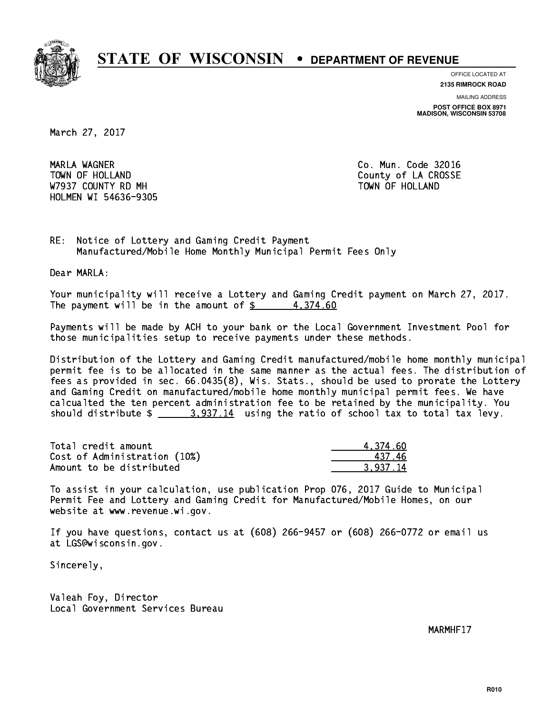

**OFFICE LOCATED AT**

**2135 RIMROCK ROAD**

**MAILING ADDRESS POST OFFICE BOX 8971 MADISON, WISCONSIN 53708**

March 27, 2017

 MARLA WAGNER Co. Mun. Code 32016 TOWN OF HOLLAND **COUNTY OF SALES AND COUNTY OF LA CROSSE** W7937 COUNTY RD MH TOWN OF HOLLAND HOLMEN WI 54636-9305

RE: Notice of Lottery and Gaming Credit Payment Manufactured/Mobile Home Monthly Municipal Permit Fees Only

Dear MARLA:

 Your municipality will receive a Lottery and Gaming Credit payment on March 27, 2017. The payment will be in the amount of  $\frac{2}{3}$  4,374.60

 Payments will be made by ACH to your bank or the Local Government Investment Pool for those municipalities setup to receive payments under these methods.

 Distribution of the Lottery and Gaming Credit manufactured/mobile home monthly municipal permit fee is to be allocated in the same manner as the actual fees. The distribution of fees as provided in sec. 66.0435(8), Wis. Stats., should be used to prorate the Lottery and Gaming Credit on manufactured/mobile home monthly municipal permit fees. We have calcualted the ten percent administration fee to be retained by the municipality. You should distribute  $\frac{2}{2}$   $\frac{3.937.14}{2}$  using the ratio of school tax to total tax levy.

| Total credit amount          | 4,374.60 |
|------------------------------|----------|
| Cost of Administration (10%) | 437 46   |
| Amount to be distributed     | 3.937.14 |

 To assist in your calculation, use publication Prop 076, 2017 Guide to Municipal Permit Fee and Lottery and Gaming Credit for Manufactured/Mobile Homes, on our website at www.revenue.wi.gov.

 If you have questions, contact us at (608) 266-9457 or (608) 266-0772 or email us at LGS@wisconsin.gov.

Sincerely,

 Valeah Foy, Director Local Government Services Bureau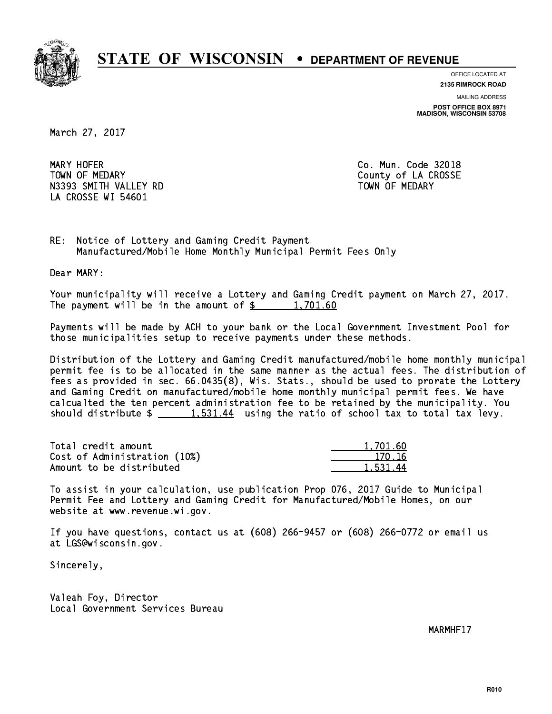

**OFFICE LOCATED AT 2135 RIMROCK ROAD**

**MAILING ADDRESS POST OFFICE BOX 8971 MADISON, WISCONSIN 53708**

March 27, 2017

MARY HOFER TOWN OF MEDARY **COUNTY** COUNTY COUNTY OF LA CROSSE N3393 SMITH VALLEY RD TOWN OF MEDARY LA CROSSE WI 54601

Co. Mun. Code 32018

RE: Notice of Lottery and Gaming Credit Payment Manufactured/Mobile Home Monthly Municipal Permit Fees Only

Dear MARY:

 Your municipality will receive a Lottery and Gaming Credit payment on March 27, 2017. The payment will be in the amount of  $\frac{2}{3}$  1,701.60

 Payments will be made by ACH to your bank or the Local Government Investment Pool for those municipalities setup to receive payments under these methods.

 Distribution of the Lottery and Gaming Credit manufactured/mobile home monthly municipal permit fee is to be allocated in the same manner as the actual fees. The distribution of fees as provided in sec. 66.0435(8), Wis. Stats., should be used to prorate the Lottery and Gaming Credit on manufactured/mobile home monthly municipal permit fees. We have calcualted the ten percent administration fee to be retained by the municipality. You should distribute  $\frac{1.531.44}{1.531.44}$  using the ratio of school tax to total tax levy.

| Total credit amount          | 1.701.60 |
|------------------------------|----------|
| Cost of Administration (10%) | 170.16   |
| Amount to be distributed     | 1.531.44 |

 To assist in your calculation, use publication Prop 076, 2017 Guide to Municipal Permit Fee and Lottery and Gaming Credit for Manufactured/Mobile Homes, on our website at www.revenue.wi.gov.

 If you have questions, contact us at (608) 266-9457 or (608) 266-0772 or email us at LGS@wisconsin.gov.

Sincerely,

 Valeah Foy, Director Local Government Services Bureau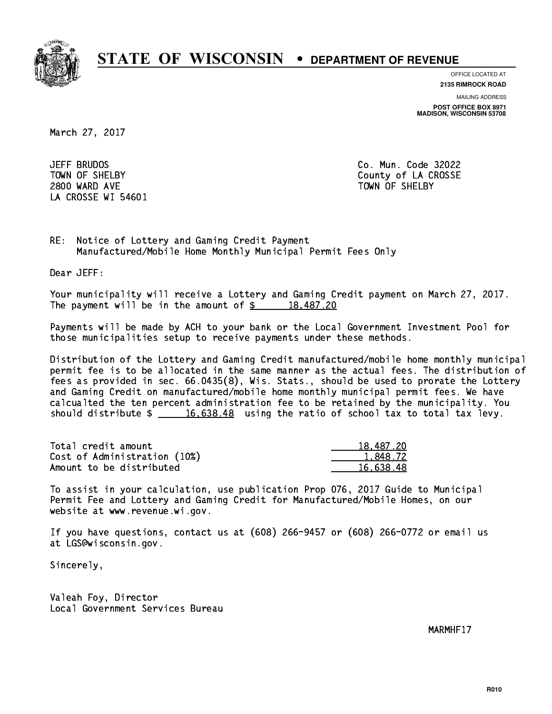

**OFFICE LOCATED AT**

**2135 RIMROCK ROAD**

**MAILING ADDRESS**

**POST OFFICE BOX 8971 MADISON, WISCONSIN 53708**

March 27, 2017

**JEFF BRUDOS**  2800 WARD AVE TOWN OF SHELBY LA CROSSE WI 54601

Co. Mun. Code 32022 TOWN OF SHELBY **COUNTY** COUNTY OF LA CROSSE

RE: Notice of Lottery and Gaming Credit Payment Manufactured/Mobile Home Monthly Municipal Permit Fees Only

Dear JEFF:

 Your municipality will receive a Lottery and Gaming Credit payment on March 27, 2017. The payment will be in the amount of  $\frac{2}{3}$  18,487.20

 Payments will be made by ACH to your bank or the Local Government Investment Pool for those municipalities setup to receive payments under these methods.

 Distribution of the Lottery and Gaming Credit manufactured/mobile home monthly municipal permit fee is to be allocated in the same manner as the actual fees. The distribution of fees as provided in sec. 66.0435(8), Wis. Stats., should be used to prorate the Lottery and Gaming Credit on manufactured/mobile home monthly municipal permit fees. We have calcualted the ten percent administration fee to be retained by the municipality. You should distribute  $\frac{16,638.48}{2}$  using the ratio of school tax to total tax levy.

| Total credit amount          | 18,487.20 |
|------------------------------|-----------|
| Cost of Administration (10%) | 1.848.72  |
| Amount to be distributed     | 16,638.48 |

 To assist in your calculation, use publication Prop 076, 2017 Guide to Municipal Permit Fee and Lottery and Gaming Credit for Manufactured/Mobile Homes, on our website at www.revenue.wi.gov.

 If you have questions, contact us at (608) 266-9457 or (608) 266-0772 or email us at LGS@wisconsin.gov.

Sincerely,

 Valeah Foy, Director Local Government Services Bureau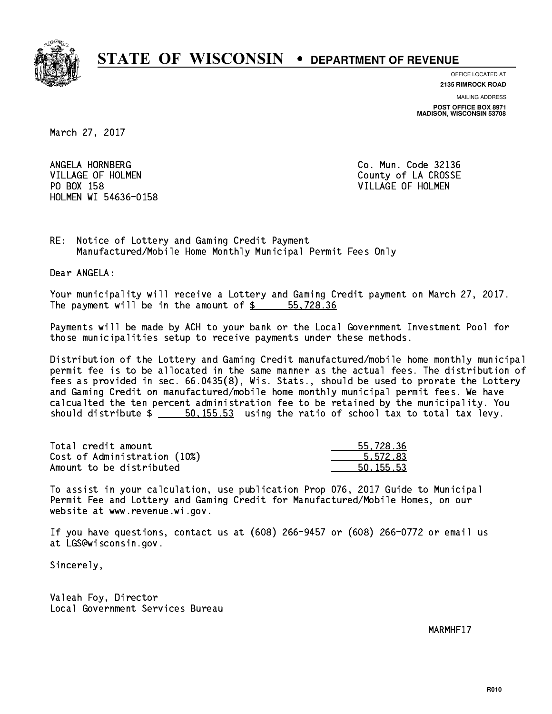

**OFFICE LOCATED AT 2135 RIMROCK ROAD**

**MAILING ADDRESS POST OFFICE BOX 8971 MADISON, WISCONSIN 53708**

March 27, 2017

ANGELA HORNBERG VILLAGE OF HOLMEN COUNTY OF LA CROSSE PO BOX 158 VILLAGE OF HOLMEN HOLMEN WI 54636-0158

Co. Mun. Code 32136

RE: Notice of Lottery and Gaming Credit Payment Manufactured/Mobile Home Monthly Municipal Permit Fees Only

Dear ANGELA:

 Your municipality will receive a Lottery and Gaming Credit payment on March 27, 2017. The payment will be in the amount of \$ 55,728.36 \_\_\_\_\_\_\_\_\_\_\_\_\_\_\_\_

 Payments will be made by ACH to your bank or the Local Government Investment Pool for those municipalities setup to receive payments under these methods.

 Distribution of the Lottery and Gaming Credit manufactured/mobile home monthly municipal permit fee is to be allocated in the same manner as the actual fees. The distribution of fees as provided in sec. 66.0435(8), Wis. Stats., should be used to prorate the Lottery and Gaming Credit on manufactured/mobile home monthly municipal permit fees. We have calcualted the ten percent administration fee to be retained by the municipality. You should distribute \$ 50,155.53 using the ratio of school tax to total tax levy. \_\_\_\_\_\_\_\_\_\_\_\_\_\_

| Total credit amount          | 55,728.36 |
|------------------------------|-----------|
| Cost of Administration (10%) | 5.572.83  |
| Amount to be distributed     | 50.155.53 |

 To assist in your calculation, use publication Prop 076, 2017 Guide to Municipal Permit Fee and Lottery and Gaming Credit for Manufactured/Mobile Homes, on our website at www.revenue.wi.gov.

 If you have questions, contact us at (608) 266-9457 or (608) 266-0772 or email us at LGS@wisconsin.gov.

Sincerely,

 Valeah Foy, Director Local Government Services Bureau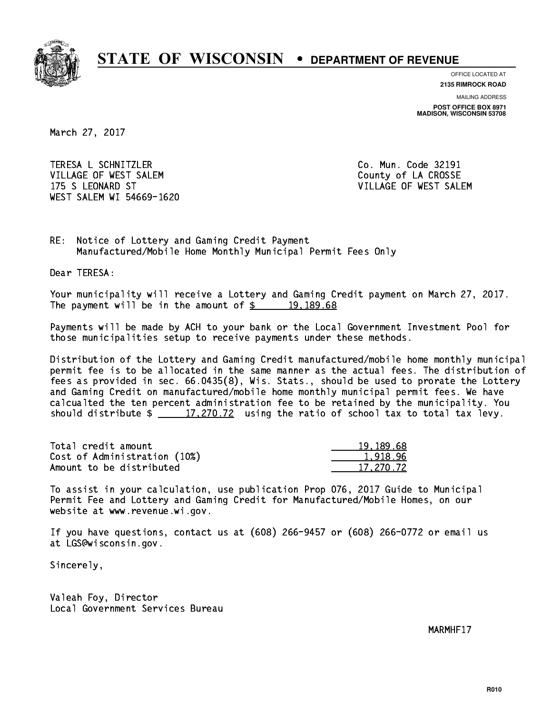

**OFFICE LOCATED AT**

**2135 RIMROCK ROAD**

**MAILING ADDRESS POST OFFICE BOX 8971 MADISON, WISCONSIN 53708**

March 27, 2017

 TERESA L SCHNITZLER Co. Mun. Code 32191 VILLAGE OF WEST SALEM COUNTY OF LA CROSSE 175 S LEONARD ST VILLAGE OF WEST SALEM WEST SALEM WI 54669-1620

RE: Notice of Lottery and Gaming Credit Payment Manufactured/Mobile Home Monthly Municipal Permit Fees Only

Dear TERESA:

 Your municipality will receive a Lottery and Gaming Credit payment on March 27, 2017. The payment will be in the amount of  $\frac{2}{3}$  19,189.68

 Payments will be made by ACH to your bank or the Local Government Investment Pool for those municipalities setup to receive payments under these methods.

 Distribution of the Lottery and Gaming Credit manufactured/mobile home monthly municipal permit fee is to be allocated in the same manner as the actual fees. The distribution of fees as provided in sec. 66.0435(8), Wis. Stats., should be used to prorate the Lottery and Gaming Credit on manufactured/mobile home monthly municipal permit fees. We have calcualted the ten percent administration fee to be retained by the municipality. You should distribute  $\frac{2}{17,270.72}$  using the ratio of school tax to total tax levy.

| Total credit amount          | 19, 189, 68 |
|------------------------------|-------------|
| Cost of Administration (10%) | 1.918.96    |
| Amount to be distributed     | 17.270.72   |

 To assist in your calculation, use publication Prop 076, 2017 Guide to Municipal Permit Fee and Lottery and Gaming Credit for Manufactured/Mobile Homes, on our website at www.revenue.wi.gov.

 If you have questions, contact us at (608) 266-9457 or (608) 266-0772 or email us at LGS@wisconsin.gov.

Sincerely,

 Valeah Foy, Director Local Government Services Bureau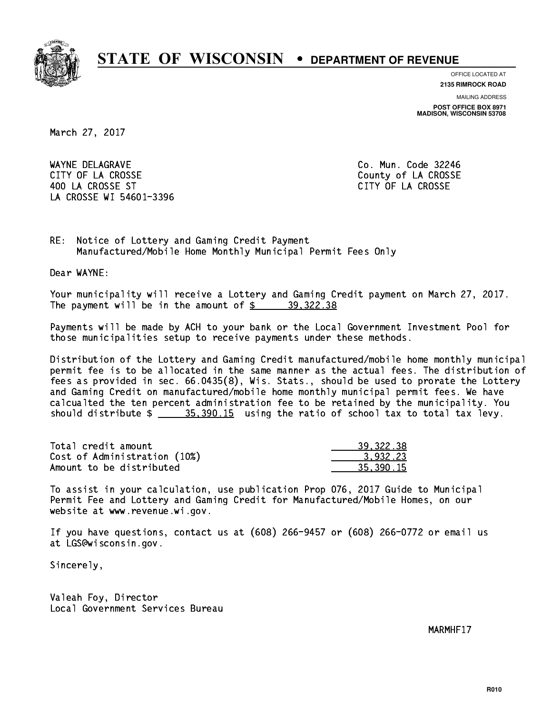

**OFFICE LOCATED AT**

**2135 RIMROCK ROAD**

**MAILING ADDRESS POST OFFICE BOX 8971 MADISON, WISCONSIN 53708**

March 27, 2017

WAYNE DELAGRAVE CITY OF LA CROSSE COUNTY OF LA CROSSE 400 LA CROSSE ST CITY OF LA CROSSE LA CROSSE WI 54601-3396

Co. Mun. Code 32246

RE: Notice of Lottery and Gaming Credit Payment Manufactured/Mobile Home Monthly Municipal Permit Fees Only

Dear WAYNE:

 Your municipality will receive a Lottery and Gaming Credit payment on March 27, 2017. The payment will be in the amount of  $\frac{2}{3}$  39,322.38

 Payments will be made by ACH to your bank or the Local Government Investment Pool for those municipalities setup to receive payments under these methods.

 Distribution of the Lottery and Gaming Credit manufactured/mobile home monthly municipal permit fee is to be allocated in the same manner as the actual fees. The distribution of fees as provided in sec. 66.0435(8), Wis. Stats., should be used to prorate the Lottery and Gaming Credit on manufactured/mobile home monthly municipal permit fees. We have calcualted the ten percent administration fee to be retained by the municipality. You should distribute  $\frac{25.390.15}{2}$  using the ratio of school tax to total tax levy.

| Total credit amount          | 39, 322, 38 |
|------------------------------|-------------|
| Cost of Administration (10%) | 3.932.23    |
| Amount to be distributed     | 35.390.15   |

 To assist in your calculation, use publication Prop 076, 2017 Guide to Municipal Permit Fee and Lottery and Gaming Credit for Manufactured/Mobile Homes, on our website at www.revenue.wi.gov.

 If you have questions, contact us at (608) 266-9457 or (608) 266-0772 or email us at LGS@wisconsin.gov.

Sincerely,

 Valeah Foy, Director Local Government Services Bureau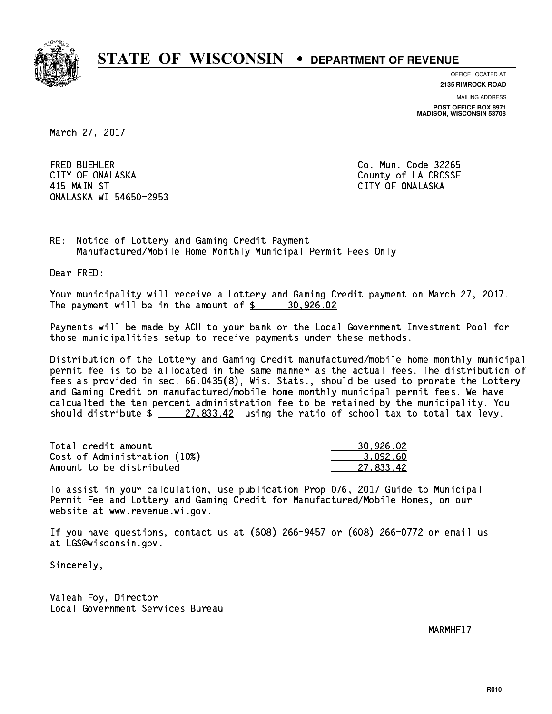

**OFFICE LOCATED AT 2135 RIMROCK ROAD**

**MAILING ADDRESS POST OFFICE BOX 8971 MADISON, WISCONSIN 53708**

March 27, 2017

 FRED BUEHLER Co. Mun. Code 32265 CITY OF ONALASKA COUNTY COUNTY OF COUNTY OF COUNTY OF LA CROSSE 415 MAIN ST CITY OF ONALASKA ONALASKA WI 54650-2953

RE: Notice of Lottery and Gaming Credit Payment Manufactured/Mobile Home Monthly Municipal Permit Fees Only

Dear FRED:

 Your municipality will receive a Lottery and Gaming Credit payment on March 27, 2017. The payment will be in the amount of  $\frac{2}{3}$  30,926.02

 Payments will be made by ACH to your bank or the Local Government Investment Pool for those municipalities setup to receive payments under these methods.

 Distribution of the Lottery and Gaming Credit manufactured/mobile home monthly municipal permit fee is to be allocated in the same manner as the actual fees. The distribution of fees as provided in sec. 66.0435(8), Wis. Stats., should be used to prorate the Lottery and Gaming Credit on manufactured/mobile home monthly municipal permit fees. We have calcualted the ten percent administration fee to be retained by the municipality. You should distribute  $\frac{27.833.42}{27.833.42}$  using the ratio of school tax to total tax levy.

| Total credit amount          | 30,926.02 |
|------------------------------|-----------|
| Cost of Administration (10%) | 3.092.60  |
| Amount to be distributed     | 27.833.42 |

 To assist in your calculation, use publication Prop 076, 2017 Guide to Municipal Permit Fee and Lottery and Gaming Credit for Manufactured/Mobile Homes, on our website at www.revenue.wi.gov.

 If you have questions, contact us at (608) 266-9457 or (608) 266-0772 or email us at LGS@wisconsin.gov.

Sincerely,

 Valeah Foy, Director Local Government Services Bureau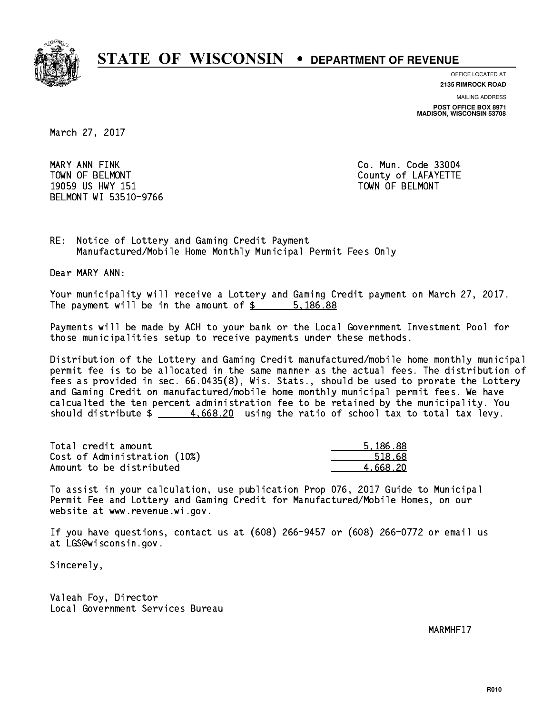

**OFFICE LOCATED AT**

**2135 RIMROCK ROAD**

**MAILING ADDRESS POST OFFICE BOX 8971 MADISON, WISCONSIN 53708**

March 27, 2017

 MARY ANN FINK Co. Mun. Code 33004 TOWN OF BELMONT COUNTY COUNTY OF LAFAYETTE 19059 US HWY 151 TOWN OF BELMONT BELMONT WI 53510-9766

RE: Notice of Lottery and Gaming Credit Payment Manufactured/Mobile Home Monthly Municipal Permit Fees Only

Dear MARY ANN:

 Your municipality will receive a Lottery and Gaming Credit payment on March 27, 2017. The payment will be in the amount of \$ 5,186.88 \_\_\_\_\_\_\_\_\_\_\_\_\_\_\_\_

 Payments will be made by ACH to your bank or the Local Government Investment Pool for those municipalities setup to receive payments under these methods.

 Distribution of the Lottery and Gaming Credit manufactured/mobile home monthly municipal permit fee is to be allocated in the same manner as the actual fees. The distribution of fees as provided in sec. 66.0435(8), Wis. Stats., should be used to prorate the Lottery and Gaming Credit on manufactured/mobile home monthly municipal permit fees. We have calcualted the ten percent administration fee to be retained by the municipality. You should distribute  $\frac{4.668.20}{4.668.20}$  using the ratio of school tax to total tax levy.

| Total credit amount          | 5.186.88 |
|------------------------------|----------|
| Cost of Administration (10%) | 518.68   |
| Amount to be distributed     | 4.668.20 |

 To assist in your calculation, use publication Prop 076, 2017 Guide to Municipal Permit Fee and Lottery and Gaming Credit for Manufactured/Mobile Homes, on our website at www.revenue.wi.gov.

 If you have questions, contact us at (608) 266-9457 or (608) 266-0772 or email us at LGS@wisconsin.gov.

Sincerely,

 Valeah Foy, Director Local Government Services Bureau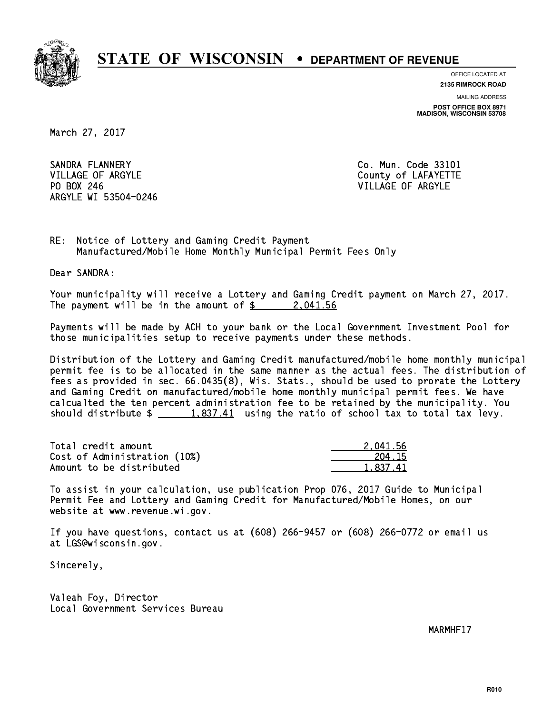

**OFFICE LOCATED AT**

**2135 RIMROCK ROAD**

**MAILING ADDRESS POST OFFICE BOX 8971 MADISON, WISCONSIN 53708**

March 27, 2017

SANDRA FLANNERY VILLAGE OF ARGYLE COUNTY OF LAFAYETTE PO BOX 246 VILLAGE OF ARGYLE ARGYLE WI 53504-0246

Co. Mun. Code 33101

RE: Notice of Lottery and Gaming Credit Payment Manufactured/Mobile Home Monthly Municipal Permit Fees Only

Dear SANDRA:

 Your municipality will receive a Lottery and Gaming Credit payment on March 27, 2017. The payment will be in the amount of  $\frac{2.041.56}{2.041.56}$ 

 Payments will be made by ACH to your bank or the Local Government Investment Pool for those municipalities setup to receive payments under these methods.

 Distribution of the Lottery and Gaming Credit manufactured/mobile home monthly municipal permit fee is to be allocated in the same manner as the actual fees. The distribution of fees as provided in sec. 66.0435(8), Wis. Stats., should be used to prorate the Lottery and Gaming Credit on manufactured/mobile home monthly municipal permit fees. We have calcualted the ten percent administration fee to be retained by the municipality. You should distribute  $\frac{1.837.41}{1.837.41}$  using the ratio of school tax to total tax levy.

| Total credit amount          | 2.041.56 |
|------------------------------|----------|
| Cost of Administration (10%) | 204.15   |
| Amount to be distributed     | 1.837.41 |

 To assist in your calculation, use publication Prop 076, 2017 Guide to Municipal Permit Fee and Lottery and Gaming Credit for Manufactured/Mobile Homes, on our website at www.revenue.wi.gov.

 If you have questions, contact us at (608) 266-9457 or (608) 266-0772 or email us at LGS@wisconsin.gov.

Sincerely,

 Valeah Foy, Director Local Government Services Bureau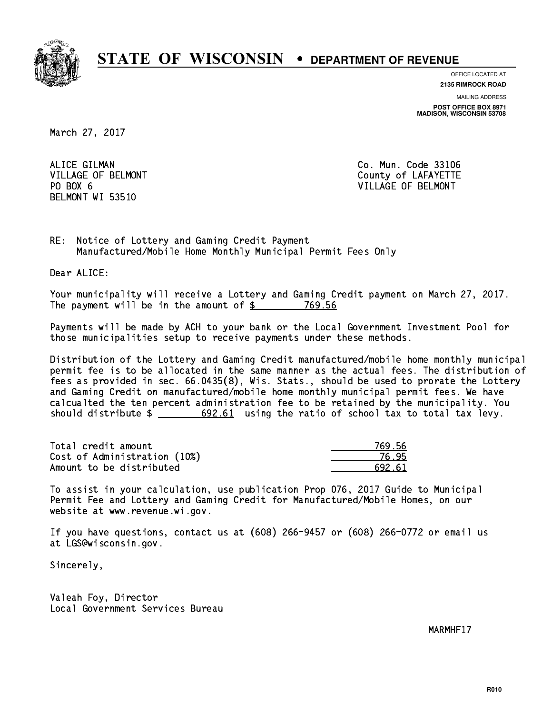

**OFFICE LOCATED AT**

**2135 RIMROCK ROAD**

**MAILING ADDRESS POST OFFICE BOX 8971 MADISON, WISCONSIN 53708**

March 27, 2017

ALICE GILMAN COMPOUND CO. Mun. Code 33106 PO BOX 6 BELMONT WI 53510

VILLAGE OF BELMONT COUNTS AND THE COUNTY OF LAFAYETTE VILLAGE OF BELMONT

RE: Notice of Lottery and Gaming Credit Payment Manufactured/Mobile Home Monthly Municipal Permit Fees Only

Dear ALICE:

 Your municipality will receive a Lottery and Gaming Credit payment on March 27, 2017. The payment will be in the amount of \$ 769.56 \_\_\_\_\_\_\_\_\_\_\_\_\_\_\_\_

 Payments will be made by ACH to your bank or the Local Government Investment Pool for those municipalities setup to receive payments under these methods.

 Distribution of the Lottery and Gaming Credit manufactured/mobile home monthly municipal permit fee is to be allocated in the same manner as the actual fees. The distribution of fees as provided in sec. 66.0435(8), Wis. Stats., should be used to prorate the Lottery and Gaming Credit on manufactured/mobile home monthly municipal permit fees. We have calcualted the ten percent administration fee to be retained by the municipality. You should distribute  $\frac{2}{1}$   $\frac{692.61}{692.61}$  using the ratio of school tax to total tax levy.

Total credit amount Cost of Administration (10%) Amount to be distributed

| ) 56       |
|------------|
| 95.<br>-71 |
| 12.61      |

 To assist in your calculation, use publication Prop 076, 2017 Guide to Municipal Permit Fee and Lottery and Gaming Credit for Manufactured/Mobile Homes, on our website at www.revenue.wi.gov.

 If you have questions, contact us at (608) 266-9457 or (608) 266-0772 or email us at LGS@wisconsin.gov.

Sincerely,

 Valeah Foy, Director Local Government Services Bureau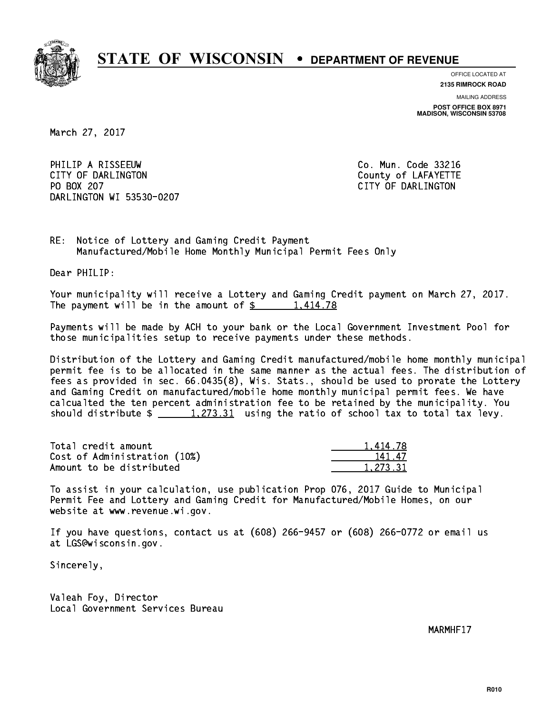

**OFFICE LOCATED AT 2135 RIMROCK ROAD**

**MAILING ADDRESS**

**POST OFFICE BOX 8971 MADISON, WISCONSIN 53708**

March 27, 2017

PHILIP A RISSEEUW Co. Mun. Code 33216 CITY OF DARLINGTON County of LAFAYETTE PO BOX 207 DARLINGTON WI 53530-0207

CITY OF DARLINGTON

RE: Notice of Lottery and Gaming Credit Payment Manufactured/Mobile Home Monthly Municipal Permit Fees Only

Dear PHILIP:

 Your municipality will receive a Lottery and Gaming Credit payment on March 27, 2017. The payment will be in the amount of  $\frac{2}{3}$  1,414.78

 Payments will be made by ACH to your bank or the Local Government Investment Pool for those municipalities setup to receive payments under these methods.

 Distribution of the Lottery and Gaming Credit manufactured/mobile home monthly municipal permit fee is to be allocated in the same manner as the actual fees. The distribution of fees as provided in sec. 66.0435(8), Wis. Stats., should be used to prorate the Lottery and Gaming Credit on manufactured/mobile home monthly municipal permit fees. We have calcualted the ten percent administration fee to be retained by the municipality. You should distribute  $\frac{1,273.31}{1,273.31}$  using the ratio of school tax to total tax levy.

Total credit amount Cost of Administration (10%) Amount to be distributed

| 4.78   |
|--------|
| 17     |
| 273.31 |

 To assist in your calculation, use publication Prop 076, 2017 Guide to Municipal Permit Fee and Lottery and Gaming Credit for Manufactured/Mobile Homes, on our website at www.revenue.wi.gov.

 If you have questions, contact us at (608) 266-9457 or (608) 266-0772 or email us at LGS@wisconsin.gov.

Sincerely,

 Valeah Foy, Director Local Government Services Bureau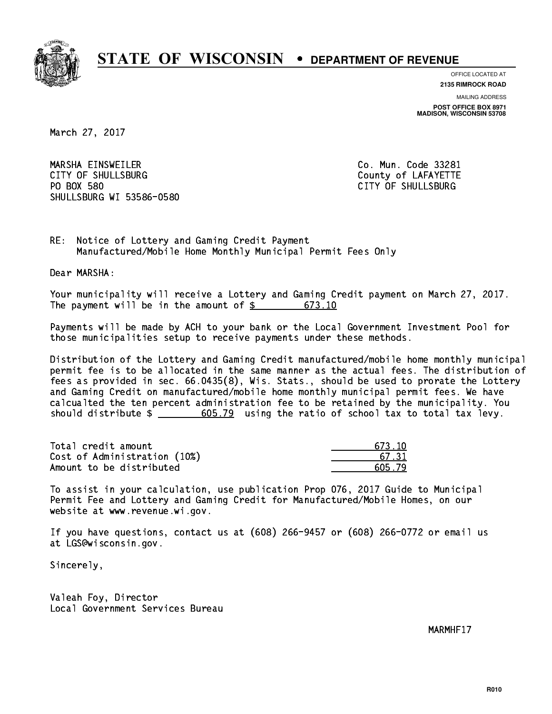

**OFFICE LOCATED AT 2135 RIMROCK ROAD**

**MAILING ADDRESS POST OFFICE BOX 8971 MADISON, WISCONSIN 53708**

March 27, 2017

 MARSHA EINSWEILER Co. Mun. Code 33281 CITY OF SHULLSBURG COUNTY COUNTY OF LAFAYETTE PO BOX 580 SHULLSBURG WI 53586-0580

CITY OF SHULLSBURG

RE: Notice of Lottery and Gaming Credit Payment Manufactured/Mobile Home Monthly Municipal Permit Fees Only

Dear MARSHA:

 Your municipality will receive a Lottery and Gaming Credit payment on March 27, 2017. The payment will be in the amount of  $\frac{2}{3}$  673.10

 Payments will be made by ACH to your bank or the Local Government Investment Pool for those municipalities setup to receive payments under these methods.

 Distribution of the Lottery and Gaming Credit manufactured/mobile home monthly municipal permit fee is to be allocated in the same manner as the actual fees. The distribution of fees as provided in sec. 66.0435(8), Wis. Stats., should be used to prorate the Lottery and Gaming Credit on manufactured/mobile home monthly municipal permit fees. We have calcualted the ten percent administration fee to be retained by the municipality. You should distribute  $\frac{2}{1-x} = \frac{605.79}{20}$  using the ratio of school tax to total tax levy.

| Total credit amount          | 673.10 |
|------------------------------|--------|
| Cost of Administration (10%) | 6731   |
| Amount to be distributed     | 605.79 |

 To assist in your calculation, use publication Prop 076, 2017 Guide to Municipal Permit Fee and Lottery and Gaming Credit for Manufactured/Mobile Homes, on our website at www.revenue.wi.gov.

 If you have questions, contact us at (608) 266-9457 or (608) 266-0772 or email us at LGS@wisconsin.gov.

Sincerely,

 Valeah Foy, Director Local Government Services Bureau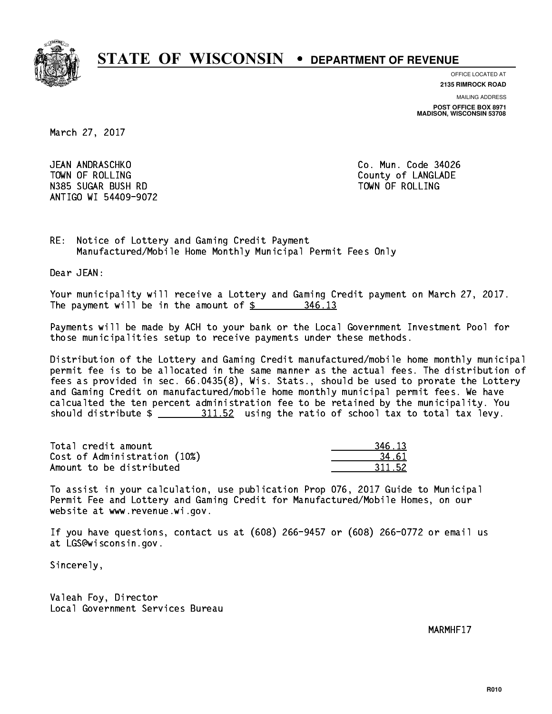

**OFFICE LOCATED AT**

**2135 RIMROCK ROAD**

**MAILING ADDRESS POST OFFICE BOX 8971 MADISON, WISCONSIN 53708**

March 27, 2017

JEAN ANDRASCHKO TOWN OF ROLLING **COUNTY OF ROLLING**  N385 SUGAR BUSH RD TOWN OF ROLLING ANTIGO WI 54409-9072

Co. Mun. Code 34026

RE: Notice of Lottery and Gaming Credit Payment Manufactured/Mobile Home Monthly Municipal Permit Fees Only

Dear JEAN:

 Your municipality will receive a Lottery and Gaming Credit payment on March 27, 2017. The payment will be in the amount of  $\frac{2}{3}$ 346.13

 Payments will be made by ACH to your bank or the Local Government Investment Pool for those municipalities setup to receive payments under these methods.

 Distribution of the Lottery and Gaming Credit manufactured/mobile home monthly municipal permit fee is to be allocated in the same manner as the actual fees. The distribution of fees as provided in sec. 66.0435(8), Wis. Stats., should be used to prorate the Lottery and Gaming Credit on manufactured/mobile home monthly municipal permit fees. We have calcualted the ten percent administration fee to be retained by the municipality. You should distribute  $\frac{2 \cdot 311.52}{2}$  using the ratio of school tax to total tax levy.

Total credit amount Cost of Administration (10%) Amount to be distributed

| ୀ ?        |
|------------|
| 51         |
| -52<br>211 |

 To assist in your calculation, use publication Prop 076, 2017 Guide to Municipal Permit Fee and Lottery and Gaming Credit for Manufactured/Mobile Homes, on our website at www.revenue.wi.gov.

 If you have questions, contact us at (608) 266-9457 or (608) 266-0772 or email us at LGS@wisconsin.gov.

Sincerely,

 Valeah Foy, Director Local Government Services Bureau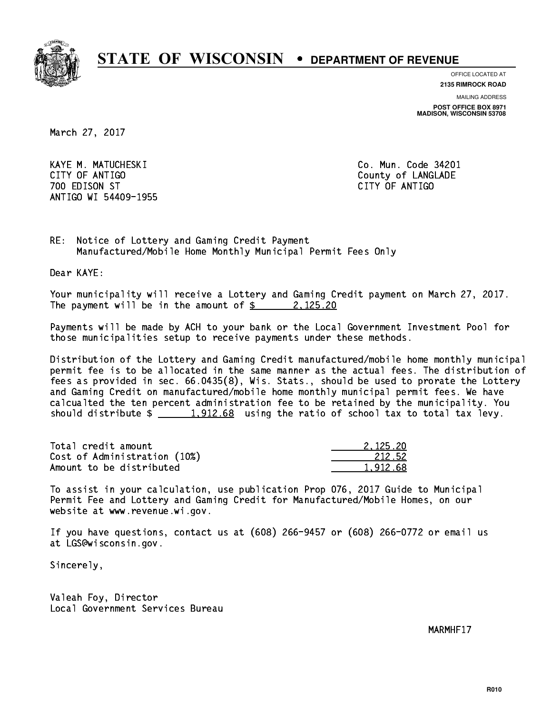

**OFFICE LOCATED AT**

**2135 RIMROCK ROAD**

**MAILING ADDRESS POST OFFICE BOX 8971 MADISON, WISCONSIN 53708**

March 27, 2017

 KAYE M. MATUCHESKI Co. Mun. Code 34201 CITY OF ANTIGO COUNTY OF ANTIGO 700 EDISON ST CITY OF ANTIGO ANTIGO WI 54409-1955

RE: Notice of Lottery and Gaming Credit Payment Manufactured/Mobile Home Monthly Municipal Permit Fees Only

Dear KAYE:

 Your municipality will receive a Lottery and Gaming Credit payment on March 27, 2017. The payment will be in the amount of  $\frac{2}{3}$  2,125.20

 Payments will be made by ACH to your bank or the Local Government Investment Pool for those municipalities setup to receive payments under these methods.

 Distribution of the Lottery and Gaming Credit manufactured/mobile home monthly municipal permit fee is to be allocated in the same manner as the actual fees. The distribution of fees as provided in sec. 66.0435(8), Wis. Stats., should be used to prorate the Lottery and Gaming Credit on manufactured/mobile home monthly municipal permit fees. We have calcualted the ten percent administration fee to be retained by the municipality. You should distribute  $\frac{1,912.68}{1,912.68}$  using the ratio of school tax to total tax levy.

| Total credit amount          | 2.125.20 |
|------------------------------|----------|
| Cost of Administration (10%) | 212.52   |
| Amount to be distributed     | 1.912.68 |

 To assist in your calculation, use publication Prop 076, 2017 Guide to Municipal Permit Fee and Lottery and Gaming Credit for Manufactured/Mobile Homes, on our website at www.revenue.wi.gov.

 If you have questions, contact us at (608) 266-9457 or (608) 266-0772 or email us at LGS@wisconsin.gov.

Sincerely,

 Valeah Foy, Director Local Government Services Bureau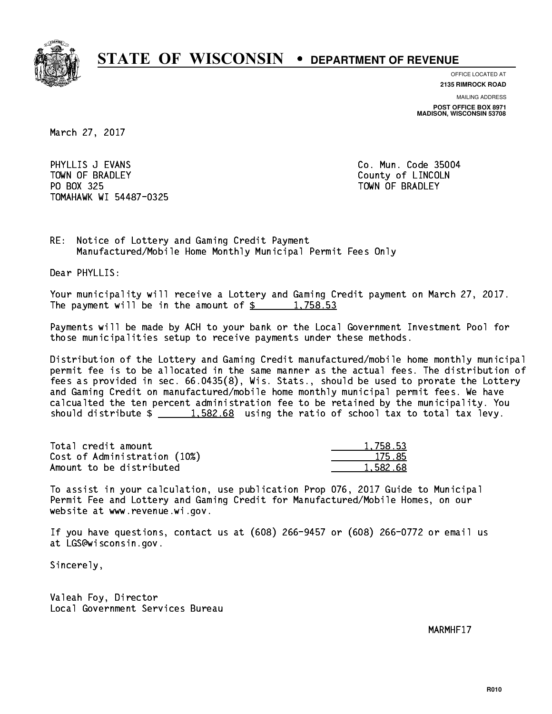

**OFFICE LOCATED AT**

**2135 RIMROCK ROAD**

**MAILING ADDRESS**

**POST OFFICE BOX 8971 MADISON, WISCONSIN 53708**

March 27, 2017

PHYLLIS J EVANS **Co. Mun. Code 35004** TOWN OF BRADLEY **COUNTY COULD AND ACCOUNT OF COULD A** PO BOX 325 PO BOX 325 TOWN OF BRADLEY TOMAHAWK WI 54487-0325

RE: Notice of Lottery and Gaming Credit Payment Manufactured/Mobile Home Monthly Municipal Permit Fees Only

Dear PHYLLIS:

 Your municipality will receive a Lottery and Gaming Credit payment on March 27, 2017. The payment will be in the amount of  $\frac{2}{3}$  1,758.53

 Payments will be made by ACH to your bank or the Local Government Investment Pool for those municipalities setup to receive payments under these methods.

 Distribution of the Lottery and Gaming Credit manufactured/mobile home monthly municipal permit fee is to be allocated in the same manner as the actual fees. The distribution of fees as provided in sec. 66.0435(8), Wis. Stats., should be used to prorate the Lottery and Gaming Credit on manufactured/mobile home monthly municipal permit fees. We have calcualted the ten percent administration fee to be retained by the municipality. You should distribute  $\frac{1.582.68}{1.582.68}$  using the ratio of school tax to total tax levy.

| Total credit amount          | 1,758.53 |
|------------------------------|----------|
| Cost of Administration (10%) | 175.85   |
| Amount to be distributed     | 1,582.68 |

 To assist in your calculation, use publication Prop 076, 2017 Guide to Municipal Permit Fee and Lottery and Gaming Credit for Manufactured/Mobile Homes, on our website at www.revenue.wi.gov.

 If you have questions, contact us at (608) 266-9457 or (608) 266-0772 or email us at LGS@wisconsin.gov.

Sincerely,

 Valeah Foy, Director Local Government Services Bureau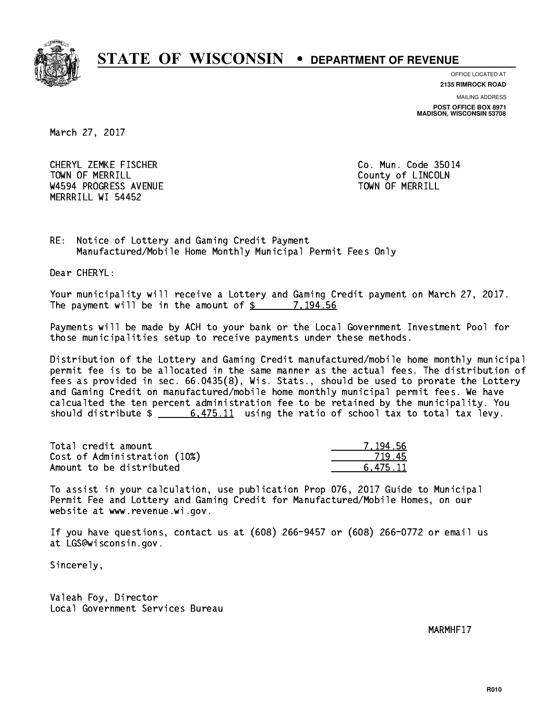

**OFFICE LOCATED AT**

**2135 RIMROCK ROAD**

**MAILING ADDRESS POST OFFICE BOX 8971 MADISON, WISCONSIN 53708**

March 27, 2017

 CHERYL ZEMKE FISCHER Co. Mun. Code 35014 TOWN OF MERRILL **TOWN OF MERRILL** W4594 PROGRESS AVENUE TOWN OF MERRILL MERRRILL WI 54452

RE: Notice of Lottery and Gaming Credit Payment Manufactured/Mobile Home Monthly Municipal Permit Fees Only

Dear CHERYL:

 Your municipality will receive a Lottery and Gaming Credit payment on March 27, 2017. The payment will be in the amount of  $\frac{2}{3}$  7,194.56

 Payments will be made by ACH to your bank or the Local Government Investment Pool for those municipalities setup to receive payments under these methods.

 Distribution of the Lottery and Gaming Credit manufactured/mobile home monthly municipal permit fee is to be allocated in the same manner as the actual fees. The distribution of fees as provided in sec. 66.0435(8), Wis. Stats., should be used to prorate the Lottery and Gaming Credit on manufactured/mobile home monthly municipal permit fees. We have calcualted the ten percent administration fee to be retained by the municipality. You should distribute  $\frac{2}{1}$   $\frac{6,475.11}{2}$  using the ratio of school tax to total tax levy.

| Total credit amount          | 7.194.56 |
|------------------------------|----------|
| Cost of Administration (10%) | 719.45   |
| Amount to be distributed     | 6.475.11 |

 To assist in your calculation, use publication Prop 076, 2017 Guide to Municipal Permit Fee and Lottery and Gaming Credit for Manufactured/Mobile Homes, on our website at www.revenue.wi.gov.

 If you have questions, contact us at (608) 266-9457 or (608) 266-0772 or email us at LGS@wisconsin.gov.

Sincerely,

 Valeah Foy, Director Local Government Services Bureau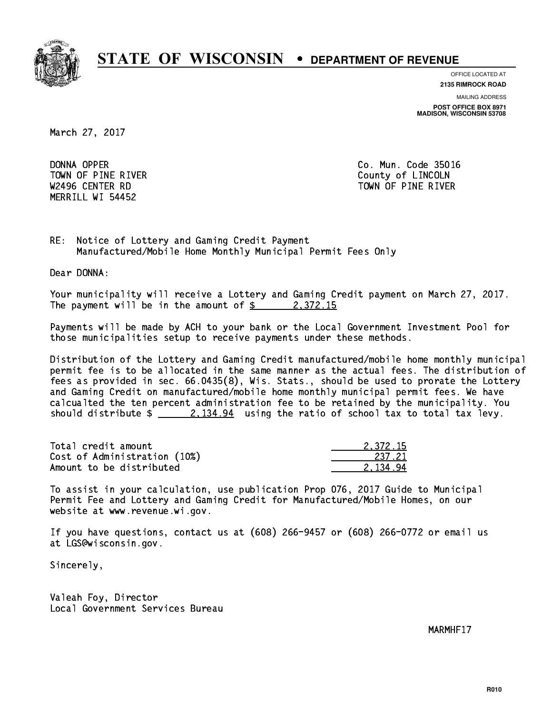

**OFFICE LOCATED AT**

**2135 RIMROCK ROAD**

**MAILING ADDRESS**

**POST OFFICE BOX 8971 MADISON, WISCONSIN 53708**

March 27, 2017

DONNA OPPER TOWN OF PINE RIVER **COUNTY COUNTY OF LINCOLN** MERRILL WI 54452

Co. Mun. Code 35016 W2496 CENTER RD TOWN OF PINE RIVER

RE: Notice of Lottery and Gaming Credit Payment Manufactured/Mobile Home Monthly Municipal Permit Fees Only

Dear DONNA:

 Your municipality will receive a Lottery and Gaming Credit payment on March 27, 2017. The payment will be in the amount of  $\frac{2}{3}$  2,372.15

 Payments will be made by ACH to your bank or the Local Government Investment Pool for those municipalities setup to receive payments under these methods.

 Distribution of the Lottery and Gaming Credit manufactured/mobile home monthly municipal permit fee is to be allocated in the same manner as the actual fees. The distribution of fees as provided in sec. 66.0435(8), Wis. Stats., should be used to prorate the Lottery and Gaming Credit on manufactured/mobile home monthly municipal permit fees. We have calcualted the ten percent administration fee to be retained by the municipality. You should distribute  $\frac{2.134.94}{2.134.94}$  using the ratio of school tax to total tax levy.

| Total credit amount          | 2.372.15 |
|------------------------------|----------|
| Cost of Administration (10%) | 237.21   |
| Amount to be distributed     | 2.134.94 |

 To assist in your calculation, use publication Prop 076, 2017 Guide to Municipal Permit Fee and Lottery and Gaming Credit for Manufactured/Mobile Homes, on our website at www.revenue.wi.gov.

 If you have questions, contact us at (608) 266-9457 or (608) 266-0772 or email us at LGS@wisconsin.gov.

Sincerely,

 Valeah Foy, Director Local Government Services Bureau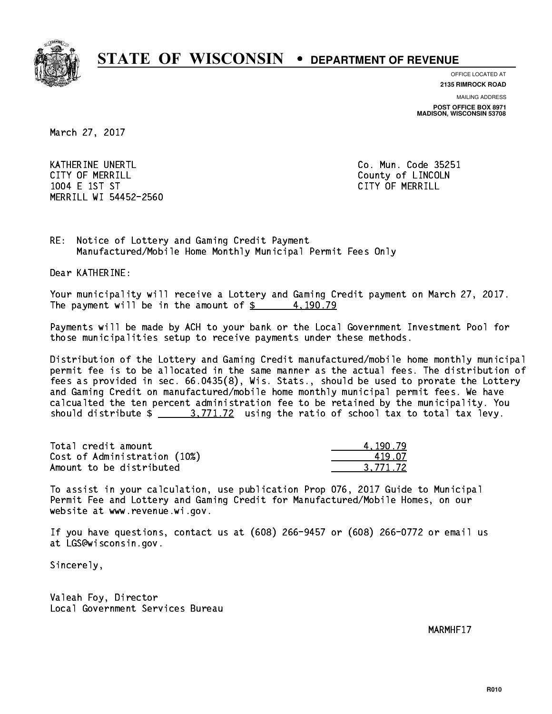

**OFFICE LOCATED AT**

**2135 RIMROCK ROAD**

**MAILING ADDRESS**

**POST OFFICE BOX 8971 MADISON, WISCONSIN 53708**

March 27, 2017

KATHERINE UNERTL Communication of the contract of the contract of the code 25251 CITY OF MERRILL **COUNTY OF MERRILL**  1004 E 1ST ST CITY OF MERRILL MERRILL WI 54452-2560

RE: Notice of Lottery and Gaming Credit Payment Manufactured/Mobile Home Monthly Municipal Permit Fees Only

Dear KATHERINE:

 Your municipality will receive a Lottery and Gaming Credit payment on March 27, 2017. The payment will be in the amount of  $\frac{2}{3}$  4,190.79

 Payments will be made by ACH to your bank or the Local Government Investment Pool for those municipalities setup to receive payments under these methods.

 Distribution of the Lottery and Gaming Credit manufactured/mobile home monthly municipal permit fee is to be allocated in the same manner as the actual fees. The distribution of fees as provided in sec. 66.0435(8), Wis. Stats., should be used to prorate the Lottery and Gaming Credit on manufactured/mobile home monthly municipal permit fees. We have calcualted the ten percent administration fee to be retained by the municipality. You should distribute  $\frac{2}{1}$   $\frac{3}{771.72}$  using the ratio of school tax to total tax levy.

| Total credit amount          | 4.190.79 |
|------------------------------|----------|
| Cost of Administration (10%) | 419 N7   |
| Amount to be distributed     | 3.771.72 |

 To assist in your calculation, use publication Prop 076, 2017 Guide to Municipal Permit Fee and Lottery and Gaming Credit for Manufactured/Mobile Homes, on our website at www.revenue.wi.gov.

 If you have questions, contact us at (608) 266-9457 or (608) 266-0772 or email us at LGS@wisconsin.gov.

Sincerely,

 Valeah Foy, Director Local Government Services Bureau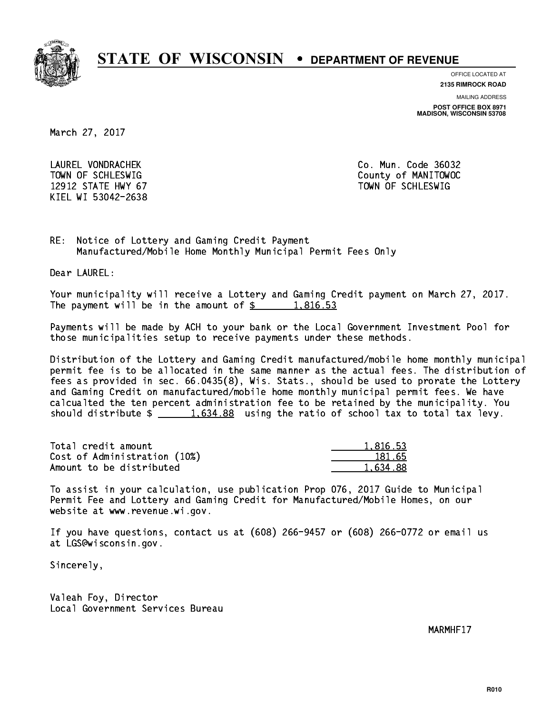

**OFFICE LOCATED AT**

**2135 RIMROCK ROAD**

**MAILING ADDRESS**

**POST OFFICE BOX 8971 MADISON, WISCONSIN 53708**

March 27, 2017

 LAUREL VONDRACHEK Co. Mun. Code 36032 12912 STATE HWY 67 TOWN OF SCHLESWIG KIEL WI 53042-2638

TOWN OF SCHLESWIG County of MANITOWOC

RE: Notice of Lottery and Gaming Credit Payment Manufactured/Mobile Home Monthly Municipal Permit Fees Only

Dear LAUREL:

 Your municipality will receive a Lottery and Gaming Credit payment on March 27, 2017. The payment will be in the amount of  $\frac{2}{3}$  1,816.53

 Payments will be made by ACH to your bank or the Local Government Investment Pool for those municipalities setup to receive payments under these methods.

 Distribution of the Lottery and Gaming Credit manufactured/mobile home monthly municipal permit fee is to be allocated in the same manner as the actual fees. The distribution of fees as provided in sec. 66.0435(8), Wis. Stats., should be used to prorate the Lottery and Gaming Credit on manufactured/mobile home monthly municipal permit fees. We have calcualted the ten percent administration fee to be retained by the municipality. You should distribute  $\frac{1.634.88}{1.634.88}$  using the ratio of school tax to total tax levy.

| Total credit amount          | 1.816.53 |
|------------------------------|----------|
| Cost of Administration (10%) | 181.65   |
| Amount to be distributed     | 1.634.88 |

 To assist in your calculation, use publication Prop 076, 2017 Guide to Municipal Permit Fee and Lottery and Gaming Credit for Manufactured/Mobile Homes, on our website at www.revenue.wi.gov.

 If you have questions, contact us at (608) 266-9457 or (608) 266-0772 or email us at LGS@wisconsin.gov.

Sincerely,

 Valeah Foy, Director Local Government Services Bureau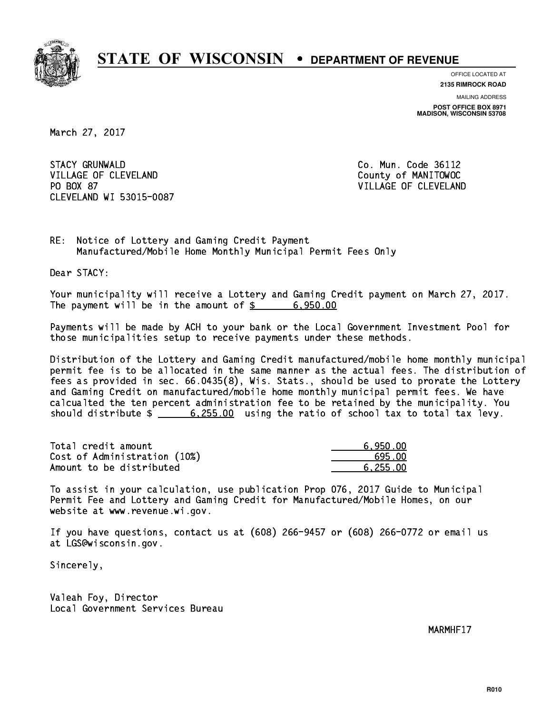

**OFFICE LOCATED AT**

**2135 RIMROCK ROAD**

**MAILING ADDRESS POST OFFICE BOX 8971 MADISON, WISCONSIN 53708**

March 27, 2017

**STACY GRUNWALD** VILLAGE OF CLEVELAND COUNTY OF MANITOWOC PO BOX 87 CLEVELAND WI 53015-0087

Co. Mun. Code 36112 VILLAGE OF CLEVELAND

RE: Notice of Lottery and Gaming Credit Payment Manufactured/Mobile Home Monthly Municipal Permit Fees Only

Dear STACY:

 Your municipality will receive a Lottery and Gaming Credit payment on March 27, 2017. The payment will be in the amount of  $\frac{2}{3}$  6,950.00

 Payments will be made by ACH to your bank or the Local Government Investment Pool for those municipalities setup to receive payments under these methods.

 Distribution of the Lottery and Gaming Credit manufactured/mobile home monthly municipal permit fee is to be allocated in the same manner as the actual fees. The distribution of fees as provided in sec. 66.0435(8), Wis. Stats., should be used to prorate the Lottery and Gaming Credit on manufactured/mobile home monthly municipal permit fees. We have calcualted the ten percent administration fee to be retained by the municipality. You should distribute  $\frac{255.00}{255.00}$  using the ratio of school tax to total tax levy.

| Total credit amount          | 6,950.00 |
|------------------------------|----------|
| Cost of Administration (10%) | 695.00   |
| Amount to be distributed     | 6.255.00 |

 To assist in your calculation, use publication Prop 076, 2017 Guide to Municipal Permit Fee and Lottery and Gaming Credit for Manufactured/Mobile Homes, on our website at www.revenue.wi.gov.

 If you have questions, contact us at (608) 266-9457 or (608) 266-0772 or email us at LGS@wisconsin.gov.

Sincerely,

 Valeah Foy, Director Local Government Services Bureau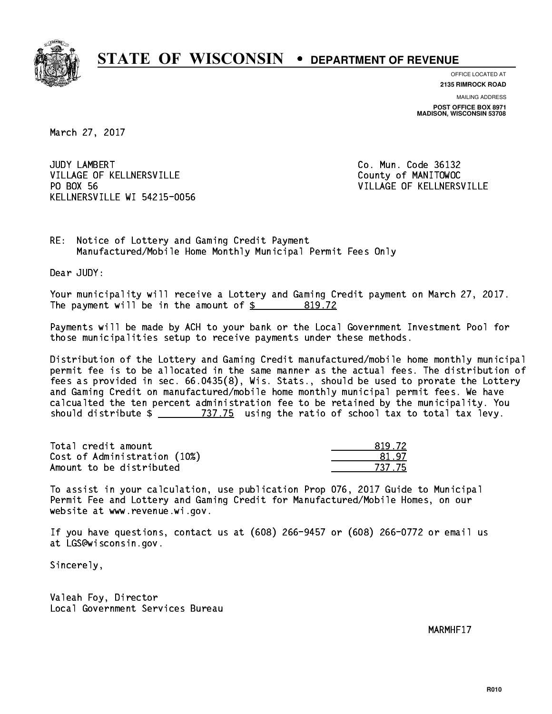

**OFFICE LOCATED AT**

**2135 RIMROCK ROAD**

**MAILING ADDRESS POST OFFICE BOX 8971 MADISON, WISCONSIN 53708**

March 27, 2017

JUDY LAMBERT VILLAGE OF KELLNERSVILLE COUNTY OF MANITOWOC PO BOX 56 KELLNERSVILLE WI 54215-0056

Co. Mun. Code 36132 VILLAGE OF KELLNERSVILLE

RE: Notice of Lottery and Gaming Credit Payment Manufactured/Mobile Home Monthly Municipal Permit Fees Only

Dear JUDY:

 Your municipality will receive a Lottery and Gaming Credit payment on March 27, 2017. The payment will be in the amount of \$ 819.72 \_\_\_\_\_\_\_\_\_\_\_\_\_\_\_\_

 Payments will be made by ACH to your bank or the Local Government Investment Pool for those municipalities setup to receive payments under these methods.

 Distribution of the Lottery and Gaming Credit manufactured/mobile home monthly municipal permit fee is to be allocated in the same manner as the actual fees. The distribution of fees as provided in sec. 66.0435(8), Wis. Stats., should be used to prorate the Lottery and Gaming Credit on manufactured/mobile home monthly municipal permit fees. We have calcualted the ten percent administration fee to be retained by the municipality. You should distribute  $\frac{2}{2}$   $\frac{737.75}{2}$  using the ratio of school tax to total tax levy.

Total credit amount Cost of Administration (10%) Amount to be distributed

| I. 12     |
|-----------|
| ч7        |
| ,, 7<br>Կ |

 To assist in your calculation, use publication Prop 076, 2017 Guide to Municipal Permit Fee and Lottery and Gaming Credit for Manufactured/Mobile Homes, on our website at www.revenue.wi.gov.

 If you have questions, contact us at (608) 266-9457 or (608) 266-0772 or email us at LGS@wisconsin.gov.

Sincerely,

 Valeah Foy, Director Local Government Services Bureau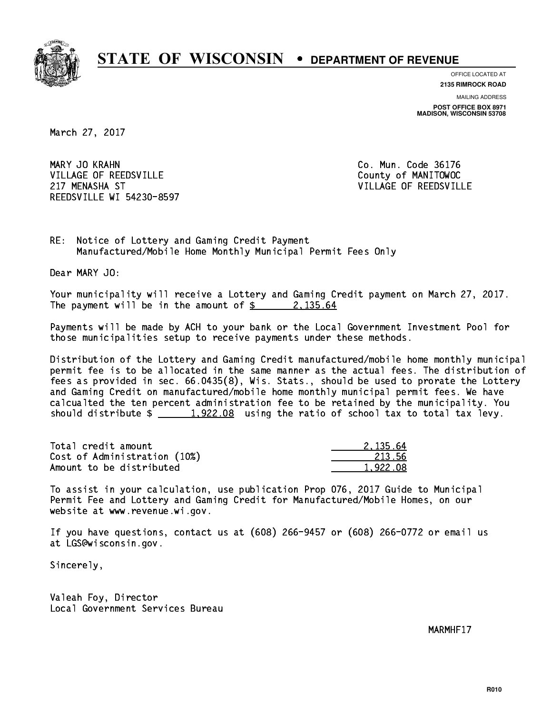

**OFFICE LOCATED AT 2135 RIMROCK ROAD**

**MAILING ADDRESS POST OFFICE BOX 8971 MADISON, WISCONSIN 53708**

March 27, 2017

MARY JO KRAHN VILLAGE OF REEDSVILLE COUNTY OF MANITOWOC 217 MENASHA ST VILLAGE OF REEDSVILLE REEDSVILLE WI 54230-8597

Co. Mun. Code 36176

RE: Notice of Lottery and Gaming Credit Payment Manufactured/Mobile Home Monthly Municipal Permit Fees Only

Dear MARY JO:

 Your municipality will receive a Lottery and Gaming Credit payment on March 27, 2017. The payment will be in the amount of  $\frac{2}{3}$  2,135.64

 Payments will be made by ACH to your bank or the Local Government Investment Pool for those municipalities setup to receive payments under these methods.

 Distribution of the Lottery and Gaming Credit manufactured/mobile home monthly municipal permit fee is to be allocated in the same manner as the actual fees. The distribution of fees as provided in sec. 66.0435(8), Wis. Stats., should be used to prorate the Lottery and Gaming Credit on manufactured/mobile home monthly municipal permit fees. We have calcualted the ten percent administration fee to be retained by the municipality. You should distribute  $\frac{1,922.08}{1,922.08}$  using the ratio of school tax to total tax levy.

| Total credit amount          |  |
|------------------------------|--|
| Cost of Administration (10%) |  |
| Amount to be distributed     |  |

 Cost of Administration (10%) 213.56 \_\_\_\_\_\_\_\_\_\_\_\_\_\_ Amount to be distributed 1,922.08 \_\_\_\_\_\_\_\_\_\_\_\_\_\_

<u>2,135.64</u>

 To assist in your calculation, use publication Prop 076, 2017 Guide to Municipal Permit Fee and Lottery and Gaming Credit for Manufactured/Mobile Homes, on our website at www.revenue.wi.gov.

 If you have questions, contact us at (608) 266-9457 or (608) 266-0772 or email us at LGS@wisconsin.gov.

Sincerely,

 Valeah Foy, Director Local Government Services Bureau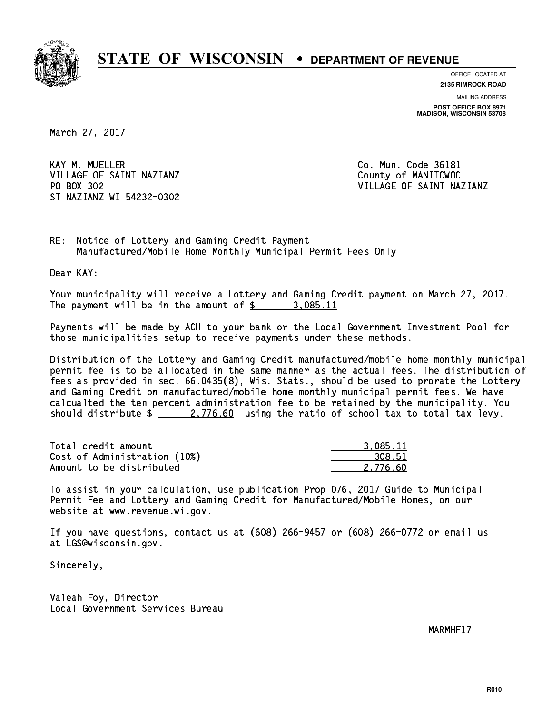

**OFFICE LOCATED AT 2135 RIMROCK ROAD**

**MAILING ADDRESS**

**POST OFFICE BOX 8971 MADISON, WISCONSIN 53708**

March 27, 2017

KAY M. MUELLER VILLAGE OF SAINT NAZIANZ County of MANITOWOC PO BOX 302 ST NAZIANZ WI 54232-0302

Co. Mun. Code 36181 VILLAGE OF SAINT NAZIANZ

RE: Notice of Lottery and Gaming Credit Payment Manufactured/Mobile Home Monthly Municipal Permit Fees Only

Dear KAY:

 Your municipality will receive a Lottery and Gaming Credit payment on March 27, 2017. The payment will be in the amount of  $\frac{2}{3}$  3,085.11

 Payments will be made by ACH to your bank or the Local Government Investment Pool for those municipalities setup to receive payments under these methods.

 Distribution of the Lottery and Gaming Credit manufactured/mobile home monthly municipal permit fee is to be allocated in the same manner as the actual fees. The distribution of fees as provided in sec. 66.0435(8), Wis. Stats., should be used to prorate the Lottery and Gaming Credit on manufactured/mobile home monthly municipal permit fees. We have calcualted the ten percent administration fee to be retained by the municipality. You should distribute  $\frac{2.776.60}{2.776.60}$  using the ratio of school tax to total tax levy.

| Total credit amount          | 3.085.11 |
|------------------------------|----------|
| Cost of Administration (10%) | 308.51   |
| Amount to be distributed     | 2.776.60 |

 To assist in your calculation, use publication Prop 076, 2017 Guide to Municipal Permit Fee and Lottery and Gaming Credit for Manufactured/Mobile Homes, on our website at www.revenue.wi.gov.

 If you have questions, contact us at (608) 266-9457 or (608) 266-0772 or email us at LGS@wisconsin.gov.

Sincerely,

 Valeah Foy, Director Local Government Services Bureau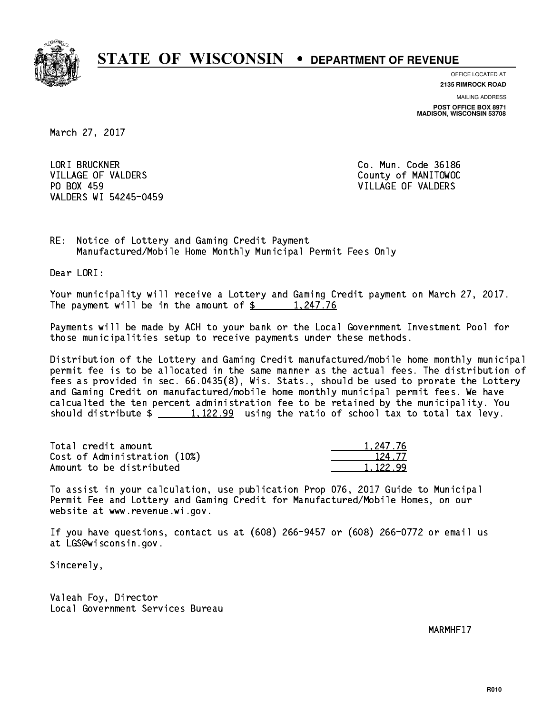

**OFFICE LOCATED AT**

**2135 RIMROCK ROAD**

**MAILING ADDRESS POST OFFICE BOX 8971 MADISON, WISCONSIN 53708**

March 27, 2017

 LORI BRUCKNER Co. Mun. Code 36186 VILLAGE OF VALDERS **COUNTY OF VALUE OF VALUE OF VALUE OF SALE**  PO BOX 459 VILLAGE OF VALDERS VALDERS WI 54245-0459

RE: Notice of Lottery and Gaming Credit Payment Manufactured/Mobile Home Monthly Municipal Permit Fees Only

Dear LORI:

 Your municipality will receive a Lottery and Gaming Credit payment on March 27, 2017. The payment will be in the amount of  $\frac{2}{3}$  1,247.76

 Payments will be made by ACH to your bank or the Local Government Investment Pool for those municipalities setup to receive payments under these methods.

 Distribution of the Lottery and Gaming Credit manufactured/mobile home monthly municipal permit fee is to be allocated in the same manner as the actual fees. The distribution of fees as provided in sec. 66.0435(8), Wis. Stats., should be used to prorate the Lottery and Gaming Credit on manufactured/mobile home monthly municipal permit fees. We have calcualted the ten percent administration fee to be retained by the municipality. You should distribute  $\frac{1,122.99}{1,122.99}$  using the ratio of school tax to total tax levy.

Total credit amount Cost of Administration (10%) Amount to be distributed

| 1,247.76 |
|----------|
| 124.77   |
| 122.99   |

 To assist in your calculation, use publication Prop 076, 2017 Guide to Municipal Permit Fee and Lottery and Gaming Credit for Manufactured/Mobile Homes, on our website at www.revenue.wi.gov.

 If you have questions, contact us at (608) 266-9457 or (608) 266-0772 or email us at LGS@wisconsin.gov.

Sincerely,

 Valeah Foy, Director Local Government Services Bureau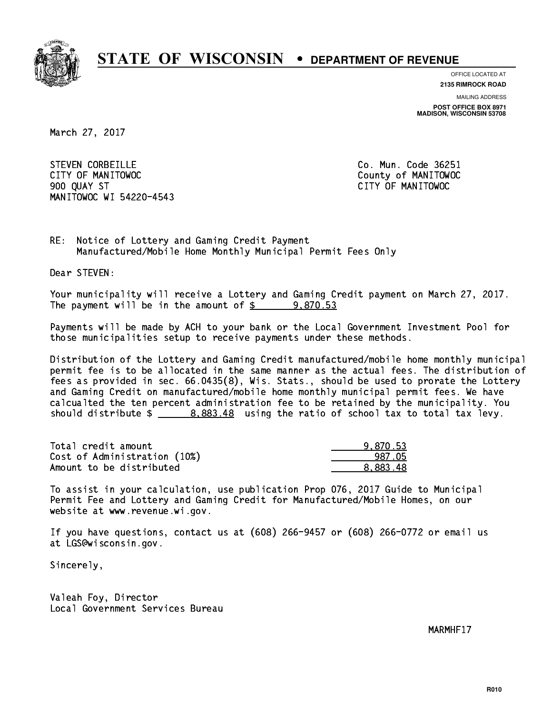

**OFFICE LOCATED AT**

**2135 RIMROCK ROAD**

**MAILING ADDRESS**

**POST OFFICE BOX 8971 MADISON, WISCONSIN 53708**

March 27, 2017

STEVEN CORBEILLE **CO. Mun. Code 36251**  CITY OF MANITOWOC County of MANITOWOC 900 QUAY ST CITY OF MANITOWOC MANITOWOC WI 54220-4543

RE: Notice of Lottery and Gaming Credit Payment Manufactured/Mobile Home Monthly Municipal Permit Fees Only

Dear STEVEN:

 Your municipality will receive a Lottery and Gaming Credit payment on March 27, 2017. The payment will be in the amount of  $\frac{2}{3}$  9,870.53

 Payments will be made by ACH to your bank or the Local Government Investment Pool for those municipalities setup to receive payments under these methods.

 Distribution of the Lottery and Gaming Credit manufactured/mobile home monthly municipal permit fee is to be allocated in the same manner as the actual fees. The distribution of fees as provided in sec. 66.0435(8), Wis. Stats., should be used to prorate the Lottery and Gaming Credit on manufactured/mobile home monthly municipal permit fees. We have calcualted the ten percent administration fee to be retained by the municipality. You should distribute  $\frac{2}{1}$   $\frac{8,883.48}{2}$  using the ratio of school tax to total tax levy.

| Total credit amount          | 9.870.53 |
|------------------------------|----------|
| Cost of Administration (10%) | 987.05   |
| Amount to be distributed     | 8.883.48 |

 To assist in your calculation, use publication Prop 076, 2017 Guide to Municipal Permit Fee and Lottery and Gaming Credit for Manufactured/Mobile Homes, on our website at www.revenue.wi.gov.

 If you have questions, contact us at (608) 266-9457 or (608) 266-0772 or email us at LGS@wisconsin.gov.

Sincerely,

 Valeah Foy, Director Local Government Services Bureau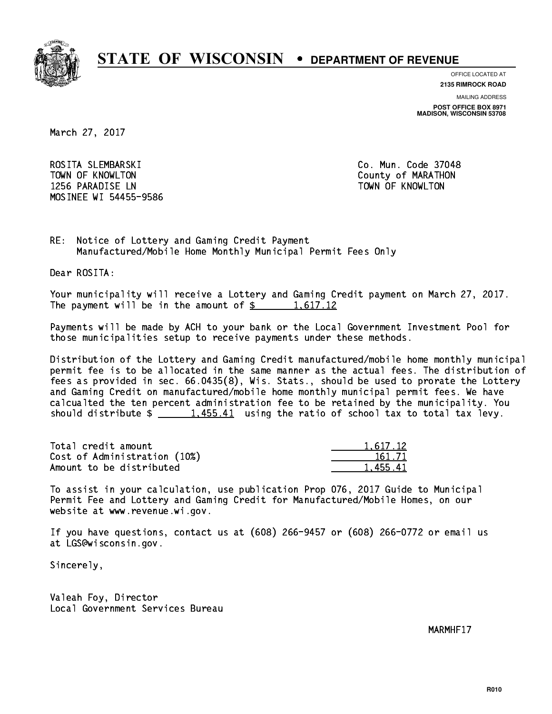

**OFFICE LOCATED AT 2135 RIMROCK ROAD**

**MAILING ADDRESS POST OFFICE BOX 8971 MADISON, WISCONSIN 53708**

March 27, 2017

 ROSITA SLEMBARSKI Co. Mun. Code 37048 TOWN OF KNOWLTON County of MARATHON 1256 PARADISE LN TOWN OF KNOWLTON MOSINEE WI 54455-9586

RE: Notice of Lottery and Gaming Credit Payment Manufactured/Mobile Home Monthly Municipal Permit Fees Only

Dear ROSITA:

 Your municipality will receive a Lottery and Gaming Credit payment on March 27, 2017. The payment will be in the amount of  $\frac{2}{3}$  1,617.12

 Payments will be made by ACH to your bank or the Local Government Investment Pool for those municipalities setup to receive payments under these methods.

 Distribution of the Lottery and Gaming Credit manufactured/mobile home monthly municipal permit fee is to be allocated in the same manner as the actual fees. The distribution of fees as provided in sec. 66.0435(8), Wis. Stats., should be used to prorate the Lottery and Gaming Credit on manufactured/mobile home monthly municipal permit fees. We have calcualted the ten percent administration fee to be retained by the municipality. You should distribute  $\frac{1,455.41}{1,455.41}$  using the ratio of school tax to total tax levy.

| Total credit amount          | 1.617.12 |
|------------------------------|----------|
| Cost of Administration (10%) | 161.71   |
| Amount to be distributed     | 1.455.41 |

 To assist in your calculation, use publication Prop 076, 2017 Guide to Municipal Permit Fee and Lottery and Gaming Credit for Manufactured/Mobile Homes, on our website at www.revenue.wi.gov.

 If you have questions, contact us at (608) 266-9457 or (608) 266-0772 or email us at LGS@wisconsin.gov.

Sincerely,

 Valeah Foy, Director Local Government Services Bureau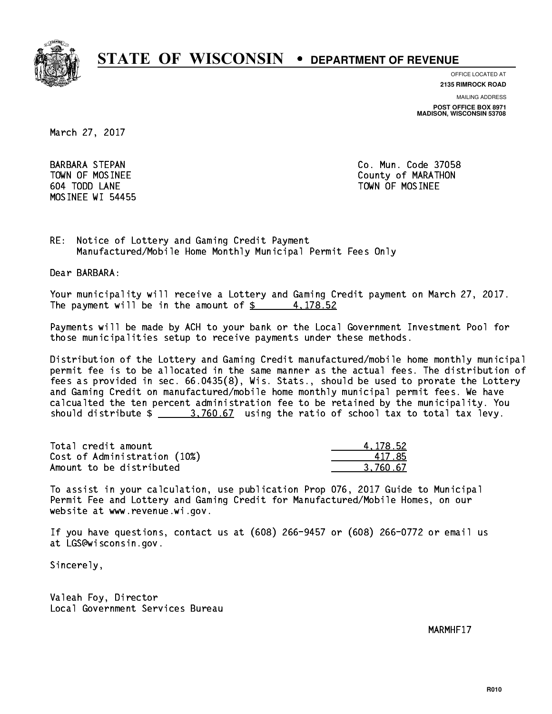

**OFFICE LOCATED AT**

**2135 RIMROCK ROAD**

**MAILING ADDRESS**

**POST OFFICE BOX 8971 MADISON, WISCONSIN 53708**

March 27, 2017

MOSINEE WI 54455

BARBARA STEPAN Communication of the contract of the contract of the contract of the code 37058 TOWN OF MOSINEE County of MARATHON 604 TODD LANE TOWN OF MOSINEE

RE: Notice of Lottery and Gaming Credit Payment Manufactured/Mobile Home Monthly Municipal Permit Fees Only

Dear BARBARA:

 Your municipality will receive a Lottery and Gaming Credit payment on March 27, 2017. The payment will be in the amount of  $\frac{2}{3}$  4,178.52

 Payments will be made by ACH to your bank or the Local Government Investment Pool for those municipalities setup to receive payments under these methods.

 Distribution of the Lottery and Gaming Credit manufactured/mobile home monthly municipal permit fee is to be allocated in the same manner as the actual fees. The distribution of fees as provided in sec. 66.0435(8), Wis. Stats., should be used to prorate the Lottery and Gaming Credit on manufactured/mobile home monthly municipal permit fees. We have calcualted the ten percent administration fee to be retained by the municipality. You should distribute  $\frac{2}{1}$   $\frac{3,760.67}{2}$  using the ratio of school tax to total tax levy.

| Total credit amount          | 4.178.52 |
|------------------------------|----------|
| Cost of Administration (10%) | 417.85   |
| Amount to be distributed     | 3.760.67 |

 To assist in your calculation, use publication Prop 076, 2017 Guide to Municipal Permit Fee and Lottery and Gaming Credit for Manufactured/Mobile Homes, on our website at www.revenue.wi.gov.

 If you have questions, contact us at (608) 266-9457 or (608) 266-0772 or email us at LGS@wisconsin.gov.

Sincerely,

 Valeah Foy, Director Local Government Services Bureau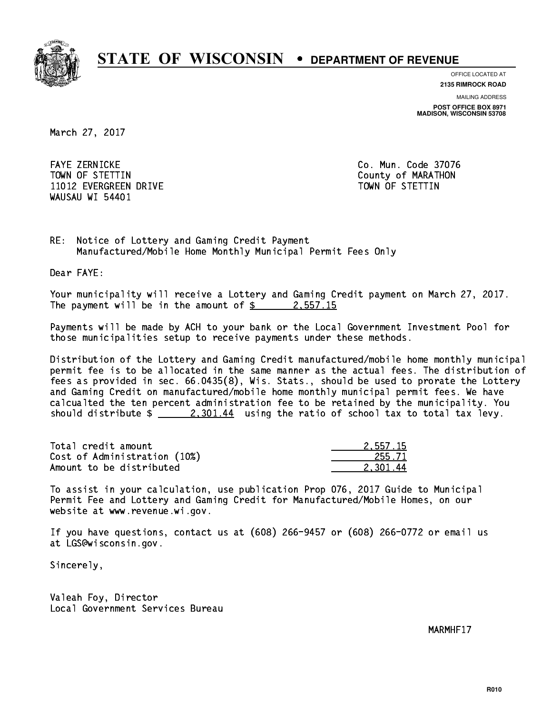

**OFFICE LOCATED AT**

**2135 RIMROCK ROAD**

**MAILING ADDRESS**

**POST OFFICE BOX 8971 MADISON, WISCONSIN 53708**

March 27, 2017

 FAYE ZERNICKE Co. Mun. Code 37076 TOWN OF STETTIN COUNTY OF MARATHON 11012 EVERGREEN DRIVE TOWN OF STETTIN WAUSAU WI 54401

RE: Notice of Lottery and Gaming Credit Payment Manufactured/Mobile Home Monthly Municipal Permit Fees Only

Dear FAYE:

 Your municipality will receive a Lottery and Gaming Credit payment on March 27, 2017. The payment will be in the amount of  $\frac{2.557.15}{2.557.15}$ 

 Payments will be made by ACH to your bank or the Local Government Investment Pool for those municipalities setup to receive payments under these methods.

 Distribution of the Lottery and Gaming Credit manufactured/mobile home monthly municipal permit fee is to be allocated in the same manner as the actual fees. The distribution of fees as provided in sec. 66.0435(8), Wis. Stats., should be used to prorate the Lottery and Gaming Credit on manufactured/mobile home monthly municipal permit fees. We have calcualted the ten percent administration fee to be retained by the municipality. You should distribute  $\frac{2,301.44}{2}$  using the ratio of school tax to total tax levy.

| Total credit amount          | 2.557.15 |
|------------------------------|----------|
| Cost of Administration (10%) | 255.71   |
| Amount to be distributed     | 2.301.44 |

 To assist in your calculation, use publication Prop 076, 2017 Guide to Municipal Permit Fee and Lottery and Gaming Credit for Manufactured/Mobile Homes, on our website at www.revenue.wi.gov.

 If you have questions, contact us at (608) 266-9457 or (608) 266-0772 or email us at LGS@wisconsin.gov.

Sincerely,

 Valeah Foy, Director Local Government Services Bureau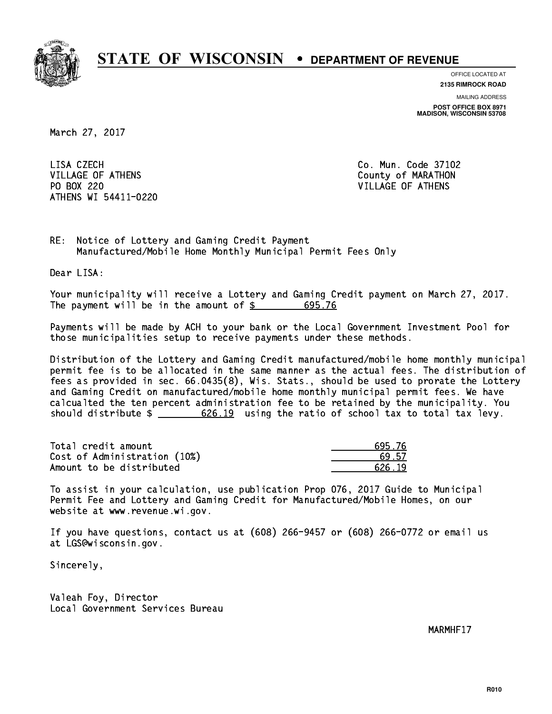

**OFFICE LOCATED AT**

**2135 RIMROCK ROAD**

**MAILING ADDRESS POST OFFICE BOX 8971 MADISON, WISCONSIN 53708**

March 27, 2017

LISA CZECH VILLAGE OF ATHENS County of MARATHON PO BOX 220 VILLAGE OF ATHENS ATHENS WI 54411-0220

Co. Mun. Code 37102

RE: Notice of Lottery and Gaming Credit Payment Manufactured/Mobile Home Monthly Municipal Permit Fees Only

Dear LISA:

 Your municipality will receive a Lottery and Gaming Credit payment on March 27, 2017. The payment will be in the amount of \$ 695.76 \_\_\_\_\_\_\_\_\_\_\_\_\_\_\_\_

 Payments will be made by ACH to your bank or the Local Government Investment Pool for those municipalities setup to receive payments under these methods.

 Distribution of the Lottery and Gaming Credit manufactured/mobile home monthly municipal permit fee is to be allocated in the same manner as the actual fees. The distribution of fees as provided in sec. 66.0435(8), Wis. Stats., should be used to prorate the Lottery and Gaming Credit on manufactured/mobile home monthly municipal permit fees. We have calcualted the ten percent administration fee to be retained by the municipality. You should distribute  $\frac{26.19}{2}$  using the ratio of school tax to total tax levy.

Total credit amount Cost of Administration (10%) Amount to be distributed

| 5.76   |
|--------|
| - 57   |
| 526.19 |

 To assist in your calculation, use publication Prop 076, 2017 Guide to Municipal Permit Fee and Lottery and Gaming Credit for Manufactured/Mobile Homes, on our website at www.revenue.wi.gov.

 If you have questions, contact us at (608) 266-9457 or (608) 266-0772 or email us at LGS@wisconsin.gov.

Sincerely,

 Valeah Foy, Director Local Government Services Bureau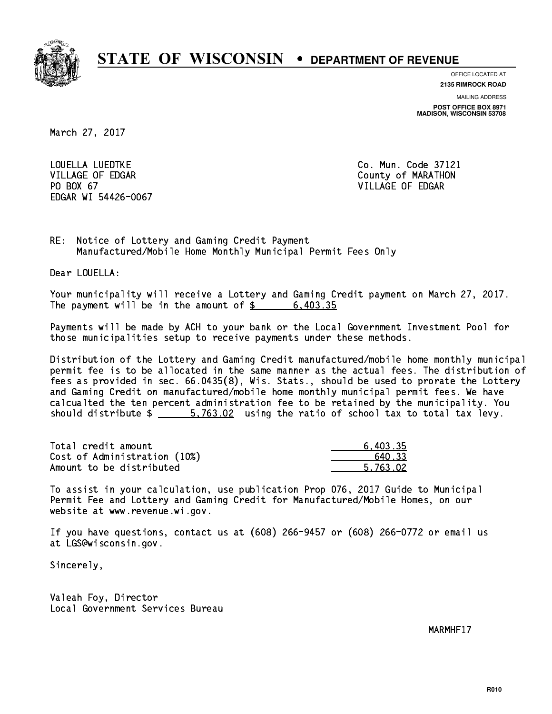

**OFFICE LOCATED AT**

**2135 RIMROCK ROAD**

**MAILING ADDRESS POST OFFICE BOX 8971 MADISON, WISCONSIN 53708**

March 27, 2017

 LOUELLA LUEDTKE Co. Mun. Code 37121 VILLAGE OF EDGAR County of MARATHON PO BOX 67 VILLAGE OF EDGAR EDGAR WI 54426-0067

RE: Notice of Lottery and Gaming Credit Payment Manufactured/Mobile Home Monthly Municipal Permit Fees Only

Dear LOUELLA:

 Your municipality will receive a Lottery and Gaming Credit payment on March 27, 2017. The payment will be in the amount of \$ 6,403.35 \_\_\_\_\_\_\_\_\_\_\_\_\_\_\_\_

 Payments will be made by ACH to your bank or the Local Government Investment Pool for those municipalities setup to receive payments under these methods.

 Distribution of the Lottery and Gaming Credit manufactured/mobile home monthly municipal permit fee is to be allocated in the same manner as the actual fees. The distribution of fees as provided in sec. 66.0435(8), Wis. Stats., should be used to prorate the Lottery and Gaming Credit on manufactured/mobile home monthly municipal permit fees. We have calcualted the ten percent administration fee to be retained by the municipality. You should distribute  $\frac{2}{1}$   $\frac{5,763.02}{2}$  using the ratio of school tax to total tax levy.

| Total credit amount          | 6,403.35 |
|------------------------------|----------|
| Cost of Administration (10%) | 640.33   |
| Amount to be distributed     | 5.763.02 |

 To assist in your calculation, use publication Prop 076, 2017 Guide to Municipal Permit Fee and Lottery and Gaming Credit for Manufactured/Mobile Homes, on our website at www.revenue.wi.gov.

 If you have questions, contact us at (608) 266-9457 or (608) 266-0772 or email us at LGS@wisconsin.gov.

Sincerely,

 Valeah Foy, Director Local Government Services Bureau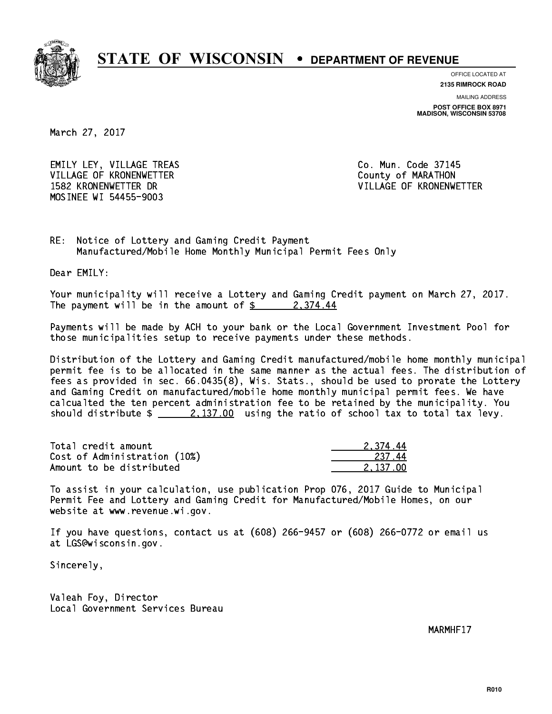

**OFFICE LOCATED AT**

**2135 RIMROCK ROAD**

**MAILING ADDRESS POST OFFICE BOX 8971 MADISON, WISCONSIN 53708**

March 27, 2017

EMILY LEY, VILLAGE TREAS CO. Mun. Code 37145 VILLAGE OF KRONENWETTER County of MARATHON 1582 KRONENWETTER DR VILLAGE OF KRONENWETTER MOSINEE WI 54455-9003

RE: Notice of Lottery and Gaming Credit Payment Manufactured/Mobile Home Monthly Municipal Permit Fees Only

Dear EMILY:

 Your municipality will receive a Lottery and Gaming Credit payment on March 27, 2017. The payment will be in the amount of  $\frac{2}{3}$  2,374.44

 Payments will be made by ACH to your bank or the Local Government Investment Pool for those municipalities setup to receive payments under these methods.

 Distribution of the Lottery and Gaming Credit manufactured/mobile home monthly municipal permit fee is to be allocated in the same manner as the actual fees. The distribution of fees as provided in sec. 66.0435(8), Wis. Stats., should be used to prorate the Lottery and Gaming Credit on manufactured/mobile home monthly municipal permit fees. We have calcualted the ten percent administration fee to be retained by the municipality. You should distribute  $\frac{2,137.00}{2}$  using the ratio of school tax to total tax levy.

| Total credit amount          | 2.374.44 |
|------------------------------|----------|
| Cost of Administration (10%) | -237.44  |
| Amount to be distributed     | 2.137.00 |

 To assist in your calculation, use publication Prop 076, 2017 Guide to Municipal Permit Fee and Lottery and Gaming Credit for Manufactured/Mobile Homes, on our website at www.revenue.wi.gov.

 If you have questions, contact us at (608) 266-9457 or (608) 266-0772 or email us at LGS@wisconsin.gov.

Sincerely,

 Valeah Foy, Director Local Government Services Bureau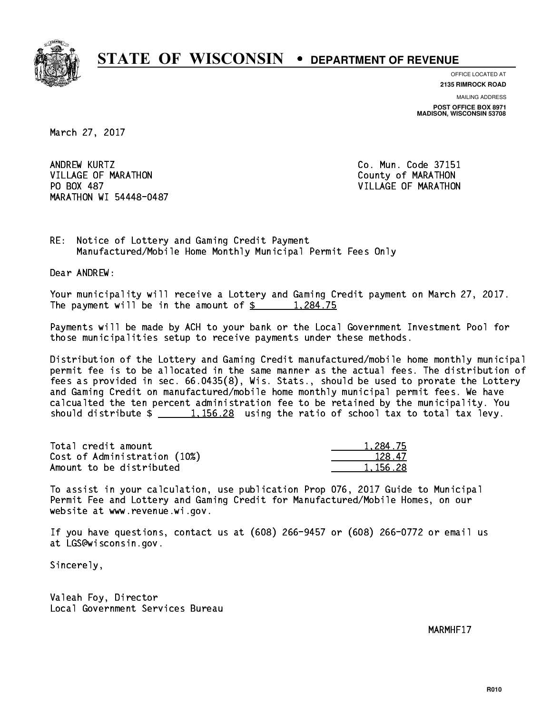

**OFFICE LOCATED AT 2135 RIMROCK ROAD**

**MAILING ADDRESS POST OFFICE BOX 8971 MADISON, WISCONSIN 53708**

March 27, 2017

ANDREW KURTZ VILLAGE OF MARATHON COUNTY OF MARATHON PO BOX 487 MARATHON WI 54448-0487

Co. Mun. Code 37151 VILLAGE OF MARATHON

RE: Notice of Lottery and Gaming Credit Payment Manufactured/Mobile Home Monthly Municipal Permit Fees Only

Dear ANDREW:

 Your municipality will receive a Lottery and Gaming Credit payment on March 27, 2017. The payment will be in the amount of  $\frac{2}{3}$  1,284.75

 Payments will be made by ACH to your bank or the Local Government Investment Pool for those municipalities setup to receive payments under these methods.

 Distribution of the Lottery and Gaming Credit manufactured/mobile home monthly municipal permit fee is to be allocated in the same manner as the actual fees. The distribution of fees as provided in sec. 66.0435(8), Wis. Stats., should be used to prorate the Lottery and Gaming Credit on manufactured/mobile home monthly municipal permit fees. We have calcualted the ten percent administration fee to be retained by the municipality. You should distribute  $\frac{1,156.28}{1,156.28}$  using the ratio of school tax to total tax levy.

| Total credit amount          | 1,284.75 |
|------------------------------|----------|
| Cost of Administration (10%) | 128.47   |
| Amount to be distributed     | 1.156.28 |

 To assist in your calculation, use publication Prop 076, 2017 Guide to Municipal Permit Fee and Lottery and Gaming Credit for Manufactured/Mobile Homes, on our website at www.revenue.wi.gov.

 If you have questions, contact us at (608) 266-9457 or (608) 266-0772 or email us at LGS@wisconsin.gov.

Sincerely,

 Valeah Foy, Director Local Government Services Bureau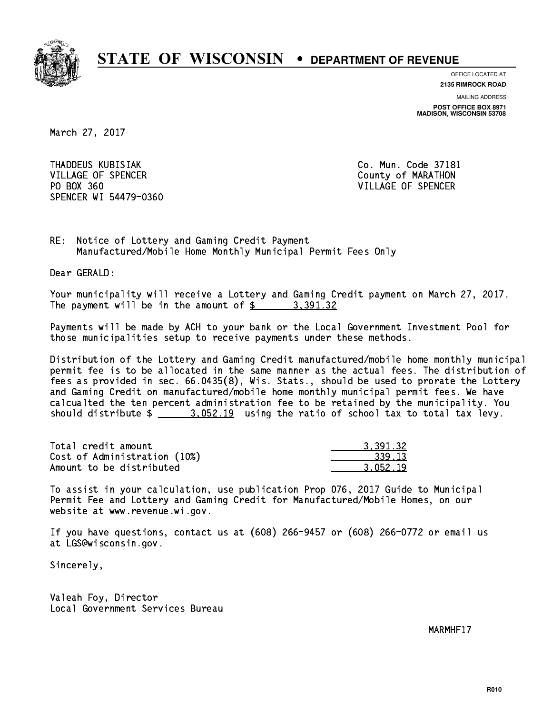

**OFFICE LOCATED AT 2135 RIMROCK ROAD**

**MAILING ADDRESS**

**POST OFFICE BOX 8971 MADISON, WISCONSIN 53708**

March 27, 2017

 THADDEUS KUBISIAK Co. Mun. Code 37181 VILLAGE OF SPENCER COUNTY OF MARATHON PO BOX 360 VILLAGE OF SPENCER SPENCER WI 54479-0360

RE: Notice of Lottery and Gaming Credit Payment Manufactured/Mobile Home Monthly Municipal Permit Fees Only

Dear GERALD:

 Your municipality will receive a Lottery and Gaming Credit payment on March 27, 2017. The payment will be in the amount of \$ 3,391.32 \_\_\_\_\_\_\_\_\_\_\_\_\_\_\_\_

 Payments will be made by ACH to your bank or the Local Government Investment Pool for those municipalities setup to receive payments under these methods.

 Distribution of the Lottery and Gaming Credit manufactured/mobile home monthly municipal permit fee is to be allocated in the same manner as the actual fees. The distribution of fees as provided in sec. 66.0435(8), Wis. Stats., should be used to prorate the Lottery and Gaming Credit on manufactured/mobile home monthly municipal permit fees. We have calcualted the ten percent administration fee to be retained by the municipality. You should distribute  $\frac{2}{2}$   $\frac{3.052.19}{2}$  using the ratio of school tax to total tax levy.

| Total credit amount          | 3.391.32 |
|------------------------------|----------|
| Cost of Administration (10%) | 339.13   |
| Amount to be distributed     | 3.052.19 |

 To assist in your calculation, use publication Prop 076, 2017 Guide to Municipal Permit Fee and Lottery and Gaming Credit for Manufactured/Mobile Homes, on our website at www.revenue.wi.gov.

 If you have questions, contact us at (608) 266-9457 or (608) 266-0772 or email us at LGS@wisconsin.gov.

Sincerely,

 Valeah Foy, Director Local Government Services Bureau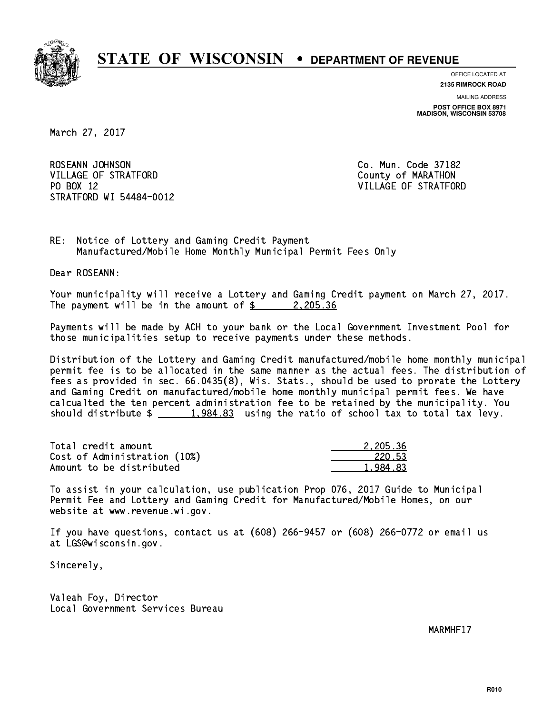

**OFFICE LOCATED AT**

**2135 RIMROCK ROAD**

**MAILING ADDRESS POST OFFICE BOX 8971 MADISON, WISCONSIN 53708**

March 27, 2017

ROSEANN JOHNSON CO. Mun. Code 37182 VILLAGE OF STRATFORD County of MARATHON PO BOX 12 STRATFORD WI 54484-0012

VILLAGE OF STRATFORD

RE: Notice of Lottery and Gaming Credit Payment Manufactured/Mobile Home Monthly Municipal Permit Fees Only

Dear ROSEANN:

 Your municipality will receive a Lottery and Gaming Credit payment on March 27, 2017. The payment will be in the amount of  $\frac{2}{3}$  2,205.36

 Payments will be made by ACH to your bank or the Local Government Investment Pool for those municipalities setup to receive payments under these methods.

 Distribution of the Lottery and Gaming Credit manufactured/mobile home monthly municipal permit fee is to be allocated in the same manner as the actual fees. The distribution of fees as provided in sec. 66.0435(8), Wis. Stats., should be used to prorate the Lottery and Gaming Credit on manufactured/mobile home monthly municipal permit fees. We have calcualted the ten percent administration fee to be retained by the municipality. You should distribute  $\frac{1,984.83}{1,984.83}$  using the ratio of school tax to total tax levy.

| Total credit amount          | 2.205.36 |
|------------------------------|----------|
| Cost of Administration (10%) | 220.53   |
| Amount to be distributed     | 1,984.83 |

 To assist in your calculation, use publication Prop 076, 2017 Guide to Municipal Permit Fee and Lottery and Gaming Credit for Manufactured/Mobile Homes, on our website at www.revenue.wi.gov.

 If you have questions, contact us at (608) 266-9457 or (608) 266-0772 or email us at LGS@wisconsin.gov.

Sincerely,

 Valeah Foy, Director Local Government Services Bureau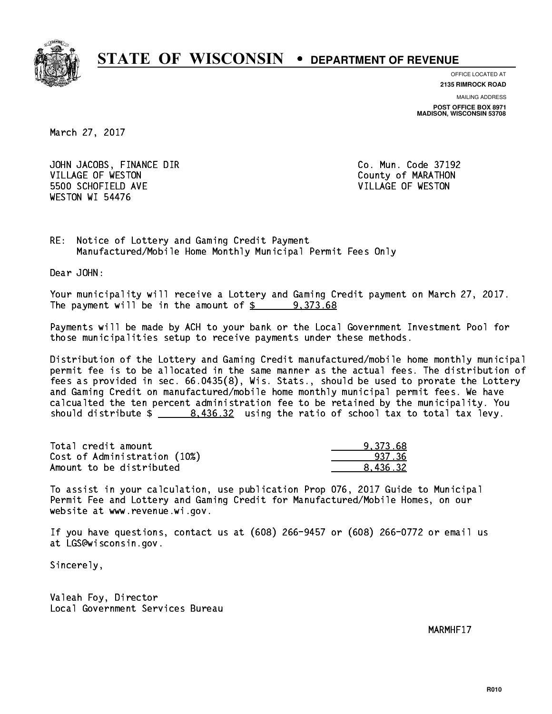

**OFFICE LOCATED AT**

**2135 RIMROCK ROAD**

**MAILING ADDRESS POST OFFICE BOX 8971 MADISON, WISCONSIN 53708**

March 27, 2017

JOHN JACOBS, FINANCE DIR Co. Mun. Code 37192 VILLAGE OF WESTON COUNTY OF MARATHON 5500 SCHOFIELD AVE VILLAGE OF WESTON WESTON WI 54476

RE: Notice of Lottery and Gaming Credit Payment Manufactured/Mobile Home Monthly Municipal Permit Fees Only

Dear JOHN:

 Your municipality will receive a Lottery and Gaming Credit payment on March 27, 2017. The payment will be in the amount of  $\frac{2}{3}$  9,373.68

 Payments will be made by ACH to your bank or the Local Government Investment Pool for those municipalities setup to receive payments under these methods.

 Distribution of the Lottery and Gaming Credit manufactured/mobile home monthly municipal permit fee is to be allocated in the same manner as the actual fees. The distribution of fees as provided in sec. 66.0435(8), Wis. Stats., should be used to prorate the Lottery and Gaming Credit on manufactured/mobile home monthly municipal permit fees. We have calcualted the ten percent administration fee to be retained by the municipality. You should distribute  $\frac{2}{1}$   $\frac{8,436.32}{2}$  using the ratio of school tax to total tax levy.

| Total credit amount          | 9.373.68 |
|------------------------------|----------|
| Cost of Administration (10%) | 937.36   |
| Amount to be distributed     | 8.436.32 |

 To assist in your calculation, use publication Prop 076, 2017 Guide to Municipal Permit Fee and Lottery and Gaming Credit for Manufactured/Mobile Homes, on our website at www.revenue.wi.gov.

 If you have questions, contact us at (608) 266-9457 or (608) 266-0772 or email us at LGS@wisconsin.gov.

Sincerely,

 Valeah Foy, Director Local Government Services Bureau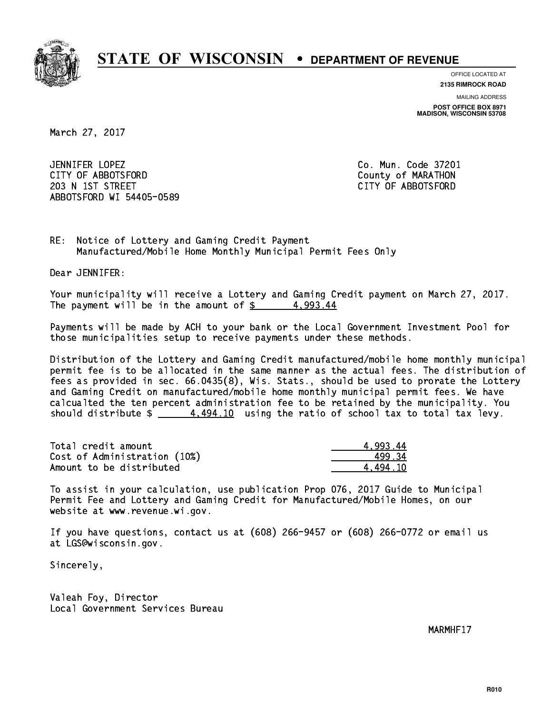

**OFFICE LOCATED AT**

**2135 RIMROCK ROAD**

**MAILING ADDRESS**

**POST OFFICE BOX 8971 MADISON, WISCONSIN 53708**

March 27, 2017

 JENNIFER LOPEZ Co. Mun. Code 37201 CITY OF ABBOTSFORD County of MARATHON 203 N 1ST STREET CITY OF ABBOTSFORD ABBOTSFORD WI 54405-0589

RE: Notice of Lottery and Gaming Credit Payment Manufactured/Mobile Home Monthly Municipal Permit Fees Only

Dear JENNIFER:

 Your municipality will receive a Lottery and Gaming Credit payment on March 27, 2017. The payment will be in the amount of  $\frac{2}{3}$  4,993.44

 Payments will be made by ACH to your bank or the Local Government Investment Pool for those municipalities setup to receive payments under these methods.

 Distribution of the Lottery and Gaming Credit manufactured/mobile home monthly municipal permit fee is to be allocated in the same manner as the actual fees. The distribution of fees as provided in sec. 66.0435(8), Wis. Stats., should be used to prorate the Lottery and Gaming Credit on manufactured/mobile home monthly municipal permit fees. We have calcualted the ten percent administration fee to be retained by the municipality. You should distribute  $\frac{4}{10}$  4,494.10 using the ratio of school tax to total tax levy.

| Total credit amount          | 4.993.44 |
|------------------------------|----------|
| Cost of Administration (10%) | 49934    |
| Amount to be distributed     | 4.494.10 |

 To assist in your calculation, use publication Prop 076, 2017 Guide to Municipal Permit Fee and Lottery and Gaming Credit for Manufactured/Mobile Homes, on our website at www.revenue.wi.gov.

 If you have questions, contact us at (608) 266-9457 or (608) 266-0772 or email us at LGS@wisconsin.gov.

Sincerely,

 Valeah Foy, Director Local Government Services Bureau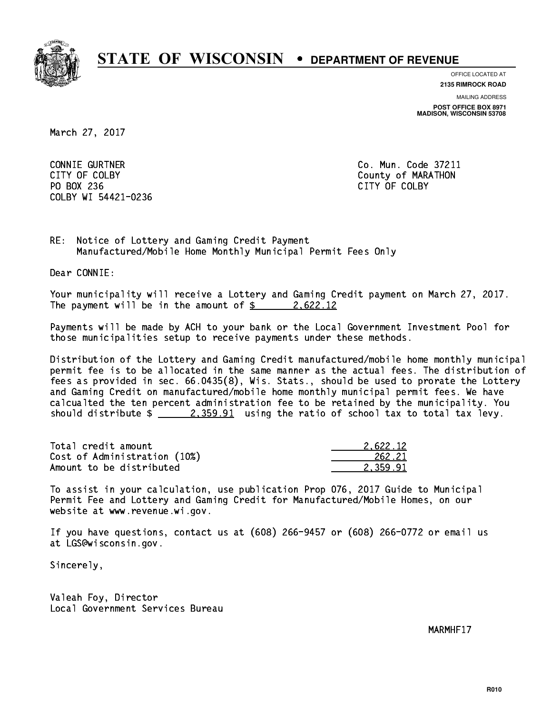

**OFFICE LOCATED AT**

**2135 RIMROCK ROAD**

**MAILING ADDRESS**

**POST OFFICE BOX 8971 MADISON, WISCONSIN 53708**

March 27, 2017

 CONNIE GURTNER Co. Mun. Code 37211 PO BOX 236 PO BOX 236 CITY OF COLBY COLBY WI 54421-0236

CITY OF COLBY COUNTY COUNTY OF COUNTY COUNTY OF MARATHON

RE: Notice of Lottery and Gaming Credit Payment Manufactured/Mobile Home Monthly Municipal Permit Fees Only

Dear CONNIE:

 Your municipality will receive a Lottery and Gaming Credit payment on March 27, 2017. The payment will be in the amount of  $\frac{2.622.12}{2}$ 

 Payments will be made by ACH to your bank or the Local Government Investment Pool for those municipalities setup to receive payments under these methods.

 Distribution of the Lottery and Gaming Credit manufactured/mobile home monthly municipal permit fee is to be allocated in the same manner as the actual fees. The distribution of fees as provided in sec. 66.0435(8), Wis. Stats., should be used to prorate the Lottery and Gaming Credit on manufactured/mobile home monthly municipal permit fees. We have calcualted the ten percent administration fee to be retained by the municipality. You should distribute  $\frac{2,359.91}{2}$  using the ratio of school tax to total tax levy.

| Total credit amount          | 2.622.12 |
|------------------------------|----------|
| Cost of Administration (10%) | 262.21   |
| Amount to be distributed     | 2.359.91 |

 To assist in your calculation, use publication Prop 076, 2017 Guide to Municipal Permit Fee and Lottery and Gaming Credit for Manufactured/Mobile Homes, on our website at www.revenue.wi.gov.

 If you have questions, contact us at (608) 266-9457 or (608) 266-0772 or email us at LGS@wisconsin.gov.

Sincerely,

 Valeah Foy, Director Local Government Services Bureau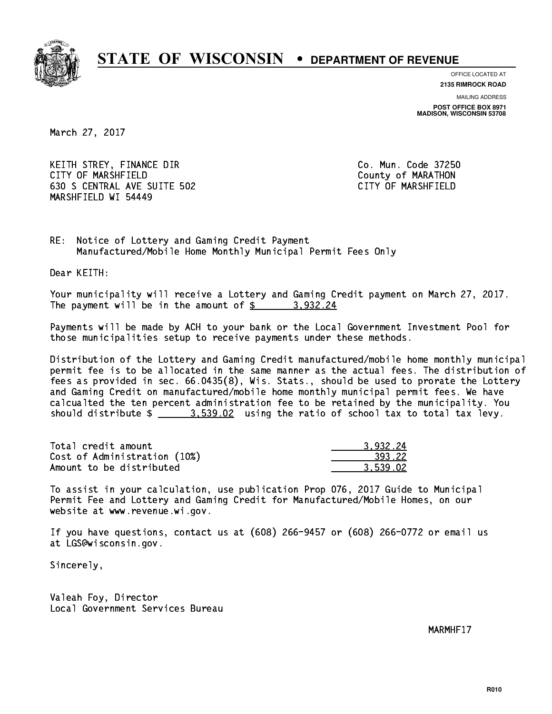

**OFFICE LOCATED AT**

**2135 RIMROCK ROAD**

**MAILING ADDRESS**

**POST OFFICE BOX 8971 MADISON, WISCONSIN 53708**

March 27, 2017

KEITH STREY, FINANCE DIR CO. Mun. Code 37250 CITY OF MARSHFIELD County of MARATHON 630 S CENTRAL AVE SUITE 502 CITY OF MARSHFIELD MARSHFIELD WI 54449

RE: Notice of Lottery and Gaming Credit Payment Manufactured/Mobile Home Monthly Municipal Permit Fees Only

Dear KEITH:

 Your municipality will receive a Lottery and Gaming Credit payment on March 27, 2017. The payment will be in the amount of  $\frac{2}{3}$  3,932.24

 Payments will be made by ACH to your bank or the Local Government Investment Pool for those municipalities setup to receive payments under these methods.

 Distribution of the Lottery and Gaming Credit manufactured/mobile home monthly municipal permit fee is to be allocated in the same manner as the actual fees. The distribution of fees as provided in sec. 66.0435(8), Wis. Stats., should be used to prorate the Lottery and Gaming Credit on manufactured/mobile home monthly municipal permit fees. We have calcualted the ten percent administration fee to be retained by the municipality. You should distribute  $\frac{2}{2}$   $\frac{3.539.02}{2}$  using the ratio of school tax to total tax levy.

| Total credit amount          | 3.932.24 |
|------------------------------|----------|
| Cost of Administration (10%) | 393.22   |
| Amount to be distributed     | 3.539.02 |

 To assist in your calculation, use publication Prop 076, 2017 Guide to Municipal Permit Fee and Lottery and Gaming Credit for Manufactured/Mobile Homes, on our website at www.revenue.wi.gov.

 If you have questions, contact us at (608) 266-9457 or (608) 266-0772 or email us at LGS@wisconsin.gov.

Sincerely,

 Valeah Foy, Director Local Government Services Bureau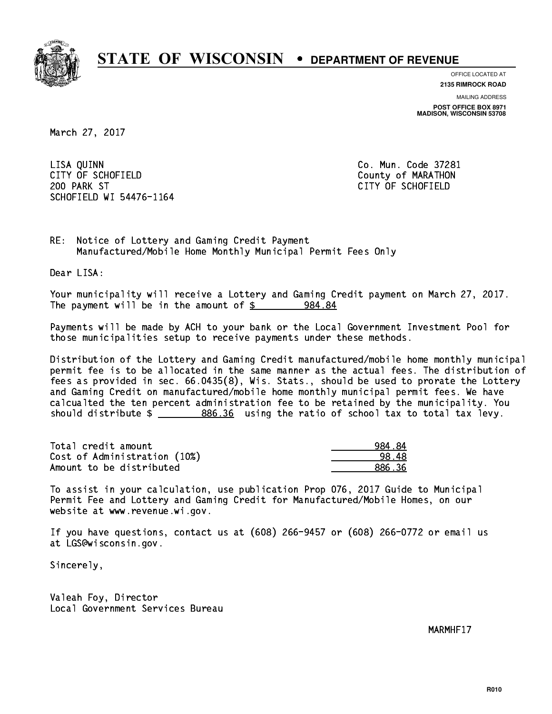

**OFFICE LOCATED AT**

**2135 RIMROCK ROAD**

**MAILING ADDRESS POST OFFICE BOX 8971 MADISON, WISCONSIN 53708**

March 27, 2017

 LISA QUINN Co. Mun. Code 37281 CITY OF SCHOFIELD County of MARATHON 200 PARK ST CITY OF SCHOFIELD SCHOFIELD WI 54476-1164

RE: Notice of Lottery and Gaming Credit Payment Manufactured/Mobile Home Monthly Municipal Permit Fees Only

Dear LISA:

 Your municipality will receive a Lottery and Gaming Credit payment on March 27, 2017. The payment will be in the amount of \$ 984.84 \_\_\_\_\_\_\_\_\_\_\_\_\_\_\_\_

 Payments will be made by ACH to your bank or the Local Government Investment Pool for those municipalities setup to receive payments under these methods.

 Distribution of the Lottery and Gaming Credit manufactured/mobile home monthly municipal permit fee is to be allocated in the same manner as the actual fees. The distribution of fees as provided in sec. 66.0435(8), Wis. Stats., should be used to prorate the Lottery and Gaming Credit on manufactured/mobile home monthly municipal permit fees. We have calcualted the ten percent administration fee to be retained by the municipality. You should distribute  $\frac{2}{2}$   $\frac{886.36}{2}$  using the ratio of school tax to total tax levy.

| Total credit amount          | -984.84 |
|------------------------------|---------|
| Cost of Administration (10%) | 98.48   |
| Amount to be distributed     | 886.36  |

 To assist in your calculation, use publication Prop 076, 2017 Guide to Municipal Permit Fee and Lottery and Gaming Credit for Manufactured/Mobile Homes, on our website at www.revenue.wi.gov.

 If you have questions, contact us at (608) 266-9457 or (608) 266-0772 or email us at LGS@wisconsin.gov.

Sincerely,

 Valeah Foy, Director Local Government Services Bureau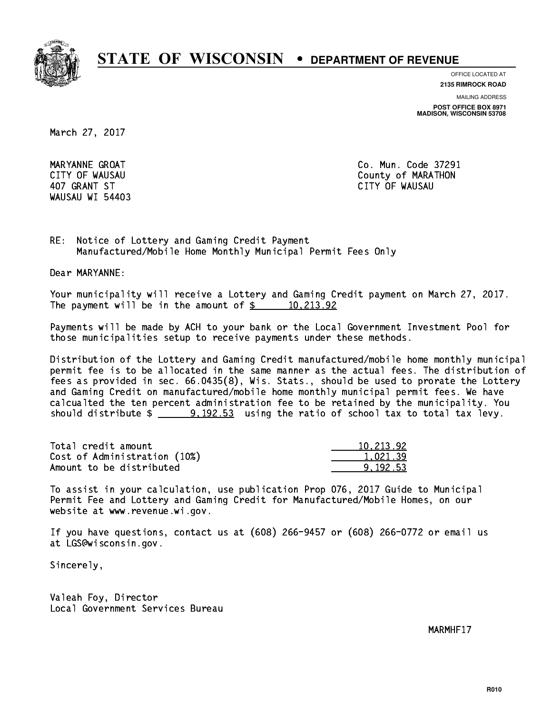

**OFFICE LOCATED AT**

**2135 RIMROCK ROAD**

**MAILING ADDRESS**

**POST OFFICE BOX 8971 MADISON, WISCONSIN 53708**

March 27, 2017

WAUSAU WI 54403

 MARYANNE GROAT Co. Mun. Code 37291 CITY OF WAUSAU COUNTY OF MARATHON 407 GRANT ST CITY OF WAUSAU

RE: Notice of Lottery and Gaming Credit Payment Manufactured/Mobile Home Monthly Municipal Permit Fees Only

Dear MARYANNE:

 Your municipality will receive a Lottery and Gaming Credit payment on March 27, 2017. The payment will be in the amount of  $\frac{2}{3}$  10,213.92

 Payments will be made by ACH to your bank or the Local Government Investment Pool for those municipalities setup to receive payments under these methods.

 Distribution of the Lottery and Gaming Credit manufactured/mobile home monthly municipal permit fee is to be allocated in the same manner as the actual fees. The distribution of fees as provided in sec. 66.0435(8), Wis. Stats., should be used to prorate the Lottery and Gaming Credit on manufactured/mobile home monthly municipal permit fees. We have calcualted the ten percent administration fee to be retained by the municipality. You should distribute  $\frac{2}{2}$   $\frac{9,192.53}{2}$  using the ratio of school tax to total tax levy.

| Total credit amount          | 10.213.92 |
|------------------------------|-----------|
| Cost of Administration (10%) | 1.021.39  |
| Amount to be distributed     | 9.192.53  |

 To assist in your calculation, use publication Prop 076, 2017 Guide to Municipal Permit Fee and Lottery and Gaming Credit for Manufactured/Mobile Homes, on our website at www.revenue.wi.gov.

 If you have questions, contact us at (608) 266-9457 or (608) 266-0772 or email us at LGS@wisconsin.gov.

Sincerely,

 Valeah Foy, Director Local Government Services Bureau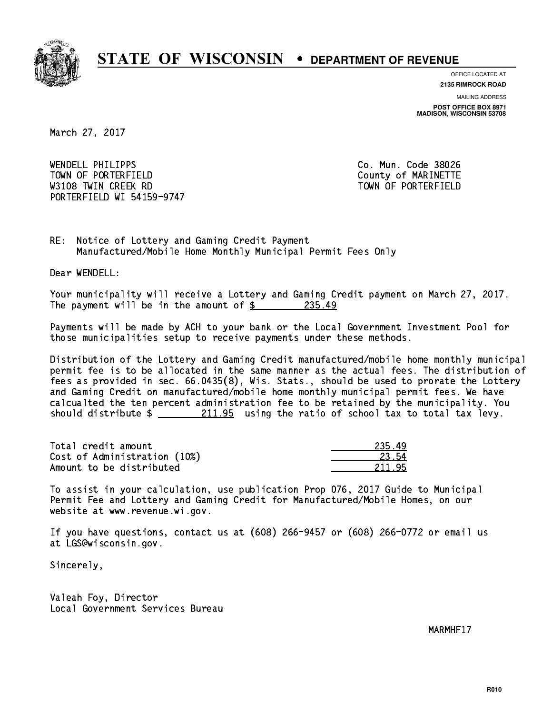

**OFFICE LOCATED AT 2135 RIMROCK ROAD**

**MAILING ADDRESS**

**POST OFFICE BOX 8971 MADISON, WISCONSIN 53708**

March 27, 2017

 WENDELL PHILIPPS Co. Mun. Code 38026 TOWN OF PORTERFIELD **TOWN** OF PORTERFIELD W3108 TWIN CREEK RD TOWN OF PORTERFIELD PORTERFIELD WI 54159-9747

RE: Notice of Lottery and Gaming Credit Payment Manufactured/Mobile Home Monthly Municipal Permit Fees Only

Dear WENDELL:

 Your municipality will receive a Lottery and Gaming Credit payment on March 27, 2017. The payment will be in the amount of  $\frac{235.49}{235.49}$ 

 Payments will be made by ACH to your bank or the Local Government Investment Pool for those municipalities setup to receive payments under these methods.

 Distribution of the Lottery and Gaming Credit manufactured/mobile home monthly municipal permit fee is to be allocated in the same manner as the actual fees. The distribution of fees as provided in sec. 66.0435(8), Wis. Stats., should be used to prorate the Lottery and Gaming Credit on manufactured/mobile home monthly municipal permit fees. We have calcualted the ten percent administration fee to be retained by the municipality. You should distribute  $\frac{211.95}{21.95}$  using the ratio of school tax to total tax levy.

Total credit amount Cost of Administration (10%) Amount to be distributed

| n<br>2<br>. . |
|---------------|
| ۰4            |
| 211           |

 To assist in your calculation, use publication Prop 076, 2017 Guide to Municipal Permit Fee and Lottery and Gaming Credit for Manufactured/Mobile Homes, on our website at www.revenue.wi.gov.

 If you have questions, contact us at (608) 266-9457 or (608) 266-0772 or email us at LGS@wisconsin.gov.

Sincerely,

 Valeah Foy, Director Local Government Services Bureau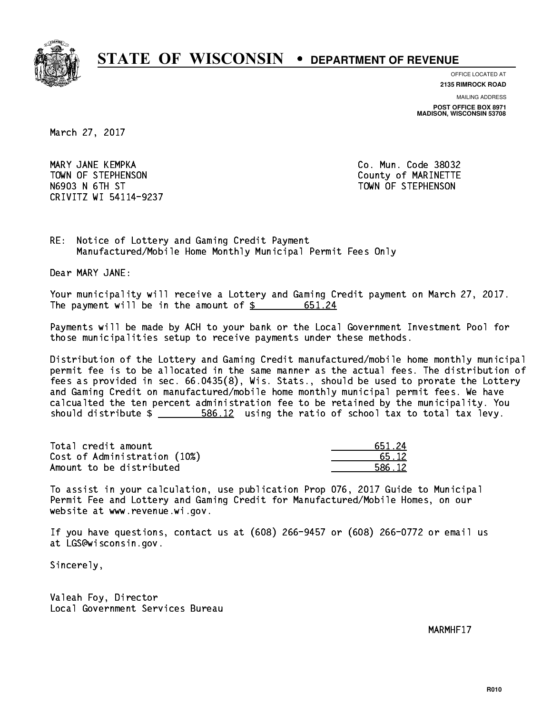

**OFFICE LOCATED AT 2135 RIMROCK ROAD**

**MAILING ADDRESS POST OFFICE BOX 8971 MADISON, WISCONSIN 53708**

March 27, 2017

 MARY JANE KEMPKA Co. Mun. Code 38032 TOWN OF STEPHENSON COUNTY OF MARINETTE N6903 N 6TH ST TOWN OF STEPHENSON CRIVITZ WI 54114-9237

RE: Notice of Lottery and Gaming Credit Payment Manufactured/Mobile Home Monthly Municipal Permit Fees Only

Dear MARY JANE:

 Your municipality will receive a Lottery and Gaming Credit payment on March 27, 2017. The payment will be in the amount of  $\frac{2}{10}$  651.24

 Payments will be made by ACH to your bank or the Local Government Investment Pool for those municipalities setup to receive payments under these methods.

 Distribution of the Lottery and Gaming Credit manufactured/mobile home monthly municipal permit fee is to be allocated in the same manner as the actual fees. The distribution of fees as provided in sec. 66.0435(8), Wis. Stats., should be used to prorate the Lottery and Gaming Credit on manufactured/mobile home monthly municipal permit fees. We have calcualted the ten percent administration fee to be retained by the municipality. You should distribute  $\frac{2}{2}$   $\frac{586.12}{2}$  using the ratio of school tax to total tax levy.

Total credit amount Cost of Administration (10%) Amount to be distributed

| 51 24 |
|-------|
| i 12  |
| . 12  |

 To assist in your calculation, use publication Prop 076, 2017 Guide to Municipal Permit Fee and Lottery and Gaming Credit for Manufactured/Mobile Homes, on our website at www.revenue.wi.gov.

 If you have questions, contact us at (608) 266-9457 or (608) 266-0772 or email us at LGS@wisconsin.gov.

Sincerely,

 Valeah Foy, Director Local Government Services Bureau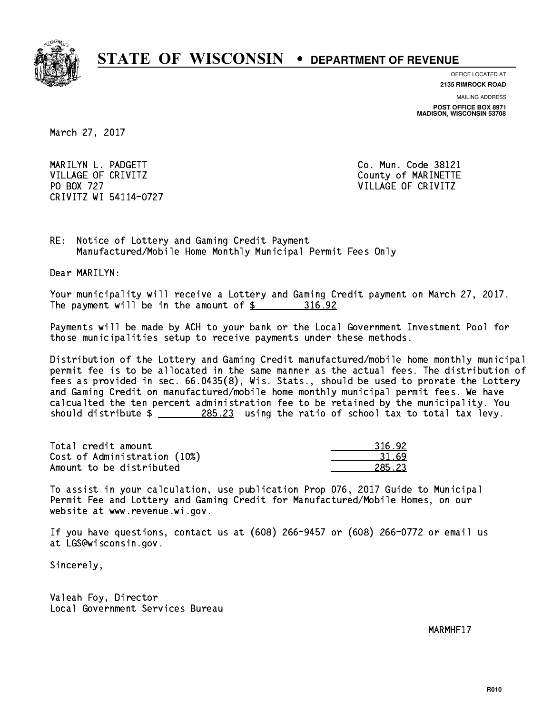

**OFFICE LOCATED AT 2135 RIMROCK ROAD**

**MAILING ADDRESS**

**POST OFFICE BOX 8971 MADISON, WISCONSIN 53708**

March 27, 2017

 MARILYN L. PADGETT Co. Mun. Code 38121 VILLAGE OF CRIVITZ COUNTY COUNTY OF MARINETTE PO BOX 727 VILLAGE OF CRIVITZ CRIVITZ WI 54114-0727

RE: Notice of Lottery and Gaming Credit Payment Manufactured/Mobile Home Monthly Municipal Permit Fees Only

Dear MARILYN:

 Your municipality will receive a Lottery and Gaming Credit payment on March 27, 2017. The payment will be in the amount of \$ 316.92 \_\_\_\_\_\_\_\_\_\_\_\_\_\_\_\_

 Payments will be made by ACH to your bank or the Local Government Investment Pool for those municipalities setup to receive payments under these methods.

 Distribution of the Lottery and Gaming Credit manufactured/mobile home monthly municipal permit fee is to be allocated in the same manner as the actual fees. The distribution of fees as provided in sec. 66.0435(8), Wis. Stats., should be used to prorate the Lottery and Gaming Credit on manufactured/mobile home monthly municipal permit fees. We have calcualted the ten percent administration fee to be retained by the municipality. You should distribute  $\frac{285.23}{285.23}$  using the ratio of school tax to total tax levy.

Total credit amount Cost of Administration (10%) Amount to be distributed

| 92<br>2 L. |
|------------|
| 59         |
| . 23       |

 To assist in your calculation, use publication Prop 076, 2017 Guide to Municipal Permit Fee and Lottery and Gaming Credit for Manufactured/Mobile Homes, on our website at www.revenue.wi.gov.

 If you have questions, contact us at (608) 266-9457 or (608) 266-0772 or email us at LGS@wisconsin.gov.

Sincerely,

 Valeah Foy, Director Local Government Services Bureau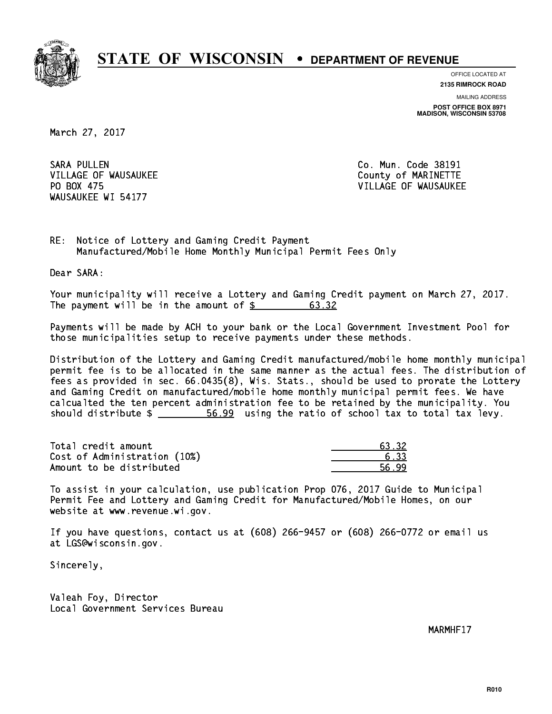

**OFFICE LOCATED AT 2135 RIMROCK ROAD**

**MAILING ADDRESS POST OFFICE BOX 8971 MADISON, WISCONSIN 53708**

March 27, 2017

SARA PULLEN VILLAGE OF WAUSAUKEE COUNTY OF MARINETTE PO BOX 475 WAUSAUKEE WI 54177

Co. Mun. Code 38191 VILLAGE OF WAUSAUKEE

RE: Notice of Lottery and Gaming Credit Payment Manufactured/Mobile Home Monthly Municipal Permit Fees Only

Dear SARA:

 Your municipality will receive a Lottery and Gaming Credit payment on March 27, 2017. The payment will be in the amount of  $\frac{2}{3}$ 63.32

 Payments will be made by ACH to your bank or the Local Government Investment Pool for those municipalities setup to receive payments under these methods.

 Distribution of the Lottery and Gaming Credit manufactured/mobile home monthly municipal permit fee is to be allocated in the same manner as the actual fees. The distribution of fees as provided in sec. 66.0435(8), Wis. Stats., should be used to prorate the Lottery and Gaming Credit on manufactured/mobile home monthly municipal permit fees. We have calcualted the ten percent administration fee to be retained by the municipality. You should distribute  $\frac{2}{1}$   $\frac{56.99}{2}$  using the ratio of school tax to total tax levy.

Total credit amount Cost of Administration (10%) Amount to be distributed

| - 32 |
|------|
| -22  |
|      |

 To assist in your calculation, use publication Prop 076, 2017 Guide to Municipal Permit Fee and Lottery and Gaming Credit for Manufactured/Mobile Homes, on our website at www.revenue.wi.gov.

 If you have questions, contact us at (608) 266-9457 or (608) 266-0772 or email us at LGS@wisconsin.gov.

Sincerely,

 Valeah Foy, Director Local Government Services Bureau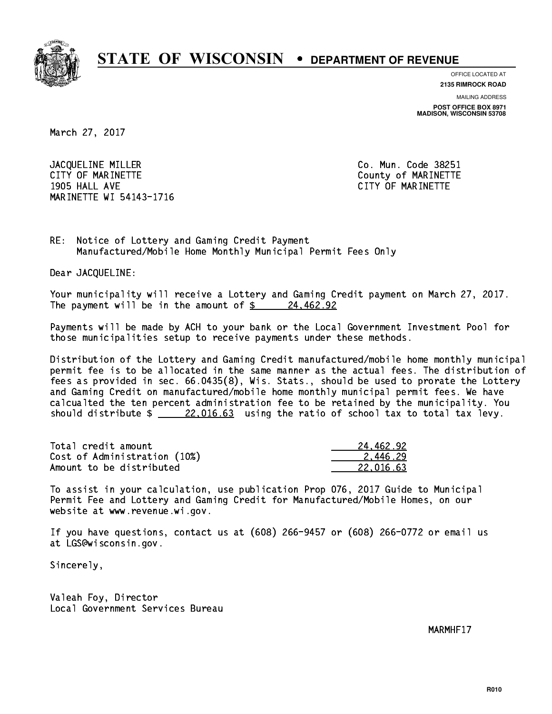

**OFFICE LOCATED AT**

**2135 RIMROCK ROAD**

**MAILING ADDRESS POST OFFICE BOX 8971 MADISON, WISCONSIN 53708**

March 27, 2017

JACQUELINE MILLER Co. Mun. Code 38251 CITY OF MARINETTE COUNTY COUNTY OF MARINETTE 1905 HALL AVE CITY OF MARINETTE MARINETTE WI 54143-1716

RE: Notice of Lottery and Gaming Credit Payment Manufactured/Mobile Home Monthly Municipal Permit Fees Only

Dear JACQUELINE:

 Your municipality will receive a Lottery and Gaming Credit payment on March 27, 2017. The payment will be in the amount of  $\frac{24,462.92}{2}$ 

 Payments will be made by ACH to your bank or the Local Government Investment Pool for those municipalities setup to receive payments under these methods.

 Distribution of the Lottery and Gaming Credit manufactured/mobile home monthly municipal permit fee is to be allocated in the same manner as the actual fees. The distribution of fees as provided in sec. 66.0435(8), Wis. Stats., should be used to prorate the Lottery and Gaming Credit on manufactured/mobile home monthly municipal permit fees. We have calcualted the ten percent administration fee to be retained by the municipality. You should distribute  $\frac{22,016.63}{22,016.63}$  using the ratio of school tax to total tax levy.

| Total credit amount          | 24,462.92 |
|------------------------------|-----------|
| Cost of Administration (10%) | 2.446.29  |
| Amount to be distributed     | 22.016.63 |

 To assist in your calculation, use publication Prop 076, 2017 Guide to Municipal Permit Fee and Lottery and Gaming Credit for Manufactured/Mobile Homes, on our website at www.revenue.wi.gov.

 If you have questions, contact us at (608) 266-9457 or (608) 266-0772 or email us at LGS@wisconsin.gov.

Sincerely,

 Valeah Foy, Director Local Government Services Bureau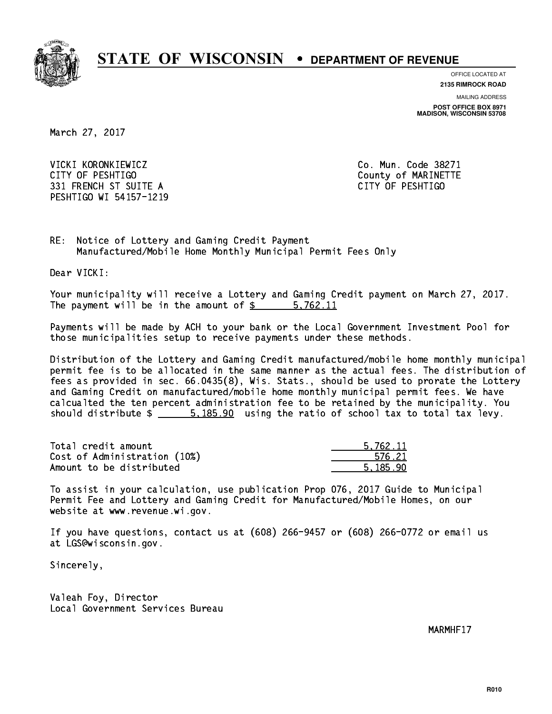

**OFFICE LOCATED AT 2135 RIMROCK ROAD**

**MAILING ADDRESS POST OFFICE BOX 8971 MADISON, WISCONSIN 53708**

March 27, 2017

 VICKI KORONKIEWICZ Co. Mun. Code 38271 CITY OF PESHTIGO County of MARINETTE 331 FRENCH ST SUITE A CITY OF PESHTIGO PESHTIGO WI 54157-1219

RE: Notice of Lottery and Gaming Credit Payment Manufactured/Mobile Home Monthly Municipal Permit Fees Only

Dear VICKI:

 Your municipality will receive a Lottery and Gaming Credit payment on March 27, 2017. The payment will be in the amount of \$ 5,762.11 \_\_\_\_\_\_\_\_\_\_\_\_\_\_\_\_

 Payments will be made by ACH to your bank or the Local Government Investment Pool for those municipalities setup to receive payments under these methods.

 Distribution of the Lottery and Gaming Credit manufactured/mobile home monthly municipal permit fee is to be allocated in the same manner as the actual fees. The distribution of fees as provided in sec. 66.0435(8), Wis. Stats., should be used to prorate the Lottery and Gaming Credit on manufactured/mobile home monthly municipal permit fees. We have calcualted the ten percent administration fee to be retained by the municipality. You should distribute  $\frac{2}{1}$   $\frac{5.185.90}{2}$  using the ratio of school tax to total tax levy.

| Total credit amount          | 5.762.11 |
|------------------------------|----------|
| Cost of Administration (10%) | 576.21   |
| Amount to be distributed     | 5.185.90 |

 To assist in your calculation, use publication Prop 076, 2017 Guide to Municipal Permit Fee and Lottery and Gaming Credit for Manufactured/Mobile Homes, on our website at www.revenue.wi.gov.

 If you have questions, contact us at (608) 266-9457 or (608) 266-0772 or email us at LGS@wisconsin.gov.

Sincerely,

 Valeah Foy, Director Local Government Services Bureau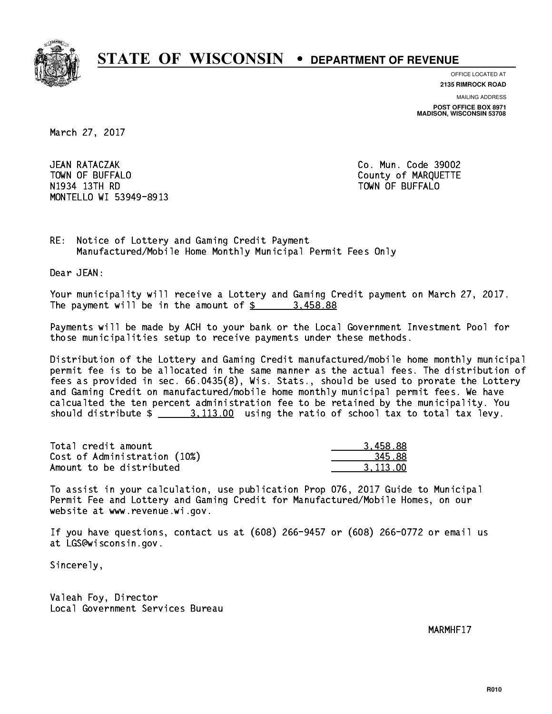

**OFFICE LOCATED AT**

**2135 RIMROCK ROAD**

**MAILING ADDRESS**

**POST OFFICE BOX 8971 MADISON, WISCONSIN 53708**

March 27, 2017

JEAN RATACZAK TOWN OF BUFFALO **COUNTY OF BUFFALO** N1934 13Th RD TOWN OF BUFFALO COMPUTERS IN THE BUFFALO COMPUTER OF BUFFALO COMPUTERS IN THE BUFFALO COMPUTER O MONTELLO WI 53949-8913

Co. Mun. Code 39002

RE: Notice of Lottery and Gaming Credit Payment Manufactured/Mobile Home Monthly Municipal Permit Fees Only

Dear JEAN:

 Your municipality will receive a Lottery and Gaming Credit payment on March 27, 2017. The payment will be in the amount of  $\frac{2}{3}$  3,458.88

 Payments will be made by ACH to your bank or the Local Government Investment Pool for those municipalities setup to receive payments under these methods.

 Distribution of the Lottery and Gaming Credit manufactured/mobile home monthly municipal permit fee is to be allocated in the same manner as the actual fees. The distribution of fees as provided in sec. 66.0435(8), Wis. Stats., should be used to prorate the Lottery and Gaming Credit on manufactured/mobile home monthly municipal permit fees. We have calcualted the ten percent administration fee to be retained by the municipality. You should distribute  $\frac{2}{1}$   $\frac{3.113.00}{2}$  using the ratio of school tax to total tax levy.

| Total credit amount          | 3,458.88 |
|------------------------------|----------|
| Cost of Administration (10%) | 345.88   |
| Amount to be distributed     | 3.113.00 |

 To assist in your calculation, use publication Prop 076, 2017 Guide to Municipal Permit Fee and Lottery and Gaming Credit for Manufactured/Mobile Homes, on our website at www.revenue.wi.gov.

 If you have questions, contact us at (608) 266-9457 or (608) 266-0772 or email us at LGS@wisconsin.gov.

Sincerely,

 Valeah Foy, Director Local Government Services Bureau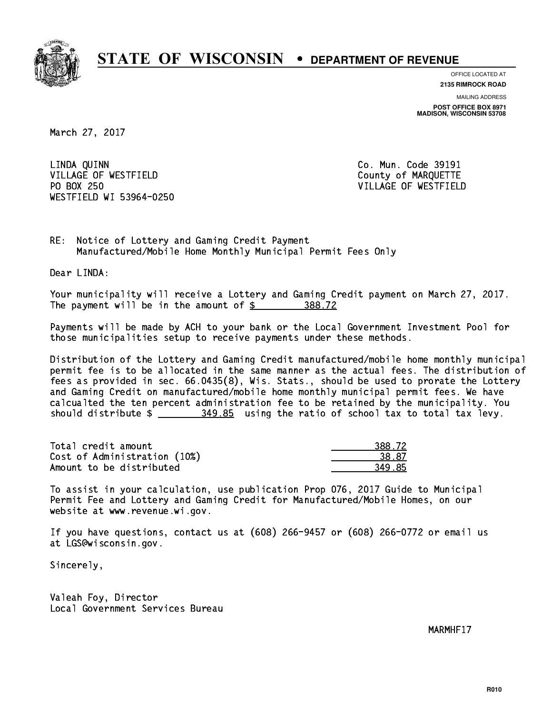

**OFFICE LOCATED AT**

**2135 RIMROCK ROAD**

**MAILING ADDRESS POST OFFICE BOX 8971 MADISON, WISCONSIN 53708**

March 27, 2017

 LINDA QUINN Co. Mun. Code 39191 VILLAGE OF WESTFIELD County of MARQUETTE PO BOX 250 WESTFIELD WI 53964-0250

VILLAGE OF WESTFIELD

RE: Notice of Lottery and Gaming Credit Payment Manufactured/Mobile Home Monthly Municipal Permit Fees Only

Dear LINDA:

 Your municipality will receive a Lottery and Gaming Credit payment on March 27, 2017. The payment will be in the amount of \$ 388.72 \_\_\_\_\_\_\_\_\_\_\_\_\_\_\_\_

 Payments will be made by ACH to your bank or the Local Government Investment Pool for those municipalities setup to receive payments under these methods.

 Distribution of the Lottery and Gaming Credit manufactured/mobile home monthly municipal permit fee is to be allocated in the same manner as the actual fees. The distribution of fees as provided in sec. 66.0435(8), Wis. Stats., should be used to prorate the Lottery and Gaming Credit on manufactured/mobile home monthly municipal permit fees. We have calcualted the ten percent administration fee to be retained by the municipality. You should distribute  $\frac{249.85}{2}$  using the ratio of school tax to total tax levy.

| Total credit amount          | 388.72 |
|------------------------------|--------|
| Cost of Administration (10%) | 38.87  |
| Amount to be distributed     | 349.85 |

 To assist in your calculation, use publication Prop 076, 2017 Guide to Municipal Permit Fee and Lottery and Gaming Credit for Manufactured/Mobile Homes, on our website at www.revenue.wi.gov.

 If you have questions, contact us at (608) 266-9457 or (608) 266-0772 or email us at LGS@wisconsin.gov.

Sincerely,

 Valeah Foy, Director Local Government Services Bureau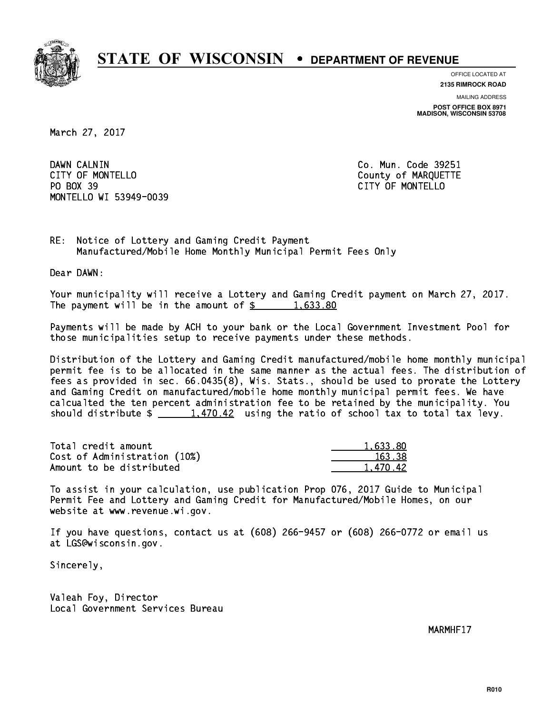

**OFFICE LOCATED AT**

**2135 RIMROCK ROAD**

**MAILING ADDRESS POST OFFICE BOX 8971 MADISON, WISCONSIN 53708**

March 27, 2017

DAWN CALNIN CITY OF MONTELLO **COUNTY OF MARQUETTE** PO BOX 39 PO BOX 39 CITY OF MONTELLO MONTELLO WI 53949-0039

Co. Mun. Code 39251

RE: Notice of Lottery and Gaming Credit Payment Manufactured/Mobile Home Monthly Municipal Permit Fees Only

Dear DAWN:

 Your municipality will receive a Lottery and Gaming Credit payment on March 27, 2017. The payment will be in the amount of  $\frac{2}{3}$  1,633.80

 Payments will be made by ACH to your bank or the Local Government Investment Pool for those municipalities setup to receive payments under these methods.

 Distribution of the Lottery and Gaming Credit manufactured/mobile home monthly municipal permit fee is to be allocated in the same manner as the actual fees. The distribution of fees as provided in sec. 66.0435(8), Wis. Stats., should be used to prorate the Lottery and Gaming Credit on manufactured/mobile home monthly municipal permit fees. We have calcualted the ten percent administration fee to be retained by the municipality. You should distribute  $\frac{1,470.42}{1,470.42}$  using the ratio of school tax to total tax levy.

| Total credit amount          | 1.633.80 |
|------------------------------|----------|
| Cost of Administration (10%) | 163.38   |
| Amount to be distributed     | 1.470.42 |

 To assist in your calculation, use publication Prop 076, 2017 Guide to Municipal Permit Fee and Lottery and Gaming Credit for Manufactured/Mobile Homes, on our website at www.revenue.wi.gov.

 If you have questions, contact us at (608) 266-9457 or (608) 266-0772 or email us at LGS@wisconsin.gov.

Sincerely,

 Valeah Foy, Director Local Government Services Bureau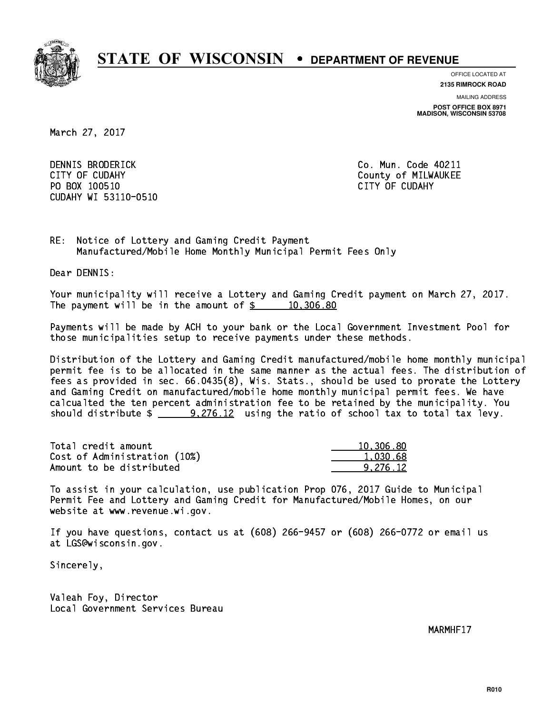

**OFFICE LOCATED AT 2135 RIMROCK ROAD**

**MAILING ADDRESS**

**POST OFFICE BOX 8971 MADISON, WISCONSIN 53708**

March 27, 2017

 DENNIS BRODERICK Co. Mun. Code 40211 CITY OF CUDAHY COUNTY COUNTY COUNTY OF MILWAUKEE PO BOX 100510 CITY OF CUDAHY CUDAHY WI 53110-0510

RE: Notice of Lottery and Gaming Credit Payment Manufactured/Mobile Home Monthly Municipal Permit Fees Only

Dear DENNIS:

 Your municipality will receive a Lottery and Gaming Credit payment on March 27, 2017. The payment will be in the amount of  $\frac{2}{3}$  10,306.80

 Payments will be made by ACH to your bank or the Local Government Investment Pool for those municipalities setup to receive payments under these methods.

 Distribution of the Lottery and Gaming Credit manufactured/mobile home monthly municipal permit fee is to be allocated in the same manner as the actual fees. The distribution of fees as provided in sec. 66.0435(8), Wis. Stats., should be used to prorate the Lottery and Gaming Credit on manufactured/mobile home monthly municipal permit fees. We have calcualted the ten percent administration fee to be retained by the municipality. You should distribute  $\frac{2}{2}$   $\frac{9,276.12}{2}$  using the ratio of school tax to total tax levy.

| Total credit amount          | 10,306.80 |
|------------------------------|-----------|
| Cost of Administration (10%) | 1.030.68  |
| Amount to be distributed     | 9.276.12  |

 To assist in your calculation, use publication Prop 076, 2017 Guide to Municipal Permit Fee and Lottery and Gaming Credit for Manufactured/Mobile Homes, on our website at www.revenue.wi.gov.

 If you have questions, contact us at (608) 266-9457 or (608) 266-0772 or email us at LGS@wisconsin.gov.

Sincerely,

 Valeah Foy, Director Local Government Services Bureau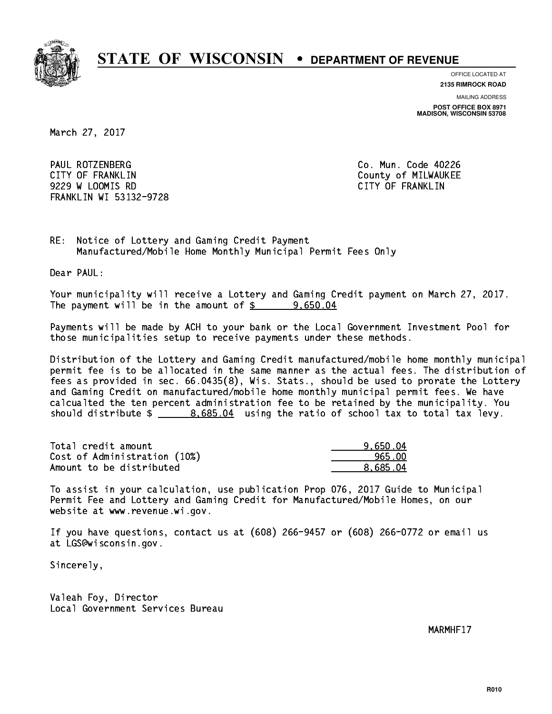

**OFFICE LOCATED AT**

**2135 RIMROCK ROAD**

**MAILING ADDRESS**

**POST OFFICE BOX 8971 MADISON, WISCONSIN 53708**

March 27, 2017

 PAUL ROTZENBERG Co. Mun. Code 40226 CITY OF FRANKLIN COUNTY OF FRANKLIN 9229 W LOOMIS RD CITY OF FRANKLIN FRANKLIN WI 53132-9728

RE: Notice of Lottery and Gaming Credit Payment Manufactured/Mobile Home Monthly Municipal Permit Fees Only

Dear PAUL:

 Your municipality will receive a Lottery and Gaming Credit payment on March 27, 2017. The payment will be in the amount of  $\frac{2}{3}$  9,650.04

 Payments will be made by ACH to your bank or the Local Government Investment Pool for those municipalities setup to receive payments under these methods.

 Distribution of the Lottery and Gaming Credit manufactured/mobile home monthly municipal permit fee is to be allocated in the same manner as the actual fees. The distribution of fees as provided in sec. 66.0435(8), Wis. Stats., should be used to prorate the Lottery and Gaming Credit on manufactured/mobile home monthly municipal permit fees. We have calcualted the ten percent administration fee to be retained by the municipality. You should distribute  $\frac{2}{1}$   $\frac{8.685.04}{8.685.04}$  using the ratio of school tax to total tax levy.

| Total credit amount          | 9.650.04 |
|------------------------------|----------|
| Cost of Administration (10%) | 965.00   |
| Amount to be distributed     | 8.685.04 |

 To assist in your calculation, use publication Prop 076, 2017 Guide to Municipal Permit Fee and Lottery and Gaming Credit for Manufactured/Mobile Homes, on our website at www.revenue.wi.gov.

 If you have questions, contact us at (608) 266-9457 or (608) 266-0772 or email us at LGS@wisconsin.gov.

Sincerely,

 Valeah Foy, Director Local Government Services Bureau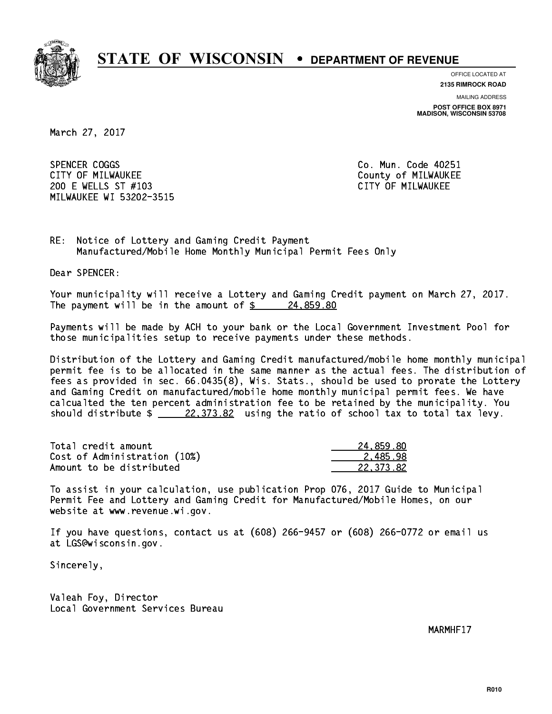

**OFFICE LOCATED AT**

**2135 RIMROCK ROAD**

**MAILING ADDRESS**

**POST OFFICE BOX 8971 MADISON, WISCONSIN 53708**

March 27, 2017

SPENCER COGGS CITY OF MILWAUKEE CITY OF MILWAUKEE 200 E WELLS ST #103 CITY OF MILWAUKEE MILWAUKEE WI 53202-3515

Co. Mun. Code 40251

RE: Notice of Lottery and Gaming Credit Payment Manufactured/Mobile Home Monthly Municipal Permit Fees Only

Dear SPENCER:

 Your municipality will receive a Lottery and Gaming Credit payment on March 27, 2017. The payment will be in the amount of  $\frac{24,859.80}{24,859.80}$ 

 Payments will be made by ACH to your bank or the Local Government Investment Pool for those municipalities setup to receive payments under these methods.

 Distribution of the Lottery and Gaming Credit manufactured/mobile home monthly municipal permit fee is to be allocated in the same manner as the actual fees. The distribution of fees as provided in sec. 66.0435(8), Wis. Stats., should be used to prorate the Lottery and Gaming Credit on manufactured/mobile home monthly municipal permit fees. We have calcualted the ten percent administration fee to be retained by the municipality. You should distribute  $\frac{22,373.82}{2}$  using the ratio of school tax to total tax levy.

| Total credit amount          | 24.859.80 |
|------------------------------|-----------|
| Cost of Administration (10%) | 2.485.98  |
| Amount to be distributed     | 22.373.82 |

 To assist in your calculation, use publication Prop 076, 2017 Guide to Municipal Permit Fee and Lottery and Gaming Credit for Manufactured/Mobile Homes, on our website at www.revenue.wi.gov.

 If you have questions, contact us at (608) 266-9457 or (608) 266-0772 or email us at LGS@wisconsin.gov.

Sincerely,

 Valeah Foy, Director Local Government Services Bureau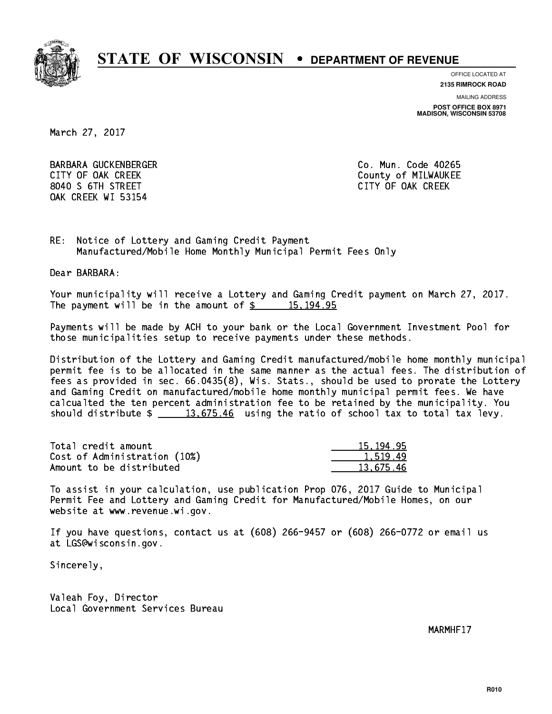

**OFFICE LOCATED AT**

**2135 RIMROCK ROAD**

**MAILING ADDRESS**

**POST OFFICE BOX 8971 MADISON, WISCONSIN 53708**

March 27, 2017

 BARBARA GUCKENBERGER Co. Mun. Code 40265 CITY OF OAK CREEK COUNTY COUNTY OF MILWAUKEE 8040 S 6TH STREET CITY OF OAK CREEK OAK CREEK WI 53154

RE: Notice of Lottery and Gaming Credit Payment Manufactured/Mobile Home Monthly Municipal Permit Fees Only

Dear BARBARA:

 Your municipality will receive a Lottery and Gaming Credit payment on March 27, 2017. The payment will be in the amount of  $\frac{2}{3}$  15,194.95

 Payments will be made by ACH to your bank or the Local Government Investment Pool for those municipalities setup to receive payments under these methods.

 Distribution of the Lottery and Gaming Credit manufactured/mobile home monthly municipal permit fee is to be allocated in the same manner as the actual fees. The distribution of fees as provided in sec. 66.0435(8), Wis. Stats., should be used to prorate the Lottery and Gaming Credit on manufactured/mobile home monthly municipal permit fees. We have calcualted the ten percent administration fee to be retained by the municipality. You should distribute  $\frac{2}{13,675.46}$  using the ratio of school tax to total tax levy.

| Total credit amount          | 15, 194, 95 |
|------------------------------|-------------|
| Cost of Administration (10%) | 1,519.49    |
| Amount to be distributed     | 13.675.46   |

 To assist in your calculation, use publication Prop 076, 2017 Guide to Municipal Permit Fee and Lottery and Gaming Credit for Manufactured/Mobile Homes, on our website at www.revenue.wi.gov.

 If you have questions, contact us at (608) 266-9457 or (608) 266-0772 or email us at LGS@wisconsin.gov.

Sincerely,

 Valeah Foy, Director Local Government Services Bureau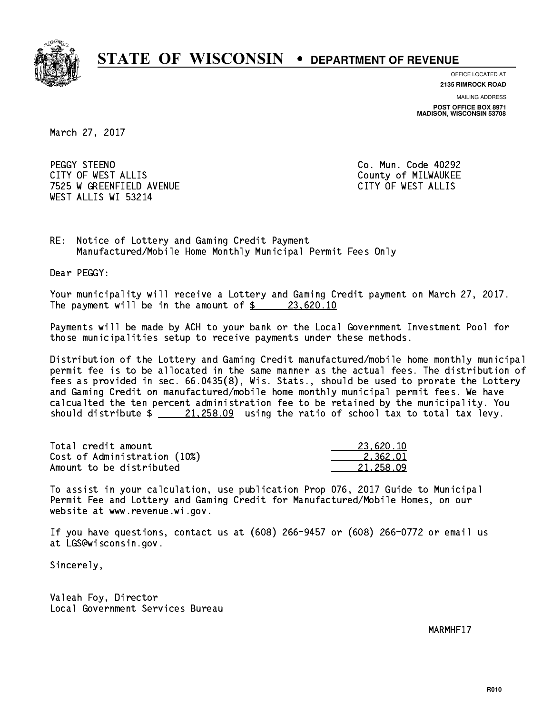

**OFFICE LOCATED AT**

**2135 RIMROCK ROAD**

**MAILING ADDRESS**

**POST OFFICE BOX 8971 MADISON, WISCONSIN 53708**

March 27, 2017

PEGGY STEENO CITY OF WEST ALLIS COUNTY COUNTY OF MILWAUKEE 7525 W GREENFIELD AVENUE CITY OF WEST ALLIS WEST ALLIS WI 53214

Co. Mun. Code 40292

RE: Notice of Lottery and Gaming Credit Payment Manufactured/Mobile Home Monthly Municipal Permit Fees Only

Dear PEGGY:

 Your municipality will receive a Lottery and Gaming Credit payment on March 27, 2017. The payment will be in the amount of  $\frac{23,620.10}{23,620.10}$ 

 Payments will be made by ACH to your bank or the Local Government Investment Pool for those municipalities setup to receive payments under these methods.

 Distribution of the Lottery and Gaming Credit manufactured/mobile home monthly municipal permit fee is to be allocated in the same manner as the actual fees. The distribution of fees as provided in sec. 66.0435(8), Wis. Stats., should be used to prorate the Lottery and Gaming Credit on manufactured/mobile home monthly municipal permit fees. We have calcualted the ten percent administration fee to be retained by the municipality. You should distribute  $\frac{21,258.09}{21,258.09}$  using the ratio of school tax to total tax levy.

| Total credit amount          | 23.620.10 |
|------------------------------|-----------|
| Cost of Administration (10%) | 2.362.01  |
| Amount to be distributed     | 21,258.09 |

 To assist in your calculation, use publication Prop 076, 2017 Guide to Municipal Permit Fee and Lottery and Gaming Credit for Manufactured/Mobile Homes, on our website at www.revenue.wi.gov.

 If you have questions, contact us at (608) 266-9457 or (608) 266-0772 or email us at LGS@wisconsin.gov.

Sincerely,

 Valeah Foy, Director Local Government Services Bureau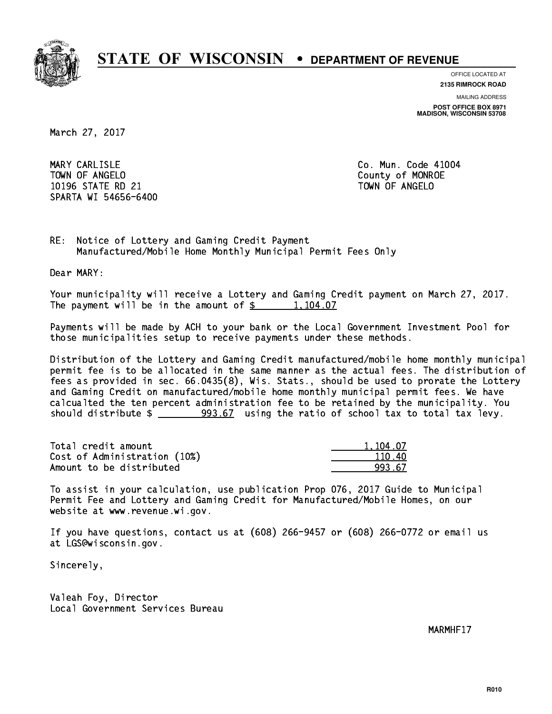

**OFFICE LOCATED AT**

**2135 RIMROCK ROAD**

**MAILING ADDRESS**

**POST OFFICE BOX 8971 MADISON, WISCONSIN 53708**

March 27, 2017

MARY CARLISLE TOWN OF ANGELO County of MONROE 10196 STATE RD 21 TOWN OF ANGELO SPARTA WI 54656-6400

Co. Mun. Code 41004

RE: Notice of Lottery and Gaming Credit Payment Manufactured/Mobile Home Monthly Municipal Permit Fees Only

Dear MARY:

 Your municipality will receive a Lottery and Gaming Credit payment on March 27, 2017. The payment will be in the amount of  $\frac{2}{3}$  1,104.07

 Payments will be made by ACH to your bank or the Local Government Investment Pool for those municipalities setup to receive payments under these methods.

 Distribution of the Lottery and Gaming Credit manufactured/mobile home monthly municipal permit fee is to be allocated in the same manner as the actual fees. The distribution of fees as provided in sec. 66.0435(8), Wis. Stats., should be used to prorate the Lottery and Gaming Credit on manufactured/mobile home monthly municipal permit fees. We have calcualted the ten percent administration fee to be retained by the municipality. You should distribute \$ 993.67 using the ratio of school tax to total tax levy. \_\_\_\_\_\_\_\_\_\_\_\_\_\_

| Total credit amount          | 1.104.07 |
|------------------------------|----------|
| Cost of Administration (10%) | 110.40   |
| Amount to be distributed     | 993.67   |

 To assist in your calculation, use publication Prop 076, 2017 Guide to Municipal Permit Fee and Lottery and Gaming Credit for Manufactured/Mobile Homes, on our website at www.revenue.wi.gov.

 If you have questions, contact us at (608) 266-9457 or (608) 266-0772 or email us at LGS@wisconsin.gov.

Sincerely,

 Valeah Foy, Director Local Government Services Bureau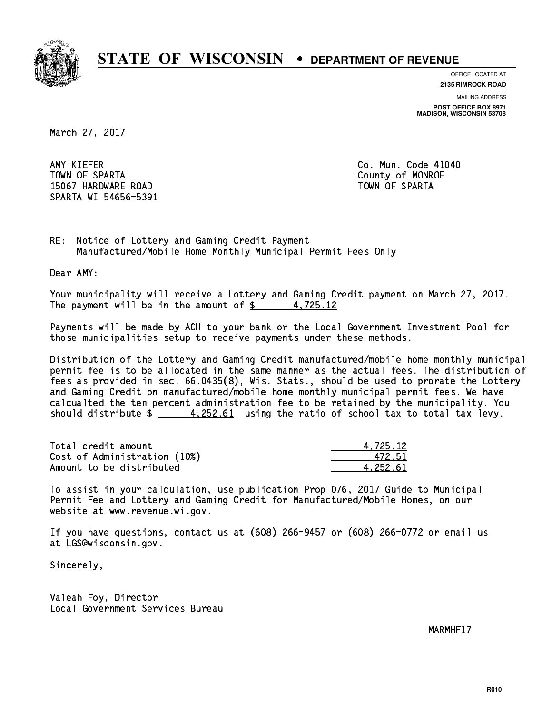

**OFFICE LOCATED AT**

**2135 RIMROCK ROAD**

**MAILING ADDRESS POST OFFICE BOX 8971 MADISON, WISCONSIN 53708**

March 27, 2017

AMY KIEFER TOWN OF SPARTA County of MONROE 15067 HARDWARE ROAD TOWN OF SPARTA SPARTA WI 54656-5391

Co. Mun. Code 41040

RE: Notice of Lottery and Gaming Credit Payment Manufactured/Mobile Home Monthly Municipal Permit Fees Only

Dear AMY:

 Your municipality will receive a Lottery and Gaming Credit payment on March 27, 2017. The payment will be in the amount of  $\frac{2}{3}$  4,725.12

 Payments will be made by ACH to your bank or the Local Government Investment Pool for those municipalities setup to receive payments under these methods.

 Distribution of the Lottery and Gaming Credit manufactured/mobile home monthly municipal permit fee is to be allocated in the same manner as the actual fees. The distribution of fees as provided in sec. 66.0435(8), Wis. Stats., should be used to prorate the Lottery and Gaming Credit on manufactured/mobile home monthly municipal permit fees. We have calcualted the ten percent administration fee to be retained by the municipality. You should distribute  $\frac{4.252.61}{1.252.61}$  using the ratio of school tax to total tax levy.

| Total credit amount          | 4.725.12 |
|------------------------------|----------|
| Cost of Administration (10%) | 472.51   |
| Amount to be distributed     | 4.252.61 |

 To assist in your calculation, use publication Prop 076, 2017 Guide to Municipal Permit Fee and Lottery and Gaming Credit for Manufactured/Mobile Homes, on our website at www.revenue.wi.gov.

 If you have questions, contact us at (608) 266-9457 or (608) 266-0772 or email us at LGS@wisconsin.gov.

Sincerely,

 Valeah Foy, Director Local Government Services Bureau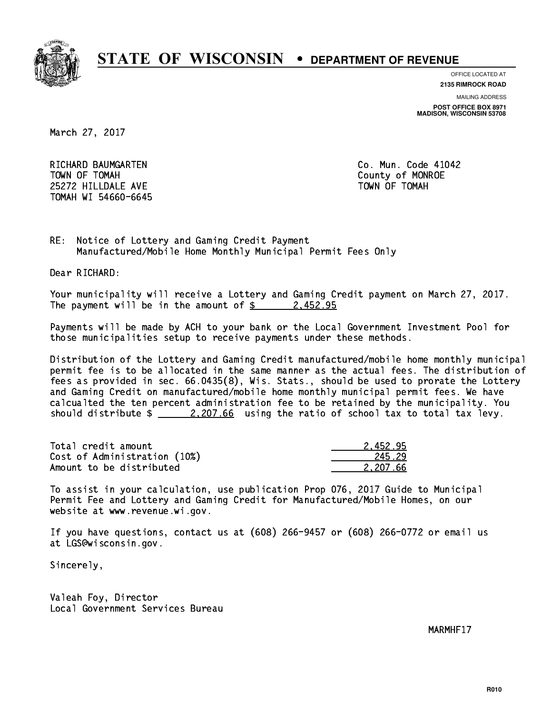

**OFFICE LOCATED AT 2135 RIMROCK ROAD**

**MAILING ADDRESS**

**POST OFFICE BOX 8971 MADISON, WISCONSIN 53708**

March 27, 2017

 RICHARD BAUMGARTEN Co. Mun. Code 41042 TOWN OF TOMAH County of MONROE 25272 HILLDALE AVE TOWN OF TOMAH TOMAH WI 54660-6645

RE: Notice of Lottery and Gaming Credit Payment Manufactured/Mobile Home Monthly Municipal Permit Fees Only

Dear RICHARD:

 Your municipality will receive a Lottery and Gaming Credit payment on March 27, 2017. The payment will be in the amount of  $\frac{2}{3}$  2,452.95

 Payments will be made by ACH to your bank or the Local Government Investment Pool for those municipalities setup to receive payments under these methods.

 Distribution of the Lottery and Gaming Credit manufactured/mobile home monthly municipal permit fee is to be allocated in the same manner as the actual fees. The distribution of fees as provided in sec. 66.0435(8), Wis. Stats., should be used to prorate the Lottery and Gaming Credit on manufactured/mobile home monthly municipal permit fees. We have calcualted the ten percent administration fee to be retained by the municipality. You should distribute  $\frac{2,207.66}{2}$  using the ratio of school tax to total tax levy.

| Total credit amount          | 2.452.95 |
|------------------------------|----------|
| Cost of Administration (10%) | 245.29   |
| Amount to be distributed     | 2.207.66 |

 To assist in your calculation, use publication Prop 076, 2017 Guide to Municipal Permit Fee and Lottery and Gaming Credit for Manufactured/Mobile Homes, on our website at www.revenue.wi.gov.

 If you have questions, contact us at (608) 266-9457 or (608) 266-0772 or email us at LGS@wisconsin.gov.

Sincerely,

 Valeah Foy, Director Local Government Services Bureau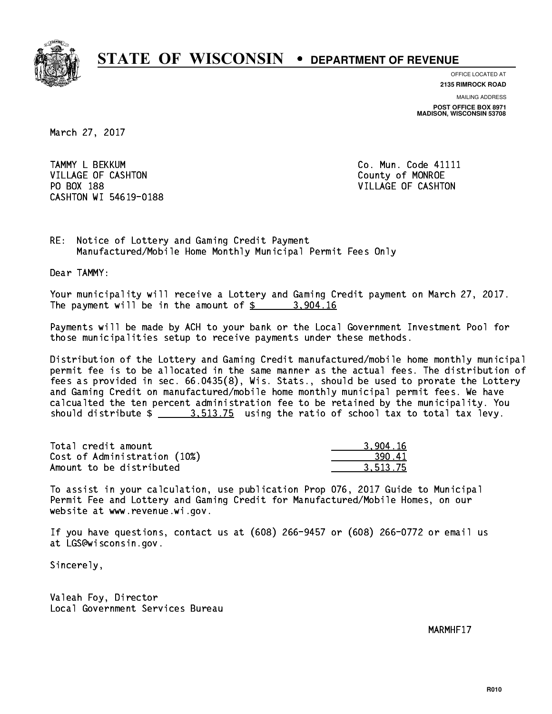

**OFFICE LOCATED AT**

**2135 RIMROCK ROAD**

**MAILING ADDRESS POST OFFICE BOX 8971 MADISON, WISCONSIN 53708**

March 27, 2017

TAMMY L BEKKUM **Communist Communist Communist Communist Communist Communist Communist Communist Communist Communist Communist Communist Communist Communist Communist Communist Communist Communist Communist Communist Commun** VILLAGE OF CASHTON COUNTY OF MONROE PO BOX 188 VILLAGE OF CASHTON CASHTON WI 54619-0188

RE: Notice of Lottery and Gaming Credit Payment Manufactured/Mobile Home Monthly Municipal Permit Fees Only

Dear TAMMY:

 Your municipality will receive a Lottery and Gaming Credit payment on March 27, 2017. The payment will be in the amount of  $\frac{2}{3}$  3,904.16

 Payments will be made by ACH to your bank or the Local Government Investment Pool for those municipalities setup to receive payments under these methods.

 Distribution of the Lottery and Gaming Credit manufactured/mobile home monthly municipal permit fee is to be allocated in the same manner as the actual fees. The distribution of fees as provided in sec. 66.0435(8), Wis. Stats., should be used to prorate the Lottery and Gaming Credit on manufactured/mobile home monthly municipal permit fees. We have calcualted the ten percent administration fee to be retained by the municipality. You should distribute  $\frac{2}{1}$   $\frac{3.513.75}{2}$  using the ratio of school tax to total tax levy.

| Total credit amount          | 3.904.16 |
|------------------------------|----------|
| Cost of Administration (10%) | 390.41   |
| Amount to be distributed     | 3.513.75 |

 To assist in your calculation, use publication Prop 076, 2017 Guide to Municipal Permit Fee and Lottery and Gaming Credit for Manufactured/Mobile Homes, on our website at www.revenue.wi.gov.

 If you have questions, contact us at (608) 266-9457 or (608) 266-0772 or email us at LGS@wisconsin.gov.

Sincerely,

 Valeah Foy, Director Local Government Services Bureau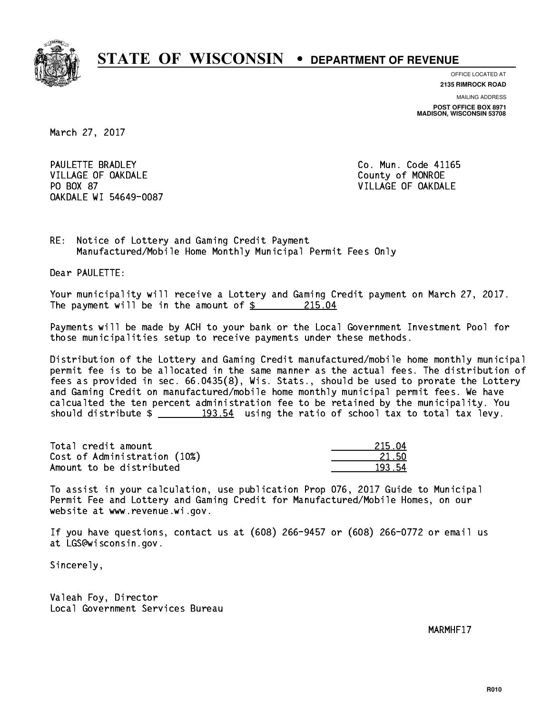

**OFFICE LOCATED AT 2135 RIMROCK ROAD**

**MAILING ADDRESS**

**POST OFFICE BOX 8971 MADISON, WISCONSIN 53708**

March 27, 2017

PAULETTE BRADLEY VILLAGE OF OAKDALE COUNTY OF MONROE PO BOX 87 OAKDALE WI 54649-0087

Co. Mun. Code 41165 VILLAGE OF OAKDALE

RE: Notice of Lottery and Gaming Credit Payment Manufactured/Mobile Home Monthly Municipal Permit Fees Only

Dear PAULETTE:

 Your municipality will receive a Lottery and Gaming Credit payment on March 27, 2017. The payment will be in the amount of  $\frac{215.04}{215.04}$ 

 Payments will be made by ACH to your bank or the Local Government Investment Pool for those municipalities setup to receive payments under these methods.

 Distribution of the Lottery and Gaming Credit manufactured/mobile home monthly municipal permit fee is to be allocated in the same manner as the actual fees. The distribution of fees as provided in sec. 66.0435(8), Wis. Stats., should be used to prorate the Lottery and Gaming Credit on manufactured/mobile home monthly municipal permit fees. We have calcualted the ten percent administration fee to be retained by the municipality. You should distribute  $\frac{193.54}{193.54}$  using the ratio of school tax to total tax levy.

Total credit amount Cost of Administration (10%) Amount to be distributed

| $215 -$<br>١Δ |
|---------------|
| 21.50         |
| 02 F          |

 To assist in your calculation, use publication Prop 076, 2017 Guide to Municipal Permit Fee and Lottery and Gaming Credit for Manufactured/Mobile Homes, on our website at www.revenue.wi.gov.

 If you have questions, contact us at (608) 266-9457 or (608) 266-0772 or email us at LGS@wisconsin.gov.

Sincerely,

 Valeah Foy, Director Local Government Services Bureau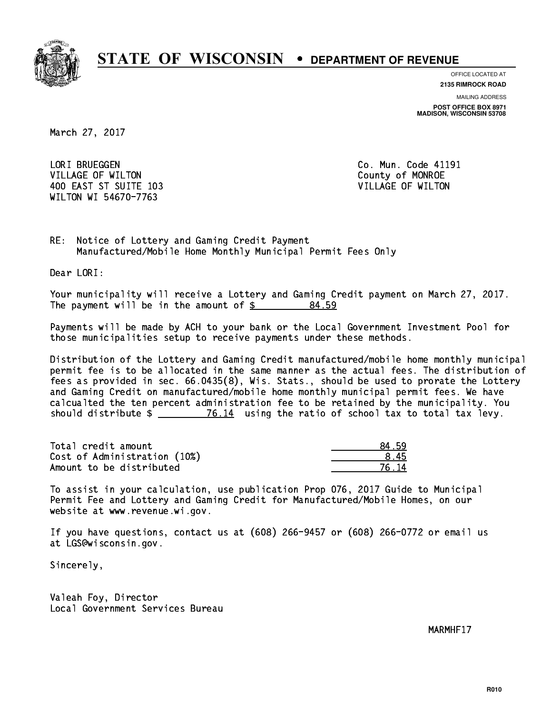

**OFFICE LOCATED AT**

**2135 RIMROCK ROAD**

**MAILING ADDRESS POST OFFICE BOX 8971 MADISON, WISCONSIN 53708**

March 27, 2017

LORI BRUEGGEN VILLAGE OF WILTON COUNTY OF MONROE 400 EAST ST SUITE 103 VILLAGE OF WILTON WILTON WI 54670-7763

Co. Mun. Code 41191

RE: Notice of Lottery and Gaming Credit Payment Manufactured/Mobile Home Monthly Municipal Permit Fees Only

Dear LORI:

 Your municipality will receive a Lottery and Gaming Credit payment on March 27, 2017. The payment will be in the amount of  $$$ 84.59

 Payments will be made by ACH to your bank or the Local Government Investment Pool for those municipalities setup to receive payments under these methods.

 Distribution of the Lottery and Gaming Credit manufactured/mobile home monthly municipal permit fee is to be allocated in the same manner as the actual fees. The distribution of fees as provided in sec. 66.0435(8), Wis. Stats., should be used to prorate the Lottery and Gaming Credit on manufactured/mobile home monthly municipal permit fees. We have calcualted the ten percent administration fee to be retained by the municipality. You should distribute  $\frac{2}{2}$   $\frac{76.14}{2}$  using the ratio of school tax to total tax levy.

Total credit amount Cost of Administration (10%) Amount to be distributed

| l.59          |
|---------------|
|               |
| 4<br>7<br>. 1 |

 To assist in your calculation, use publication Prop 076, 2017 Guide to Municipal Permit Fee and Lottery and Gaming Credit for Manufactured/Mobile Homes, on our website at www.revenue.wi.gov.

 If you have questions, contact us at (608) 266-9457 or (608) 266-0772 or email us at LGS@wisconsin.gov.

Sincerely,

 Valeah Foy, Director Local Government Services Bureau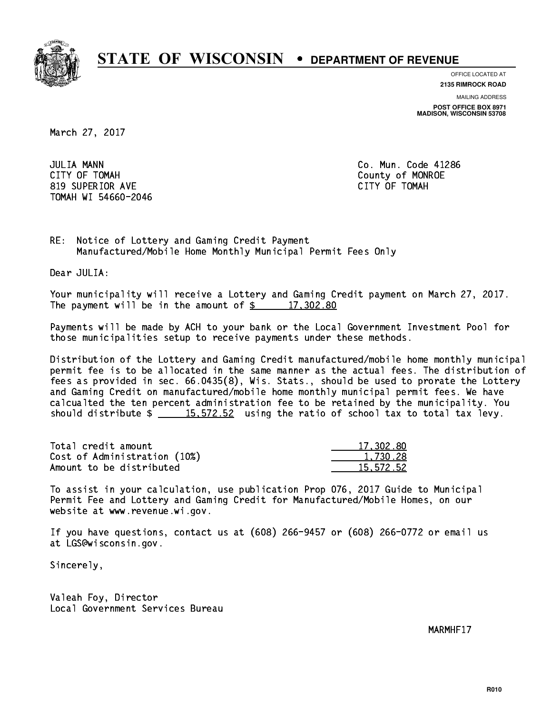

**OFFICE LOCATED AT**

**2135 RIMROCK ROAD**

**MAILING ADDRESS POST OFFICE BOX 8971 MADISON, WISCONSIN 53708**

March 27, 2017

**JULIA MANN**  CITY OF TOMAH County of MONROE 819 SUPERIOR AVE CITY OF TOMAH TOMAH WI 54660-2046

Co. Mun. Code 41286

RE: Notice of Lottery and Gaming Credit Payment Manufactured/Mobile Home Monthly Municipal Permit Fees Only

Dear JULIA:

 Your municipality will receive a Lottery and Gaming Credit payment on March 27, 2017. The payment will be in the amount of  $\frac{2}{3}$  17,302.80

 Payments will be made by ACH to your bank or the Local Government Investment Pool for those municipalities setup to receive payments under these methods.

 Distribution of the Lottery and Gaming Credit manufactured/mobile home monthly municipal permit fee is to be allocated in the same manner as the actual fees. The distribution of fees as provided in sec. 66.0435(8), Wis. Stats., should be used to prorate the Lottery and Gaming Credit on manufactured/mobile home monthly municipal permit fees. We have calcualted the ten percent administration fee to be retained by the municipality. You should distribute  $\frac{15.572.52}{ }$  using the ratio of school tax to total tax levy.

| Total credit amount          | 17,302.80 |
|------------------------------|-----------|
| Cost of Administration (10%) | 1.730.28  |
| Amount to be distributed     | 15.572.52 |

 To assist in your calculation, use publication Prop 076, 2017 Guide to Municipal Permit Fee and Lottery and Gaming Credit for Manufactured/Mobile Homes, on our website at www.revenue.wi.gov.

 If you have questions, contact us at (608) 266-9457 or (608) 266-0772 or email us at LGS@wisconsin.gov.

Sincerely,

 Valeah Foy, Director Local Government Services Bureau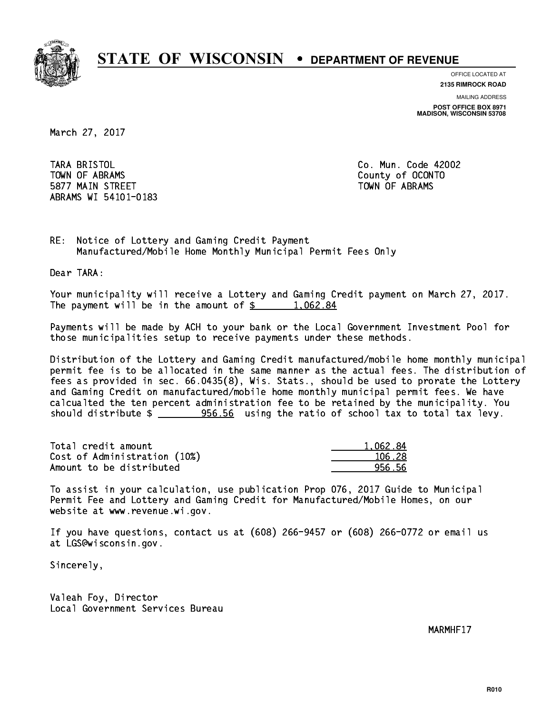

**OFFICE LOCATED AT 2135 RIMROCK ROAD**

**MAILING ADDRESS**

**POST OFFICE BOX 8971 MADISON, WISCONSIN 53708**

March 27, 2017

TARA BRISTOL TOWN OF ABRAMS County of OCONTO 5877 MAIN STREET TOWN OF ABRAMS ABRAMS WI 54101-0183

Co. Mun. Code 42002

RE: Notice of Lottery and Gaming Credit Payment Manufactured/Mobile Home Monthly Municipal Permit Fees Only

Dear TARA:

 Your municipality will receive a Lottery and Gaming Credit payment on March 27, 2017. The payment will be in the amount of  $\frac{2}{3}$  1,062.84

 Payments will be made by ACH to your bank or the Local Government Investment Pool for those municipalities setup to receive payments under these methods.

 Distribution of the Lottery and Gaming Credit manufactured/mobile home monthly municipal permit fee is to be allocated in the same manner as the actual fees. The distribution of fees as provided in sec. 66.0435(8), Wis. Stats., should be used to prorate the Lottery and Gaming Credit on manufactured/mobile home monthly municipal permit fees. We have calcualted the ten percent administration fee to be retained by the municipality. You should distribute  $\frac{1}{2}$   $\frac{956.56}{2}$  using the ratio of school tax to total tax levy.

| Total credit amount          | 1.062.84 |
|------------------------------|----------|
| Cost of Administration (10%) | 106.28   |
| Amount to be distributed     | 956.56   |

 To assist in your calculation, use publication Prop 076, 2017 Guide to Municipal Permit Fee and Lottery and Gaming Credit for Manufactured/Mobile Homes, on our website at www.revenue.wi.gov.

 If you have questions, contact us at (608) 266-9457 or (608) 266-0772 or email us at LGS@wisconsin.gov.

Sincerely,

 Valeah Foy, Director Local Government Services Bureau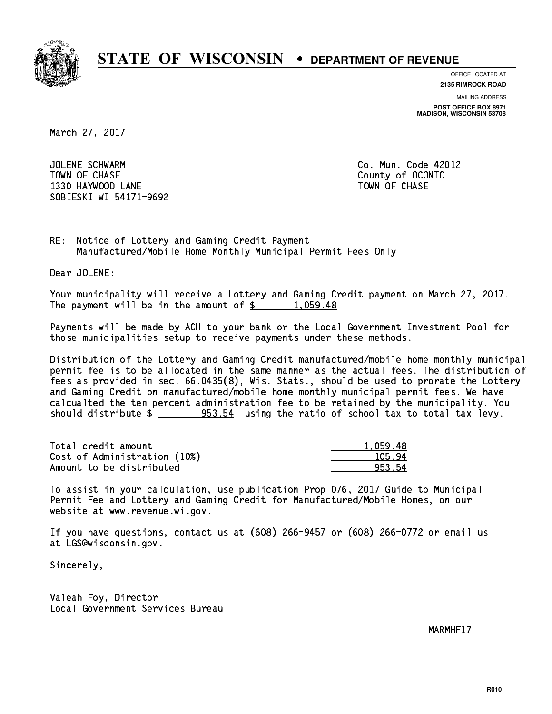

**OFFICE LOCATED AT**

**2135 RIMROCK ROAD**

**MAILING ADDRESS POST OFFICE BOX 8971 MADISON, WISCONSIN 53708**

March 27, 2017

 JOLENE SCHWARM Co. Mun. Code 42012 TOWN OF CHASE County of OCONTO 1330 HAYWOOD LANE TOWN OF CHASE SOBIESKI WI 54171-9692

RE: Notice of Lottery and Gaming Credit Payment Manufactured/Mobile Home Monthly Municipal Permit Fees Only

Dear JOLENE:

 Your municipality will receive a Lottery and Gaming Credit payment on March 27, 2017. The payment will be in the amount of  $\frac{2}{3}$  1,059.48

 Payments will be made by ACH to your bank or the Local Government Investment Pool for those municipalities setup to receive payments under these methods.

 Distribution of the Lottery and Gaming Credit manufactured/mobile home monthly municipal permit fee is to be allocated in the same manner as the actual fees. The distribution of fees as provided in sec. 66.0435(8), Wis. Stats., should be used to prorate the Lottery and Gaming Credit on manufactured/mobile home monthly municipal permit fees. We have calcualted the ten percent administration fee to be retained by the municipality. You should distribute  $\frac{253.54}{253.54}$  using the ratio of school tax to total tax levy.

| Total credit amount          | 1.059.48 |
|------------------------------|----------|
| Cost of Administration (10%) | 105.94   |
| Amount to be distributed     | 953.54   |

 To assist in your calculation, use publication Prop 076, 2017 Guide to Municipal Permit Fee and Lottery and Gaming Credit for Manufactured/Mobile Homes, on our website at www.revenue.wi.gov.

 If you have questions, contact us at (608) 266-9457 or (608) 266-0772 or email us at LGS@wisconsin.gov.

Sincerely,

 Valeah Foy, Director Local Government Services Bureau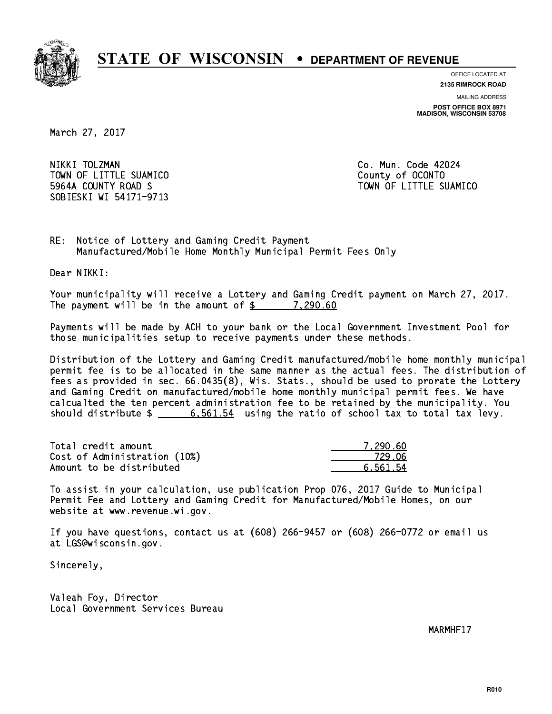

**OFFICE LOCATED AT**

**2135 RIMROCK ROAD**

**MAILING ADDRESS POST OFFICE BOX 8971 MADISON, WISCONSIN 53708**

March 27, 2017

 NIKKI TOLZMAN Co. Mun. Code 42024 TOWN OF LITTLE SUAMICO **COUNTY COUNTY COUNTY**  5964A COUNTY ROAD S TOWN OF LITTLE SUAMICO SOBIESKI WI 54171-9713

RE: Notice of Lottery and Gaming Credit Payment Manufactured/Mobile Home Monthly Municipal Permit Fees Only

Dear NIKKI:

 Your municipality will receive a Lottery and Gaming Credit payment on March 27, 2017. The payment will be in the amount of  $\frac{2}{3}$  7,290.60

 Payments will be made by ACH to your bank or the Local Government Investment Pool for those municipalities setup to receive payments under these methods.

 Distribution of the Lottery and Gaming Credit manufactured/mobile home monthly municipal permit fee is to be allocated in the same manner as the actual fees. The distribution of fees as provided in sec. 66.0435(8), Wis. Stats., should be used to prorate the Lottery and Gaming Credit on manufactured/mobile home monthly municipal permit fees. We have calcualted the ten percent administration fee to be retained by the municipality. You should distribute  $\frac{2}{3}$   $\frac{6,561.54}{2}$  using the ratio of school tax to total tax levy.

| Total credit amount          | 7.290.60 |
|------------------------------|----------|
| Cost of Administration (10%) | 729.06   |
| Amount to be distributed     | 6.561.54 |

 To assist in your calculation, use publication Prop 076, 2017 Guide to Municipal Permit Fee and Lottery and Gaming Credit for Manufactured/Mobile Homes, on our website at www.revenue.wi.gov.

 If you have questions, contact us at (608) 266-9457 or (608) 266-0772 or email us at LGS@wisconsin.gov.

Sincerely,

 Valeah Foy, Director Local Government Services Bureau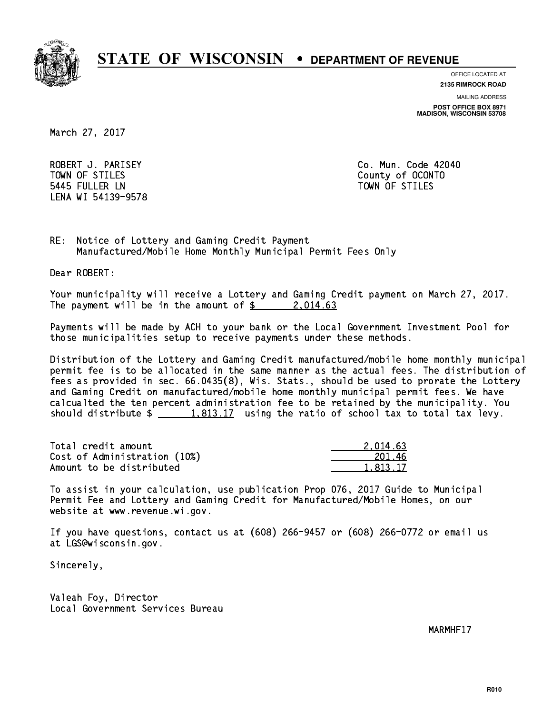

**OFFICE LOCATED AT**

**2135 RIMROCK ROAD**

**MAILING ADDRESS**

**POST OFFICE BOX 8971 MADISON, WISCONSIN 53708**

March 27, 2017

ROBERT J. PARISEY TOWN OF STILES County of OCONTO 5445 FULLER LN TOWN OF STILES LENA WI 54139-9578

Co. Mun. Code 42040

RE: Notice of Lottery and Gaming Credit Payment Manufactured/Mobile Home Monthly Municipal Permit Fees Only

Dear ROBERT:

 Your municipality will receive a Lottery and Gaming Credit payment on March 27, 2017. The payment will be in the amount of  $\frac{2.014.63}{2.014.63}$ 

 Payments will be made by ACH to your bank or the Local Government Investment Pool for those municipalities setup to receive payments under these methods.

 Distribution of the Lottery and Gaming Credit manufactured/mobile home monthly municipal permit fee is to be allocated in the same manner as the actual fees. The distribution of fees as provided in sec. 66.0435(8), Wis. Stats., should be used to prorate the Lottery and Gaming Credit on manufactured/mobile home monthly municipal permit fees. We have calcualted the ten percent administration fee to be retained by the municipality. You should distribute  $\frac{1,813.17}{1,813.17}$  using the ratio of school tax to total tax levy.

| Total credit amount          | 2.014.63 |
|------------------------------|----------|
| Cost of Administration (10%) | -201.46  |
| Amount to be distributed     | 1,813.17 |

 To assist in your calculation, use publication Prop 076, 2017 Guide to Municipal Permit Fee and Lottery and Gaming Credit for Manufactured/Mobile Homes, on our website at www.revenue.wi.gov.

 If you have questions, contact us at (608) 266-9457 or (608) 266-0772 or email us at LGS@wisconsin.gov.

Sincerely,

 Valeah Foy, Director Local Government Services Bureau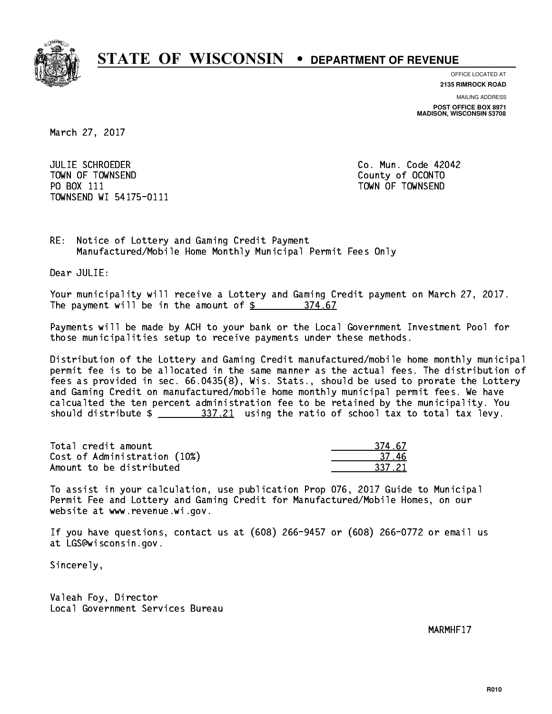

**OFFICE LOCATED AT 2135 RIMROCK ROAD**

**MAILING ADDRESS**

**POST OFFICE BOX 8971 MADISON, WISCONSIN 53708**

March 27, 2017

**JULIE SCHROEDER**  TOWN OF TOWNSEND County of OCONTO PO BOX 111 PO BOX 111 TOWN OF TOWNSEND TOWNSEND WI 54175-0111

Co. Mun. Code 42042

RE: Notice of Lottery and Gaming Credit Payment Manufactured/Mobile Home Monthly Municipal Permit Fees Only

Dear JULIE:

 Your municipality will receive a Lottery and Gaming Credit payment on March 27, 2017. The payment will be in the amount of \$ 374.67 \_\_\_\_\_\_\_\_\_\_\_\_\_\_\_\_

 Payments will be made by ACH to your bank or the Local Government Investment Pool for those municipalities setup to receive payments under these methods.

 Distribution of the Lottery and Gaming Credit manufactured/mobile home monthly municipal permit fee is to be allocated in the same manner as the actual fees. The distribution of fees as provided in sec. 66.0435(8), Wis. Stats., should be used to prorate the Lottery and Gaming Credit on manufactured/mobile home monthly municipal permit fees. We have calcualted the ten percent administration fee to be retained by the municipality. You should distribute  $\frac{237.21}{21}$  using the ratio of school tax to total tax levy.

Total credit amount Cost of Administration (10%) Amount to be distributed

| $57 -$ |
|--------|
|        |
| 27 21  |

 To assist in your calculation, use publication Prop 076, 2017 Guide to Municipal Permit Fee and Lottery and Gaming Credit for Manufactured/Mobile Homes, on our website at www.revenue.wi.gov.

 If you have questions, contact us at (608) 266-9457 or (608) 266-0772 or email us at LGS@wisconsin.gov.

Sincerely,

 Valeah Foy, Director Local Government Services Bureau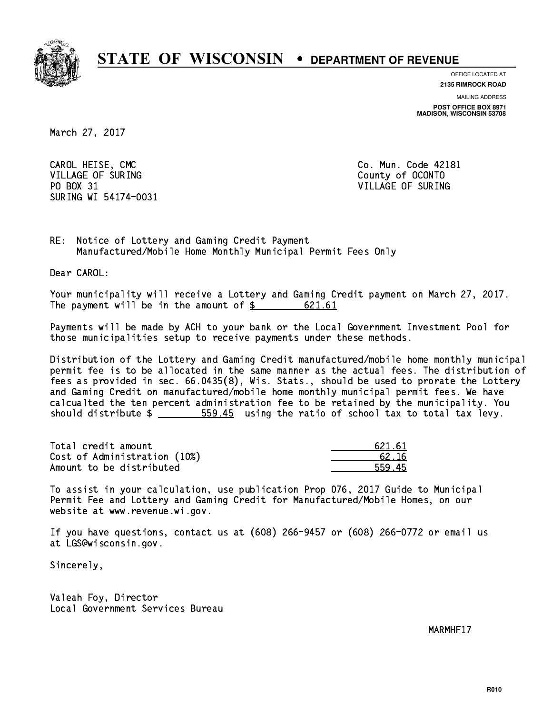

**OFFICE LOCATED AT**

**2135 RIMROCK ROAD**

**MAILING ADDRESS POST OFFICE BOX 8971 MADISON, WISCONSIN 53708**

March 27, 2017

CAROL HEISE, CMC CAROL HEISE, CMC VILLAGE OF SURING COUNTY COUNTY OF COUNTY OF SURING PO BOX 31 VILLAGE OF SURING SURING WI 54174-0031

RE: Notice of Lottery and Gaming Credit Payment Manufactured/Mobile Home Monthly Municipal Permit Fees Only

Dear CAROL:

 Your municipality will receive a Lottery and Gaming Credit payment on March 27, 2017. The payment will be in the amount of  $\frac{2}{3}$  621.61

 Payments will be made by ACH to your bank or the Local Government Investment Pool for those municipalities setup to receive payments under these methods.

 Distribution of the Lottery and Gaming Credit manufactured/mobile home monthly municipal permit fee is to be allocated in the same manner as the actual fees. The distribution of fees as provided in sec. 66.0435(8), Wis. Stats., should be used to prorate the Lottery and Gaming Credit on manufactured/mobile home monthly municipal permit fees. We have calcualted the ten percent administration fee to be retained by the municipality. You should distribute  $\frac{2}{1}$   $\frac{559.45}{1000}$  using the ratio of school tax to total tax levy.

Total credit amount 1.1 and 1.5 and 1.621.61 and 1.621.61 and 1.621.61 and 1.621.61 and 1.621.61 and 1.621.61  $\sim$  $Cost of Administration (10%)$   $2.16$ Amount to be distributed **559.45** 

 To assist in your calculation, use publication Prop 076, 2017 Guide to Municipal Permit Fee and Lottery and Gaming Credit for Manufactured/Mobile Homes, on our website at www.revenue.wi.gov.

 If you have questions, contact us at (608) 266-9457 or (608) 266-0772 or email us at LGS@wisconsin.gov.

Sincerely,

 Valeah Foy, Director Local Government Services Bureau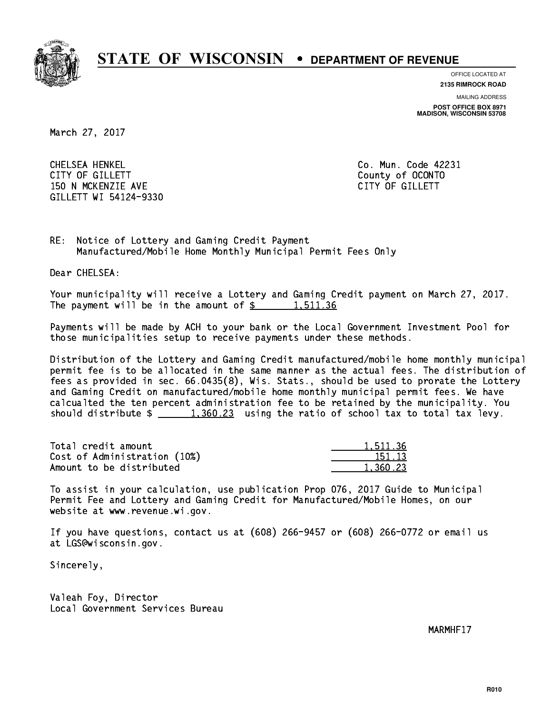

**OFFICE LOCATED AT**

**2135 RIMROCK ROAD**

**MAILING ADDRESS**

**POST OFFICE BOX 8971 MADISON, WISCONSIN 53708**

March 27, 2017

 CHELSEA HENKEL Co. Mun. Code 42231 CITY OF GILLETT County of OCONTO 150 N MCKENZIE AVE CITY OF GILLETT GILLETT WI 54124-9330

RE: Notice of Lottery and Gaming Credit Payment Manufactured/Mobile Home Monthly Municipal Permit Fees Only

Dear CHELSEA:

 Your municipality will receive a Lottery and Gaming Credit payment on March 27, 2017. The payment will be in the amount of  $\frac{2}{3}$  1,511.36

 Payments will be made by ACH to your bank or the Local Government Investment Pool for those municipalities setup to receive payments under these methods.

 Distribution of the Lottery and Gaming Credit manufactured/mobile home monthly municipal permit fee is to be allocated in the same manner as the actual fees. The distribution of fees as provided in sec. 66.0435(8), Wis. Stats., should be used to prorate the Lottery and Gaming Credit on manufactured/mobile home monthly municipal permit fees. We have calcualted the ten percent administration fee to be retained by the municipality. You should distribute  $\frac{1,360.23}{1,360.23}$  using the ratio of school tax to total tax levy.

Total credit amount Cost of Administration (10%) Amount to be distributed

| $-511.36$ |
|-----------|
| 51 13     |
| 360.23    |

 To assist in your calculation, use publication Prop 076, 2017 Guide to Municipal Permit Fee and Lottery and Gaming Credit for Manufactured/Mobile Homes, on our website at www.revenue.wi.gov.

 If you have questions, contact us at (608) 266-9457 or (608) 266-0772 or email us at LGS@wisconsin.gov.

Sincerely,

 Valeah Foy, Director Local Government Services Bureau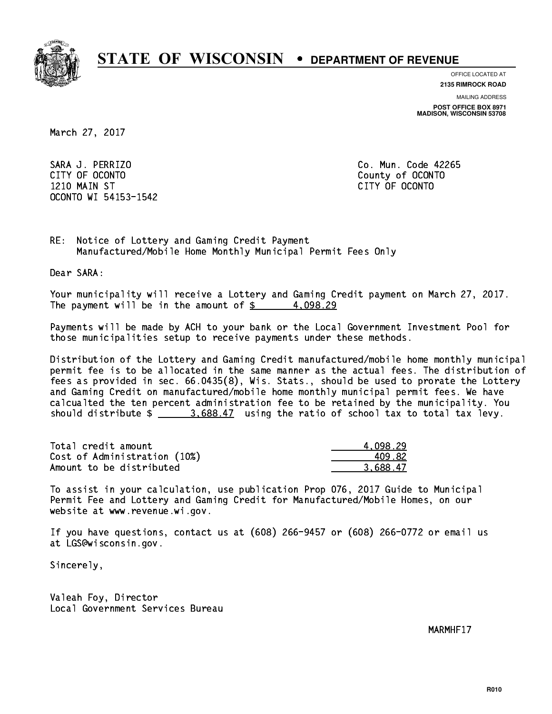

**OFFICE LOCATED AT**

**2135 RIMROCK ROAD**

**MAILING ADDRESS**

**POST OFFICE BOX 8971 MADISON, WISCONSIN 53708**

March 27, 2017

 SARA J. PERRIZO Co. Mun. Code 42265 CITY OF OCONTO County of OCONTO 1210 MAIN ST CITY OF OCONTO OCONTO WI 54153-1542

RE: Notice of Lottery and Gaming Credit Payment Manufactured/Mobile Home Monthly Municipal Permit Fees Only

Dear SARA:

 Your municipality will receive a Lottery and Gaming Credit payment on March 27, 2017. The payment will be in the amount of  $\frac{2}{3}$  4,098.29

 Payments will be made by ACH to your bank or the Local Government Investment Pool for those municipalities setup to receive payments under these methods.

 Distribution of the Lottery and Gaming Credit manufactured/mobile home monthly municipal permit fee is to be allocated in the same manner as the actual fees. The distribution of fees as provided in sec. 66.0435(8), Wis. Stats., should be used to prorate the Lottery and Gaming Credit on manufactured/mobile home monthly municipal permit fees. We have calcualted the ten percent administration fee to be retained by the municipality. You should distribute  $\frac{2}{2}$   $\frac{3.688.47}{2}$  using the ratio of school tax to total tax levy.

| Total credit amount          | 4.098.29 |
|------------------------------|----------|
| Cost of Administration (10%) | 409.82   |
| Amount to be distributed     | 3.688.47 |

 To assist in your calculation, use publication Prop 076, 2017 Guide to Municipal Permit Fee and Lottery and Gaming Credit for Manufactured/Mobile Homes, on our website at www.revenue.wi.gov.

 If you have questions, contact us at (608) 266-9457 or (608) 266-0772 or email us at LGS@wisconsin.gov.

Sincerely,

 Valeah Foy, Director Local Government Services Bureau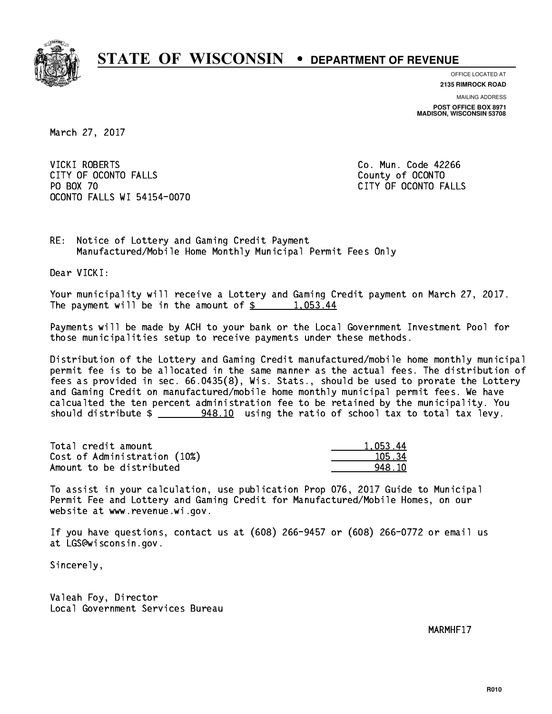

**OFFICE LOCATED AT**

**2135 RIMROCK ROAD**

**MAILING ADDRESS POST OFFICE BOX 8971 MADISON, WISCONSIN 53708**

March 27, 2017

**VICKI ROBERTS** CITY OF OCONTO FALLS **COUNTY COUNTY OF OCONTO** PO BOX 70 CITY OF OCONTO FALLS OCONTO FALLS WI 54154-0070

Co. Mun. Code 42266

RE: Notice of Lottery and Gaming Credit Payment Manufactured/Mobile Home Monthly Municipal Permit Fees Only

Dear VICKI:

 Your municipality will receive a Lottery and Gaming Credit payment on March 27, 2017. The payment will be in the amount of  $\frac{2}{3}$  1,053.44

 Payments will be made by ACH to your bank or the Local Government Investment Pool for those municipalities setup to receive payments under these methods.

 Distribution of the Lottery and Gaming Credit manufactured/mobile home monthly municipal permit fee is to be allocated in the same manner as the actual fees. The distribution of fees as provided in sec. 66.0435(8), Wis. Stats., should be used to prorate the Lottery and Gaming Credit on manufactured/mobile home monthly municipal permit fees. We have calcualted the ten percent administration fee to be retained by the municipality. You should distribute  $\frac{248.10}{10}$  using the ratio of school tax to total tax levy.

| Total credit amount          | 1.053.44 |
|------------------------------|----------|
| Cost of Administration (10%) | 105.34   |
| Amount to be distributed     | 948.10   |

 To assist in your calculation, use publication Prop 076, 2017 Guide to Municipal Permit Fee and Lottery and Gaming Credit for Manufactured/Mobile Homes, on our website at www.revenue.wi.gov.

 If you have questions, contact us at (608) 266-9457 or (608) 266-0772 or email us at LGS@wisconsin.gov.

Sincerely,

 Valeah Foy, Director Local Government Services Bureau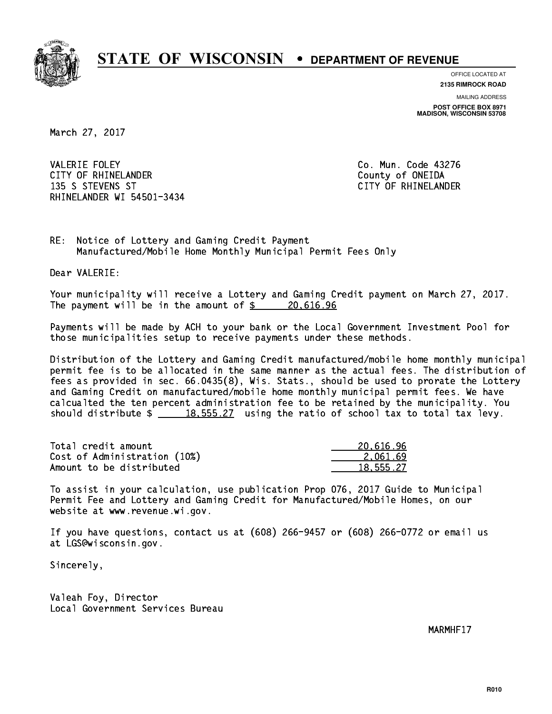

**OFFICE LOCATED AT**

**2135 RIMROCK ROAD**

**MAILING ADDRESS POST OFFICE BOX 8971 MADISON, WISCONSIN 53708**

March 27, 2017

**VALERIE FOLEY** CITY OF RHINELANDER **COUNTY COUNTY OF SHINE COUNTY** COUNTY OF ONEIDA 135 S STEVENS ST CITY OF RHINELANDER RHINELANDER WI 54501-3434

Co. Mun. Code 43276

RE: Notice of Lottery and Gaming Credit Payment Manufactured/Mobile Home Monthly Municipal Permit Fees Only

Dear VALERIE:

 Your municipality will receive a Lottery and Gaming Credit payment on March 27, 2017. The payment will be in the amount of  $\frac{20,616.96}{20,616.96}$ 

 Payments will be made by ACH to your bank or the Local Government Investment Pool for those municipalities setup to receive payments under these methods.

 Distribution of the Lottery and Gaming Credit manufactured/mobile home monthly municipal permit fee is to be allocated in the same manner as the actual fees. The distribution of fees as provided in sec. 66.0435(8), Wis. Stats., should be used to prorate the Lottery and Gaming Credit on manufactured/mobile home monthly municipal permit fees. We have calcualted the ten percent administration fee to be retained by the municipality. You should distribute  $\frac{18,555.27}{2}$  using the ratio of school tax to total tax levy.

| Total credit amount          | 20,616.96 |
|------------------------------|-----------|
| Cost of Administration (10%) | 2.061.69  |
| Amount to be distributed     | 18,555.27 |

 To assist in your calculation, use publication Prop 076, 2017 Guide to Municipal Permit Fee and Lottery and Gaming Credit for Manufactured/Mobile Homes, on our website at www.revenue.wi.gov.

 If you have questions, contact us at (608) 266-9457 or (608) 266-0772 or email us at LGS@wisconsin.gov.

Sincerely,

 Valeah Foy, Director Local Government Services Bureau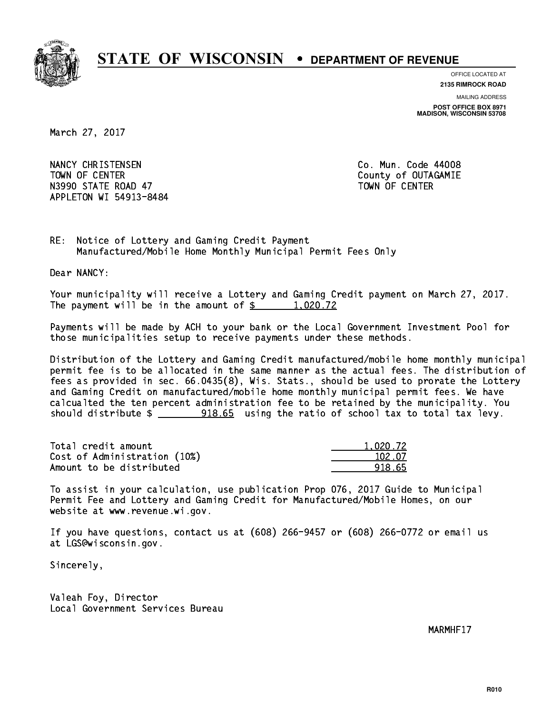

**OFFICE LOCATED AT 2135 RIMROCK ROAD**

**MAILING ADDRESS**

**POST OFFICE BOX 8971 MADISON, WISCONSIN 53708**

March 27, 2017

 NANCY CHRISTENSEN Co. Mun. Code 44008 TOWN OF CENTER **COUNTY OF COUNTY COUNTY OF COULD A** N3990 STATE ROAD 47 TOWN OF CENTER APPLETON WI 54913-8484

RE: Notice of Lottery and Gaming Credit Payment Manufactured/Mobile Home Monthly Municipal Permit Fees Only

Dear NANCY:

 Your municipality will receive a Lottery and Gaming Credit payment on March 27, 2017. The payment will be in the amount of  $\frac{2}{3}$  1,020.72

 Payments will be made by ACH to your bank or the Local Government Investment Pool for those municipalities setup to receive payments under these methods.

 Distribution of the Lottery and Gaming Credit manufactured/mobile home monthly municipal permit fee is to be allocated in the same manner as the actual fees. The distribution of fees as provided in sec. 66.0435(8), Wis. Stats., should be used to prorate the Lottery and Gaming Credit on manufactured/mobile home monthly municipal permit fees. We have calcualted the ten percent administration fee to be retained by the municipality. You should distribute  $\frac{2}{2}$   $\frac{918.65}{2}$  using the ratio of school tax to total tax levy.

| Total credit amount          | 1.020.72 |
|------------------------------|----------|
| Cost of Administration (10%) | 102.07   |
| Amount to be distributed     | 918.65   |

 To assist in your calculation, use publication Prop 076, 2017 Guide to Municipal Permit Fee and Lottery and Gaming Credit for Manufactured/Mobile Homes, on our website at www.revenue.wi.gov.

 If you have questions, contact us at (608) 266-9457 or (608) 266-0772 or email us at LGS@wisconsin.gov.

Sincerely,

 Valeah Foy, Director Local Government Services Bureau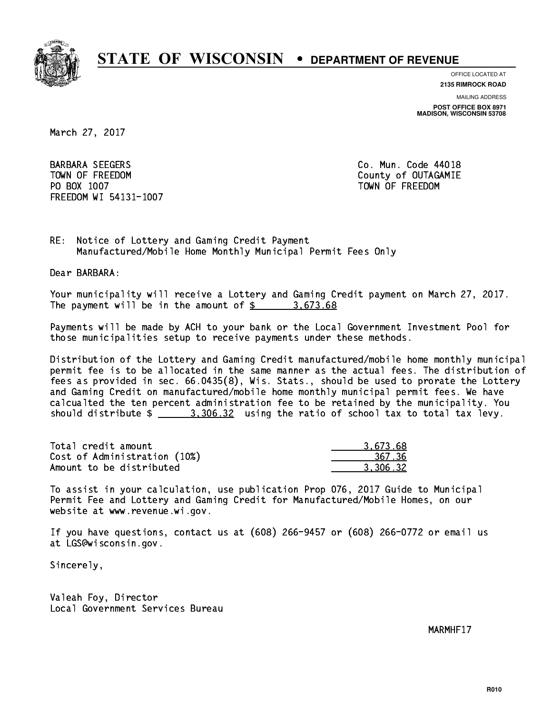

**OFFICE LOCATED AT**

**2135 RIMROCK ROAD**

**MAILING ADDRESS**

**POST OFFICE BOX 8971 MADISON, WISCONSIN 53708**

March 27, 2017

 BARBARA SEEGERS Co. Mun. Code 44018 TOWN OF FREEDOM County of OUTAGAMIE PO BOX 1007 TOWN OF FREEDOM FREEDOM WI 54131-1007

RE: Notice of Lottery and Gaming Credit Payment Manufactured/Mobile Home Monthly Municipal Permit Fees Only

Dear BARBARA:

 Your municipality will receive a Lottery and Gaming Credit payment on March 27, 2017. The payment will be in the amount of  $\frac{2}{3}$  3,673.68

 Payments will be made by ACH to your bank or the Local Government Investment Pool for those municipalities setup to receive payments under these methods.

 Distribution of the Lottery and Gaming Credit manufactured/mobile home monthly municipal permit fee is to be allocated in the same manner as the actual fees. The distribution of fees as provided in sec. 66.0435(8), Wis. Stats., should be used to prorate the Lottery and Gaming Credit on manufactured/mobile home monthly municipal permit fees. We have calcualted the ten percent administration fee to be retained by the municipality. You should distribute  $\frac{2}{1}$   $\frac{3}{306.32}$  using the ratio of school tax to total tax levy.

| Total credit amount          | 3.673.68 |
|------------------------------|----------|
| Cost of Administration (10%) | 367.36   |
| Amount to be distributed     | 3.306.32 |

 To assist in your calculation, use publication Prop 076, 2017 Guide to Municipal Permit Fee and Lottery and Gaming Credit for Manufactured/Mobile Homes, on our website at www.revenue.wi.gov.

 If you have questions, contact us at (608) 266-9457 or (608) 266-0772 or email us at LGS@wisconsin.gov.

Sincerely,

 Valeah Foy, Director Local Government Services Bureau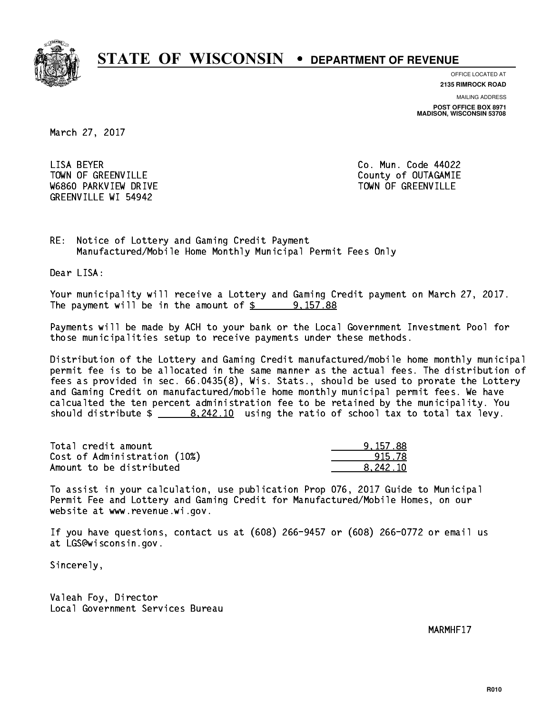

**OFFICE LOCATED AT**

**2135 RIMROCK ROAD**

**MAILING ADDRESS**

**POST OFFICE BOX 8971 MADISON, WISCONSIN 53708**

March 27, 2017

LISA BEYER TOWN OF GREENVILLE TOWN OF GREENVILLE W6860 PARKVIEW DRIVE TOWN OF GREENVILLE GREENVILLE WI 54942

Co. Mun. Code 44022

RE: Notice of Lottery and Gaming Credit Payment Manufactured/Mobile Home Monthly Municipal Permit Fees Only

Dear LISA:

 Your municipality will receive a Lottery and Gaming Credit payment on March 27, 2017. The payment will be in the amount of  $\frac{2}{3}$  9,157.88

 Payments will be made by ACH to your bank or the Local Government Investment Pool for those municipalities setup to receive payments under these methods.

 Distribution of the Lottery and Gaming Credit manufactured/mobile home monthly municipal permit fee is to be allocated in the same manner as the actual fees. The distribution of fees as provided in sec. 66.0435(8), Wis. Stats., should be used to prorate the Lottery and Gaming Credit on manufactured/mobile home monthly municipal permit fees. We have calcualted the ten percent administration fee to be retained by the municipality. You should distribute  $\frac{242.10}{242.10}$  using the ratio of school tax to total tax levy.

| Total credit amount          | 9.157.88 |
|------------------------------|----------|
| Cost of Administration (10%) | 915.78   |
| Amount to be distributed     | 8.242.10 |

 To assist in your calculation, use publication Prop 076, 2017 Guide to Municipal Permit Fee and Lottery and Gaming Credit for Manufactured/Mobile Homes, on our website at www.revenue.wi.gov.

 If you have questions, contact us at (608) 266-9457 or (608) 266-0772 or email us at LGS@wisconsin.gov.

Sincerely,

 Valeah Foy, Director Local Government Services Bureau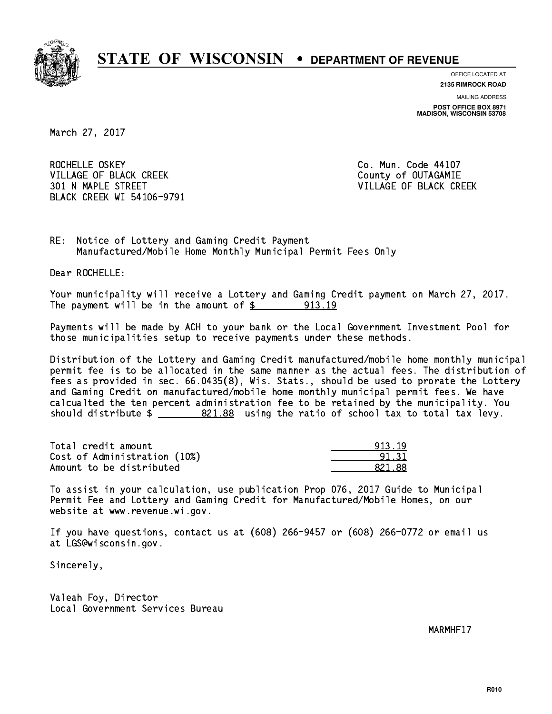

**OFFICE LOCATED AT**

**2135 RIMROCK ROAD**

**MAILING ADDRESS POST OFFICE BOX 8971 MADISON, WISCONSIN 53708**

March 27, 2017

ROCHELLE OSKEY VILLAGE OF BLACK CREEK COUNTY OF OUTAGAMIE 301 N MAPLE STREET VILLAGE OF BLACK CREEK BLACK CREEK WI 54106-9791

Co. Mun. Code 44107

RE: Notice of Lottery and Gaming Credit Payment Manufactured/Mobile Home Monthly Municipal Permit Fees Only

Dear ROCHELLE:

 Your municipality will receive a Lottery and Gaming Credit payment on March 27, 2017. The payment will be in the amount of  $\frac{2}{3}$  913.19

 Payments will be made by ACH to your bank or the Local Government Investment Pool for those municipalities setup to receive payments under these methods.

 Distribution of the Lottery and Gaming Credit manufactured/mobile home monthly municipal permit fee is to be allocated in the same manner as the actual fees. The distribution of fees as provided in sec. 66.0435(8), Wis. Stats., should be used to prorate the Lottery and Gaming Credit on manufactured/mobile home monthly municipal permit fees. We have calcualted the ten percent administration fee to be retained by the municipality. You should distribute  $\frac{221.88}{21.88}$  using the ratio of school tax to total tax levy.

| Total credit amount          | 913.19  |
|------------------------------|---------|
| Cost of Administration (10%) | 91.31   |
| Amount to be distributed     | -821.88 |

| 319          |
|--------------|
| 1.31         |
| 321 L<br>∻ਮ∵ |

 To assist in your calculation, use publication Prop 076, 2017 Guide to Municipal Permit Fee and Lottery and Gaming Credit for Manufactured/Mobile Homes, on our website at www.revenue.wi.gov.

 If you have questions, contact us at (608) 266-9457 or (608) 266-0772 or email us at LGS@wisconsin.gov.

Sincerely,

 Valeah Foy, Director Local Government Services Bureau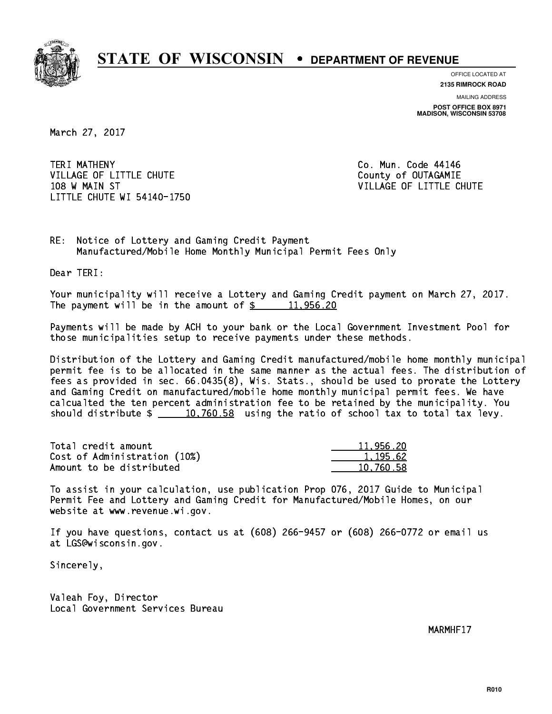

**OFFICE LOCATED AT**

**2135 RIMROCK ROAD**

**MAILING ADDRESS POST OFFICE BOX 8971 MADISON, WISCONSIN 53708**

March 27, 2017

TERI MATHENY VILLAGE OF LITTLE CHUTE COUNTY OF OUTAGAMIE 108 W MAIN ST VILLAGE OF LITTLE CHUTE LITTLE CHUTE WI 54140-1750

Co. Mun. Code 44146

RE: Notice of Lottery and Gaming Credit Payment Manufactured/Mobile Home Monthly Municipal Permit Fees Only

Dear TERI:

 Your municipality will receive a Lottery and Gaming Credit payment on March 27, 2017. The payment will be in the amount of  $\frac{2}{3}$  11,956.20

 Payments will be made by ACH to your bank or the Local Government Investment Pool for those municipalities setup to receive payments under these methods.

 Distribution of the Lottery and Gaming Credit manufactured/mobile home monthly municipal permit fee is to be allocated in the same manner as the actual fees. The distribution of fees as provided in sec. 66.0435(8), Wis. Stats., should be used to prorate the Lottery and Gaming Credit on manufactured/mobile home monthly municipal permit fees. We have calcualted the ten percent administration fee to be retained by the municipality. You should distribute  $\frac{10,760.58}{2}$  using the ratio of school tax to total tax levy.

| Total credit amount          | 11,956.20 |
|------------------------------|-----------|
| Cost of Administration (10%) | 1.195.62  |
| Amount to be distributed     | 10.760.58 |

 To assist in your calculation, use publication Prop 076, 2017 Guide to Municipal Permit Fee and Lottery and Gaming Credit for Manufactured/Mobile Homes, on our website at www.revenue.wi.gov.

 If you have questions, contact us at (608) 266-9457 or (608) 266-0772 or email us at LGS@wisconsin.gov.

Sincerely,

 Valeah Foy, Director Local Government Services Bureau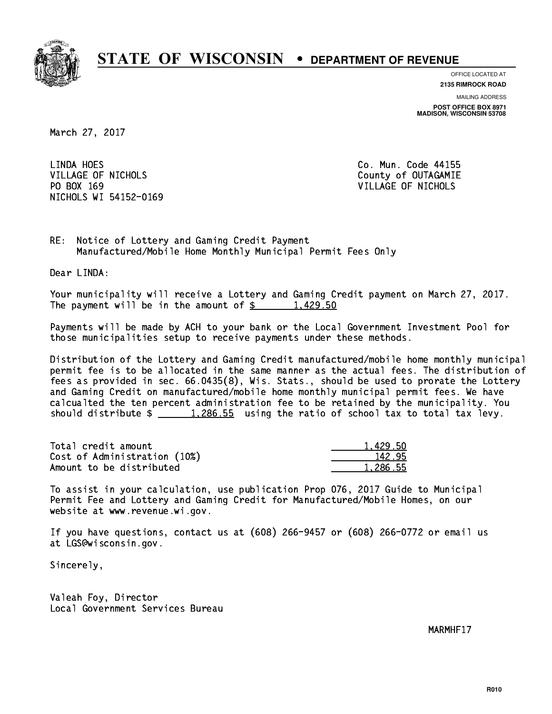

**OFFICE LOCATED AT 2135 RIMROCK ROAD**

**MAILING ADDRESS**

**POST OFFICE BOX 8971 MADISON, WISCONSIN 53708**

March 27, 2017

LINDA HOES VILLAGE OF NICHOLS COUNTY OF OUTAGAMIE PO BOX 169 VILLAGE OF NICHOLS NICHOLS WI 54152-0169

Co. Mun. Code 44155

RE: Notice of Lottery and Gaming Credit Payment Manufactured/Mobile Home Monthly Municipal Permit Fees Only

Dear LINDA:

 Your municipality will receive a Lottery and Gaming Credit payment on March 27, 2017. The payment will be in the amount of  $\frac{2}{3}$  1,429.50

 Payments will be made by ACH to your bank or the Local Government Investment Pool for those municipalities setup to receive payments under these methods.

 Distribution of the Lottery and Gaming Credit manufactured/mobile home monthly municipal permit fee is to be allocated in the same manner as the actual fees. The distribution of fees as provided in sec. 66.0435(8), Wis. Stats., should be used to prorate the Lottery and Gaming Credit on manufactured/mobile home monthly municipal permit fees. We have calcualted the ten percent administration fee to be retained by the municipality. You should distribute  $\frac{1,286.55}{1,286.55}$  using the ratio of school tax to total tax levy.

| Total credit amount          | 1,429.50 |
|------------------------------|----------|
| Cost of Administration (10%) | 142.95   |
| Amount to be distributed     | 1.286.55 |

 To assist in your calculation, use publication Prop 076, 2017 Guide to Municipal Permit Fee and Lottery and Gaming Credit for Manufactured/Mobile Homes, on our website at www.revenue.wi.gov.

 If you have questions, contact us at (608) 266-9457 or (608) 266-0772 or email us at LGS@wisconsin.gov.

Sincerely,

 Valeah Foy, Director Local Government Services Bureau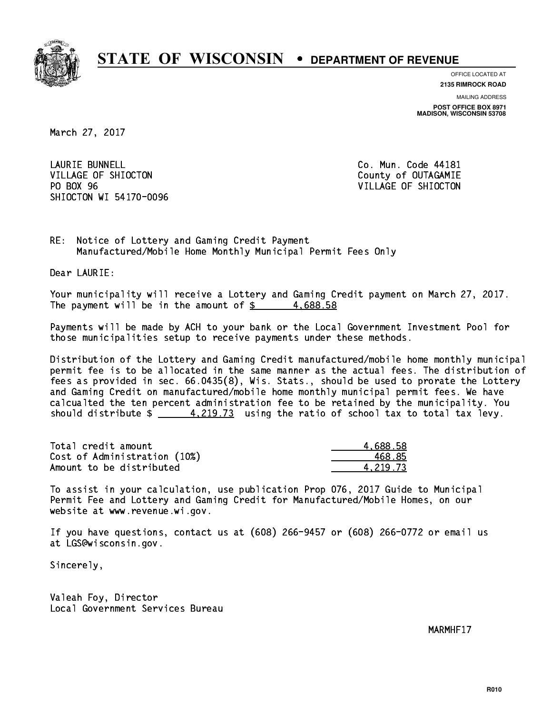

**OFFICE LOCATED AT**

**2135 RIMROCK ROAD**

**MAILING ADDRESS POST OFFICE BOX 8971 MADISON, WISCONSIN 53708**

March 27, 2017

**LAURIE BUNNELL** VILLAGE OF SHIOCTON COUNTY OF OUTAGAMIE PO BOX 96 SHIOCTON WI 54170-0096

Co. Mun. Code 44181 VILLAGE OF SHIOCTON

RE: Notice of Lottery and Gaming Credit Payment Manufactured/Mobile Home Monthly Municipal Permit Fees Only

Dear LAURIE:

 Your municipality will receive a Lottery and Gaming Credit payment on March 27, 2017. The payment will be in the amount of  $\frac{2}{3}$  4,688.58

 Payments will be made by ACH to your bank or the Local Government Investment Pool for those municipalities setup to receive payments under these methods.

 Distribution of the Lottery and Gaming Credit manufactured/mobile home monthly municipal permit fee is to be allocated in the same manner as the actual fees. The distribution of fees as provided in sec. 66.0435(8), Wis. Stats., should be used to prorate the Lottery and Gaming Credit on manufactured/mobile home monthly municipal permit fees. We have calcualted the ten percent administration fee to be retained by the municipality. You should distribute  $\frac{4.219.73}{2}$  using the ratio of school tax to total tax levy.

| Total credit amount          | 4.688.58 |
|------------------------------|----------|
| Cost of Administration (10%) | 468.85   |
| Amount to be distributed     | 4.219.73 |

 To assist in your calculation, use publication Prop 076, 2017 Guide to Municipal Permit Fee and Lottery and Gaming Credit for Manufactured/Mobile Homes, on our website at www.revenue.wi.gov.

 If you have questions, contact us at (608) 266-9457 or (608) 266-0772 or email us at LGS@wisconsin.gov.

Sincerely,

 Valeah Foy, Director Local Government Services Bureau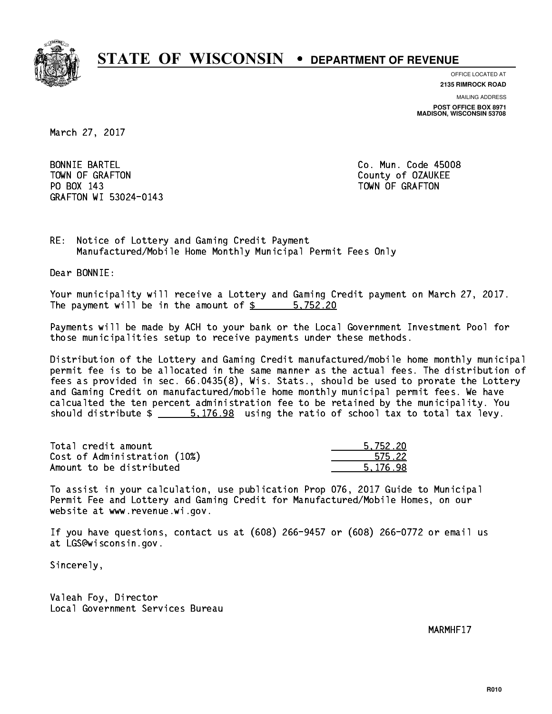

**OFFICE LOCATED AT**

**2135 RIMROCK ROAD**

**MAILING ADDRESS**

**POST OFFICE BOX 8971 MADISON, WISCONSIN 53708**

March 27, 2017

**BONNIE BARTEL** TOWN OF GRAFTON COUNTY OF OUR COUNTY OF OUR COUNTY OF OUR COUNTY OF OUR COUNTY OF OUR COUNTY OF OUR COUNTY OF THE ONLY AND THE OUR COUNTY OF OUR COUNTY OF OUR COUNTY OF OUR COUNTY OF OUR COUNTY OF OUR COUNTY OF OUR COUNTY PO BOX 143 TOWN OF GRAFTON GRAFTON WI 53024-0143

Co. Mun. Code 45008

RE: Notice of Lottery and Gaming Credit Payment Manufactured/Mobile Home Monthly Municipal Permit Fees Only

Dear BONNIE:

 Your municipality will receive a Lottery and Gaming Credit payment on March 27, 2017. The payment will be in the amount of \$ 5,752.20 \_\_\_\_\_\_\_\_\_\_\_\_\_\_\_\_

 Payments will be made by ACH to your bank or the Local Government Investment Pool for those municipalities setup to receive payments under these methods.

 Distribution of the Lottery and Gaming Credit manufactured/mobile home monthly municipal permit fee is to be allocated in the same manner as the actual fees. The distribution of fees as provided in sec. 66.0435(8), Wis. Stats., should be used to prorate the Lottery and Gaming Credit on manufactured/mobile home monthly municipal permit fees. We have calcualted the ten percent administration fee to be retained by the municipality. You should distribute  $\frac{2}{1000}$   $\frac{5.176.98}{2000}$  using the ratio of school tax to total tax levy.

| Total credit amount          | 5.752.20 |
|------------------------------|----------|
| Cost of Administration (10%) | 575.22   |
| Amount to be distributed     | 5.176.98 |

 To assist in your calculation, use publication Prop 076, 2017 Guide to Municipal Permit Fee and Lottery and Gaming Credit for Manufactured/Mobile Homes, on our website at www.revenue.wi.gov.

 If you have questions, contact us at (608) 266-9457 or (608) 266-0772 or email us at LGS@wisconsin.gov.

Sincerely,

 Valeah Foy, Director Local Government Services Bureau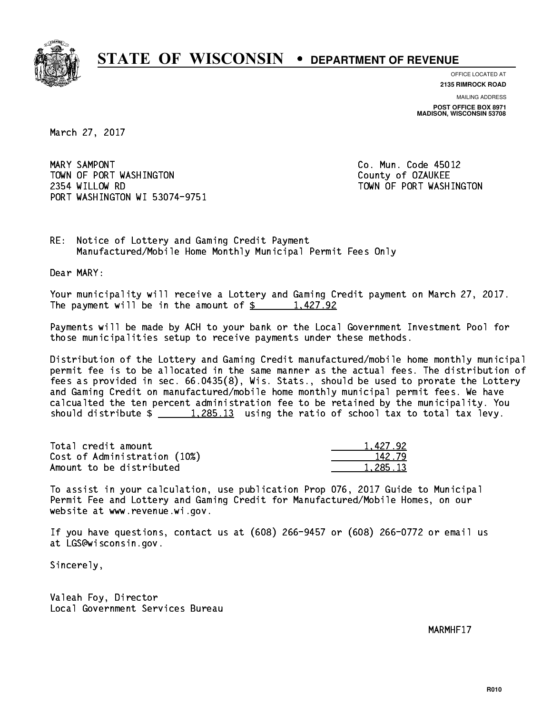

**OFFICE LOCATED AT**

**2135 RIMROCK ROAD**

**MAILING ADDRESS POST OFFICE BOX 8971 MADISON, WISCONSIN 53708**

March 27, 2017

MARY SAMPONT TOWN OF PORT WASHINGTON TOWN COUNTY OF OZAUKEE 2354 WILLOW RD TOWN OF PORT WASHINGTON PORT WASHINGTON WI 53074-9751

Co. Mun. Code 45012

RE: Notice of Lottery and Gaming Credit Payment Manufactured/Mobile Home Monthly Municipal Permit Fees Only

Dear MARY:

 Your municipality will receive a Lottery and Gaming Credit payment on March 27, 2017. The payment will be in the amount of  $\frac{2}{3}$  1,427.92

 Payments will be made by ACH to your bank or the Local Government Investment Pool for those municipalities setup to receive payments under these methods.

 Distribution of the Lottery and Gaming Credit manufactured/mobile home monthly municipal permit fee is to be allocated in the same manner as the actual fees. The distribution of fees as provided in sec. 66.0435(8), Wis. Stats., should be used to prorate the Lottery and Gaming Credit on manufactured/mobile home monthly municipal permit fees. We have calcualted the ten percent administration fee to be retained by the municipality. You should distribute  $\frac{1,285.13}{1,285.13}$  using the ratio of school tax to total tax levy.

| Total credit amount          | 1.427.92 |
|------------------------------|----------|
| Cost of Administration (10%) | 142.79   |
| Amount to be distributed     | 1,285.13 |

 To assist in your calculation, use publication Prop 076, 2017 Guide to Municipal Permit Fee and Lottery and Gaming Credit for Manufactured/Mobile Homes, on our website at www.revenue.wi.gov.

 If you have questions, contact us at (608) 266-9457 or (608) 266-0772 or email us at LGS@wisconsin.gov.

Sincerely,

 Valeah Foy, Director Local Government Services Bureau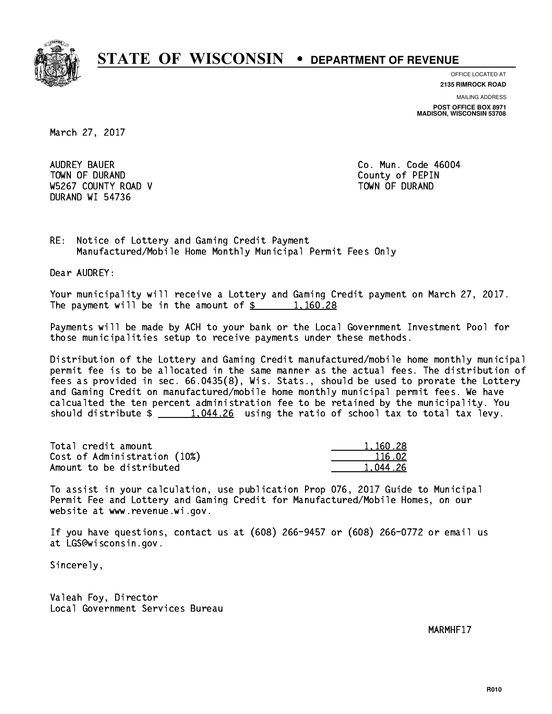

**OFFICE LOCATED AT 2135 RIMROCK ROAD**

**MAILING ADDRESS**

**POST OFFICE BOX 8971 MADISON, WISCONSIN 53708**

March 27, 2017

 AUDREY BAUER Co. Mun. Code 46004 TOWN OF DURAND COUNTY OF PERIODIC COUNTY OF PERIODIC COUNTY OF PERIODIC COUNTY OF PERIODIC COUNTY OF PERIODIC W5267 COUNTY ROAD V TOWN OF DURAND DURAND WI 54736

RE: Notice of Lottery and Gaming Credit Payment Manufactured/Mobile Home Monthly Municipal Permit Fees Only

Dear AUDREY:

 Your municipality will receive a Lottery and Gaming Credit payment on March 27, 2017. The payment will be in the amount of  $\frac{28}{1,160.28}$ 

 Payments will be made by ACH to your bank or the Local Government Investment Pool for those municipalities setup to receive payments under these methods.

 Distribution of the Lottery and Gaming Credit manufactured/mobile home monthly municipal permit fee is to be allocated in the same manner as the actual fees. The distribution of fees as provided in sec. 66.0435(8), Wis. Stats., should be used to prorate the Lottery and Gaming Credit on manufactured/mobile home monthly municipal permit fees. We have calcualted the ten percent administration fee to be retained by the municipality. You should distribute  $\frac{1.044.26}{1.044.26}$  using the ratio of school tax to total tax levy.

| Total credit amount          | 1.160.28 |
|------------------------------|----------|
| Cost of Administration (10%) | 116.02   |
| Amount to be distributed     | 1.044.26 |

 To assist in your calculation, use publication Prop 076, 2017 Guide to Municipal Permit Fee and Lottery and Gaming Credit for Manufactured/Mobile Homes, on our website at www.revenue.wi.gov.

 If you have questions, contact us at (608) 266-9457 or (608) 266-0772 or email us at LGS@wisconsin.gov.

Sincerely,

 Valeah Foy, Director Local Government Services Bureau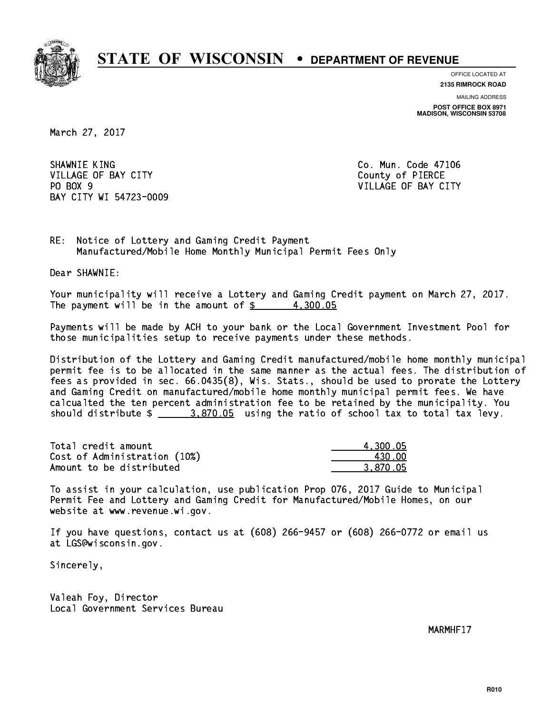

**OFFICE LOCATED AT 2135 RIMROCK ROAD**

**MAILING ADDRESS**

**POST OFFICE BOX 8971 MADISON, WISCONSIN 53708**

March 27, 2017

SHAWNIE KING **Co. Mun. Code 47106** VILLAGE OF BAY CITY COUNTY County of PIERCE PO BOX 9 BAY CITY WI 54723-0009

VILLAGE OF BAY CITY

RE: Notice of Lottery and Gaming Credit Payment Manufactured/Mobile Home Monthly Municipal Permit Fees Only

Dear SHAWNIE:

 Your municipality will receive a Lottery and Gaming Credit payment on March 27, 2017. The payment will be in the amount of  $\frac{2}{3}$  4,300.05

 Payments will be made by ACH to your bank or the Local Government Investment Pool for those municipalities setup to receive payments under these methods.

 Distribution of the Lottery and Gaming Credit manufactured/mobile home monthly municipal permit fee is to be allocated in the same manner as the actual fees. The distribution of fees as provided in sec. 66.0435(8), Wis. Stats., should be used to prorate the Lottery and Gaming Credit on manufactured/mobile home monthly municipal permit fees. We have calcualted the ten percent administration fee to be retained by the municipality. You should distribute  $\frac{2.870.05}{2.05}$  using the ratio of school tax to total tax levy.

| Total credit amount          | 4,300.05 |
|------------------------------|----------|
| Cost of Administration (10%) | 430.00   |
| Amount to be distributed     | 3.870.05 |

 To assist in your calculation, use publication Prop 076, 2017 Guide to Municipal Permit Fee and Lottery and Gaming Credit for Manufactured/Mobile Homes, on our website at www.revenue.wi.gov.

 If you have questions, contact us at (608) 266-9457 or (608) 266-0772 or email us at LGS@wisconsin.gov.

Sincerely,

 Valeah Foy, Director Local Government Services Bureau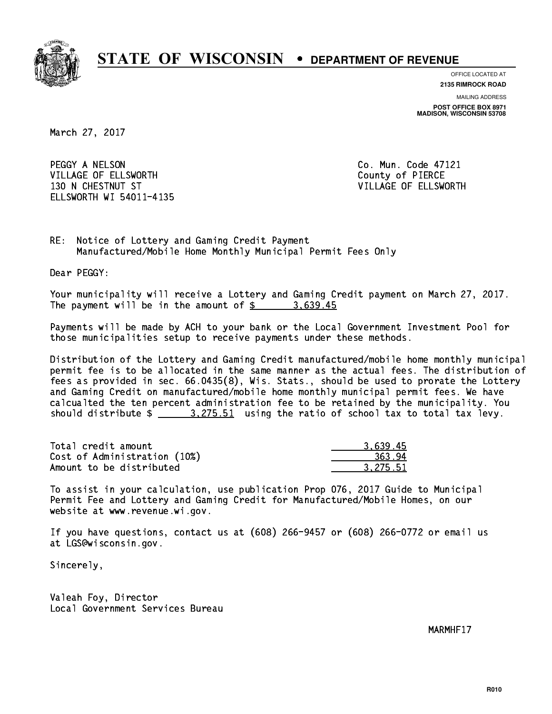

**OFFICE LOCATED AT**

**2135 RIMROCK ROAD**

**MAILING ADDRESS POST OFFICE BOX 8971 MADISON, WISCONSIN 53708**

March 27, 2017

PEGGY A NELSON CO. Mun. Code 47121 VILLAGE OF ELLSWORTH COUNTY OF PIERCE 130 N CHESTNUT ST VILLAGE OF ELLSWORTH ELLSWORTH WI 54011-4135

RE: Notice of Lottery and Gaming Credit Payment Manufactured/Mobile Home Monthly Municipal Permit Fees Only

Dear PEGGY:

 Your municipality will receive a Lottery and Gaming Credit payment on March 27, 2017. The payment will be in the amount of \$ 3,639.45 \_\_\_\_\_\_\_\_\_\_\_\_\_\_\_\_

 Payments will be made by ACH to your bank or the Local Government Investment Pool for those municipalities setup to receive payments under these methods.

 Distribution of the Lottery and Gaming Credit manufactured/mobile home monthly municipal permit fee is to be allocated in the same manner as the actual fees. The distribution of fees as provided in sec. 66.0435(8), Wis. Stats., should be used to prorate the Lottery and Gaming Credit on manufactured/mobile home monthly municipal permit fees. We have calcualted the ten percent administration fee to be retained by the municipality. You should distribute  $\frac{2}{2}$   $\frac{3,275.51}{2}$  using the ratio of school tax to total tax levy.

| Total credit amount          | 3.639.45 |
|------------------------------|----------|
| Cost of Administration (10%) | 363.94   |
| Amount to be distributed     | 3.275.51 |

 To assist in your calculation, use publication Prop 076, 2017 Guide to Municipal Permit Fee and Lottery and Gaming Credit for Manufactured/Mobile Homes, on our website at www.revenue.wi.gov.

 If you have questions, contact us at (608) 266-9457 or (608) 266-0772 or email us at LGS@wisconsin.gov.

Sincerely,

 Valeah Foy, Director Local Government Services Bureau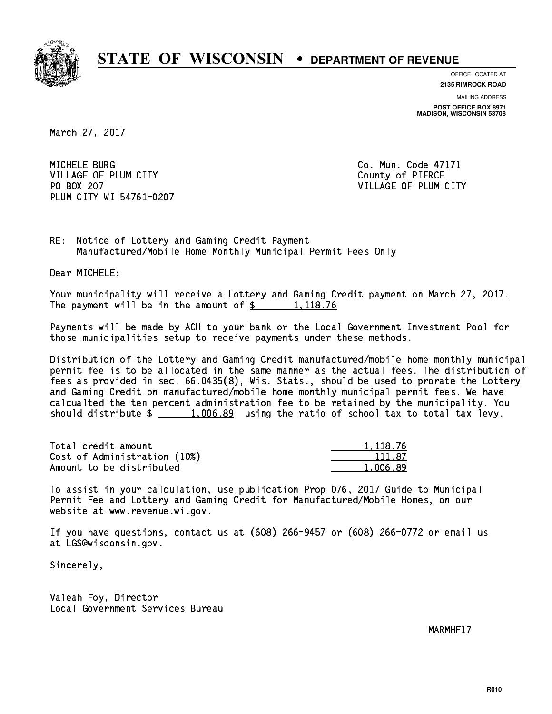

**OFFICE LOCATED AT**

**2135 RIMROCK ROAD**

**MAILING ADDRESS POST OFFICE BOX 8971 MADISON, WISCONSIN 53708**

March 27, 2017

MICHELE BURG VILLAGE OF PLUM CITY COUNTY County of PIERCE PO BOX 207 VILLAGE OF PLUM CITY PLUM CITY WI 54761-0207

Co. Mun. Code 47171

RE: Notice of Lottery and Gaming Credit Payment Manufactured/Mobile Home Monthly Municipal Permit Fees Only

Dear MICHELE:

 Your municipality will receive a Lottery and Gaming Credit payment on March 27, 2017. The payment will be in the amount of  $\frac{2}{3}$  1,118.76

 Payments will be made by ACH to your bank or the Local Government Investment Pool for those municipalities setup to receive payments under these methods.

 Distribution of the Lottery and Gaming Credit manufactured/mobile home monthly municipal permit fee is to be allocated in the same manner as the actual fees. The distribution of fees as provided in sec. 66.0435(8), Wis. Stats., should be used to prorate the Lottery and Gaming Credit on manufactured/mobile home monthly municipal permit fees. We have calcualted the ten percent administration fee to be retained by the municipality. You should distribute  $\frac{1,006.89}{1,006.89}$  using the ratio of school tax to total tax levy.

Total credit amount Cost of Administration (10%) Amount to be distributed

| 1, 118, 76 |
|------------|
| 111.87     |
| 1.006.89   |

 To assist in your calculation, use publication Prop 076, 2017 Guide to Municipal Permit Fee and Lottery and Gaming Credit for Manufactured/Mobile Homes, on our website at www.revenue.wi.gov.

 If you have questions, contact us at (608) 266-9457 or (608) 266-0772 or email us at LGS@wisconsin.gov.

Sincerely,

 Valeah Foy, Director Local Government Services Bureau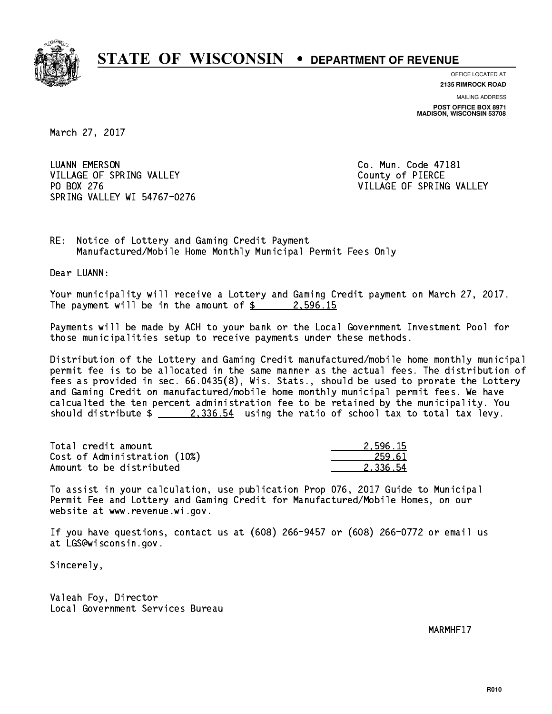

**OFFICE LOCATED AT**

**2135 RIMROCK ROAD**

**MAILING ADDRESS POST OFFICE BOX 8971 MADISON, WISCONSIN 53708**

March 27, 2017

 LUANN EMERSON Co. Mun. Code 47181 VILLAGE OF SPRING VALLEY **COUNTY COUNTY OF PIERCE**  PO BOX 276 VILLAGE OF SPRING VALLEY SPRING VALLEY WI 54767-0276

RE: Notice of Lottery and Gaming Credit Payment Manufactured/Mobile Home Monthly Municipal Permit Fees Only

Dear LUANN:

 Your municipality will receive a Lottery and Gaming Credit payment on March 27, 2017. The payment will be in the amount of  $\frac{2}{3}$  2,596.15

 Payments will be made by ACH to your bank or the Local Government Investment Pool for those municipalities setup to receive payments under these methods.

 Distribution of the Lottery and Gaming Credit manufactured/mobile home monthly municipal permit fee is to be allocated in the same manner as the actual fees. The distribution of fees as provided in sec. 66.0435(8), Wis. Stats., should be used to prorate the Lottery and Gaming Credit on manufactured/mobile home monthly municipal permit fees. We have calcualted the ten percent administration fee to be retained by the municipality. You should distribute  $\frac{2,336.54}{2}$  using the ratio of school tax to total tax levy.

| Total credit amount          | 2.596.15 |
|------------------------------|----------|
| Cost of Administration (10%) | 259.61   |
| Amount to be distributed     | 2.336.54 |

 To assist in your calculation, use publication Prop 076, 2017 Guide to Municipal Permit Fee and Lottery and Gaming Credit for Manufactured/Mobile Homes, on our website at www.revenue.wi.gov.

 If you have questions, contact us at (608) 266-9457 or (608) 266-0772 or email us at LGS@wisconsin.gov.

Sincerely,

 Valeah Foy, Director Local Government Services Bureau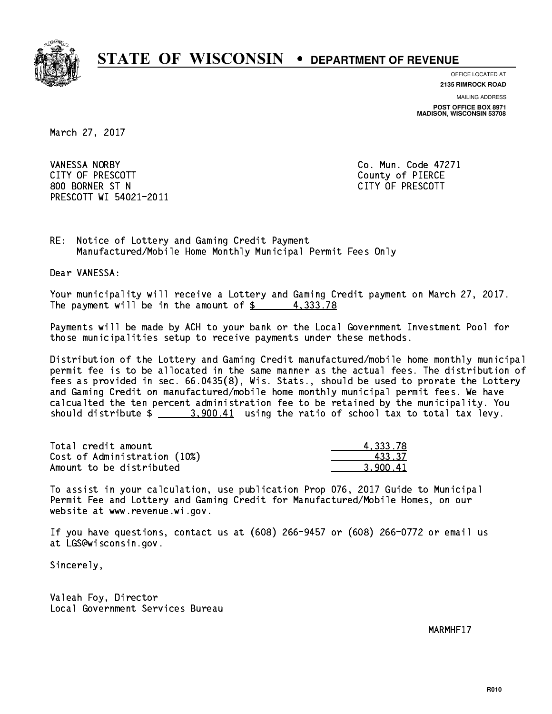

**OFFICE LOCATED AT**

**2135 RIMROCK ROAD**

**MAILING ADDRESS**

**POST OFFICE BOX 8971 MADISON, WISCONSIN 53708**

March 27, 2017

 VANESSA NORBY Co. Mun. Code 47271 CITY OF PRESCOTT County of PIERCE 800 BORNER ST N CITY OF PRESCOTT PRESCOTT WI 54021-2011

RE: Notice of Lottery and Gaming Credit Payment Manufactured/Mobile Home Monthly Municipal Permit Fees Only

Dear VANESSA:

 Your municipality will receive a Lottery and Gaming Credit payment on March 27, 2017. The payment will be in the amount of  $\frac{2}{3}$  4,333.78

 Payments will be made by ACH to your bank or the Local Government Investment Pool for those municipalities setup to receive payments under these methods.

 Distribution of the Lottery and Gaming Credit manufactured/mobile home monthly municipal permit fee is to be allocated in the same manner as the actual fees. The distribution of fees as provided in sec. 66.0435(8), Wis. Stats., should be used to prorate the Lottery and Gaming Credit on manufactured/mobile home monthly municipal permit fees. We have calcualted the ten percent administration fee to be retained by the municipality. You should distribute  $\frac{2}{1}$   $\frac{3,900.41}{2}$  using the ratio of school tax to total tax levy.

| Total credit amount          | 4.333.78 |
|------------------------------|----------|
| Cost of Administration (10%) | 433.37   |
| Amount to be distributed     | 3.900.41 |

 To assist in your calculation, use publication Prop 076, 2017 Guide to Municipal Permit Fee and Lottery and Gaming Credit for Manufactured/Mobile Homes, on our website at www.revenue.wi.gov.

 If you have questions, contact us at (608) 266-9457 or (608) 266-0772 or email us at LGS@wisconsin.gov.

Sincerely,

 Valeah Foy, Director Local Government Services Bureau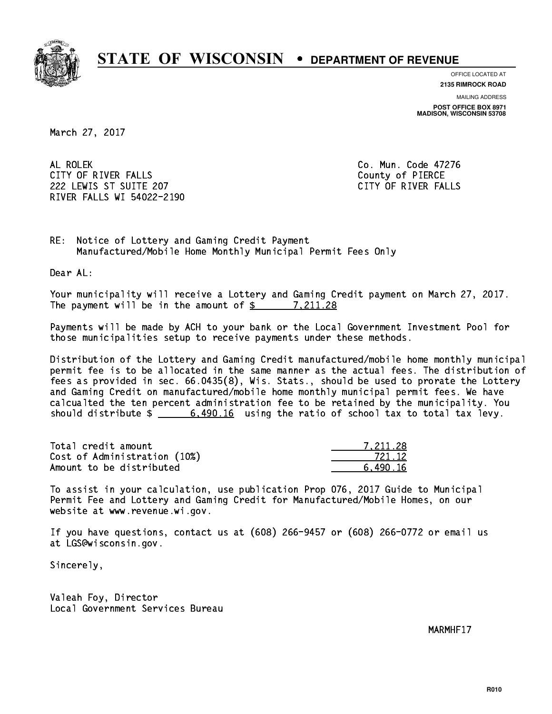

**OFFICE LOCATED AT**

**2135 RIMROCK ROAD**

**MAILING ADDRESS POST OFFICE BOX 8971 MADISON, WISCONSIN 53708**

March 27, 2017

AL ROLEK CITY OF RIVER FALLS COUNTY OF PIERCE 222 LEWIS ST SUITE 207 CITY OF RIVER FALLS RIVER FALLS WI 54022-2190

Co. Mun. Code 47276

RE: Notice of Lottery and Gaming Credit Payment Manufactured/Mobile Home Monthly Municipal Permit Fees Only

Dear AL:

 Your municipality will receive a Lottery and Gaming Credit payment on March 27, 2017. The payment will be in the amount of \$ 7,211.28 \_\_\_\_\_\_\_\_\_\_\_\_\_\_\_\_

 Payments will be made by ACH to your bank or the Local Government Investment Pool for those municipalities setup to receive payments under these methods.

 Distribution of the Lottery and Gaming Credit manufactured/mobile home monthly municipal permit fee is to be allocated in the same manner as the actual fees. The distribution of fees as provided in sec. 66.0435(8), Wis. Stats., should be used to prorate the Lottery and Gaming Credit on manufactured/mobile home monthly municipal permit fees. We have calcualted the ten percent administration fee to be retained by the municipality. You should distribute  $\frac{2}{10}$   $\frac{6,490.16}{2}$  using the ratio of school tax to total tax levy.

| Total credit amount          | 7.211.28 |
|------------------------------|----------|
| Cost of Administration (10%) | 721.12   |
| Amount to be distributed     | 6.490.16 |

 To assist in your calculation, use publication Prop 076, 2017 Guide to Municipal Permit Fee and Lottery and Gaming Credit for Manufactured/Mobile Homes, on our website at www.revenue.wi.gov.

 If you have questions, contact us at (608) 266-9457 or (608) 266-0772 or email us at LGS@wisconsin.gov.

Sincerely,

 Valeah Foy, Director Local Government Services Bureau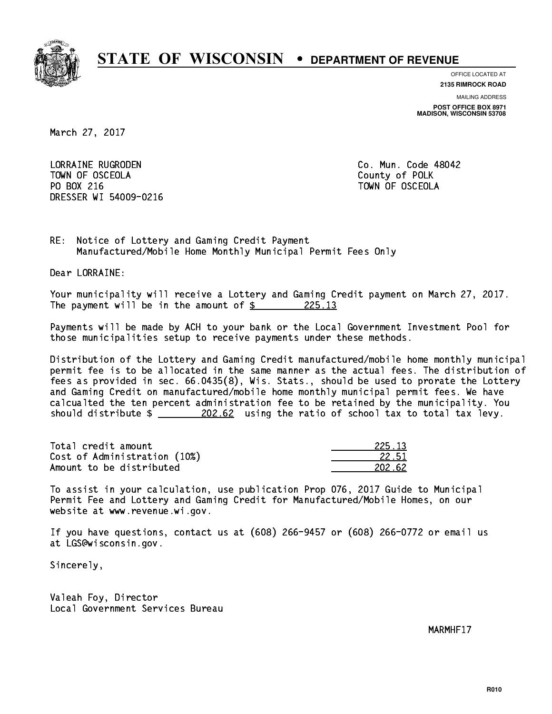

**OFFICE LOCATED AT 2135 RIMROCK ROAD**

**MAILING ADDRESS**

**POST OFFICE BOX 8971 MADISON, WISCONSIN 53708**

March 27, 2017

 LORRAINE RUGRODEN Co. Mun. Code 48042 TOWN OF OSCEOLA County of POLK PO BOX 216 TOWN OF OSCEOLA DRESSER WI 54009-0216

RE: Notice of Lottery and Gaming Credit Payment Manufactured/Mobile Home Monthly Municipal Permit Fees Only

Dear LORRAINE:

 Your municipality will receive a Lottery and Gaming Credit payment on March 27, 2017. The payment will be in the amount of  $\frac{225.13}{200}$ 

 Payments will be made by ACH to your bank or the Local Government Investment Pool for those municipalities setup to receive payments under these methods.

 Distribution of the Lottery and Gaming Credit manufactured/mobile home monthly municipal permit fee is to be allocated in the same manner as the actual fees. The distribution of fees as provided in sec. 66.0435(8), Wis. Stats., should be used to prorate the Lottery and Gaming Credit on manufactured/mobile home monthly municipal permit fees. We have calcualted the ten percent administration fee to be retained by the municipality. You should distribute  $\frac{202.62}{202.62}$  using the ratio of school tax to total tax levy.

Total credit amount Cost of Administration (10%) Amount to be distributed

| . 12  |
|-------|
| 22.51 |
| 12.62 |

 To assist in your calculation, use publication Prop 076, 2017 Guide to Municipal Permit Fee and Lottery and Gaming Credit for Manufactured/Mobile Homes, on our website at www.revenue.wi.gov.

 If you have questions, contact us at (608) 266-9457 or (608) 266-0772 or email us at LGS@wisconsin.gov.

Sincerely,

 Valeah Foy, Director Local Government Services Bureau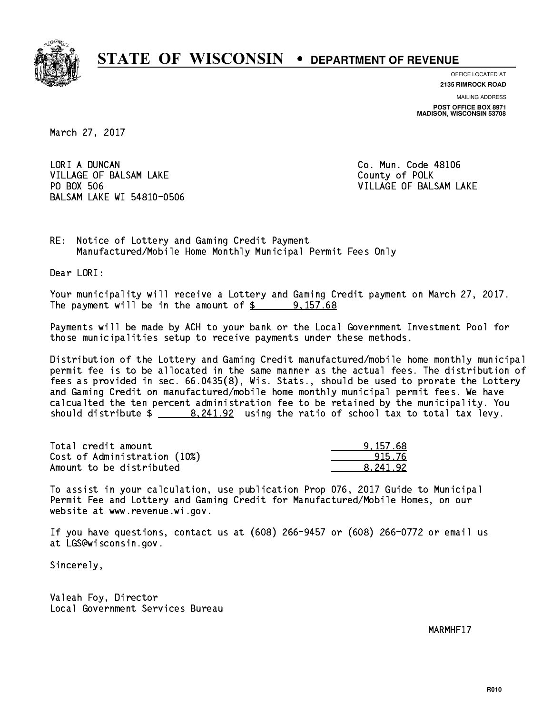

**OFFICE LOCATED AT**

**2135 RIMROCK ROAD**

**MAILING ADDRESS POST OFFICE BOX 8971 MADISON, WISCONSIN 53708**

March 27, 2017

LORI A DUNCAN VILLAGE OF BALSAM LAKE County of POLK PO BOX 506 BALSAM LAKE WI 54810-0506

Co. Mun. Code 48106 VILLAGE OF BALSAM LAKE

RE: Notice of Lottery and Gaming Credit Payment Manufactured/Mobile Home Monthly Municipal Permit Fees Only

Dear LORI:

 Your municipality will receive a Lottery and Gaming Credit payment on March 27, 2017. The payment will be in the amount of  $\frac{2}{3}$  9,157.68

 Payments will be made by ACH to your bank or the Local Government Investment Pool for those municipalities setup to receive payments under these methods.

 Distribution of the Lottery and Gaming Credit manufactured/mobile home monthly municipal permit fee is to be allocated in the same manner as the actual fees. The distribution of fees as provided in sec. 66.0435(8), Wis. Stats., should be used to prorate the Lottery and Gaming Credit on manufactured/mobile home monthly municipal permit fees. We have calcualted the ten percent administration fee to be retained by the municipality. You should distribute  $\frac{2}{2}$   $\frac{8,241.92}{2}$  using the ratio of school tax to total tax levy.

| Total credit amount          | 9.157.68 |
|------------------------------|----------|
| Cost of Administration (10%) | 915.76   |
| Amount to be distributed     | 8.241.92 |

 To assist in your calculation, use publication Prop 076, 2017 Guide to Municipal Permit Fee and Lottery and Gaming Credit for Manufactured/Mobile Homes, on our website at www.revenue.wi.gov.

 If you have questions, contact us at (608) 266-9457 or (608) 266-0772 or email us at LGS@wisconsin.gov.

Sincerely,

 Valeah Foy, Director Local Government Services Bureau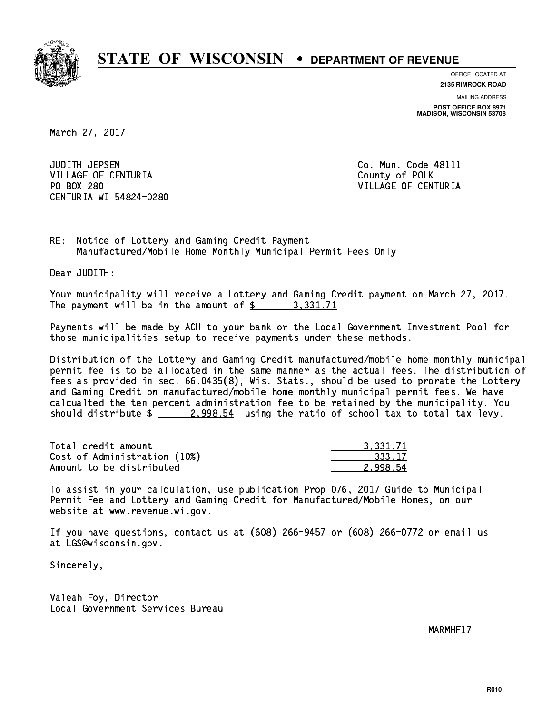

**OFFICE LOCATED AT**

**2135 RIMROCK ROAD**

**MAILING ADDRESS POST OFFICE BOX 8971 MADISON, WISCONSIN 53708**

March 27, 2017

**JUDITH JEPSEN** VILLAGE OF CENTURIA COUNTY OF POLK PO BOX 280 CENTURIA WI 54824-0280

Co. Mun. Code 48111 VILLAGE OF CENTURIA

RE: Notice of Lottery and Gaming Credit Payment Manufactured/Mobile Home Monthly Municipal Permit Fees Only

Dear JUDITH:

 Your municipality will receive a Lottery and Gaming Credit payment on March 27, 2017. The payment will be in the amount of  $\frac{2}{3}$  3,331.71

 Payments will be made by ACH to your bank or the Local Government Investment Pool for those municipalities setup to receive payments under these methods.

 Distribution of the Lottery and Gaming Credit manufactured/mobile home monthly municipal permit fee is to be allocated in the same manner as the actual fees. The distribution of fees as provided in sec. 66.0435(8), Wis. Stats., should be used to prorate the Lottery and Gaming Credit on manufactured/mobile home monthly municipal permit fees. We have calcualted the ten percent administration fee to be retained by the municipality. You should distribute  $\frac{2.998.54}{2.998.54}$  using the ratio of school tax to total tax levy.

| Total credit amount          | 3.331.71 |
|------------------------------|----------|
| Cost of Administration (10%) | 333.17   |
| Amount to be distributed     | 2.998.54 |

 To assist in your calculation, use publication Prop 076, 2017 Guide to Municipal Permit Fee and Lottery and Gaming Credit for Manufactured/Mobile Homes, on our website at www.revenue.wi.gov.

 If you have questions, contact us at (608) 266-9457 or (608) 266-0772 or email us at LGS@wisconsin.gov.

Sincerely,

 Valeah Foy, Director Local Government Services Bureau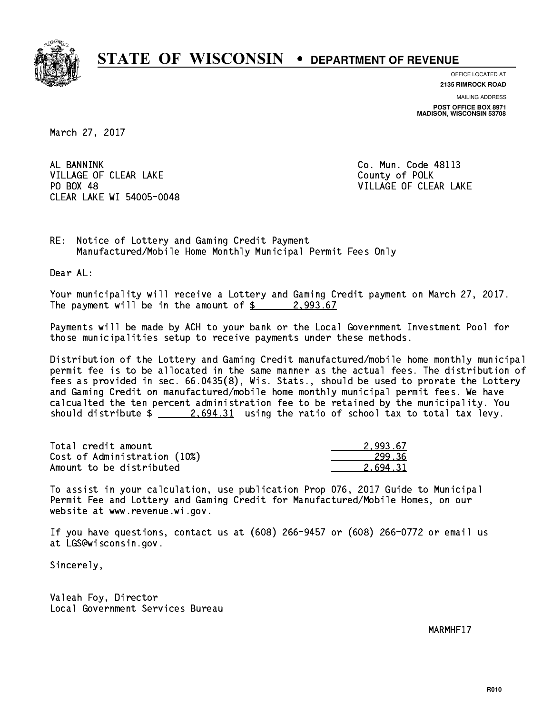

**OFFICE LOCATED AT**

**2135 RIMROCK ROAD**

**MAILING ADDRESS POST OFFICE BOX 8971 MADISON, WISCONSIN 53708**

March 27, 2017

AL BANNINK VILLAGE OF CLEAR LAKE County of POLK PO BOX 48 CLEAR LAKE WI 54005-0048

Co. Mun. Code 48113 VILLAGE OF CLEAR LAKE

RE: Notice of Lottery and Gaming Credit Payment Manufactured/Mobile Home Monthly Municipal Permit Fees Only

Dear AL:

 Your municipality will receive a Lottery and Gaming Credit payment on March 27, 2017. The payment will be in the amount of  $\frac{2}{9}$  2,993.67

 Payments will be made by ACH to your bank or the Local Government Investment Pool for those municipalities setup to receive payments under these methods.

 Distribution of the Lottery and Gaming Credit manufactured/mobile home monthly municipal permit fee is to be allocated in the same manner as the actual fees. The distribution of fees as provided in sec. 66.0435(8), Wis. Stats., should be used to prorate the Lottery and Gaming Credit on manufactured/mobile home monthly municipal permit fees. We have calcualted the ten percent administration fee to be retained by the municipality. You should distribute  $\frac{2.694.31}{2.694.31}$  using the ratio of school tax to total tax levy.

| Total credit amount          | 2.993.67 |
|------------------------------|----------|
| Cost of Administration (10%) | 299.36   |
| Amount to be distributed     | 2.694.31 |

 To assist in your calculation, use publication Prop 076, 2017 Guide to Municipal Permit Fee and Lottery and Gaming Credit for Manufactured/Mobile Homes, on our website at www.revenue.wi.gov.

 If you have questions, contact us at (608) 266-9457 or (608) 266-0772 or email us at LGS@wisconsin.gov.

Sincerely,

 Valeah Foy, Director Local Government Services Bureau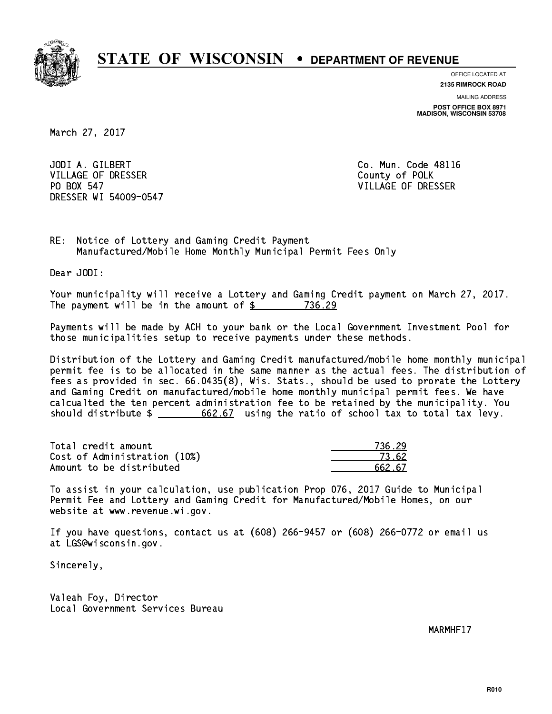

**OFFICE LOCATED AT 2135 RIMROCK ROAD**

**MAILING ADDRESS**

**POST OFFICE BOX 8971 MADISON, WISCONSIN 53708**

March 27, 2017

 JODI A. GILBERT Co. Mun. Code 48116 VILLAGE OF DRESSER COUNTY OF POLK PO BOX 547 DRESSER WI 54009-0547

VILLAGE OF DRESSER

RE: Notice of Lottery and Gaming Credit Payment Manufactured/Mobile Home Monthly Municipal Permit Fees Only

Dear JODI:

 Your municipality will receive a Lottery and Gaming Credit payment on March 27, 2017. The payment will be in the amount of \$ 736.29 \_\_\_\_\_\_\_\_\_\_\_\_\_\_\_\_

 Payments will be made by ACH to your bank or the Local Government Investment Pool for those municipalities setup to receive payments under these methods.

 Distribution of the Lottery and Gaming Credit manufactured/mobile home monthly municipal permit fee is to be allocated in the same manner as the actual fees. The distribution of fees as provided in sec. 66.0435(8), Wis. Stats., should be used to prorate the Lottery and Gaming Credit on manufactured/mobile home monthly municipal permit fees. We have calcualted the ten percent administration fee to be retained by the municipality. You should distribute  $\frac{2}{1}$   $\frac{662.67}{1000}$  using the ratio of school tax to total tax levy.

| Total credit amount          | 736 29 |
|------------------------------|--------|
| Cost of Administration (10%) | 73.62  |
| Amount to be distributed     | 662.67 |

| ; 29   |
|--------|
| 3.62   |
| 662 67 |

 To assist in your calculation, use publication Prop 076, 2017 Guide to Municipal Permit Fee and Lottery and Gaming Credit for Manufactured/Mobile Homes, on our website at www.revenue.wi.gov.

 If you have questions, contact us at (608) 266-9457 or (608) 266-0772 or email us at LGS@wisconsin.gov.

Sincerely,

 Valeah Foy, Director Local Government Services Bureau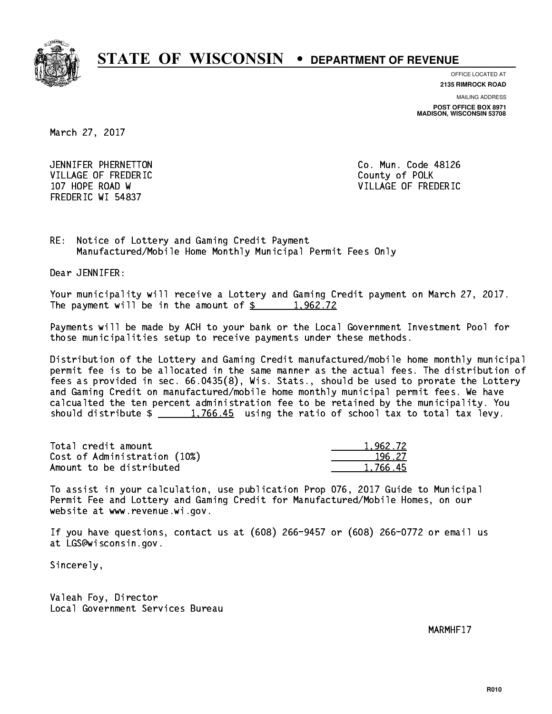

**OFFICE LOCATED AT**

**2135 RIMROCK ROAD**

**MAILING ADDRESS POST OFFICE BOX 8971 MADISON, WISCONSIN 53708**

March 27, 2017

 JENNIFER PHERNETTON Co. Mun. Code 48126 VILLAGE OF FREDERIC **COUNTY OF SALES AND ACCOUNT** COUNTY OF POLK FREDERIC WI 54837

107 HOPE ROAD W VILLAGE OF FREDERIC

RE: Notice of Lottery and Gaming Credit Payment Manufactured/Mobile Home Monthly Municipal Permit Fees Only

Dear JENNIFER:

 Your municipality will receive a Lottery and Gaming Credit payment on March 27, 2017. The payment will be in the amount of  $\frac{2}{3}$  1,962.72

 Payments will be made by ACH to your bank or the Local Government Investment Pool for those municipalities setup to receive payments under these methods.

 Distribution of the Lottery and Gaming Credit manufactured/mobile home monthly municipal permit fee is to be allocated in the same manner as the actual fees. The distribution of fees as provided in sec. 66.0435(8), Wis. Stats., should be used to prorate the Lottery and Gaming Credit on manufactured/mobile home monthly municipal permit fees. We have calcualted the ten percent administration fee to be retained by the municipality. You should distribute  $\frac{1,766.45}{1,766.45}$  using the ratio of school tax to total tax levy.

| Total credit amount          | 1.962.72 |
|------------------------------|----------|
| Cost of Administration (10%) | 196.27   |
| Amount to be distributed     | 1,766.45 |

 To assist in your calculation, use publication Prop 076, 2017 Guide to Municipal Permit Fee and Lottery and Gaming Credit for Manufactured/Mobile Homes, on our website at www.revenue.wi.gov.

 If you have questions, contact us at (608) 266-9457 or (608) 266-0772 or email us at LGS@wisconsin.gov.

Sincerely,

 Valeah Foy, Director Local Government Services Bureau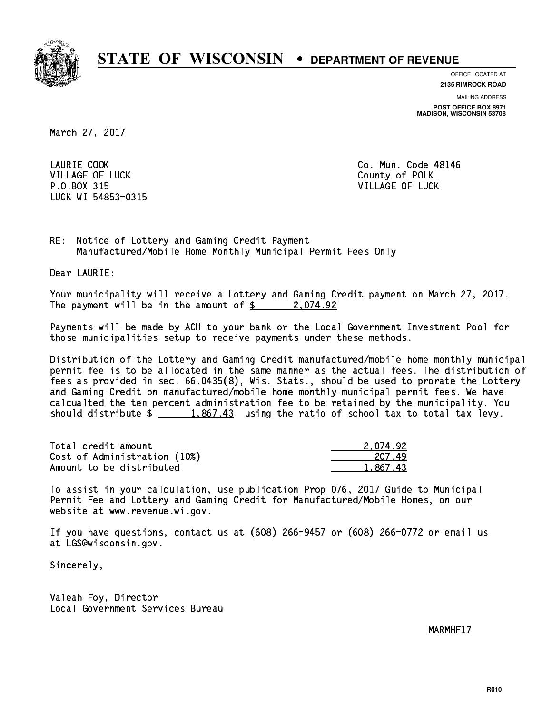

**OFFICE LOCATED AT**

**MAILING ADDRESS 2135 RIMROCK ROAD**

**POST OFFICE BOX 8971 MADISON, WISCONSIN 53708**

March 27, 2017

LAURIE COOK VILLAGE OF LUCK County of POLK P.O.BOX 315 VILLAGE OF LUCK LUCK WI 54853-0315

Co. Mun. Code 48146

RE: Notice of Lottery and Gaming Credit Payment Manufactured/Mobile Home Monthly Municipal Permit Fees Only

Dear LAURIE:

 Your municipality will receive a Lottery and Gaming Credit payment on March 27, 2017. The payment will be in the amount of  $\frac{2.074.92}{2.022}$ 

 Payments will be made by ACH to your bank or the Local Government Investment Pool for those municipalities setup to receive payments under these methods.

 Distribution of the Lottery and Gaming Credit manufactured/mobile home monthly municipal permit fee is to be allocated in the same manner as the actual fees. The distribution of fees as provided in sec. 66.0435(8), Wis. Stats., should be used to prorate the Lottery and Gaming Credit on manufactured/mobile home monthly municipal permit fees. We have calcualted the ten percent administration fee to be retained by the municipality. You should distribute  $\frac{1,867.43}{1,867.43}$  using the ratio of school tax to total tax levy.

| Total credit amount          | 2.074.92 |
|------------------------------|----------|
| Cost of Administration (10%) | 207.49   |
| Amount to be distributed     | 1.867.43 |

 To assist in your calculation, use publication Prop 076, 2017 Guide to Municipal Permit Fee and Lottery and Gaming Credit for Manufactured/Mobile Homes, on our website at www.revenue.wi.gov.

 If you have questions, contact us at (608) 266-9457 or (608) 266-0772 or email us at LGS@wisconsin.gov.

Sincerely,

 Valeah Foy, Director Local Government Services Bureau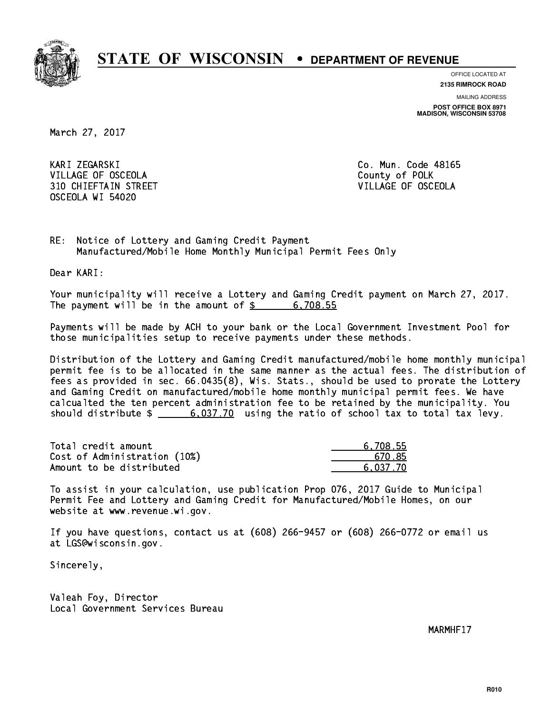

**OFFICE LOCATED AT**

**2135 RIMROCK ROAD**

**MAILING ADDRESS POST OFFICE BOX 8971 MADISON, WISCONSIN 53708**

March 27, 2017

KARI ZEGARSKI VILLAGE OF OSCEOLA COUNTY OF POLK 310 CHIEFTAIN STREET VILLAGE OF OSCEOLA OSCEOLA WI 54020

Co. Mun. Code 48165

 RE: Notice of Lottery and Gaming Credit Payment Manufactured/Mobile Home Monthly Municipal Permit Fees Only

Dear KARI:

 Your municipality will receive a Lottery and Gaming Credit payment on March 27, 2017. The payment will be in the amount of \$ 6,708.55 \_\_\_\_\_\_\_\_\_\_\_\_\_\_\_\_

 Payments will be made by ACH to your bank or the Local Government Investment Pool for those municipalities setup to receive payments under these methods.

 Distribution of the Lottery and Gaming Credit manufactured/mobile home monthly municipal permit fee is to be allocated in the same manner as the actual fees. The distribution of fees as provided in sec. 66.0435(8), Wis. Stats., should be used to prorate the Lottery and Gaming Credit on manufactured/mobile home monthly municipal permit fees. We have calcualted the ten percent administration fee to be retained by the municipality. You should distribute  $\frac{2}{1}$   $\frac{6,037.70}{2}$  using the ratio of school tax to total tax levy.

| Total credit amount          | 6,708.55 |
|------------------------------|----------|
| Cost of Administration (10%) | 670.85   |
| Amount to be distributed     | 6.037.70 |

 To assist in your calculation, use publication Prop 076, 2017 Guide to Municipal Permit Fee and Lottery and Gaming Credit for Manufactured/Mobile Homes, on our website at www.revenue.wi.gov.

 If you have questions, contact us at (608) 266-9457 or (608) 266-0772 or email us at LGS@wisconsin.gov.

Sincerely,

 Valeah Foy, Director Local Government Services Bureau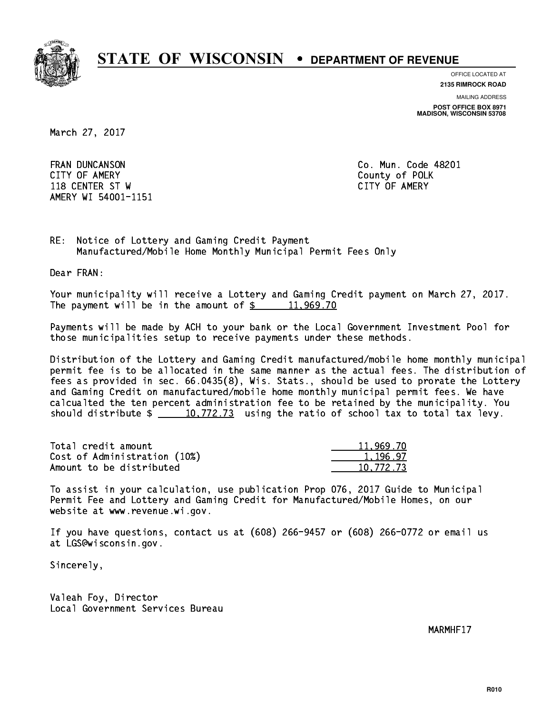

**OFFICE LOCATED AT**

**MAILING ADDRESS 2135 RIMROCK ROAD**

**POST OFFICE BOX 8971 MADISON, WISCONSIN 53708**

March 27, 2017

**FRAN DUNCANSON**  CITY OF AMERY County of POLK 118 CENTER ST W CITY OF AMERY AMERY WI 54001-1151

Co. Mun. Code 48201

RE: Notice of Lottery and Gaming Credit Payment Manufactured/Mobile Home Monthly Municipal Permit Fees Only

Dear FRAN:

 Your municipality will receive a Lottery and Gaming Credit payment on March 27, 2017. The payment will be in the amount of  $\frac{2}{3}$  11,969.70

 Payments will be made by ACH to your bank or the Local Government Investment Pool for those municipalities setup to receive payments under these methods.

 Distribution of the Lottery and Gaming Credit manufactured/mobile home monthly municipal permit fee is to be allocated in the same manner as the actual fees. The distribution of fees as provided in sec. 66.0435(8), Wis. Stats., should be used to prorate the Lottery and Gaming Credit on manufactured/mobile home monthly municipal permit fees. We have calcualted the ten percent administration fee to be retained by the municipality. You should distribute  $\frac{10,772.73}{10,772.73}$  using the ratio of school tax to total tax levy.

| Total credit amount          | 11,969.70 |
|------------------------------|-----------|
| Cost of Administration (10%) | 1.196.97  |
| Amount to be distributed     | 10.772.73 |

 To assist in your calculation, use publication Prop 076, 2017 Guide to Municipal Permit Fee and Lottery and Gaming Credit for Manufactured/Mobile Homes, on our website at www.revenue.wi.gov.

 If you have questions, contact us at (608) 266-9457 or (608) 266-0772 or email us at LGS@wisconsin.gov.

Sincerely,

 Valeah Foy, Director Local Government Services Bureau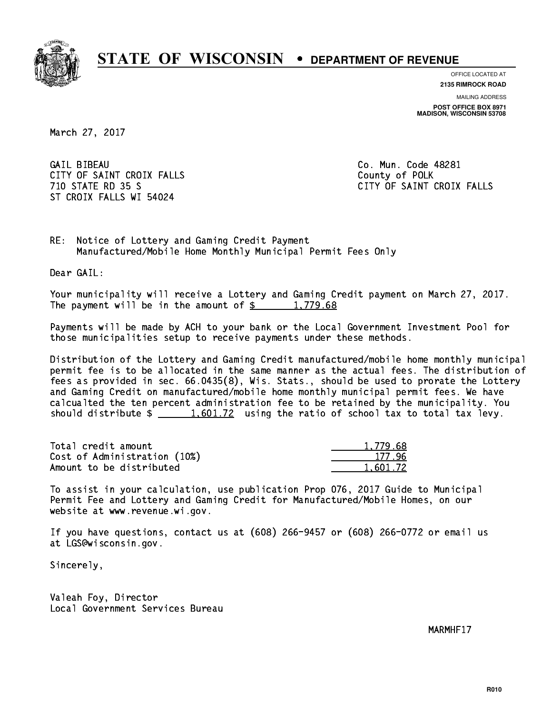

**OFFICE LOCATED AT**

**2135 RIMROCK ROAD**

**MAILING ADDRESS POST OFFICE BOX 8971 MADISON, WISCONSIN 53708**

March 27, 2017

**GAIL BIBEAU** CITY OF SAINT CROIX FALLS COUNTY OF POLK ST CROIX FALLS WI 54024

Co. Mun. Code 48281 710 STATE RD 35 S CITY OF SAINT CROIX FALLS

RE: Notice of Lottery and Gaming Credit Payment Manufactured/Mobile Home Monthly Municipal Permit Fees Only

Dear GAIL:

 Your municipality will receive a Lottery and Gaming Credit payment on March 27, 2017. The payment will be in the amount of  $\frac{2}{3}$  1,779.68

 Payments will be made by ACH to your bank or the Local Government Investment Pool for those municipalities setup to receive payments under these methods.

 Distribution of the Lottery and Gaming Credit manufactured/mobile home monthly municipal permit fee is to be allocated in the same manner as the actual fees. The distribution of fees as provided in sec. 66.0435(8), Wis. Stats., should be used to prorate the Lottery and Gaming Credit on manufactured/mobile home monthly municipal permit fees. We have calcualted the ten percent administration fee to be retained by the municipality. You should distribute  $\frac{1,601.72}{1,601.72}$  using the ratio of school tax to total tax levy.

| Total credit amount          | 1.779.68 |
|------------------------------|----------|
| Cost of Administration (10%) | 177.96   |
| Amount to be distributed     | 1.601.72 |

 To assist in your calculation, use publication Prop 076, 2017 Guide to Municipal Permit Fee and Lottery and Gaming Credit for Manufactured/Mobile Homes, on our website at www.revenue.wi.gov.

 If you have questions, contact us at (608) 266-9457 or (608) 266-0772 or email us at LGS@wisconsin.gov.

Sincerely,

 Valeah Foy, Director Local Government Services Bureau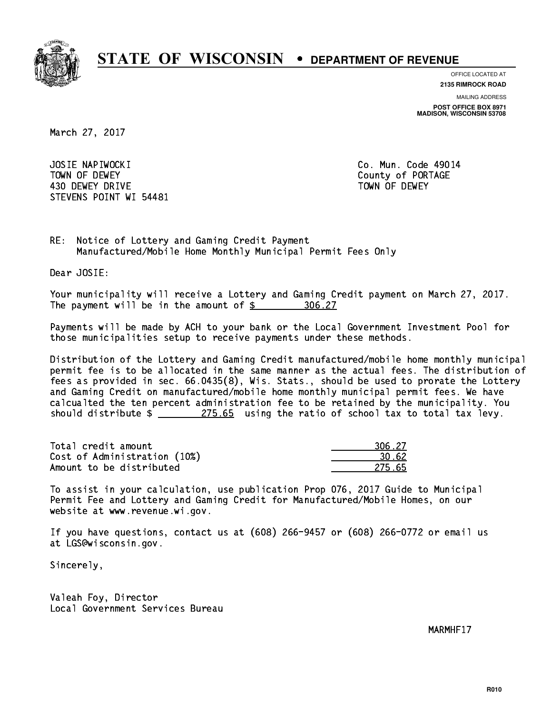

**OFFICE LOCATED AT**

**2135 RIMROCK ROAD**

**MAILING ADDRESS POST OFFICE BOX 8971 MADISON, WISCONSIN 53708**

March 27, 2017

 JOSIE NAPIWOCKI Co. Mun. Code 49014 TOWN OF DEWEY COUNTY OF RESERVE TOWN OF DEWEY 430 DEWEY DRIVE TOWN OF DEWEY STEVENS POINT WI 54481

RE: Notice of Lottery and Gaming Credit Payment Manufactured/Mobile Home Monthly Municipal Permit Fees Only

Dear JOSIE:

 Your municipality will receive a Lottery and Gaming Credit payment on March 27, 2017. The payment will be in the amount of \$ 306.27 \_\_\_\_\_\_\_\_\_\_\_\_\_\_\_\_

 Payments will be made by ACH to your bank or the Local Government Investment Pool for those municipalities setup to receive payments under these methods.

 Distribution of the Lottery and Gaming Credit manufactured/mobile home monthly municipal permit fee is to be allocated in the same manner as the actual fees. The distribution of fees as provided in sec. 66.0435(8), Wis. Stats., should be used to prorate the Lottery and Gaming Credit on manufactured/mobile home monthly municipal permit fees. We have calcualted the ten percent administration fee to be retained by the municipality. You should distribute  $\frac{275.65}{275.65}$  using the ratio of school tax to total tax levy.

Total credit amount 306.27 Cost of Administration (10%) 30.62 Amount to be distributed **275.65** 

 To assist in your calculation, use publication Prop 076, 2017 Guide to Municipal Permit Fee and Lottery and Gaming Credit for Manufactured/Mobile Homes, on our website at www.revenue.wi.gov.

 If you have questions, contact us at (608) 266-9457 or (608) 266-0772 or email us at LGS@wisconsin.gov.

Sincerely,

 Valeah Foy, Director Local Government Services Bureau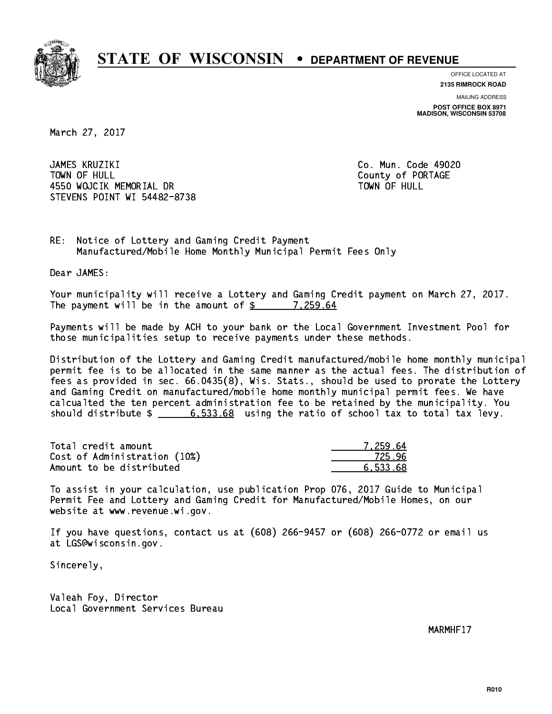

**OFFICE LOCATED AT**

**2135 RIMROCK ROAD**

**MAILING ADDRESS POST OFFICE BOX 8971 MADISON, WISCONSIN 53708**

March 27, 2017

 JAMES KRUZIKI Co. Mun. Code 49020 TOWN OF HULL County of PORTAGE 4550 WOJCIK MEMORIAL DR TOWN OF HULL STEVENS POINT WI 54482-8738

RE: Notice of Lottery and Gaming Credit Payment Manufactured/Mobile Home Monthly Municipal Permit Fees Only

Dear JAMES:

 Your municipality will receive a Lottery and Gaming Credit payment on March 27, 2017. The payment will be in the amount of \$ 7,259.64 \_\_\_\_\_\_\_\_\_\_\_\_\_\_\_\_

 Payments will be made by ACH to your bank or the Local Government Investment Pool for those municipalities setup to receive payments under these methods.

 Distribution of the Lottery and Gaming Credit manufactured/mobile home monthly municipal permit fee is to be allocated in the same manner as the actual fees. The distribution of fees as provided in sec. 66.0435(8), Wis. Stats., should be used to prorate the Lottery and Gaming Credit on manufactured/mobile home monthly municipal permit fees. We have calcualted the ten percent administration fee to be retained by the municipality. You should distribute  $\frac{2}{1}$   $\frac{6,533.68}{6}$  using the ratio of school tax to total tax levy.

| Total credit amount          | 7.259.64 |
|------------------------------|----------|
| Cost of Administration (10%) | 725.96   |
| Amount to be distributed     | 6.533.68 |

 To assist in your calculation, use publication Prop 076, 2017 Guide to Municipal Permit Fee and Lottery and Gaming Credit for Manufactured/Mobile Homes, on our website at www.revenue.wi.gov.

 If you have questions, contact us at (608) 266-9457 or (608) 266-0772 or email us at LGS@wisconsin.gov.

Sincerely,

 Valeah Foy, Director Local Government Services Bureau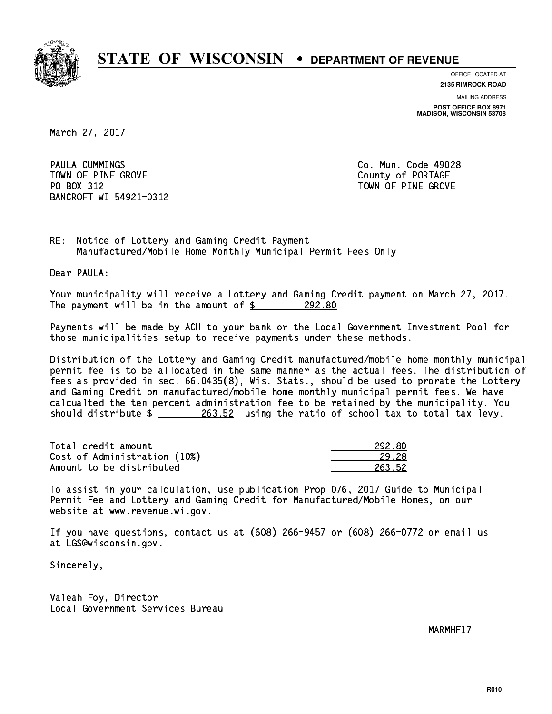

**OFFICE LOCATED AT**

**2135 RIMROCK ROAD**

**MAILING ADDRESS POST OFFICE BOX 8971 MADISON, WISCONSIN 53708**

March 27, 2017

PAULA CUMMINGS TOWN OF PINE GROVE TOWN OF PORTAGE PO BOX 312 BANCROFT WI 54921-0312

Co. Mun. Code 49028 TOWN OF PINE GROVE

RE: Notice of Lottery and Gaming Credit Payment Manufactured/Mobile Home Monthly Municipal Permit Fees Only

Dear PAULA:

 Your municipality will receive a Lottery and Gaming Credit payment on March 27, 2017. The payment will be in the amount of  $\frac{292.80}{292.80}$ 

 Payments will be made by ACH to your bank or the Local Government Investment Pool for those municipalities setup to receive payments under these methods.

 Distribution of the Lottery and Gaming Credit manufactured/mobile home monthly municipal permit fee is to be allocated in the same manner as the actual fees. The distribution of fees as provided in sec. 66.0435(8), Wis. Stats., should be used to prorate the Lottery and Gaming Credit on manufactured/mobile home monthly municipal permit fees. We have calcualted the ten percent administration fee to be retained by the municipality. You should distribute  $\frac{263.52}{263.52}$  using the ratio of school tax to total tax levy.

Total credit amount Cost of Administration (10%) Amount to be distributed

| חג<br>$\sim$ |
|--------------|
| - 28         |
| 63 52<br>.,  |

 To assist in your calculation, use publication Prop 076, 2017 Guide to Municipal Permit Fee and Lottery and Gaming Credit for Manufactured/Mobile Homes, on our website at www.revenue.wi.gov.

 If you have questions, contact us at (608) 266-9457 or (608) 266-0772 or email us at LGS@wisconsin.gov.

Sincerely,

 Valeah Foy, Director Local Government Services Bureau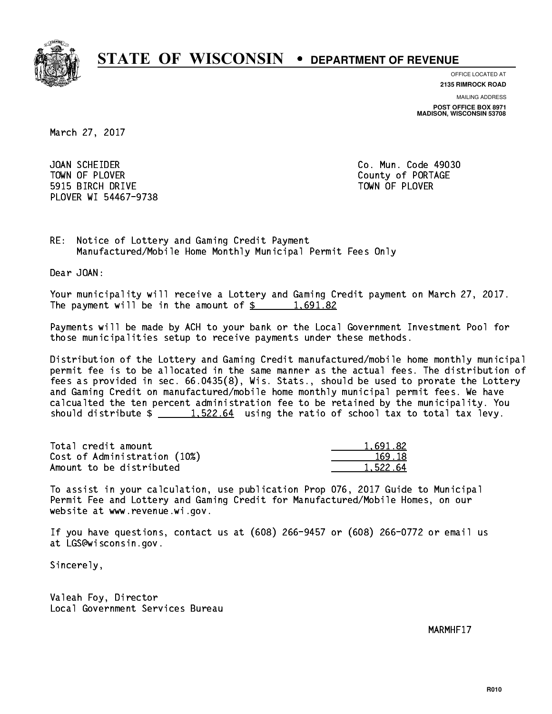

**OFFICE LOCATED AT**

**2135 RIMROCK ROAD**

**MAILING ADDRESS**

**POST OFFICE BOX 8971 MADISON, WISCONSIN 53708**

March 27, 2017

 JOAN SCHEIDER Co. Mun. Code 49030 TOWN OF PLOVER **COUNTY OF PORTAGE**  5915 BIRCH DRIVE TOWN OF PLOVER PLOVER WI 54467-9738

RE: Notice of Lottery and Gaming Credit Payment Manufactured/Mobile Home Monthly Municipal Permit Fees Only

Dear JOAN:

 Your municipality will receive a Lottery and Gaming Credit payment on March 27, 2017. The payment will be in the amount of  $\frac{2}{3}$  1,691.82

 Payments will be made by ACH to your bank or the Local Government Investment Pool for those municipalities setup to receive payments under these methods.

 Distribution of the Lottery and Gaming Credit manufactured/mobile home monthly municipal permit fee is to be allocated in the same manner as the actual fees. The distribution of fees as provided in sec. 66.0435(8), Wis. Stats., should be used to prorate the Lottery and Gaming Credit on manufactured/mobile home monthly municipal permit fees. We have calcualted the ten percent administration fee to be retained by the municipality. You should distribute  $\frac{1.522.64}{1.522.64}$  using the ratio of school tax to total tax levy.

| Total credit amount          | 1.691.82 |
|------------------------------|----------|
| Cost of Administration (10%) | 169.18   |
| Amount to be distributed     | 1.522.64 |

 To assist in your calculation, use publication Prop 076, 2017 Guide to Municipal Permit Fee and Lottery and Gaming Credit for Manufactured/Mobile Homes, on our website at www.revenue.wi.gov.

 If you have questions, contact us at (608) 266-9457 or (608) 266-0772 or email us at LGS@wisconsin.gov.

Sincerely,

 Valeah Foy, Director Local Government Services Bureau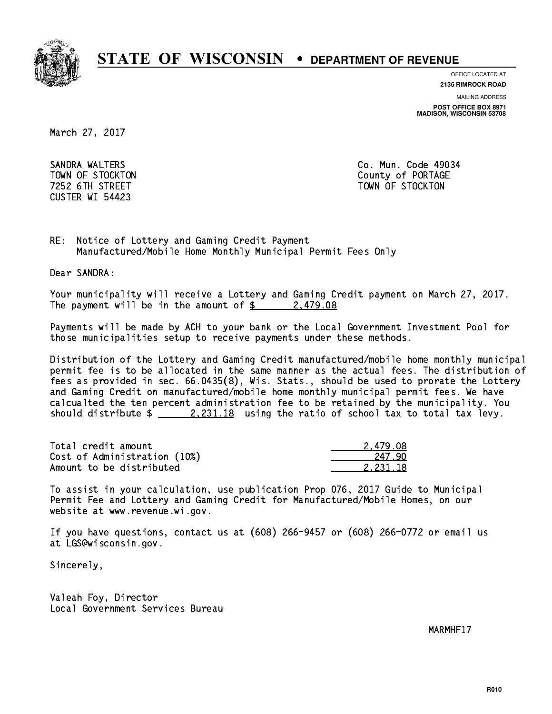

**OFFICE LOCATED AT**

**2135 RIMROCK ROAD**

**MAILING ADDRESS**

**POST OFFICE BOX 8971 MADISON, WISCONSIN 53708**

March 27, 2017

 SANDRA WALTERS Co. Mun. Code 49034 CUSTER WI 54423

TOWN OF STOCKTON COUNTY OF STOCKTON 7252 6TH STREET TOWN OF STOCKTON

RE: Notice of Lottery and Gaming Credit Payment Manufactured/Mobile Home Monthly Municipal Permit Fees Only

Dear SANDRA:

 Your municipality will receive a Lottery and Gaming Credit payment on March 27, 2017. The payment will be in the amount of  $\frac{2}{3}$  2,479.08

 Payments will be made by ACH to your bank or the Local Government Investment Pool for those municipalities setup to receive payments under these methods.

 Distribution of the Lottery and Gaming Credit manufactured/mobile home monthly municipal permit fee is to be allocated in the same manner as the actual fees. The distribution of fees as provided in sec. 66.0435(8), Wis. Stats., should be used to prorate the Lottery and Gaming Credit on manufactured/mobile home monthly municipal permit fees. We have calcualted the ten percent administration fee to be retained by the municipality. You should distribute  $\frac{2.231.18}{2.231.18}$  using the ratio of school tax to total tax levy.

| Total credit amount          | 2.479.08 |
|------------------------------|----------|
| Cost of Administration (10%) | 247.90   |
| Amount to be distributed     | 2.231.18 |

 To assist in your calculation, use publication Prop 076, 2017 Guide to Municipal Permit Fee and Lottery and Gaming Credit for Manufactured/Mobile Homes, on our website at www.revenue.wi.gov.

 If you have questions, contact us at (608) 266-9457 or (608) 266-0772 or email us at LGS@wisconsin.gov.

Sincerely,

 Valeah Foy, Director Local Government Services Bureau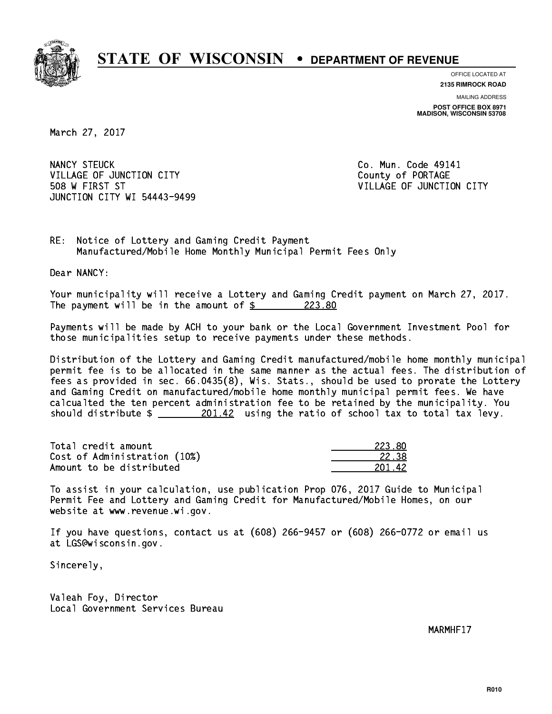

**OFFICE LOCATED AT 2135 RIMROCK ROAD**

**MAILING ADDRESS POST OFFICE BOX 8971 MADISON, WISCONSIN 53708**

March 27, 2017

NANCY STEUCK VILLAGE OF JUNCTION CITY THE COUNTY COUNTY COUNTY COUNTY 508 W FIRST ST VILLAGE OF JUNCTION CITY JUNCTION CITY WI 54443-9499

Co. Mun. Code 49141

RE: Notice of Lottery and Gaming Credit Payment Manufactured/Mobile Home Monthly Municipal Permit Fees Only

Dear NANCY:

 Your municipality will receive a Lottery and Gaming Credit payment on March 27, 2017. The payment will be in the amount of  $\frac{223.80}{223.80}$ 

 Payments will be made by ACH to your bank or the Local Government Investment Pool for those municipalities setup to receive payments under these methods.

 Distribution of the Lottery and Gaming Credit manufactured/mobile home monthly municipal permit fee is to be allocated in the same manner as the actual fees. The distribution of fees as provided in sec. 66.0435(8), Wis. Stats., should be used to prorate the Lottery and Gaming Credit on manufactured/mobile home monthly municipal permit fees. We have calcualted the ten percent administration fee to be retained by the municipality. You should distribute  $\frac{201.42}{201.42}$  using the ratio of school tax to total tax levy.

Total credit amount 223.80 Cost of Administration (10%) 22.38 Amount to be distributed **201.42** 

 To assist in your calculation, use publication Prop 076, 2017 Guide to Municipal Permit Fee and Lottery and Gaming Credit for Manufactured/Mobile Homes, on our website at www.revenue.wi.gov.

 If you have questions, contact us at (608) 266-9457 or (608) 266-0772 or email us at LGS@wisconsin.gov.

Sincerely,

 Valeah Foy, Director Local Government Services Bureau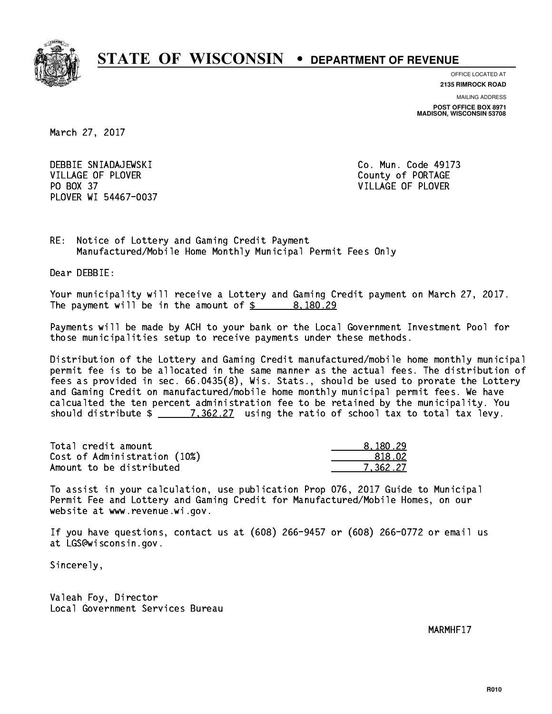

**OFFICE LOCATED AT 2135 RIMROCK ROAD**

**MAILING ADDRESS POST OFFICE BOX 8971 MADISON, WISCONSIN 53708**

March 27, 2017

 DEBBIE SNIADAJEWSKI Co. Mun. Code 49173 VILLAGE OF PLOVER COUNTY OF PORTAGE PO BOX 37 VILLAGE OF PLOVER PLOVER WI 54467-0037

RE: Notice of Lottery and Gaming Credit Payment Manufactured/Mobile Home Monthly Municipal Permit Fees Only

Dear DEBBIE:

 Your municipality will receive a Lottery and Gaming Credit payment on March 27, 2017. The payment will be in the amount of \$ 8,180.29 \_\_\_\_\_\_\_\_\_\_\_\_\_\_\_\_

 Payments will be made by ACH to your bank or the Local Government Investment Pool for those municipalities setup to receive payments under these methods.

 Distribution of the Lottery and Gaming Credit manufactured/mobile home monthly municipal permit fee is to be allocated in the same manner as the actual fees. The distribution of fees as provided in sec. 66.0435(8), Wis. Stats., should be used to prorate the Lottery and Gaming Credit on manufactured/mobile home monthly municipal permit fees. We have calcualted the ten percent administration fee to be retained by the municipality. You should distribute  $\frac{2}{2}$   $\frac{7,362.27}{2}$  using the ratio of school tax to total tax levy.

| Total credit amount          | 8.180.29 |
|------------------------------|----------|
| Cost of Administration (10%) | -818.02  |
| Amount to be distributed     | 7.362.27 |

 To assist in your calculation, use publication Prop 076, 2017 Guide to Municipal Permit Fee and Lottery and Gaming Credit for Manufactured/Mobile Homes, on our website at www.revenue.wi.gov.

 If you have questions, contact us at (608) 266-9457 or (608) 266-0772 or email us at LGS@wisconsin.gov.

Sincerely,

 Valeah Foy, Director Local Government Services Bureau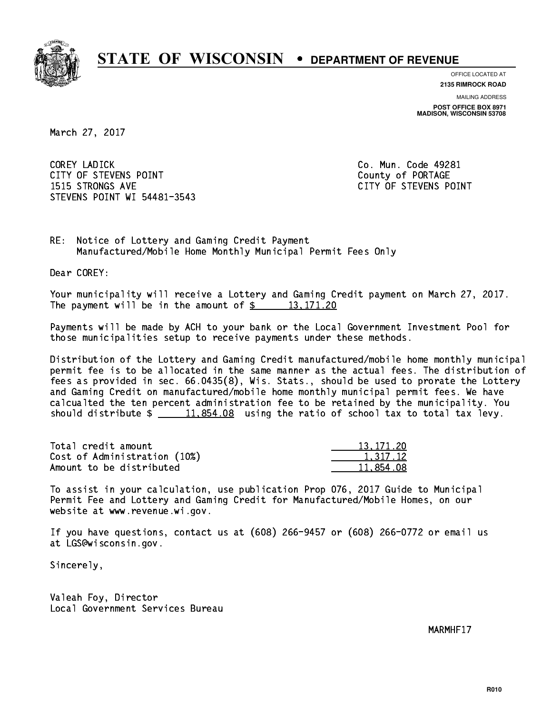

**OFFICE LOCATED AT**

**2135 RIMROCK ROAD**

**MAILING ADDRESS POST OFFICE BOX 8971 MADISON, WISCONSIN 53708**

March 27, 2017

 COREY LADICK Co. Mun. Code 49281 CITY OF STEVENS POINT COUNTS AND COUNTY OF PORTAGE 1515 STRONGS AVE CITY OF STEVENS POINT STEVENS POINT WI 54481-3543

RE: Notice of Lottery and Gaming Credit Payment Manufactured/Mobile Home Monthly Municipal Permit Fees Only

Dear COREY:

 Your municipality will receive a Lottery and Gaming Credit payment on March 27, 2017. The payment will be in the amount of  $\frac{2}{3}$  13,171.20

 Payments will be made by ACH to your bank or the Local Government Investment Pool for those municipalities setup to receive payments under these methods.

 Distribution of the Lottery and Gaming Credit manufactured/mobile home monthly municipal permit fee is to be allocated in the same manner as the actual fees. The distribution of fees as provided in sec. 66.0435(8), Wis. Stats., should be used to prorate the Lottery and Gaming Credit on manufactured/mobile home monthly municipal permit fees. We have calcualted the ten percent administration fee to be retained by the municipality. You should distribute  $\frac{11,854.08}{2}$  using the ratio of school tax to total tax levy.

| Total credit amount          | 13, 171, 20 |
|------------------------------|-------------|
| Cost of Administration (10%) | 1.317.12    |
| Amount to be distributed     | 11,854.08   |

 To assist in your calculation, use publication Prop 076, 2017 Guide to Municipal Permit Fee and Lottery and Gaming Credit for Manufactured/Mobile Homes, on our website at www.revenue.wi.gov.

 If you have questions, contact us at (608) 266-9457 or (608) 266-0772 or email us at LGS@wisconsin.gov.

Sincerely,

 Valeah Foy, Director Local Government Services Bureau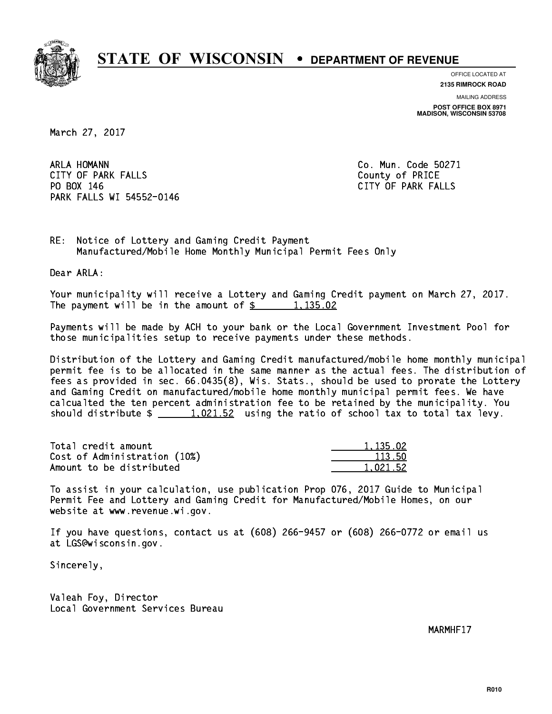

**OFFICE LOCATED AT**

**2135 RIMROCK ROAD**

**MAILING ADDRESS POST OFFICE BOX 8971 MADISON, WISCONSIN 53708**

March 27, 2017

ARLA HOMANN CITY OF PARK FALLS **COUNTY OF PARK** FALLS PO BOX 146 PARK FALLS WI 54552-0146

Co. Mun. Code 50271 CITY OF PARK FALLS

RE: Notice of Lottery and Gaming Credit Payment Manufactured/Mobile Home Monthly Municipal Permit Fees Only

Dear ARLA:

 Your municipality will receive a Lottery and Gaming Credit payment on March 27, 2017. The payment will be in the amount of  $\frac{2}{3}$  1,135.02

 Payments will be made by ACH to your bank or the Local Government Investment Pool for those municipalities setup to receive payments under these methods.

 Distribution of the Lottery and Gaming Credit manufactured/mobile home monthly municipal permit fee is to be allocated in the same manner as the actual fees. The distribution of fees as provided in sec. 66.0435(8), Wis. Stats., should be used to prorate the Lottery and Gaming Credit on manufactured/mobile home monthly municipal permit fees. We have calcualted the ten percent administration fee to be retained by the municipality. You should distribute  $\frac{1,021.52}{1,021.52}$  using the ratio of school tax to total tax levy.

| Total credit amount          | 1,135.02 |
|------------------------------|----------|
| Cost of Administration (10%) | 113.50   |
| Amount to be distributed     | 1.021.52 |

 To assist in your calculation, use publication Prop 076, 2017 Guide to Municipal Permit Fee and Lottery and Gaming Credit for Manufactured/Mobile Homes, on our website at www.revenue.wi.gov.

 If you have questions, contact us at (608) 266-9457 or (608) 266-0772 or email us at LGS@wisconsin.gov.

Sincerely,

 Valeah Foy, Director Local Government Services Bureau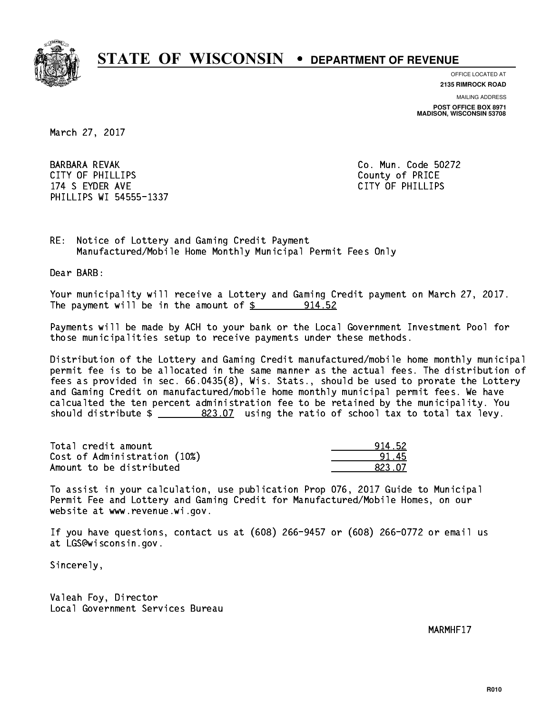

**OFFICE LOCATED AT**

**2135 RIMROCK ROAD**

**MAILING ADDRESS POST OFFICE BOX 8971 MADISON, WISCONSIN 53708**

March 27, 2017

BARBARA REVAK COMERCIAL CONSUMING THE CONSUMING CONTROLLER COMMUNICATION CONTROLLER COMMUNICATIONS OF THE CONSUMING CONTROLLER COMMUNICATIONS OF THE CONTROLLER CONTROLLER CONTROLLER COMMUNICATIONS OF THE CONTROLLER CONTROL CITY OF PHILLIPS County of PRICE 174 S EYDER AVE CITY OF PHILLIPS OF PHILLIPS OF PHILLIPS OF PHILLIPS OF PHILLIPS OF PHILLIPS OF PHILLIPS OF PHILLIPS OF PHILLIPS OF PHILLIPS OF PHILLIPS OF PHILLIPS OF PHILLIPS OF PHILLIPS OF PHILLIPS OF PHILLIPS OF PHILLI PHILLIPS WI 54555-1337

RE: Notice of Lottery and Gaming Credit Payment Manufactured/Mobile Home Monthly Municipal Permit Fees Only

Dear BARB:

 Your municipality will receive a Lottery and Gaming Credit payment on March 27, 2017. The payment will be in the amount of  $\frac{2}{3}$  914.52

 Payments will be made by ACH to your bank or the Local Government Investment Pool for those municipalities setup to receive payments under these methods.

 Distribution of the Lottery and Gaming Credit manufactured/mobile home monthly municipal permit fee is to be allocated in the same manner as the actual fees. The distribution of fees as provided in sec. 66.0435(8), Wis. Stats., should be used to prorate the Lottery and Gaming Credit on manufactured/mobile home monthly municipal permit fees. We have calcualted the ten percent administration fee to be retained by the municipality. You should distribute  $\frac{203.07}{2}$  using the ratio of school tax to total tax levy.

| Total credit amount          | 914.52 |
|------------------------------|--------|
| Cost of Administration (10%) | 91.45  |
| Amount to be distributed     | 823.07 |

 To assist in your calculation, use publication Prop 076, 2017 Guide to Municipal Permit Fee and Lottery and Gaming Credit for Manufactured/Mobile Homes, on our website at www.revenue.wi.gov.

 If you have questions, contact us at (608) 266-9457 or (608) 266-0772 or email us at LGS@wisconsin.gov.

Sincerely,

 Valeah Foy, Director Local Government Services Bureau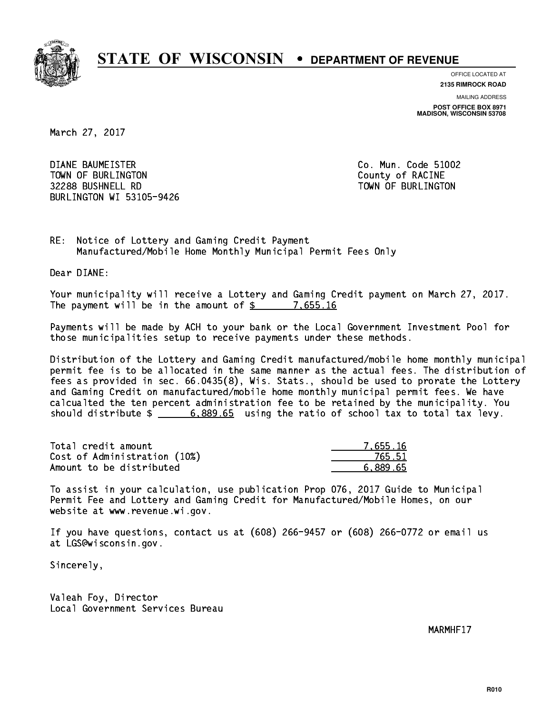

**OFFICE LOCATED AT**

**2135 RIMROCK ROAD**

**MAILING ADDRESS POST OFFICE BOX 8971 MADISON, WISCONSIN 53708**

March 27, 2017

 DIANE BAUMEISTER Co. Mun. Code 51002 TOWN OF BURLINGTON COUNTY OF RACINE 32288 BUSHNELL RD TOWN OF BURLINGTON BURLINGTON WI 53105-9426

RE: Notice of Lottery and Gaming Credit Payment Manufactured/Mobile Home Monthly Municipal Permit Fees Only

Dear DIANE:

 Your municipality will receive a Lottery and Gaming Credit payment on March 27, 2017. The payment will be in the amount of \$ 7,655.16 \_\_\_\_\_\_\_\_\_\_\_\_\_\_\_\_

 Payments will be made by ACH to your bank or the Local Government Investment Pool for those municipalities setup to receive payments under these methods.

 Distribution of the Lottery and Gaming Credit manufactured/mobile home monthly municipal permit fee is to be allocated in the same manner as the actual fees. The distribution of fees as provided in sec. 66.0435(8), Wis. Stats., should be used to prorate the Lottery and Gaming Credit on manufactured/mobile home monthly municipal permit fees. We have calcualted the ten percent administration fee to be retained by the municipality. You should distribute  $\frac{2}{1}$   $\frac{6,889.65}{2}$  using the ratio of school tax to total tax levy.

| Total credit amount          | 7.655.16 |
|------------------------------|----------|
| Cost of Administration (10%) | 765.51   |
| Amount to be distributed     | 6.889.65 |

 To assist in your calculation, use publication Prop 076, 2017 Guide to Municipal Permit Fee and Lottery and Gaming Credit for Manufactured/Mobile Homes, on our website at www.revenue.wi.gov.

 If you have questions, contact us at (608) 266-9457 or (608) 266-0772 or email us at LGS@wisconsin.gov.

Sincerely,

 Valeah Foy, Director Local Government Services Bureau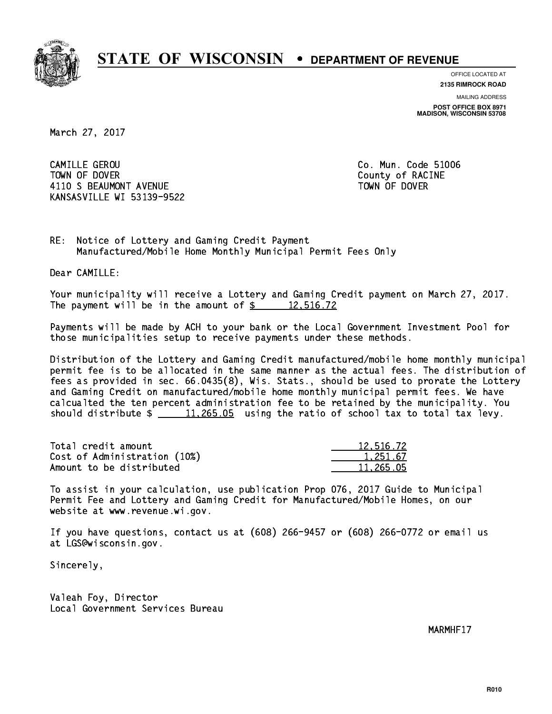

**OFFICE LOCATED AT**

**2135 RIMROCK ROAD**

**MAILING ADDRESS POST OFFICE BOX 8971 MADISON, WISCONSIN 53708**

March 27, 2017

 CAMILLE GEROU Co. Mun. Code 51006 TOWN OF DOVER COUNTY OF RACINE 4110 S BEAUMONT AVENUE TOWN OF DOVER KANSASVILLE WI 53139-9522

RE: Notice of Lottery and Gaming Credit Payment Manufactured/Mobile Home Monthly Municipal Permit Fees Only

Dear CAMILLE:

 Your municipality will receive a Lottery and Gaming Credit payment on March 27, 2017. The payment will be in the amount of  $\frac{2}{3}$  12,516.72

 Payments will be made by ACH to your bank or the Local Government Investment Pool for those municipalities setup to receive payments under these methods.

 Distribution of the Lottery and Gaming Credit manufactured/mobile home monthly municipal permit fee is to be allocated in the same manner as the actual fees. The distribution of fees as provided in sec. 66.0435(8), Wis. Stats., should be used to prorate the Lottery and Gaming Credit on manufactured/mobile home monthly municipal permit fees. We have calcualted the ten percent administration fee to be retained by the municipality. You should distribute  $\frac{11,265.05}{2}$  using the ratio of school tax to total tax levy.

| Total credit amount          | 12,516.72 |
|------------------------------|-----------|
| Cost of Administration (10%) | 1.251.67  |
| Amount to be distributed     | 11,265.05 |

 To assist in your calculation, use publication Prop 076, 2017 Guide to Municipal Permit Fee and Lottery and Gaming Credit for Manufactured/Mobile Homes, on our website at www.revenue.wi.gov.

 If you have questions, contact us at (608) 266-9457 or (608) 266-0772 or email us at LGS@wisconsin.gov.

Sincerely,

 Valeah Foy, Director Local Government Services Bureau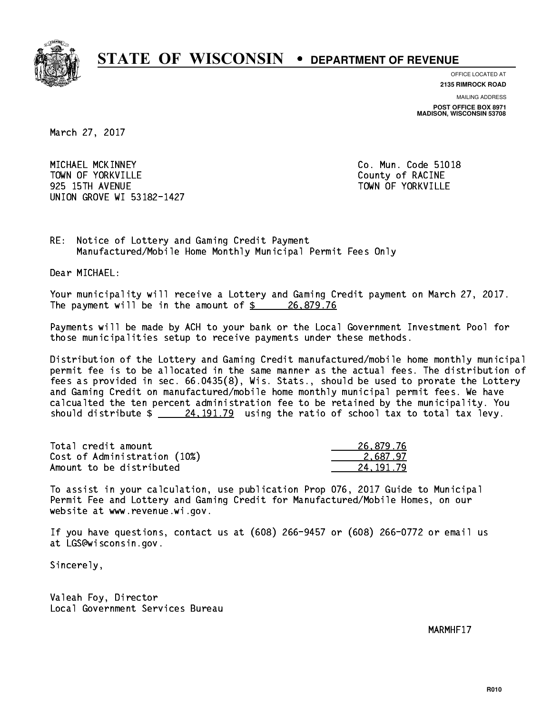

**OFFICE LOCATED AT**

**2135 RIMROCK ROAD**

**MAILING ADDRESS POST OFFICE BOX 8971 MADISON, WISCONSIN 53708**

March 27, 2017

 MICHAEL MCKINNEY Co. Mun. Code 51018 TOWN OF YORKVILLE TOWN OF SOURCE COUNTY OF RACINE 925 15TH AVENUE TOWN OF YORKVILLE UNION GROVE WI 53182-1427

RE: Notice of Lottery and Gaming Credit Payment Manufactured/Mobile Home Monthly Municipal Permit Fees Only

Dear MICHAEL:

 Your municipality will receive a Lottery and Gaming Credit payment on March 27, 2017. The payment will be in the amount of  $\frac{26}{8}$  26,879.76

 Payments will be made by ACH to your bank or the Local Government Investment Pool for those municipalities setup to receive payments under these methods.

 Distribution of the Lottery and Gaming Credit manufactured/mobile home monthly municipal permit fee is to be allocated in the same manner as the actual fees. The distribution of fees as provided in sec. 66.0435(8), Wis. Stats., should be used to prorate the Lottery and Gaming Credit on manufactured/mobile home monthly municipal permit fees. We have calcualted the ten percent administration fee to be retained by the municipality. You should distribute  $\frac{24,191.79}{24,191.72}$  using the ratio of school tax to total tax levy.

| Total credit amount          | 26,879.76 |
|------------------------------|-----------|
| Cost of Administration (10%) | 2.687.97  |
| Amount to be distributed     | 24.191.79 |

 To assist in your calculation, use publication Prop 076, 2017 Guide to Municipal Permit Fee and Lottery and Gaming Credit for Manufactured/Mobile Homes, on our website at www.revenue.wi.gov.

 If you have questions, contact us at (608) 266-9457 or (608) 266-0772 or email us at LGS@wisconsin.gov.

Sincerely,

 Valeah Foy, Director Local Government Services Bureau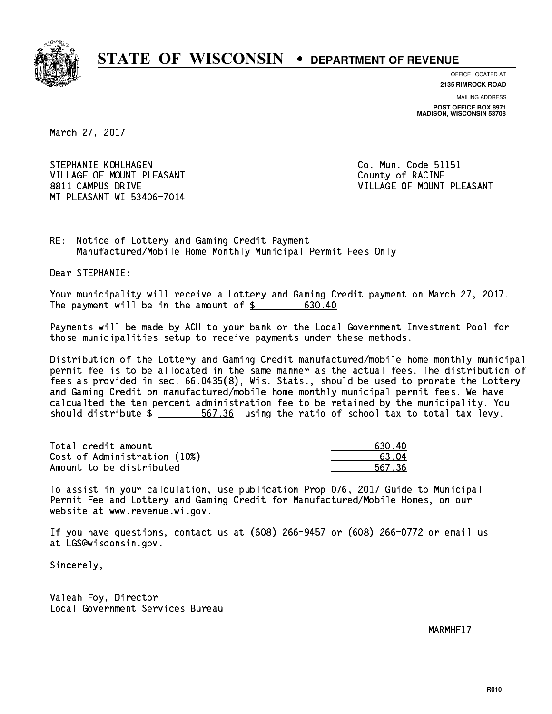

**OFFICE LOCATED AT**

**2135 RIMROCK ROAD**

**MAILING ADDRESS POST OFFICE BOX 8971 MADISON, WISCONSIN 53708**

March 27, 2017

STEPHANIE KOHLHAGEN **Co. Mun. Code 51151** VILLAGE OF MOUNT PLEASANT COUNTY OF RACINE 8811 CAMPUS DRIVE VILLAGE OF MOUNT PLEASANT MT PLEASANT WI 53406-7014

RE: Notice of Lottery and Gaming Credit Payment Manufactured/Mobile Home Monthly Municipal Permit Fees Only

Dear STEPHANIE:

 Your municipality will receive a Lottery and Gaming Credit payment on March 27, 2017. The payment will be in the amount of \$ 630.40 \_\_\_\_\_\_\_\_\_\_\_\_\_\_\_\_

 Payments will be made by ACH to your bank or the Local Government Investment Pool for those municipalities setup to receive payments under these methods.

 Distribution of the Lottery and Gaming Credit manufactured/mobile home monthly municipal permit fee is to be allocated in the same manner as the actual fees. The distribution of fees as provided in sec. 66.0435(8), Wis. Stats., should be used to prorate the Lottery and Gaming Credit on manufactured/mobile home monthly municipal permit fees. We have calcualted the ten percent administration fee to be retained by the municipality. You should distribute  $\frac{2}{1}$   $\frac{567.36}{20}$  using the ratio of school tax to total tax levy.

Total credit amount Cost of Administration (10%) Amount to be distributed

| 40<br>630- |
|------------|
| 63 N4      |
| 567 36     |

 To assist in your calculation, use publication Prop 076, 2017 Guide to Municipal Permit Fee and Lottery and Gaming Credit for Manufactured/Mobile Homes, on our website at www.revenue.wi.gov.

 If you have questions, contact us at (608) 266-9457 or (608) 266-0772 or email us at LGS@wisconsin.gov.

Sincerely,

 Valeah Foy, Director Local Government Services Bureau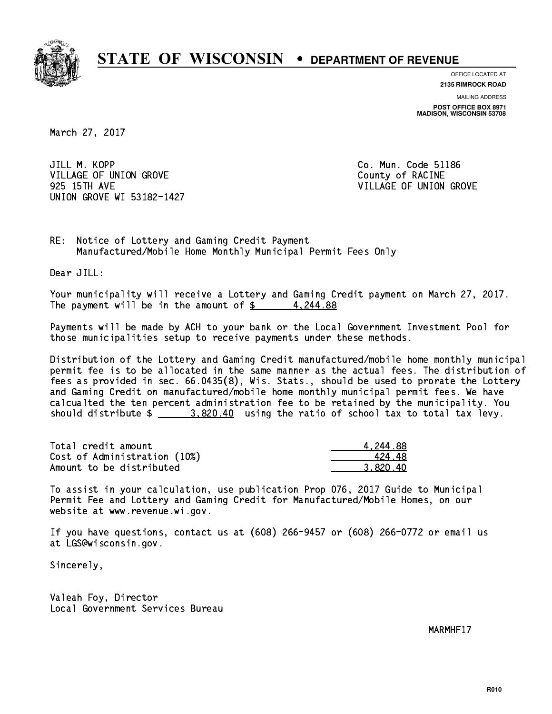

**OFFICE LOCATED AT**

**2135 RIMROCK ROAD**

**MAILING ADDRESS POST OFFICE BOX 8971 MADISON, WISCONSIN 53708**

March 27, 2017

JILL M. KOPP VILLAGE OF UNION GROVE COUNTY OF RACINE 925 15TH AVE VILLAGE OF UNION GROVE UNION GROVE WI 53182-1427

Co. Mun. Code 51186

RE: Notice of Lottery and Gaming Credit Payment Manufactured/Mobile Home Monthly Municipal Permit Fees Only

Dear JILL:

 Your municipality will receive a Lottery and Gaming Credit payment on March 27, 2017. The payment will be in the amount of  $\frac{244.244.88}{5}$ 

 Payments will be made by ACH to your bank or the Local Government Investment Pool for those municipalities setup to receive payments under these methods.

 Distribution of the Lottery and Gaming Credit manufactured/mobile home monthly municipal permit fee is to be allocated in the same manner as the actual fees. The distribution of fees as provided in sec. 66.0435(8), Wis. Stats., should be used to prorate the Lottery and Gaming Credit on manufactured/mobile home monthly municipal permit fees. We have calcualted the ten percent administration fee to be retained by the municipality. You should distribute  $\frac{2}{2}$   $\frac{3,820.40}{2}$  using the ratio of school tax to total tax levy.

| Total credit amount          | 4.244.88 |
|------------------------------|----------|
| Cost of Administration (10%) | 424.48   |
| Amount to be distributed     | 3.820.40 |

 To assist in your calculation, use publication Prop 076, 2017 Guide to Municipal Permit Fee and Lottery and Gaming Credit for Manufactured/Mobile Homes, on our website at www.revenue.wi.gov.

 If you have questions, contact us at (608) 266-9457 or (608) 266-0772 or email us at LGS@wisconsin.gov.

Sincerely,

 Valeah Foy, Director Local Government Services Bureau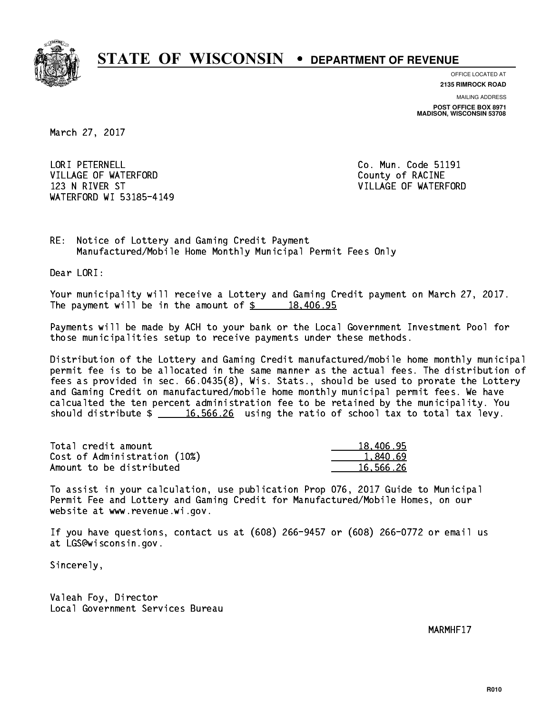

**OFFICE LOCATED AT**

**2135 RIMROCK ROAD**

**MAILING ADDRESS POST OFFICE BOX 8971 MADISON, WISCONSIN 53708**

March 27, 2017

 LORI PETERNELL Co. Mun. Code 51191 VILLAGE OF WATERFORD County of RACINE 123 N RIVER ST VILLAGE OF WATERFORD WATERFORD WI 53185-4149

RE: Notice of Lottery and Gaming Credit Payment Manufactured/Mobile Home Monthly Municipal Permit Fees Only

Dear LORI:

 Your municipality will receive a Lottery and Gaming Credit payment on March 27, 2017. The payment will be in the amount of  $\frac{2}{3}$  18,406.95

 Payments will be made by ACH to your bank or the Local Government Investment Pool for those municipalities setup to receive payments under these methods.

 Distribution of the Lottery and Gaming Credit manufactured/mobile home monthly municipal permit fee is to be allocated in the same manner as the actual fees. The distribution of fees as provided in sec. 66.0435(8), Wis. Stats., should be used to prorate the Lottery and Gaming Credit on manufactured/mobile home monthly municipal permit fees. We have calcualted the ten percent administration fee to be retained by the municipality. You should distribute  $\frac{16,566.26}{2}$  using the ratio of school tax to total tax levy.

| Total credit amount          | 18,406.95 |
|------------------------------|-----------|
| Cost of Administration (10%) | 1.840.69  |
| Amount to be distributed     | 16.566.26 |

 To assist in your calculation, use publication Prop 076, 2017 Guide to Municipal Permit Fee and Lottery and Gaming Credit for Manufactured/Mobile Homes, on our website at www.revenue.wi.gov.

 If you have questions, contact us at (608) 266-9457 or (608) 266-0772 or email us at LGS@wisconsin.gov.

Sincerely,

 Valeah Foy, Director Local Government Services Bureau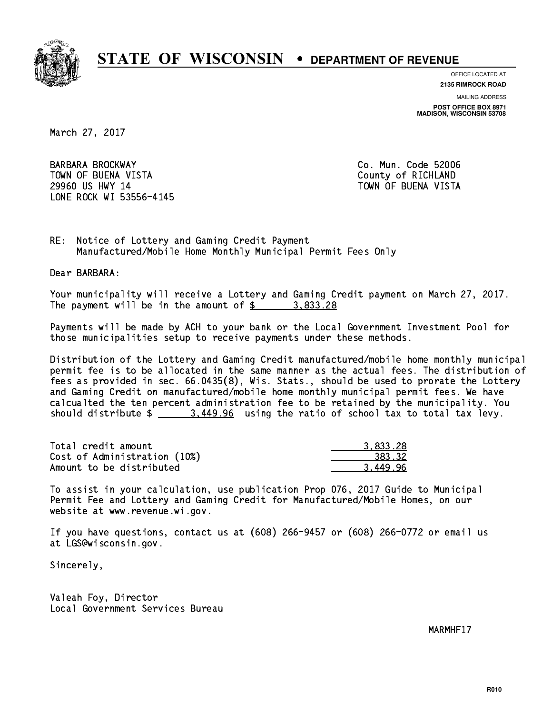

**OFFICE LOCATED AT**

**2135 RIMROCK ROAD**

**MAILING ADDRESS**

**POST OFFICE BOX 8971 MADISON, WISCONSIN 53708**

March 27, 2017

 BARBARA BROCKWAY Co. Mun. Code 52006 TOWN OF BUENA VISTA County of RICHLAND 29960 US HWY 14 TOWN OF BUENA VISTA LONE ROCK WI 53556-4145

RE: Notice of Lottery and Gaming Credit Payment Manufactured/Mobile Home Monthly Municipal Permit Fees Only

Dear BARBARA:

 Your municipality will receive a Lottery and Gaming Credit payment on March 27, 2017. The payment will be in the amount of  $\frac{2}{3}$  3,833.28

 Payments will be made by ACH to your bank or the Local Government Investment Pool for those municipalities setup to receive payments under these methods.

 Distribution of the Lottery and Gaming Credit manufactured/mobile home monthly municipal permit fee is to be allocated in the same manner as the actual fees. The distribution of fees as provided in sec. 66.0435(8), Wis. Stats., should be used to prorate the Lottery and Gaming Credit on manufactured/mobile home monthly municipal permit fees. We have calcualted the ten percent administration fee to be retained by the municipality. You should distribute  $\frac{2}{1}$   $\frac{3.449.96}{20}$  using the ratio of school tax to total tax levy.

| Total credit amount          | 3.833.28 |
|------------------------------|----------|
| Cost of Administration (10%) | 383.32   |
| Amount to be distributed     | 3.449.96 |

 To assist in your calculation, use publication Prop 076, 2017 Guide to Municipal Permit Fee and Lottery and Gaming Credit for Manufactured/Mobile Homes, on our website at www.revenue.wi.gov.

 If you have questions, contact us at (608) 266-9457 or (608) 266-0772 or email us at LGS@wisconsin.gov.

Sincerely,

 Valeah Foy, Director Local Government Services Bureau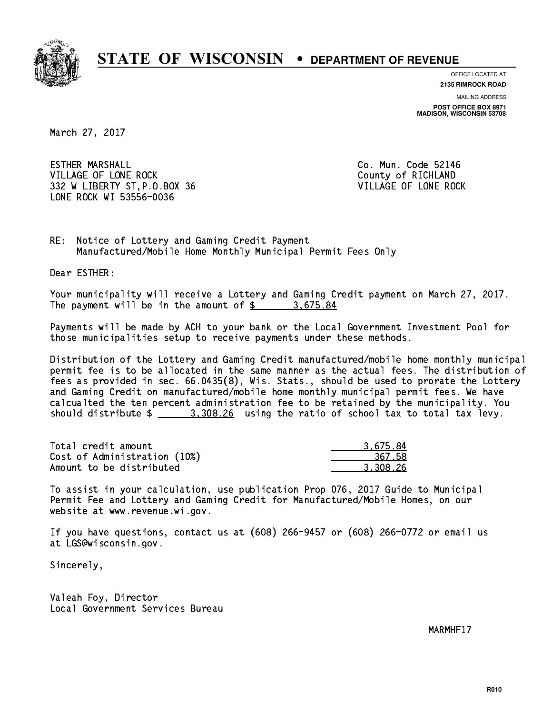

**OFFICE LOCATED AT**

**2135 RIMROCK ROAD**

**MAILING ADDRESS POST OFFICE BOX 8971 MADISON, WISCONSIN 53708**

March 27, 2017

 ESTHER MARSHALL Co. Mun. Code 52146 VILLAGE OF LONE ROCK **COUNTY COULD A** County of RICHLAND 332 W LIBERTY ST,P.O.BOX 36 VILLAGE OF LONE ROCK LONE ROCK WI 53556-0036

RE: Notice of Lottery and Gaming Credit Payment Manufactured/Mobile Home Monthly Municipal Permit Fees Only

Dear ESTHER:

 Your municipality will receive a Lottery and Gaming Credit payment on March 27, 2017. The payment will be in the amount of  $\frac{2}{3}$  3,675.84

 Payments will be made by ACH to your bank or the Local Government Investment Pool for those municipalities setup to receive payments under these methods.

 Distribution of the Lottery and Gaming Credit manufactured/mobile home monthly municipal permit fee is to be allocated in the same manner as the actual fees. The distribution of fees as provided in sec. 66.0435(8), Wis. Stats., should be used to prorate the Lottery and Gaming Credit on manufactured/mobile home monthly municipal permit fees. We have calcualted the ten percent administration fee to be retained by the municipality. You should distribute  $\frac{2}{1}$   $\frac{3,308.26}{2}$  using the ratio of school tax to total tax levy.

| Total credit amount          | 3.675.84 |
|------------------------------|----------|
| Cost of Administration (10%) | 367.58   |
| Amount to be distributed     | 3.308.26 |

 To assist in your calculation, use publication Prop 076, 2017 Guide to Municipal Permit Fee and Lottery and Gaming Credit for Manufactured/Mobile Homes, on our website at www.revenue.wi.gov.

 If you have questions, contact us at (608) 266-9457 or (608) 266-0772 or email us at LGS@wisconsin.gov.

Sincerely,

 Valeah Foy, Director Local Government Services Bureau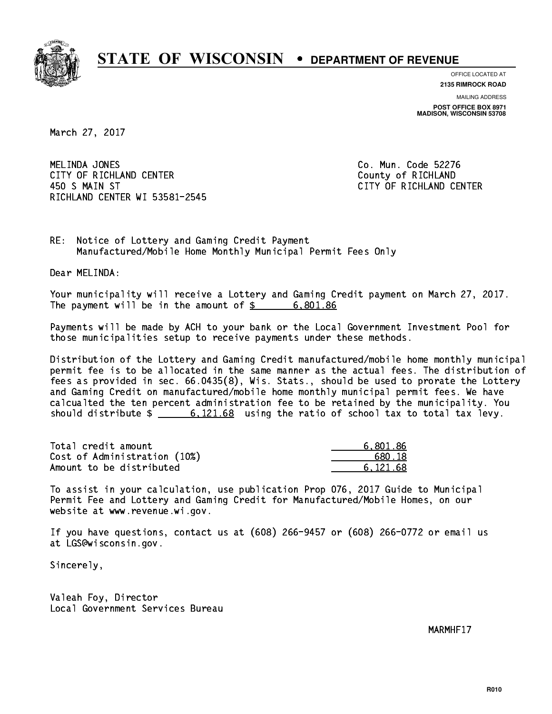

**OFFICE LOCATED AT**

**2135 RIMROCK ROAD**

**MAILING ADDRESS POST OFFICE BOX 8971 MADISON, WISCONSIN 53708**

March 27, 2017

MELINDA JONES CITY OF RICHLAND CENTER **COUNTY OF RICHLAND**  450 S MAIN ST CITY OF RICHLAND CENTER RICHLAND CENTER WI 53581-2545

Co. Mun. Code 52276

RE: Notice of Lottery and Gaming Credit Payment Manufactured/Mobile Home Monthly Municipal Permit Fees Only

Dear MELINDA:

 Your municipality will receive a Lottery and Gaming Credit payment on March 27, 2017. The payment will be in the amount of  $\frac{2}{3}$  6,801.86

 Payments will be made by ACH to your bank or the Local Government Investment Pool for those municipalities setup to receive payments under these methods.

 Distribution of the Lottery and Gaming Credit manufactured/mobile home monthly municipal permit fee is to be allocated in the same manner as the actual fees. The distribution of fees as provided in sec. 66.0435(8), Wis. Stats., should be used to prorate the Lottery and Gaming Credit on manufactured/mobile home monthly municipal permit fees. We have calcualted the ten percent administration fee to be retained by the municipality. You should distribute  $\frac{2 \cdot 121.68}{2 \cdot 121.68}$  using the ratio of school tax to total tax levy.

| Total credit amount          | 6,801.86 |
|------------------------------|----------|
| Cost of Administration (10%) | 680.18   |
| Amount to be distributed     | 6.121.68 |

 To assist in your calculation, use publication Prop 076, 2017 Guide to Municipal Permit Fee and Lottery and Gaming Credit for Manufactured/Mobile Homes, on our website at www.revenue.wi.gov.

 If you have questions, contact us at (608) 266-9457 or (608) 266-0772 or email us at LGS@wisconsin.gov.

Sincerely,

 Valeah Foy, Director Local Government Services Bureau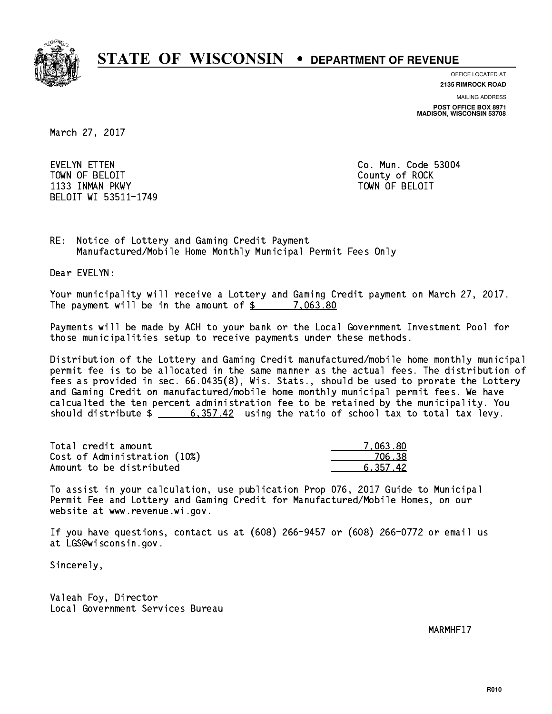

**OFFICE LOCATED AT**

**2135 RIMROCK ROAD**

**MAILING ADDRESS POST OFFICE BOX 8971 MADISON, WISCONSIN 53708**

March 27, 2017

 EVELYN ETTEN Co. Mun. Code 53004 TOWN OF BELOIT County of ROCK 1133 INMAN PKWY TOWN OF BELOIT BELOIT WI 53511-1749

RE: Notice of Lottery and Gaming Credit Payment Manufactured/Mobile Home Monthly Municipal Permit Fees Only

Dear EVELYN:

 Your municipality will receive a Lottery and Gaming Credit payment on March 27, 2017. The payment will be in the amount of \$ 7,063.80 \_\_\_\_\_\_\_\_\_\_\_\_\_\_\_\_

 Payments will be made by ACH to your bank or the Local Government Investment Pool for those municipalities setup to receive payments under these methods.

 Distribution of the Lottery and Gaming Credit manufactured/mobile home monthly municipal permit fee is to be allocated in the same manner as the actual fees. The distribution of fees as provided in sec. 66.0435(8), Wis. Stats., should be used to prorate the Lottery and Gaming Credit on manufactured/mobile home monthly municipal permit fees. We have calcualted the ten percent administration fee to be retained by the municipality. You should distribute  $\frac{2}{1}$   $\frac{6,357.42}{2}$  using the ratio of school tax to total tax levy.

| Total credit amount          | 7.063.80 |
|------------------------------|----------|
| Cost of Administration (10%) | 706.38   |
| Amount to be distributed     | 6.357.42 |

 To assist in your calculation, use publication Prop 076, 2017 Guide to Municipal Permit Fee and Lottery and Gaming Credit for Manufactured/Mobile Homes, on our website at www.revenue.wi.gov.

 If you have questions, contact us at (608) 266-9457 or (608) 266-0772 or email us at LGS@wisconsin.gov.

Sincerely,

 Valeah Foy, Director Local Government Services Bureau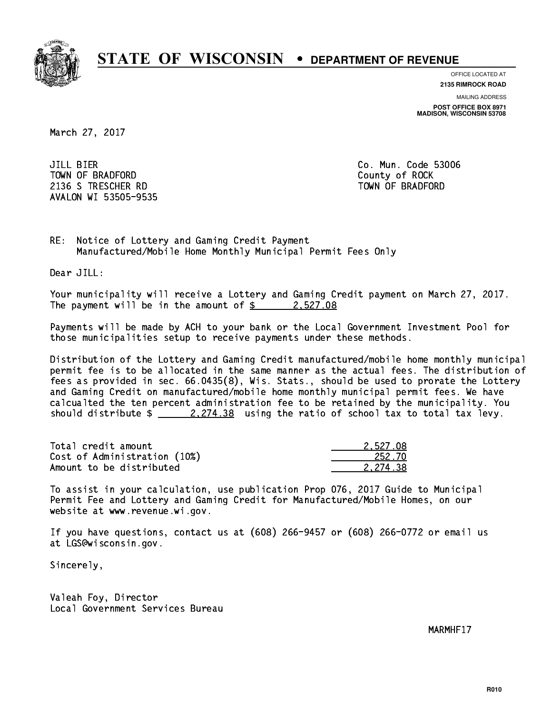

**OFFICE LOCATED AT**

**2135 RIMROCK ROAD**

**MAILING ADDRESS POST OFFICE BOX 8971 MADISON, WISCONSIN 53708**

March 27, 2017

**JILL BIER** TOWN OF BRADFORD **COUNTY COUNTY OF ROCK** 2136 S TRESCHER RD TOWN OF BRADFORD AVALON WI 53505-9535

Co. Mun. Code 53006

RE: Notice of Lottery and Gaming Credit Payment Manufactured/Mobile Home Monthly Municipal Permit Fees Only

Dear JILL:

 Your municipality will receive a Lottery and Gaming Credit payment on March 27, 2017. The payment will be in the amount of  $\frac{2}{3}$  2,527.08

 Payments will be made by ACH to your bank or the Local Government Investment Pool for those municipalities setup to receive payments under these methods.

 Distribution of the Lottery and Gaming Credit manufactured/mobile home monthly municipal permit fee is to be allocated in the same manner as the actual fees. The distribution of fees as provided in sec. 66.0435(8), Wis. Stats., should be used to prorate the Lottery and Gaming Credit on manufactured/mobile home monthly municipal permit fees. We have calcualted the ten percent administration fee to be retained by the municipality. You should distribute  $\frac{2.274.38}{ }$  using the ratio of school tax to total tax levy.

| Total credit amount          | 2.527.08 |
|------------------------------|----------|
| Cost of Administration (10%) | 252.70   |
| Amount to be distributed     | 2.274.38 |

 To assist in your calculation, use publication Prop 076, 2017 Guide to Municipal Permit Fee and Lottery and Gaming Credit for Manufactured/Mobile Homes, on our website at www.revenue.wi.gov.

 If you have questions, contact us at (608) 266-9457 or (608) 266-0772 or email us at LGS@wisconsin.gov.

Sincerely,

 Valeah Foy, Director Local Government Services Bureau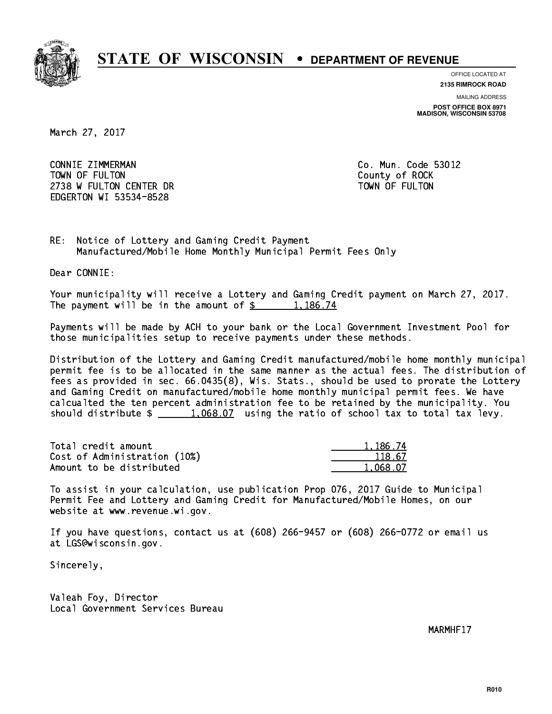

**OFFICE LOCATED AT**

**2135 RIMROCK ROAD**

**MAILING ADDRESS POST OFFICE BOX 8971 MADISON, WISCONSIN 53708**

March 27, 2017

 CONNIE ZIMMERMAN Co. Mun. Code 53012 TOWN OF FULTON County of ROCK 2738 W FULTON CENTER DR TOWN OF FULTON EDGERTON WI 53534-8528

RE: Notice of Lottery and Gaming Credit Payment Manufactured/Mobile Home Monthly Municipal Permit Fees Only

Dear CONNIE:

 Your municipality will receive a Lottery and Gaming Credit payment on March 27, 2017. The payment will be in the amount of  $\frac{2}{3}$  1,186.74

 Payments will be made by ACH to your bank or the Local Government Investment Pool for those municipalities setup to receive payments under these methods.

 Distribution of the Lottery and Gaming Credit manufactured/mobile home monthly municipal permit fee is to be allocated in the same manner as the actual fees. The distribution of fees as provided in sec. 66.0435(8), Wis. Stats., should be used to prorate the Lottery and Gaming Credit on manufactured/mobile home monthly municipal permit fees. We have calcualted the ten percent administration fee to be retained by the municipality. You should distribute  $\frac{1,068.07}{1,068.07}$  using the ratio of school tax to total tax levy.

| Total credit amount          | 1,186.74 |
|------------------------------|----------|
| Cost of Administration (10%) | 118.67   |
| Amount to be distributed     | 1.068.07 |

 To assist in your calculation, use publication Prop 076, 2017 Guide to Municipal Permit Fee and Lottery and Gaming Credit for Manufactured/Mobile Homes, on our website at www.revenue.wi.gov.

 If you have questions, contact us at (608) 266-9457 or (608) 266-0772 or email us at LGS@wisconsin.gov.

Sincerely,

 Valeah Foy, Director Local Government Services Bureau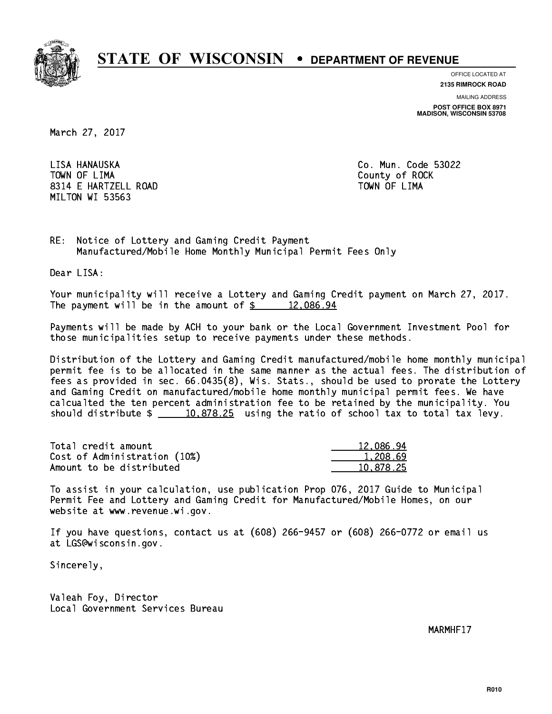

**OFFICE LOCATED AT**

**2135 RIMROCK ROAD**

**MAILING ADDRESS POST OFFICE BOX 8971 MADISON, WISCONSIN 53708**

March 27, 2017

LISA HANAUSKA TOWN OF LIMA 8314 E HARTZELL ROAD TOWN OF LIMA MILTON WI 53563

Co. Mun. Code 53022 County of ROCK

RE: Notice of Lottery and Gaming Credit Payment Manufactured/Mobile Home Monthly Municipal Permit Fees Only

Dear LISA:

 Your municipality will receive a Lottery and Gaming Credit payment on March 27, 2017. The payment will be in the amount of  $\frac{2}{3}$  12,086.94

 Payments will be made by ACH to your bank or the Local Government Investment Pool for those municipalities setup to receive payments under these methods.

 Distribution of the Lottery and Gaming Credit manufactured/mobile home monthly municipal permit fee is to be allocated in the same manner as the actual fees. The distribution of fees as provided in sec. 66.0435(8), Wis. Stats., should be used to prorate the Lottery and Gaming Credit on manufactured/mobile home monthly municipal permit fees. We have calcualted the ten percent administration fee to be retained by the municipality. You should distribute  $\frac{10,878.25}{2}$  using the ratio of school tax to total tax levy.

| Total credit amount          | 12,086.94 |
|------------------------------|-----------|
| Cost of Administration (10%) | 1,208.69  |
| Amount to be distributed     | 10.878.25 |

 To assist in your calculation, use publication Prop 076, 2017 Guide to Municipal Permit Fee and Lottery and Gaming Credit for Manufactured/Mobile Homes, on our website at www.revenue.wi.gov.

 If you have questions, contact us at (608) 266-9457 or (608) 266-0772 or email us at LGS@wisconsin.gov.

Sincerely,

 Valeah Foy, Director Local Government Services Bureau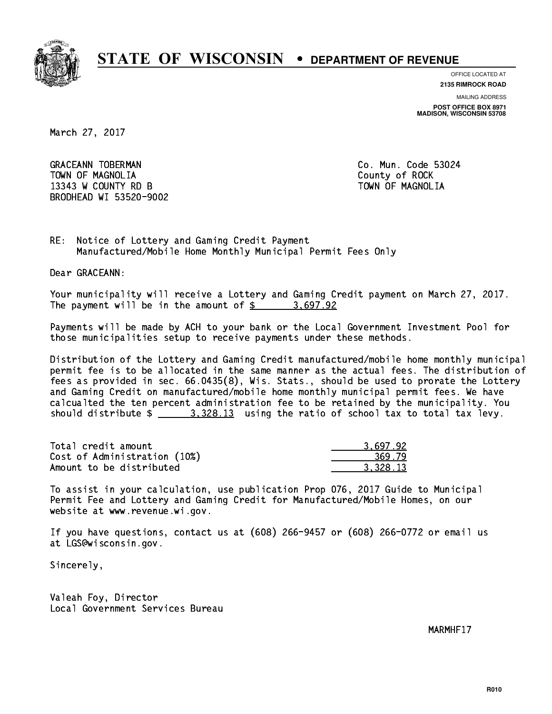

**OFFICE LOCATED AT**

**2135 RIMROCK ROAD**

**MAILING ADDRESS POST OFFICE BOX 8971 MADISON, WISCONSIN 53708**

March 27, 2017

GRACEANN TOBERMAN CONTROLLER CO. Mun. Code 53024 TOWN OF MAGNOLIA COUNTY OF ROCK 13343 W COUNTY RD B TOWN OF MAGNOLIA BRODHEAD WI 53520-9002

RE: Notice of Lottery and Gaming Credit Payment Manufactured/Mobile Home Monthly Municipal Permit Fees Only

Dear GRACEANN:

 Your municipality will receive a Lottery and Gaming Credit payment on March 27, 2017. The payment will be in the amount of  $\frac{2}{3}$  3,697.92

 Payments will be made by ACH to your bank or the Local Government Investment Pool for those municipalities setup to receive payments under these methods.

 Distribution of the Lottery and Gaming Credit manufactured/mobile home monthly municipal permit fee is to be allocated in the same manner as the actual fees. The distribution of fees as provided in sec. 66.0435(8), Wis. Stats., should be used to prorate the Lottery and Gaming Credit on manufactured/mobile home monthly municipal permit fees. We have calcualted the ten percent administration fee to be retained by the municipality. You should distribute  $\frac{2}{1}$   $\frac{3.328.13}{2}$  using the ratio of school tax to total tax levy.

| Total credit amount          | 3.697.92 |
|------------------------------|----------|
| Cost of Administration (10%) | 369.79   |
| Amount to be distributed     | 3.328.13 |

 To assist in your calculation, use publication Prop 076, 2017 Guide to Municipal Permit Fee and Lottery and Gaming Credit for Manufactured/Mobile Homes, on our website at www.revenue.wi.gov.

 If you have questions, contact us at (608) 266-9457 or (608) 266-0772 or email us at LGS@wisconsin.gov.

Sincerely,

 Valeah Foy, Director Local Government Services Bureau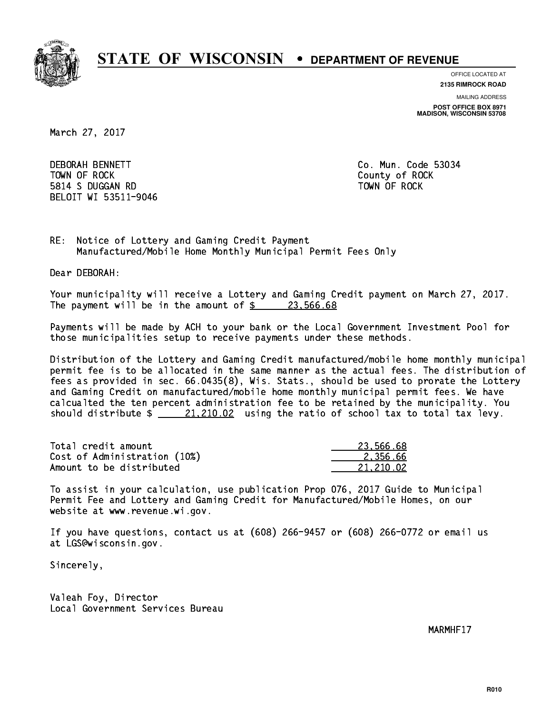

**OFFICE LOCATED AT 2135 RIMROCK ROAD**

**MAILING ADDRESS**

**POST OFFICE BOX 8971 MADISON, WISCONSIN 53708**

March 27, 2017

**DEBORAH BENNETT**  TOWN OF ROCK County of ROCK 5814 S DUGGAN RD TOWN OF ROCK BELOIT WI 53511-9046

Co. Mun. Code 53034

RE: Notice of Lottery and Gaming Credit Payment Manufactured/Mobile Home Monthly Municipal Permit Fees Only

Dear DEBORAH:

 Your municipality will receive a Lottery and Gaming Credit payment on March 27, 2017. The payment will be in the amount of  $\frac{23,566.68}{23,566.68}$ 

 Payments will be made by ACH to your bank or the Local Government Investment Pool for those municipalities setup to receive payments under these methods.

 Distribution of the Lottery and Gaming Credit manufactured/mobile home monthly municipal permit fee is to be allocated in the same manner as the actual fees. The distribution of fees as provided in sec. 66.0435(8), Wis. Stats., should be used to prorate the Lottery and Gaming Credit on manufactured/mobile home monthly municipal permit fees. We have calcualted the ten percent administration fee to be retained by the municipality. You should distribute  $\frac{21,210.02}{21,210.02}$  using the ratio of school tax to total tax levy.

| Total credit amount          | 23.566.68 |
|------------------------------|-----------|
| Cost of Administration (10%) | 2.356.66  |
| Amount to be distributed     | 21.210.02 |

 To assist in your calculation, use publication Prop 076, 2017 Guide to Municipal Permit Fee and Lottery and Gaming Credit for Manufactured/Mobile Homes, on our website at www.revenue.wi.gov.

 If you have questions, contact us at (608) 266-9457 or (608) 266-0772 or email us at LGS@wisconsin.gov.

Sincerely,

 Valeah Foy, Director Local Government Services Bureau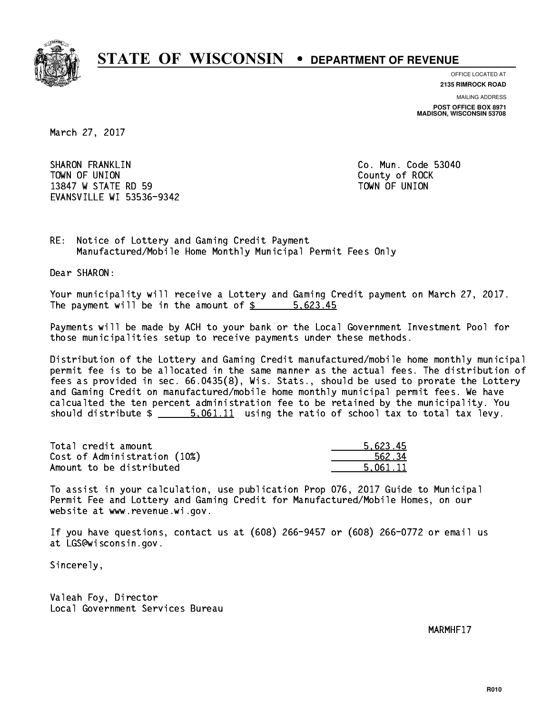

**OFFICE LOCATED AT**

**2135 RIMROCK ROAD**

**MAILING ADDRESS POST OFFICE BOX 8971 MADISON, WISCONSIN 53708**

March 27, 2017

 SHARON FRANKLIN Co. Mun. Code 53040 TOWN OF UNION County of ROCK 13847 W STATE RD 59 TOWN OF UNION EVANSVILLE WI 53536-9342

RE: Notice of Lottery and Gaming Credit Payment Manufactured/Mobile Home Monthly Municipal Permit Fees Only

Dear SHARON:

 Your municipality will receive a Lottery and Gaming Credit payment on March 27, 2017. The payment will be in the amount of \$ 5,623.45 \_\_\_\_\_\_\_\_\_\_\_\_\_\_\_\_

 Payments will be made by ACH to your bank or the Local Government Investment Pool for those municipalities setup to receive payments under these methods.

 Distribution of the Lottery and Gaming Credit manufactured/mobile home monthly municipal permit fee is to be allocated in the same manner as the actual fees. The distribution of fees as provided in sec. 66.0435(8), Wis. Stats., should be used to prorate the Lottery and Gaming Credit on manufactured/mobile home monthly municipal permit fees. We have calcualted the ten percent administration fee to be retained by the municipality. You should distribute  $\frac{2}{1}$   $\frac{5.061.11}{2}$  using the ratio of school tax to total tax levy.

| Total credit amount          | 5.623.45 |
|------------------------------|----------|
| Cost of Administration (10%) | 562.34   |
| Amount to be distributed     | 5.061.11 |

 To assist in your calculation, use publication Prop 076, 2017 Guide to Municipal Permit Fee and Lottery and Gaming Credit for Manufactured/Mobile Homes, on our website at www.revenue.wi.gov.

 If you have questions, contact us at (608) 266-9457 or (608) 266-0772 or email us at LGS@wisconsin.gov.

Sincerely,

 Valeah Foy, Director Local Government Services Bureau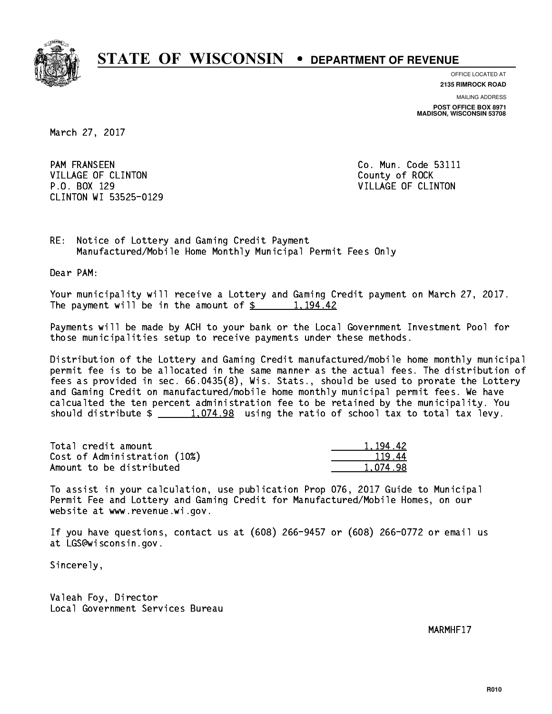

**OFFICE LOCATED AT**

**2135 RIMROCK ROAD**

**MAILING ADDRESS POST OFFICE BOX 8971 MADISON, WISCONSIN 53708**

March 27, 2017

**PAM FRANSEEN** VILLAGE OF CLINTON COUNTY OF ROCK P.O. BOX 129 VILLAGE OF CLINTON CLINTON WI 53525-0129

Co. Mun. Code 53111

RE: Notice of Lottery and Gaming Credit Payment Manufactured/Mobile Home Monthly Municipal Permit Fees Only

Dear PAM:

 Your municipality will receive a Lottery and Gaming Credit payment on March 27, 2017. The payment will be in the amount of  $\frac{2}{3}$  1,194.42

 Payments will be made by ACH to your bank or the Local Government Investment Pool for those municipalities setup to receive payments under these methods.

 Distribution of the Lottery and Gaming Credit manufactured/mobile home monthly municipal permit fee is to be allocated in the same manner as the actual fees. The distribution of fees as provided in sec. 66.0435(8), Wis. Stats., should be used to prorate the Lottery and Gaming Credit on manufactured/mobile home monthly municipal permit fees. We have calcualted the ten percent administration fee to be retained by the municipality. You should distribute  $\frac{1,074.98}{1,074.98}$  using the ratio of school tax to total tax levy.

| Total credit amount          | 1.194.42 |
|------------------------------|----------|
| Cost of Administration (10%) | 11944    |
| Amount to be distributed     | 1.074.98 |

 To assist in your calculation, use publication Prop 076, 2017 Guide to Municipal Permit Fee and Lottery and Gaming Credit for Manufactured/Mobile Homes, on our website at www.revenue.wi.gov.

 If you have questions, contact us at (608) 266-9457 or (608) 266-0772 or email us at LGS@wisconsin.gov.

Sincerely,

 Valeah Foy, Director Local Government Services Bureau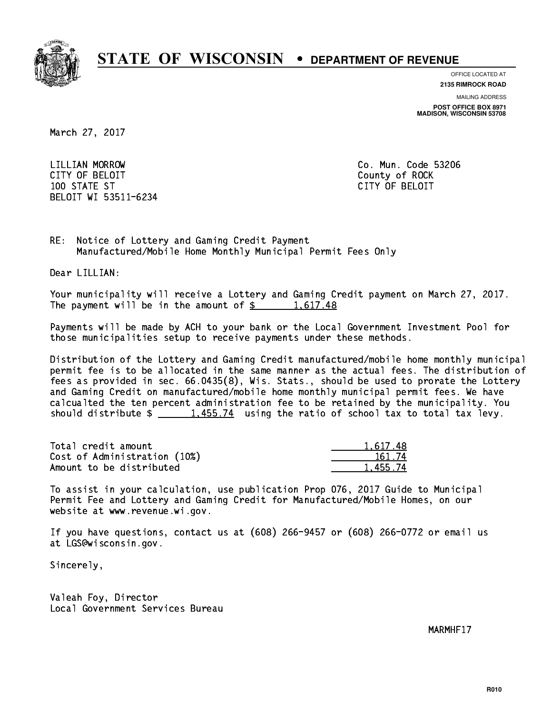

**OFFICE LOCATED AT**

**2135 RIMROCK ROAD**

**MAILING ADDRESS**

**POST OFFICE BOX 8971 MADISON, WISCONSIN 53708**

March 27, 2017

 LILLIAN MORROW Co. Mun. Code 53206 CITY OF BELOIT County of ROCK 100 STATE ST CITY OF BELOIT BELOIT WI 53511-6234

RE: Notice of Lottery and Gaming Credit Payment Manufactured/Mobile Home Monthly Municipal Permit Fees Only

Dear LILLIAN:

 Your municipality will receive a Lottery and Gaming Credit payment on March 27, 2017. The payment will be in the amount of  $\frac{2}{3}$  1,617.48

 Payments will be made by ACH to your bank or the Local Government Investment Pool for those municipalities setup to receive payments under these methods.

 Distribution of the Lottery and Gaming Credit manufactured/mobile home monthly municipal permit fee is to be allocated in the same manner as the actual fees. The distribution of fees as provided in sec. 66.0435(8), Wis. Stats., should be used to prorate the Lottery and Gaming Credit on manufactured/mobile home monthly municipal permit fees. We have calcualted the ten percent administration fee to be retained by the municipality. You should distribute  $\frac{1.455.74}{1.455.74}$  using the ratio of school tax to total tax levy.

| Total credit amount          | 1.617.48 |
|------------------------------|----------|
| Cost of Administration (10%) | 161.74   |
| Amount to be distributed     | 1.455.74 |

 To assist in your calculation, use publication Prop 076, 2017 Guide to Municipal Permit Fee and Lottery and Gaming Credit for Manufactured/Mobile Homes, on our website at www.revenue.wi.gov.

 If you have questions, contact us at (608) 266-9457 or (608) 266-0772 or email us at LGS@wisconsin.gov.

Sincerely,

 Valeah Foy, Director Local Government Services Bureau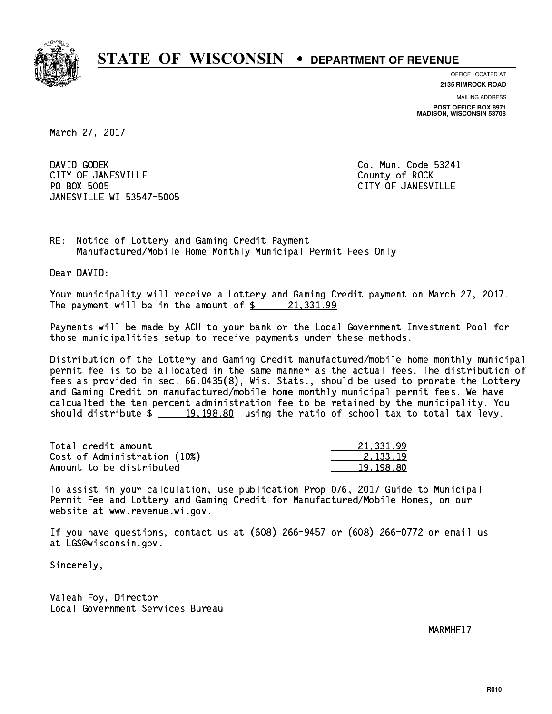

**OFFICE LOCATED AT**

**2135 RIMROCK ROAD**

**MAILING ADDRESS POST OFFICE BOX 8971 MADISON, WISCONSIN 53708**

March 27, 2017

DAVID GODEK CITY OF JANESVILLE **COUNTY COUNTY OF ROCK** PO BOX 5005 JANESVILLE WI 53547-5005

Co. Mun. Code 53241 CITY OF JANESVILLE

RE: Notice of Lottery and Gaming Credit Payment Manufactured/Mobile Home Monthly Municipal Permit Fees Only

Dear DAVID:

 Your municipality will receive a Lottery and Gaming Credit payment on March 27, 2017. The payment will be in the amount of  $\frac{21,331.99}{2}$ 

 Payments will be made by ACH to your bank or the Local Government Investment Pool for those municipalities setup to receive payments under these methods.

 Distribution of the Lottery and Gaming Credit manufactured/mobile home monthly municipal permit fee is to be allocated in the same manner as the actual fees. The distribution of fees as provided in sec. 66.0435(8), Wis. Stats., should be used to prorate the Lottery and Gaming Credit on manufactured/mobile home monthly municipal permit fees. We have calcualted the ten percent administration fee to be retained by the municipality. You should distribute  $\frac{19,198.80}{2}$  using the ratio of school tax to total tax levy.

| Total credit amount          | 21.331.99 |
|------------------------------|-----------|
| Cost of Administration (10%) | 2.133.19  |
| Amount to be distributed     | 19.198.80 |

 To assist in your calculation, use publication Prop 076, 2017 Guide to Municipal Permit Fee and Lottery and Gaming Credit for Manufactured/Mobile Homes, on our website at www.revenue.wi.gov.

 If you have questions, contact us at (608) 266-9457 or (608) 266-0772 or email us at LGS@wisconsin.gov.

Sincerely,

 Valeah Foy, Director Local Government Services Bureau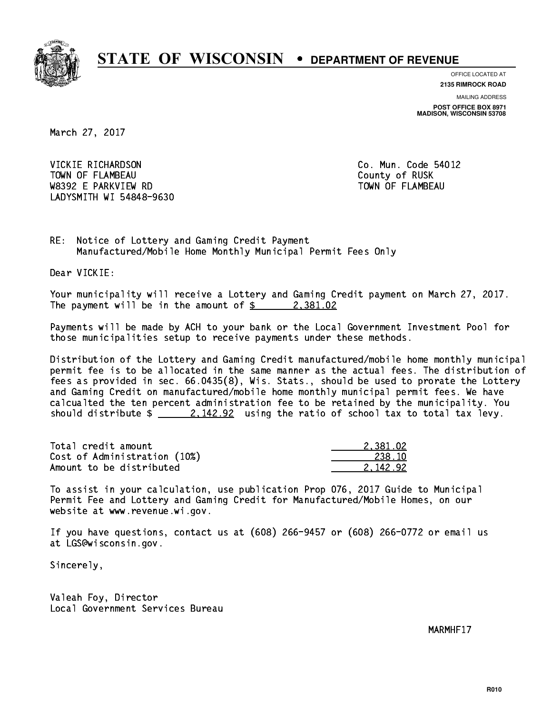

**OFFICE LOCATED AT**

**2135 RIMROCK ROAD**

**MAILING ADDRESS POST OFFICE BOX 8971 MADISON, WISCONSIN 53708**

March 27, 2017

 VICKIE RICHARDSON Co. Mun. Code 54012 TOWN OF FLAMBEAU COUNTY OF RUSK W8392 E PARKVIEW RD TOWN OF FLAMBEAU LADYSMITH WI 54848-9630

RE: Notice of Lottery and Gaming Credit Payment Manufactured/Mobile Home Monthly Municipal Permit Fees Only

Dear VICKIE:

 Your municipality will receive a Lottery and Gaming Credit payment on March 27, 2017. The payment will be in the amount of  $\frac{2}{3}$  2,381.02

 Payments will be made by ACH to your bank or the Local Government Investment Pool for those municipalities setup to receive payments under these methods.

 Distribution of the Lottery and Gaming Credit manufactured/mobile home monthly municipal permit fee is to be allocated in the same manner as the actual fees. The distribution of fees as provided in sec. 66.0435(8), Wis. Stats., should be used to prorate the Lottery and Gaming Credit on manufactured/mobile home monthly municipal permit fees. We have calcualted the ten percent administration fee to be retained by the municipality. You should distribute  $\frac{2.142.92}{2.142.92}$  using the ratio of school tax to total tax levy.

| Total credit amount          | 2.381.02 |
|------------------------------|----------|
| Cost of Administration (10%) | 238.10   |
| Amount to be distributed     | 2.142.92 |

 To assist in your calculation, use publication Prop 076, 2017 Guide to Municipal Permit Fee and Lottery and Gaming Credit for Manufactured/Mobile Homes, on our website at www.revenue.wi.gov.

 If you have questions, contact us at (608) 266-9457 or (608) 266-0772 or email us at LGS@wisconsin.gov.

Sincerely,

 Valeah Foy, Director Local Government Services Bureau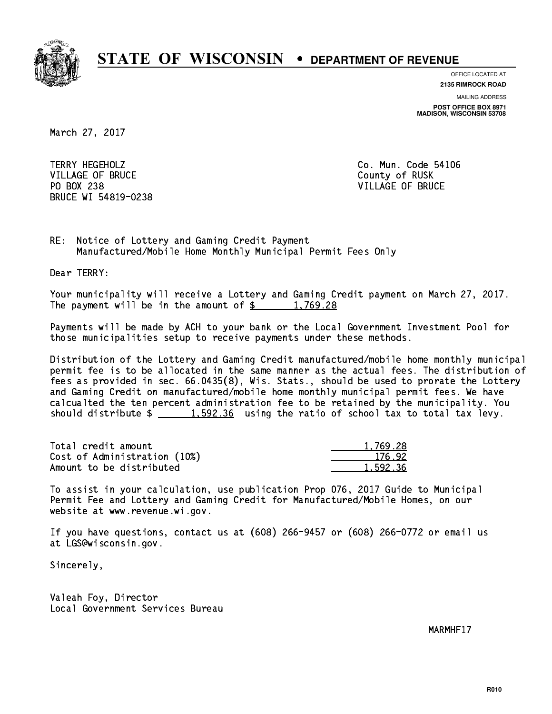

**OFFICE LOCATED AT**

**2135 RIMROCK ROAD**

**MAILING ADDRESS POST OFFICE BOX 8971 MADISON, WISCONSIN 53708**

March 27, 2017

 TERRY HEGEHOLZ Co. Mun. Code 54106 VILLAGE OF BRUCE COUNTY OF RUSK PO BOX 238 VILLAGE OF BRUCE BRUCE WI 54819-0238

RE: Notice of Lottery and Gaming Credit Payment Manufactured/Mobile Home Monthly Municipal Permit Fees Only

Dear TERRY:

 Your municipality will receive a Lottery and Gaming Credit payment on March 27, 2017. The payment will be in the amount of  $\frac{2}{3}$  1,769.28

 Payments will be made by ACH to your bank or the Local Government Investment Pool for those municipalities setup to receive payments under these methods.

 Distribution of the Lottery and Gaming Credit manufactured/mobile home monthly municipal permit fee is to be allocated in the same manner as the actual fees. The distribution of fees as provided in sec. 66.0435(8), Wis. Stats., should be used to prorate the Lottery and Gaming Credit on manufactured/mobile home monthly municipal permit fees. We have calcualted the ten percent administration fee to be retained by the municipality. You should distribute  $\frac{1.592.36}{1.592.36}$  using the ratio of school tax to total tax levy.

| Total credit amount          | 1,769.28 |
|------------------------------|----------|
| Cost of Administration (10%) | 176.92   |
| Amount to be distributed     | 1,592.36 |

 To assist in your calculation, use publication Prop 076, 2017 Guide to Municipal Permit Fee and Lottery and Gaming Credit for Manufactured/Mobile Homes, on our website at www.revenue.wi.gov.

 If you have questions, contact us at (608) 266-9457 or (608) 266-0772 or email us at LGS@wisconsin.gov.

Sincerely,

 Valeah Foy, Director Local Government Services Bureau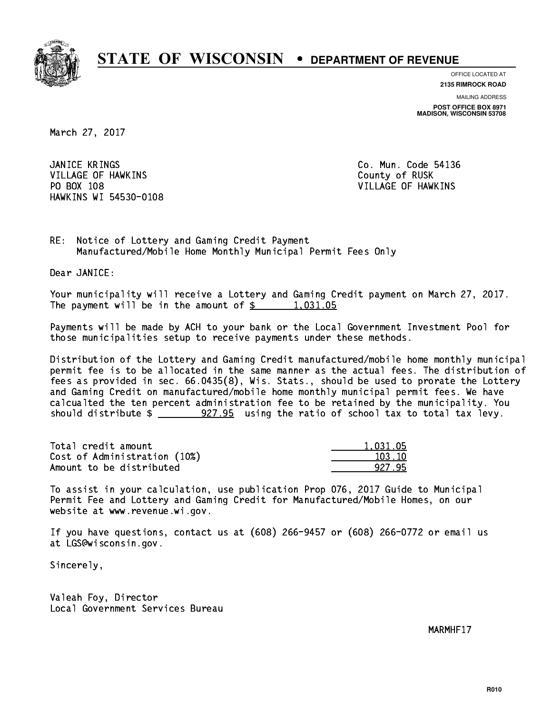

**OFFICE LOCATED AT**

**2135 RIMROCK ROAD**

**MAILING ADDRESS POST OFFICE BOX 8971 MADISON, WISCONSIN 53708**

March 27, 2017

JANICE KRINGS VILLAGE OF HAWKINS COUNTY OF RUSK PO BOX 108 VILLAGE OF HAWKINS HAWKINS WI 54530-0108

Co. Mun. Code 54136

RE: Notice of Lottery and Gaming Credit Payment Manufactured/Mobile Home Monthly Municipal Permit Fees Only

Dear JANICE:

 Your municipality will receive a Lottery and Gaming Credit payment on March 27, 2017. The payment will be in the amount of  $\frac{2}{3}$  1,031.05

 Payments will be made by ACH to your bank or the Local Government Investment Pool for those municipalities setup to receive payments under these methods.

 Distribution of the Lottery and Gaming Credit manufactured/mobile home monthly municipal permit fee is to be allocated in the same manner as the actual fees. The distribution of fees as provided in sec. 66.0435(8), Wis. Stats., should be used to prorate the Lottery and Gaming Credit on manufactured/mobile home monthly municipal permit fees. We have calcualted the ten percent administration fee to be retained by the municipality. You should distribute  $\frac{27.95}{27.95}$  using the ratio of school tax to total tax levy.

| Total credit amount          | 1.031.05 |
|------------------------------|----------|
| Cost of Administration (10%) | 103.10   |
| Amount to be distributed     | 927 95   |

 To assist in your calculation, use publication Prop 076, 2017 Guide to Municipal Permit Fee and Lottery and Gaming Credit for Manufactured/Mobile Homes, on our website at www.revenue.wi.gov.

 If you have questions, contact us at (608) 266-9457 or (608) 266-0772 or email us at LGS@wisconsin.gov.

Sincerely,

 Valeah Foy, Director Local Government Services Bureau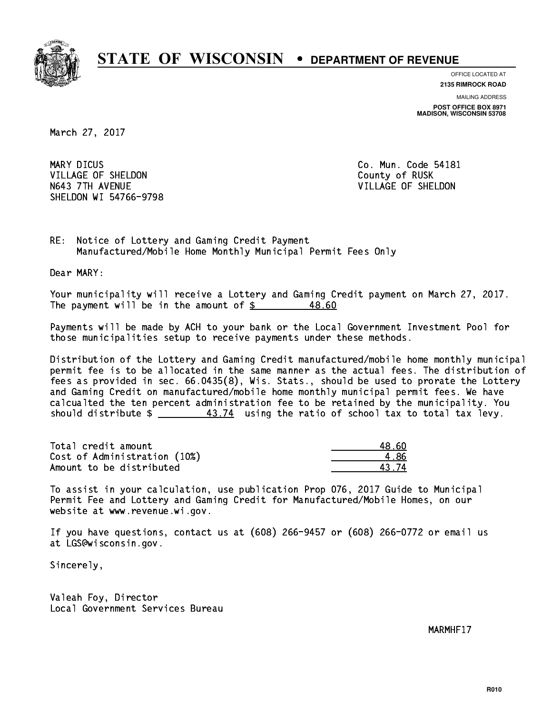

**OFFICE LOCATED AT**

**2135 RIMROCK ROAD**

**MAILING ADDRESS POST OFFICE BOX 8971 MADISON, WISCONSIN 53708**

March 27, 2017

MARY DICUS VILLAGE OF SHELDON COUNTY OF RUSK N643 7TH AVENUE VILLAGE OF SHELDON SHELDON WI 54766-9798

Co. Mun. Code 54181

RE: Notice of Lottery and Gaming Credit Payment Manufactured/Mobile Home Monthly Municipal Permit Fees Only

Dear MARY:

 Your municipality will receive a Lottery and Gaming Credit payment on March 27, 2017. The payment will be in the amount of  $\frac{2}{3}$ 48.60

 Payments will be made by ACH to your bank or the Local Government Investment Pool for those municipalities setup to receive payments under these methods.

 Distribution of the Lottery and Gaming Credit manufactured/mobile home monthly municipal permit fee is to be allocated in the same manner as the actual fees. The distribution of fees as provided in sec. 66.0435(8), Wis. Stats., should be used to prorate the Lottery and Gaming Credit on manufactured/mobile home monthly municipal permit fees. We have calcualted the ten percent administration fee to be retained by the municipality. You should distribute  $\frac{43.74}{1}$  using the ratio of school tax to total tax levy.

Total credit amount Cost of Administration (10%) Amount to be distributed

| ! 60 |
|------|
| - 86 |
| 3.74 |

 To assist in your calculation, use publication Prop 076, 2017 Guide to Municipal Permit Fee and Lottery and Gaming Credit for Manufactured/Mobile Homes, on our website at www.revenue.wi.gov.

 If you have questions, contact us at (608) 266-9457 or (608) 266-0772 or email us at LGS@wisconsin.gov.

Sincerely,

 Valeah Foy, Director Local Government Services Bureau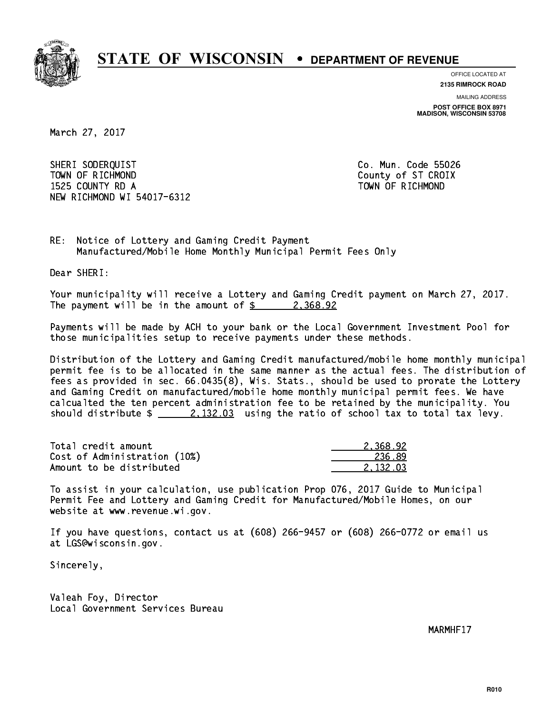

**OFFICE LOCATED AT**

**2135 RIMROCK ROAD**

**MAILING ADDRESS POST OFFICE BOX 8971 MADISON, WISCONSIN 53708**

March 27, 2017

 SHERI SODERQUIST Co. Mun. Code 55026 TOWN OF RICHMOND COUNTY COUNTY OF ST CROIX 1525 COUNTY RD A TOWN OF RICHMOND NEW RICHMOND WI 54017-6312

RE: Notice of Lottery and Gaming Credit Payment Manufactured/Mobile Home Monthly Municipal Permit Fees Only

Dear SHERI:

 Your municipality will receive a Lottery and Gaming Credit payment on March 27, 2017. The payment will be in the amount of  $\frac{2}{3}$  2,368.92

 Payments will be made by ACH to your bank or the Local Government Investment Pool for those municipalities setup to receive payments under these methods.

 Distribution of the Lottery and Gaming Credit manufactured/mobile home monthly municipal permit fee is to be allocated in the same manner as the actual fees. The distribution of fees as provided in sec. 66.0435(8), Wis. Stats., should be used to prorate the Lottery and Gaming Credit on manufactured/mobile home monthly municipal permit fees. We have calcualted the ten percent administration fee to be retained by the municipality. You should distribute  $\frac{2.132.03}{2.132.03}$  using the ratio of school tax to total tax levy.

| Total credit amount          | 2.368.92 |
|------------------------------|----------|
| Cost of Administration (10%) | 236.89   |
| Amount to be distributed     | 2.132.03 |

 To assist in your calculation, use publication Prop 076, 2017 Guide to Municipal Permit Fee and Lottery and Gaming Credit for Manufactured/Mobile Homes, on our website at www.revenue.wi.gov.

 If you have questions, contact us at (608) 266-9457 or (608) 266-0772 or email us at LGS@wisconsin.gov.

Sincerely,

 Valeah Foy, Director Local Government Services Bureau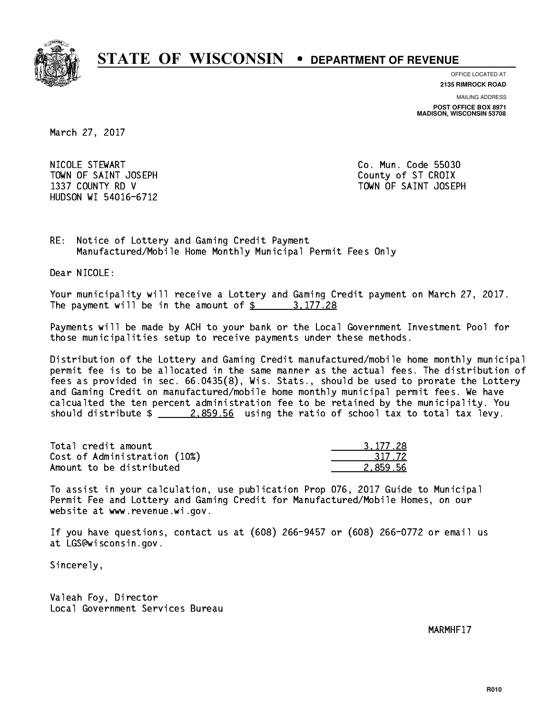

**OFFICE LOCATED AT**

**2135 RIMROCK ROAD**

**MAILING ADDRESS POST OFFICE BOX 8971 MADISON, WISCONSIN 53708**

March 27, 2017

 NICOLE STEWART Co. Mun. Code 55030 TOWN OF SAINT JOSEPH COUNTY OF STICROIX HUDSON WI 54016-6712

1337 COUNTY RD V TOWN OF SAINT JOSEPH

RE: Notice of Lottery and Gaming Credit Payment Manufactured/Mobile Home Monthly Municipal Permit Fees Only

Dear NICOLE:

 Your municipality will receive a Lottery and Gaming Credit payment on March 27, 2017. The payment will be in the amount of \$ 3,177.28 \_\_\_\_\_\_\_\_\_\_\_\_\_\_\_\_

 Payments will be made by ACH to your bank or the Local Government Investment Pool for those municipalities setup to receive payments under these methods.

 Distribution of the Lottery and Gaming Credit manufactured/mobile home monthly municipal permit fee is to be allocated in the same manner as the actual fees. The distribution of fees as provided in sec. 66.0435(8), Wis. Stats., should be used to prorate the Lottery and Gaming Credit on manufactured/mobile home monthly municipal permit fees. We have calcualted the ten percent administration fee to be retained by the municipality. You should distribute  $\frac{2.859.56}{2.859.56}$  using the ratio of school tax to total tax levy.

| Total credit amount          | 3.177.28 |
|------------------------------|----------|
| Cost of Administration (10%) | 317.72   |
| Amount to be distributed     | 2.859.56 |

 To assist in your calculation, use publication Prop 076, 2017 Guide to Municipal Permit Fee and Lottery and Gaming Credit for Manufactured/Mobile Homes, on our website at www.revenue.wi.gov.

 If you have questions, contact us at (608) 266-9457 or (608) 266-0772 or email us at LGS@wisconsin.gov.

Sincerely,

 Valeah Foy, Director Local Government Services Bureau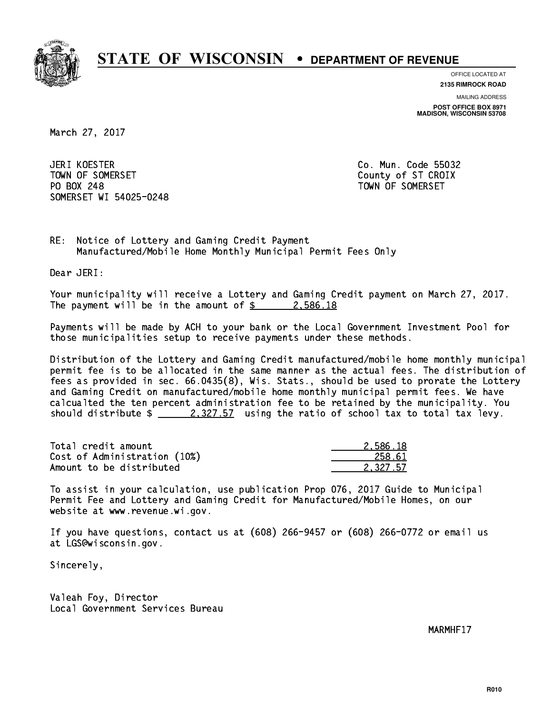

**OFFICE LOCATED AT**

**2135 RIMROCK ROAD**

**MAILING ADDRESS**

**POST OFFICE BOX 8971 MADISON, WISCONSIN 53708**

March 27, 2017

JERI KOESTER TOWN OF SOMERSET COUNTY OF STATES COUNTY OF STATES OF STATES OF STATES OF STATES OF STATES OF STATES OF STATES PO BOX 248 PO BOX 248 TOWN OF SOMERSET SOMERSET WI 54025-0248

Co. Mun. Code 55032

RE: Notice of Lottery and Gaming Credit Payment Manufactured/Mobile Home Monthly Municipal Permit Fees Only

Dear JERI:

 Your municipality will receive a Lottery and Gaming Credit payment on March 27, 2017. The payment will be in the amount of  $\frac{2}{3}$  2,586.18

 Payments will be made by ACH to your bank or the Local Government Investment Pool for those municipalities setup to receive payments under these methods.

 Distribution of the Lottery and Gaming Credit manufactured/mobile home monthly municipal permit fee is to be allocated in the same manner as the actual fees. The distribution of fees as provided in sec. 66.0435(8), Wis. Stats., should be used to prorate the Lottery and Gaming Credit on manufactured/mobile home monthly municipal permit fees. We have calcualted the ten percent administration fee to be retained by the municipality. You should distribute  $\frac{2,327.57}{2}$  using the ratio of school tax to total tax levy.

| Total credit amount          | 2.586.18 |
|------------------------------|----------|
| Cost of Administration (10%) | 258.61   |
| Amount to be distributed     | 2.327.57 |

 To assist in your calculation, use publication Prop 076, 2017 Guide to Municipal Permit Fee and Lottery and Gaming Credit for Manufactured/Mobile Homes, on our website at www.revenue.wi.gov.

 If you have questions, contact us at (608) 266-9457 or (608) 266-0772 or email us at LGS@wisconsin.gov.

Sincerely,

 Valeah Foy, Director Local Government Services Bureau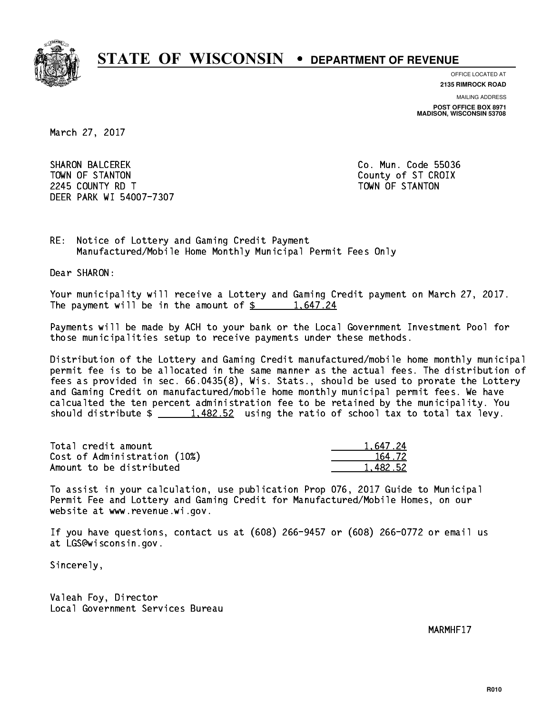

**OFFICE LOCATED AT**

**2135 RIMROCK ROAD**

**MAILING ADDRESS POST OFFICE BOX 8971 MADISON, WISCONSIN 53708**

March 27, 2017

 SHARON BALCEREK Co. Mun. Code 55036 TOWN OF STANTON COUNTY OF STANTON 224 COUNTY RD T TOWN OF STANDARD COUNTY ROLL AND STRUCTURE OF STANDARD COUNTY AND ALL COUNTY OF STANDARD COUNTY. DEER PARK WI 54007-7307

RE: Notice of Lottery and Gaming Credit Payment Manufactured/Mobile Home Monthly Municipal Permit Fees Only

Dear SHARON:

 Your municipality will receive a Lottery and Gaming Credit payment on March 27, 2017. The payment will be in the amount of  $\frac{2}{3}$  1,647.24

 Payments will be made by ACH to your bank or the Local Government Investment Pool for those municipalities setup to receive payments under these methods.

 Distribution of the Lottery and Gaming Credit manufactured/mobile home monthly municipal permit fee is to be allocated in the same manner as the actual fees. The distribution of fees as provided in sec. 66.0435(8), Wis. Stats., should be used to prorate the Lottery and Gaming Credit on manufactured/mobile home monthly municipal permit fees. We have calcualted the ten percent administration fee to be retained by the municipality. You should distribute  $\frac{1.482.52}{1.482.52}$  using the ratio of school tax to total tax levy.

| Total credit amount          | 1.647.24 |
|------------------------------|----------|
| Cost of Administration (10%) | 164.72   |
| Amount to be distributed     | 1.482.52 |

 To assist in your calculation, use publication Prop 076, 2017 Guide to Municipal Permit Fee and Lottery and Gaming Credit for Manufactured/Mobile Homes, on our website at www.revenue.wi.gov.

 If you have questions, contact us at (608) 266-9457 or (608) 266-0772 or email us at LGS@wisconsin.gov.

Sincerely,

 Valeah Foy, Director Local Government Services Bureau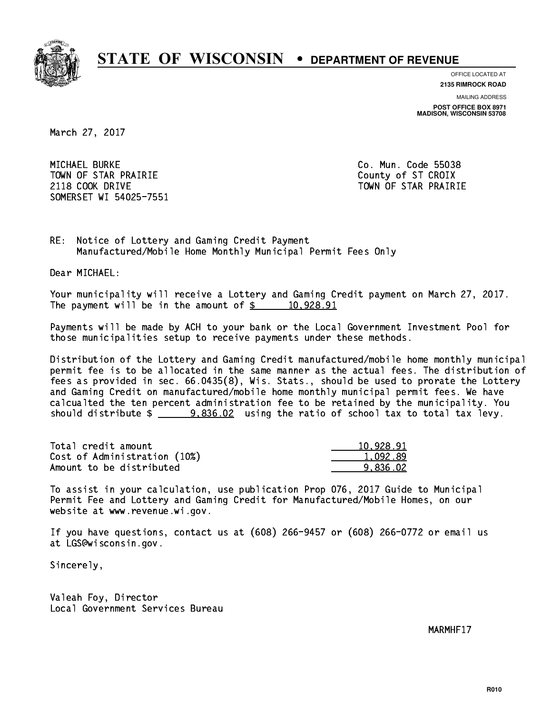

**OFFICE LOCATED AT**

**2135 RIMROCK ROAD**

**MAILING ADDRESS POST OFFICE BOX 8971 MADISON, WISCONSIN 53708**

March 27, 2017

 MICHAEL BURKE Co. Mun. Code 55038 TOWN OF STAR PRAIRIE **COUNTY COUNTY OF STAR PRAIRIE** 2118 COOK DRIVE TOWN OF STAR PRAIRIE SOMERSET WI 54025-7551

RE: Notice of Lottery and Gaming Credit Payment Manufactured/Mobile Home Monthly Municipal Permit Fees Only

Dear MICHAEL:

 Your municipality will receive a Lottery and Gaming Credit payment on March 27, 2017. The payment will be in the amount of  $\frac{2}{3}$  10,928.91

 Payments will be made by ACH to your bank or the Local Government Investment Pool for those municipalities setup to receive payments under these methods.

 Distribution of the Lottery and Gaming Credit manufactured/mobile home monthly municipal permit fee is to be allocated in the same manner as the actual fees. The distribution of fees as provided in sec. 66.0435(8), Wis. Stats., should be used to prorate the Lottery and Gaming Credit on manufactured/mobile home monthly municipal permit fees. We have calcualted the ten percent administration fee to be retained by the municipality. You should distribute  $\frac{2}{2}$   $\frac{9,836.02}{2}$  using the ratio of school tax to total tax levy.

| Total credit amount          | 10,928.91 |
|------------------------------|-----------|
| Cost of Administration (10%) | 1.092.89  |
| Amount to be distributed     | 9.836.02  |

 To assist in your calculation, use publication Prop 076, 2017 Guide to Municipal Permit Fee and Lottery and Gaming Credit for Manufactured/Mobile Homes, on our website at www.revenue.wi.gov.

 If you have questions, contact us at (608) 266-9457 or (608) 266-0772 or email us at LGS@wisconsin.gov.

Sincerely,

 Valeah Foy, Director Local Government Services Bureau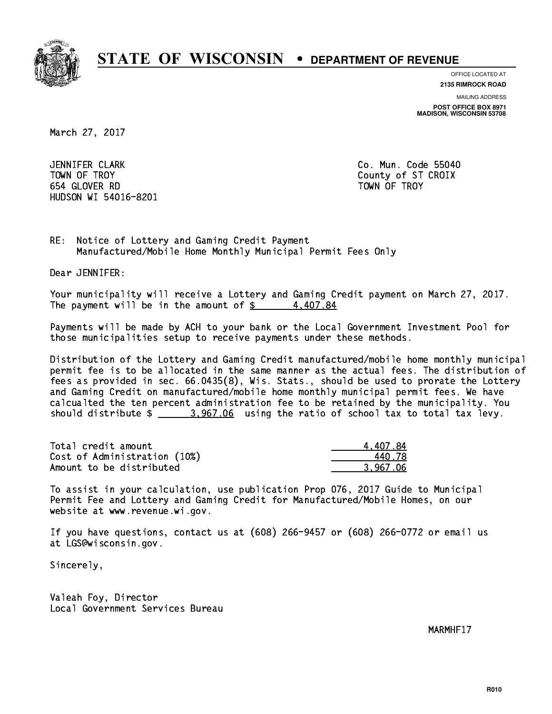

**OFFICE LOCATED AT**

**2135 RIMROCK ROAD**

**MAILING ADDRESS POST OFFICE BOX 8971 MADISON, WISCONSIN 53708**

March 27, 2017

 JENNIFER CLARK Co. Mun. Code 55040 TOWN OF TROY COUNTY COUNTY OF STATE CROIX 654 GLOVER RD TOWN OF TROY HUDSON WI 54016-8201

RE: Notice of Lottery and Gaming Credit Payment Manufactured/Mobile Home Monthly Municipal Permit Fees Only

Dear JENNIFER:

 Your municipality will receive a Lottery and Gaming Credit payment on March 27, 2017. The payment will be in the amount of  $\frac{2}{3}$  4,407.84

 Payments will be made by ACH to your bank or the Local Government Investment Pool for those municipalities setup to receive payments under these methods.

 Distribution of the Lottery and Gaming Credit manufactured/mobile home monthly municipal permit fee is to be allocated in the same manner as the actual fees. The distribution of fees as provided in sec. 66.0435(8), Wis. Stats., should be used to prorate the Lottery and Gaming Credit on manufactured/mobile home monthly municipal permit fees. We have calcualted the ten percent administration fee to be retained by the municipality. You should distribute  $\frac{2}{2}$   $\frac{3.967.06}{2}$  using the ratio of school tax to total tax levy.

| Total credit amount          | 4.407.84 |
|------------------------------|----------|
| Cost of Administration (10%) | 440.78   |
| Amount to be distributed     | 3.967.06 |

 To assist in your calculation, use publication Prop 076, 2017 Guide to Municipal Permit Fee and Lottery and Gaming Credit for Manufactured/Mobile Homes, on our website at www.revenue.wi.gov.

 If you have questions, contact us at (608) 266-9457 or (608) 266-0772 or email us at LGS@wisconsin.gov.

Sincerely,

 Valeah Foy, Director Local Government Services Bureau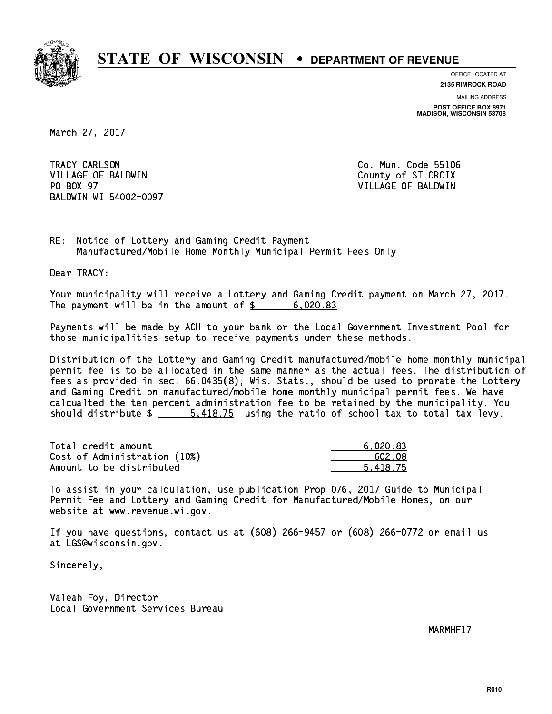

**OFFICE LOCATED AT 2135 RIMROCK ROAD**

**MAILING ADDRESS**

**POST OFFICE BOX 8971 MADISON, WISCONSIN 53708**

March 27, 2017

TRACY CARLSON VILLAGE OF BALDWIN COUNTY COUNTY OF ST CROIX PO BOX 97 BALDWIN WI 54002-0097

Co. Mun. Code 55106 VILLAGE OF BALDWIN

RE: Notice of Lottery and Gaming Credit Payment Manufactured/Mobile Home Monthly Municipal Permit Fees Only

Dear TRACY:

 Your municipality will receive a Lottery and Gaming Credit payment on March 27, 2017. The payment will be in the amount of \$ 6,020.83 \_\_\_\_\_\_\_\_\_\_\_\_\_\_\_\_

 Payments will be made by ACH to your bank or the Local Government Investment Pool for those municipalities setup to receive payments under these methods.

 Distribution of the Lottery and Gaming Credit manufactured/mobile home monthly municipal permit fee is to be allocated in the same manner as the actual fees. The distribution of fees as provided in sec. 66.0435(8), Wis. Stats., should be used to prorate the Lottery and Gaming Credit on manufactured/mobile home monthly municipal permit fees. We have calcualted the ten percent administration fee to be retained by the municipality. You should distribute  $\frac{2}{1}$   $\frac{5.418.75}{2}$  using the ratio of school tax to total tax levy.

| Total credit amount          | 6.020.83 |
|------------------------------|----------|
| Cost of Administration (10%) | 602.08   |
| Amount to be distributed     | 5.418.75 |

 To assist in your calculation, use publication Prop 076, 2017 Guide to Municipal Permit Fee and Lottery and Gaming Credit for Manufactured/Mobile Homes, on our website at www.revenue.wi.gov.

 If you have questions, contact us at (608) 266-9457 or (608) 266-0772 or email us at LGS@wisconsin.gov.

Sincerely,

 Valeah Foy, Director Local Government Services Bureau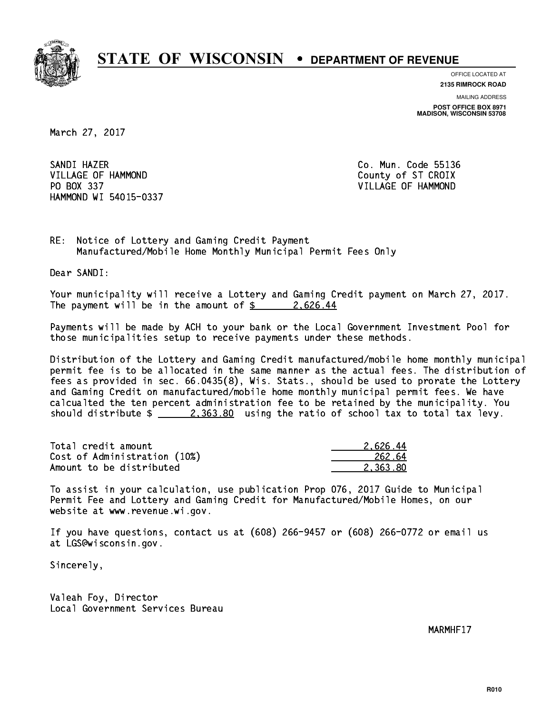

**OFFICE LOCATED AT 2135 RIMROCK ROAD**

**MAILING ADDRESS POST OFFICE BOX 8971 MADISON, WISCONSIN 53708**

March 27, 2017

SANDI HAZER SANDI HAZER CO. MUN. CO. MUN. CO. MUN. CO. MUN. CO. MUN. CO. MUN. CO. MUN. CO. MUN. CO. MUN. CO. MUN. CO. MUN. VILLAGE OF HAMMOND County of ST CROIX PO BOX 337 VILLAGE OF HAMMOND HAMMOND WI 54015-0337

RE: Notice of Lottery and Gaming Credit Payment Manufactured/Mobile Home Monthly Municipal Permit Fees Only

Dear SANDI:

 Your municipality will receive a Lottery and Gaming Credit payment on March 27, 2017. The payment will be in the amount of  $\frac{2.626.44}{2.626.44}$ 

 Payments will be made by ACH to your bank or the Local Government Investment Pool for those municipalities setup to receive payments under these methods.

 Distribution of the Lottery and Gaming Credit manufactured/mobile home monthly municipal permit fee is to be allocated in the same manner as the actual fees. The distribution of fees as provided in sec. 66.0435(8), Wis. Stats., should be used to prorate the Lottery and Gaming Credit on manufactured/mobile home monthly municipal permit fees. We have calcualted the ten percent administration fee to be retained by the municipality. You should distribute  $\frac{2,363.80}{2}$  using the ratio of school tax to total tax levy.

| Total credit amount          | 2.626.44 |
|------------------------------|----------|
| Cost of Administration (10%) | 262.64   |
| Amount to be distributed     | 2.363.80 |

 To assist in your calculation, use publication Prop 076, 2017 Guide to Municipal Permit Fee and Lottery and Gaming Credit for Manufactured/Mobile Homes, on our website at www.revenue.wi.gov.

 If you have questions, contact us at (608) 266-9457 or (608) 266-0772 or email us at LGS@wisconsin.gov.

Sincerely,

 Valeah Foy, Director Local Government Services Bureau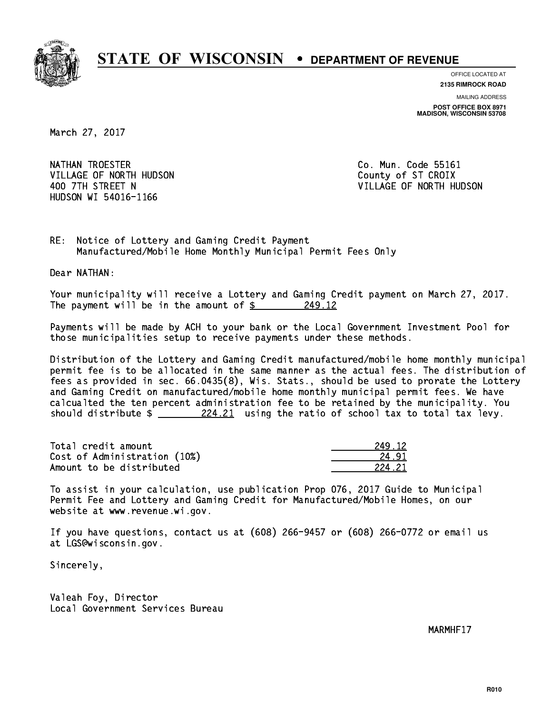

**OFFICE LOCATED AT**

**2135 RIMROCK ROAD**

**MAILING ADDRESS POST OFFICE BOX 8971 MADISON, WISCONSIN 53708**

March 27, 2017

NATHAN TROESTER **Co. Mun. Code 55161** VILLAGE OF NORTH HUDSON COUNTY OF ST CROIX HUDSON WI 54016-1166

400 7TH STREET N VILLAGE OF NORTH HUDSON

RE: Notice of Lottery and Gaming Credit Payment Manufactured/Mobile Home Monthly Municipal Permit Fees Only

Dear NATHAN:

 Your municipality will receive a Lottery and Gaming Credit payment on March 27, 2017. The payment will be in the amount of  $\frac{249.12}{2}$ 

 Payments will be made by ACH to your bank or the Local Government Investment Pool for those municipalities setup to receive payments under these methods.

 Distribution of the Lottery and Gaming Credit manufactured/mobile home monthly municipal permit fee is to be allocated in the same manner as the actual fees. The distribution of fees as provided in sec. 66.0435(8), Wis. Stats., should be used to prorate the Lottery and Gaming Credit on manufactured/mobile home monthly municipal permit fees. We have calcualted the ten percent administration fee to be retained by the municipality. You should distribute  $\frac{224.21}{224.21}$  using the ratio of school tax to total tax levy.

Total credit amount Cost of Administration (10%) Amount to be distributed

| - 12      |
|-----------|
|           |
| -21<br>22 |

 To assist in your calculation, use publication Prop 076, 2017 Guide to Municipal Permit Fee and Lottery and Gaming Credit for Manufactured/Mobile Homes, on our website at www.revenue.wi.gov.

 If you have questions, contact us at (608) 266-9457 or (608) 266-0772 or email us at LGS@wisconsin.gov.

Sincerely,

 Valeah Foy, Director Local Government Services Bureau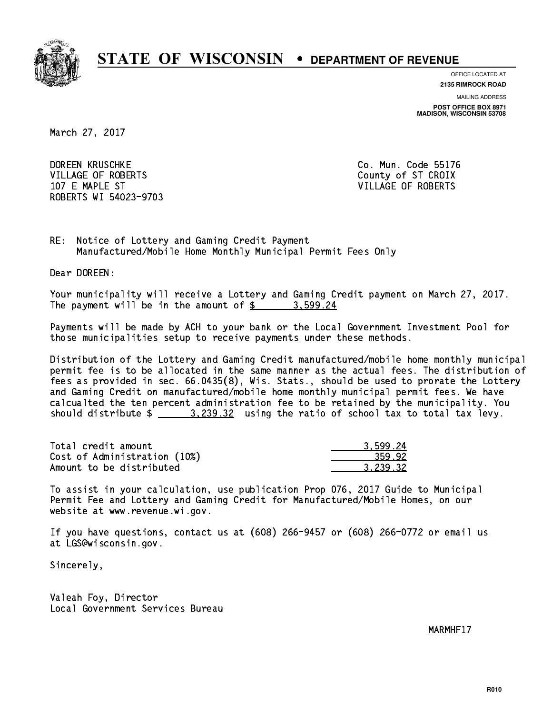

**OFFICE LOCATED AT 2135 RIMROCK ROAD**

**MAILING ADDRESS POST OFFICE BOX 8971 MADISON, WISCONSIN 53708**

March 27, 2017

 DOREEN KRUSCHKE Co. Mun. Code 55176 VILLAGE OF ROBERTS COUNTY OF ST CROIX 107 E MAPLE ST VILLAGE OF ROBERTS ROBERTS WI 54023-9703

RE: Notice of Lottery and Gaming Credit Payment Manufactured/Mobile Home Monthly Municipal Permit Fees Only

Dear DOREEN:

 Your municipality will receive a Lottery and Gaming Credit payment on March 27, 2017. The payment will be in the amount of  $\frac{2}{3}$  3,599.24

 Payments will be made by ACH to your bank or the Local Government Investment Pool for those municipalities setup to receive payments under these methods.

 Distribution of the Lottery and Gaming Credit manufactured/mobile home monthly municipal permit fee is to be allocated in the same manner as the actual fees. The distribution of fees as provided in sec. 66.0435(8), Wis. Stats., should be used to prorate the Lottery and Gaming Credit on manufactured/mobile home monthly municipal permit fees. We have calcualted the ten percent administration fee to be retained by the municipality. You should distribute  $\frac{2}{2}$   $\frac{3}{2}$   $\frac{339.32}{2}$  using the ratio of school tax to total tax levy.

| Total credit amount          | 3.599.24 |
|------------------------------|----------|
| Cost of Administration (10%) | 359.92   |
| Amount to be distributed     | 3.239.32 |

 To assist in your calculation, use publication Prop 076, 2017 Guide to Municipal Permit Fee and Lottery and Gaming Credit for Manufactured/Mobile Homes, on our website at www.revenue.wi.gov.

 If you have questions, contact us at (608) 266-9457 or (608) 266-0772 or email us at LGS@wisconsin.gov.

Sincerely,

 Valeah Foy, Director Local Government Services Bureau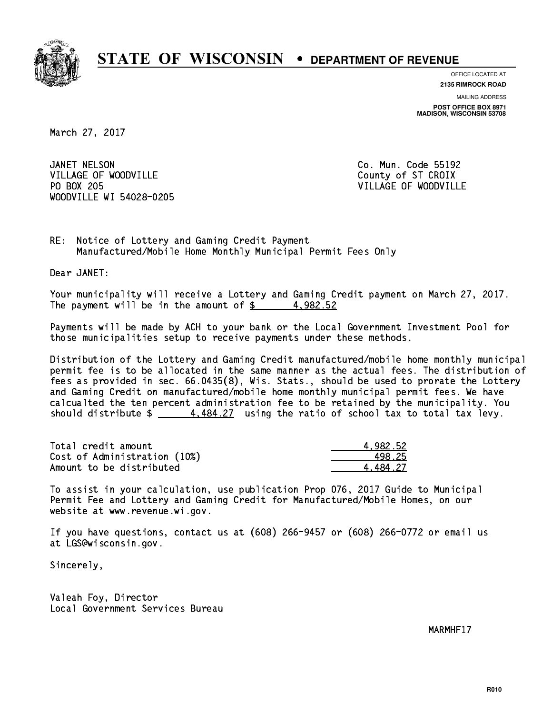

**OFFICE LOCATED AT**

**2135 RIMROCK ROAD**

**MAILING ADDRESS POST OFFICE BOX 8971 MADISON, WISCONSIN 53708**

March 27, 2017

JANET NELSON VILLAGE OF WOODVILLE COUNTY OF ST CROIX PO BOX 205 WOODVILLE WI 54028-0205

Co. Mun. Code 55192 VILLAGE OF WOODVILLE

RE: Notice of Lottery and Gaming Credit Payment Manufactured/Mobile Home Monthly Municipal Permit Fees Only

Dear JANET:

 Your municipality will receive a Lottery and Gaming Credit payment on March 27, 2017. The payment will be in the amount of  $\frac{2}{3}$  4,982.52

 Payments will be made by ACH to your bank or the Local Government Investment Pool for those municipalities setup to receive payments under these methods.

 Distribution of the Lottery and Gaming Credit manufactured/mobile home monthly municipal permit fee is to be allocated in the same manner as the actual fees. The distribution of fees as provided in sec. 66.0435(8), Wis. Stats., should be used to prorate the Lottery and Gaming Credit on manufactured/mobile home monthly municipal permit fees. We have calcualted the ten percent administration fee to be retained by the municipality. You should distribute  $\frac{4}{100}$   $\frac{4,484.27}{2}$  using the ratio of school tax to total tax levy.

| Total credit amount          | 4.982.52 |
|------------------------------|----------|
| Cost of Administration (10%) | 498.25   |
| Amount to be distributed     | 4.484.27 |

 To assist in your calculation, use publication Prop 076, 2017 Guide to Municipal Permit Fee and Lottery and Gaming Credit for Manufactured/Mobile Homes, on our website at www.revenue.wi.gov.

 If you have questions, contact us at (608) 266-9457 or (608) 266-0772 or email us at LGS@wisconsin.gov.

Sincerely,

 Valeah Foy, Director Local Government Services Bureau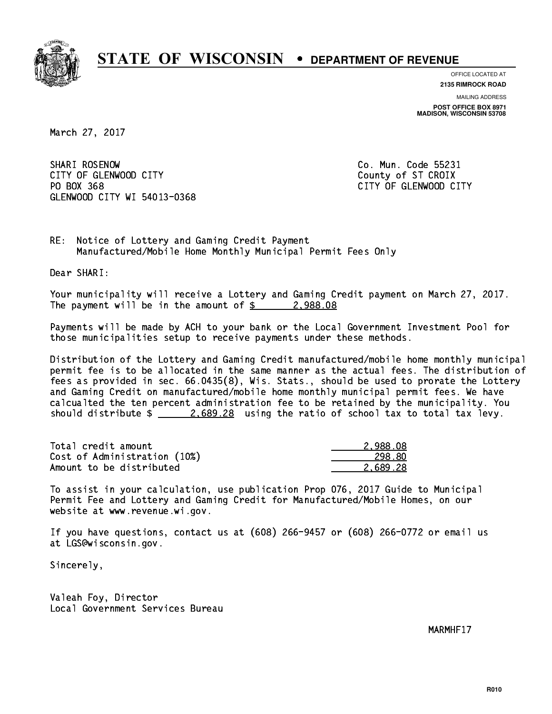

**OFFICE LOCATED AT**

**2135 RIMROCK ROAD**

**MAILING ADDRESS POST OFFICE BOX 8971 MADISON, WISCONSIN 53708**

March 27, 2017

SHARI ROSENOW CITY OF GLENWOOD CITY COUNTY COUNTY COUNTY OF ST CROIX PO BOX 368 GLENWOOD CITY WI 54013-0368

Co. Mun. Code 55231 CITY OF GLENWOOD CITY

RE: Notice of Lottery and Gaming Credit Payment Manufactured/Mobile Home Monthly Municipal Permit Fees Only

Dear SHARI:

 Your municipality will receive a Lottery and Gaming Credit payment on March 27, 2017. The payment will be in the amount of  $\frac{2}{9}$  2,988.08

 Payments will be made by ACH to your bank or the Local Government Investment Pool for those municipalities setup to receive payments under these methods.

 Distribution of the Lottery and Gaming Credit manufactured/mobile home monthly municipal permit fee is to be allocated in the same manner as the actual fees. The distribution of fees as provided in sec. 66.0435(8), Wis. Stats., should be used to prorate the Lottery and Gaming Credit on manufactured/mobile home monthly municipal permit fees. We have calcualted the ten percent administration fee to be retained by the municipality. You should distribute  $\frac{2.689.28}{2.689.28}$  using the ratio of school tax to total tax levy.

| Total credit amount          | 2.988.08 |
|------------------------------|----------|
| Cost of Administration (10%) | 298.80   |
| Amount to be distributed     | 2.689.28 |

 To assist in your calculation, use publication Prop 076, 2017 Guide to Municipal Permit Fee and Lottery and Gaming Credit for Manufactured/Mobile Homes, on our website at www.revenue.wi.gov.

 If you have questions, contact us at (608) 266-9457 or (608) 266-0772 or email us at LGS@wisconsin.gov.

Sincerely,

 Valeah Foy, Director Local Government Services Bureau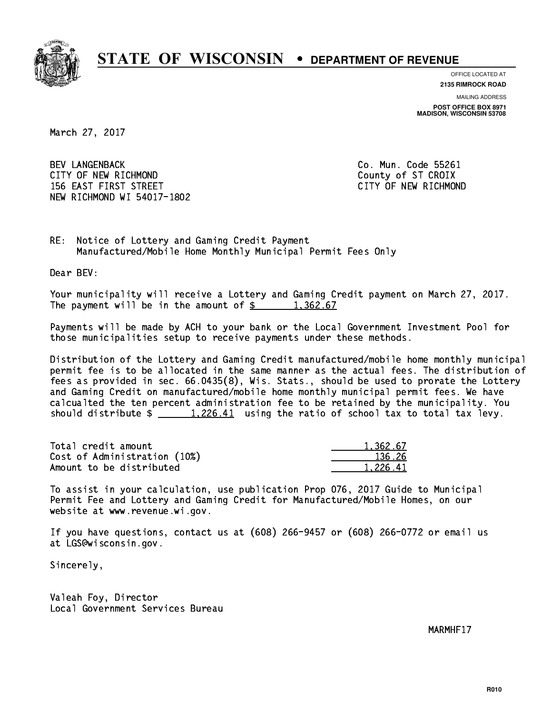

**OFFICE LOCATED AT 2135 RIMROCK ROAD**

**MAILING ADDRESS POST OFFICE BOX 8971 MADISON, WISCONSIN 53708**

March 27, 2017

 BEV LANGENBACK Co. Mun. Code 55261 CITY OF NEW RICHMOND COUNTY OF ST CROIX 156 EAST FIRST STREET CITY OF NEW RICHMOND NEW RICHMOND WI 54017-1802

RE: Notice of Lottery and Gaming Credit Payment Manufactured/Mobile Home Monthly Municipal Permit Fees Only

Dear BEV:

 Your municipality will receive a Lottery and Gaming Credit payment on March 27, 2017. The payment will be in the amount of  $\frac{2}{3}$  1,362.67

 Payments will be made by ACH to your bank or the Local Government Investment Pool for those municipalities setup to receive payments under these methods.

 Distribution of the Lottery and Gaming Credit manufactured/mobile home monthly municipal permit fee is to be allocated in the same manner as the actual fees. The distribution of fees as provided in sec. 66.0435(8), Wis. Stats., should be used to prorate the Lottery and Gaming Credit on manufactured/mobile home monthly municipal permit fees. We have calcualted the ten percent administration fee to be retained by the municipality. You should distribute  $\frac{1,226.41}{1,226.41}$  using the ratio of school tax to total tax levy.

| Total credit amount          | 1.362.67 |
|------------------------------|----------|
| Cost of Administration (10%) | 136.26   |
| Amount to be distributed     | 1.226.41 |

 To assist in your calculation, use publication Prop 076, 2017 Guide to Municipal Permit Fee and Lottery and Gaming Credit for Manufactured/Mobile Homes, on our website at www.revenue.wi.gov.

 If you have questions, contact us at (608) 266-9457 or (608) 266-0772 or email us at LGS@wisconsin.gov.

Sincerely,

 Valeah Foy, Director Local Government Services Bureau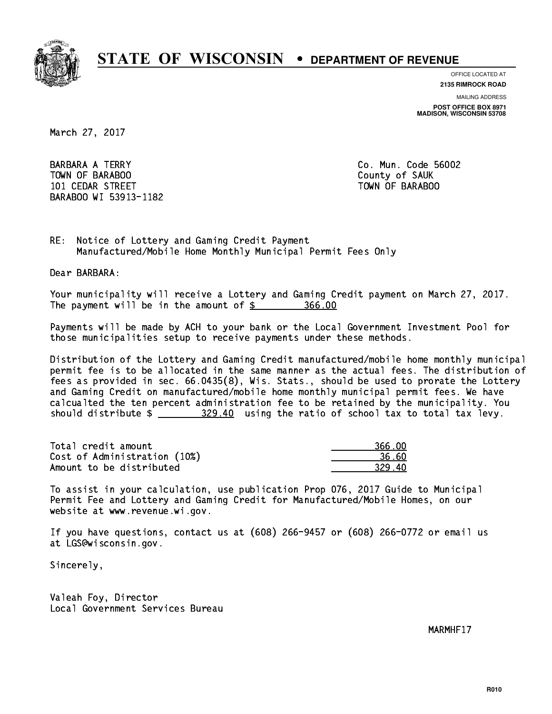

**OFFICE LOCATED AT**

**2135 RIMROCK ROAD**

**MAILING ADDRESS POST OFFICE BOX 8971 MADISON, WISCONSIN 53708**

March 27, 2017

**BARBARA A TERRY** TOWN OF BARABOO **COUNTY OF SAUK**  101 CEDAR STREET TOWN OF BARABOO BARABOO WI 53913-1182

Co. Mun. Code 56002

RE: Notice of Lottery and Gaming Credit Payment Manufactured/Mobile Home Monthly Municipal Permit Fees Only

Dear BARBARA:

 Your municipality will receive a Lottery and Gaming Credit payment on March 27, 2017. The payment will be in the amount of  $$ 366.00$ 

 Payments will be made by ACH to your bank or the Local Government Investment Pool for those municipalities setup to receive payments under these methods.

 Distribution of the Lottery and Gaming Credit manufactured/mobile home monthly municipal permit fee is to be allocated in the same manner as the actual fees. The distribution of fees as provided in sec. 66.0435(8), Wis. Stats., should be used to prorate the Lottery and Gaming Credit on manufactured/mobile home monthly municipal permit fees. We have calcualted the ten percent administration fee to be retained by the municipality. You should distribute  $\frac{20.40}{2}$  using the ratio of school tax to total tax levy.

Total credit amount Cost of Administration (10%) Amount to be distributed

| 366.00      |
|-------------|
| 36.60       |
| L٨<br>२२५ - |

 To assist in your calculation, use publication Prop 076, 2017 Guide to Municipal Permit Fee and Lottery and Gaming Credit for Manufactured/Mobile Homes, on our website at www.revenue.wi.gov.

 If you have questions, contact us at (608) 266-9457 or (608) 266-0772 or email us at LGS@wisconsin.gov.

Sincerely,

 Valeah Foy, Director Local Government Services Bureau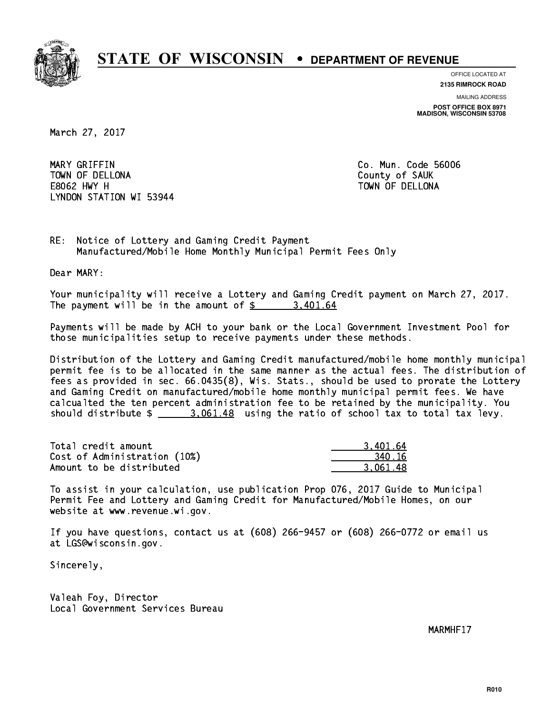

**OFFICE LOCATED AT**

**2135 RIMROCK ROAD**

**MAILING ADDRESS POST OFFICE BOX 8971 MADISON, WISCONSIN 53708**

March 27, 2017

 MARY GRIFFIN Co. Mun. Code 56006 TOWN OF DELLONA County of SAUK E8062 HWY H TOWN OF DELLONA LYNDON STATION WI 53944

RE: Notice of Lottery and Gaming Credit Payment Manufactured/Mobile Home Monthly Municipal Permit Fees Only

Dear MARY:

 Your municipality will receive a Lottery and Gaming Credit payment on March 27, 2017. The payment will be in the amount of \$ 3,401.64 \_\_\_\_\_\_\_\_\_\_\_\_\_\_\_\_

 Payments will be made by ACH to your bank or the Local Government Investment Pool for those municipalities setup to receive payments under these methods.

 Distribution of the Lottery and Gaming Credit manufactured/mobile home monthly municipal permit fee is to be allocated in the same manner as the actual fees. The distribution of fees as provided in sec. 66.0435(8), Wis. Stats., should be used to prorate the Lottery and Gaming Credit on manufactured/mobile home monthly municipal permit fees. We have calcualted the ten percent administration fee to be retained by the municipality. You should distribute  $\frac{2}{2}$   $\frac{3.061.48}{2}$  using the ratio of school tax to total tax levy.

| Total credit amount          | 3.401.64 |
|------------------------------|----------|
| Cost of Administration (10%) | 340.16   |
| Amount to be distributed     | 3.061.48 |

 To assist in your calculation, use publication Prop 076, 2017 Guide to Municipal Permit Fee and Lottery and Gaming Credit for Manufactured/Mobile Homes, on our website at www.revenue.wi.gov.

 If you have questions, contact us at (608) 266-9457 or (608) 266-0772 or email us at LGS@wisconsin.gov.

Sincerely,

 Valeah Foy, Director Local Government Services Bureau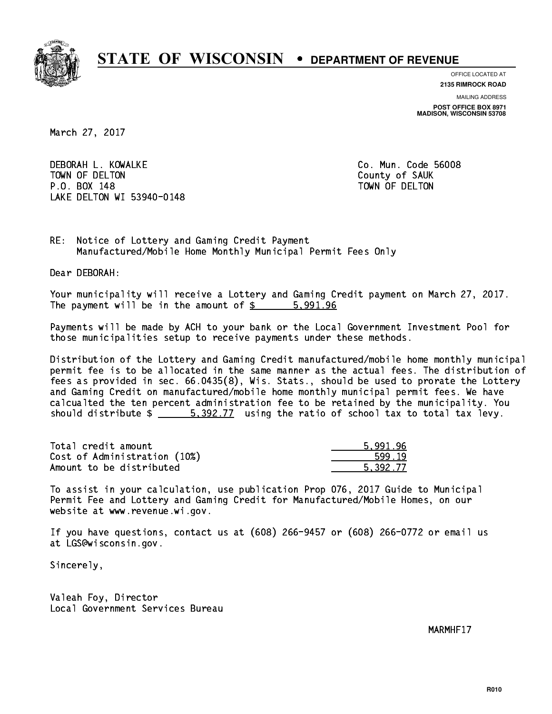

**OFFICE LOCATED AT**

**2135 RIMROCK ROAD**

**MAILING ADDRESS POST OFFICE BOX 8971 MADISON, WISCONSIN 53708**

March 27, 2017

 DEBORAH L. KOWALKE Co. Mun. Code 56008 TOWN OF DELTON County of SAUK P.O. BOX 148 TOWN OF DELTON LAKE DELTON WI 53940-0148

RE: Notice of Lottery and Gaming Credit Payment Manufactured/Mobile Home Monthly Municipal Permit Fees Only

Dear DEBORAH:

 Your municipality will receive a Lottery and Gaming Credit payment on March 27, 2017. The payment will be in the amount of  $\frac{2}{3}$   $\frac{5,991.96}{3}$ 

 Payments will be made by ACH to your bank or the Local Government Investment Pool for those municipalities setup to receive payments under these methods.

 Distribution of the Lottery and Gaming Credit manufactured/mobile home monthly municipal permit fee is to be allocated in the same manner as the actual fees. The distribution of fees as provided in sec. 66.0435(8), Wis. Stats., should be used to prorate the Lottery and Gaming Credit on manufactured/mobile home monthly municipal permit fees. We have calcualted the ten percent administration fee to be retained by the municipality. You should distribute  $\frac{2}{1}$   $\frac{5.392.77}{2}$  using the ratio of school tax to total tax levy.

| Total credit amount          | 5.991.96 |
|------------------------------|----------|
| Cost of Administration (10%) | 599.19   |
| Amount to be distributed     | 5.392.77 |

 To assist in your calculation, use publication Prop 076, 2017 Guide to Municipal Permit Fee and Lottery and Gaming Credit for Manufactured/Mobile Homes, on our website at www.revenue.wi.gov.

 If you have questions, contact us at (608) 266-9457 or (608) 266-0772 or email us at LGS@wisconsin.gov.

Sincerely,

 Valeah Foy, Director Local Government Services Bureau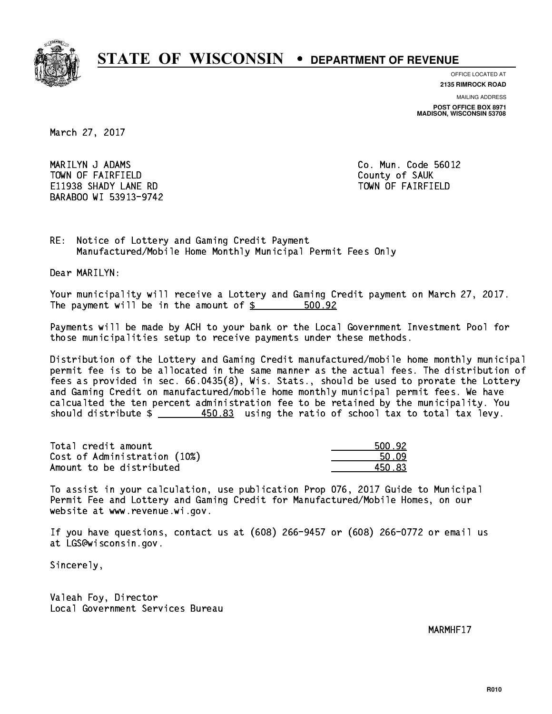

**OFFICE LOCATED AT**

**2135 RIMROCK ROAD**

**MAILING ADDRESS POST OFFICE BOX 8971 MADISON, WISCONSIN 53708**

March 27, 2017

 MARILYN J ADAMS Co. Mun. Code 56012 TOWN OF FAIRFIELD County of SAUK E11938 SHADY LANE RD TOWN OF FAIRFIELD BARABOO WI 53913-9742

RE: Notice of Lottery and Gaming Credit Payment Manufactured/Mobile Home Monthly Municipal Permit Fees Only

Dear MARILYN:

 Your municipality will receive a Lottery and Gaming Credit payment on March 27, 2017. The payment will be in the amount of  $$ 500.92$ 

 Payments will be made by ACH to your bank or the Local Government Investment Pool for those municipalities setup to receive payments under these methods.

 Distribution of the Lottery and Gaming Credit manufactured/mobile home monthly municipal permit fee is to be allocated in the same manner as the actual fees. The distribution of fees as provided in sec. 66.0435(8), Wis. Stats., should be used to prorate the Lottery and Gaming Credit on manufactured/mobile home monthly municipal permit fees. We have calcualted the ten percent administration fee to be retained by the municipality. You should distribute  $\frac{450.83}{1000}$  using the ratio of school tax to total tax levy.

Total credit amount  $\overline{500.92}$  $Cost of Administration (10%)$  50.09 Amount to be distributed and the set of  $450.83$ 

 To assist in your calculation, use publication Prop 076, 2017 Guide to Municipal Permit Fee and Lottery and Gaming Credit for Manufactured/Mobile Homes, on our website at www.revenue.wi.gov.

 If you have questions, contact us at (608) 266-9457 or (608) 266-0772 or email us at LGS@wisconsin.gov.

Sincerely,

 Valeah Foy, Director Local Government Services Bureau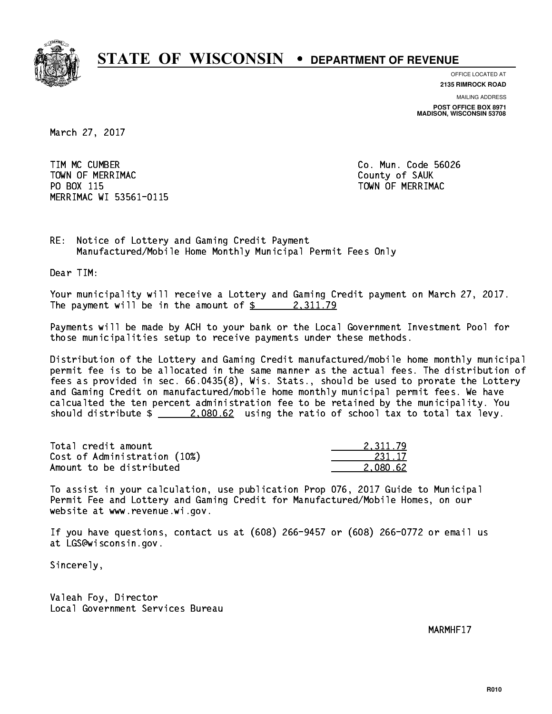

**OFFICE LOCATED AT 2135 RIMROCK ROAD**

**MAILING ADDRESS POST OFFICE BOX 8971 MADISON, WISCONSIN 53708**

March 27, 2017

 TIM MC CUMBER Co. Mun. Code 56026 Town of Merriman County of Sauka County of Sauka County of Sauka County of Sauka County of Sauka County of Sau PO BOX 115 PO BOX 115 TOWN OF MERRIMAC MERRIMAC WI 53561-0115

RE: Notice of Lottery and Gaming Credit Payment Manufactured/Mobile Home Monthly Municipal Permit Fees Only

Dear TIM:

 Your municipality will receive a Lottery and Gaming Credit payment on March 27, 2017. The payment will be in the amount of  $\frac{2}{3}$  2,311.79

 Payments will be made by ACH to your bank or the Local Government Investment Pool for those municipalities setup to receive payments under these methods.

 Distribution of the Lottery and Gaming Credit manufactured/mobile home monthly municipal permit fee is to be allocated in the same manner as the actual fees. The distribution of fees as provided in sec. 66.0435(8), Wis. Stats., should be used to prorate the Lottery and Gaming Credit on manufactured/mobile home monthly municipal permit fees. We have calcualted the ten percent administration fee to be retained by the municipality. You should distribute  $\frac{2.080.62}{2.080.62}$  using the ratio of school tax to total tax levy.

| Total credit amount          | 2.311.79 |
|------------------------------|----------|
| Cost of Administration (10%) | 231.17   |
| Amount to be distributed     | 2.080.62 |

 To assist in your calculation, use publication Prop 076, 2017 Guide to Municipal Permit Fee and Lottery and Gaming Credit for Manufactured/Mobile Homes, on our website at www.revenue.wi.gov.

 If you have questions, contact us at (608) 266-9457 or (608) 266-0772 or email us at LGS@wisconsin.gov.

Sincerely,

 Valeah Foy, Director Local Government Services Bureau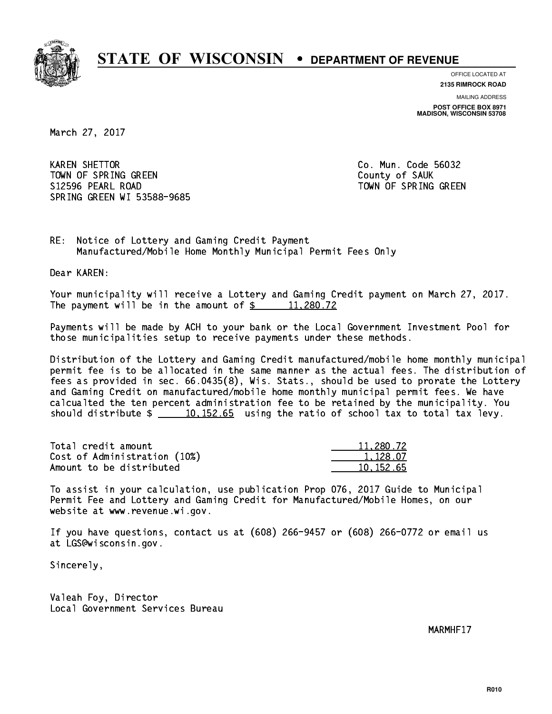

**OFFICE LOCATED AT**

**2135 RIMROCK ROAD**

**MAILING ADDRESS POST OFFICE BOX 8971 MADISON, WISCONSIN 53708**

March 27, 2017

**KAREN SHETTOR** TOWN OF SPRING GREEN COUNTY OF SAUK S12596 PEARL ROAD TOWN OF SPRING GREEN SPRING GREEN WI 53588-9685

Co. Mun. Code 56032

RE: Notice of Lottery and Gaming Credit Payment Manufactured/Mobile Home Monthly Municipal Permit Fees Only

Dear KAREN:

 Your municipality will receive a Lottery and Gaming Credit payment on March 27, 2017. The payment will be in the amount of  $\frac{2}{3}$  11,280.72

 Payments will be made by ACH to your bank or the Local Government Investment Pool for those municipalities setup to receive payments under these methods.

 Distribution of the Lottery and Gaming Credit manufactured/mobile home monthly municipal permit fee is to be allocated in the same manner as the actual fees. The distribution of fees as provided in sec. 66.0435(8), Wis. Stats., should be used to prorate the Lottery and Gaming Credit on manufactured/mobile home monthly municipal permit fees. We have calcualted the ten percent administration fee to be retained by the municipality. You should distribute  $\frac{10,152.65}{10,152.65}$  using the ratio of school tax to total tax levy.

| Total credit amount          | 11,280.72 |
|------------------------------|-----------|
| Cost of Administration (10%) | 1.128.07  |
| Amount to be distributed     | 10.152.65 |

 To assist in your calculation, use publication Prop 076, 2017 Guide to Municipal Permit Fee and Lottery and Gaming Credit for Manufactured/Mobile Homes, on our website at www.revenue.wi.gov.

 If you have questions, contact us at (608) 266-9457 or (608) 266-0772 or email us at LGS@wisconsin.gov.

Sincerely,

 Valeah Foy, Director Local Government Services Bureau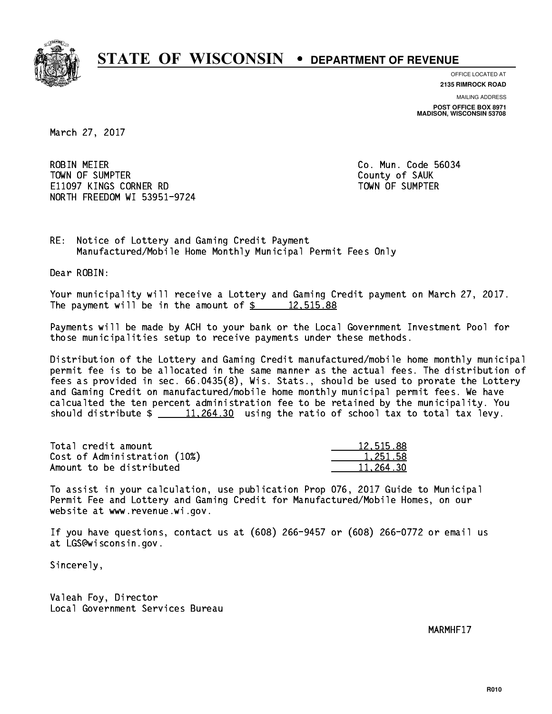

**OFFICE LOCATED AT 2135 RIMROCK ROAD**

**MAILING ADDRESS**

**POST OFFICE BOX 8971 MADISON, WISCONSIN 53708**

March 27, 2017

**ROBIN MEIER**  TOWN OF SUMPTER County of SAUK E11097 KINGS CORNER RD TOWN OF SUMPTER NORTH FREEDOM WI 53951-9724

Co. Mun. Code 56034

RE: Notice of Lottery and Gaming Credit Payment Manufactured/Mobile Home Monthly Municipal Permit Fees Only

Dear ROBIN:

 Your municipality will receive a Lottery and Gaming Credit payment on March 27, 2017. The payment will be in the amount of  $\frac{2}{3}$  12,515.88

 Payments will be made by ACH to your bank or the Local Government Investment Pool for those municipalities setup to receive payments under these methods.

 Distribution of the Lottery and Gaming Credit manufactured/mobile home monthly municipal permit fee is to be allocated in the same manner as the actual fees. The distribution of fees as provided in sec. 66.0435(8), Wis. Stats., should be used to prorate the Lottery and Gaming Credit on manufactured/mobile home monthly municipal permit fees. We have calcualted the ten percent administration fee to be retained by the municipality. You should distribute  $\frac{11,264.30}{2}$  using the ratio of school tax to total tax levy.

| Total credit amount          | 12.515.88 |
|------------------------------|-----------|
| Cost of Administration (10%) | 1.251.58  |
| Amount to be distributed     | 11.264.30 |

 To assist in your calculation, use publication Prop 076, 2017 Guide to Municipal Permit Fee and Lottery and Gaming Credit for Manufactured/Mobile Homes, on our website at www.revenue.wi.gov.

 If you have questions, contact us at (608) 266-9457 or (608) 266-0772 or email us at LGS@wisconsin.gov.

Sincerely,

 Valeah Foy, Director Local Government Services Bureau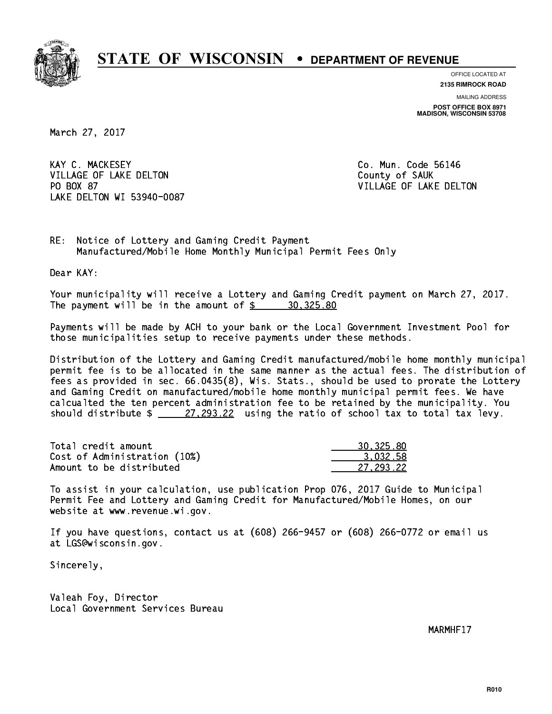

**OFFICE LOCATED AT**

**2135 RIMROCK ROAD**

**MAILING ADDRESS POST OFFICE BOX 8971 MADISON, WISCONSIN 53708**

March 27, 2017

KAY C. MACKESEY VILLAGE OF LAKE DELTON COUNTY OF SAUK PO BOX 87 LAKE DELTON WI 53940-0087

Co. Mun. Code 56146 VILLAGE OF LAKE DELTON

RE: Notice of Lottery and Gaming Credit Payment Manufactured/Mobile Home Monthly Municipal Permit Fees Only

Dear KAY:

 Your municipality will receive a Lottery and Gaming Credit payment on March 27, 2017. The payment will be in the amount of  $\frac{2}{30.325.80}$ 

 Payments will be made by ACH to your bank or the Local Government Investment Pool for those municipalities setup to receive payments under these methods.

 Distribution of the Lottery and Gaming Credit manufactured/mobile home monthly municipal permit fee is to be allocated in the same manner as the actual fees. The distribution of fees as provided in sec. 66.0435(8), Wis. Stats., should be used to prorate the Lottery and Gaming Credit on manufactured/mobile home monthly municipal permit fees. We have calcualted the ten percent administration fee to be retained by the municipality. You should distribute  $\frac{27,293.22}{27,293.22}$  using the ratio of school tax to total tax levy.

| Total credit amount          | 30,325.80 |
|------------------------------|-----------|
| Cost of Administration (10%) | 3.032.58  |
| Amount to be distributed     | 27.293.22 |

 To assist in your calculation, use publication Prop 076, 2017 Guide to Municipal Permit Fee and Lottery and Gaming Credit for Manufactured/Mobile Homes, on our website at www.revenue.wi.gov.

 If you have questions, contact us at (608) 266-9457 or (608) 266-0772 or email us at LGS@wisconsin.gov.

Sincerely,

 Valeah Foy, Director Local Government Services Bureau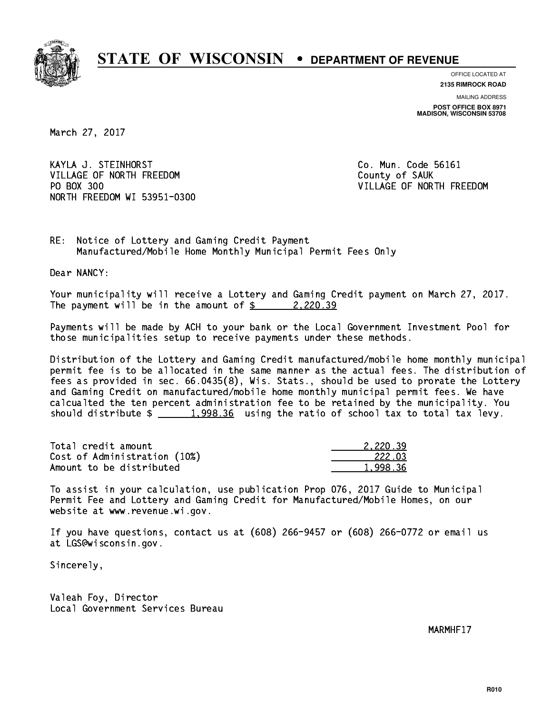

**OFFICE LOCATED AT**

**2135 RIMROCK ROAD**

**MAILING ADDRESS POST OFFICE BOX 8971 MADISON, WISCONSIN 53708**

March 27, 2017

 KAYLA J. STEINHORST Co. Mun. Code 56161 VILLAGE OF NORTH FREEDOM County of SAUK PO BOX 300 NORTH FREEDOM WI 53951-0300

VILLAGE OF NORTH FREEDOM

RE: Notice of Lottery and Gaming Credit Payment Manufactured/Mobile Home Monthly Municipal Permit Fees Only

Dear NANCY:

 Your municipality will receive a Lottery and Gaming Credit payment on March 27, 2017. The payment will be in the amount of  $\frac{2}{2}$  2,220.39

 Payments will be made by ACH to your bank or the Local Government Investment Pool for those municipalities setup to receive payments under these methods.

 Distribution of the Lottery and Gaming Credit manufactured/mobile home monthly municipal permit fee is to be allocated in the same manner as the actual fees. The distribution of fees as provided in sec. 66.0435(8), Wis. Stats., should be used to prorate the Lottery and Gaming Credit on manufactured/mobile home monthly municipal permit fees. We have calcualted the ten percent administration fee to be retained by the municipality. You should distribute  $\frac{1,998.36}{2}$  using the ratio of school tax to total tax levy.

| Total credit amount          | 2.220.39 |
|------------------------------|----------|
| Cost of Administration (10%) | 222.03   |
| Amount to be distributed     | 1.998.36 |

 To assist in your calculation, use publication Prop 076, 2017 Guide to Municipal Permit Fee and Lottery and Gaming Credit for Manufactured/Mobile Homes, on our website at www.revenue.wi.gov.

 If you have questions, contact us at (608) 266-9457 or (608) 266-0772 or email us at LGS@wisconsin.gov.

Sincerely,

 Valeah Foy, Director Local Government Services Bureau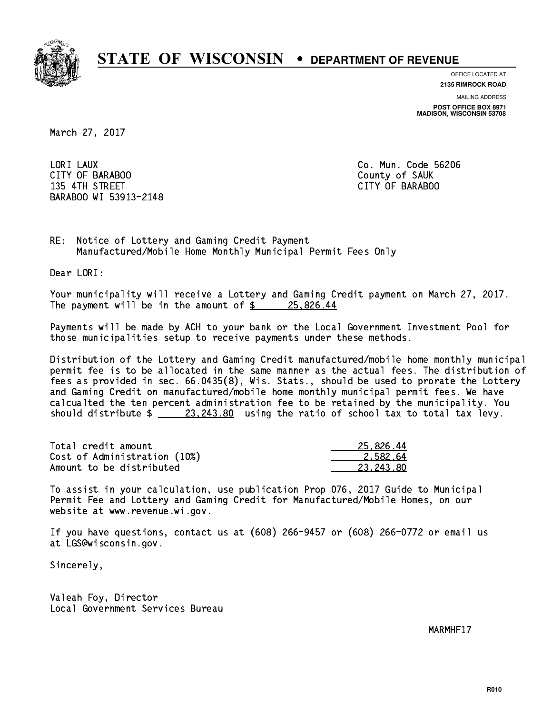

**OFFICE LOCATED AT**

**MAILING ADDRESS 2135 RIMROCK ROAD**

**POST OFFICE BOX 8971 MADISON, WISCONSIN 53708**

March 27, 2017

LORI LAUX CITY OF BARABOO County of SAUK 135 4TH STREET CITY OF BARABOO BARABOO WI 53913-2148

Co. Mun. Code 56206

RE: Notice of Lottery and Gaming Credit Payment Manufactured/Mobile Home Monthly Municipal Permit Fees Only

Dear LORI:

 Your municipality will receive a Lottery and Gaming Credit payment on March 27, 2017. The payment will be in the amount of  $\frac{25.826.44}{5}$ 

 Payments will be made by ACH to your bank or the Local Government Investment Pool for those municipalities setup to receive payments under these methods.

 Distribution of the Lottery and Gaming Credit manufactured/mobile home monthly municipal permit fee is to be allocated in the same manner as the actual fees. The distribution of fees as provided in sec. 66.0435(8), Wis. Stats., should be used to prorate the Lottery and Gaming Credit on manufactured/mobile home monthly municipal permit fees. We have calcualted the ten percent administration fee to be retained by the municipality. You should distribute  $\frac{23,243.80}{23,243.80}$  using the ratio of school tax to total tax levy.

| Total credit amount          | 25,826.44 |
|------------------------------|-----------|
| Cost of Administration (10%) | 2.582.64  |
| Amount to be distributed     | 23.243.80 |

 To assist in your calculation, use publication Prop 076, 2017 Guide to Municipal Permit Fee and Lottery and Gaming Credit for Manufactured/Mobile Homes, on our website at www.revenue.wi.gov.

 If you have questions, contact us at (608) 266-9457 or (608) 266-0772 or email us at LGS@wisconsin.gov.

Sincerely,

 Valeah Foy, Director Local Government Services Bureau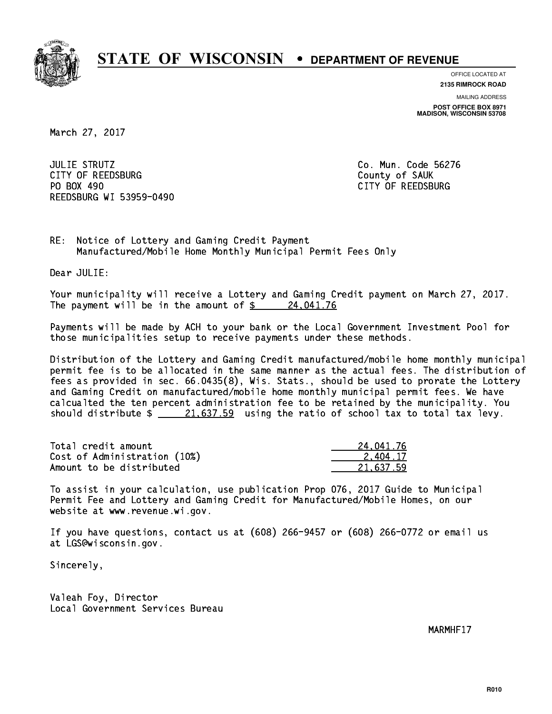

**OFFICE LOCATED AT**

**2135 RIMROCK ROAD**

**MAILING ADDRESS POST OFFICE BOX 8971 MADISON, WISCONSIN 53708**

March 27, 2017

**JULIE STRUTZ** CITY OF REEDSBURG COUNTY COUNTY OF SAUK PO BOX 490 REEDSBURG WI 53959-0490

Co. Mun. Code 56276 CITY OF REEDSBURG

RE: Notice of Lottery and Gaming Credit Payment Manufactured/Mobile Home Monthly Municipal Permit Fees Only

Dear JULIE:

 Your municipality will receive a Lottery and Gaming Credit payment on March 27, 2017. The payment will be in the amount of  $\frac{24.041.76}{24.042}$ 

 Payments will be made by ACH to your bank or the Local Government Investment Pool for those municipalities setup to receive payments under these methods.

 Distribution of the Lottery and Gaming Credit manufactured/mobile home monthly municipal permit fee is to be allocated in the same manner as the actual fees. The distribution of fees as provided in sec. 66.0435(8), Wis. Stats., should be used to prorate the Lottery and Gaming Credit on manufactured/mobile home monthly municipal permit fees. We have calcualted the ten percent administration fee to be retained by the municipality. You should distribute  $\frac{21.637.59}{21.637.59}$  using the ratio of school tax to total tax levy.

| Total credit amount          | 24,041.76 |
|------------------------------|-----------|
| Cost of Administration (10%) | 2.404.17  |
| Amount to be distributed     | 21.637.59 |

 To assist in your calculation, use publication Prop 076, 2017 Guide to Municipal Permit Fee and Lottery and Gaming Credit for Manufactured/Mobile Homes, on our website at www.revenue.wi.gov.

 If you have questions, contact us at (608) 266-9457 or (608) 266-0772 or email us at LGS@wisconsin.gov.

Sincerely,

 Valeah Foy, Director Local Government Services Bureau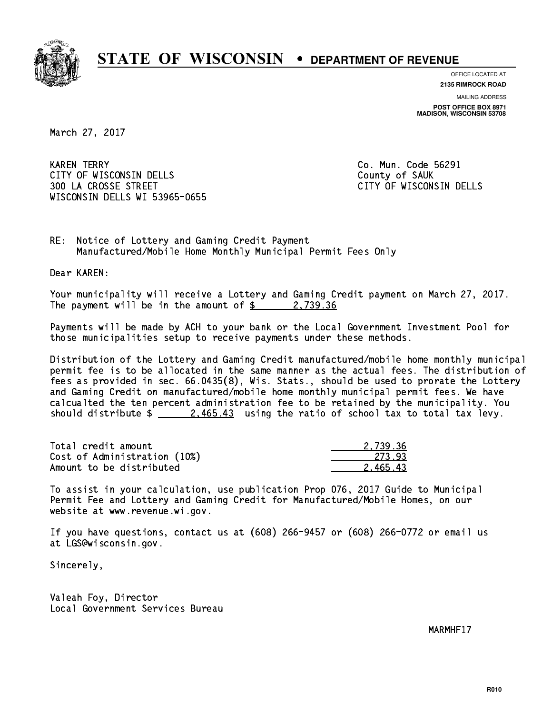

**OFFICE LOCATED AT**

**2135 RIMROCK ROAD**

**MAILING ADDRESS POST OFFICE BOX 8971 MADISON, WISCONSIN 53708**

March 27, 2017

**KAREN TERRY** CITY OF WISCONSIN DELLS COUNTY OF SAUK 300 LA CROSSE STREET CITY OF WISCONSIN DELLS WISCONSIN DELLS WI 53965-0655

Co. Mun. Code 56291

RE: Notice of Lottery and Gaming Credit Payment Manufactured/Mobile Home Monthly Municipal Permit Fees Only

Dear KAREN:

 Your municipality will receive a Lottery and Gaming Credit payment on March 27, 2017. The payment will be in the amount of  $\frac{2}{3}$  2,739.36

 Payments will be made by ACH to your bank or the Local Government Investment Pool for those municipalities setup to receive payments under these methods.

 Distribution of the Lottery and Gaming Credit manufactured/mobile home monthly municipal permit fee is to be allocated in the same manner as the actual fees. The distribution of fees as provided in sec. 66.0435(8), Wis. Stats., should be used to prorate the Lottery and Gaming Credit on manufactured/mobile home monthly municipal permit fees. We have calcualted the ten percent administration fee to be retained by the municipality. You should distribute  $\frac{2.465.43}{2.465.43}$  using the ratio of school tax to total tax levy.

| Total credit amount          | 2.739.36 |
|------------------------------|----------|
| Cost of Administration (10%) | 273.93   |
| Amount to be distributed     | 2.465.43 |

 To assist in your calculation, use publication Prop 076, 2017 Guide to Municipal Permit Fee and Lottery and Gaming Credit for Manufactured/Mobile Homes, on our website at www.revenue.wi.gov.

 If you have questions, contact us at (608) 266-9457 or (608) 266-0772 or email us at LGS@wisconsin.gov.

Sincerely,

 Valeah Foy, Director Local Government Services Bureau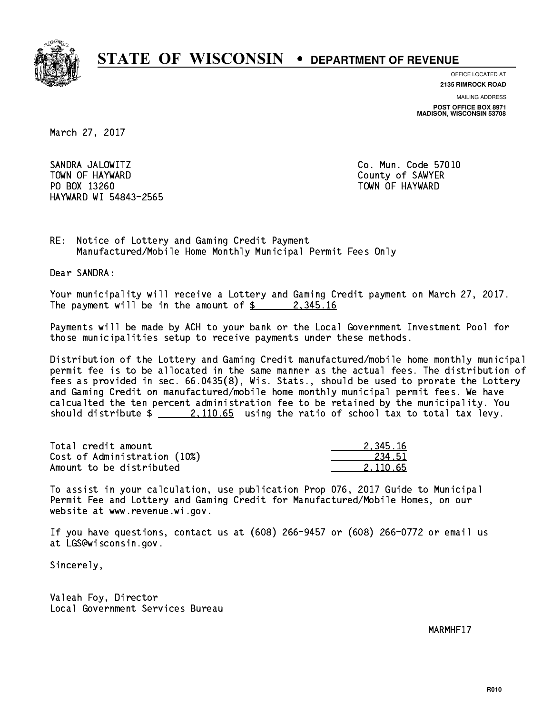

**OFFICE LOCATED AT**

**2135 RIMROCK ROAD**

**MAILING ADDRESS POST OFFICE BOX 8971 MADISON, WISCONSIN 53708**

March 27, 2017

SANDRA JALOWITZ TOWN OF HAYWARD COUNTY OF SAMPLE COUNTY OF SAMPLER PO BOX 13260 TOWN OF HAYWARD HAYWARD WI 54843-2565

Co. Mun. Code 57010

RE: Notice of Lottery and Gaming Credit Payment Manufactured/Mobile Home Monthly Municipal Permit Fees Only

Dear SANDRA:

 Your municipality will receive a Lottery and Gaming Credit payment on March 27, 2017. The payment will be in the amount of  $\frac{2}{3}$  2,345.16

 Payments will be made by ACH to your bank or the Local Government Investment Pool for those municipalities setup to receive payments under these methods.

 Distribution of the Lottery and Gaming Credit manufactured/mobile home monthly municipal permit fee is to be allocated in the same manner as the actual fees. The distribution of fees as provided in sec. 66.0435(8), Wis. Stats., should be used to prorate the Lottery and Gaming Credit on manufactured/mobile home monthly municipal permit fees. We have calcualted the ten percent administration fee to be retained by the municipality. You should distribute  $\frac{2,110.65}{2}$  using the ratio of school tax to total tax levy.

| Total credit amount          | 2.345.16 |
|------------------------------|----------|
| Cost of Administration (10%) | 234.51   |
| Amount to be distributed     | 2.110.65 |

 To assist in your calculation, use publication Prop 076, 2017 Guide to Municipal Permit Fee and Lottery and Gaming Credit for Manufactured/Mobile Homes, on our website at www.revenue.wi.gov.

 If you have questions, contact us at (608) 266-9457 or (608) 266-0772 or email us at LGS@wisconsin.gov.

Sincerely,

 Valeah Foy, Director Local Government Services Bureau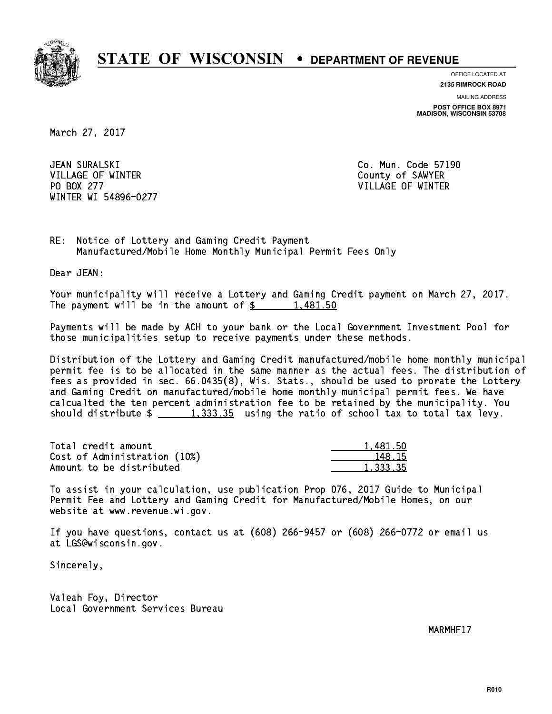

**OFFICE LOCATED AT**

**2135 RIMROCK ROAD**

**MAILING ADDRESS POST OFFICE BOX 8971 MADISON, WISCONSIN 53708**

March 27, 2017

JEAN SURALSKI VILLAGE OF WINTER COUNTY OF SAMPLE COUNTY OF SAMPLE COUNTY OF SAMPLE COUNTY OF SAMPLE COUNTY OF SAMPLE COUNTY OF SAMPLE COUNTY OF SAMPLE COUNTY OF SAMPLE COUNTY OF SAMPLE COUNTY OF SAMPLE COUNTY OF SAMPLE COUNTY OF SAMPLE PO BOX 277 VILLAGE OF WINTER WINTER WI 54896-0277

Co. Mun. Code 57190

RE: Notice of Lottery and Gaming Credit Payment Manufactured/Mobile Home Monthly Municipal Permit Fees Only

Dear JEAN:

 Your municipality will receive a Lottery and Gaming Credit payment on March 27, 2017. The payment will be in the amount of  $\frac{2}{3}$  1,481.50

 Payments will be made by ACH to your bank or the Local Government Investment Pool for those municipalities setup to receive payments under these methods.

 Distribution of the Lottery and Gaming Credit manufactured/mobile home monthly municipal permit fee is to be allocated in the same manner as the actual fees. The distribution of fees as provided in sec. 66.0435(8), Wis. Stats., should be used to prorate the Lottery and Gaming Credit on manufactured/mobile home monthly municipal permit fees. We have calcualted the ten percent administration fee to be retained by the municipality. You should distribute  $\frac{1,333.35}{2}$  using the ratio of school tax to total tax levy.

| Total credit amount          | 1,481.50 |
|------------------------------|----------|
| Cost of Administration (10%) | 148.15   |
| Amount to be distributed     | 1,333,35 |

 To assist in your calculation, use publication Prop 076, 2017 Guide to Municipal Permit Fee and Lottery and Gaming Credit for Manufactured/Mobile Homes, on our website at www.revenue.wi.gov.

 If you have questions, contact us at (608) 266-9457 or (608) 266-0772 or email us at LGS@wisconsin.gov.

Sincerely,

 Valeah Foy, Director Local Government Services Bureau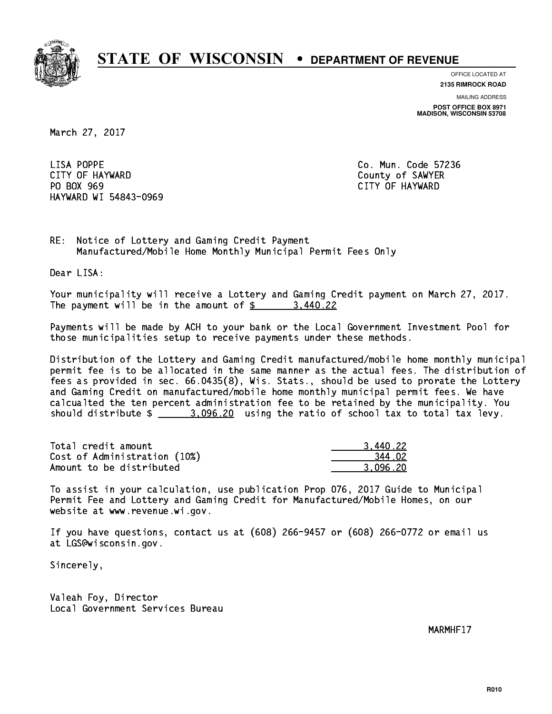

**OFFICE LOCATED AT**

**2135 RIMROCK ROAD**

**MAILING ADDRESS**

**POST OFFICE BOX 8971 MADISON, WISCONSIN 53708**

March 27, 2017

LISA POPPE CITY OF HAYWARD COUNTY OF SAWYER PO BOX 969 PO BOX 969 CITY OF HAYWARD HAYWARD WI 54843-0969

Co. Mun. Code 57236

RE: Notice of Lottery and Gaming Credit Payment Manufactured/Mobile Home Monthly Municipal Permit Fees Only

Dear LISA:

 Your municipality will receive a Lottery and Gaming Credit payment on March 27, 2017. The payment will be in the amount of  $\frac{2}{3}$  3,440.22

 Payments will be made by ACH to your bank or the Local Government Investment Pool for those municipalities setup to receive payments under these methods.

 Distribution of the Lottery and Gaming Credit manufactured/mobile home monthly municipal permit fee is to be allocated in the same manner as the actual fees. The distribution of fees as provided in sec. 66.0435(8), Wis. Stats., should be used to prorate the Lottery and Gaming Credit on manufactured/mobile home monthly municipal permit fees. We have calcualted the ten percent administration fee to be retained by the municipality. You should distribute \$ 3,096.20 using the ratio of school tax to total tax levy. \_\_\_\_\_\_\_\_\_\_\_\_\_\_

| Total credit amount          | 3.440.22 |
|------------------------------|----------|
| Cost of Administration (10%) | 344.02   |
| Amount to be distributed     | 3.096.20 |

 To assist in your calculation, use publication Prop 076, 2017 Guide to Municipal Permit Fee and Lottery and Gaming Credit for Manufactured/Mobile Homes, on our website at www.revenue.wi.gov.

 If you have questions, contact us at (608) 266-9457 or (608) 266-0772 or email us at LGS@wisconsin.gov.

Sincerely,

 Valeah Foy, Director Local Government Services Bureau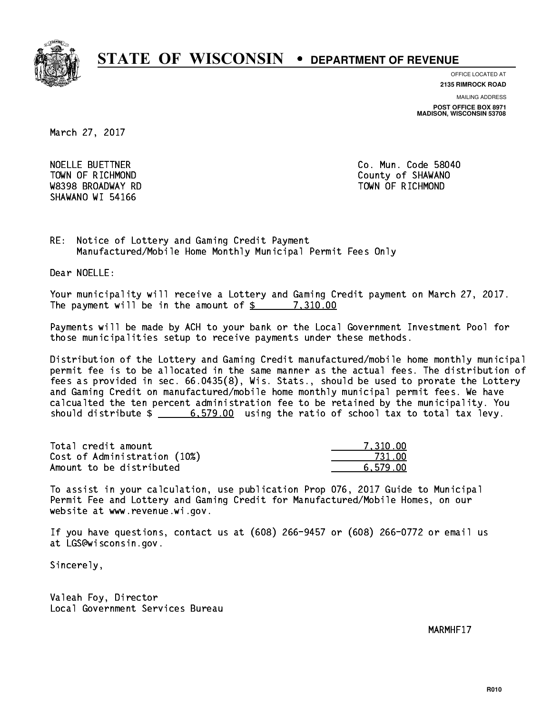

**OFFICE LOCATED AT**

**2135 RIMROCK ROAD**

**MAILING ADDRESS**

**POST OFFICE BOX 8971 MADISON, WISCONSIN 53708**

March 27, 2017

NOELLE BUETTNER **Co. Mun. Code 58040**  W8398 BROADWAY RD TOWN OF RICHMOND SHAWANO WI 54166

TOWN OF RICHMOND COUNTY OF SHAWANO

RE: Notice of Lottery and Gaming Credit Payment Manufactured/Mobile Home Monthly Municipal Permit Fees Only

Dear NOELLE:

 Your municipality will receive a Lottery and Gaming Credit payment on March 27, 2017. The payment will be in the amount of  $\frac{2}{3}$  7,310.00

 Payments will be made by ACH to your bank or the Local Government Investment Pool for those municipalities setup to receive payments under these methods.

 Distribution of the Lottery and Gaming Credit manufactured/mobile home monthly municipal permit fee is to be allocated in the same manner as the actual fees. The distribution of fees as provided in sec. 66.0435(8), Wis. Stats., should be used to prorate the Lottery and Gaming Credit on manufactured/mobile home monthly municipal permit fees. We have calcualted the ten percent administration fee to be retained by the municipality. You should distribute  $\frac{2}{1}$   $\frac{6,579.00}{2}$  using the ratio of school tax to total tax levy.

| Total credit amount          | 7,310.00 |
|------------------------------|----------|
| Cost of Administration (10%) | 731.00   |
| Amount to be distributed     | 6.579.00 |

 To assist in your calculation, use publication Prop 076, 2017 Guide to Municipal Permit Fee and Lottery and Gaming Credit for Manufactured/Mobile Homes, on our website at www.revenue.wi.gov.

 If you have questions, contact us at (608) 266-9457 or (608) 266-0772 or email us at LGS@wisconsin.gov.

Sincerely,

 Valeah Foy, Director Local Government Services Bureau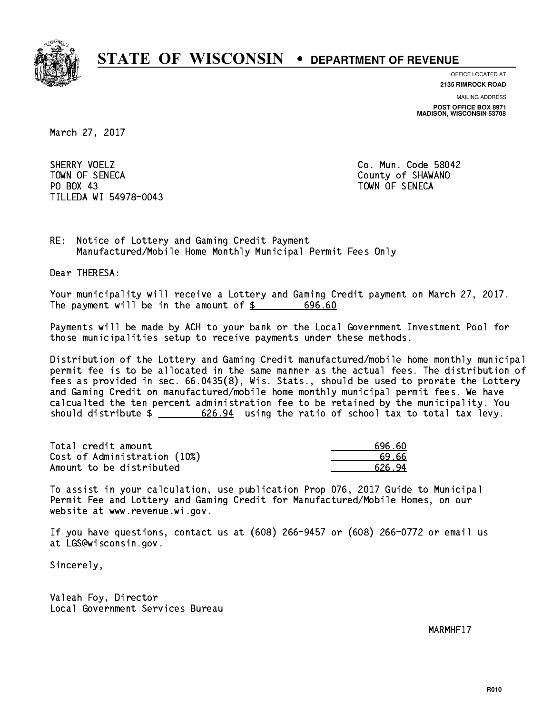

**OFFICE LOCATED AT**

**2135 RIMROCK ROAD**

**MAILING ADDRESS**

**POST OFFICE BOX 8971 MADISON, WISCONSIN 53708**

March 27, 2017

SHERRY VOELZ TOWN OF SENECA County of SHAWANO PO BOX 43 PO BOX 43 TOWN OF SENECA TILLEDA WI 54978-0043

Co. Mun. Code 58042

RE: Notice of Lottery and Gaming Credit Payment Manufactured/Mobile Home Monthly Municipal Permit Fees Only

Dear THERESA:

 Your municipality will receive a Lottery and Gaming Credit payment on March 27, 2017. The payment will be in the amount of \$ 696.60 \_\_\_\_\_\_\_\_\_\_\_\_\_\_\_\_

 Payments will be made by ACH to your bank or the Local Government Investment Pool for those municipalities setup to receive payments under these methods.

 Distribution of the Lottery and Gaming Credit manufactured/mobile home monthly municipal permit fee is to be allocated in the same manner as the actual fees. The distribution of fees as provided in sec. 66.0435(8), Wis. Stats., should be used to prorate the Lottery and Gaming Credit on manufactured/mobile home monthly municipal permit fees. We have calcualted the ten percent administration fee to be retained by the municipality. You should distribute  $\frac{26.94}{2}$  using the ratio of school tax to total tax levy.

| Total credit amount          | 696.60 |
|------------------------------|--------|
| Cost of Administration (10%) | 69.66  |
| Amount to be distributed     | 626.94 |

 To assist in your calculation, use publication Prop 076, 2017 Guide to Municipal Permit Fee and Lottery and Gaming Credit for Manufactured/Mobile Homes, on our website at www.revenue.wi.gov.

 If you have questions, contact us at (608) 266-9457 or (608) 266-0772 or email us at LGS@wisconsin.gov.

Sincerely,

 Valeah Foy, Director Local Government Services Bureau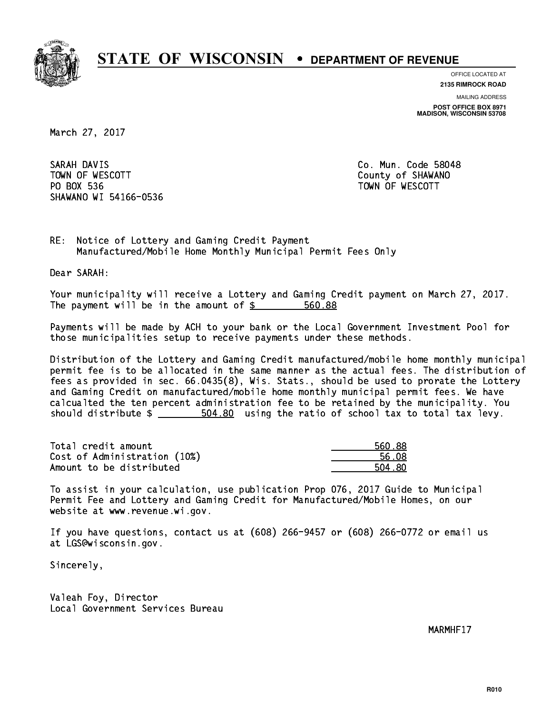

**OFFICE LOCATED AT**

**2135 RIMROCK ROAD**

**MAILING ADDRESS**

**POST OFFICE BOX 8971 MADISON, WISCONSIN 53708**

March 27, 2017

SARAH DAVIS TOWN OF WESCOTT COUNTY OF SHAWANO PO BOX 536 PO BOX 536 TOWN OF WESCOTT SHAWANO WI 54166-0536

Co. Mun. Code 58048

RE: Notice of Lottery and Gaming Credit Payment Manufactured/Mobile Home Monthly Municipal Permit Fees Only

Dear SARAH:

 Your municipality will receive a Lottery and Gaming Credit payment on March 27, 2017. The payment will be in the amount of \$ 560.88 \_\_\_\_\_\_\_\_\_\_\_\_\_\_\_\_

 Payments will be made by ACH to your bank or the Local Government Investment Pool for those municipalities setup to receive payments under these methods.

 Distribution of the Lottery and Gaming Credit manufactured/mobile home monthly municipal permit fee is to be allocated in the same manner as the actual fees. The distribution of fees as provided in sec. 66.0435(8), Wis. Stats., should be used to prorate the Lottery and Gaming Credit on manufactured/mobile home monthly municipal permit fees. We have calcualted the ten percent administration fee to be retained by the municipality. You should distribute  $\frac{2}{1}$   $\frac{504.80}{2}$  using the ratio of school tax to total tax levy.

Total credit amount Cost of Administration (10%) Amount to be distributed

| 560.88       |
|--------------|
| 56 N8        |
| 14. RN<br>Бſ |

 To assist in your calculation, use publication Prop 076, 2017 Guide to Municipal Permit Fee and Lottery and Gaming Credit for Manufactured/Mobile Homes, on our website at www.revenue.wi.gov.

 If you have questions, contact us at (608) 266-9457 or (608) 266-0772 or email us at LGS@wisconsin.gov.

Sincerely,

 Valeah Foy, Director Local Government Services Bureau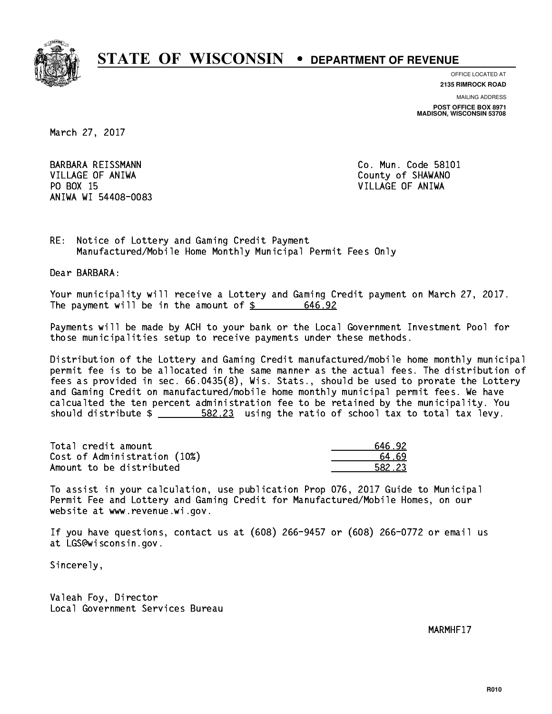

**OFFICE LOCATED AT**

**2135 RIMROCK ROAD**

**MAILING ADDRESS POST OFFICE BOX 8971 MADISON, WISCONSIN 53708**

March 27, 2017

 VILLAGE OF ANIWA County of SHAWANO PO BOX 15 PO BOX 15 VILLAGE OF ANIWA ANIWA WI 54408-0083

BARBARA REISSMANN Co. Mun. Code 58101

RE: Notice of Lottery and Gaming Credit Payment Manufactured/Mobile Home Monthly Municipal Permit Fees Only

Dear BARBARA:

 Your municipality will receive a Lottery and Gaming Credit payment on March 27, 2017. The payment will be in the amount of  $\frac{2}{3}$ 646.92

 Payments will be made by ACH to your bank or the Local Government Investment Pool for those municipalities setup to receive payments under these methods.

 Distribution of the Lottery and Gaming Credit manufactured/mobile home monthly municipal permit fee is to be allocated in the same manner as the actual fees. The distribution of fees as provided in sec. 66.0435(8), Wis. Stats., should be used to prorate the Lottery and Gaming Credit on manufactured/mobile home monthly municipal permit fees. We have calcualted the ten percent administration fee to be retained by the municipality. You should distribute  $\frac{2}{2}$   $\frac{582.23}{2}$  using the ratio of school tax to total tax levy.

Total credit amount Cost of Administration (10%) Amount to be distributed

| 5.92.<br>ςлε |
|--------------|
| 4 R9         |
| -23 23       |

 To assist in your calculation, use publication Prop 076, 2017 Guide to Municipal Permit Fee and Lottery and Gaming Credit for Manufactured/Mobile Homes, on our website at www.revenue.wi.gov.

 If you have questions, contact us at (608) 266-9457 or (608) 266-0772 or email us at LGS@wisconsin.gov.

Sincerely,

 Valeah Foy, Director Local Government Services Bureau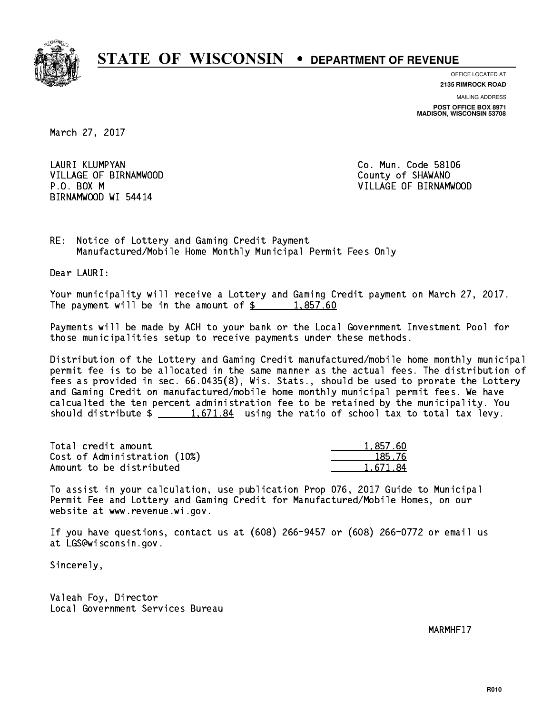

**OFFICE LOCATED AT**

**2135 RIMROCK ROAD**

**MAILING ADDRESS POST OFFICE BOX 8971 MADISON, WISCONSIN 53708**

March 27, 2017

 LAURI KLUMPYAN Co. Mun. Code 58106 VILLAGE OF BIRNAMWOOD County of SHAWANO BIRNAMWOOD WI 54414

P.O. BOX M VILLAGE OF BIRNAMWOOD

RE: Notice of Lottery and Gaming Credit Payment Manufactured/Mobile Home Monthly Municipal Permit Fees Only

Dear LAURI:

 Your municipality will receive a Lottery and Gaming Credit payment on March 27, 2017. The payment will be in the amount of  $\frac{2}{3}$  1,857.60

 Payments will be made by ACH to your bank or the Local Government Investment Pool for those municipalities setup to receive payments under these methods.

 Distribution of the Lottery and Gaming Credit manufactured/mobile home monthly municipal permit fee is to be allocated in the same manner as the actual fees. The distribution of fees as provided in sec. 66.0435(8), Wis. Stats., should be used to prorate the Lottery and Gaming Credit on manufactured/mobile home monthly municipal permit fees. We have calcualted the ten percent administration fee to be retained by the municipality. You should distribute  $\frac{1.671.84}{1.671.84}$  using the ratio of school tax to total tax levy.

| Total credit amount          | 1,857.60 |
|------------------------------|----------|
| Cost of Administration (10%) | 185.76   |
| Amount to be distributed     | 1.671.84 |

 To assist in your calculation, use publication Prop 076, 2017 Guide to Municipal Permit Fee and Lottery and Gaming Credit for Manufactured/Mobile Homes, on our website at www.revenue.wi.gov.

 If you have questions, contact us at (608) 266-9457 or (608) 266-0772 or email us at LGS@wisconsin.gov.

Sincerely,

 Valeah Foy, Director Local Government Services Bureau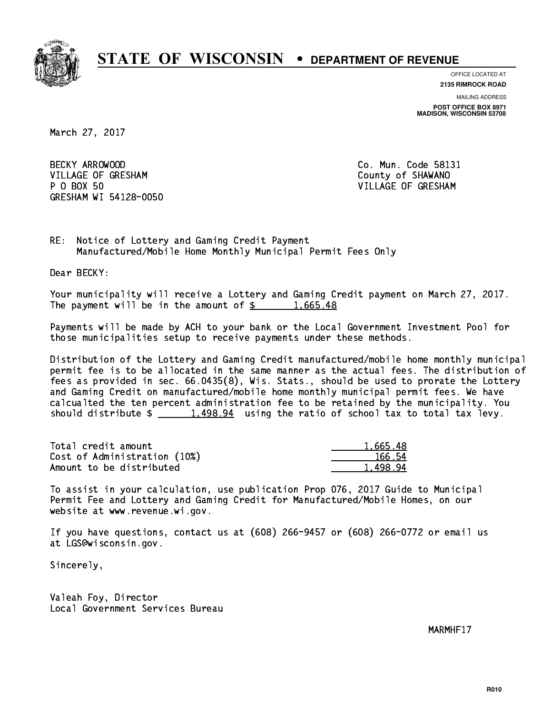

**OFFICE LOCATED AT**

**2135 RIMROCK ROAD**

**MAILING ADDRESS POST OFFICE BOX 8971 MADISON, WISCONSIN 53708**

March 27, 2017

BECKY ARROWOOD VILLAGE OF GRESHAM COUNTY OF SHAWANO P 0 BOX 50 GRESHAM WI 54128-0050

Co. Mun. Code 58131 VILLAGE OF GRESHAM

RE: Notice of Lottery and Gaming Credit Payment Manufactured/Mobile Home Monthly Municipal Permit Fees Only

Dear BECKY:

 Your municipality will receive a Lottery and Gaming Credit payment on March 27, 2017. The payment will be in the amount of  $\frac{2}{3}$  1,665.48

 Payments will be made by ACH to your bank or the Local Government Investment Pool for those municipalities setup to receive payments under these methods.

 Distribution of the Lottery and Gaming Credit manufactured/mobile home monthly municipal permit fee is to be allocated in the same manner as the actual fees. The distribution of fees as provided in sec. 66.0435(8), Wis. Stats., should be used to prorate the Lottery and Gaming Credit on manufactured/mobile home monthly municipal permit fees. We have calcualted the ten percent administration fee to be retained by the municipality. You should distribute  $\frac{1,498.94}{2}$  using the ratio of school tax to total tax levy.

| Total credit amount          | 1,665.48 |
|------------------------------|----------|
| Cost of Administration (10%) | 166.54   |
| Amount to be distributed     | 1.498.94 |

 To assist in your calculation, use publication Prop 076, 2017 Guide to Municipal Permit Fee and Lottery and Gaming Credit for Manufactured/Mobile Homes, on our website at www.revenue.wi.gov.

 If you have questions, contact us at (608) 266-9457 or (608) 266-0772 or email us at LGS@wisconsin.gov.

Sincerely,

 Valeah Foy, Director Local Government Services Bureau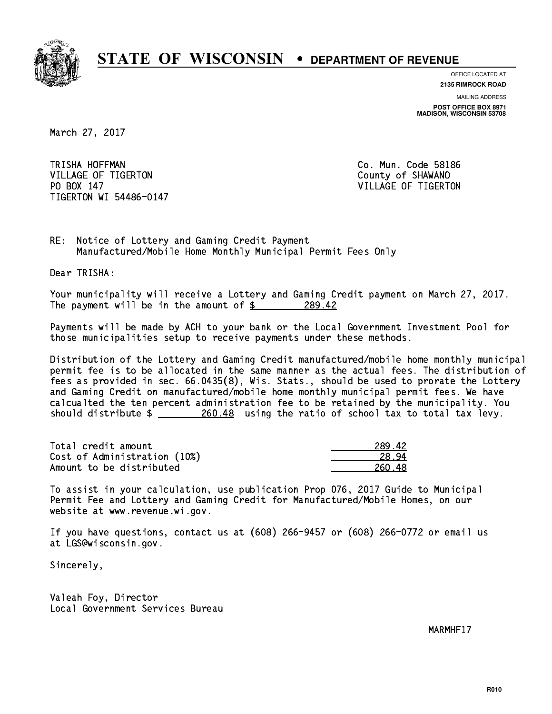

**OFFICE LOCATED AT**

**2135 RIMROCK ROAD**

**MAILING ADDRESS POST OFFICE BOX 8971 MADISON, WISCONSIN 53708**

March 27, 2017

TRISHA HOFFMAN VILLAGE OF TIGERTON COUNTY OF SHAWANO PO BOX 147 VILLAGE OF TIGERTON TIGERTON WI 54486-0147

Co. Mun. Code 58186

RE: Notice of Lottery and Gaming Credit Payment Manufactured/Mobile Home Monthly Municipal Permit Fees Only

Dear TRISHA:

 Your municipality will receive a Lottery and Gaming Credit payment on March 27, 2017. The payment will be in the amount of  $\frac{289.42}{200}$ 

 Payments will be made by ACH to your bank or the Local Government Investment Pool for those municipalities setup to receive payments under these methods.

 Distribution of the Lottery and Gaming Credit manufactured/mobile home monthly municipal permit fee is to be allocated in the same manner as the actual fees. The distribution of fees as provided in sec. 66.0435(8), Wis. Stats., should be used to prorate the Lottery and Gaming Credit on manufactured/mobile home monthly municipal permit fees. We have calcualted the ten percent administration fee to be retained by the municipality. You should distribute  $\frac{260.48}{20.48}$  using the ratio of school tax to total tax levy.

| Total credit amount          | 289.42 |
|------------------------------|--------|
| Cost of Administration (10%) | 28.94  |
| Amount to be distributed     | 260.48 |

 To assist in your calculation, use publication Prop 076, 2017 Guide to Municipal Permit Fee and Lottery and Gaming Credit for Manufactured/Mobile Homes, on our website at www.revenue.wi.gov.

 If you have questions, contact us at (608) 266-9457 or (608) 266-0772 or email us at LGS@wisconsin.gov.

Sincerely,

 Valeah Foy, Director Local Government Services Bureau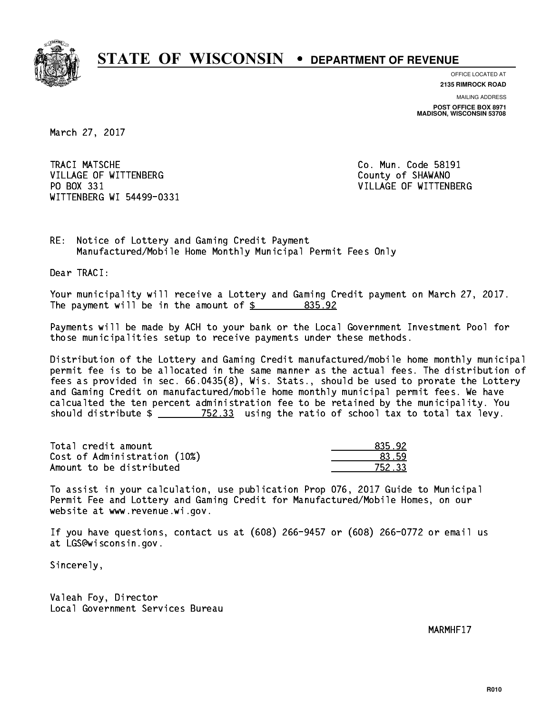

**OFFICE LOCATED AT**

**2135 RIMROCK ROAD**

**MAILING ADDRESS POST OFFICE BOX 8971 MADISON, WISCONSIN 53708**

March 27, 2017

TRACI MATSCHE VILLAGE OF WITTENBERG COUNTY OF SHAWANO PO BOX 331 WITTENBERG WI 54499-0331

Co. Mun. Code 58191 VILLAGE OF WITTENBERG

RE: Notice of Lottery and Gaming Credit Payment Manufactured/Mobile Home Monthly Municipal Permit Fees Only

Dear TRACI:

 Your municipality will receive a Lottery and Gaming Credit payment on March 27, 2017. The payment will be in the amount of \$ 835.92 \_\_\_\_\_\_\_\_\_\_\_\_\_\_\_\_

 Payments will be made by ACH to your bank or the Local Government Investment Pool for those municipalities setup to receive payments under these methods.

 Distribution of the Lottery and Gaming Credit manufactured/mobile home monthly municipal permit fee is to be allocated in the same manner as the actual fees. The distribution of fees as provided in sec. 66.0435(8), Wis. Stats., should be used to prorate the Lottery and Gaming Credit on manufactured/mobile home monthly municipal permit fees. We have calcualted the ten percent administration fee to be retained by the municipality. You should distribute  $\frac{2}{2}$   $\frac{752.33}{2}$  using the ratio of school tax to total tax levy.

Total credit amount Cost of Administration (10%) Amount to be distributed

| 92.       |
|-----------|
| २ मण      |
| 5233<br>7 |

 To assist in your calculation, use publication Prop 076, 2017 Guide to Municipal Permit Fee and Lottery and Gaming Credit for Manufactured/Mobile Homes, on our website at www.revenue.wi.gov.

 If you have questions, contact us at (608) 266-9457 or (608) 266-0772 or email us at LGS@wisconsin.gov.

Sincerely,

 Valeah Foy, Director Local Government Services Bureau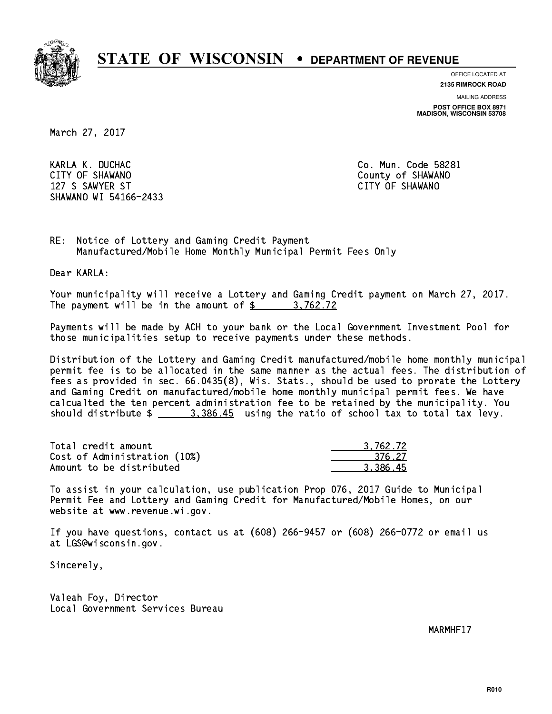

**OFFICE LOCATED AT**

**2135 RIMROCK ROAD**

**MAILING ADDRESS**

**POST OFFICE BOX 8971 MADISON, WISCONSIN 53708**

March 27, 2017

KARLA K. DUCHAC Co. Mun. Code 58281 CITY OF SHAWANO **COULD AND SHAWANO COULD AND SHAWANO**  127 S SAWYER ST CITY OF SHAWANO SHAWANO WI 54166-2433

RE: Notice of Lottery and Gaming Credit Payment Manufactured/Mobile Home Monthly Municipal Permit Fees Only

Dear KARLA:

 Your municipality will receive a Lottery and Gaming Credit payment on March 27, 2017. The payment will be in the amount of \$ 3,762.72 \_\_\_\_\_\_\_\_\_\_\_\_\_\_\_\_

 Payments will be made by ACH to your bank or the Local Government Investment Pool for those municipalities setup to receive payments under these methods.

 Distribution of the Lottery and Gaming Credit manufactured/mobile home monthly municipal permit fee is to be allocated in the same manner as the actual fees. The distribution of fees as provided in sec. 66.0435(8), Wis. Stats., should be used to prorate the Lottery and Gaming Credit on manufactured/mobile home monthly municipal permit fees. We have calcualted the ten percent administration fee to be retained by the municipality. You should distribute  $\frac{2}{1}$   $\frac{3}{386.45}$  using the ratio of school tax to total tax levy.

| Total credit amount          | 3.762.72 |
|------------------------------|----------|
| Cost of Administration (10%) | 376.27   |
| Amount to be distributed     | 3.386.45 |

 To assist in your calculation, use publication Prop 076, 2017 Guide to Municipal Permit Fee and Lottery and Gaming Credit for Manufactured/Mobile Homes, on our website at www.revenue.wi.gov.

 If you have questions, contact us at (608) 266-9457 or (608) 266-0772 or email us at LGS@wisconsin.gov.

Sincerely,

 Valeah Foy, Director Local Government Services Bureau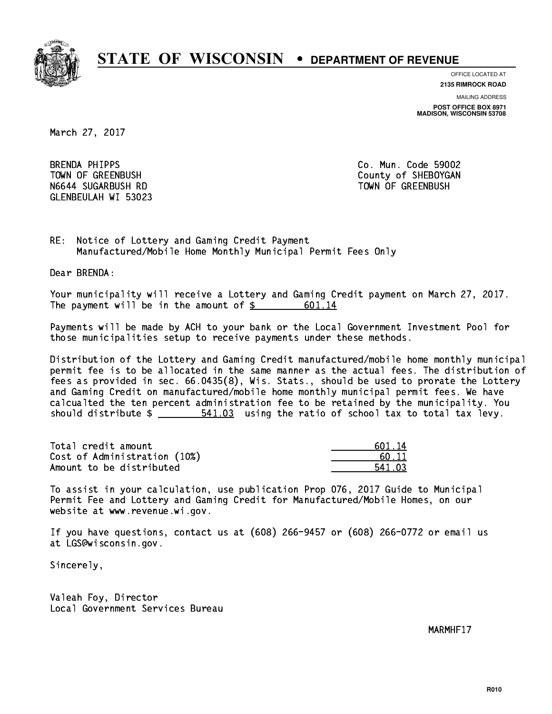

**OFFICE LOCATED AT**

**2135 RIMROCK ROAD**

**MAILING ADDRESS**

**POST OFFICE BOX 8971 MADISON, WISCONSIN 53708**

March 27, 2017

**BRENDA PHIPPS** N6644 SUGARBUSH RD TOWN OF GREENBUSH GLENBEULAH WI 53023

Co. Mun. Code 59002 TOWN OF GREENBUSH County of SHEBOYGAN

RE: Notice of Lottery and Gaming Credit Payment Manufactured/Mobile Home Monthly Municipal Permit Fees Only

Dear BRENDA:

 Your municipality will receive a Lottery and Gaming Credit payment on March 27, 2017. The payment will be in the amount of \$ 601.14 \_\_\_\_\_\_\_\_\_\_\_\_\_\_\_\_

 Payments will be made by ACH to your bank or the Local Government Investment Pool for those municipalities setup to receive payments under these methods.

 Distribution of the Lottery and Gaming Credit manufactured/mobile home monthly municipal permit fee is to be allocated in the same manner as the actual fees. The distribution of fees as provided in sec. 66.0435(8), Wis. Stats., should be used to prorate the Lottery and Gaming Credit on manufactured/mobile home monthly municipal permit fees. We have calcualted the ten percent administration fee to be retained by the municipality. You should distribute  $\frac{2}{1}$   $\frac{541.03}{103}$  using the ratio of school tax to total tax levy.

Total credit amount Cost of Administration (10%) Amount to be distributed

| 601 14 |
|--------|
| l 11   |
| 41 N?  |

 To assist in your calculation, use publication Prop 076, 2017 Guide to Municipal Permit Fee and Lottery and Gaming Credit for Manufactured/Mobile Homes, on our website at www.revenue.wi.gov.

 If you have questions, contact us at (608) 266-9457 or (608) 266-0772 or email us at LGS@wisconsin.gov.

Sincerely,

 Valeah Foy, Director Local Government Services Bureau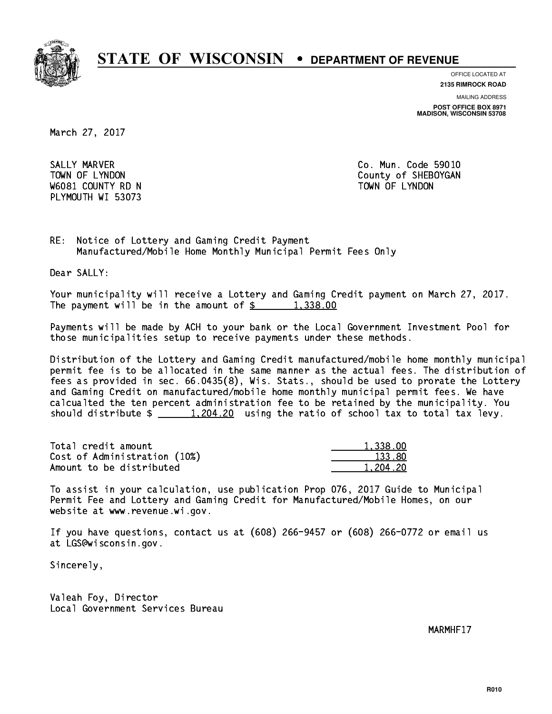

**OFFICE LOCATED AT**

**2135 RIMROCK ROAD**

**MAILING ADDRESS POST OFFICE BOX 8971 MADISON, WISCONSIN 53708**

March 27, 2017

 SALLY MARVER Co. Mun. Code 59010 W6081 COUNTY RD N TOWN OF LYNDON PLYMOUTH WI 53073

TOWN OF LYNDON COUNTY OF SHEBOYGAN

RE: Notice of Lottery and Gaming Credit Payment Manufactured/Mobile Home Monthly Municipal Permit Fees Only

Dear SALLY:

 Your municipality will receive a Lottery and Gaming Credit payment on March 27, 2017. The payment will be in the amount of  $\frac{2}{3}$  1,338.00

 Payments will be made by ACH to your bank or the Local Government Investment Pool for those municipalities setup to receive payments under these methods.

 Distribution of the Lottery and Gaming Credit manufactured/mobile home monthly municipal permit fee is to be allocated in the same manner as the actual fees. The distribution of fees as provided in sec. 66.0435(8), Wis. Stats., should be used to prorate the Lottery and Gaming Credit on manufactured/mobile home monthly municipal permit fees. We have calcualted the ten percent administration fee to be retained by the municipality. You should distribute  $\frac{1,204.20}{1,204.20}$  using the ratio of school tax to total tax levy.

| Total credit amount          | 1,338.00 |
|------------------------------|----------|
| Cost of Administration (10%) | 133.80   |
| Amount to be distributed     | 1.204.20 |

 To assist in your calculation, use publication Prop 076, 2017 Guide to Municipal Permit Fee and Lottery and Gaming Credit for Manufactured/Mobile Homes, on our website at www.revenue.wi.gov.

 If you have questions, contact us at (608) 266-9457 or (608) 266-0772 or email us at LGS@wisconsin.gov.

Sincerely,

 Valeah Foy, Director Local Government Services Bureau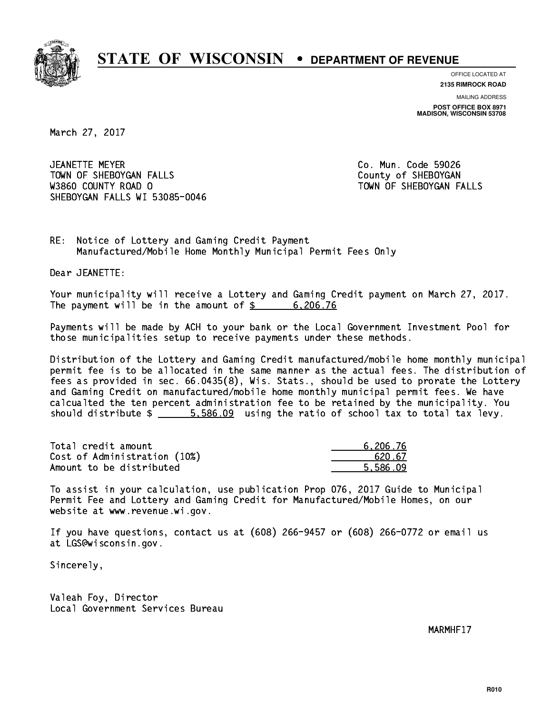

**OFFICE LOCATED AT 2135 RIMROCK ROAD**

**MAILING ADDRESS POST OFFICE BOX 8971 MADISON, WISCONSIN 53708**

March 27, 2017

 JEANETTE MEYER Co. Mun. Code 59026 TOWN OF SHEBOYGAN FALLS COUNTY OF SHEBOYGAN W3860 COUNTY ROAD O TOWN OF SHEBOYGAN FALLS SHEBOYGAN FALLS WI 53085-0046

RE: Notice of Lottery and Gaming Credit Payment Manufactured/Mobile Home Monthly Municipal Permit Fees Only

Dear JEANETTE:

 Your municipality will receive a Lottery and Gaming Credit payment on March 27, 2017. The payment will be in the amount of \$ 6,206.76 \_\_\_\_\_\_\_\_\_\_\_\_\_\_\_\_

 Payments will be made by ACH to your bank or the Local Government Investment Pool for those municipalities setup to receive payments under these methods.

 Distribution of the Lottery and Gaming Credit manufactured/mobile home monthly municipal permit fee is to be allocated in the same manner as the actual fees. The distribution of fees as provided in sec. 66.0435(8), Wis. Stats., should be used to prorate the Lottery and Gaming Credit on manufactured/mobile home monthly municipal permit fees. We have calcualted the ten percent administration fee to be retained by the municipality. You should distribute  $\frac{2}{1}$   $\frac{5}{586.09}$  using the ratio of school tax to total tax levy.

| Total credit amount          | 6,206.76 |
|------------------------------|----------|
| Cost of Administration (10%) | 620.67   |
| Amount to be distributed     | 5.586.09 |

 To assist in your calculation, use publication Prop 076, 2017 Guide to Municipal Permit Fee and Lottery and Gaming Credit for Manufactured/Mobile Homes, on our website at www.revenue.wi.gov.

 If you have questions, contact us at (608) 266-9457 or (608) 266-0772 or email us at LGS@wisconsin.gov.

Sincerely,

 Valeah Foy, Director Local Government Services Bureau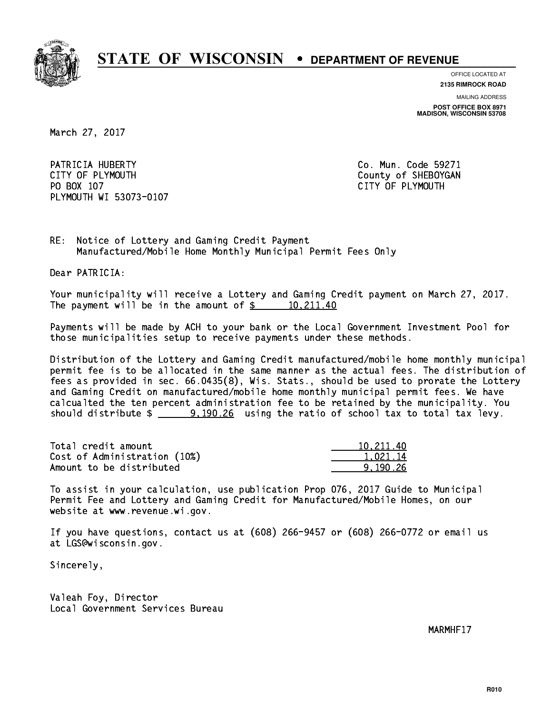

**OFFICE LOCATED AT**

**2135 RIMROCK ROAD**

**MAILING ADDRESS**

**POST OFFICE BOX 8971 MADISON, WISCONSIN 53708**

March 27, 2017

PATRICIA HUBERTY **Co. Mun. Code 59271** CITY OF PLYMOUTH CITY OF PLYMOUTH PO BOX 107 CITY OF PLYMOUTH PLYMOUTH WI 53073-0107

RE: Notice of Lottery and Gaming Credit Payment Manufactured/Mobile Home Monthly Municipal Permit Fees Only

Dear PATRICIA:

 Your municipality will receive a Lottery and Gaming Credit payment on March 27, 2017. The payment will be in the amount of  $\frac{2!1! \cdot 40}{2!1! \cdot 40}$ 

 Payments will be made by ACH to your bank or the Local Government Investment Pool for those municipalities setup to receive payments under these methods.

 Distribution of the Lottery and Gaming Credit manufactured/mobile home monthly municipal permit fee is to be allocated in the same manner as the actual fees. The distribution of fees as provided in sec. 66.0435(8), Wis. Stats., should be used to prorate the Lottery and Gaming Credit on manufactured/mobile home monthly municipal permit fees. We have calcualted the ten percent administration fee to be retained by the municipality. You should distribute  $\frac{20,190.26}{20}$  using the ratio of school tax to total tax levy.

| Total credit amount          | 10.211.40 |
|------------------------------|-----------|
| Cost of Administration (10%) | 1.021.14  |
| Amount to be distributed     | 9.190.26  |

 To assist in your calculation, use publication Prop 076, 2017 Guide to Municipal Permit Fee and Lottery and Gaming Credit for Manufactured/Mobile Homes, on our website at www.revenue.wi.gov.

 If you have questions, contact us at (608) 266-9457 or (608) 266-0772 or email us at LGS@wisconsin.gov.

Sincerely,

 Valeah Foy, Director Local Government Services Bureau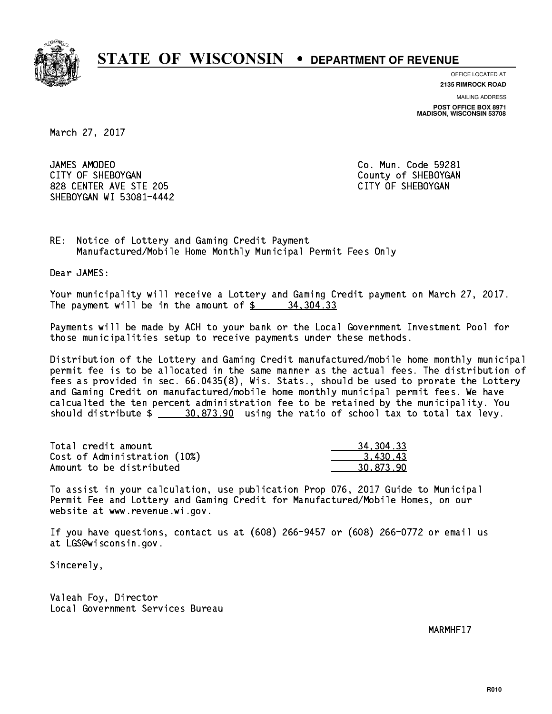

**OFFICE LOCATED AT**

**2135 RIMROCK ROAD**

**MAILING ADDRESS POST OFFICE BOX 8971 MADISON, WISCONSIN 53708**

March 27, 2017

JAMES AMODEO CITY OF SHEBOYGAN COUNTY OF SHEBOYGAN 828 CENTER AVE STE 205 CITY OF SHEBOYGAN SHEBOYGAN WI 53081-4442

Co. Mun. Code 59281

RE: Notice of Lottery and Gaming Credit Payment Manufactured/Mobile Home Monthly Municipal Permit Fees Only

Dear JAMES:

 Your municipality will receive a Lottery and Gaming Credit payment on March 27, 2017. The payment will be in the amount of  $\frac{2}{3}$  34,304.33

 Payments will be made by ACH to your bank or the Local Government Investment Pool for those municipalities setup to receive payments under these methods.

 Distribution of the Lottery and Gaming Credit manufactured/mobile home monthly municipal permit fee is to be allocated in the same manner as the actual fees. The distribution of fees as provided in sec. 66.0435(8), Wis. Stats., should be used to prorate the Lottery and Gaming Credit on manufactured/mobile home monthly municipal permit fees. We have calcualted the ten percent administration fee to be retained by the municipality. You should distribute  $\frac{20.873.90}{20.873.90}$  using the ratio of school tax to total tax levy.

| Total credit amount          | 34, 304, 33 |
|------------------------------|-------------|
| Cost of Administration (10%) | 3.430.43    |
| Amount to be distributed     | 30.873.90   |

 To assist in your calculation, use publication Prop 076, 2017 Guide to Municipal Permit Fee and Lottery and Gaming Credit for Manufactured/Mobile Homes, on our website at www.revenue.wi.gov.

 If you have questions, contact us at (608) 266-9457 or (608) 266-0772 or email us at LGS@wisconsin.gov.

Sincerely,

 Valeah Foy, Director Local Government Services Bureau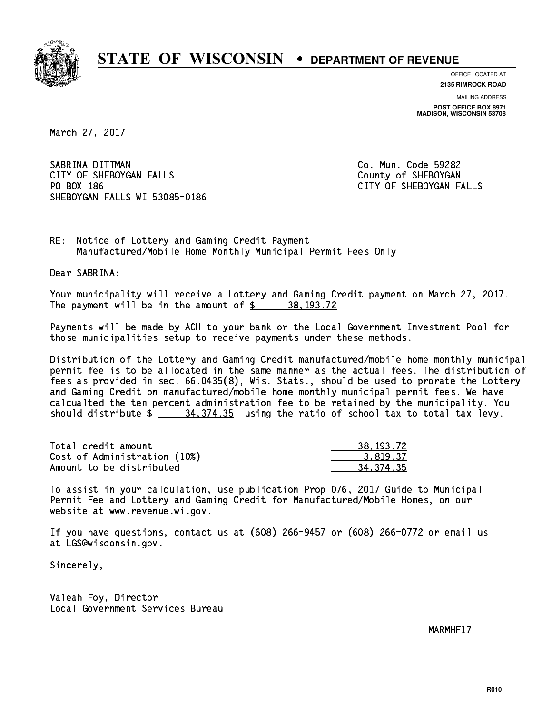

**OFFICE LOCATED AT**

**2135 RIMROCK ROAD**

**MAILING ADDRESS POST OFFICE BOX 8971 MADISON, WISCONSIN 53708**

March 27, 2017

SABRINA DITTMAN CITY OF SHEBOYGAN FALLS COUNTY OF SHEBOYGAN PO BOX 186 SHEBOYGAN FALLS WI 53085-0186

Co. Mun. Code 59282 CITY OF SHEBOYGAN FALLS

RE: Notice of Lottery and Gaming Credit Payment Manufactured/Mobile Home Monthly Municipal Permit Fees Only

Dear SABRINA:

 Your municipality will receive a Lottery and Gaming Credit payment on March 27, 2017. The payment will be in the amount of  $\frac{2}{3}$  38,193.72

 Payments will be made by ACH to your bank or the Local Government Investment Pool for those municipalities setup to receive payments under these methods.

 Distribution of the Lottery and Gaming Credit manufactured/mobile home monthly municipal permit fee is to be allocated in the same manner as the actual fees. The distribution of fees as provided in sec. 66.0435(8), Wis. Stats., should be used to prorate the Lottery and Gaming Credit on manufactured/mobile home monthly municipal permit fees. We have calcualted the ten percent administration fee to be retained by the municipality. You should distribute  $\frac{24.374.35}{24.374.35}$  using the ratio of school tax to total tax levy.

| Total credit amount          | 38, 193, 72 |
|------------------------------|-------------|
| Cost of Administration (10%) | 3.819.37    |
| Amount to be distributed     | 34.374.35   |

 To assist in your calculation, use publication Prop 076, 2017 Guide to Municipal Permit Fee and Lottery and Gaming Credit for Manufactured/Mobile Homes, on our website at www.revenue.wi.gov.

 If you have questions, contact us at (608) 266-9457 or (608) 266-0772 or email us at LGS@wisconsin.gov.

Sincerely,

 Valeah Foy, Director Local Government Services Bureau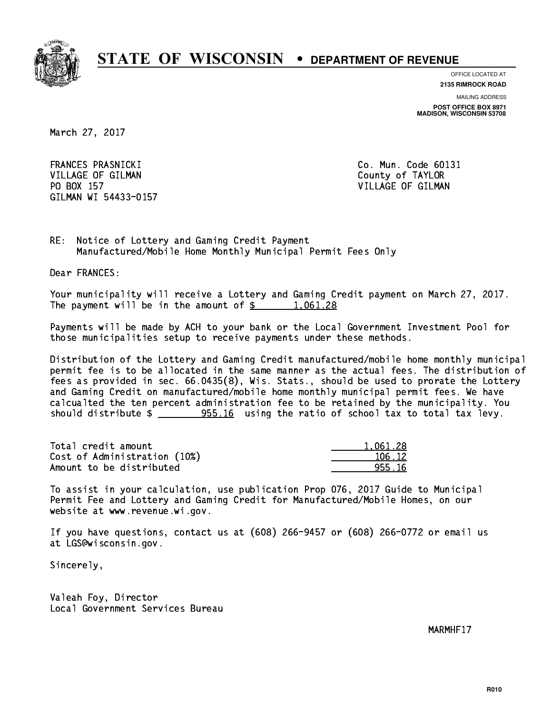

**OFFICE LOCATED AT**

**2135 RIMROCK ROAD**

**MAILING ADDRESS POST OFFICE BOX 8971 MADISON, WISCONSIN 53708**

March 27, 2017

 FRANCES PRASNICKI Co. Mun. Code 60131 VILLAGE OF GILMAN COUNTY OF TAYLOR PO BOX 157 VILLAGE OF GILMAN GILMAN WI 54433-0157

RE: Notice of Lottery and Gaming Credit Payment Manufactured/Mobile Home Monthly Municipal Permit Fees Only

Dear FRANCES:

 Your municipality will receive a Lottery and Gaming Credit payment on March 27, 2017. The payment will be in the amount of  $\frac{2}{3}$  1,061.28

 Payments will be made by ACH to your bank or the Local Government Investment Pool for those municipalities setup to receive payments under these methods.

 Distribution of the Lottery and Gaming Credit manufactured/mobile home monthly municipal permit fee is to be allocated in the same manner as the actual fees. The distribution of fees as provided in sec. 66.0435(8), Wis. Stats., should be used to prorate the Lottery and Gaming Credit on manufactured/mobile home monthly municipal permit fees. We have calcualted the ten percent administration fee to be retained by the municipality. You should distribute  $\frac{1}{2}$   $\frac{955.16}{2}$  using the ratio of school tax to total tax levy.

| Total credit amount          | 1.061.28 |
|------------------------------|----------|
| Cost of Administration (10%) | 106.12   |
| Amount to be distributed     | 955.16   |

 To assist in your calculation, use publication Prop 076, 2017 Guide to Municipal Permit Fee and Lottery and Gaming Credit for Manufactured/Mobile Homes, on our website at www.revenue.wi.gov.

 If you have questions, contact us at (608) 266-9457 or (608) 266-0772 or email us at LGS@wisconsin.gov.

Sincerely,

 Valeah Foy, Director Local Government Services Bureau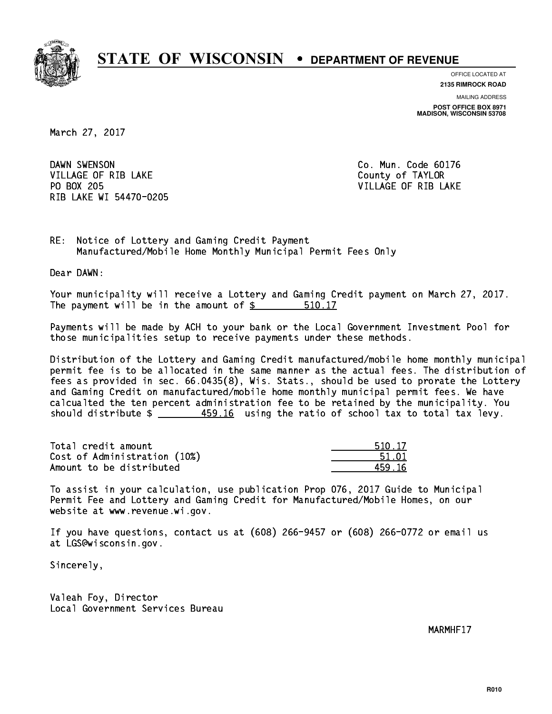

**OFFICE LOCATED AT**

**2135 RIMROCK ROAD**

**MAILING ADDRESS POST OFFICE BOX 8971 MADISON, WISCONSIN 53708**

March 27, 2017

DAWN SWENSON VILLAGE OF RIB LAKE County of TAYLOR PO BOX 205 RIB LAKE WI 54470-0205

Co. Mun. Code 60176 VILLAGE OF RIB LAKE

RE: Notice of Lottery and Gaming Credit Payment Manufactured/Mobile Home Monthly Municipal Permit Fees Only

Dear DAWN:

 Your municipality will receive a Lottery and Gaming Credit payment on March 27, 2017. The payment will be in the amount of \$ 510.17 \_\_\_\_\_\_\_\_\_\_\_\_\_\_\_\_

 Payments will be made by ACH to your bank or the Local Government Investment Pool for those municipalities setup to receive payments under these methods.

 Distribution of the Lottery and Gaming Credit manufactured/mobile home monthly municipal permit fee is to be allocated in the same manner as the actual fees. The distribution of fees as provided in sec. 66.0435(8), Wis. Stats., should be used to prorate the Lottery and Gaming Credit on manufactured/mobile home monthly municipal permit fees. We have calcualted the ten percent administration fee to be retained by the municipality. You should distribute  $\frac{459.16}{10}$  using the ratio of school tax to total tax levy.

| Total credit amount          | 510.17 |
|------------------------------|--------|
| Cost of Administration (10%) | 51.01  |
| Amount to be distributed     | 459.16 |

| N. 17<br>L 1. |
|---------------|
| 51.01         |
| - 16          |

 To assist in your calculation, use publication Prop 076, 2017 Guide to Municipal Permit Fee and Lottery and Gaming Credit for Manufactured/Mobile Homes, on our website at www.revenue.wi.gov.

 If you have questions, contact us at (608) 266-9457 or (608) 266-0772 or email us at LGS@wisconsin.gov.

Sincerely,

 Valeah Foy, Director Local Government Services Bureau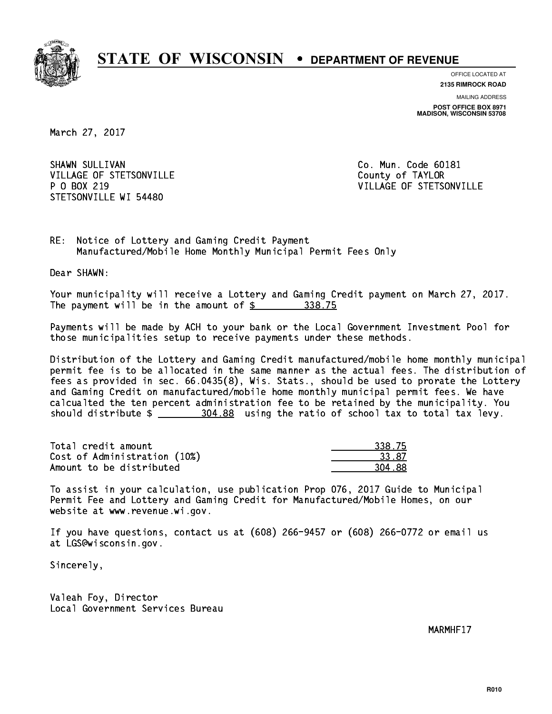

**OFFICE LOCATED AT**

**2135 RIMROCK ROAD**

**MAILING ADDRESS POST OFFICE BOX 8971 MADISON, WISCONSIN 53708**

March 27, 2017

SHAWN SULLIVAN VILLAGE OF STETSONVILLE COUNTY OF TAYLOR P 0 BOX 219 STETSONVILLE WI 54480

Co. Mun. Code 60181 VILLAGE OF STETSONVILLE

RE: Notice of Lottery and Gaming Credit Payment Manufactured/Mobile Home Monthly Municipal Permit Fees Only

Dear SHAWN:

 Your municipality will receive a Lottery and Gaming Credit payment on March 27, 2017. The payment will be in the amount of \$ 338.75 \_\_\_\_\_\_\_\_\_\_\_\_\_\_\_\_

 Payments will be made by ACH to your bank or the Local Government Investment Pool for those municipalities setup to receive payments under these methods.

 Distribution of the Lottery and Gaming Credit manufactured/mobile home monthly municipal permit fee is to be allocated in the same manner as the actual fees. The distribution of fees as provided in sec. 66.0435(8), Wis. Stats., should be used to prorate the Lottery and Gaming Credit on manufactured/mobile home monthly municipal permit fees. We have calcualted the ten percent administration fee to be retained by the municipality. You should distribute  $\frac{204.88}{204.88}$  using the ratio of school tax to total tax levy.

| Total credit amount          | 338.75 |
|------------------------------|--------|
| Cost of Administration (10%) | 33.87  |
| Amount to be distributed     | 304.88 |

 To assist in your calculation, use publication Prop 076, 2017 Guide to Municipal Permit Fee and Lottery and Gaming Credit for Manufactured/Mobile Homes, on our website at www.revenue.wi.gov.

 If you have questions, contact us at (608) 266-9457 or (608) 266-0772 or email us at LGS@wisconsin.gov.

Sincerely,

 Valeah Foy, Director Local Government Services Bureau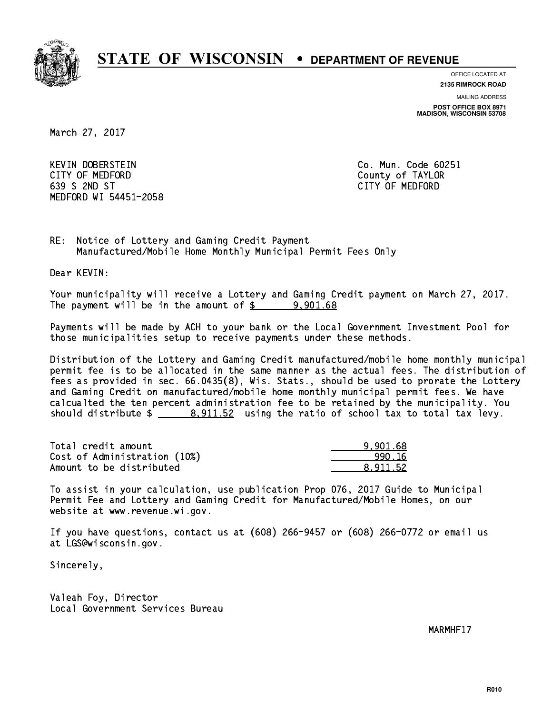

**OFFICE LOCATED AT**

**2135 RIMROCK ROAD**

**MAILING ADDRESS POST OFFICE BOX 8971 MADISON, WISCONSIN 53708**

March 27, 2017

 KEVIN DOBERSTEIN Co. Mun. Code 60251 CITY OF MEDFORD County of TAYLOR 639 S 2ND ST CITY OF MEDFORD MEDFORD WI 54451-2058

RE: Notice of Lottery and Gaming Credit Payment Manufactured/Mobile Home Monthly Municipal Permit Fees Only

Dear KEVIN:

 Your municipality will receive a Lottery and Gaming Credit payment on March 27, 2017. The payment will be in the amount of  $\frac{2}{3}$  9,901.68

 Payments will be made by ACH to your bank or the Local Government Investment Pool for those municipalities setup to receive payments under these methods.

 Distribution of the Lottery and Gaming Credit manufactured/mobile home monthly municipal permit fee is to be allocated in the same manner as the actual fees. The distribution of fees as provided in sec. 66.0435(8), Wis. Stats., should be used to prorate the Lottery and Gaming Credit on manufactured/mobile home monthly municipal permit fees. We have calcualted the ten percent administration fee to be retained by the municipality. You should distribute  $\frac{2}{2}$   $\frac{8,911.52}{2}$  using the ratio of school tax to total tax levy.

| Total credit amount          | 9.901.68 |
|------------------------------|----------|
| Cost of Administration (10%) | 990.16   |
| Amount to be distributed     | 8.911.52 |

 To assist in your calculation, use publication Prop 076, 2017 Guide to Municipal Permit Fee and Lottery and Gaming Credit for Manufactured/Mobile Homes, on our website at www.revenue.wi.gov.

 If you have questions, contact us at (608) 266-9457 or (608) 266-0772 or email us at LGS@wisconsin.gov.

Sincerely,

 Valeah Foy, Director Local Government Services Bureau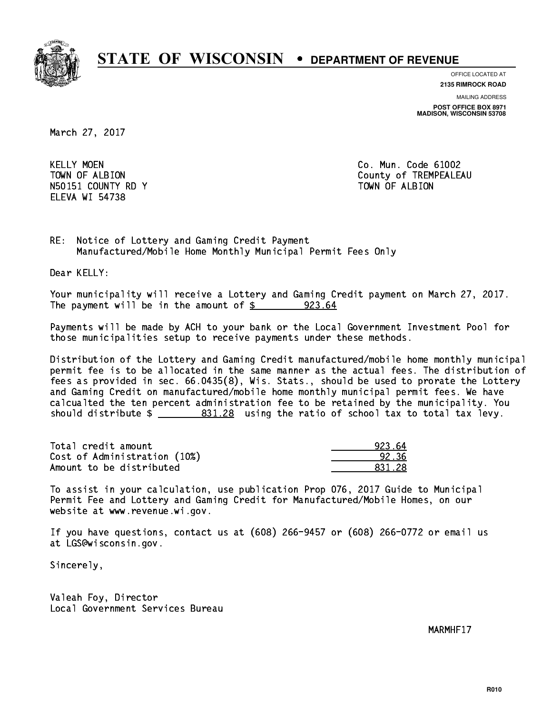

**OFFICE LOCATED AT**

**2135 RIMROCK ROAD**

**MAILING ADDRESS POST OFFICE BOX 8971 MADISON, WISCONSIN 53708**

March 27, 2017

**KELLY MOEN** N50151 COUNTY RD Y TOWN OF ALBION ELEVA WI 54738

Co. Mun. Code 61002 TOWN OF ALBION COUNTY OF TREMPEALEAU

RE: Notice of Lottery and Gaming Credit Payment Manufactured/Mobile Home Monthly Municipal Permit Fees Only

Dear KELLY:

 Your municipality will receive a Lottery and Gaming Credit payment on March 27, 2017. The payment will be in the amount of  $\frac{203.64}{200}$ 

 Payments will be made by ACH to your bank or the Local Government Investment Pool for those municipalities setup to receive payments under these methods.

 Distribution of the Lottery and Gaming Credit manufactured/mobile home monthly municipal permit fee is to be allocated in the same manner as the actual fees. The distribution of fees as provided in sec. 66.0435(8), Wis. Stats., should be used to prorate the Lottery and Gaming Credit on manufactured/mobile home monthly municipal permit fees. We have calcualted the ten percent administration fee to be retained by the municipality. You should distribute  $\frac{25}{2}$   $\frac{831.28}{2}$  using the ratio of school tax to total tax levy.

| Total credit amount          | 923.64 |
|------------------------------|--------|
| Cost of Administration (10%) | 92.36  |
| Amount to be distributed     | 831.28 |

| 923.64 |
|--------|
| 12-36  |
| 831.28 |

 To assist in your calculation, use publication Prop 076, 2017 Guide to Municipal Permit Fee and Lottery and Gaming Credit for Manufactured/Mobile Homes, on our website at www.revenue.wi.gov.

 If you have questions, contact us at (608) 266-9457 or (608) 266-0772 or email us at LGS@wisconsin.gov.

Sincerely,

 Valeah Foy, Director Local Government Services Bureau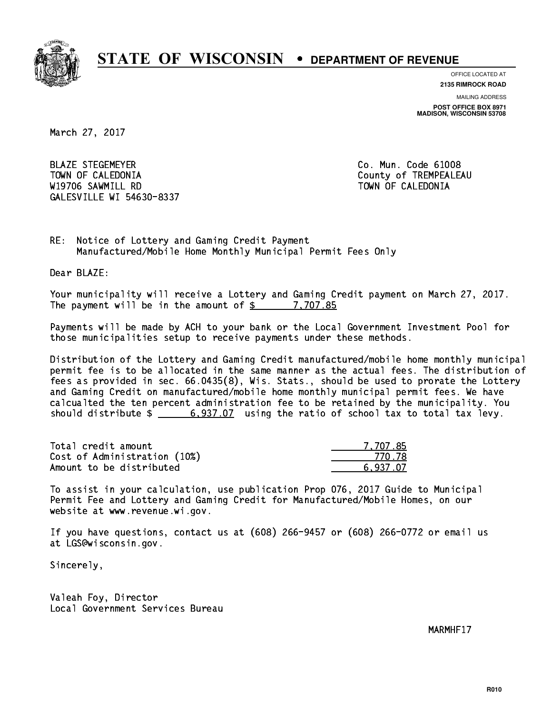

**OFFICE LOCATED AT**

**2135 RIMROCK ROAD**

**MAILING ADDRESS POST OFFICE BOX 8971 MADISON, WISCONSIN 53708**

March 27, 2017

 BLAZE STEGEMEYER Co. Mun. Code 61008 TOWN OF CALEDONIA County of TREMPEALEAU W19706 SAWMILL RD TOWN OF CALEDONIA GALESVILLE WI 54630-8337

RE: Notice of Lottery and Gaming Credit Payment Manufactured/Mobile Home Monthly Municipal Permit Fees Only

Dear BLAZE:

 Your municipality will receive a Lottery and Gaming Credit payment on March 27, 2017. The payment will be in the amount of  $\frac{2}{3}$  7,707.85

 Payments will be made by ACH to your bank or the Local Government Investment Pool for those municipalities setup to receive payments under these methods.

 Distribution of the Lottery and Gaming Credit manufactured/mobile home monthly municipal permit fee is to be allocated in the same manner as the actual fees. The distribution of fees as provided in sec. 66.0435(8), Wis. Stats., should be used to prorate the Lottery and Gaming Credit on manufactured/mobile home monthly municipal permit fees. We have calcualted the ten percent administration fee to be retained by the municipality. You should distribute  $\frac{2}{1}$   $\frac{6,937.07}{2}$  using the ratio of school tax to total tax levy.

| Total credit amount          | 7.707.85 |
|------------------------------|----------|
| Cost of Administration (10%) | 770.78   |
| Amount to be distributed     | 6.937.07 |

 To assist in your calculation, use publication Prop 076, 2017 Guide to Municipal Permit Fee and Lottery and Gaming Credit for Manufactured/Mobile Homes, on our website at www.revenue.wi.gov.

 If you have questions, contact us at (608) 266-9457 or (608) 266-0772 or email us at LGS@wisconsin.gov.

Sincerely,

 Valeah Foy, Director Local Government Services Bureau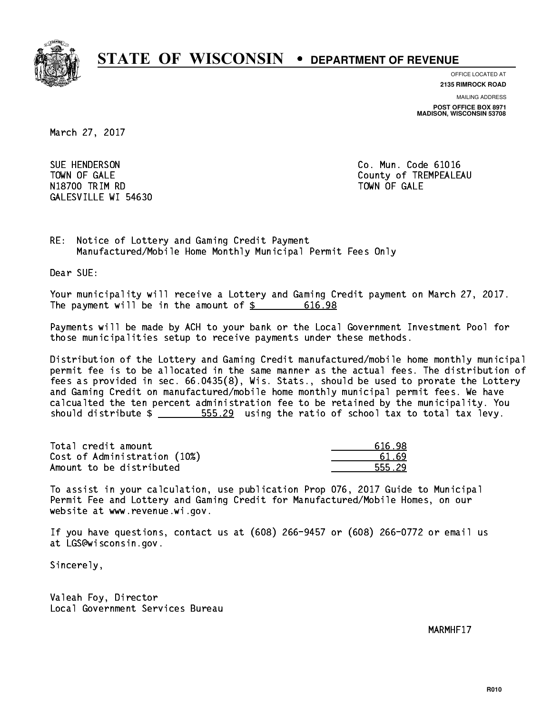

**OFFICE LOCATED AT**

**2135 RIMROCK ROAD**

**MAILING ADDRESS POST OFFICE BOX 8971 MADISON, WISCONSIN 53708**

March 27, 2017

SUE HENDERSON N1880 TRIM RD TOWN OF GALERY COMPUTER STATES OF GALERY COMPUTER STATES OF GALERY COMPUTER STATES OF GALERY COMPUTERS GALESVILLE WI 54630

Co. Mun. Code 61016 TOWN OF GALE **COUNTY OF SALE** TOWN OF GALE

RE: Notice of Lottery and Gaming Credit Payment Manufactured/Mobile Home Monthly Municipal Permit Fees Only

Dear SUE:

 Your municipality will receive a Lottery and Gaming Credit payment on March 27, 2017. The payment will be in the amount of  $\frac{2}{3}$  616.98

 Payments will be made by ACH to your bank or the Local Government Investment Pool for those municipalities setup to receive payments under these methods.

 Distribution of the Lottery and Gaming Credit manufactured/mobile home monthly municipal permit fee is to be allocated in the same manner as the actual fees. The distribution of fees as provided in sec. 66.0435(8), Wis. Stats., should be used to prorate the Lottery and Gaming Credit on manufactured/mobile home monthly municipal permit fees. We have calcualted the ten percent administration fee to be retained by the municipality. You should distribute  $\frac{255.29}{2}$  using the ratio of school tax to total tax levy.

Total credit amount Cost of Administration (10%) Amount to be distributed

| ۱8     |
|--------|
| 61.69  |
| 555.29 |

 To assist in your calculation, use publication Prop 076, 2017 Guide to Municipal Permit Fee and Lottery and Gaming Credit for Manufactured/Mobile Homes, on our website at www.revenue.wi.gov.

 If you have questions, contact us at (608) 266-9457 or (608) 266-0772 or email us at LGS@wisconsin.gov.

Sincerely,

 Valeah Foy, Director Local Government Services Bureau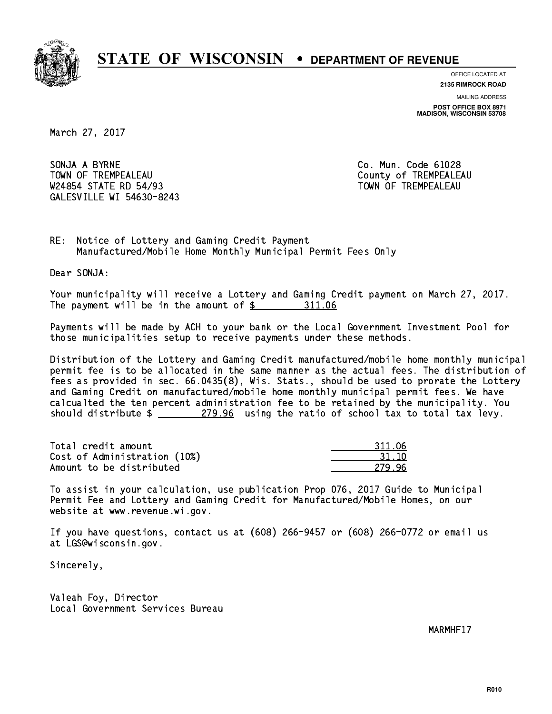

**OFFICE LOCATED AT**

**2135 RIMROCK ROAD**

**MAILING ADDRESS POST OFFICE BOX 8971 MADISON, WISCONSIN 53708**

March 27, 2017

SONJA A BYRNE CO. Mun. Code 61028 TOWN OF TREMPEALEAU **TOWA COUNTY OF TREMPEALEAU** W24854 STATE RD 54/93 TOWN OF TREMPEALEAU GALESVILLE WI 54630-8243

RE: Notice of Lottery and Gaming Credit Payment Manufactured/Mobile Home Monthly Municipal Permit Fees Only

Dear SONJA:

 Your municipality will receive a Lottery and Gaming Credit payment on March 27, 2017. The payment will be in the amount of \$ 311.06 \_\_\_\_\_\_\_\_\_\_\_\_\_\_\_\_

 Payments will be made by ACH to your bank or the Local Government Investment Pool for those municipalities setup to receive payments under these methods.

 Distribution of the Lottery and Gaming Credit manufactured/mobile home monthly municipal permit fee is to be allocated in the same manner as the actual fees. The distribution of fees as provided in sec. 66.0435(8), Wis. Stats., should be used to prorate the Lottery and Gaming Credit on manufactured/mobile home monthly municipal permit fees. We have calcualted the ten percent administration fee to be retained by the municipality. You should distribute  $\frac{279.96}{279.96}$  using the ratio of school tax to total tax levy.

Total credit amount Cost of Administration (10%) Amount to be distributed

| 31 L L |
|--------|
| חו ו   |
| 27     |

 To assist in your calculation, use publication Prop 076, 2017 Guide to Municipal Permit Fee and Lottery and Gaming Credit for Manufactured/Mobile Homes, on our website at www.revenue.wi.gov.

 If you have questions, contact us at (608) 266-9457 or (608) 266-0772 or email us at LGS@wisconsin.gov.

Sincerely,

 Valeah Foy, Director Local Government Services Bureau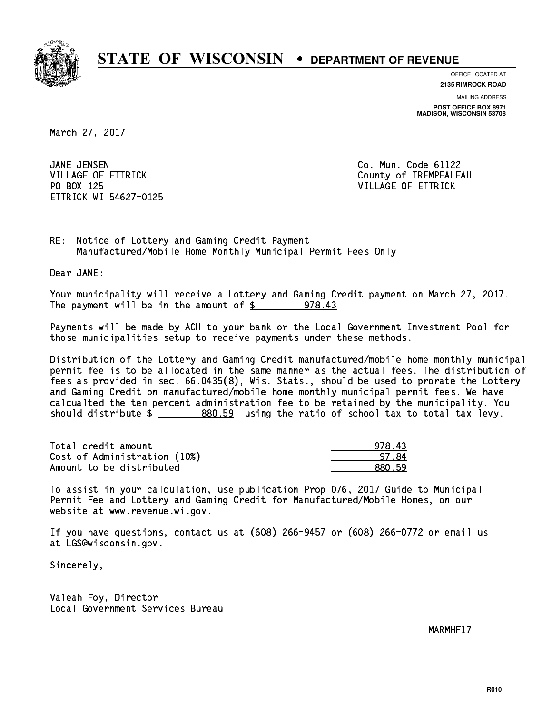

**OFFICE LOCATED AT**

**2135 RIMROCK ROAD**

**MAILING ADDRESS POST OFFICE BOX 8971 MADISON, WISCONSIN 53708**

March 27, 2017

JANE JENSEN PO BOX 125 VILLAGE OF ETTRICK ETTRICK WI 54627-0125

Co. Mun. Code 61122 VILLAGE OF ETTRICK County of TREMPEALEAU

RE: Notice of Lottery and Gaming Credit Payment Manufactured/Mobile Home Monthly Municipal Permit Fees Only

Dear JANE:

 Your municipality will receive a Lottery and Gaming Credit payment on March 27, 2017. The payment will be in the amount of  $\frac{2}{3}$  978.43

 Payments will be made by ACH to your bank or the Local Government Investment Pool for those municipalities setup to receive payments under these methods.

 Distribution of the Lottery and Gaming Credit manufactured/mobile home monthly municipal permit fee is to be allocated in the same manner as the actual fees. The distribution of fees as provided in sec. 66.0435(8), Wis. Stats., should be used to prorate the Lottery and Gaming Credit on manufactured/mobile home monthly municipal permit fees. We have calcualted the ten percent administration fee to be retained by the municipality. You should distribute  $\frac{2}{2}$   $\frac{880.59}{2}$  using the ratio of school tax to total tax levy.

| Total credit amount          | 978.43 |
|------------------------------|--------|
| Cost of Administration (10%) | 97.84  |
| Amount to be distributed     | 880.59 |

 To assist in your calculation, use publication Prop 076, 2017 Guide to Municipal Permit Fee and Lottery and Gaming Credit for Manufactured/Mobile Homes, on our website at www.revenue.wi.gov.

 If you have questions, contact us at (608) 266-9457 or (608) 266-0772 or email us at LGS@wisconsin.gov.

Sincerely,

 Valeah Foy, Director Local Government Services Bureau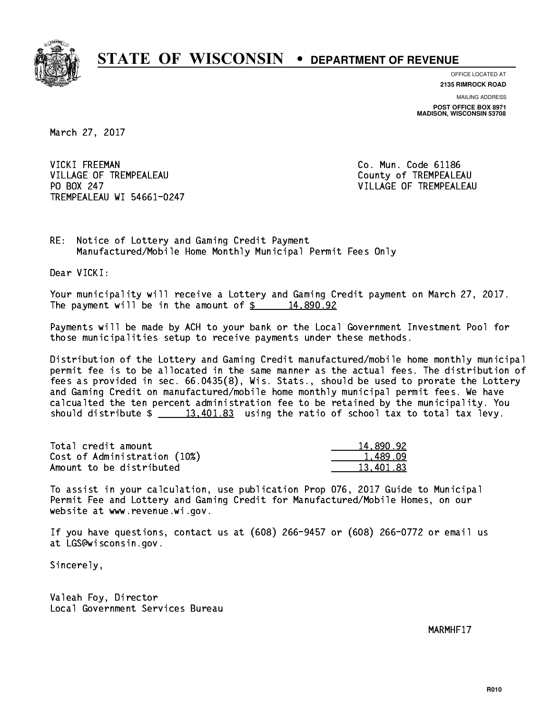

**OFFICE LOCATED AT**

**2135 RIMROCK ROAD**

**MAILING ADDRESS POST OFFICE BOX 8971 MADISON, WISCONSIN 53708**

March 27, 2017

VICKI FREEMAN VILLAGE OF TREMPEALEAU County of TREMPEALEAU PO BOX 247 TREMPEALEAU WI 54661-0247

Co. Mun. Code 61186 VILLAGE OF TREMPEALEAU

RE: Notice of Lottery and Gaming Credit Payment Manufactured/Mobile Home Monthly Municipal Permit Fees Only

Dear VICKI:

 Your municipality will receive a Lottery and Gaming Credit payment on March 27, 2017. The payment will be in the amount of  $\frac{2}{3}$  14,890.92

 Payments will be made by ACH to your bank or the Local Government Investment Pool for those municipalities setup to receive payments under these methods.

 Distribution of the Lottery and Gaming Credit manufactured/mobile home monthly municipal permit fee is to be allocated in the same manner as the actual fees. The distribution of fees as provided in sec. 66.0435(8), Wis. Stats., should be used to prorate the Lottery and Gaming Credit on manufactured/mobile home monthly municipal permit fees. We have calcualted the ten percent administration fee to be retained by the municipality. You should distribute  $\frac{2}{13,401.83}$  using the ratio of school tax to total tax levy.

| Total credit amount          | 14,890.92 |
|------------------------------|-----------|
| Cost of Administration (10%) | 1.489.09  |
| Amount to be distributed     | 13.401.83 |

 To assist in your calculation, use publication Prop 076, 2017 Guide to Municipal Permit Fee and Lottery and Gaming Credit for Manufactured/Mobile Homes, on our website at www.revenue.wi.gov.

 If you have questions, contact us at (608) 266-9457 or (608) 266-0772 or email us at LGS@wisconsin.gov.

Sincerely,

 Valeah Foy, Director Local Government Services Bureau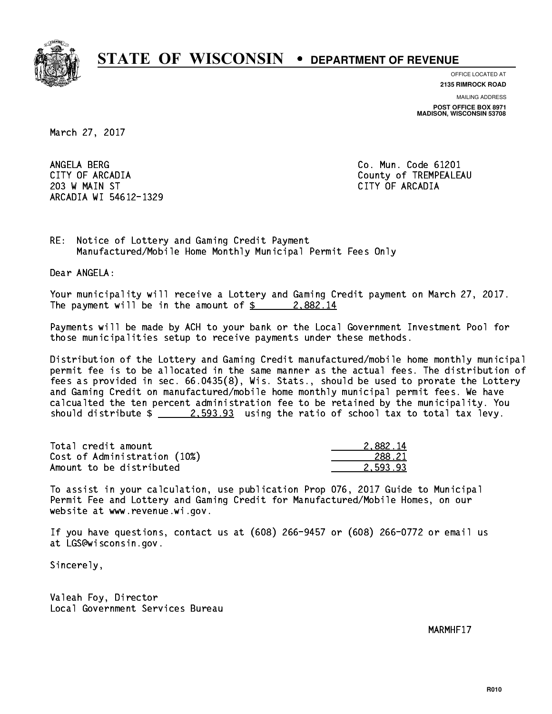

**OFFICE LOCATED AT**

**2135 RIMROCK ROAD**

**MAILING ADDRESS POST OFFICE BOX 8971 MADISON, WISCONSIN 53708**

March 27, 2017

ANGELA BERG 203 W MAIN ST CITY OF ARCADIA ARCADIA WI 54612-1329

Co. Mun. Code 61201 CITY OF ARCADIA COUNTY OF ARCADIA

RE: Notice of Lottery and Gaming Credit Payment Manufactured/Mobile Home Monthly Municipal Permit Fees Only

Dear ANGELA:

 Your municipality will receive a Lottery and Gaming Credit payment on March 27, 2017. The payment will be in the amount of  $\frac{2}{3}$  2,882.14

 Payments will be made by ACH to your bank or the Local Government Investment Pool for those municipalities setup to receive payments under these methods.

 Distribution of the Lottery and Gaming Credit manufactured/mobile home monthly municipal permit fee is to be allocated in the same manner as the actual fees. The distribution of fees as provided in sec. 66.0435(8), Wis. Stats., should be used to prorate the Lottery and Gaming Credit on manufactured/mobile home monthly municipal permit fees. We have calcualted the ten percent administration fee to be retained by the municipality. You should distribute  $\frac{2.593.93}{2.593.93}$  using the ratio of school tax to total tax levy.

| Total credit amount          | 2.882.14 |
|------------------------------|----------|
| Cost of Administration (10%) | 288.21   |
| Amount to be distributed     | 2.593.93 |

 To assist in your calculation, use publication Prop 076, 2017 Guide to Municipal Permit Fee and Lottery and Gaming Credit for Manufactured/Mobile Homes, on our website at www.revenue.wi.gov.

 If you have questions, contact us at (608) 266-9457 or (608) 266-0772 or email us at LGS@wisconsin.gov.

Sincerely,

 Valeah Foy, Director Local Government Services Bureau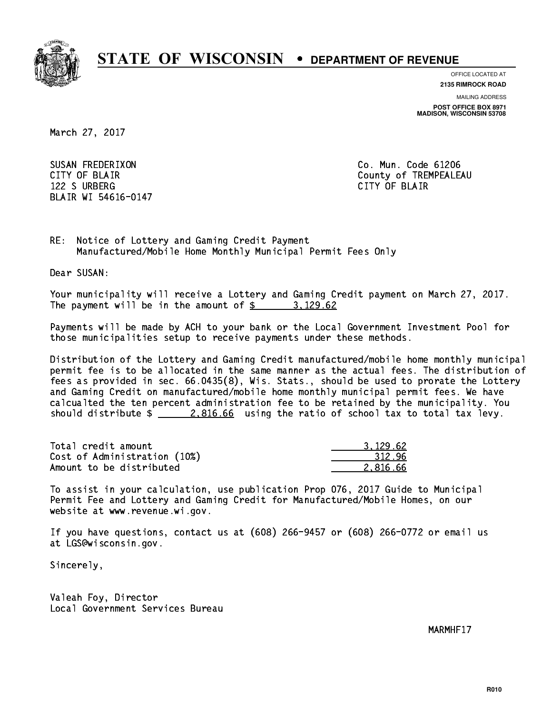

**OFFICE LOCATED AT**

**2135 RIMROCK ROAD**

**MAILING ADDRESS**

**POST OFFICE BOX 8971 MADISON, WISCONSIN 53708**

March 27, 2017

 SUSAN FREDERIXON Co. Mun. Code 61206 122 S URBERG CITY OF BLAIR BLAIR WI 54616-0147

CITY OF BLAIR COUNTY OF BLAIR

RE: Notice of Lottery and Gaming Credit Payment Manufactured/Mobile Home Monthly Municipal Permit Fees Only

Dear SUSAN:

 Your municipality will receive a Lottery and Gaming Credit payment on March 27, 2017. The payment will be in the amount of \$ 3,129.62 \_\_\_\_\_\_\_\_\_\_\_\_\_\_\_\_

 Payments will be made by ACH to your bank or the Local Government Investment Pool for those municipalities setup to receive payments under these methods.

 Distribution of the Lottery and Gaming Credit manufactured/mobile home monthly municipal permit fee is to be allocated in the same manner as the actual fees. The distribution of fees as provided in sec. 66.0435(8), Wis. Stats., should be used to prorate the Lottery and Gaming Credit on manufactured/mobile home monthly municipal permit fees. We have calcualted the ten percent administration fee to be retained by the municipality. You should distribute  $\frac{2.816.66}{2.816.66}$  using the ratio of school tax to total tax levy.

| Total credit amount          | 3.129.62 |
|------------------------------|----------|
| Cost of Administration (10%) | 312.96   |
| Amount to be distributed     | 2.816.66 |

 To assist in your calculation, use publication Prop 076, 2017 Guide to Municipal Permit Fee and Lottery and Gaming Credit for Manufactured/Mobile Homes, on our website at www.revenue.wi.gov.

 If you have questions, contact us at (608) 266-9457 or (608) 266-0772 or email us at LGS@wisconsin.gov.

Sincerely,

 Valeah Foy, Director Local Government Services Bureau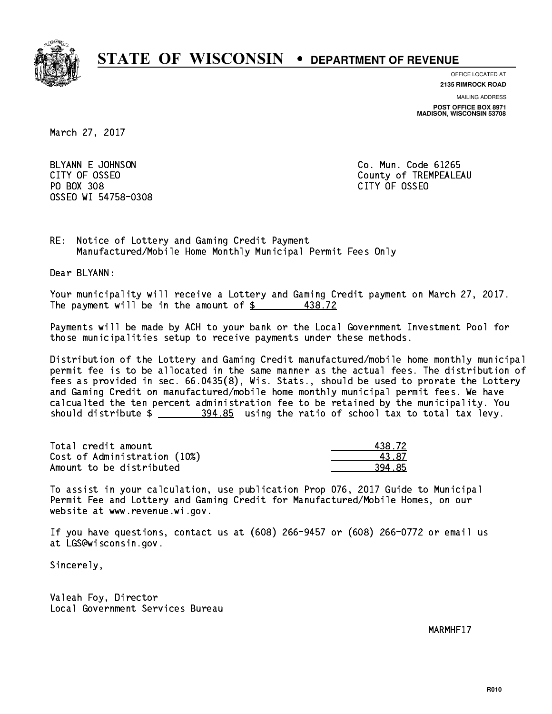

**OFFICE LOCATED AT**

**2135 RIMROCK ROAD**

**MAILING ADDRESS**

**POST OFFICE BOX 8971 MADISON, WISCONSIN 53708**

March 27, 2017

BLYANN E JOHNSON CO. Mun. Code 61265 PO BOX 308 PO BOX 308 CITY OF OSSEO OSSEO WI 54758-0308

CITY OF OSSEO COUNTY OF OSSEO

RE: Notice of Lottery and Gaming Credit Payment Manufactured/Mobile Home Monthly Municipal Permit Fees Only

Dear BLYANN:

 Your municipality will receive a Lottery and Gaming Credit payment on March 27, 2017. The payment will be in the amount of  $\frac{2}{3}$  438.72

 Payments will be made by ACH to your bank or the Local Government Investment Pool for those municipalities setup to receive payments under these methods.

 Distribution of the Lottery and Gaming Credit manufactured/mobile home monthly municipal permit fee is to be allocated in the same manner as the actual fees. The distribution of fees as provided in sec. 66.0435(8), Wis. Stats., should be used to prorate the Lottery and Gaming Credit on manufactured/mobile home monthly municipal permit fees. We have calcualted the ten percent administration fee to be retained by the municipality. You should distribute  $\frac{204.85}{200}$  using the ratio of school tax to total tax levy.

| Total credit amount          | 438.72 |
|------------------------------|--------|
| Cost of Administration (10%) | 43.87  |
| Amount to be distributed     | 394.85 |

| 3.72 |
|------|
| 8.87 |
| ᠈ᄃ   |

 To assist in your calculation, use publication Prop 076, 2017 Guide to Municipal Permit Fee and Lottery and Gaming Credit for Manufactured/Mobile Homes, on our website at www.revenue.wi.gov.

 If you have questions, contact us at (608) 266-9457 or (608) 266-0772 or email us at LGS@wisconsin.gov.

Sincerely,

 Valeah Foy, Director Local Government Services Bureau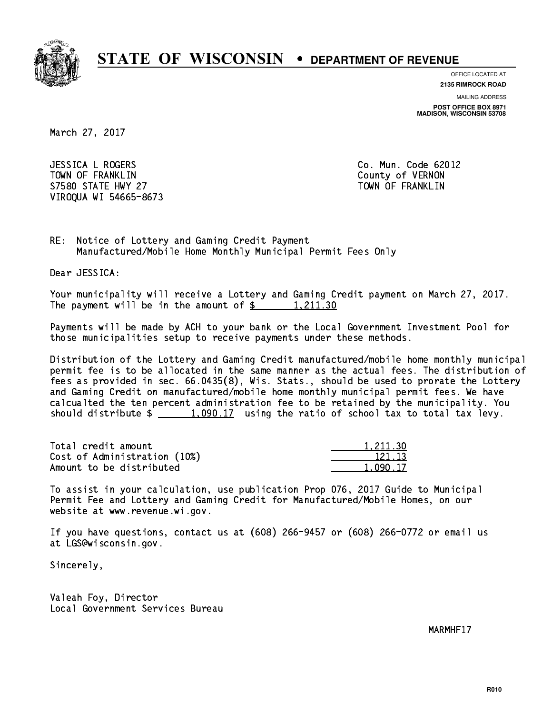

**OFFICE LOCATED AT**

**2135 RIMROCK ROAD**

**MAILING ADDRESS POST OFFICE BOX 8971 MADISON, WISCONSIN 53708**

March 27, 2017

 JESSICA L ROGERS Co. Mun. Code 62012 TOWN OF FRANKLIN County of VERNON S7580 STATE HWY 27 TOWN OF FRANKLIN VIROQUA WI 54665-8673

RE: Notice of Lottery and Gaming Credit Payment Manufactured/Mobile Home Monthly Municipal Permit Fees Only

Dear JESSICA:

 Your municipality will receive a Lottery and Gaming Credit payment on March 27, 2017. The payment will be in the amount of  $\frac{2!}{2!} \cdot \frac{1,211.30}{2!}$ 

 Payments will be made by ACH to your bank or the Local Government Investment Pool for those municipalities setup to receive payments under these methods.

 Distribution of the Lottery and Gaming Credit manufactured/mobile home monthly municipal permit fee is to be allocated in the same manner as the actual fees. The distribution of fees as provided in sec. 66.0435(8), Wis. Stats., should be used to prorate the Lottery and Gaming Credit on manufactured/mobile home monthly municipal permit fees. We have calcualted the ten percent administration fee to be retained by the municipality. You should distribute  $\frac{1,090.17}{1,090.17}$  using the ratio of school tax to total tax levy.

| Total credit amount          | 1,211,30 |
|------------------------------|----------|
| Cost of Administration (10%) | 121.13   |
| Amount to be distributed     | 1.090.17 |

| -211-3          |
|-----------------|
| 21 13           |
| $\overline{17}$ |

 To assist in your calculation, use publication Prop 076, 2017 Guide to Municipal Permit Fee and Lottery and Gaming Credit for Manufactured/Mobile Homes, on our website at www.revenue.wi.gov.

 If you have questions, contact us at (608) 266-9457 or (608) 266-0772 or email us at LGS@wisconsin.gov.

Sincerely,

 Valeah Foy, Director Local Government Services Bureau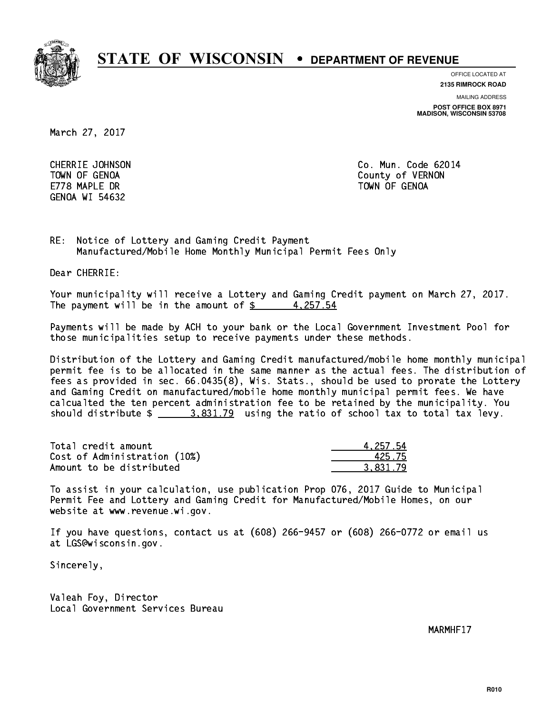

**OFFICE LOCATED AT**

**2135 RIMROCK ROAD**

**MAILING ADDRESS**

**POST OFFICE BOX 8971 MADISON, WISCONSIN 53708**

March 27, 2017

E778 MAPLE DR TOWN OF GENOA GENOA WI 54632

 CHERRIE JOHNSON Co. Mun. Code 62014 TOWN OF GENOA County of VERNON

RE: Notice of Lottery and Gaming Credit Payment Manufactured/Mobile Home Monthly Municipal Permit Fees Only

Dear CHERRIE:

 Your municipality will receive a Lottery and Gaming Credit payment on March 27, 2017. The payment will be in the amount of  $\frac{25}{4}$ , 4,257.54

 Payments will be made by ACH to your bank or the Local Government Investment Pool for those municipalities setup to receive payments under these methods.

 Distribution of the Lottery and Gaming Credit manufactured/mobile home monthly municipal permit fee is to be allocated in the same manner as the actual fees. The distribution of fees as provided in sec. 66.0435(8), Wis. Stats., should be used to prorate the Lottery and Gaming Credit on manufactured/mobile home monthly municipal permit fees. We have calcualted the ten percent administration fee to be retained by the municipality. You should distribute  $\frac{2.831.79}{2.831.79}$  using the ratio of school tax to total tax levy.

| Total credit amount          | 4.257.54 |
|------------------------------|----------|
| Cost of Administration (10%) | 425.75   |
| Amount to be distributed     | 3.831.79 |

 To assist in your calculation, use publication Prop 076, 2017 Guide to Municipal Permit Fee and Lottery and Gaming Credit for Manufactured/Mobile Homes, on our website at www.revenue.wi.gov.

 If you have questions, contact us at (608) 266-9457 or (608) 266-0772 or email us at LGS@wisconsin.gov.

Sincerely,

 Valeah Foy, Director Local Government Services Bureau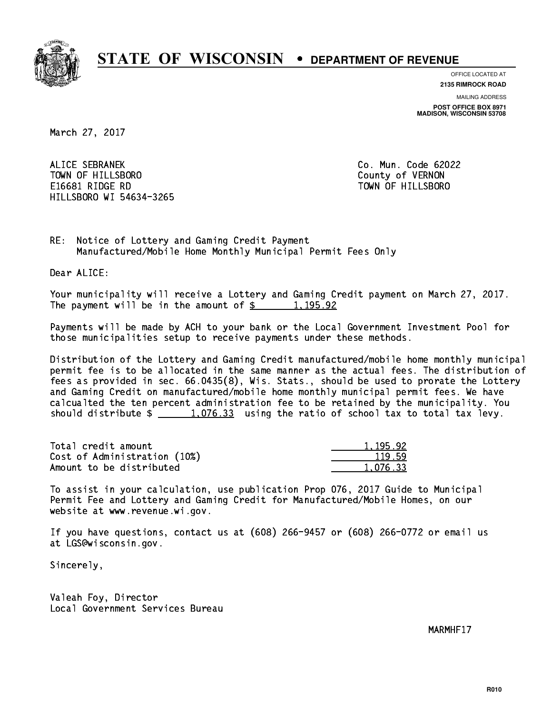

**OFFICE LOCATED AT 2135 RIMROCK ROAD**

**MAILING ADDRESS POST OFFICE BOX 8971 MADISON, WISCONSIN 53708**

March 27, 2017

 ALICE SEBRANEK Co. Mun. Code 62022 TOWN OF HILLSBORO County of VERNON E16681 RIDGE RD TOWN OF HILLSBORO HILLSBORO WI 54634-3265

RE: Notice of Lottery and Gaming Credit Payment Manufactured/Mobile Home Monthly Municipal Permit Fees Only

Dear ALICE:

 Your municipality will receive a Lottery and Gaming Credit payment on March 27, 2017. The payment will be in the amount of  $\frac{2}{3}$  1,195.92

 Payments will be made by ACH to your bank or the Local Government Investment Pool for those municipalities setup to receive payments under these methods.

 Distribution of the Lottery and Gaming Credit manufactured/mobile home monthly municipal permit fee is to be allocated in the same manner as the actual fees. The distribution of fees as provided in sec. 66.0435(8), Wis. Stats., should be used to prorate the Lottery and Gaming Credit on manufactured/mobile home monthly municipal permit fees. We have calcualted the ten percent administration fee to be retained by the municipality. You should distribute  $\frac{1076.33}{1076.33}$  using the ratio of school tax to total tax levy.

| Total credit amount          | 1.195.92 |
|------------------------------|----------|
| Cost of Administration (10%) | 119.59   |
| Amount to be distributed     | 1.076.33 |

 To assist in your calculation, use publication Prop 076, 2017 Guide to Municipal Permit Fee and Lottery and Gaming Credit for Manufactured/Mobile Homes, on our website at www.revenue.wi.gov.

 If you have questions, contact us at (608) 266-9457 or (608) 266-0772 or email us at LGS@wisconsin.gov.

Sincerely,

 Valeah Foy, Director Local Government Services Bureau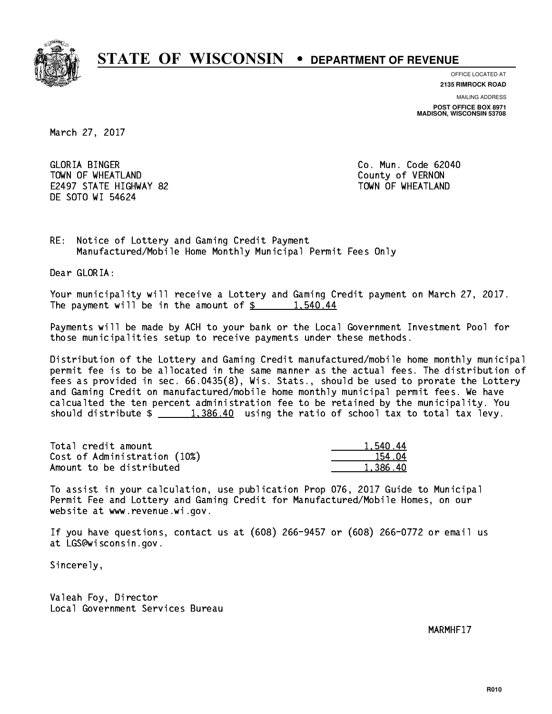

**OFFICE LOCATED AT**

**2135 RIMROCK ROAD**

**MAILING ADDRESS POST OFFICE BOX 8971 MADISON, WISCONSIN 53708**

March 27, 2017

GLORIA BINGER TOWN OF WHEATLAND County of VERNON E2497 STATE HIGHWAY 82 TOWN OF WHEATLAND DE SOTO WI 54624

Co. Mun. Code 62040

RE: Notice of Lottery and Gaming Credit Payment Manufactured/Mobile Home Monthly Municipal Permit Fees Only

Dear GLORIA:

 Your municipality will receive a Lottery and Gaming Credit payment on March 27, 2017. The payment will be in the amount of  $\frac{2}{3}$  1,540.44

 Payments will be made by ACH to your bank or the Local Government Investment Pool for those municipalities setup to receive payments under these methods.

 Distribution of the Lottery and Gaming Credit manufactured/mobile home monthly municipal permit fee is to be allocated in the same manner as the actual fees. The distribution of fees as provided in sec. 66.0435(8), Wis. Stats., should be used to prorate the Lottery and Gaming Credit on manufactured/mobile home monthly municipal permit fees. We have calcualted the ten percent administration fee to be retained by the municipality. You should distribute  $\frac{1,386.40}{1,386.40}$  using the ratio of school tax to total tax levy.

| Total credit amount          | 1,540.44 |
|------------------------------|----------|
| Cost of Administration (10%) | 154.04   |
| Amount to be distributed     | 1,386.40 |

 To assist in your calculation, use publication Prop 076, 2017 Guide to Municipal Permit Fee and Lottery and Gaming Credit for Manufactured/Mobile Homes, on our website at www.revenue.wi.gov.

 If you have questions, contact us at (608) 266-9457 or (608) 266-0772 or email us at LGS@wisconsin.gov.

Sincerely,

 Valeah Foy, Director Local Government Services Bureau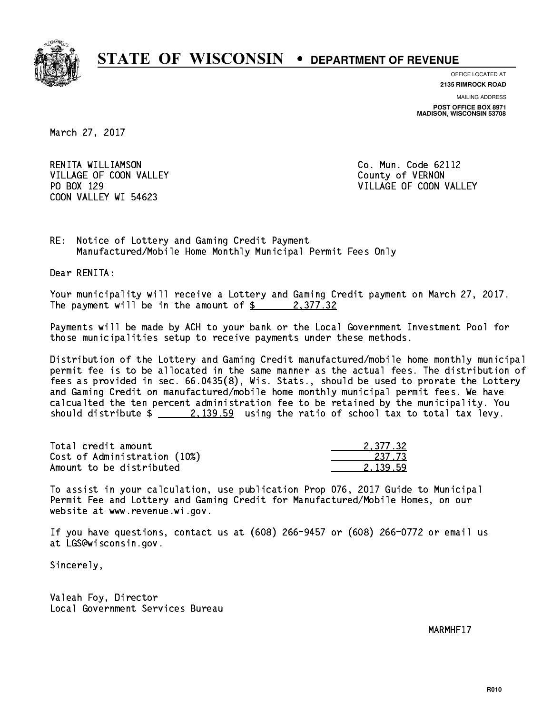

**OFFICE LOCATED AT**

**2135 RIMROCK ROAD**

**MAILING ADDRESS POST OFFICE BOX 8971 MADISON, WISCONSIN 53708**

March 27, 2017

 RENITA WILLIAMSON Co. Mun. Code 62112 VILLAGE OF COON VALLEY COUNTY OF VERNON PO BOX 129 COON VALLEY WI 54623

VILLAGE OF COON VALLEY

RE: Notice of Lottery and Gaming Credit Payment Manufactured/Mobile Home Monthly Municipal Permit Fees Only

Dear RENITA:

 Your municipality will receive a Lottery and Gaming Credit payment on March 27, 2017. The payment will be in the amount of  $\frac{2}{3}$  2,377.32

 Payments will be made by ACH to your bank or the Local Government Investment Pool for those municipalities setup to receive payments under these methods.

 Distribution of the Lottery and Gaming Credit manufactured/mobile home monthly municipal permit fee is to be allocated in the same manner as the actual fees. The distribution of fees as provided in sec. 66.0435(8), Wis. Stats., should be used to prorate the Lottery and Gaming Credit on manufactured/mobile home monthly municipal permit fees. We have calcualted the ten percent administration fee to be retained by the municipality. You should distribute  $\frac{2.139.59}{2.139.59}$  using the ratio of school tax to total tax levy.

| Total credit amount          | 2.377.32 |
|------------------------------|----------|
| Cost of Administration (10%) | -237.73  |
| Amount to be distributed     | 2.139.59 |

 To assist in your calculation, use publication Prop 076, 2017 Guide to Municipal Permit Fee and Lottery and Gaming Credit for Manufactured/Mobile Homes, on our website at www.revenue.wi.gov.

 If you have questions, contact us at (608) 266-9457 or (608) 266-0772 or email us at LGS@wisconsin.gov.

Sincerely,

 Valeah Foy, Director Local Government Services Bureau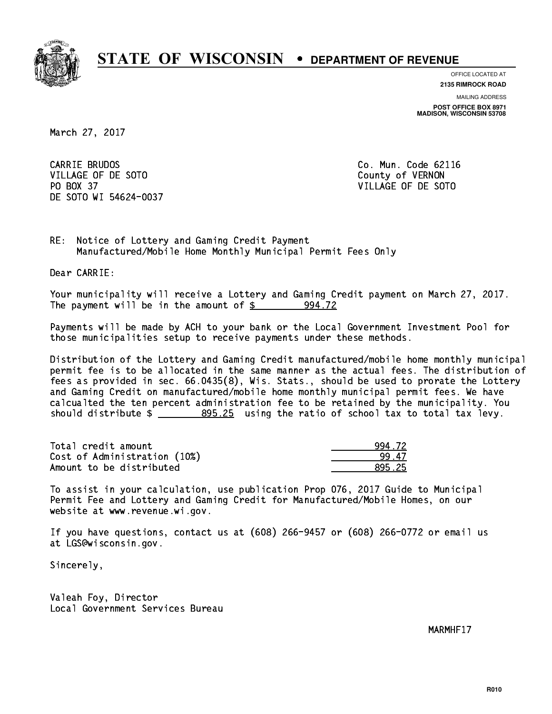

**OFFICE LOCATED AT**

**2135 RIMROCK ROAD**

**MAILING ADDRESS POST OFFICE BOX 8971 MADISON, WISCONSIN 53708**

March 27, 2017

CARRIE BRUDOS VILLAGE OF DE SOTO COUNTY OF VERNON PO BOX 37 VILLAGE OF DE SOTO DE SOTO WI 54624-0037

Co. Mun. Code 62116

RE: Notice of Lottery and Gaming Credit Payment Manufactured/Mobile Home Monthly Municipal Permit Fees Only

Dear CARRIE:

 Your municipality will receive a Lottery and Gaming Credit payment on March 27, 2017. The payment will be in the amount of  $\frac{2}{3}$  994.72

 Payments will be made by ACH to your bank or the Local Government Investment Pool for those municipalities setup to receive payments under these methods.

 Distribution of the Lottery and Gaming Credit manufactured/mobile home monthly municipal permit fee is to be allocated in the same manner as the actual fees. The distribution of fees as provided in sec. 66.0435(8), Wis. Stats., should be used to prorate the Lottery and Gaming Credit on manufactured/mobile home monthly municipal permit fees. We have calcualted the ten percent administration fee to be retained by the municipality. You should distribute  $\frac{25}{25}$  using the ratio of school tax to total tax levy.

| Total credit amount          | 994.72 |
|------------------------------|--------|
| Cost of Administration (10%) | 99.47  |
| Amount to be distributed     | 895.25 |

 To assist in your calculation, use publication Prop 076, 2017 Guide to Municipal Permit Fee and Lottery and Gaming Credit for Manufactured/Mobile Homes, on our website at www.revenue.wi.gov.

 If you have questions, contact us at (608) 266-9457 or (608) 266-0772 or email us at LGS@wisconsin.gov.

Sincerely,

 Valeah Foy, Director Local Government Services Bureau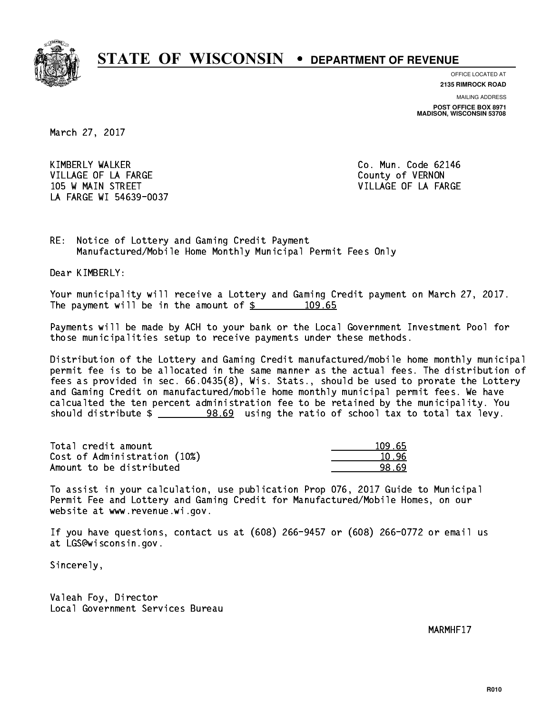

**OFFICE LOCATED AT**

**2135 RIMROCK ROAD**

**MAILING ADDRESS POST OFFICE BOX 8971 MADISON, WISCONSIN 53708**

March 27, 2017

 KIMBERLY WALKER Co. Mun. Code 62146 VILLAGE OF LA FARGE COUNTY OF VERNON 105 W MAIN STREET A RESERVE TO A STREET A STREET A STREET A STREET A STREET A STREET A STREET A STREET A STREET LA FARGE WI 54639-0037

RE: Notice of Lottery and Gaming Credit Payment Manufactured/Mobile Home Monthly Municipal Permit Fees Only

Dear KIMBERLY:

 Your municipality will receive a Lottery and Gaming Credit payment on March 27, 2017. The payment will be in the amount of  $\frac{2}{3}$  109.65

 Payments will be made by ACH to your bank or the Local Government Investment Pool for those municipalities setup to receive payments under these methods.

 Distribution of the Lottery and Gaming Credit manufactured/mobile home monthly municipal permit fee is to be allocated in the same manner as the actual fees. The distribution of fees as provided in sec. 66.0435(8), Wis. Stats., should be used to prorate the Lottery and Gaming Credit on manufactured/mobile home monthly municipal permit fees. We have calcualted the ten percent administration fee to be retained by the municipality. You should distribute \$ 98.69 using the ratio of school tax to total tax levy. \_\_\_\_\_\_\_\_\_\_\_\_\_\_

Total credit amount Cost of Administration (10%) Amount to be distributed

| 9.65       |
|------------|
| N 96<br>Т. |
| 8.69       |

 To assist in your calculation, use publication Prop 076, 2017 Guide to Municipal Permit Fee and Lottery and Gaming Credit for Manufactured/Mobile Homes, on our website at www.revenue.wi.gov.

 If you have questions, contact us at (608) 266-9457 or (608) 266-0772 or email us at LGS@wisconsin.gov.

Sincerely,

 Valeah Foy, Director Local Government Services Bureau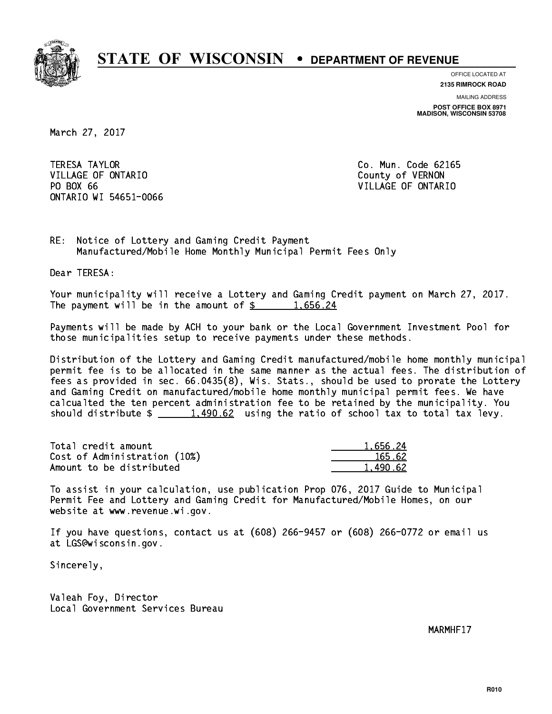

**OFFICE LOCATED AT**

**2135 RIMROCK ROAD**

**MAILING ADDRESS POST OFFICE BOX 8971 MADISON, WISCONSIN 53708**

March 27, 2017

**TERESA TAYLOR** VILLAGE OF ONTARIO **COUNTY OF SERVICE OF STATE OF STATE OF STATE OF STATE OF STATE OF STATE OF STATE OF STATE OF STATE OF STATE OF STATE OF STATE OF STATE OF STATE OF STATE OF STATE OF STATE OF STATE OF STATE OF STATE OF S** PO BOX 66 ONTARIO WI 54651-0066

Co. Mun. Code 62165 VILLAGE OF ONTARIO

RE: Notice of Lottery and Gaming Credit Payment Manufactured/Mobile Home Monthly Municipal Permit Fees Only

Dear TERESA:

 Your municipality will receive a Lottery and Gaming Credit payment on March 27, 2017. The payment will be in the amount of  $\frac{2}{3}$  1,656.24

 Payments will be made by ACH to your bank or the Local Government Investment Pool for those municipalities setup to receive payments under these methods.

 Distribution of the Lottery and Gaming Credit manufactured/mobile home monthly municipal permit fee is to be allocated in the same manner as the actual fees. The distribution of fees as provided in sec. 66.0435(8), Wis. Stats., should be used to prorate the Lottery and Gaming Credit on manufactured/mobile home monthly municipal permit fees. We have calcualted the ten percent administration fee to be retained by the municipality. You should distribute  $\frac{1,490.62}{1,490.62}$  using the ratio of school tax to total tax levy.

| Total credit amount          | 1.656.24 |
|------------------------------|----------|
| Cost of Administration (10%) | 165.62   |
| Amount to be distributed     | 1.490.62 |

 To assist in your calculation, use publication Prop 076, 2017 Guide to Municipal Permit Fee and Lottery and Gaming Credit for Manufactured/Mobile Homes, on our website at www.revenue.wi.gov.

 If you have questions, contact us at (608) 266-9457 or (608) 266-0772 or email us at LGS@wisconsin.gov.

Sincerely,

 Valeah Foy, Director Local Government Services Bureau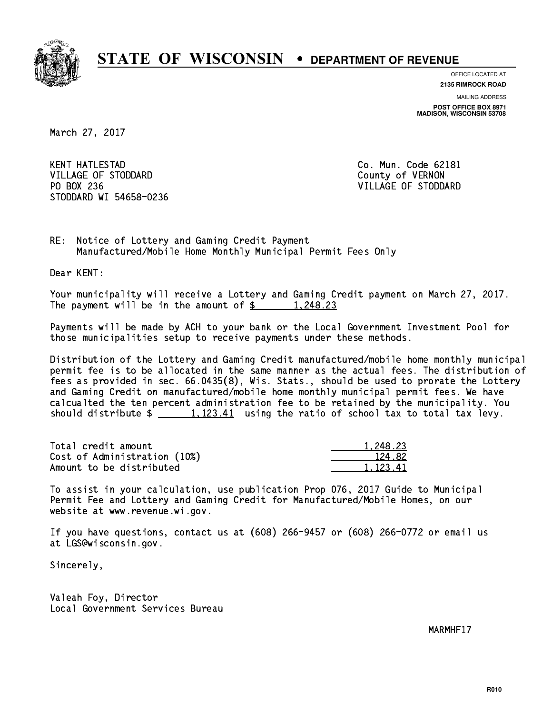

**OFFICE LOCATED AT**

**2135 RIMROCK ROAD**

**MAILING ADDRESS POST OFFICE BOX 8971 MADISON, WISCONSIN 53708**

March 27, 2017

**KENT HATLESTAD** VILLAGE OF STODDARD County of VERNON PO BOX 236 VILLAGE OF STODDARD STODDARD WI 54658-0236

Co. Mun. Code 62181

RE: Notice of Lottery and Gaming Credit Payment Manufactured/Mobile Home Monthly Municipal Permit Fees Only

Dear KENT:

 Your municipality will receive a Lottery and Gaming Credit payment on March 27, 2017. The payment will be in the amount of  $\frac{2}{3}$  1,248.23

 Payments will be made by ACH to your bank or the Local Government Investment Pool for those municipalities setup to receive payments under these methods.

 Distribution of the Lottery and Gaming Credit manufactured/mobile home monthly municipal permit fee is to be allocated in the same manner as the actual fees. The distribution of fees as provided in sec. 66.0435(8), Wis. Stats., should be used to prorate the Lottery and Gaming Credit on manufactured/mobile home monthly municipal permit fees. We have calcualted the ten percent administration fee to be retained by the municipality. You should distribute  $\frac{1,123.41}{1,123.41}$  using the ratio of school tax to total tax levy.

| Total credit amount          | 1.248.23 |
|------------------------------|----------|
| Cost of Administration (10%) | 124.82   |
| Amount to be distributed     | 1.123.41 |

 To assist in your calculation, use publication Prop 076, 2017 Guide to Municipal Permit Fee and Lottery and Gaming Credit for Manufactured/Mobile Homes, on our website at www.revenue.wi.gov.

 If you have questions, contact us at (608) 266-9457 or (608) 266-0772 or email us at LGS@wisconsin.gov.

Sincerely,

 Valeah Foy, Director Local Government Services Bureau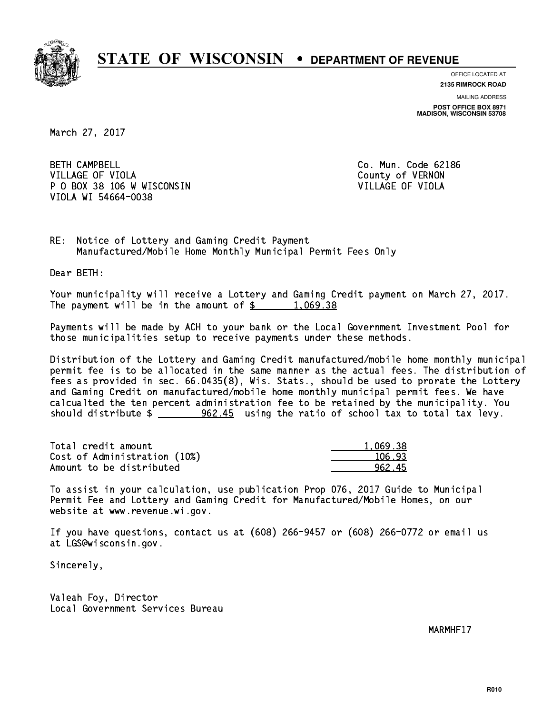

**OFFICE LOCATED AT**

**MAILING ADDRESS 2135 RIMROCK ROAD**

**POST OFFICE BOX 8971 MADISON, WISCONSIN 53708**

March 27, 2017

**BETH CAMPBELL** VILLAGE OF VIOLA **COUNTY OF VIOLA**  P O BOX 38 106 W WISCONSIN VILLAGE OF VIOLA VIOLA WI 54664-0038

Co. Mun. Code 62186

RE: Notice of Lottery and Gaming Credit Payment Manufactured/Mobile Home Monthly Municipal Permit Fees Only

Dear BETH:

 Your municipality will receive a Lottery and Gaming Credit payment on March 27, 2017. The payment will be in the amount of  $\frac{2}{3}$  1,069.38

 Payments will be made by ACH to your bank or the Local Government Investment Pool for those municipalities setup to receive payments under these methods.

 Distribution of the Lottery and Gaming Credit manufactured/mobile home monthly municipal permit fee is to be allocated in the same manner as the actual fees. The distribution of fees as provided in sec. 66.0435(8), Wis. Stats., should be used to prorate the Lottery and Gaming Credit on manufactured/mobile home monthly municipal permit fees. We have calcualted the ten percent administration fee to be retained by the municipality. You should distribute  $\frac{262.45}{2}$  using the ratio of school tax to total tax levy.

| Total credit amount          | 1.069.38 |
|------------------------------|----------|
| Cost of Administration (10%) | 106.93   |
| Amount to be distributed     | -962-45  |

 To assist in your calculation, use publication Prop 076, 2017 Guide to Municipal Permit Fee and Lottery and Gaming Credit for Manufactured/Mobile Homes, on our website at www.revenue.wi.gov.

 If you have questions, contact us at (608) 266-9457 or (608) 266-0772 or email us at LGS@wisconsin.gov.

Sincerely,

 Valeah Foy, Director Local Government Services Bureau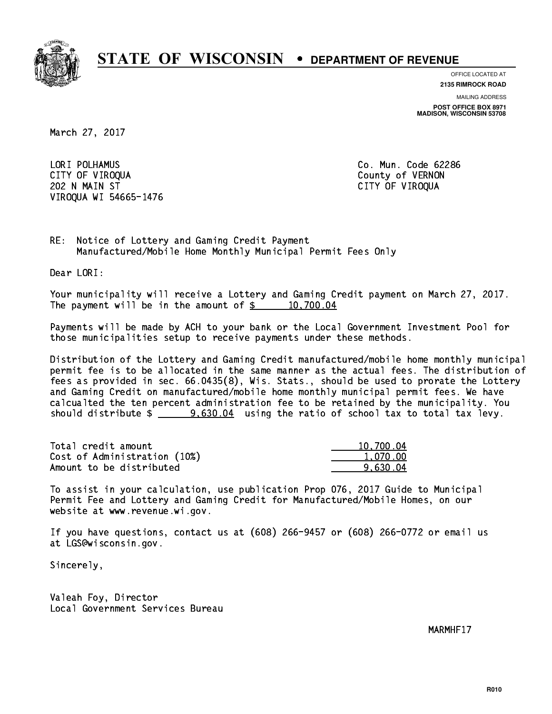

**OFFICE LOCATED AT**

**2135 RIMROCK ROAD**

**MAILING ADDRESS**

**POST OFFICE BOX 8971 MADISON, WISCONSIN 53708**

March 27, 2017

 LORI POLHAMUS Co. Mun. Code 62286 CITY OF VIROQUA COUNTY OF VERNON 202 N MAIN ST CITY OF VIROQUA VIROQUA WI 54665-1476

RE: Notice of Lottery and Gaming Credit Payment Manufactured/Mobile Home Monthly Municipal Permit Fees Only

Dear LORI:

 Your municipality will receive a Lottery and Gaming Credit payment on March 27, 2017. The payment will be in the amount of  $\frac{2}{3}$  10,700.04

 Payments will be made by ACH to your bank or the Local Government Investment Pool for those municipalities setup to receive payments under these methods.

 Distribution of the Lottery and Gaming Credit manufactured/mobile home monthly municipal permit fee is to be allocated in the same manner as the actual fees. The distribution of fees as provided in sec. 66.0435(8), Wis. Stats., should be used to prorate the Lottery and Gaming Credit on manufactured/mobile home monthly municipal permit fees. We have calcualted the ten percent administration fee to be retained by the municipality. You should distribute  $\frac{2}{2}$   $\frac{9.630.04}{2}$  using the ratio of school tax to total tax levy.

| Total credit amount          | 10,700.04 |
|------------------------------|-----------|
| Cost of Administration (10%) | 1.070.00  |
| Amount to be distributed     | 9.630.04  |

 To assist in your calculation, use publication Prop 076, 2017 Guide to Municipal Permit Fee and Lottery and Gaming Credit for Manufactured/Mobile Homes, on our website at www.revenue.wi.gov.

 If you have questions, contact us at (608) 266-9457 or (608) 266-0772 or email us at LGS@wisconsin.gov.

Sincerely,

 Valeah Foy, Director Local Government Services Bureau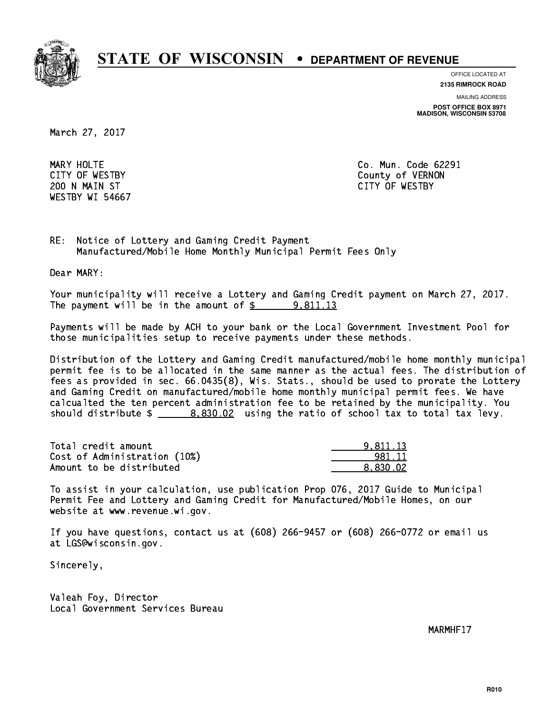

**OFFICE LOCATED AT**

**2135 RIMROCK ROAD**

**MAILING ADDRESS**

**POST OFFICE BOX 8971 MADISON, WISCONSIN 53708**

March 27, 2017

MARY HOLTE 200 N MAIN ST CITY OF WESTBY WESTBY WI 54667

Co. Mun. Code 62291 CITY OF WESTBY County of VERNON

RE: Notice of Lottery and Gaming Credit Payment Manufactured/Mobile Home Monthly Municipal Permit Fees Only

Dear MARY:

 Your municipality will receive a Lottery and Gaming Credit payment on March 27, 2017. The payment will be in the amount of  $\frac{2}{3}$  9,811.13

 Payments will be made by ACH to your bank or the Local Government Investment Pool for those municipalities setup to receive payments under these methods.

 Distribution of the Lottery and Gaming Credit manufactured/mobile home monthly municipal permit fee is to be allocated in the same manner as the actual fees. The distribution of fees as provided in sec. 66.0435(8), Wis. Stats., should be used to prorate the Lottery and Gaming Credit on manufactured/mobile home monthly municipal permit fees. We have calcualted the ten percent administration fee to be retained by the municipality. You should distribute  $\frac{2}{2}$   $\frac{8,830.02}{2}$  using the ratio of school tax to total tax levy.

| Total credit amount          | 9.811.13 |
|------------------------------|----------|
| Cost of Administration (10%) | 981.11   |
| Amount to be distributed     | 8.830.02 |

 To assist in your calculation, use publication Prop 076, 2017 Guide to Municipal Permit Fee and Lottery and Gaming Credit for Manufactured/Mobile Homes, on our website at www.revenue.wi.gov.

 If you have questions, contact us at (608) 266-9457 or (608) 266-0772 or email us at LGS@wisconsin.gov.

Sincerely,

 Valeah Foy, Director Local Government Services Bureau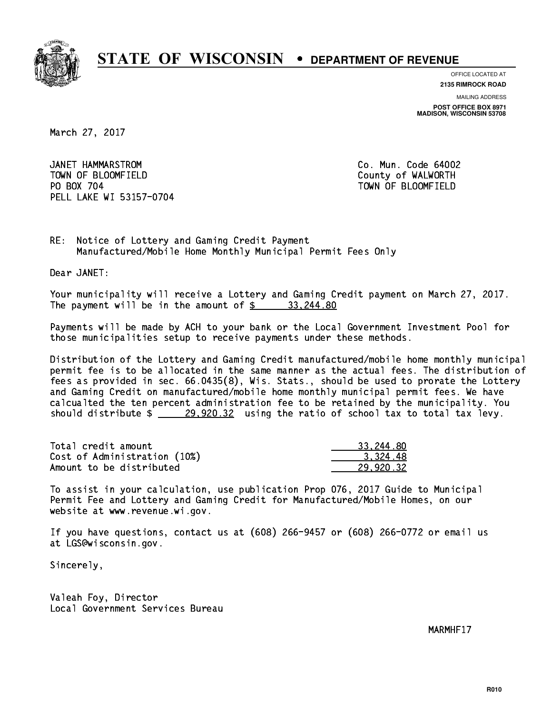

**OFFICE LOCATED AT 2135 RIMROCK ROAD**

**MAILING ADDRESS POST OFFICE BOX 8971 MADISON, WISCONSIN 53708**

March 27, 2017

 JANET HAMMARSTROM Co. Mun. Code 64002 TOWN OF BLOOMFIELD County of WALWORTH PO BOX 704 PELL LAKE WI 53157-0704

TOWN OF BLOOMFIELD

RE: Notice of Lottery and Gaming Credit Payment Manufactured/Mobile Home Monthly Municipal Permit Fees Only

Dear JANET:

 Your municipality will receive a Lottery and Gaming Credit payment on March 27, 2017. The payment will be in the amount of  $\frac{2}{3}$  33,244.80

 Payments will be made by ACH to your bank or the Local Government Investment Pool for those municipalities setup to receive payments under these methods.

 Distribution of the Lottery and Gaming Credit manufactured/mobile home monthly municipal permit fee is to be allocated in the same manner as the actual fees. The distribution of fees as provided in sec. 66.0435(8), Wis. Stats., should be used to prorate the Lottery and Gaming Credit on manufactured/mobile home monthly municipal permit fees. We have calcualted the ten percent administration fee to be retained by the municipality. You should distribute  $\frac{29,920.32}{29,920.32}$  using the ratio of school tax to total tax levy.

| Total credit amount          | 33.244.80 |
|------------------------------|-----------|
| Cost of Administration (10%) | 3.324.48  |
| Amount to be distributed     | 29.920.32 |

 To assist in your calculation, use publication Prop 076, 2017 Guide to Municipal Permit Fee and Lottery and Gaming Credit for Manufactured/Mobile Homes, on our website at www.revenue.wi.gov.

 If you have questions, contact us at (608) 266-9457 or (608) 266-0772 or email us at LGS@wisconsin.gov.

Sincerely,

 Valeah Foy, Director Local Government Services Bureau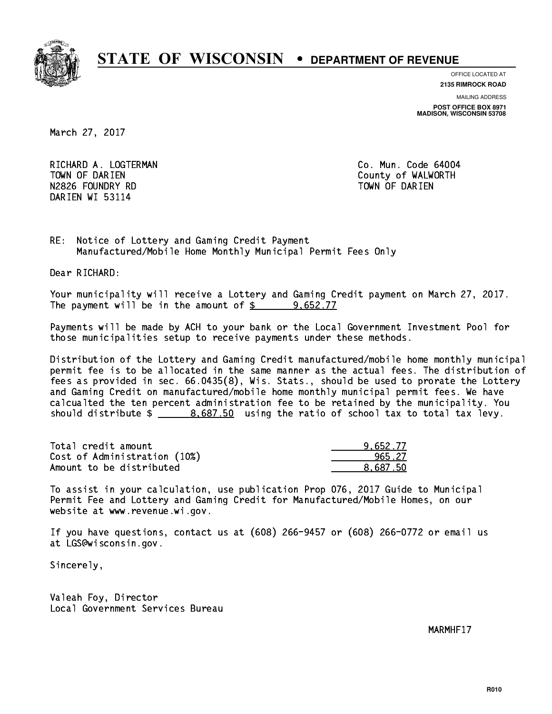

**OFFICE LOCATED AT**

**2135 RIMROCK ROAD**

**MAILING ADDRESS**

**POST OFFICE BOX 8971 MADISON, WISCONSIN 53708**

March 27, 2017

RICHARD A. LOGTERMAN **Co. Mun. Code 64004** TOWN OF DARIEN County of WALWORTH N2826 FOUNDRY RD TOWN OF DARIEN DARIEN WI 53114

RE: Notice of Lottery and Gaming Credit Payment Manufactured/Mobile Home Monthly Municipal Permit Fees Only

Dear RICHARD:

 Your municipality will receive a Lottery and Gaming Credit payment on March 27, 2017. The payment will be in the amount of  $\frac{2}{3}$  9,652.77

 Payments will be made by ACH to your bank or the Local Government Investment Pool for those municipalities setup to receive payments under these methods.

 Distribution of the Lottery and Gaming Credit manufactured/mobile home monthly municipal permit fee is to be allocated in the same manner as the actual fees. The distribution of fees as provided in sec. 66.0435(8), Wis. Stats., should be used to prorate the Lottery and Gaming Credit on manufactured/mobile home monthly municipal permit fees. We have calcualted the ten percent administration fee to be retained by the municipality. You should distribute  $\frac{2}{1}$   $\frac{8,687.50}{2}$  using the ratio of school tax to total tax levy.

| Total credit amount          | 9.652.77 |
|------------------------------|----------|
| Cost of Administration (10%) | 965.27   |
| Amount to be distributed     | 8.687.50 |

 To assist in your calculation, use publication Prop 076, 2017 Guide to Municipal Permit Fee and Lottery and Gaming Credit for Manufactured/Mobile Homes, on our website at www.revenue.wi.gov.

 If you have questions, contact us at (608) 266-9457 or (608) 266-0772 or email us at LGS@wisconsin.gov.

Sincerely,

 Valeah Foy, Director Local Government Services Bureau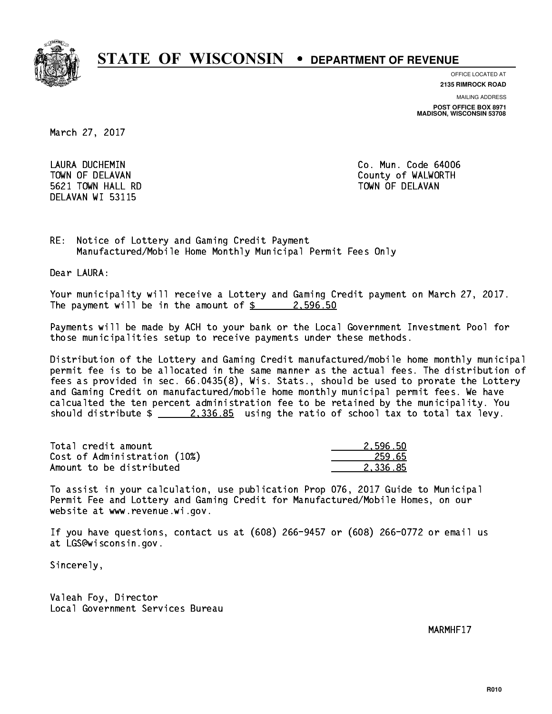

**OFFICE LOCATED AT**

**2135 RIMROCK ROAD**

**MAILING ADDRESS**

**POST OFFICE BOX 8971 MADISON, WISCONSIN 53708**

March 27, 2017

 LAURA DUCHEMIN Co. Mun. Code 64006 5621 TOWN HALL RD TOWN OF DELAVAN DELAVAN WI 53115

TOWN OF DELAVAN County of WALWORTH

RE: Notice of Lottery and Gaming Credit Payment Manufactured/Mobile Home Monthly Municipal Permit Fees Only

Dear LAURA:

 Your municipality will receive a Lottery and Gaming Credit payment on March 27, 2017. The payment will be in the amount of  $\frac{2}{3}$  2,596.50

 Payments will be made by ACH to your bank or the Local Government Investment Pool for those municipalities setup to receive payments under these methods.

 Distribution of the Lottery and Gaming Credit manufactured/mobile home monthly municipal permit fee is to be allocated in the same manner as the actual fees. The distribution of fees as provided in sec. 66.0435(8), Wis. Stats., should be used to prorate the Lottery and Gaming Credit on manufactured/mobile home monthly municipal permit fees. We have calcualted the ten percent administration fee to be retained by the municipality. You should distribute  $\frac{2.336.85}{2.336.85}$  using the ratio of school tax to total tax levy.

| Total credit amount          | 2.596.50 |
|------------------------------|----------|
| Cost of Administration (10%) | 259.65   |
| Amount to be distributed     | 2.336.85 |

 To assist in your calculation, use publication Prop 076, 2017 Guide to Municipal Permit Fee and Lottery and Gaming Credit for Manufactured/Mobile Homes, on our website at www.revenue.wi.gov.

 If you have questions, contact us at (608) 266-9457 or (608) 266-0772 or email us at LGS@wisconsin.gov.

Sincerely,

 Valeah Foy, Director Local Government Services Bureau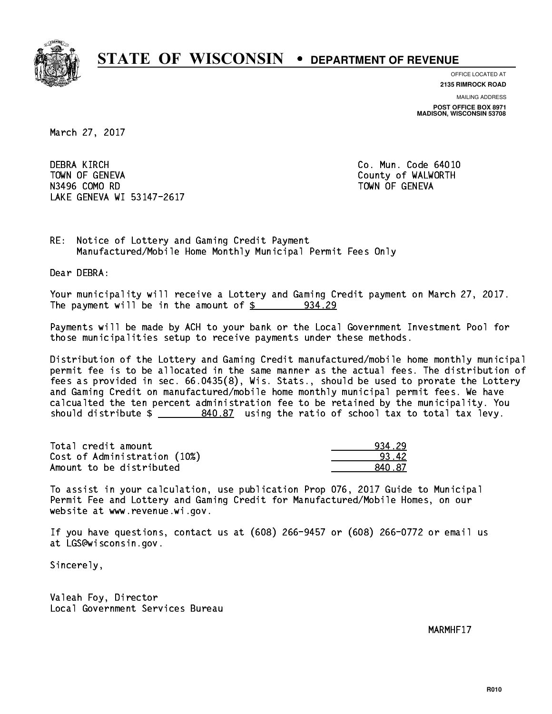

**OFFICE LOCATED AT**

**2135 RIMROCK ROAD**

**MAILING ADDRESS**

**POST OFFICE BOX 8971 MADISON, WISCONSIN 53708**

March 27, 2017

**DEBRA KIRCH**  TOWN OF GENEVA County of WALWORTH N3496 COMO RD TOWN OF GENEVA LAKE GENEVA WI 53147-2617

Co. Mun. Code 64010

RE: Notice of Lottery and Gaming Credit Payment Manufactured/Mobile Home Monthly Municipal Permit Fees Only

Dear DEBRA:

 Your municipality will receive a Lottery and Gaming Credit payment on March 27, 2017. The payment will be in the amount of  $\frac{2}{3}$  934.29

 Payments will be made by ACH to your bank or the Local Government Investment Pool for those municipalities setup to receive payments under these methods.

 Distribution of the Lottery and Gaming Credit manufactured/mobile home monthly municipal permit fee is to be allocated in the same manner as the actual fees. The distribution of fees as provided in sec. 66.0435(8), Wis. Stats., should be used to prorate the Lottery and Gaming Credit on manufactured/mobile home monthly municipal permit fees. We have calcualted the ten percent administration fee to be retained by the municipality. You should distribute  $\frac{2}{2}$   $\frac{840.87}{2}$  using the ratio of school tax to total tax levy.

| Total credit amount          | 934.29 |
|------------------------------|--------|
| Cost of Administration (10%) | 93.42  |
| Amount to be distributed     | 840 87 |

 To assist in your calculation, use publication Prop 076, 2017 Guide to Municipal Permit Fee and Lottery and Gaming Credit for Manufactured/Mobile Homes, on our website at www.revenue.wi.gov.

 If you have questions, contact us at (608) 266-9457 or (608) 266-0772 or email us at LGS@wisconsin.gov.

Sincerely,

 Valeah Foy, Director Local Government Services Bureau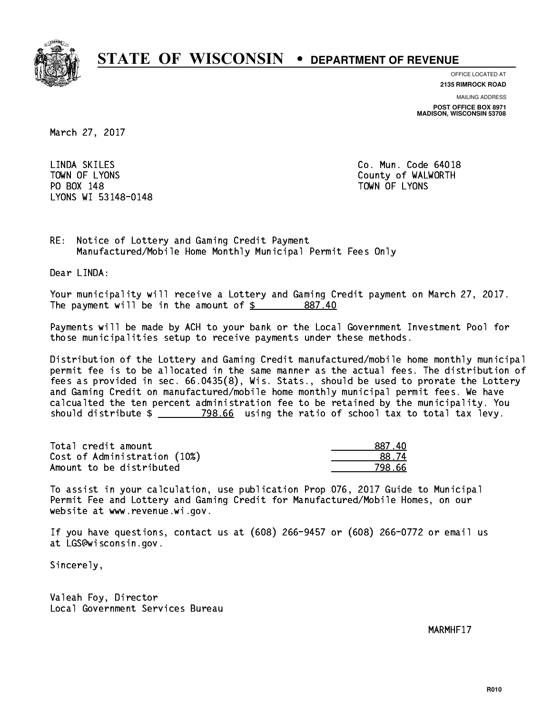

**OFFICE LOCATED AT**

**2135 RIMROCK ROAD**

**MAILING ADDRESS**

**POST OFFICE BOX 8971 MADISON, WISCONSIN 53708**

March 27, 2017

 LINDA SKILES Co. Mun. Code 64018 PO BOX 148 PO BOX 148 TOWN OF LYONS LYONS WI 53148-0148

TOWN OF LYONS **County of WALWORTH** 

RE: Notice of Lottery and Gaming Credit Payment Manufactured/Mobile Home Monthly Municipal Permit Fees Only

Dear LINDA:

 Your municipality will receive a Lottery and Gaming Credit payment on March 27, 2017. The payment will be in the amount of \$ 887.40 \_\_\_\_\_\_\_\_\_\_\_\_\_\_\_\_

 Payments will be made by ACH to your bank or the Local Government Investment Pool for those municipalities setup to receive payments under these methods.

 Distribution of the Lottery and Gaming Credit manufactured/mobile home monthly municipal permit fee is to be allocated in the same manner as the actual fees. The distribution of fees as provided in sec. 66.0435(8), Wis. Stats., should be used to prorate the Lottery and Gaming Credit on manufactured/mobile home monthly municipal permit fees. We have calcualted the ten percent administration fee to be retained by the municipality. You should distribute \$ 798.66 using the ratio of school tax to total tax levy. \_\_\_\_\_\_\_\_\_\_\_\_\_\_

| Total credit amount          | 887.40 |
|------------------------------|--------|
| Cost of Administration (10%) | 88.74  |
| Amount to be distributed     | 798.66 |

 To assist in your calculation, use publication Prop 076, 2017 Guide to Municipal Permit Fee and Lottery and Gaming Credit for Manufactured/Mobile Homes, on our website at www.revenue.wi.gov.

 If you have questions, contact us at (608) 266-9457 or (608) 266-0772 or email us at LGS@wisconsin.gov.

Sincerely,

 Valeah Foy, Director Local Government Services Bureau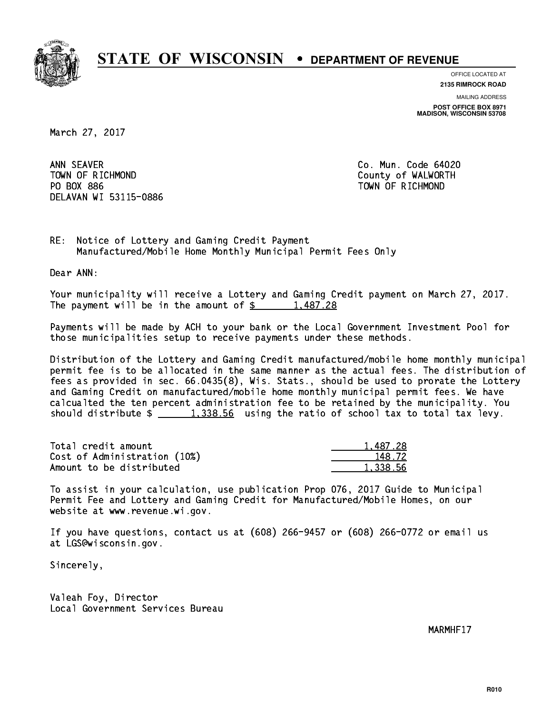

**OFFICE LOCATED AT**

**2135 RIMROCK ROAD**

**MAILING ADDRESS**

**POST OFFICE BOX 8971 MADISON, WISCONSIN 53708**

March 27, 2017

ANN SEAVER TOWN OF RICHMOND County of WALWORTH PO BOX 886 PO BOX 886 TOWN OF RICHMOND DELAVAN WI 53115-0886

Co. Mun. Code 64020

RE: Notice of Lottery and Gaming Credit Payment Manufactured/Mobile Home Monthly Municipal Permit Fees Only

Dear ANN:

 Your municipality will receive a Lottery and Gaming Credit payment on March 27, 2017. The payment will be in the amount of  $\frac{2}{3}$  1,487.28

 Payments will be made by ACH to your bank or the Local Government Investment Pool for those municipalities setup to receive payments under these methods.

 Distribution of the Lottery and Gaming Credit manufactured/mobile home monthly municipal permit fee is to be allocated in the same manner as the actual fees. The distribution of fees as provided in sec. 66.0435(8), Wis. Stats., should be used to prorate the Lottery and Gaming Credit on manufactured/mobile home monthly municipal permit fees. We have calcualted the ten percent administration fee to be retained by the municipality. You should distribute  $\frac{1,338.56}{1,338.56}$  using the ratio of school tax to total tax levy.

| Total credit amount          | 1.487.28 |
|------------------------------|----------|
| Cost of Administration (10%) | 148.72   |
| Amount to be distributed     | 1.338.56 |

 To assist in your calculation, use publication Prop 076, 2017 Guide to Municipal Permit Fee and Lottery and Gaming Credit for Manufactured/Mobile Homes, on our website at www.revenue.wi.gov.

 If you have questions, contact us at (608) 266-9457 or (608) 266-0772 or email us at LGS@wisconsin.gov.

Sincerely,

 Valeah Foy, Director Local Government Services Bureau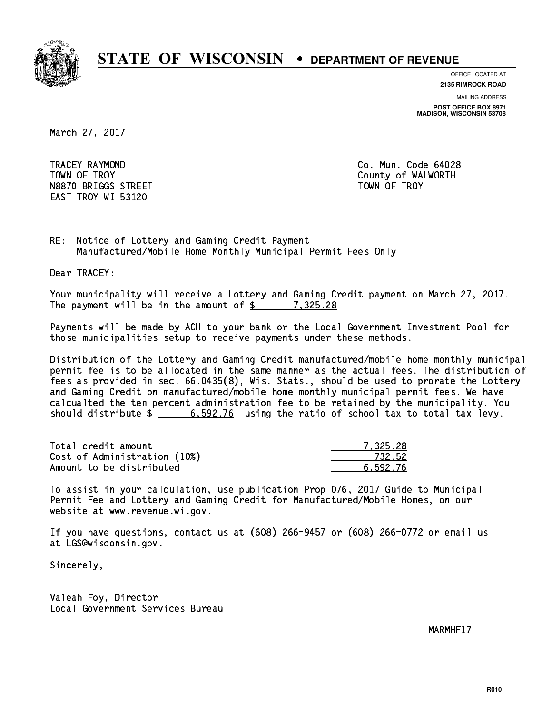

**OFFICE LOCATED AT**

**2135 RIMROCK ROAD**

**MAILING ADDRESS**

**POST OFFICE BOX 8971 MADISON, WISCONSIN 53708**

March 27, 2017

 TRACEY RAYMOND Co. Mun. Code 64028 TOWN OF TROY **COUNTY COUNTY COUNTY OF WALWORTH** N8870 BRIGGS STREET TOWN OF TROY EAST TROY WI 53120

RE: Notice of Lottery and Gaming Credit Payment Manufactured/Mobile Home Monthly Municipal Permit Fees Only

Dear TRACEY:

 Your municipality will receive a Lottery and Gaming Credit payment on March 27, 2017. The payment will be in the amount of  $\frac{2}{3}$  7,325.28

 Payments will be made by ACH to your bank or the Local Government Investment Pool for those municipalities setup to receive payments under these methods.

 Distribution of the Lottery and Gaming Credit manufactured/mobile home monthly municipal permit fee is to be allocated in the same manner as the actual fees. The distribution of fees as provided in sec. 66.0435(8), Wis. Stats., should be used to prorate the Lottery and Gaming Credit on manufactured/mobile home monthly municipal permit fees. We have calcualted the ten percent administration fee to be retained by the municipality. You should distribute  $\frac{2}{1}$   $\frac{6}{592.76}$  using the ratio of school tax to total tax levy.

| Total credit amount          | 7.325.28 |
|------------------------------|----------|
| Cost of Administration (10%) | 732.52   |
| Amount to be distributed     | 6.592.76 |

 To assist in your calculation, use publication Prop 076, 2017 Guide to Municipal Permit Fee and Lottery and Gaming Credit for Manufactured/Mobile Homes, on our website at www.revenue.wi.gov.

 If you have questions, contact us at (608) 266-9457 or (608) 266-0772 or email us at LGS@wisconsin.gov.

Sincerely,

 Valeah Foy, Director Local Government Services Bureau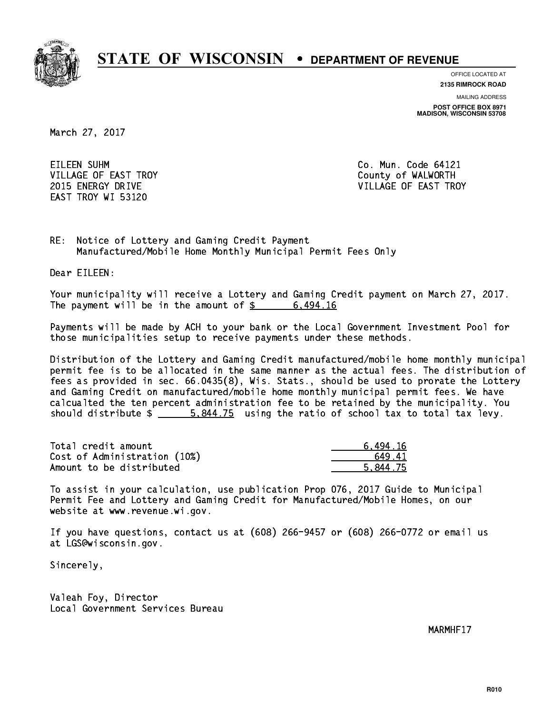

**OFFICE LOCATED AT**

**2135 RIMROCK ROAD**

**MAILING ADDRESS**

**POST OFFICE BOX 8971 MADISON, WISCONSIN 53708**

March 27, 2017

EILEEN SUHM CORPORATION CO. Mun. Code 64121 VILLAGE OF EAST TROY COUNTY COUNTY OF WALWORTH EAST TROY WI 53120

2015 ENERGY DRIVE VILLAGE OF EAST TROY

RE: Notice of Lottery and Gaming Credit Payment Manufactured/Mobile Home Monthly Municipal Permit Fees Only

Dear EILEEN:

 Your municipality will receive a Lottery and Gaming Credit payment on March 27, 2017. The payment will be in the amount of  $\frac{2}{3}$  6,494.16

 Payments will be made by ACH to your bank or the Local Government Investment Pool for those municipalities setup to receive payments under these methods.

 Distribution of the Lottery and Gaming Credit manufactured/mobile home monthly municipal permit fee is to be allocated in the same manner as the actual fees. The distribution of fees as provided in sec. 66.0435(8), Wis. Stats., should be used to prorate the Lottery and Gaming Credit on manufactured/mobile home monthly municipal permit fees. We have calcualted the ten percent administration fee to be retained by the municipality. You should distribute  $\frac{2}{1}$   $\frac{5.844.75}{2}$  using the ratio of school tax to total tax levy.

| Total credit amount          | 6.494.16 |
|------------------------------|----------|
| Cost of Administration (10%) | 649 41   |
| Amount to be distributed     | 5.844.75 |

 To assist in your calculation, use publication Prop 076, 2017 Guide to Municipal Permit Fee and Lottery and Gaming Credit for Manufactured/Mobile Homes, on our website at www.revenue.wi.gov.

 If you have questions, contact us at (608) 266-9457 or (608) 266-0772 or email us at LGS@wisconsin.gov.

Sincerely,

 Valeah Foy, Director Local Government Services Bureau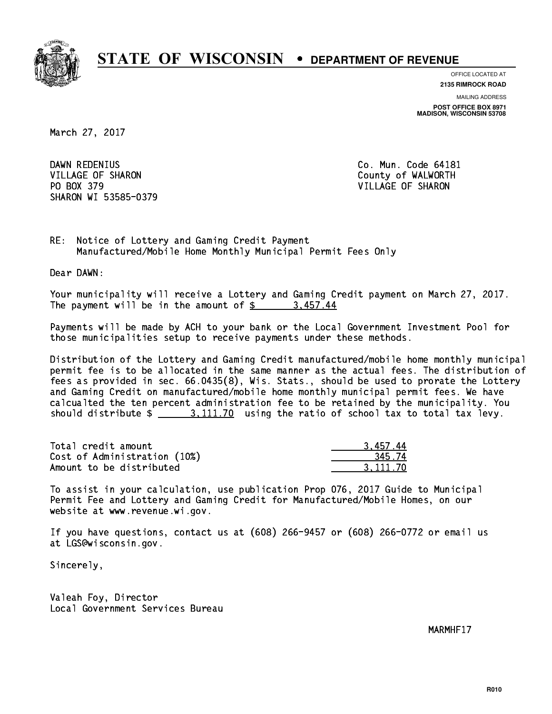

**OFFICE LOCATED AT**

**2135 RIMROCK ROAD**

**MAILING ADDRESS POST OFFICE BOX 8971 MADISON, WISCONSIN 53708**

March 27, 2017

DAWN REDENIUS VILLAGE OF SHARON County of WALWORTH PO BOX 379 VILLAGE OF SHARON SHARON WI 53585-0379

Co. Mun. Code 64181

RE: Notice of Lottery and Gaming Credit Payment Manufactured/Mobile Home Monthly Municipal Permit Fees Only

Dear DAWN:

 Your municipality will receive a Lottery and Gaming Credit payment on March 27, 2017. The payment will be in the amount of \$ 3,457.44 \_\_\_\_\_\_\_\_\_\_\_\_\_\_\_\_

 Payments will be made by ACH to your bank or the Local Government Investment Pool for those municipalities setup to receive payments under these methods.

 Distribution of the Lottery and Gaming Credit manufactured/mobile home monthly municipal permit fee is to be allocated in the same manner as the actual fees. The distribution of fees as provided in sec. 66.0435(8), Wis. Stats., should be used to prorate the Lottery and Gaming Credit on manufactured/mobile home monthly municipal permit fees. We have calcualted the ten percent administration fee to be retained by the municipality. You should distribute  $\frac{2}{1}$   $\frac{3.111.70}{2}$  using the ratio of school tax to total tax levy.

| Total credit amount          | 3.457.44 |
|------------------------------|----------|
| Cost of Administration (10%) | 345 74   |
| Amount to be distributed     | 3.111.70 |

 To assist in your calculation, use publication Prop 076, 2017 Guide to Municipal Permit Fee and Lottery and Gaming Credit for Manufactured/Mobile Homes, on our website at www.revenue.wi.gov.

 If you have questions, contact us at (608) 266-9457 or (608) 266-0772 or email us at LGS@wisconsin.gov.

Sincerely,

 Valeah Foy, Director Local Government Services Bureau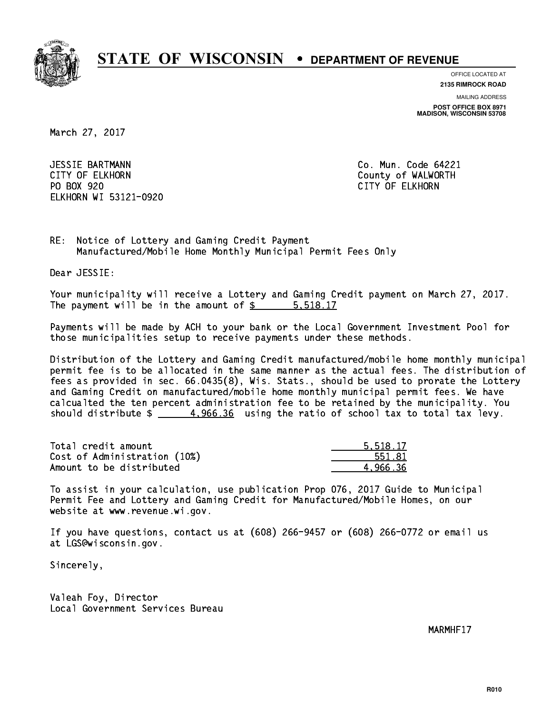

**OFFICE LOCATED AT**

**2135 RIMROCK ROAD**

**MAILING ADDRESS**

**POST OFFICE BOX 8971 MADISON, WISCONSIN 53708**

March 27, 2017

 JESSIE BARTMANN Co. Mun. Code 64221 CITY OF ELKHORN County of WALWORTH PO BOX 920 PO BOX 920 CITY OF ELKHORN ELKHORN WI 53121-0920

RE: Notice of Lottery and Gaming Credit Payment Manufactured/Mobile Home Monthly Municipal Permit Fees Only

Dear JESSIE:

 Your municipality will receive a Lottery and Gaming Credit payment on March 27, 2017. The payment will be in the amount of \$ 5,518.17 \_\_\_\_\_\_\_\_\_\_\_\_\_\_\_\_

 Payments will be made by ACH to your bank or the Local Government Investment Pool for those municipalities setup to receive payments under these methods.

 Distribution of the Lottery and Gaming Credit manufactured/mobile home monthly municipal permit fee is to be allocated in the same manner as the actual fees. The distribution of fees as provided in sec. 66.0435(8), Wis. Stats., should be used to prorate the Lottery and Gaming Credit on manufactured/mobile home monthly municipal permit fees. We have calcualted the ten percent administration fee to be retained by the municipality. You should distribute  $\frac{4}{1000}$   $\frac{4,966.36}{2000}$  using the ratio of school tax to total tax levy.

| Total credit amount          | 5.518.17 |
|------------------------------|----------|
| Cost of Administration (10%) | 551.81   |
| Amount to be distributed     | 4.966.36 |

 To assist in your calculation, use publication Prop 076, 2017 Guide to Municipal Permit Fee and Lottery and Gaming Credit for Manufactured/Mobile Homes, on our website at www.revenue.wi.gov.

 If you have questions, contact us at (608) 266-9457 or (608) 266-0772 or email us at LGS@wisconsin.gov.

Sincerely,

 Valeah Foy, Director Local Government Services Bureau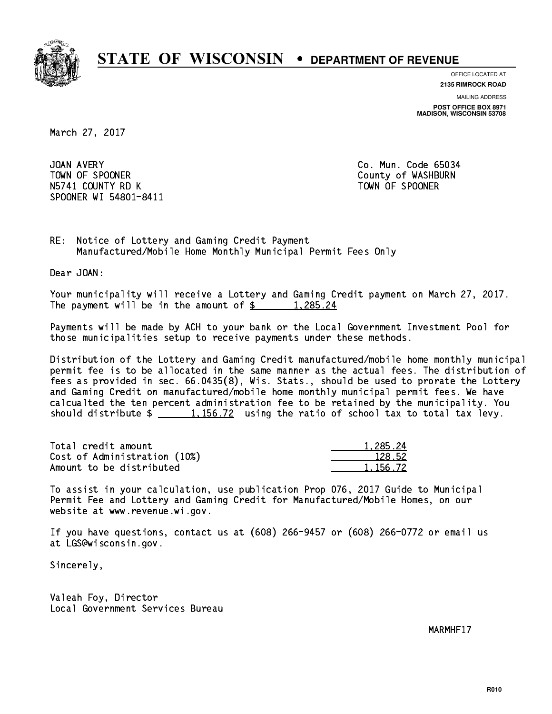

**OFFICE LOCATED AT 2135 RIMROCK ROAD**

**MAILING ADDRESS**

**POST OFFICE BOX 8971 MADISON, WISCONSIN 53708**

March 27, 2017

JOAN AVERY TOWN OF SPOONER County of WASHBURN N5741 COUNTY RD K TOWN OF SPOONER SPOONER WI 54801-8411

Co. Mun. Code 65034

RE: Notice of Lottery and Gaming Credit Payment Manufactured/Mobile Home Monthly Municipal Permit Fees Only

Dear JOAN:

 Your municipality will receive a Lottery and Gaming Credit payment on March 27, 2017. The payment will be in the amount of  $\frac{2}{3}$  1,285.24

 Payments will be made by ACH to your bank or the Local Government Investment Pool for those municipalities setup to receive payments under these methods.

 Distribution of the Lottery and Gaming Credit manufactured/mobile home monthly municipal permit fee is to be allocated in the same manner as the actual fees. The distribution of fees as provided in sec. 66.0435(8), Wis. Stats., should be used to prorate the Lottery and Gaming Credit on manufactured/mobile home monthly municipal permit fees. We have calcualted the ten percent administration fee to be retained by the municipality. You should distribute  $\frac{1,156.72}{1,156.72}$  using the ratio of school tax to total tax levy.

| Total credit amount          | 1,285.24 |
|------------------------------|----------|
| Cost of Administration (10%) | 128.52   |
| Amount to be distributed     | 1.156.72 |

 To assist in your calculation, use publication Prop 076, 2017 Guide to Municipal Permit Fee and Lottery and Gaming Credit for Manufactured/Mobile Homes, on our website at www.revenue.wi.gov.

 If you have questions, contact us at (608) 266-9457 or (608) 266-0772 or email us at LGS@wisconsin.gov.

Sincerely,

 Valeah Foy, Director Local Government Services Bureau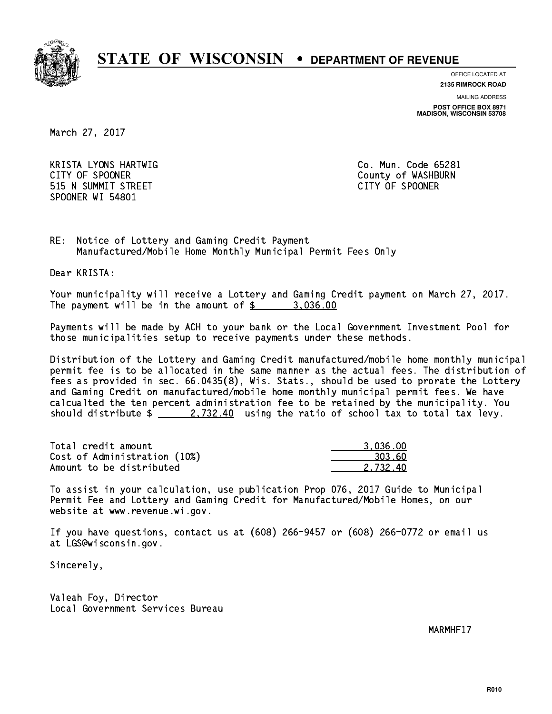

**OFFICE LOCATED AT**

**2135 RIMROCK ROAD**

**MAILING ADDRESS**

**POST OFFICE BOX 8971 MADISON, WISCONSIN 53708**

March 27, 2017

 KRISTA LYONS HARTWIG Co. Mun. Code 65281 CITY OF SPOONER COUNTY OF SPOONER 515 N SUMMIT STREET CITY OF SPOONER SPOONER WI 54801

RE: Notice of Lottery and Gaming Credit Payment Manufactured/Mobile Home Monthly Municipal Permit Fees Only

Dear KRISTA:

 Your municipality will receive a Lottery and Gaming Credit payment on March 27, 2017. The payment will be in the amount of  $\frac{2}{3}$  3,036.00

 Payments will be made by ACH to your bank or the Local Government Investment Pool for those municipalities setup to receive payments under these methods.

 Distribution of the Lottery and Gaming Credit manufactured/mobile home monthly municipal permit fee is to be allocated in the same manner as the actual fees. The distribution of fees as provided in sec. 66.0435(8), Wis. Stats., should be used to prorate the Lottery and Gaming Credit on manufactured/mobile home monthly municipal permit fees. We have calcualted the ten percent administration fee to be retained by the municipality. You should distribute  $\frac{2.732.40}{ }$  using the ratio of school tax to total tax levy.

| Total credit amount          | 3.036.00 |
|------------------------------|----------|
| Cost of Administration (10%) | -303.60  |
| Amount to be distributed     | 2.732.40 |

 To assist in your calculation, use publication Prop 076, 2017 Guide to Municipal Permit Fee and Lottery and Gaming Credit for Manufactured/Mobile Homes, on our website at www.revenue.wi.gov.

 If you have questions, contact us at (608) 266-9457 or (608) 266-0772 or email us at LGS@wisconsin.gov.

Sincerely,

 Valeah Foy, Director Local Government Services Bureau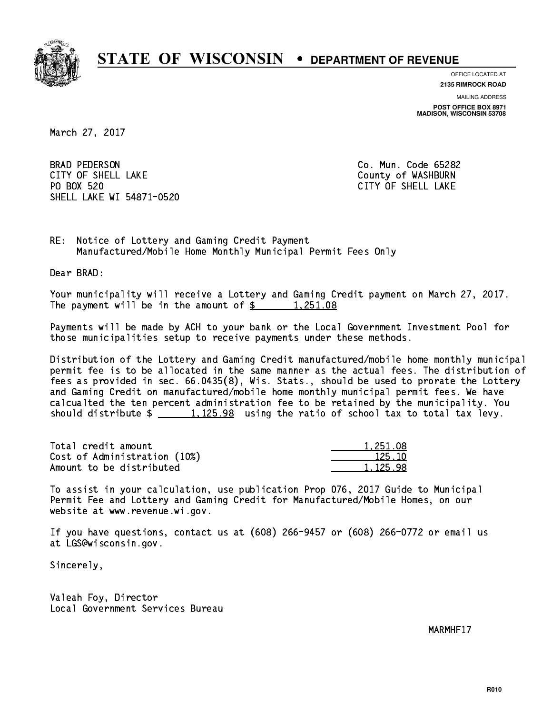

**OFFICE LOCATED AT**

**2135 RIMROCK ROAD**

**MAILING ADDRESS POST OFFICE BOX 8971 MADISON, WISCONSIN 53708**

March 27, 2017

 BRAD PEDERSON Co. Mun. Code 65282 CITY OF SHELL LAKE COUNTY OF WASHBURN PO BOX 520 SHELL LAKE WI 54871-0520

CITY OF SHELL LAKE

RE: Notice of Lottery and Gaming Credit Payment Manufactured/Mobile Home Monthly Municipal Permit Fees Only

Dear BRAD:

 Your municipality will receive a Lottery and Gaming Credit payment on March 27, 2017. The payment will be in the amount of  $\frac{25}{1,251.08}$ 

 Payments will be made by ACH to your bank or the Local Government Investment Pool for those municipalities setup to receive payments under these methods.

 Distribution of the Lottery and Gaming Credit manufactured/mobile home monthly municipal permit fee is to be allocated in the same manner as the actual fees. The distribution of fees as provided in sec. 66.0435(8), Wis. Stats., should be used to prorate the Lottery and Gaming Credit on manufactured/mobile home monthly municipal permit fees. We have calcualted the ten percent administration fee to be retained by the municipality. You should distribute  $\frac{1,125.98}{1,125.98}$  using the ratio of school tax to total tax levy.

| Total credit amount          | 1.251.08 |
|------------------------------|----------|
| Cost of Administration (10%) | 125.10   |
| Amount to be distributed     | 1,125.98 |

 To assist in your calculation, use publication Prop 076, 2017 Guide to Municipal Permit Fee and Lottery and Gaming Credit for Manufactured/Mobile Homes, on our website at www.revenue.wi.gov.

 If you have questions, contact us at (608) 266-9457 or (608) 266-0772 or email us at LGS@wisconsin.gov.

Sincerely,

 Valeah Foy, Director Local Government Services Bureau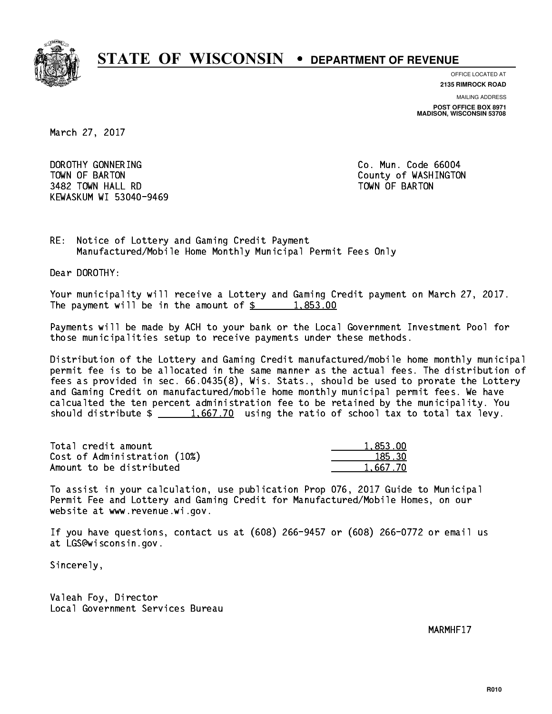

**OFFICE LOCATED AT 2135 RIMROCK ROAD**

**MAILING ADDRESS**

**POST OFFICE BOX 8971 MADISON, WISCONSIN 53708**

March 27, 2017

 DOROTHY GONNERING Co. Mun. Code 66004 TOWN OF BARTON County of WASHINGTON 3482 TOWN HALL RD TOWN OF BARTON KEWASKUM WI 53040-9469

RE: Notice of Lottery and Gaming Credit Payment Manufactured/Mobile Home Monthly Municipal Permit Fees Only

Dear DOROTHY:

 Your municipality will receive a Lottery and Gaming Credit payment on March 27, 2017. The payment will be in the amount of  $\frac{2}{3}$  1,853.00

 Payments will be made by ACH to your bank or the Local Government Investment Pool for those municipalities setup to receive payments under these methods.

 Distribution of the Lottery and Gaming Credit manufactured/mobile home monthly municipal permit fee is to be allocated in the same manner as the actual fees. The distribution of fees as provided in sec. 66.0435(8), Wis. Stats., should be used to prorate the Lottery and Gaming Credit on manufactured/mobile home monthly municipal permit fees. We have calcualted the ten percent administration fee to be retained by the municipality. You should distribute  $\frac{1.667.70}{1.667.70}$  using the ratio of school tax to total tax levy.

| Total credit amount          | 1.853.00 |
|------------------------------|----------|
| Cost of Administration (10%) | 185.30   |
| Amount to be distributed     | 1.667.70 |

 To assist in your calculation, use publication Prop 076, 2017 Guide to Municipal Permit Fee and Lottery and Gaming Credit for Manufactured/Mobile Homes, on our website at www.revenue.wi.gov.

 If you have questions, contact us at (608) 266-9457 or (608) 266-0772 or email us at LGS@wisconsin.gov.

Sincerely,

 Valeah Foy, Director Local Government Services Bureau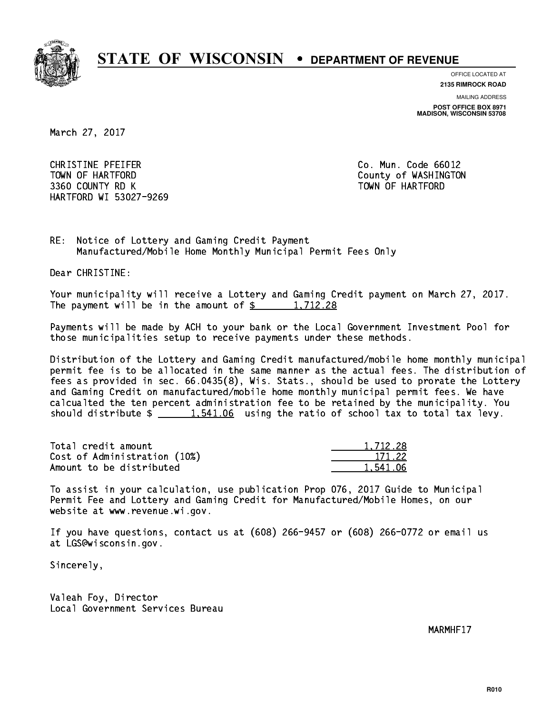

**OFFICE LOCATED AT**

**2135 RIMROCK ROAD**

**MAILING ADDRESS**

**POST OFFICE BOX 8971 MADISON, WISCONSIN 53708**

March 27, 2017

 CHRISTINE PFEIFER Co. Mun. Code 66012 TOWN OF HARTFORD County of WASHINGTON 3360 COUNTY RD K TOWN OF HARTFORD HARTFORD WI 53027-9269

RE: Notice of Lottery and Gaming Credit Payment Manufactured/Mobile Home Monthly Municipal Permit Fees Only

Dear CHRISTINE:

 Your municipality will receive a Lottery and Gaming Credit payment on March 27, 2017. The payment will be in the amount of  $\frac{2}{3}$  1,712.28

 Payments will be made by ACH to your bank or the Local Government Investment Pool for those municipalities setup to receive payments under these methods.

 Distribution of the Lottery and Gaming Credit manufactured/mobile home monthly municipal permit fee is to be allocated in the same manner as the actual fees. The distribution of fees as provided in sec. 66.0435(8), Wis. Stats., should be used to prorate the Lottery and Gaming Credit on manufactured/mobile home monthly municipal permit fees. We have calcualted the ten percent administration fee to be retained by the municipality. You should distribute  $\frac{1.541.06}{1.541.06}$  using the ratio of school tax to total tax levy.

Total credit amount Cost of Administration (10%) Amount to be distributed

| 1.712.28 |
|----------|
| TE 22    |
|          |

 To assist in your calculation, use publication Prop 076, 2017 Guide to Municipal Permit Fee and Lottery and Gaming Credit for Manufactured/Mobile Homes, on our website at www.revenue.wi.gov.

 If you have questions, contact us at (608) 266-9457 or (608) 266-0772 or email us at LGS@wisconsin.gov.

Sincerely,

 Valeah Foy, Director Local Government Services Bureau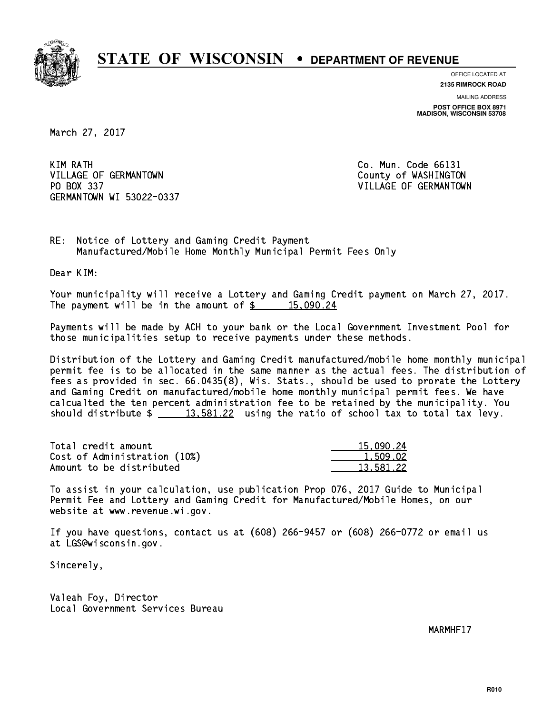

**OFFICE LOCATED AT**

**2135 RIMROCK ROAD**

**MAILING ADDRESS POST OFFICE BOX 8971 MADISON, WISCONSIN 53708**

March 27, 2017

KIM RATH VILLAGE OF GERMANTOWN COUNTY OF WASHINGTON PO BOX 337 VILLAGE OF GERMANTOWN GERMANTOWN WI 53022-0337

Co. Mun. Code 66131

RE: Notice of Lottery and Gaming Credit Payment Manufactured/Mobile Home Monthly Municipal Permit Fees Only

Dear KIM:

 Your municipality will receive a Lottery and Gaming Credit payment on March 27, 2017. The payment will be in the amount of  $\frac{2}{3}$  15,090.24

 Payments will be made by ACH to your bank or the Local Government Investment Pool for those municipalities setup to receive payments under these methods.

 Distribution of the Lottery and Gaming Credit manufactured/mobile home monthly municipal permit fee is to be allocated in the same manner as the actual fees. The distribution of fees as provided in sec. 66.0435(8), Wis. Stats., should be used to prorate the Lottery and Gaming Credit on manufactured/mobile home monthly municipal permit fees. We have calcualted the ten percent administration fee to be retained by the municipality. You should distribute  $\frac{2}{13,581.22}$  using the ratio of school tax to total tax levy.

| Total credit amount          | 15.090.24 |
|------------------------------|-----------|
| Cost of Administration (10%) | 1.509.02  |
| Amount to be distributed     | 13.581.22 |

 To assist in your calculation, use publication Prop 076, 2017 Guide to Municipal Permit Fee and Lottery and Gaming Credit for Manufactured/Mobile Homes, on our website at www.revenue.wi.gov.

 If you have questions, contact us at (608) 266-9457 or (608) 266-0772 or email us at LGS@wisconsin.gov.

Sincerely,

 Valeah Foy, Director Local Government Services Bureau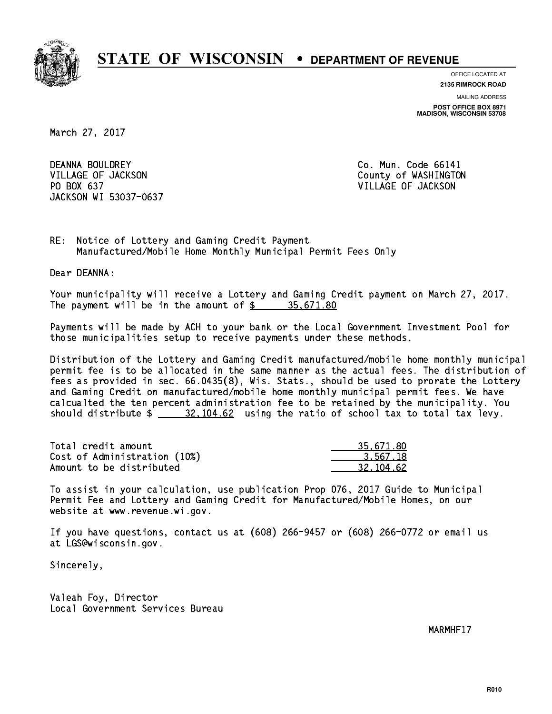

**OFFICE LOCATED AT**

**2135 RIMROCK ROAD**

**MAILING ADDRESS POST OFFICE BOX 8971 MADISON, WISCONSIN 53708**

March 27, 2017

 DEANNA BOULDREY Co. Mun. Code 66141 VILLAGE OF JACKSON COUNTY OF WASHINGTON PO BOX 637 VILLAGE OF JACKSON JACKSON WI 53037-0637

RE: Notice of Lottery and Gaming Credit Payment Manufactured/Mobile Home Monthly Municipal Permit Fees Only

Dear DEANNA:

 Your municipality will receive a Lottery and Gaming Credit payment on March 27, 2017. The payment will be in the amount of  $\frac{2}{3}$  35,671.80

 Payments will be made by ACH to your bank or the Local Government Investment Pool for those municipalities setup to receive payments under these methods.

 Distribution of the Lottery and Gaming Credit manufactured/mobile home monthly municipal permit fee is to be allocated in the same manner as the actual fees. The distribution of fees as provided in sec. 66.0435(8), Wis. Stats., should be used to prorate the Lottery and Gaming Credit on manufactured/mobile home monthly municipal permit fees. We have calcualted the ten percent administration fee to be retained by the municipality. You should distribute  $\frac{2}{2}$   $\frac{32,104.62}{2}$  using the ratio of school tax to total tax levy.

| Total credit amount          | 35,671.80 |
|------------------------------|-----------|
| Cost of Administration (10%) | 3.567.18  |
| Amount to be distributed     | 32.104.62 |

 To assist in your calculation, use publication Prop 076, 2017 Guide to Municipal Permit Fee and Lottery and Gaming Credit for Manufactured/Mobile Homes, on our website at www.revenue.wi.gov.

 If you have questions, contact us at (608) 266-9457 or (608) 266-0772 or email us at LGS@wisconsin.gov.

Sincerely,

 Valeah Foy, Director Local Government Services Bureau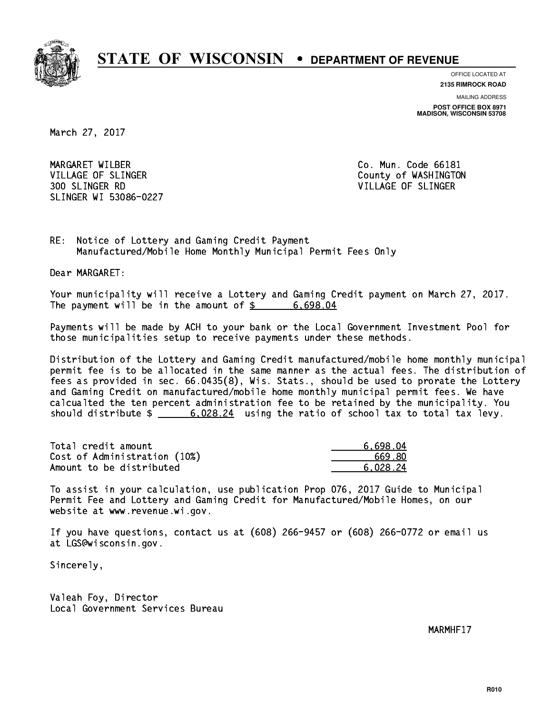

**OFFICE LOCATED AT**

**2135 RIMROCK ROAD**

**MAILING ADDRESS**

**POST OFFICE BOX 8971 MADISON, WISCONSIN 53708**

March 27, 2017

 MARGARET WILBER Co. Mun. Code 66181 VILLAGE OF SLINGER COUNTY OF WASHINGTON 300 SLINGER RD VILLAGE OF SLINGER SLINGER WI 53086-0227

RE: Notice of Lottery and Gaming Credit Payment Manufactured/Mobile Home Monthly Municipal Permit Fees Only

Dear MARGARET:

 Your municipality will receive a Lottery and Gaming Credit payment on March 27, 2017. The payment will be in the amount of  $\frac{2}{3}$  6,698.04

 Payments will be made by ACH to your bank or the Local Government Investment Pool for those municipalities setup to receive payments under these methods.

 Distribution of the Lottery and Gaming Credit manufactured/mobile home monthly municipal permit fee is to be allocated in the same manner as the actual fees. The distribution of fees as provided in sec. 66.0435(8), Wis. Stats., should be used to prorate the Lottery and Gaming Credit on manufactured/mobile home monthly municipal permit fees. We have calcualted the ten percent administration fee to be retained by the municipality. You should distribute \$ 6,028.24 using the ratio of school tax to total tax levy. \_\_\_\_\_\_\_\_\_\_\_\_\_\_

| Total credit amount          | 6.698.04 |
|------------------------------|----------|
| Cost of Administration (10%) | 669.80   |
| Amount to be distributed     | 6.028.24 |

 To assist in your calculation, use publication Prop 076, 2017 Guide to Municipal Permit Fee and Lottery and Gaming Credit for Manufactured/Mobile Homes, on our website at www.revenue.wi.gov.

 If you have questions, contact us at (608) 266-9457 or (608) 266-0772 or email us at LGS@wisconsin.gov.

Sincerely,

 Valeah Foy, Director Local Government Services Bureau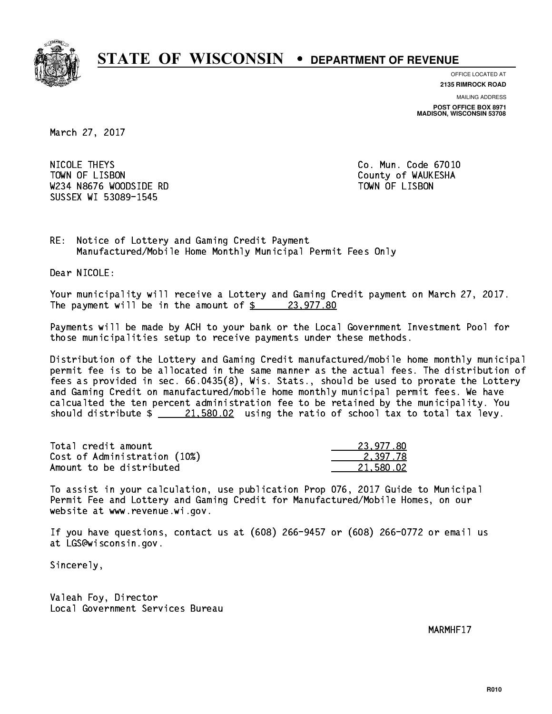

**OFFICE LOCATED AT**

**2135 RIMROCK ROAD**

**MAILING ADDRESS POST OFFICE BOX 8971 MADISON, WISCONSIN 53708**

March 27, 2017

 NICOLE THEYS Co. Mun. Code 67010 TOWN OF LISBON County of WAUKESHA W234 N8676 WOODSIDE RD TOWN OF LISBON SUSSEX WI 53089-1545

RE: Notice of Lottery and Gaming Credit Payment Manufactured/Mobile Home Monthly Municipal Permit Fees Only

Dear NICOLE:

 Your municipality will receive a Lottery and Gaming Credit payment on March 27, 2017. The payment will be in the amount of  $\frac{23,977.80}{23,977.80}$ 

 Payments will be made by ACH to your bank or the Local Government Investment Pool for those municipalities setup to receive payments under these methods.

 Distribution of the Lottery and Gaming Credit manufactured/mobile home monthly municipal permit fee is to be allocated in the same manner as the actual fees. The distribution of fees as provided in sec. 66.0435(8), Wis. Stats., should be used to prorate the Lottery and Gaming Credit on manufactured/mobile home monthly municipal permit fees. We have calcualted the ten percent administration fee to be retained by the municipality. You should distribute  $\frac{21.580.02}{21.580.02}$  using the ratio of school tax to total tax levy.

| Total credit amount          | 23,977.80 |
|------------------------------|-----------|
| Cost of Administration (10%) | 2.397.78  |
| Amount to be distributed     | 21.580.02 |

 To assist in your calculation, use publication Prop 076, 2017 Guide to Municipal Permit Fee and Lottery and Gaming Credit for Manufactured/Mobile Homes, on our website at www.revenue.wi.gov.

 If you have questions, contact us at (608) 266-9457 or (608) 266-0772 or email us at LGS@wisconsin.gov.

Sincerely,

 Valeah Foy, Director Local Government Services Bureau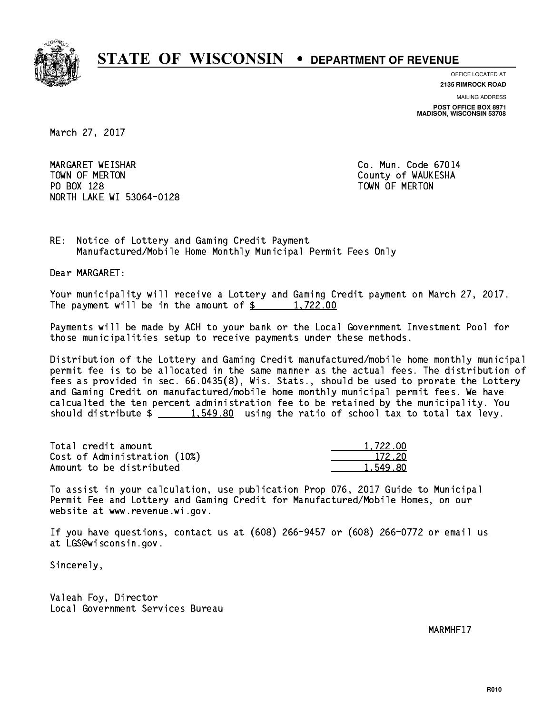

**OFFICE LOCATED AT**

**2135 RIMROCK ROAD**

**MAILING ADDRESS POST OFFICE BOX 8971 MADISON, WISCONSIN 53708**

March 27, 2017

 MARGARET WEISHAR Co. Mun. Code 67014 TOWN OF MERTON County of WAUKESHA PO BOX 128 TOWN OF MERTON NORTH LAKE WI 53064-0128

RE: Notice of Lottery and Gaming Credit Payment Manufactured/Mobile Home Monthly Municipal Permit Fees Only

Dear MARGARET:

 Your municipality will receive a Lottery and Gaming Credit payment on March 27, 2017. The payment will be in the amount of  $\frac{2}{3}$  1,722.00

 Payments will be made by ACH to your bank or the Local Government Investment Pool for those municipalities setup to receive payments under these methods.

 Distribution of the Lottery and Gaming Credit manufactured/mobile home monthly municipal permit fee is to be allocated in the same manner as the actual fees. The distribution of fees as provided in sec. 66.0435(8), Wis. Stats., should be used to prorate the Lottery and Gaming Credit on manufactured/mobile home monthly municipal permit fees. We have calcualted the ten percent administration fee to be retained by the municipality. You should distribute  $\frac{2}{1,549.80}$  using the ratio of school tax to total tax levy.

| Total credit amount          | 1,722.00 |
|------------------------------|----------|
| Cost of Administration (10%) | 172.20   |
| Amount to be distributed     | 1.549.80 |

 To assist in your calculation, use publication Prop 076, 2017 Guide to Municipal Permit Fee and Lottery and Gaming Credit for Manufactured/Mobile Homes, on our website at www.revenue.wi.gov.

 If you have questions, contact us at (608) 266-9457 or (608) 266-0772 or email us at LGS@wisconsin.gov.

Sincerely,

 Valeah Foy, Director Local Government Services Bureau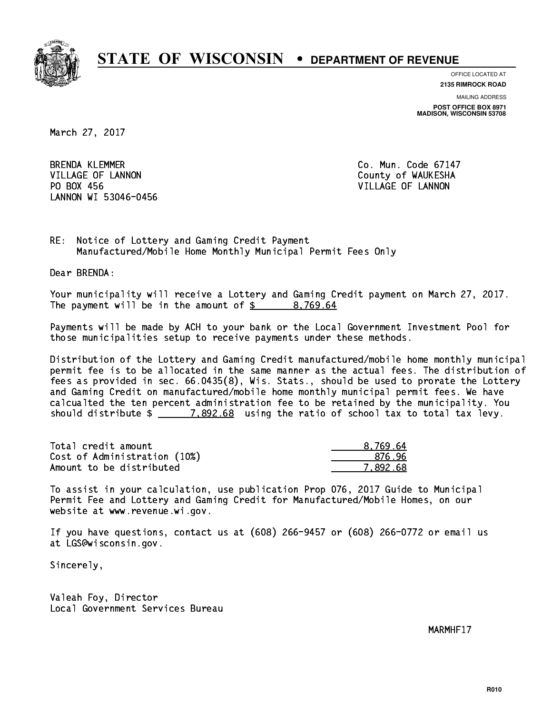

**OFFICE LOCATED AT**

**2135 RIMROCK ROAD**

**MAILING ADDRESS POST OFFICE BOX 8971 MADISON, WISCONSIN 53708**

March 27, 2017

**BRENDA KLEMMER** VILLAGE OF LANNON COUNTY OF WAUKESHA PO BOX 456 LANNON WI 53046-0456

Co. Mun. Code 67147 VILLAGE OF LANNON

RE: Notice of Lottery and Gaming Credit Payment Manufactured/Mobile Home Monthly Municipal Permit Fees Only

Dear BRENDA:

 Your municipality will receive a Lottery and Gaming Credit payment on March 27, 2017. The payment will be in the amount of \$ 8,769.64 \_\_\_\_\_\_\_\_\_\_\_\_\_\_\_\_

 Payments will be made by ACH to your bank or the Local Government Investment Pool for those municipalities setup to receive payments under these methods.

 Distribution of the Lottery and Gaming Credit manufactured/mobile home monthly municipal permit fee is to be allocated in the same manner as the actual fees. The distribution of fees as provided in sec. 66.0435(8), Wis. Stats., should be used to prorate the Lottery and Gaming Credit on manufactured/mobile home monthly municipal permit fees. We have calcualted the ten percent administration fee to be retained by the municipality. You should distribute  $\frac{2}{2}$   $\frac{7,892.68}{2}$  using the ratio of school tax to total tax levy.

| Total credit amount          | 8.769.64 |
|------------------------------|----------|
| Cost of Administration (10%) | -876.96  |
| Amount to be distributed     | 7.892.68 |

 To assist in your calculation, use publication Prop 076, 2017 Guide to Municipal Permit Fee and Lottery and Gaming Credit for Manufactured/Mobile Homes, on our website at www.revenue.wi.gov.

 If you have questions, contact us at (608) 266-9457 or (608) 266-0772 or email us at LGS@wisconsin.gov.

Sincerely,

 Valeah Foy, Director Local Government Services Bureau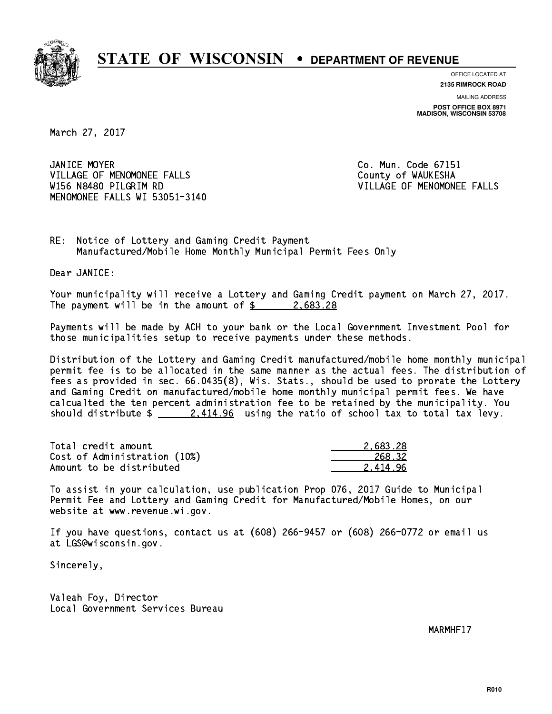

**OFFICE LOCATED AT**

**2135 RIMROCK ROAD**

**MAILING ADDRESS POST OFFICE BOX 8971 MADISON, WISCONSIN 53708**

March 27, 2017

JANICE MOYER VILLAGE OF MENOMONEE FALLS **COUNTY OF WAUKESHA**  W156 N8480 PILGRIM RD VILLAGE OF MENOMONEE FALLS MENOMONEE FALLS WI 53051-3140

Co. Mun. Code 67151

RE: Notice of Lottery and Gaming Credit Payment Manufactured/Mobile Home Monthly Municipal Permit Fees Only

Dear JANICE:

 Your municipality will receive a Lottery and Gaming Credit payment on March 27, 2017. The payment will be in the amount of  $\frac{2}{5}$  2,683.28

 Payments will be made by ACH to your bank or the Local Government Investment Pool for those municipalities setup to receive payments under these methods.

 Distribution of the Lottery and Gaming Credit manufactured/mobile home monthly municipal permit fee is to be allocated in the same manner as the actual fees. The distribution of fees as provided in sec. 66.0435(8), Wis. Stats., should be used to prorate the Lottery and Gaming Credit on manufactured/mobile home monthly municipal permit fees. We have calcualted the ten percent administration fee to be retained by the municipality. You should distribute  $\frac{2.414.96}{2.414.96}$  using the ratio of school tax to total tax levy.

| Total credit amount          | 2.683.28 |
|------------------------------|----------|
| Cost of Administration (10%) | 268.32   |
| Amount to be distributed     | 2.414.96 |

 To assist in your calculation, use publication Prop 076, 2017 Guide to Municipal Permit Fee and Lottery and Gaming Credit for Manufactured/Mobile Homes, on our website at www.revenue.wi.gov.

 If you have questions, contact us at (608) 266-9457 or (608) 266-0772 or email us at LGS@wisconsin.gov.

Sincerely,

 Valeah Foy, Director Local Government Services Bureau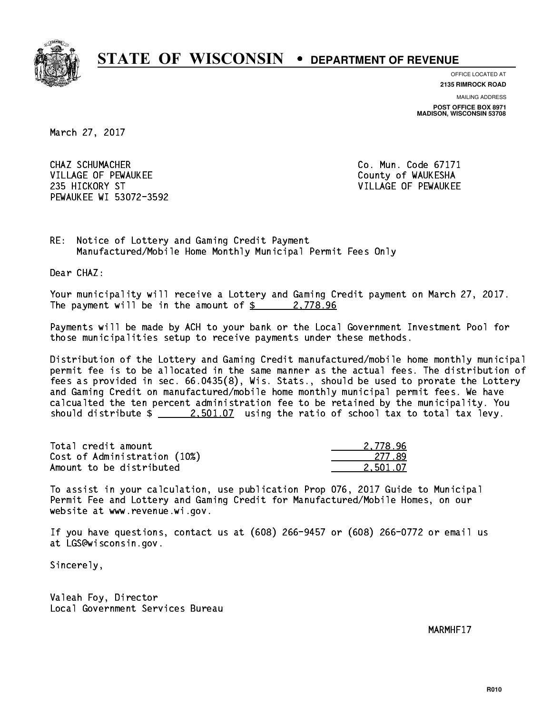

**OFFICE LOCATED AT**

**2135 RIMROCK ROAD**

**MAILING ADDRESS POST OFFICE BOX 8971 MADISON, WISCONSIN 53708**

March 27, 2017

 CHAZ SCHUMACHER Co. Mun. Code 67171 VILLAGE OF PEWAUKEE COUNTY OF WAUKESHA 235 HICKORY ST VILLAGE OF PEWAUKEE PEWAUKEE WI 53072-3592

RE: Notice of Lottery and Gaming Credit Payment Manufactured/Mobile Home Monthly Municipal Permit Fees Only

Dear CHAZ:

 Your municipality will receive a Lottery and Gaming Credit payment on March 27, 2017. The payment will be in the amount of  $\frac{2}{3}$  2,778.96

 Payments will be made by ACH to your bank or the Local Government Investment Pool for those municipalities setup to receive payments under these methods.

 Distribution of the Lottery and Gaming Credit manufactured/mobile home monthly municipal permit fee is to be allocated in the same manner as the actual fees. The distribution of fees as provided in sec. 66.0435(8), Wis. Stats., should be used to prorate the Lottery and Gaming Credit on manufactured/mobile home monthly municipal permit fees. We have calcualted the ten percent administration fee to be retained by the municipality. You should distribute  $\frac{2.501.07}{2.501.07}$  using the ratio of school tax to total tax levy.

| Total credit amount          | 2.778.96 |
|------------------------------|----------|
| Cost of Administration (10%) | -277.89  |
| Amount to be distributed     | 2.501.07 |

 To assist in your calculation, use publication Prop 076, 2017 Guide to Municipal Permit Fee and Lottery and Gaming Credit for Manufactured/Mobile Homes, on our website at www.revenue.wi.gov.

 If you have questions, contact us at (608) 266-9457 or (608) 266-0772 or email us at LGS@wisconsin.gov.

Sincerely,

 Valeah Foy, Director Local Government Services Bureau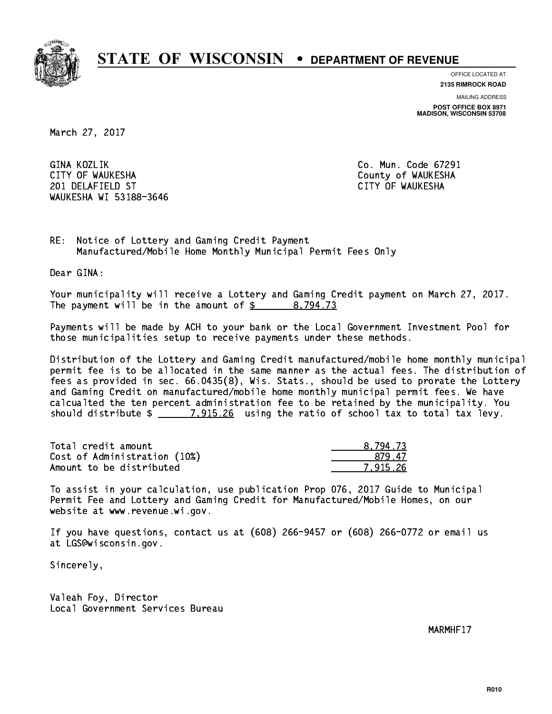

**OFFICE LOCATED AT**

**2135 RIMROCK ROAD**

**MAILING ADDRESS**

**POST OFFICE BOX 8971 MADISON, WISCONSIN 53708**

March 27, 2017

GINA KOZLIK CITY OF WAUKESHA County of WAUKESHA 201 DELAFIELD ST CITY OF WAUKESHA WAUKESHA WI 53188-3646

Co. Mun. Code 67291

RE: Notice of Lottery and Gaming Credit Payment Manufactured/Mobile Home Monthly Municipal Permit Fees Only

Dear GINA:

 Your municipality will receive a Lottery and Gaming Credit payment on March 27, 2017. The payment will be in the amount of \$ 8,794.73 \_\_\_\_\_\_\_\_\_\_\_\_\_\_\_\_

 Payments will be made by ACH to your bank or the Local Government Investment Pool for those municipalities setup to receive payments under these methods.

 Distribution of the Lottery and Gaming Credit manufactured/mobile home monthly municipal permit fee is to be allocated in the same manner as the actual fees. The distribution of fees as provided in sec. 66.0435(8), Wis. Stats., should be used to prorate the Lottery and Gaming Credit on manufactured/mobile home monthly municipal permit fees. We have calcualted the ten percent administration fee to be retained by the municipality. You should distribute  $\frac{2}{1.915.26}$  using the ratio of school tax to total tax levy.

| Total credit amount          | 8.794.73 |
|------------------------------|----------|
| Cost of Administration (10%) | 87947    |
| Amount to be distributed     | 7.915.26 |

 To assist in your calculation, use publication Prop 076, 2017 Guide to Municipal Permit Fee and Lottery and Gaming Credit for Manufactured/Mobile Homes, on our website at www.revenue.wi.gov.

 If you have questions, contact us at (608) 266-9457 or (608) 266-0772 or email us at LGS@wisconsin.gov.

Sincerely,

 Valeah Foy, Director Local Government Services Bureau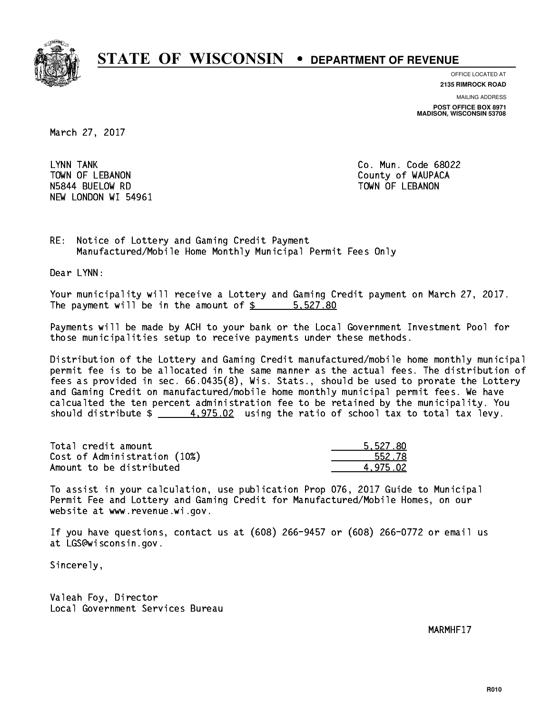

**OFFICE LOCATED AT 2135 RIMROCK ROAD**

**MAILING ADDRESS**

**POST OFFICE BOX 8971 MADISON, WISCONSIN 53708**

March 27, 2017

LYNN TANK TOWN OF LEBANON **COUNTY OF SEARCH COULD A** COUNTY OF WAUPACA NSA 44 BUELOW RD TOWN OF LEBANON RD TOWN OF LEBANON RD TOWN OF LEBANON RD TOWN OF LEBANON RD TOWN OF LEBANON R NEW LONDON WI 54961

Co. Mun. Code 68022

RE: Notice of Lottery and Gaming Credit Payment Manufactured/Mobile Home Monthly Municipal Permit Fees Only

Dear LYNN:

 Your municipality will receive a Lottery and Gaming Credit payment on March 27, 2017. The payment will be in the amount of \$ 5,527.80 \_\_\_\_\_\_\_\_\_\_\_\_\_\_\_\_

 Payments will be made by ACH to your bank or the Local Government Investment Pool for those municipalities setup to receive payments under these methods.

 Distribution of the Lottery and Gaming Credit manufactured/mobile home monthly municipal permit fee is to be allocated in the same manner as the actual fees. The distribution of fees as provided in sec. 66.0435(8), Wis. Stats., should be used to prorate the Lottery and Gaming Credit on manufactured/mobile home monthly municipal permit fees. We have calcualted the ten percent administration fee to be retained by the municipality. You should distribute  $\frac{4.975.02}{4.975.02}$  using the ratio of school tax to total tax levy.

| Total credit amount          | 5.527.80 |
|------------------------------|----------|
| Cost of Administration (10%) | 552.78   |
| Amount to be distributed     | 4.975.02 |

 To assist in your calculation, use publication Prop 076, 2017 Guide to Municipal Permit Fee and Lottery and Gaming Credit for Manufactured/Mobile Homes, on our website at www.revenue.wi.gov.

 If you have questions, contact us at (608) 266-9457 or (608) 266-0772 or email us at LGS@wisconsin.gov.

Sincerely,

 Valeah Foy, Director Local Government Services Bureau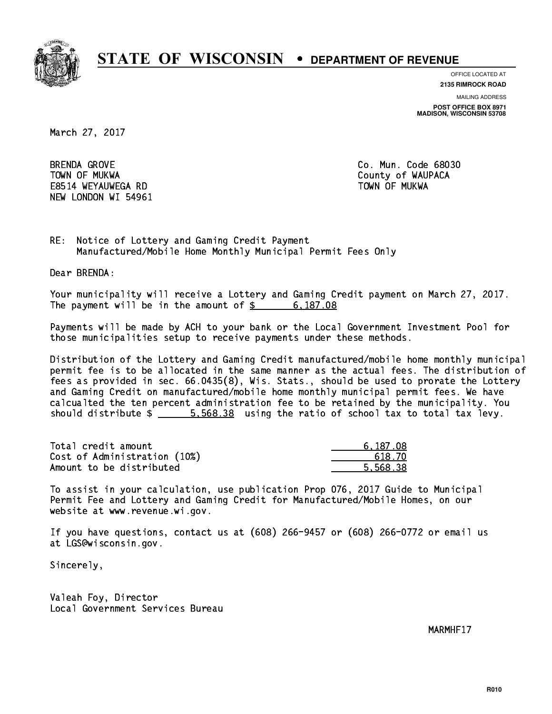

**OFFICE LOCATED AT**

**2135 RIMROCK ROAD**

**MAILING ADDRESS POST OFFICE BOX 8971 MADISON, WISCONSIN 53708**

March 27, 2017

**BRENDA GROVE**  TOWN OF MUKWA County of WAUPACA E8514 WEYAUWEGA RD TOWN OF MUKWA NEW LONDON WI 54961

Co. Mun. Code 68030

RE: Notice of Lottery and Gaming Credit Payment Manufactured/Mobile Home Monthly Municipal Permit Fees Only

Dear BRENDA:

 Your municipality will receive a Lottery and Gaming Credit payment on March 27, 2017. The payment will be in the amount of  $\frac{2}{3}$  6,187.08

 Payments will be made by ACH to your bank or the Local Government Investment Pool for those municipalities setup to receive payments under these methods.

 Distribution of the Lottery and Gaming Credit manufactured/mobile home monthly municipal permit fee is to be allocated in the same manner as the actual fees. The distribution of fees as provided in sec. 66.0435(8), Wis. Stats., should be used to prorate the Lottery and Gaming Credit on manufactured/mobile home monthly municipal permit fees. We have calcualted the ten percent administration fee to be retained by the municipality. You should distribute  $\frac{2}{1}$   $\frac{5.568.38}{2}$  using the ratio of school tax to total tax levy.

| Total credit amount          | 6.187.08 |
|------------------------------|----------|
| Cost of Administration (10%) | 618.70   |
| Amount to be distributed     | 5.568.38 |

 To assist in your calculation, use publication Prop 076, 2017 Guide to Municipal Permit Fee and Lottery and Gaming Credit for Manufactured/Mobile Homes, on our website at www.revenue.wi.gov.

 If you have questions, contact us at (608) 266-9457 or (608) 266-0772 or email us at LGS@wisconsin.gov.

Sincerely,

 Valeah Foy, Director Local Government Services Bureau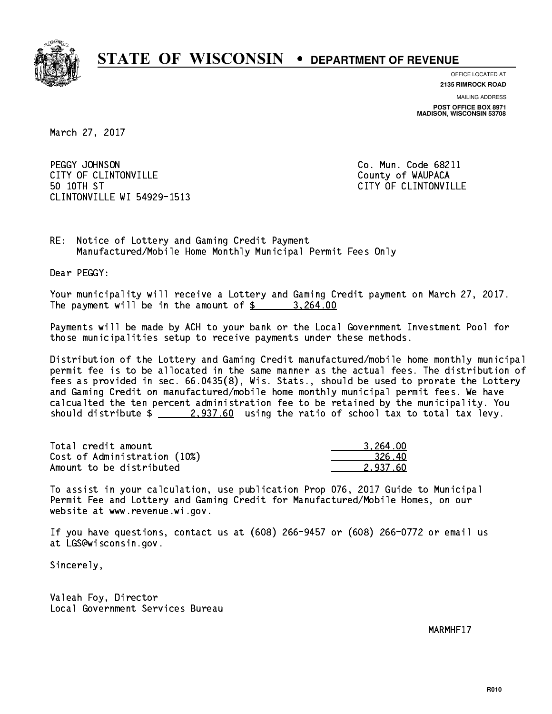

**OFFICE LOCATED AT**

**2135 RIMROCK ROAD**

**MAILING ADDRESS POST OFFICE BOX 8971 MADISON, WISCONSIN 53708**

March 27, 2017

PEGGY JOHNSON CITY OF CLINTONVILLE COUNTY COUNTY OF WAUPACA 50 10TH ST CLINTONVILLE WI 54929-1513

Co. Mun. Code 68211 CITY OF CLINTONVILLE

RE: Notice of Lottery and Gaming Credit Payment Manufactured/Mobile Home Monthly Municipal Permit Fees Only

Dear PEGGY:

 Your municipality will receive a Lottery and Gaming Credit payment on March 27, 2017. The payment will be in the amount of  $\frac{2}{3}$  3,264.00

 Payments will be made by ACH to your bank or the Local Government Investment Pool for those municipalities setup to receive payments under these methods.

 Distribution of the Lottery and Gaming Credit manufactured/mobile home monthly municipal permit fee is to be allocated in the same manner as the actual fees. The distribution of fees as provided in sec. 66.0435(8), Wis. Stats., should be used to prorate the Lottery and Gaming Credit on manufactured/mobile home monthly municipal permit fees. We have calcualted the ten percent administration fee to be retained by the municipality. You should distribute  $\frac{2.937.60}{2.937.60}$  using the ratio of school tax to total tax levy.

| Total credit amount          | 3.264.00 |
|------------------------------|----------|
| Cost of Administration (10%) | 326.40   |
| Amount to be distributed     | 2.937.60 |

 To assist in your calculation, use publication Prop 076, 2017 Guide to Municipal Permit Fee and Lottery and Gaming Credit for Manufactured/Mobile Homes, on our website at www.revenue.wi.gov.

 If you have questions, contact us at (608) 266-9457 or (608) 266-0772 or email us at LGS@wisconsin.gov.

Sincerely,

 Valeah Foy, Director Local Government Services Bureau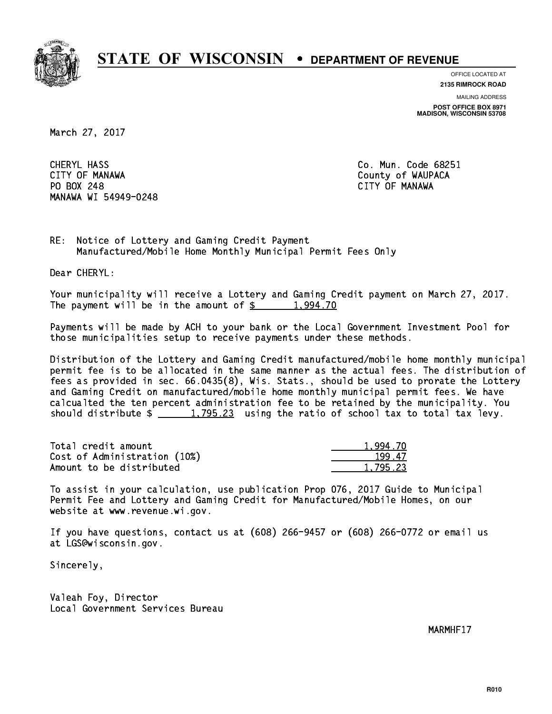

**OFFICE LOCATED AT**

**2135 RIMROCK ROAD**

**MAILING ADDRESS**

**POST OFFICE BOX 8971 MADISON, WISCONSIN 53708**

March 27, 2017

CHERYL HASS CITY OF MANAWA County of WAUPACA PO BOX 248 CITY OF MANAWA MANAWA WI 54949-0248

Co. Mun. Code 68251

RE: Notice of Lottery and Gaming Credit Payment Manufactured/Mobile Home Monthly Municipal Permit Fees Only

Dear CHERYL:

 Your municipality will receive a Lottery and Gaming Credit payment on March 27, 2017. The payment will be in the amount of  $\frac{2}{3}$  1,994.70

 Payments will be made by ACH to your bank or the Local Government Investment Pool for those municipalities setup to receive payments under these methods.

 Distribution of the Lottery and Gaming Credit manufactured/mobile home monthly municipal permit fee is to be allocated in the same manner as the actual fees. The distribution of fees as provided in sec. 66.0435(8), Wis. Stats., should be used to prorate the Lottery and Gaming Credit on manufactured/mobile home monthly municipal permit fees. We have calcualted the ten percent administration fee to be retained by the municipality. You should distribute  $\frac{2}{1,795.23}$  using the ratio of school tax to total tax levy.

| Total credit amount          | 1.994.70 |
|------------------------------|----------|
| Cost of Administration (10%) | 199.47   |
| Amount to be distributed     | 1.795.23 |

 To assist in your calculation, use publication Prop 076, 2017 Guide to Municipal Permit Fee and Lottery and Gaming Credit for Manufactured/Mobile Homes, on our website at www.revenue.wi.gov.

 If you have questions, contact us at (608) 266-9457 or (608) 266-0772 or email us at LGS@wisconsin.gov.

Sincerely,

 Valeah Foy, Director Local Government Services Bureau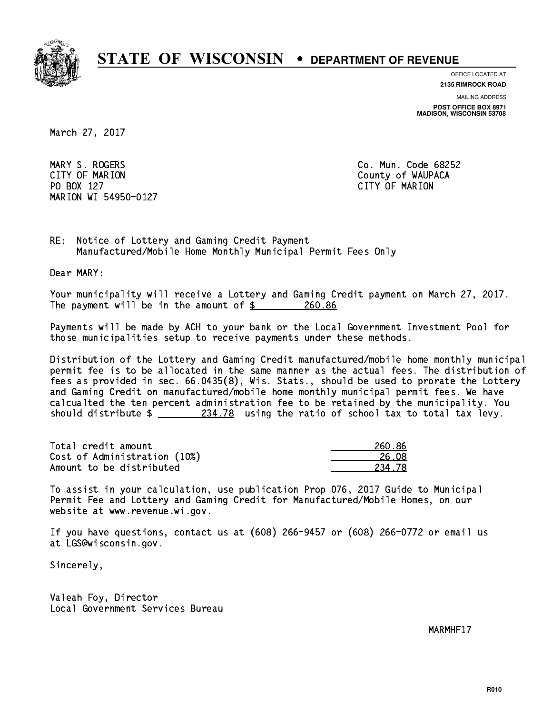

**OFFICE LOCATED AT**

**2135 RIMROCK ROAD**

**MAILING ADDRESS**

**POST OFFICE BOX 8971 MADISON, WISCONSIN 53708**

March 27, 2017

 MARY S. ROGERS Co. Mun. Code 68252 CITY OF MARION COUNTY COUNTY OF MARION PO BOX 127 CITY OF MARION MARION WI 54950-0127

RE: Notice of Lottery and Gaming Credit Payment Manufactured/Mobile Home Monthly Municipal Permit Fees Only

Dear MARY:

 Your municipality will receive a Lottery and Gaming Credit payment on March 27, 2017. The payment will be in the amount of \$ 260.86 \_\_\_\_\_\_\_\_\_\_\_\_\_\_\_\_

 Payments will be made by ACH to your bank or the Local Government Investment Pool for those municipalities setup to receive payments under these methods.

 Distribution of the Lottery and Gaming Credit manufactured/mobile home monthly municipal permit fee is to be allocated in the same manner as the actual fees. The distribution of fees as provided in sec. 66.0435(8), Wis. Stats., should be used to prorate the Lottery and Gaming Credit on manufactured/mobile home monthly municipal permit fees. We have calcualted the ten percent administration fee to be retained by the municipality. You should distribute  $\frac{234.78}{2}$  using the ratio of school tax to total tax levy.

Total credit amount Cost of Administration (10%) Amount to be distributed

| 260.86     |
|------------|
| 26. NR     |
| 4.78<br>23 |

 To assist in your calculation, use publication Prop 076, 2017 Guide to Municipal Permit Fee and Lottery and Gaming Credit for Manufactured/Mobile Homes, on our website at www.revenue.wi.gov.

 If you have questions, contact us at (608) 266-9457 or (608) 266-0772 or email us at LGS@wisconsin.gov.

Sincerely,

 Valeah Foy, Director Local Government Services Bureau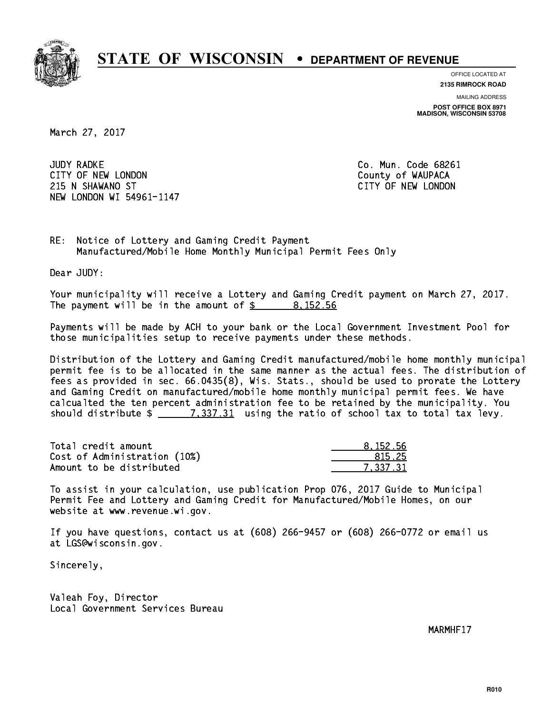

**OFFICE LOCATED AT**

**2135 RIMROCK ROAD**

**MAILING ADDRESS POST OFFICE BOX 8971 MADISON, WISCONSIN 53708**

March 27, 2017

**JUDY RADKE** CITY OF NEW LONDON COUNTY OF WAUPACA 215 N SHAWANO ST CITY OF NEW LONDON NEW LONDON WI 54961-1147

Co. Mun. Code 68261

RE: Notice of Lottery and Gaming Credit Payment Manufactured/Mobile Home Monthly Municipal Permit Fees Only

Dear JUDY:

 Your municipality will receive a Lottery and Gaming Credit payment on March 27, 2017. The payment will be in the amount of  $\frac{2}{3}$  8,152.56

 Payments will be made by ACH to your bank or the Local Government Investment Pool for those municipalities setup to receive payments under these methods.

 Distribution of the Lottery and Gaming Credit manufactured/mobile home monthly municipal permit fee is to be allocated in the same manner as the actual fees. The distribution of fees as provided in sec. 66.0435(8), Wis. Stats., should be used to prorate the Lottery and Gaming Credit on manufactured/mobile home monthly municipal permit fees. We have calcualted the ten percent administration fee to be retained by the municipality. You should distribute  $\frac{2}{2}$   $\frac{7,337.31}{2}$  using the ratio of school tax to total tax levy.

| Total credit amount          | 8.152.56 |
|------------------------------|----------|
| Cost of Administration (10%) | 815.25   |
| Amount to be distributed     | 7.337.31 |

 To assist in your calculation, use publication Prop 076, 2017 Guide to Municipal Permit Fee and Lottery and Gaming Credit for Manufactured/Mobile Homes, on our website at www.revenue.wi.gov.

 If you have questions, contact us at (608) 266-9457 or (608) 266-0772 or email us at LGS@wisconsin.gov.

Sincerely,

 Valeah Foy, Director Local Government Services Bureau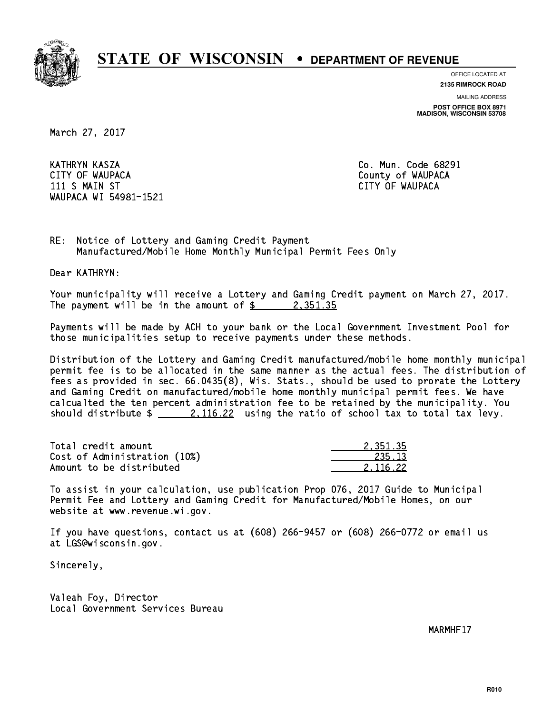

**OFFICE LOCATED AT**

**2135 RIMROCK ROAD**

**MAILING ADDRESS**

**POST OFFICE BOX 8971 MADISON, WISCONSIN 53708**

March 27, 2017

 KATHRYN KASZA Co. Mun. Code 68291 CITY OF WAUPACA **COULD ACCOUNT OF WAUPACA** 11 S MAIN ST CITY OF WAUPACAST CHAIRS AND LOCAL COMPANY OF WAUPACAST CHAIRS AND LOCAL COMPANY OF WAUPACAST CHA WAUPACA WI 54981-1521

RE: Notice of Lottery and Gaming Credit Payment Manufactured/Mobile Home Monthly Municipal Permit Fees Only

Dear KATHRYN:

 Your municipality will receive a Lottery and Gaming Credit payment on March 27, 2017. The payment will be in the amount of  $\frac{2}{3}$  2,351.35

 Payments will be made by ACH to your bank or the Local Government Investment Pool for those municipalities setup to receive payments under these methods.

 Distribution of the Lottery and Gaming Credit manufactured/mobile home monthly municipal permit fee is to be allocated in the same manner as the actual fees. The distribution of fees as provided in sec. 66.0435(8), Wis. Stats., should be used to prorate the Lottery and Gaming Credit on manufactured/mobile home monthly municipal permit fees. We have calcualted the ten percent administration fee to be retained by the municipality. You should distribute  $\frac{2.116.22}{2.116.22}$  using the ratio of school tax to total tax levy.

| Total credit amount          | 2,351.35 |
|------------------------------|----------|
| Cost of Administration (10%) | 235.13   |
| Amount to be distributed     | 2.116.22 |

 To assist in your calculation, use publication Prop 076, 2017 Guide to Municipal Permit Fee and Lottery and Gaming Credit for Manufactured/Mobile Homes, on our website at www.revenue.wi.gov.

 If you have questions, contact us at (608) 266-9457 or (608) 266-0772 or email us at LGS@wisconsin.gov.

Sincerely,

 Valeah Foy, Director Local Government Services Bureau

MARMHF17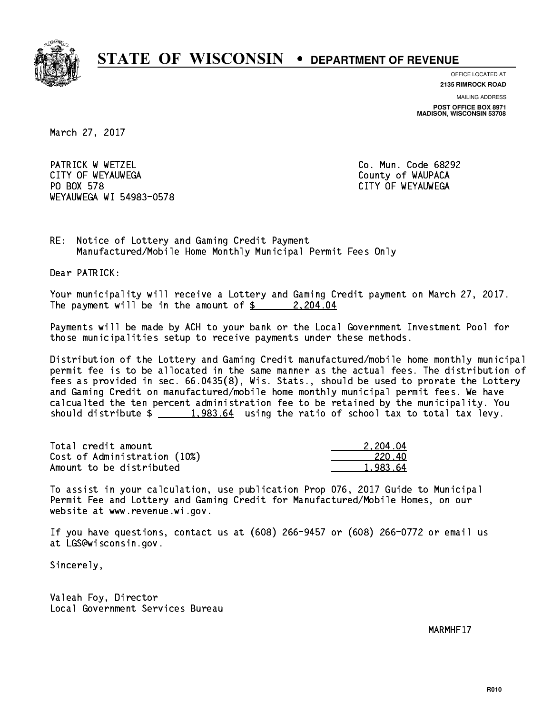

**OFFICE LOCATED AT**

**2135 RIMROCK ROAD**

**MAILING ADDRESS**

**POST OFFICE BOX 8971 MADISON, WISCONSIN 53708**

March 27, 2017

PATRICK W WETZEL CITY OF WEYAUWEGA **COULD ACCOUNT OF SEXUAL COULD A** COUNTY OF WAUPACA PO BOX 578 WEYAUWEGA WI 54983-0578

Co. Mun. Code 68292 CITY OF WEYAUWEGA

RE: Notice of Lottery and Gaming Credit Payment Manufactured/Mobile Home Monthly Municipal Permit Fees Only

Dear PATRICK:

 Your municipality will receive a Lottery and Gaming Credit payment on March 27, 2017. The payment will be in the amount of  $\frac{2}{3}$  2,204.04

 Payments will be made by ACH to your bank or the Local Government Investment Pool for those municipalities setup to receive payments under these methods.

 Distribution of the Lottery and Gaming Credit manufactured/mobile home monthly municipal permit fee is to be allocated in the same manner as the actual fees. The distribution of fees as provided in sec. 66.0435(8), Wis. Stats., should be used to prorate the Lottery and Gaming Credit on manufactured/mobile home monthly municipal permit fees. We have calcualted the ten percent administration fee to be retained by the municipality. You should distribute  $\frac{1,983.64}{1,983.64}$  using the ratio of school tax to total tax levy.

| Total credit amount          | 2.204.04 |
|------------------------------|----------|
| Cost of Administration (10%) | 220.40   |
| Amount to be distributed     | 1,983.64 |

 To assist in your calculation, use publication Prop 076, 2017 Guide to Municipal Permit Fee and Lottery and Gaming Credit for Manufactured/Mobile Homes, on our website at www.revenue.wi.gov.

 If you have questions, contact us at (608) 266-9457 or (608) 266-0772 or email us at LGS@wisconsin.gov.

Sincerely,

 Valeah Foy, Director Local Government Services Bureau

MARMHF17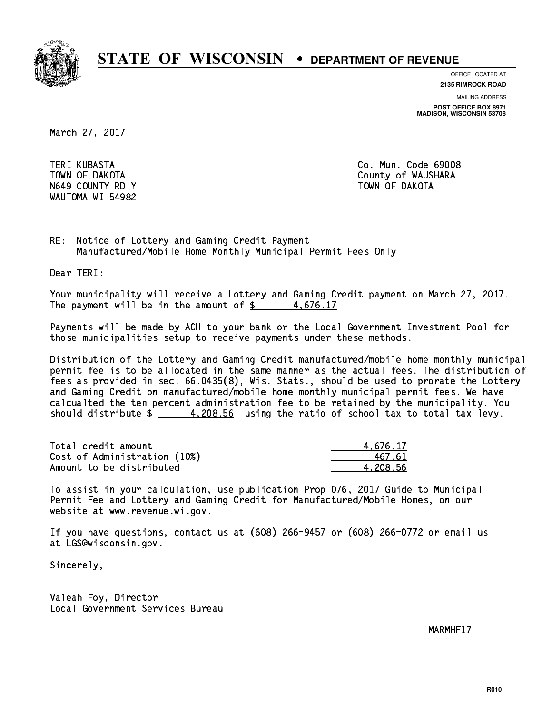

**OFFICE LOCATED AT**

**2135 RIMROCK ROAD**

**MAILING ADDRESS**

**POST OFFICE BOX 8971 MADISON, WISCONSIN 53708**

March 27, 2017

**TERI KUBASTA** N649 COUNTY RD Y TOWN OF DAKOTA WAUTOMA WI 54982

Co. Mun. Code 69008 TOWN OF DAKOTA County of WAUSHARA

RE: Notice of Lottery and Gaming Credit Payment Manufactured/Mobile Home Monthly Municipal Permit Fees Only

Dear TERI:

 Your municipality will receive a Lottery and Gaming Credit payment on March 27, 2017. The payment will be in the amount of  $\frac{2}{3}$  4,676.17

 Payments will be made by ACH to your bank or the Local Government Investment Pool for those municipalities setup to receive payments under these methods.

 Distribution of the Lottery and Gaming Credit manufactured/mobile home monthly municipal permit fee is to be allocated in the same manner as the actual fees. The distribution of fees as provided in sec. 66.0435(8), Wis. Stats., should be used to prorate the Lottery and Gaming Credit on manufactured/mobile home monthly municipal permit fees. We have calcualted the ten percent administration fee to be retained by the municipality. You should distribute  $\frac{4.208.56}{2}$  using the ratio of school tax to total tax levy.

| Total credit amount          | 4.676.17 |
|------------------------------|----------|
| Cost of Administration (10%) | 467 61   |
| Amount to be distributed     | 4.208.56 |

 To assist in your calculation, use publication Prop 076, 2017 Guide to Municipal Permit Fee and Lottery and Gaming Credit for Manufactured/Mobile Homes, on our website at www.revenue.wi.gov.

 If you have questions, contact us at (608) 266-9457 or (608) 266-0772 or email us at LGS@wisconsin.gov.

Sincerely,

 Valeah Foy, Director Local Government Services Bureau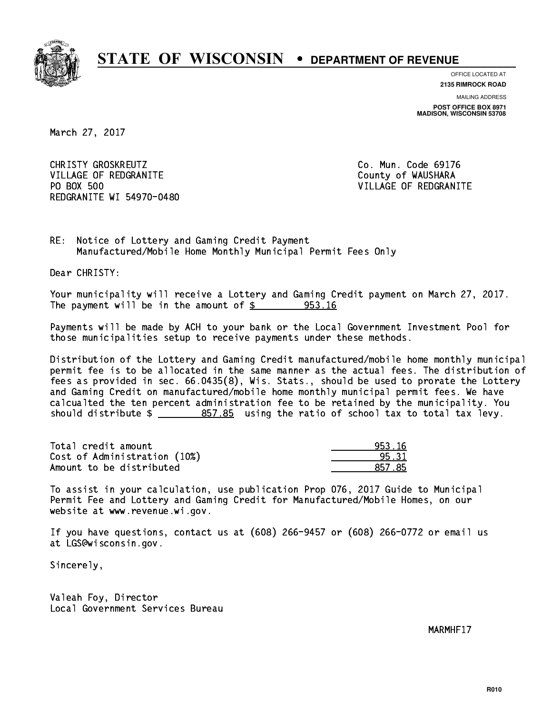

**OFFICE LOCATED AT**

**2135 RIMROCK ROAD**

**MAILING ADDRESS POST OFFICE BOX 8971 MADISON, WISCONSIN 53708**

March 27, 2017

CHRISTY GROSKREUTZ **CHRISTY GROSKREUTZ Co. Mun. Code 69176** VILLAGE OF REDGRANITE COUNTY OF WAUSHARA PO BOX 500 REDGRANITE WI 54970-0480

VILLAGE OF REDGRANITE

RE: Notice of Lottery and Gaming Credit Payment Manufactured/Mobile Home Monthly Municipal Permit Fees Only

Dear CHRISTY:

 Your municipality will receive a Lottery and Gaming Credit payment on March 27, 2017. The payment will be in the amount of  $\frac{2}{3}$  953.16

 Payments will be made by ACH to your bank or the Local Government Investment Pool for those municipalities setup to receive payments under these methods.

 Distribution of the Lottery and Gaming Credit manufactured/mobile home monthly municipal permit fee is to be allocated in the same manner as the actual fees. The distribution of fees as provided in sec. 66.0435(8), Wis. Stats., should be used to prorate the Lottery and Gaming Credit on manufactured/mobile home monthly municipal permit fees. We have calcualted the ten percent administration fee to be retained by the municipality. You should distribute  $\frac{2}{2}$   $\frac{857.85}{2}$  using the ratio of school tax to total tax levy.

| Total credit amount          | 953.16 |
|------------------------------|--------|
| Cost of Administration (10%) | 95.31  |
| Amount to be distributed     | 857.85 |

 To assist in your calculation, use publication Prop 076, 2017 Guide to Municipal Permit Fee and Lottery and Gaming Credit for Manufactured/Mobile Homes, on our website at www.revenue.wi.gov.

 If you have questions, contact us at (608) 266-9457 or (608) 266-0772 or email us at LGS@wisconsin.gov.

Sincerely,

 Valeah Foy, Director Local Government Services Bureau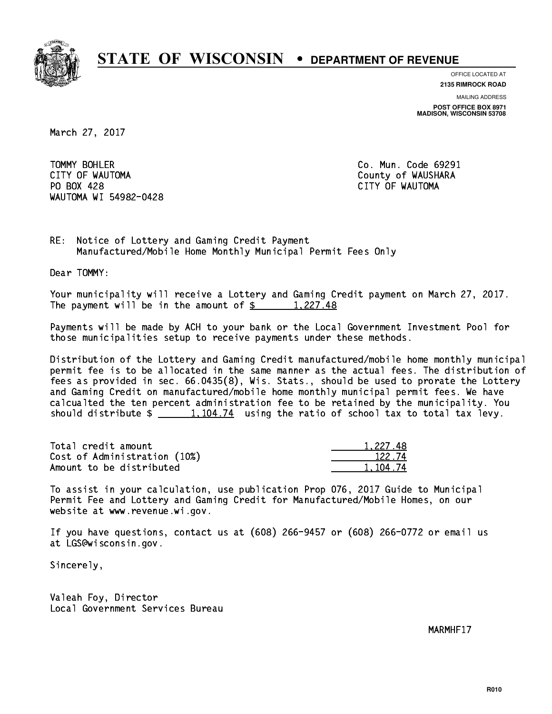

**OFFICE LOCATED AT**

**2135 RIMROCK ROAD**

**MAILING ADDRESS**

**POST OFFICE BOX 8971 MADISON, WISCONSIN 53708**

March 27, 2017

TOMMY BOHLER CITY OF WAUTOMA COUNTY OF WAUSHARA PO BOX 428 CITY OF WAUTOMA WAUTOMA WI 54982-0428

Co. Mun. Code 69291

RE: Notice of Lottery and Gaming Credit Payment Manufactured/Mobile Home Monthly Municipal Permit Fees Only

Dear TOMMY:

 Your municipality will receive a Lottery and Gaming Credit payment on March 27, 2017. The payment will be in the amount of  $\frac{27.48}{1.227.48}$ 

 Payments will be made by ACH to your bank or the Local Government Investment Pool for those municipalities setup to receive payments under these methods.

 Distribution of the Lottery and Gaming Credit manufactured/mobile home monthly municipal permit fee is to be allocated in the same manner as the actual fees. The distribution of fees as provided in sec. 66.0435(8), Wis. Stats., should be used to prorate the Lottery and Gaming Credit on manufactured/mobile home monthly municipal permit fees. We have calcualted the ten percent administration fee to be retained by the municipality. You should distribute  $\frac{1,104.74}{1,104.74}$  using the ratio of school tax to total tax levy.

| Total credit amount          | 1,227.48 |
|------------------------------|----------|
| Cost of Administration (10%) | 122.74   |
| Amount to be distributed     | 1.104.74 |

 To assist in your calculation, use publication Prop 076, 2017 Guide to Municipal Permit Fee and Lottery and Gaming Credit for Manufactured/Mobile Homes, on our website at www.revenue.wi.gov.

 If you have questions, contact us at (608) 266-9457 or (608) 266-0772 or email us at LGS@wisconsin.gov.

Sincerely,

 Valeah Foy, Director Local Government Services Bureau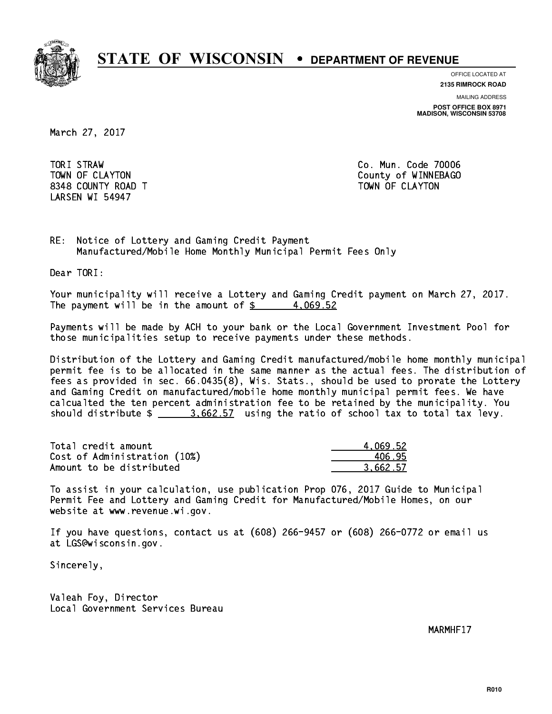

**OFFICE LOCATED AT**

**2135 RIMROCK ROAD**

**MAILING ADDRESS**

**POST OFFICE BOX 8971 MADISON, WISCONSIN 53708**

March 27, 2017

TORI STRAW 8348 COUNTY ROAD TWO COUNTY AND TOWN OF CLAYTON LARSEN WI 54947

Co. Mun. Code 70006 TOWN OF CLAYTON COUNTY OF WINNEBAGO

RE: Notice of Lottery and Gaming Credit Payment Manufactured/Mobile Home Monthly Municipal Permit Fees Only

Dear TORI:

 Your municipality will receive a Lottery and Gaming Credit payment on March 27, 2017. The payment will be in the amount of  $\frac{2}{3}$  4,069.52

 Payments will be made by ACH to your bank or the Local Government Investment Pool for those municipalities setup to receive payments under these methods.

 Distribution of the Lottery and Gaming Credit manufactured/mobile home monthly municipal permit fee is to be allocated in the same manner as the actual fees. The distribution of fees as provided in sec. 66.0435(8), Wis. Stats., should be used to prorate the Lottery and Gaming Credit on manufactured/mobile home monthly municipal permit fees. We have calcualted the ten percent administration fee to be retained by the municipality. You should distribute  $\frac{2}{2}$   $\frac{3.662.57}{2}$  using the ratio of school tax to total tax levy.

| Total credit amount          | 4.069.52 |
|------------------------------|----------|
| Cost of Administration (10%) | 406.95   |
| Amount to be distributed     | 3.662.57 |

 To assist in your calculation, use publication Prop 076, 2017 Guide to Municipal Permit Fee and Lottery and Gaming Credit for Manufactured/Mobile Homes, on our website at www.revenue.wi.gov.

 If you have questions, contact us at (608) 266-9457 or (608) 266-0772 or email us at LGS@wisconsin.gov.

Sincerely,

 Valeah Foy, Director Local Government Services Bureau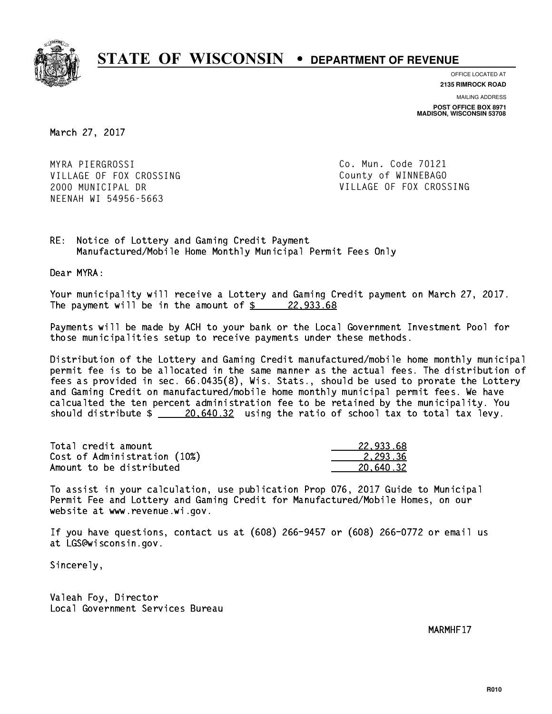

**OFFICE LOCATED AT**

**2135 RIMROCK ROAD**

**MAILING ADDRESS**

**POST OFFICE BOX 8971 MADISON, WISCONSIN 53708**

March 27, 2017

**MYRA PIERGROSSI VILLAGE OF FOX CROSSING 2000 MUNICIPAL DR NEENAH WI 54956-5663**

**Co. Mun. Code 70121 County of WINNEBAGO VILLAGE OF FOX CROSSING**

RE: Notice of Lottery and Gaming Credit Payment Manufactured/Mobile Home Monthly Municipal Permit Fees Only

Dear MYRA:

 Your municipality will receive a Lottery and Gaming Credit payment on March 27, 2017. The payment will be in the amount of  $\frac{22,933.68}{22,933.68}$ 

 Payments will be made by ACH to your bank or the Local Government Investment Pool for those municipalities setup to receive payments under these methods.

 Distribution of the Lottery and Gaming Credit manufactured/mobile home monthly municipal permit fee is to be allocated in the same manner as the actual fees. The distribution of fees as provided in sec. 66.0435(8), Wis. Stats., should be used to prorate the Lottery and Gaming Credit on manufactured/mobile home monthly municipal permit fees. We have calcualted the ten percent administration fee to be retained by the municipality. You should distribute  $\frac{20.640.32}{20.640.32}$  using the ratio of school tax to total tax levy.

| Total credit amount          | 22,933.68 |
|------------------------------|-----------|
| Cost of Administration (10%) | 2.293.36  |
| Amount to be distributed     | 20.640.32 |

 To assist in your calculation, use publication Prop 076, 2017 Guide to Municipal Permit Fee and Lottery and Gaming Credit for Manufactured/Mobile Homes, on our website at www.revenue.wi.gov.

 If you have questions, contact us at (608) 266-9457 or (608) 266-0772 or email us at LGS@wisconsin.gov.

Sincerely,

 Valeah Foy, Director Local Government Services Bureau

MARMHF17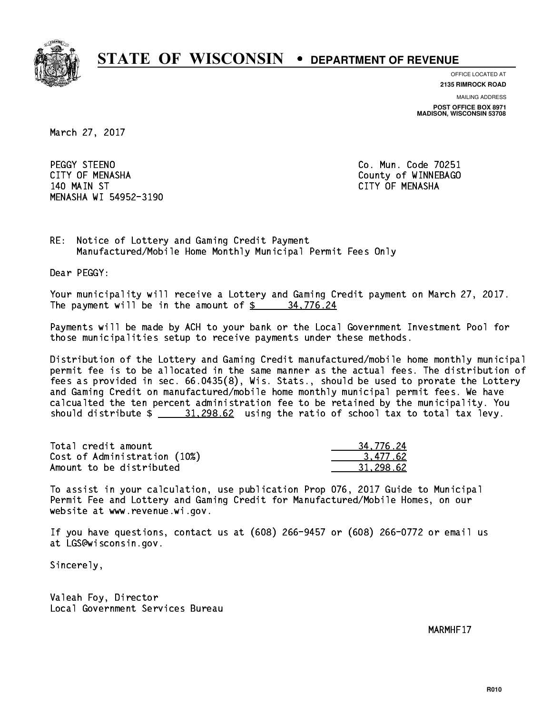

**OFFICE LOCATED AT**

**2135 RIMROCK ROAD**

**MAILING ADDRESS**

**POST OFFICE BOX 8971 MADISON, WISCONSIN 53708**

March 27, 2017

PEGGY STEENO CITY OF MENASHA COUNTY OF MENASHA 140 MAIN ST CITY OF MENASHA MENASHA WI 54952-3190

Co. Mun. Code 70251

RE: Notice of Lottery and Gaming Credit Payment Manufactured/Mobile Home Monthly Municipal Permit Fees Only

Dear PEGGY:

 Your municipality will receive a Lottery and Gaming Credit payment on March 27, 2017. The payment will be in the amount of  $\frac{2}{3}$  34,776.24

 Payments will be made by ACH to your bank or the Local Government Investment Pool for those municipalities setup to receive payments under these methods.

 Distribution of the Lottery and Gaming Credit manufactured/mobile home monthly municipal permit fee is to be allocated in the same manner as the actual fees. The distribution of fees as provided in sec. 66.0435(8), Wis. Stats., should be used to prorate the Lottery and Gaming Credit on manufactured/mobile home monthly municipal permit fees. We have calcualted the ten percent administration fee to be retained by the municipality. You should distribute  $\frac{2}{1.298.62}$  using the ratio of school tax to total tax levy.

| Total credit amount          | 34,776.24 |
|------------------------------|-----------|
| Cost of Administration (10%) | 3.477.62  |
| Amount to be distributed     | 31.298.62 |

 To assist in your calculation, use publication Prop 076, 2017 Guide to Municipal Permit Fee and Lottery and Gaming Credit for Manufactured/Mobile Homes, on our website at www.revenue.wi.gov.

 If you have questions, contact us at (608) 266-9457 or (608) 266-0772 or email us at LGS@wisconsin.gov.

Sincerely,

 Valeah Foy, Director Local Government Services Bureau

MARMHF17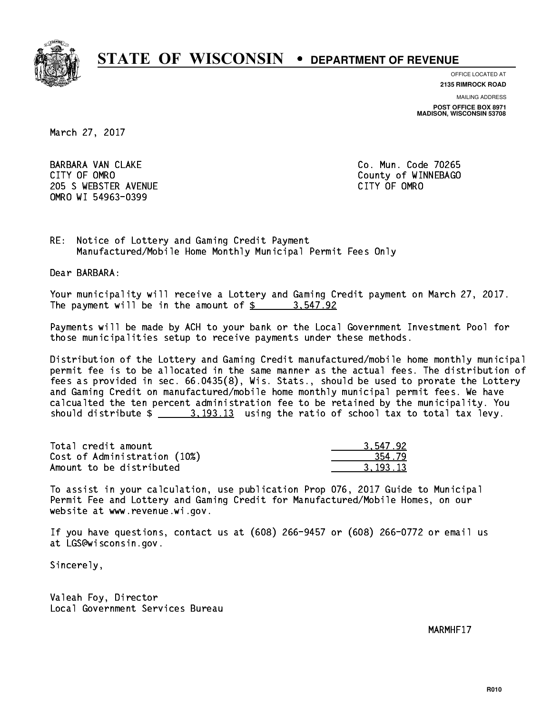

**OFFICE LOCATED AT**

**2135 RIMROCK ROAD**

**MAILING ADDRESS**

**POST OFFICE BOX 8971 MADISON, WISCONSIN 53708**

March 27, 2017

 BARBARA VAN CLAKE Co. Mun. Code 70265 CITY OF OMRO **COUNTY OF OMRO** COUNTY OF WINNEBAGO 205 SWEBSTER AVENUE **CITY OF OMRO** OMRO WI 54963-0399

RE: Notice of Lottery and Gaming Credit Payment Manufactured/Mobile Home Monthly Municipal Permit Fees Only

Dear BARBARA:

 Your municipality will receive a Lottery and Gaming Credit payment on March 27, 2017. The payment will be in the amount of  $\frac{2}{3}$  3,547.92

 Payments will be made by ACH to your bank or the Local Government Investment Pool for those municipalities setup to receive payments under these methods.

 Distribution of the Lottery and Gaming Credit manufactured/mobile home monthly municipal permit fee is to be allocated in the same manner as the actual fees. The distribution of fees as provided in sec. 66.0435(8), Wis. Stats., should be used to prorate the Lottery and Gaming Credit on manufactured/mobile home monthly municipal permit fees. We have calcualted the ten percent administration fee to be retained by the municipality. You should distribute  $\frac{2}{1}$   $\frac{3.193.13}{2}$  using the ratio of school tax to total tax levy.

| Total credit amount          | 3.547.92 |
|------------------------------|----------|
| Cost of Administration (10%) | 354.79   |
| Amount to be distributed     | 3.193.13 |

 To assist in your calculation, use publication Prop 076, 2017 Guide to Municipal Permit Fee and Lottery and Gaming Credit for Manufactured/Mobile Homes, on our website at www.revenue.wi.gov.

 If you have questions, contact us at (608) 266-9457 or (608) 266-0772 or email us at LGS@wisconsin.gov.

Sincerely,

 Valeah Foy, Director Local Government Services Bureau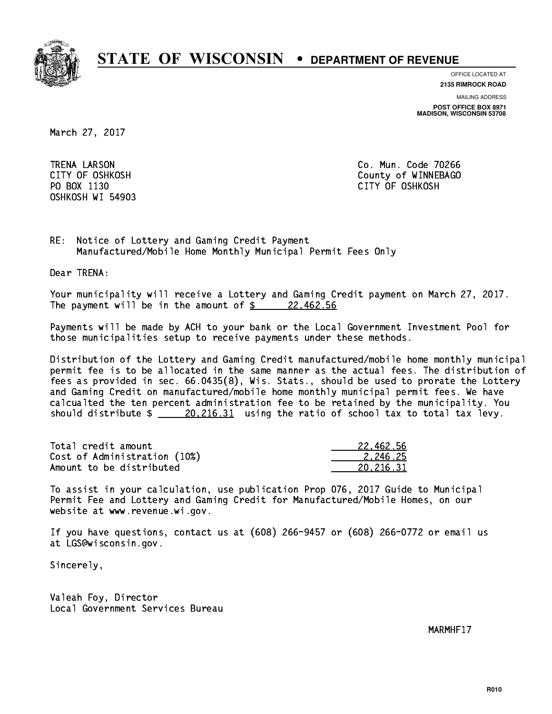

**OFFICE LOCATED AT**

**2135 RIMROCK ROAD**

**MAILING ADDRESS**

**POST OFFICE BOX 8971 MADISON, WISCONSIN 53708**

March 27, 2017

 TRENA LARSON Co. Mun. Code 70266 OSHKOSH WI 54903

 CITY OF OSHKOSH County of WINNEBAGO PO BOX 1130 CITY OF OSHKOSH

RE: Notice of Lottery and Gaming Credit Payment Manufactured/Mobile Home Monthly Municipal Permit Fees Only

Dear TRENA:

 Your municipality will receive a Lottery and Gaming Credit payment on March 27, 2017. The payment will be in the amount of \$ 22,462.56 \_\_\_\_\_\_\_\_\_\_\_\_\_\_\_\_

 Payments will be made by ACH to your bank or the Local Government Investment Pool for those municipalities setup to receive payments under these methods.

 Distribution of the Lottery and Gaming Credit manufactured/mobile home monthly municipal permit fee is to be allocated in the same manner as the actual fees. The distribution of fees as provided in sec. 66.0435(8), Wis. Stats., should be used to prorate the Lottery and Gaming Credit on manufactured/mobile home monthly municipal permit fees. We have calcualted the ten percent administration fee to be retained by the municipality. You should distribute  $\frac{20,216.31}{20,216.31}$  using the ratio of school tax to total tax levy.

| Total credit amount          | 22.462.56 |
|------------------------------|-----------|
| Cost of Administration (10%) | 2.246.25  |
| Amount to be distributed     | 20.216.31 |

 To assist in your calculation, use publication Prop 076, 2017 Guide to Municipal Permit Fee and Lottery and Gaming Credit for Manufactured/Mobile Homes, on our website at www.revenue.wi.gov.

 If you have questions, contact us at (608) 266-9457 or (608) 266-0772 or email us at LGS@wisconsin.gov.

Sincerely,

 Valeah Foy, Director Local Government Services Bureau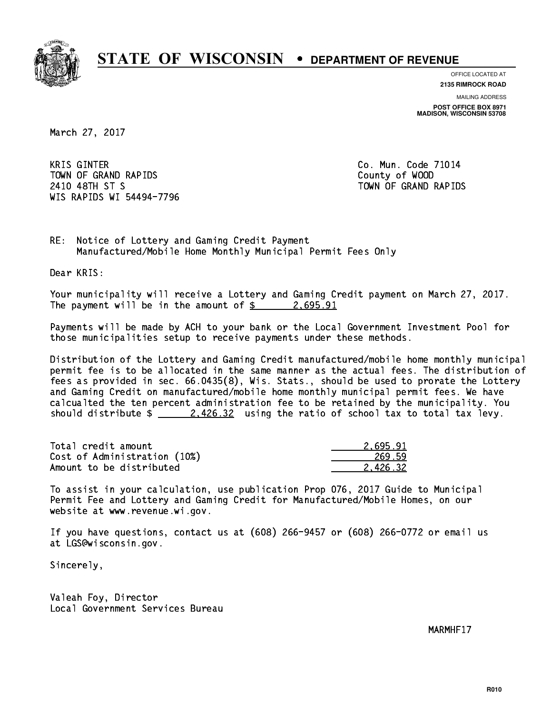

**OFFICE LOCATED AT**

**2135 RIMROCK ROAD**

**MAILING ADDRESS POST OFFICE BOX 8971 MADISON, WISCONSIN 53708**

March 27, 2017

**KRIS GINTER**  TOWN OF GRAND RAPIDS County of WOOD 2410 48TH ST S TOWN OF GRAND RAPIDS WIS RAPIDS WI 54494-7796

Co. Mun. Code 71014

RE: Notice of Lottery and Gaming Credit Payment Manufactured/Mobile Home Monthly Municipal Permit Fees Only

Dear KRIS:

 Your municipality will receive a Lottery and Gaming Credit payment on March 27, 2017. The payment will be in the amount of  $\frac{2.695.91}{2.695.91}$ 

 Payments will be made by ACH to your bank or the Local Government Investment Pool for those municipalities setup to receive payments under these methods.

 Distribution of the Lottery and Gaming Credit manufactured/mobile home monthly municipal permit fee is to be allocated in the same manner as the actual fees. The distribution of fees as provided in sec. 66.0435(8), Wis. Stats., should be used to prorate the Lottery and Gaming Credit on manufactured/mobile home monthly municipal permit fees. We have calcualted the ten percent administration fee to be retained by the municipality. You should distribute  $\frac{2.426.32}{2.426.32}$  using the ratio of school tax to total tax levy.

| Total credit amount          | 2.695.91 |
|------------------------------|----------|
| Cost of Administration (10%) | 269.59   |
| Amount to be distributed     | 2.426.32 |

 To assist in your calculation, use publication Prop 076, 2017 Guide to Municipal Permit Fee and Lottery and Gaming Credit for Manufactured/Mobile Homes, on our website at www.revenue.wi.gov.

 If you have questions, contact us at (608) 266-9457 or (608) 266-0772 or email us at LGS@wisconsin.gov.

Sincerely,

 Valeah Foy, Director Local Government Services Bureau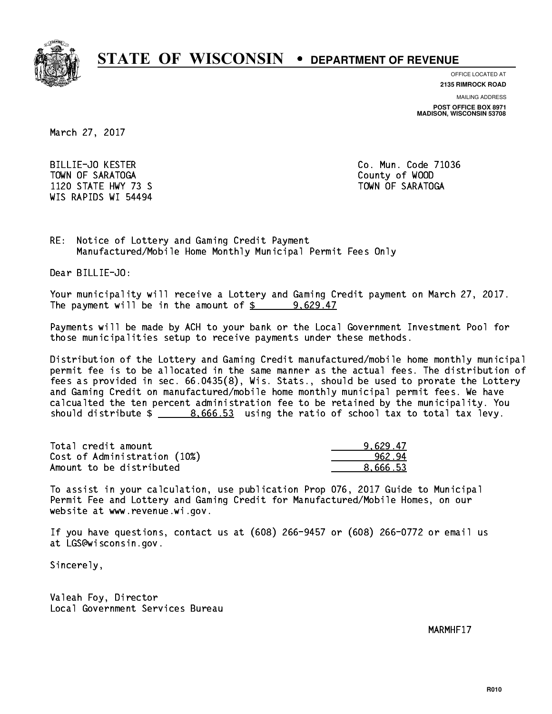

**OFFICE LOCATED AT**

**2135 RIMROCK ROAD**

**MAILING ADDRESS**

**POST OFFICE BOX 8971 MADISON, WISCONSIN 53708**

March 27, 2017

 BILLIE-JO KESTER Co. Mun. Code 71036 TOWN OF SARATOGA County of WOOD 1120 STATE HWY 73 S TOWN OF SARATOGA WIS RAPIDS WI 54494

RE: Notice of Lottery and Gaming Credit Payment Manufactured/Mobile Home Monthly Municipal Permit Fees Only

Dear BILLIE-JO:

 Your municipality will receive a Lottery and Gaming Credit payment on March 27, 2017. The payment will be in the amount of  $\frac{2}{3}$  9,629.47

 Payments will be made by ACH to your bank or the Local Government Investment Pool for those municipalities setup to receive payments under these methods.

 Distribution of the Lottery and Gaming Credit manufactured/mobile home monthly municipal permit fee is to be allocated in the same manner as the actual fees. The distribution of fees as provided in sec. 66.0435(8), Wis. Stats., should be used to prorate the Lottery and Gaming Credit on manufactured/mobile home monthly municipal permit fees. We have calcualted the ten percent administration fee to be retained by the municipality. You should distribute  $\frac{2}{1}$   $\frac{8,666.53}{2}$  using the ratio of school tax to total tax levy.

| Total credit amount          | 9.629.47 |
|------------------------------|----------|
| Cost of Administration (10%) | 962.94   |
| Amount to be distributed     | 8.666.53 |

 To assist in your calculation, use publication Prop 076, 2017 Guide to Municipal Permit Fee and Lottery and Gaming Credit for Manufactured/Mobile Homes, on our website at www.revenue.wi.gov.

 If you have questions, contact us at (608) 266-9457 or (608) 266-0772 or email us at LGS@wisconsin.gov.

Sincerely,

 Valeah Foy, Director Local Government Services Bureau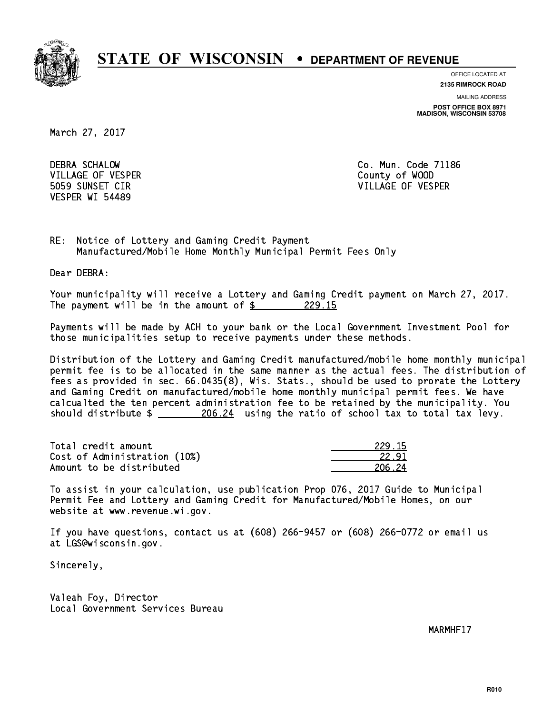

**OFFICE LOCATED AT 2135 RIMROCK ROAD**

**MAILING ADDRESS**

**POST OFFICE BOX 8971 MADISON, WISCONSIN 53708**

March 27, 2017

 DEBRA SCHALOW Co. Mun. Code 71186 VILLAGE OF VESPER COUNTY OF WOOD VESPER WI 54489

5059 SUNSET CIR VILLAGE OF VESPER

RE: Notice of Lottery and Gaming Credit Payment Manufactured/Mobile Home Monthly Municipal Permit Fees Only

Dear DEBRA:

 Your municipality will receive a Lottery and Gaming Credit payment on March 27, 2017. The payment will be in the amount of  $\frac{229.15}{100}$ 

 Payments will be made by ACH to your bank or the Local Government Investment Pool for those municipalities setup to receive payments under these methods.

 Distribution of the Lottery and Gaming Credit manufactured/mobile home monthly municipal permit fee is to be allocated in the same manner as the actual fees. The distribution of fees as provided in sec. 66.0435(8), Wis. Stats., should be used to prorate the Lottery and Gaming Credit on manufactured/mobile home monthly municipal permit fees. We have calcualted the ten percent administration fee to be retained by the municipality. You should distribute  $\frac{206.24}{206.24}$  using the ratio of school tax to total tax levy.

Total credit amount Cost of Administration (10%) Amount to be distributed

| -15        |
|------------|
| 91<br>22.  |
| - 24<br>., |

 To assist in your calculation, use publication Prop 076, 2017 Guide to Municipal Permit Fee and Lottery and Gaming Credit for Manufactured/Mobile Homes, on our website at www.revenue.wi.gov.

 If you have questions, contact us at (608) 266-9457 or (608) 266-0772 or email us at LGS@wisconsin.gov.

Sincerely,

 Valeah Foy, Director Local Government Services Bureau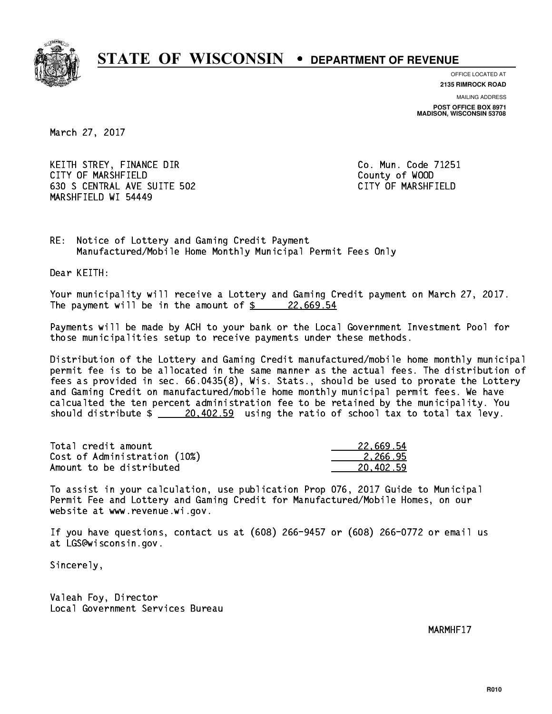

**OFFICE LOCATED AT**

**2135 RIMROCK ROAD**

**MAILING ADDRESS POST OFFICE BOX 8971 MADISON, WISCONSIN 53708**

March 27, 2017

KEITH STREY, FINANCE DIR CO. Mun. Code 71251 CITY OF MARSHFIELD County of WOOD 630 S CENTRAL AVE SUITE 502 CITY OF MARSHFIELD MARSHFIELD WI 54449

RE: Notice of Lottery and Gaming Credit Payment Manufactured/Mobile Home Monthly Municipal Permit Fees Only

Dear KEITH:

 Your municipality will receive a Lottery and Gaming Credit payment on March 27, 2017. The payment will be in the amount of  $\frac{22,669.54}{2}$ 

 Payments will be made by ACH to your bank or the Local Government Investment Pool for those municipalities setup to receive payments under these methods.

 Distribution of the Lottery and Gaming Credit manufactured/mobile home monthly municipal permit fee is to be allocated in the same manner as the actual fees. The distribution of fees as provided in sec. 66.0435(8), Wis. Stats., should be used to prorate the Lottery and Gaming Credit on manufactured/mobile home monthly municipal permit fees. We have calcualted the ten percent administration fee to be retained by the municipality. You should distribute  $\frac{20,402.59}{20,402.59}$  using the ratio of school tax to total tax levy.

| Total credit amount          | 22.669.54 |
|------------------------------|-----------|
| Cost of Administration (10%) | 2.266.95  |
| Amount to be distributed     | 20,402.59 |

 To assist in your calculation, use publication Prop 076, 2017 Guide to Municipal Permit Fee and Lottery and Gaming Credit for Manufactured/Mobile Homes, on our website at www.revenue.wi.gov.

 If you have questions, contact us at (608) 266-9457 or (608) 266-0772 or email us at LGS@wisconsin.gov.

Sincerely,

 Valeah Foy, Director Local Government Services Bureau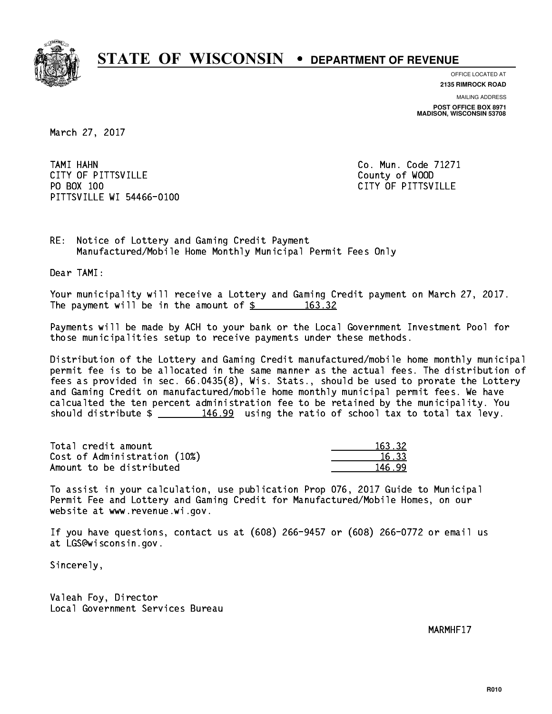

**OFFICE LOCATED AT**

**2135 RIMROCK ROAD**

**MAILING ADDRESS POST OFFICE BOX 8971 MADISON, WISCONSIN 53708**

March 27, 2017

 TAMI HAHN Co. Mun. Code 71271 CITY OF PITTSVILLE **COUNTY COUNTY OF ALCOHOL** PO BOX 100 PITTSVILLE WI 54466-0100

CITY OF PITTSVILLE

RE: Notice of Lottery and Gaming Credit Payment Manufactured/Mobile Home Monthly Municipal Permit Fees Only

Dear TAMI:

 Your municipality will receive a Lottery and Gaming Credit payment on March 27, 2017. The payment will be in the amount of \$ 163.32 \_\_\_\_\_\_\_\_\_\_\_\_\_\_\_\_

 Payments will be made by ACH to your bank or the Local Government Investment Pool for those municipalities setup to receive payments under these methods.

 Distribution of the Lottery and Gaming Credit manufactured/mobile home monthly municipal permit fee is to be allocated in the same manner as the actual fees. The distribution of fees as provided in sec. 66.0435(8), Wis. Stats., should be used to prorate the Lottery and Gaming Credit on manufactured/mobile home monthly municipal permit fees. We have calcualted the ten percent administration fee to be retained by the municipality. You should distribute  $\frac{146.99}{2}$  using the ratio of school tax to total tax levy.

Total credit amount Cost of Administration (10%) Amount to be distributed

| 163.32 |
|--------|
| २ २२   |
| п.     |

 To assist in your calculation, use publication Prop 076, 2017 Guide to Municipal Permit Fee and Lottery and Gaming Credit for Manufactured/Mobile Homes, on our website at www.revenue.wi.gov.

 If you have questions, contact us at (608) 266-9457 or (608) 266-0772 or email us at LGS@wisconsin.gov.

Sincerely,

 Valeah Foy, Director Local Government Services Bureau